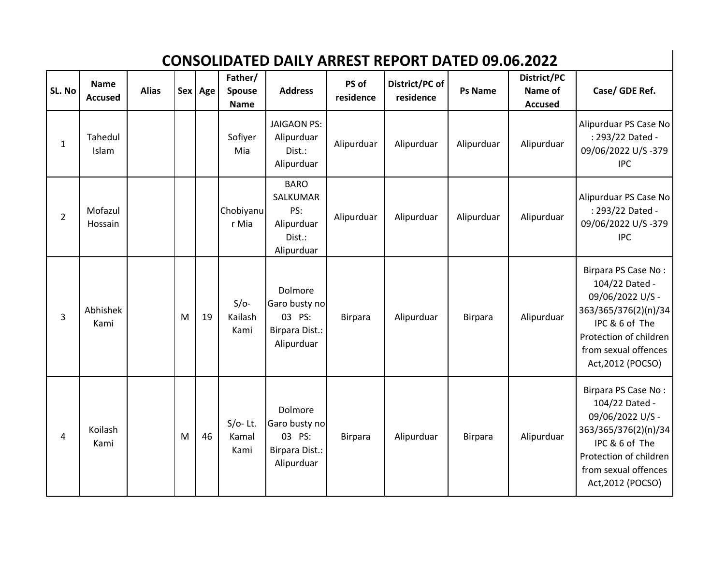## **CONSOLIDATED DAILY ARREST REPORT DATED 09.06.2022**

| SL. No         | <b>Name</b><br><b>Accused</b> | <b>Alias</b> |   | Sex Age | Father/<br>Spouse<br><b>Name</b> | <b>Address</b>                                                       | PS of<br>residence | District/PC of<br>residence | <b>Ps Name</b> | District/PC<br>Name of<br><b>Accused</b> | Case/ GDE Ref.                                                                                                                                                             |
|----------------|-------------------------------|--------------|---|---------|----------------------------------|----------------------------------------------------------------------|--------------------|-----------------------------|----------------|------------------------------------------|----------------------------------------------------------------------------------------------------------------------------------------------------------------------------|
| $\mathbf{1}$   | Tahedul<br>Islam              |              |   |         | Sofiyer<br>Mia                   | <b>JAIGAON PS:</b><br>Alipurduar<br>Dist.:<br>Alipurduar             | Alipurduar         | Alipurduar                  | Alipurduar     | Alipurduar                               | Alipurduar PS Case No<br>: 293/22 Dated -<br>09/06/2022 U/S-379<br><b>IPC</b>                                                                                              |
| $\overline{2}$ | Mofazul<br>Hossain            |              |   |         | Chobiyanu<br>r Mia               | <b>BARO</b><br>SALKUMAR<br>PS:<br>Alipurduar<br>Dist.:<br>Alipurduar | Alipurduar         | Alipurduar                  | Alipurduar     | Alipurduar                               | Alipurduar PS Case No<br>: 293/22 Dated -<br>09/06/2022 U/S-379<br><b>IPC</b>                                                                                              |
| 3              | Abhishek<br>Kami              |              | M | 19      | $S/O-$<br>Kailash<br>Kami        | Dolmore<br>Garo busty no<br>03 PS:<br>Birpara Dist.:<br>Alipurduar   | <b>Birpara</b>     | Alipurduar                  | <b>Birpara</b> | Alipurduar                               | Birpara PS Case No:<br>104/22 Dated -<br>09/06/2022 U/S -<br>363/365/376(2)(n)/34<br>IPC & 6 of The<br>Protection of children<br>from sexual offences<br>Act, 2012 (POCSO) |
| 4              | Koilash<br>Kami               |              | M | 46      | $S/O-$ Lt.<br>Kamal<br>Kami      | Dolmore<br>Garo busty no<br>03 PS:<br>Birpara Dist.:<br>Alipurduar   | <b>Birpara</b>     | Alipurduar                  | <b>Birpara</b> | Alipurduar                               | Birpara PS Case No:<br>104/22 Dated -<br>09/06/2022 U/S -<br>363/365/376(2)(n)/34<br>IPC & 6 of The<br>Protection of children<br>from sexual offences<br>Act, 2012 (POCSO) |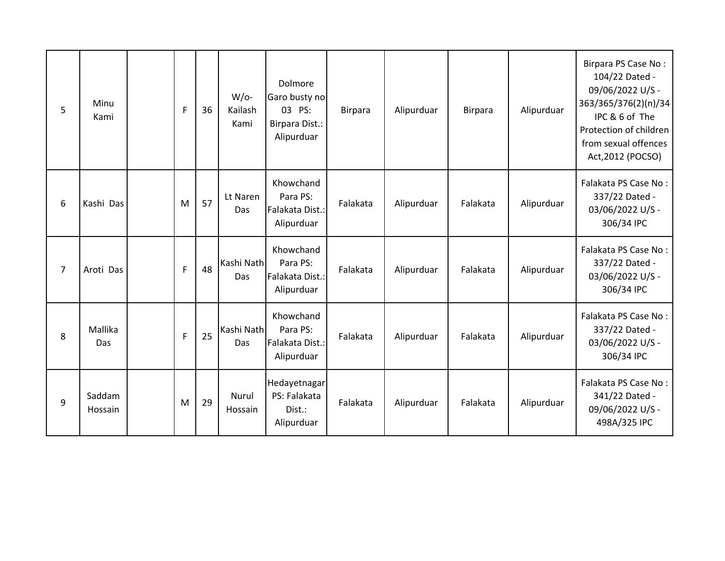| 5              | Minu<br>Kami      | $\mathsf{F}$ | 36 | $W$ /o-<br>Kailash<br>Kami | Dolmore<br>Garo busty no<br>03 PS:<br>Birpara Dist.:<br>Alipurduar | Birpara  | Alipurduar | <b>Birpara</b> | Alipurduar | Birpara PS Case No:<br>104/22 Dated -<br>09/06/2022 U/S -<br>363/365/376(2)(n)/34<br>IPC & 6 of The<br>Protection of children<br>from sexual offences<br>Act, 2012 (POCSO) |
|----------------|-------------------|--------------|----|----------------------------|--------------------------------------------------------------------|----------|------------|----------------|------------|----------------------------------------------------------------------------------------------------------------------------------------------------------------------------|
| 6              | Kashi Das         | M            | 57 | Lt Naren<br>Das            | Khowchand<br>Para PS:<br>Falakata Dist.:<br>Alipurduar             | Falakata | Alipurduar | Falakata       | Alipurduar | Falakata PS Case No:<br>337/22 Dated -<br>03/06/2022 U/S -<br>306/34 IPC                                                                                                   |
| $\overline{7}$ | Aroti Das         | $\mathsf{F}$ | 48 | Kashi Nath<br>Das          | Khowchand<br>Para PS:<br>Falakata Dist.:<br>Alipurduar             | Falakata | Alipurduar | Falakata       | Alipurduar | Falakata PS Case No:<br>337/22 Dated -<br>03/06/2022 U/S -<br>306/34 IPC                                                                                                   |
| 8              | Mallika<br>Das    | $\mathsf{F}$ | 25 | Kashi Nath<br>Das          | Khowchand<br>Para PS:<br>Falakata Dist.:<br>Alipurduar             | Falakata | Alipurduar | Falakata       | Alipurduar | Falakata PS Case No:<br>337/22 Dated -<br>03/06/2022 U/S -<br>306/34 IPC                                                                                                   |
| 9              | Saddam<br>Hossain | M            | 29 | Nurul<br>Hossain           | Hedayetnagar<br>PS: Falakata<br>Dist.:<br>Alipurduar               | Falakata | Alipurduar | Falakata       | Alipurduar | Falakata PS Case No:<br>341/22 Dated -<br>09/06/2022 U/S -<br>498A/325 IPC                                                                                                 |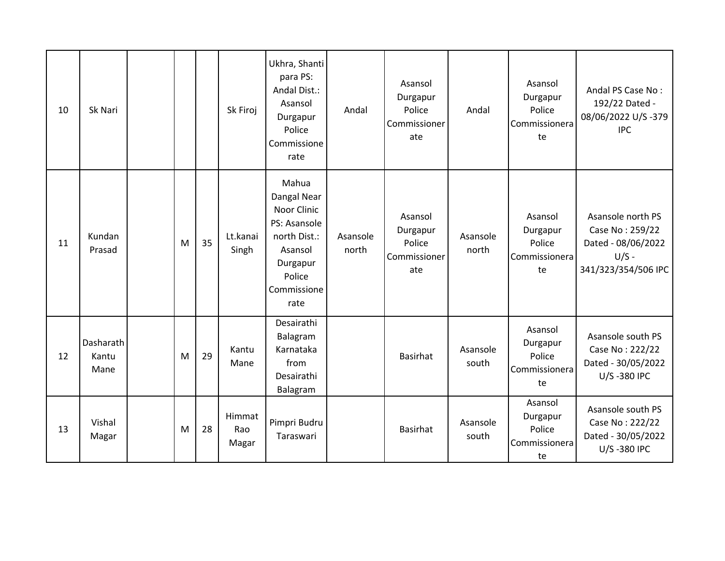| 10 | Sk Nari                    |   |    | Sk Firoj               | Ukhra, Shanti<br>para PS:<br>Andal Dist.:<br>Asansol<br>Durgapur<br>Police<br>Commissione<br>rate                           | Andal             | Asansol<br>Durgapur<br>Police<br>Commissioner<br>ate | Andal             | Asansol<br>Durgapur<br>Police<br>Commissionera<br>te | Andal PS Case No:<br>192/22 Dated -<br>08/06/2022 U/S-379<br><b>IPC</b>                      |
|----|----------------------------|---|----|------------------------|-----------------------------------------------------------------------------------------------------------------------------|-------------------|------------------------------------------------------|-------------------|------------------------------------------------------|----------------------------------------------------------------------------------------------|
| 11 | Kundan<br>Prasad           | M | 35 | Lt.kanai<br>Singh      | Mahua<br>Dangal Near<br>Noor Clinic<br>PS: Asansole<br>north Dist.:<br>Asansol<br>Durgapur<br>Police<br>Commissione<br>rate | Asansole<br>north | Asansol<br>Durgapur<br>Police<br>Commissioner<br>ate | Asansole<br>north | Asansol<br>Durgapur<br>Police<br>Commissionera<br>te | Asansole north PS<br>Case No: 259/22<br>Dated - 08/06/2022<br>$U/S -$<br>341/323/354/506 IPC |
| 12 | Dasharath<br>Kantu<br>Mane | M | 29 | Kantu<br>Mane          | Desairathi<br>Balagram<br>Karnataka<br>from<br>Desairathi<br>Balagram                                                       |                   | <b>Basirhat</b>                                      | Asansole<br>south | Asansol<br>Durgapur<br>Police<br>Commissionera<br>te | Asansole south PS<br>Case No: 222/22<br>Dated - 30/05/2022<br>U/S-380 IPC                    |
| 13 | Vishal<br>Magar            | M | 28 | Himmat<br>Rao<br>Magar | Pimpri Budru<br>Taraswari                                                                                                   |                   | <b>Basirhat</b>                                      | Asansole<br>south | Asansol<br>Durgapur<br>Police<br>Commissionera<br>te | Asansole south PS<br>Case No: 222/22<br>Dated - 30/05/2022<br>U/S-380 IPC                    |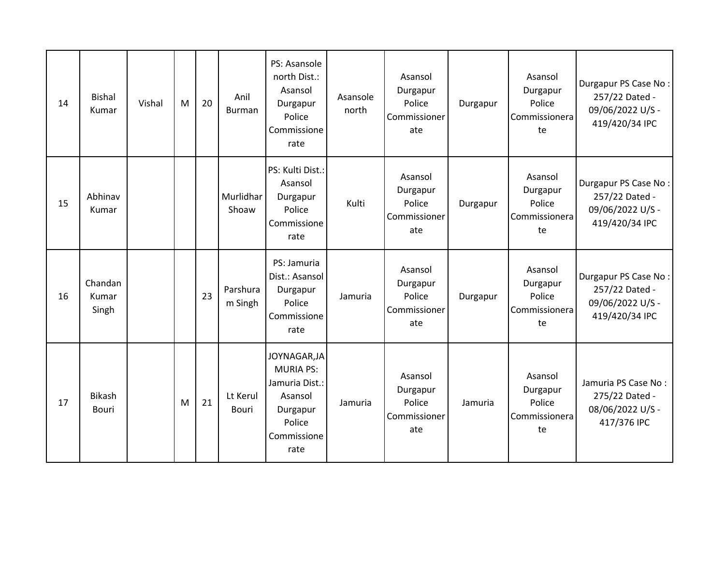| 14 | <b>Bishal</b><br>Kumar    | Vishal | M | 20 | Anil<br><b>Burman</b> | PS: Asansole<br>north Dist.:<br>Asansol<br>Durgapur<br>Police<br>Commissione<br>rate                       | Asansole<br>north | Asansol<br>Durgapur<br>Police<br>Commissioner<br>ate | Durgapur | Asansol<br>Durgapur<br>Police<br>Commissionera<br>te | Durgapur PS Case No:<br>257/22 Dated -<br>09/06/2022 U/S -<br>419/420/34 IPC |
|----|---------------------------|--------|---|----|-----------------------|------------------------------------------------------------------------------------------------------------|-------------------|------------------------------------------------------|----------|------------------------------------------------------|------------------------------------------------------------------------------|
| 15 | Abhinav<br>Kumar          |        |   |    | Murlidhar<br>Shoaw    | PS: Kulti Dist.:<br>Asansol<br>Durgapur<br>Police<br>Commissione<br>rate                                   | Kulti             | Asansol<br>Durgapur<br>Police<br>Commissioner<br>ate | Durgapur | Asansol<br>Durgapur<br>Police<br>Commissionera<br>te | Durgapur PS Case No:<br>257/22 Dated -<br>09/06/2022 U/S -<br>419/420/34 IPC |
| 16 | Chandan<br>Kumar<br>Singh |        |   | 23 | Parshura<br>m Singh   | PS: Jamuria<br>Dist.: Asansol<br>Durgapur<br>Police<br>Commissione<br>rate                                 | Jamuria           | Asansol<br>Durgapur<br>Police<br>Commissioner<br>ate | Durgapur | Asansol<br>Durgapur<br>Police<br>Commissionera<br>te | Durgapur PS Case No:<br>257/22 Dated -<br>09/06/2022 U/S -<br>419/420/34 IPC |
| 17 | <b>Bikash</b><br>Bouri    |        | M | 21 | Lt Kerul<br>Bouri     | JOYNAGAR, JA<br><b>MURIA PS:</b><br>Jamuria Dist.:<br>Asansol<br>Durgapur<br>Police<br>Commissione<br>rate | Jamuria           | Asansol<br>Durgapur<br>Police<br>Commissioner<br>ate | Jamuria  | Asansol<br>Durgapur<br>Police<br>Commissionera<br>te | Jamuria PS Case No:<br>275/22 Dated -<br>08/06/2022 U/S -<br>417/376 IPC     |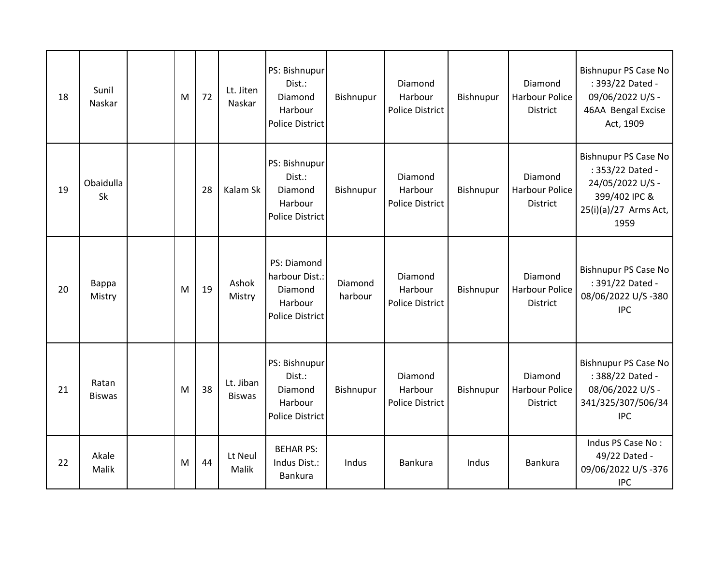| 18 | Sunil<br>Naskar        | M | 72 | Lt. Jiten<br>Naskar        | PS: Bishnupur<br>Dist.:<br>Diamond<br>Harbour<br><b>Police District</b>       | Bishnupur          | Diamond<br>Harbour<br>Police District | Bishnupur | Diamond<br><b>Harbour Police</b><br><b>District</b> | <b>Bishnupur PS Case No</b><br>: 393/22 Dated -<br>09/06/2022 U/S -<br>46AA Bengal Excise<br>Act, 1909                |
|----|------------------------|---|----|----------------------------|-------------------------------------------------------------------------------|--------------------|---------------------------------------|-----------|-----------------------------------------------------|-----------------------------------------------------------------------------------------------------------------------|
| 19 | Obaidulla<br>Sk        |   | 28 | Kalam Sk                   | PS: Bishnupur<br>Dist.:<br>Diamond<br>Harbour<br><b>Police District</b>       | Bishnupur          | Diamond<br>Harbour<br>Police District | Bishnupur | Diamond<br><b>Harbour Police</b><br><b>District</b> | <b>Bishnupur PS Case No</b><br>: 353/22 Dated -<br>24/05/2022 U/S -<br>399/402 IPC &<br>25(i)(a)/27 Arms Act,<br>1959 |
| 20 | Bappa<br>Mistry        | M | 19 | Ashok<br>Mistry            | PS: Diamond<br>harbour Dist.:<br>Diamond<br>Harbour<br><b>Police District</b> | Diamond<br>harbour | Diamond<br>Harbour<br>Police District | Bishnupur | Diamond<br><b>Harbour Police</b><br><b>District</b> | <b>Bishnupur PS Case No</b><br>: 391/22 Dated -<br>08/06/2022 U/S-380<br><b>IPC</b>                                   |
| 21 | Ratan<br><b>Biswas</b> | M | 38 | Lt. Jiban<br><b>Biswas</b> | PS: Bishnupur<br>Dist.:<br>Diamond<br>Harbour<br><b>Police District</b>       | Bishnupur          | Diamond<br>Harbour<br>Police District | Bishnupur | Diamond<br>Harbour Police<br><b>District</b>        | <b>Bishnupur PS Case No</b><br>: 388/22 Dated -<br>08/06/2022 U/S -<br>341/325/307/506/34<br><b>IPC</b>               |
| 22 | Akale<br>Malik         | M | 44 | Lt Neul<br>Malik           | <b>BEHAR PS:</b><br>Indus Dist.:<br>Bankura                                   | Indus              | Bankura                               | Indus     | Bankura                                             | Indus PS Case No:<br>49/22 Dated -<br>09/06/2022 U/S-376<br><b>IPC</b>                                                |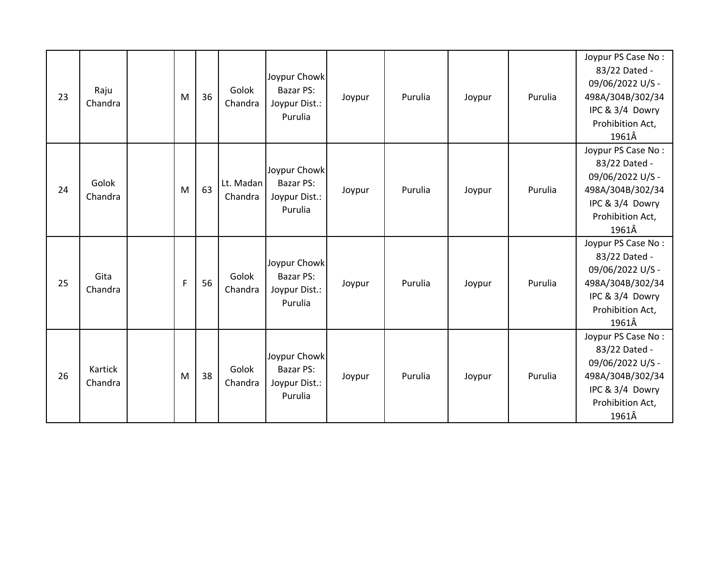| 23 | Raju<br>Chandra    | M            | 36 | Golok<br>Chandra     | Joypur Chowk<br><b>Bazar PS:</b><br>Joypur Dist.:<br>Purulia | Joypur | Purulia | Joypur | Purulia | Joypur PS Case No:<br>83/22 Dated -<br>09/06/2022 U/S -<br>498A/304B/302/34<br>IPC & 3/4 Dowry<br>Prohibition Act,<br>1961Â |
|----|--------------------|--------------|----|----------------------|--------------------------------------------------------------|--------|---------|--------|---------|-----------------------------------------------------------------------------------------------------------------------------|
| 24 | Golok<br>Chandra   | M            | 63 | Lt. Madan<br>Chandra | Joypur Chowk<br>Bazar PS:<br>Joypur Dist.:<br>Purulia        | Joypur | Purulia | Joypur | Purulia | Joypur PS Case No:<br>83/22 Dated -<br>09/06/2022 U/S -<br>498A/304B/302/34<br>IPC & 3/4 Dowry<br>Prohibition Act,<br>1961Â |
| 25 | Gita<br>Chandra    | $\mathsf{F}$ | 56 | Golok<br>Chandra     | Joypur Chowk<br>Bazar PS:<br>Joypur Dist.:<br>Purulia        | Joypur | Purulia | Joypur | Purulia | Joypur PS Case No:<br>83/22 Dated -<br>09/06/2022 U/S -<br>498A/304B/302/34<br>IPC & 3/4 Dowry<br>Prohibition Act,<br>1961Â |
| 26 | Kartick<br>Chandra | M            | 38 | Golok<br>Chandra     | Joypur Chowk<br>Bazar PS:<br>Joypur Dist.:<br>Purulia        | Joypur | Purulia | Joypur | Purulia | Joypur PS Case No:<br>83/22 Dated -<br>09/06/2022 U/S -<br>498A/304B/302/34<br>IPC & 3/4 Dowry<br>Prohibition Act,<br>1961Â |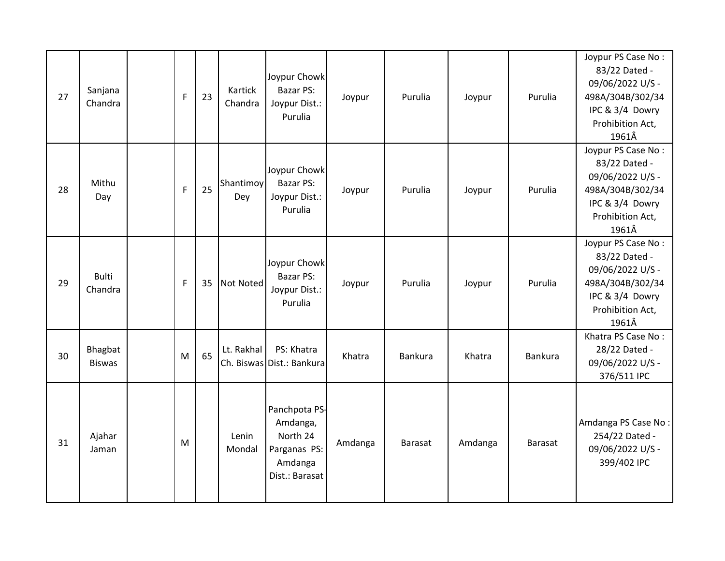| 27 | Sanjana<br>Chandra       | $\mathsf{F}$ | 23 | Kartick<br>Chandra | Joypur Chowk<br>Bazar PS:<br>Joypur Dist.:<br>Purulia                              | Joypur  | Purulia        | Joypur  | Purulia        | Joypur PS Case No:<br>83/22 Dated -<br>09/06/2022 U/S -<br>498A/304B/302/34<br>IPC & 3/4 Dowry<br>Prohibition Act,<br>1961Â |
|----|--------------------------|--------------|----|--------------------|------------------------------------------------------------------------------------|---------|----------------|---------|----------------|-----------------------------------------------------------------------------------------------------------------------------|
| 28 | Mithu<br>Day             | $\mathsf{F}$ | 25 | Shantimoy<br>Dey   | Joypur Chowk<br>Bazar PS:<br>Joypur Dist.:<br>Purulia                              | Joypur  | Purulia        | Joypur  | Purulia        | Joypur PS Case No:<br>83/22 Dated -<br>09/06/2022 U/S -<br>498A/304B/302/34<br>IPC & 3/4 Dowry<br>Prohibition Act,<br>1961Â |
| 29 | <b>Bulti</b><br>Chandra  | $\mathsf{F}$ | 35 | <b>Not Noted</b>   | Joypur Chowk<br><b>Bazar PS:</b><br>Joypur Dist.:<br>Purulia                       | Joypur  | Purulia        | Joypur  | Purulia        | Joypur PS Case No:<br>83/22 Dated -<br>09/06/2022 U/S -<br>498A/304B/302/34<br>IPC & 3/4 Dowry<br>Prohibition Act,<br>1961Â |
| 30 | Bhagbat<br><b>Biswas</b> | M            | 65 | Lt. Rakhal         | PS: Khatra<br>Ch. Biswas Dist.: Bankura                                            | Khatra  | <b>Bankura</b> | Khatra  | Bankura        | Khatra PS Case No:<br>28/22 Dated -<br>09/06/2022 U/S -<br>376/511 IPC                                                      |
| 31 | Ajahar<br>Jaman          | M            |    | Lenin<br>Mondal    | Panchpota PS-<br>Amdanga,<br>North 24<br>Parganas PS:<br>Amdanga<br>Dist.: Barasat | Amdanga | <b>Barasat</b> | Amdanga | <b>Barasat</b> | Amdanga PS Case No:<br>254/22 Dated -<br>09/06/2022 U/S -<br>399/402 IPC                                                    |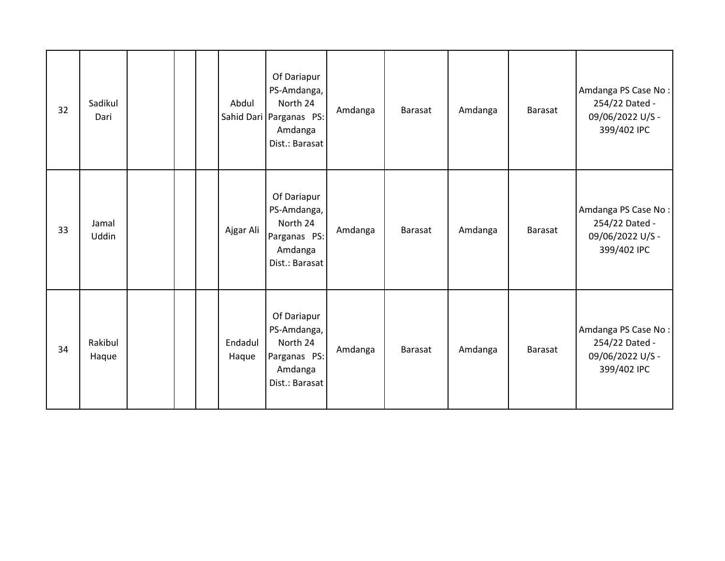| 32 | Sadikul<br>Dari  |  | Abdul            | Of Dariapur<br>PS-Amdanga,<br>North 24<br>Sahid Dari Parganas PS:<br>Amdanga<br>Dist.: Barasat | Amdanga | Barasat        | Amdanga | Barasat | Amdanga PS Case No:<br>254/22 Dated -<br>09/06/2022 U/S -<br>399/402 IPC |
|----|------------------|--|------------------|------------------------------------------------------------------------------------------------|---------|----------------|---------|---------|--------------------------------------------------------------------------|
| 33 | Jamal<br>Uddin   |  | Ajgar Ali        | Of Dariapur<br>PS-Amdanga,<br>North 24<br>Parganas PS:<br>Amdanga<br>Dist.: Barasat            | Amdanga | Barasat        | Amdanga | Barasat | Amdanga PS Case No:<br>254/22 Dated -<br>09/06/2022 U/S -<br>399/402 IPC |
| 34 | Rakibul<br>Haque |  | Endadul<br>Haque | Of Dariapur<br>PS-Amdanga,<br>North 24<br>Parganas PS:<br>Amdanga<br>Dist.: Barasat            | Amdanga | <b>Barasat</b> | Amdanga | Barasat | Amdanga PS Case No:<br>254/22 Dated -<br>09/06/2022 U/S -<br>399/402 IPC |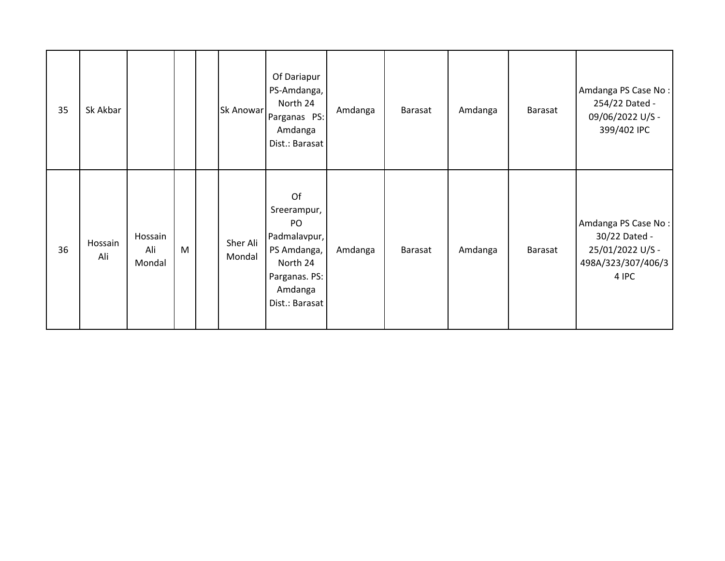| 35 | Sk Akbar       |                          |   | Sk Anowar          | Of Dariapur<br>PS-Amdanga,<br>North 24<br>Parganas PS:<br>Amdanga<br>Dist.: Barasat                              | Amdanga | Barasat | Amdanga | Barasat | Amdanga PS Case No:<br>254/22 Dated -<br>09/06/2022 U/S -<br>399/402 IPC                |
|----|----------------|--------------------------|---|--------------------|------------------------------------------------------------------------------------------------------------------|---------|---------|---------|---------|-----------------------------------------------------------------------------------------|
| 36 | Hossain<br>Ali | Hossain<br>Ali<br>Mondal | M | Sher Ali<br>Mondal | Of<br>Sreerampur,<br>PO<br>Padmalavpur,<br>PS Amdanga,<br>North 24<br>Parganas. PS:<br>Amdanga<br>Dist.: Barasat | Amdanga | Barasat | Amdanga | Barasat | Amdanga PS Case No:<br>30/22 Dated -<br>25/01/2022 U/S -<br>498A/323/307/406/3<br>4 IPC |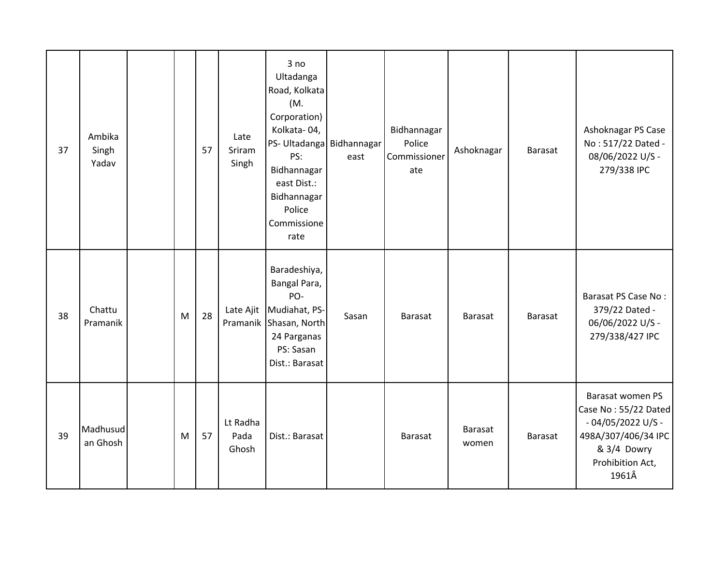| 37 | Ambika<br>Singh<br>Yadav |   | 57 | Late<br>Sriram<br>Singh   | 3 no<br>Ultadanga<br>Road, Kolkata<br>(M.<br>Corporation)<br>Kolkata-04,<br>PS- Ultadanga Bidhannagar<br>PS:<br>Bidhannagar<br>east Dist.:<br>Bidhannagar<br>Police<br>Commissione<br>rate | east  | Bidhannagar<br>Police<br>Commissioner<br>ate | Ashoknagar              | <b>Barasat</b> | Ashoknagar PS Case<br>No: 517/22 Dated -<br>08/06/2022 U/S -<br>279/338 IPC                                                        |
|----|--------------------------|---|----|---------------------------|--------------------------------------------------------------------------------------------------------------------------------------------------------------------------------------------|-------|----------------------------------------------|-------------------------|----------------|------------------------------------------------------------------------------------------------------------------------------------|
| 38 | Chattu<br>Pramanik       | M | 28 |                           | Baradeshiya,<br>Bangal Para,<br>PO-<br>Late Ajit Mudiahat, PS-<br>Pramanik Shasan, North<br>24 Parganas<br>PS: Sasan<br>Dist.: Barasat                                                     | Sasan | Barasat                                      | <b>Barasat</b>          | <b>Barasat</b> | Barasat PS Case No:<br>379/22 Dated -<br>06/06/2022 U/S -<br>279/338/427 IPC                                                       |
| 39 | Madhusud<br>an Ghosh     | M | 57 | Lt Radha<br>Pada<br>Ghosh | Dist.: Barasat                                                                                                                                                                             |       | <b>Barasat</b>                               | <b>Barasat</b><br>women | Barasat        | Barasat women PS<br>Case No: 55/22 Dated<br>$-04/05/2022$ U/S -<br>498A/307/406/34 IPC<br>& 3/4 Dowry<br>Prohibition Act,<br>1961Â |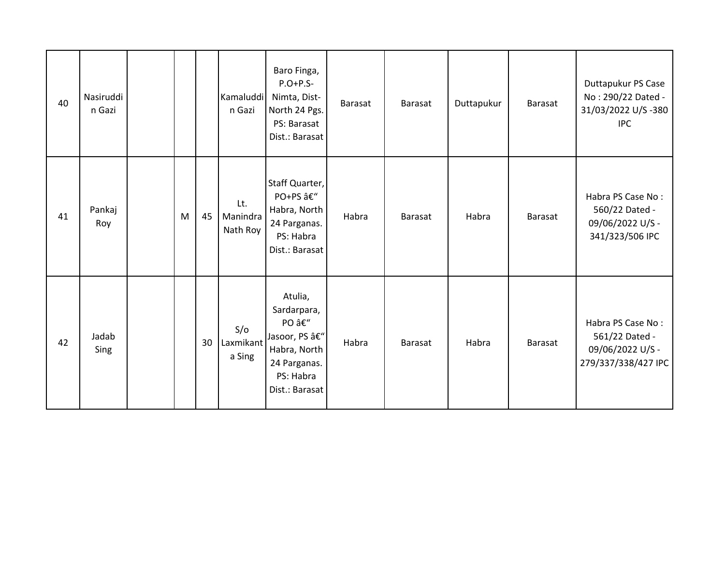| 40 | Nasiruddi<br>n Gazi |   |    | Kamaluddi<br>n Gazi         | Baro Finga,<br>$P.O+P.S-$<br>Nimta, Dist-<br>North 24 Pgs.<br>PS: Barasat<br>Dist.: Barasat                   | Barasat | Barasat        | Duttapukur | <b>Barasat</b> | Duttapukur PS Case<br>No: 290/22 Dated -<br>31/03/2022 U/S-380<br><b>IPC</b>   |
|----|---------------------|---|----|-----------------------------|---------------------------------------------------------------------------------------------------------------|---------|----------------|------------|----------------|--------------------------------------------------------------------------------|
| 41 | Pankaj<br>Roy       | M | 45 | Lt.<br>Manindra<br>Nath Roy | Staff Quarter,<br>PO+PS â€"<br>Habra, North<br>24 Parganas.<br>PS: Habra<br>Dist.: Barasat                    | Habra   | <b>Barasat</b> | Habra      | <b>Barasat</b> | Habra PS Case No:<br>560/22 Dated -<br>09/06/2022 U/S -<br>341/323/506 IPC     |
| 42 | Jadab<br>Sing       |   | 30 | S/O<br>Laxmikant<br>a Sing  | Atulia,<br>Sardarpara,<br>PO –<br>Jasoor, PS –<br>Habra, North<br>24 Parganas.<br>PS: Habra<br>Dist.: Barasat | Habra   | Barasat        | Habra      | <b>Barasat</b> | Habra PS Case No:<br>561/22 Dated -<br>09/06/2022 U/S -<br>279/337/338/427 IPC |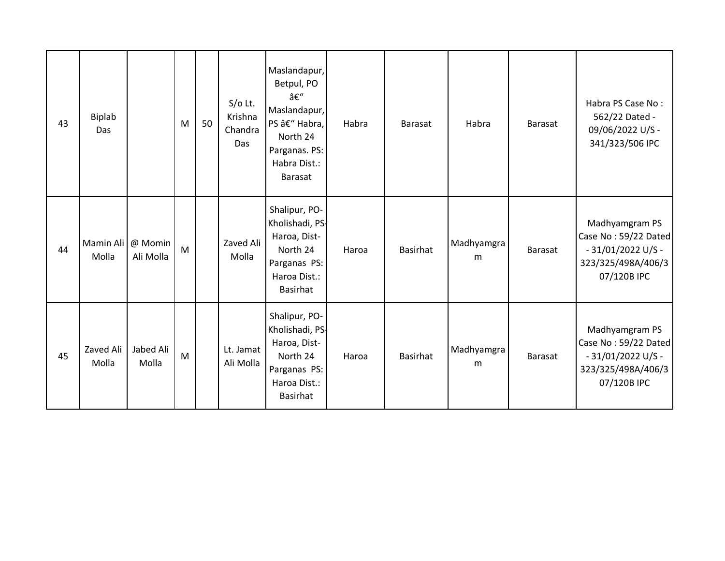| 43 | <b>Biplab</b><br>Das |                      | M | 50 | $S/O$ Lt.<br>Krishna<br>Chandra<br>Das | Maslandapur,<br>Betpul, PO<br>–<br>Maslandapur,<br>PS – Habra,<br>North 24<br>Parganas. PS:<br>Habra Dist.:<br><b>Barasat</b> | Habra | <b>Barasat</b>  | Habra           | Barasat | Habra PS Case No:<br>562/22 Dated -<br>09/06/2022 U/S -<br>341/323/506 IPC                         |
|----|----------------------|----------------------|---|----|----------------------------------------|-------------------------------------------------------------------------------------------------------------------------------|-------|-----------------|-----------------|---------|----------------------------------------------------------------------------------------------------|
| 44 | Mamin Ali<br>Molla   | @ Momin<br>Ali Molla | M |    | Zaved Ali<br>Molla                     | Shalipur, PO-<br>Kholishadi, PS-<br>Haroa, Dist-<br>North 24<br>Parganas PS:<br>Haroa Dist.:<br><b>Basirhat</b>               | Haroa | <b>Basirhat</b> | Madhyamgra<br>m | Barasat | Madhyamgram PS<br>Case No: 59/22 Dated<br>$-31/01/2022$ U/S -<br>323/325/498A/406/3<br>07/120B IPC |
| 45 | Zaved Ali<br>Molla   | Jabed Ali<br>Molla   | M |    | Lt. Jamat<br>Ali Molla                 | Shalipur, PO-<br>Kholishadi, PS-<br>Haroa, Dist-<br>North 24<br>Parganas PS:<br>Haroa Dist.:<br><b>Basirhat</b>               | Haroa | <b>Basirhat</b> | Madhyamgra<br>m | Barasat | Madhyamgram PS<br>Case No: 59/22 Dated<br>$-31/01/2022$ U/S -<br>323/325/498A/406/3<br>07/120B IPC |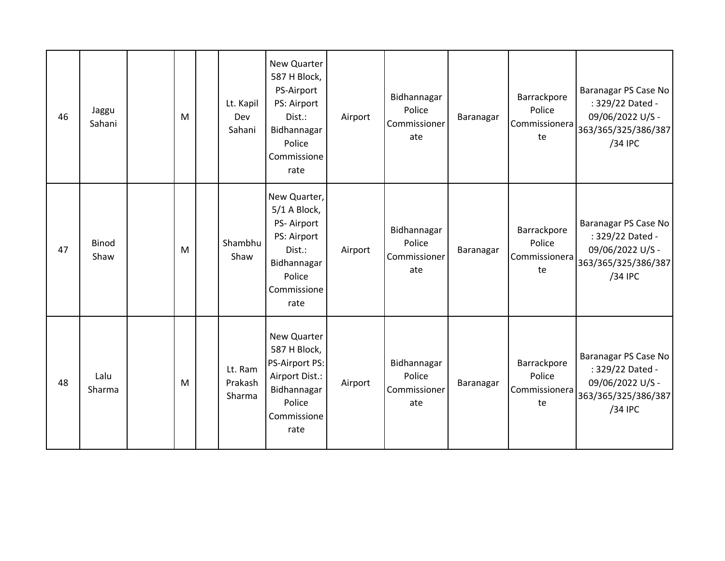| 46 | Jaggu<br>Sahani      | M | Lt. Kapil<br>Dev<br>Sahani   | New Quarter<br>587 H Block,<br>PS-Airport<br>PS: Airport<br>Dist.:<br>Bidhannagar<br>Police<br>Commissione<br>rate  | Airport | Bidhannagar<br>Police<br>Commissioner<br>ate | Baranagar | Barrackpore<br>Police<br>Commissionera<br>te | Baranagar PS Case No<br>: 329/22 Dated -<br>09/06/2022 U/S -<br>363/365/325/386/387<br>/34 IPC |
|----|----------------------|---|------------------------------|---------------------------------------------------------------------------------------------------------------------|---------|----------------------------------------------|-----------|----------------------------------------------|------------------------------------------------------------------------------------------------|
| 47 | <b>Binod</b><br>Shaw | M | Shambhu<br>Shaw              | New Quarter,<br>5/1 A Block,<br>PS-Airport<br>PS: Airport<br>Dist.:<br>Bidhannagar<br>Police<br>Commissione<br>rate | Airport | Bidhannagar<br>Police<br>Commissioner<br>ate | Baranagar | Barrackpore<br>Police<br>Commissionera<br>te | Baranagar PS Case No<br>: 329/22 Dated -<br>09/06/2022 U/S -<br>363/365/325/386/387<br>/34 IPC |
| 48 | Lalu<br>Sharma       | M | Lt. Ram<br>Prakash<br>Sharma | New Quarter<br>587 H Block,<br>PS-Airport PS:<br>Airport Dist.:<br>Bidhannagar<br>Police<br>Commissione<br>rate     | Airport | Bidhannagar<br>Police<br>Commissioner<br>ate | Baranagar | Barrackpore<br>Police<br>Commissionera<br>te | Baranagar PS Case No<br>: 329/22 Dated -<br>09/06/2022 U/S -<br>363/365/325/386/387<br>/34 IPC |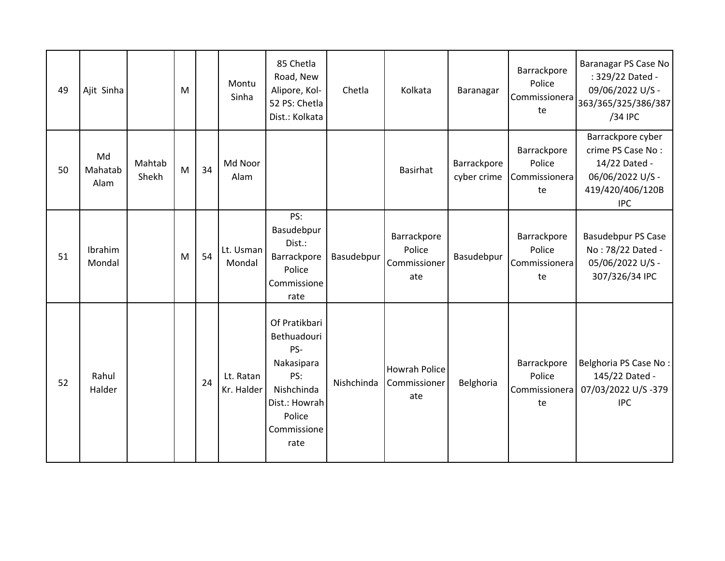| 49 | Ajit Sinha            |                 | M |    | Montu<br>Sinha          | 85 Chetla<br>Road, New<br>Alipore, Kol-<br>52 PS: Chetla<br>Dist.: Kolkata                                               | Chetla     | Kolkata                                      | Baranagar                  | Barrackpore<br>Police<br>Commissionera<br>te | Baranagar PS Case No<br>: 329/22 Dated -<br>09/06/2022 U/S -<br>363/365/325/386/387<br>/34 IPC                |
|----|-----------------------|-----------------|---|----|-------------------------|--------------------------------------------------------------------------------------------------------------------------|------------|----------------------------------------------|----------------------------|----------------------------------------------|---------------------------------------------------------------------------------------------------------------|
| 50 | Md<br>Mahatab<br>Alam | Mahtab<br>Shekh | M | 34 | Md Noor<br>Alam         |                                                                                                                          |            | <b>Basirhat</b>                              | Barrackpore<br>cyber crime | Barrackpore<br>Police<br>Commissionera<br>te | Barrackpore cyber<br>crime PS Case No:<br>14/22 Dated -<br>06/06/2022 U/S -<br>419/420/406/120B<br><b>IPC</b> |
| 51 | Ibrahim<br>Mondal     |                 | M | 54 | Lt. Usman<br>Mondal     | PS:<br>Basudebpur<br>Dist.:<br>Barrackpore<br>Police<br>Commissione<br>rate                                              | Basudebpur | Barrackpore<br>Police<br>Commissioner<br>ate | Basudebpur                 | Barrackpore<br>Police<br>Commissionera<br>te | <b>Basudebpur PS Case</b><br>No: 78/22 Dated -<br>05/06/2022 U/S -<br>307/326/34 IPC                          |
| 52 | Rahul<br>Halder       |                 |   | 24 | Lt. Ratan<br>Kr. Halder | Of Pratikbari<br>Bethuadouri<br>PS-<br>Nakasipara<br>PS:<br>Nishchinda<br>Dist.: Howrah<br>Police<br>Commissione<br>rate | Nishchinda | Howrah Police<br>Commissioner<br>ate         | Belghoria                  | Barrackpore<br>Police<br>Commissionera<br>te | Belghoria PS Case No:<br>145/22 Dated -<br>07/03/2022 U/S-379<br><b>IPC</b>                                   |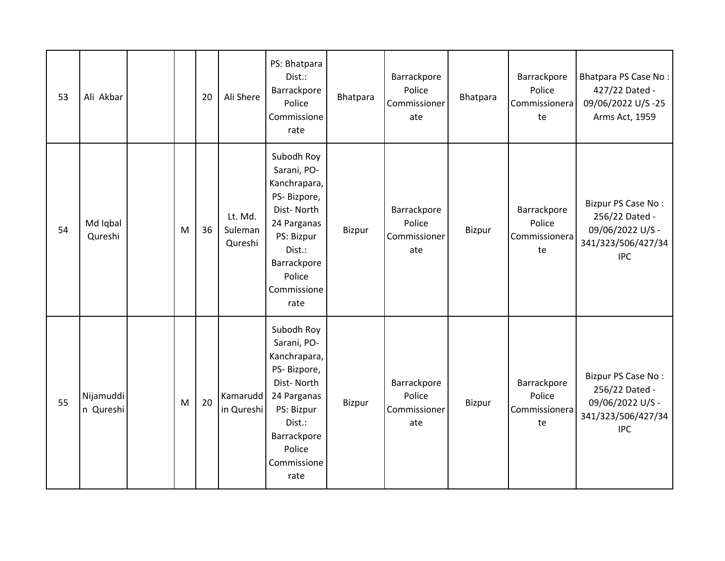| 53 | Ali Akbar              |   | 20 | Ali Shere                     | PS: Bhatpara<br>Dist.:<br>Barrackpore<br>Police<br>Commissione<br>rate                                                                                        | Bhatpara | Barrackpore<br>Police<br>Commissioner<br>ate | Bhatpara | Barrackpore<br>Police<br>Commissionera<br>te | Bhatpara PS Case No:<br>427/22 Dated -<br>09/06/2022 U/S-25<br>Arms Act, 1959                |
|----|------------------------|---|----|-------------------------------|---------------------------------------------------------------------------------------------------------------------------------------------------------------|----------|----------------------------------------------|----------|----------------------------------------------|----------------------------------------------------------------------------------------------|
| 54 | Md Iqbal<br>Qureshi    | M | 36 | Lt. Md.<br>Suleman<br>Qureshi | Subodh Roy<br>Sarani, PO-<br>Kanchrapara,<br>PS-Bizpore,<br>Dist-North<br>24 Parganas<br>PS: Bizpur<br>Dist.:<br>Barrackpore<br>Police<br>Commissione<br>rate | Bizpur   | Barrackpore<br>Police<br>Commissioner<br>ate | Bizpur   | Barrackpore<br>Police<br>Commissionera<br>te | Bizpur PS Case No:<br>256/22 Dated -<br>09/06/2022 U/S -<br>341/323/506/427/34<br><b>IPC</b> |
| 55 | Nijamuddi<br>n Qureshi | M | 20 | Kamarudd<br>in Qureshi        | Subodh Roy<br>Sarani, PO-<br>Kanchrapara,<br>PS-Bizpore,<br>Dist-North<br>24 Parganas<br>PS: Bizpur<br>Dist.:<br>Barrackpore<br>Police<br>Commissione<br>rate | Bizpur   | Barrackpore<br>Police<br>Commissioner<br>ate | Bizpur   | Barrackpore<br>Police<br>Commissionera<br>te | Bizpur PS Case No:<br>256/22 Dated -<br>09/06/2022 U/S -<br>341/323/506/427/34<br><b>IPC</b> |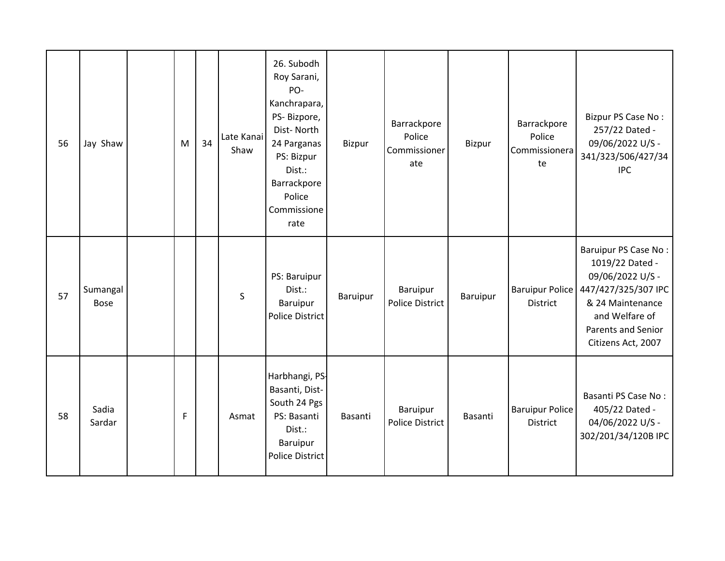| 56 | Jay Shaw                | M | 34 | Late Kanai<br>Shaw | 26. Subodh<br>Roy Sarani,<br>PO-<br>Kanchrapara,<br>PS-Bizpore,<br>Dist-North<br>24 Parganas<br>PS: Bizpur<br>Dist.:<br>Barrackpore<br>Police<br>Commissione<br>rate | Bizpur   | Barrackpore<br>Police<br>Commissioner<br>ate | Bizpur   | Barrackpore<br>Police<br>Commissionera<br>te | Bizpur PS Case No:<br>257/22 Dated -<br>09/06/2022 U/S -<br>341/323/506/427/34<br><b>IPC</b>                                                                         |
|----|-------------------------|---|----|--------------------|----------------------------------------------------------------------------------------------------------------------------------------------------------------------|----------|----------------------------------------------|----------|----------------------------------------------|----------------------------------------------------------------------------------------------------------------------------------------------------------------------|
| 57 | Sumangal<br><b>Bose</b> |   |    | $\mathsf{S}$       | PS: Baruipur<br>Dist.:<br>Baruipur<br>Police District                                                                                                                | Baruipur | Baruipur<br><b>Police District</b>           | Baruipur | <b>Baruipur Police</b><br>District           | Baruipur PS Case No:<br>1019/22 Dated -<br>09/06/2022 U/S -<br>447/427/325/307 IPC<br>& 24 Maintenance<br>and Welfare of<br>Parents and Senior<br>Citizens Act, 2007 |
| 58 | Sadia<br>Sardar         | F |    | Asmat              | Harbhangi, PS-<br>Basanti, Dist-<br>South 24 Pgs<br>PS: Basanti<br>Dist.:<br>Baruipur<br><b>Police District</b>                                                      | Basanti  | Baruipur<br><b>Police District</b>           | Basanti  | <b>Baruipur Police</b><br>District           | Basanti PS Case No:<br>405/22 Dated -<br>04/06/2022 U/S -<br>302/201/34/120B IPC                                                                                     |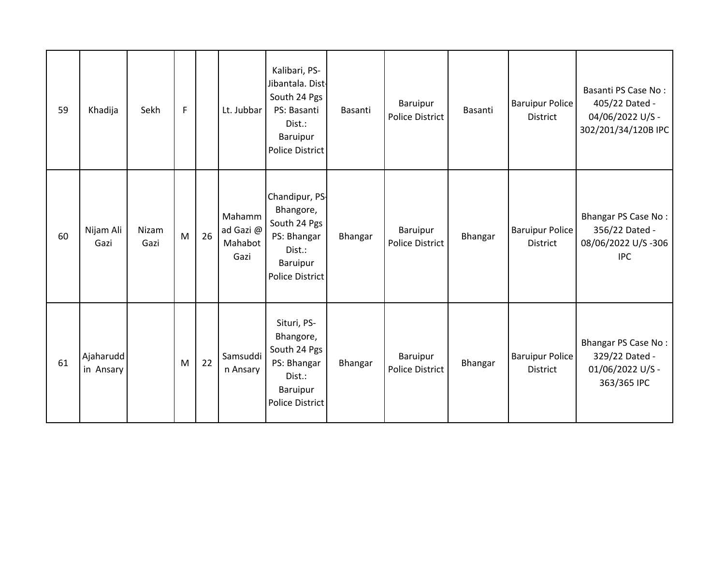| 59 | Khadija                | Sekh          | F |    | Lt. Jubbar                             | Kalibari, PS-<br>Jibantala. Dist-<br>South 24 Pgs<br>PS: Basanti<br>Dist.:<br>Baruipur<br><b>Police District</b> | Basanti | Baruipur<br>Police District | Basanti | <b>Baruipur Police</b><br><b>District</b> | Basanti PS Case No:<br>405/22 Dated -<br>04/06/2022 U/S -<br>302/201/34/120B IPC |
|----|------------------------|---------------|---|----|----------------------------------------|------------------------------------------------------------------------------------------------------------------|---------|-----------------------------|---------|-------------------------------------------|----------------------------------------------------------------------------------|
| 60 | Nijam Ali<br>Gazi      | Nizam<br>Gazi | M | 26 | Mahamm<br>ad Gazi @<br>Mahabot<br>Gazi | Chandipur, PS-<br>Bhangore,<br>South 24 Pgs<br>PS: Bhangar<br>Dist.:<br>Baruipur<br><b>Police District</b>       | Bhangar | Baruipur<br>Police District | Bhangar | <b>Baruipur Police</b><br><b>District</b> | Bhangar PS Case No:<br>356/22 Dated -<br>08/06/2022 U/S-306<br><b>IPC</b>        |
| 61 | Ajaharudd<br>in Ansary |               | M | 22 | Samsuddi<br>n Ansary                   | Situri, PS-<br>Bhangore,<br>South 24 Pgs<br>PS: Bhangar<br>Dist.:<br>Baruipur<br><b>Police District</b>          | Bhangar | Baruipur<br>Police District | Bhangar | <b>Baruipur Police</b><br>District        | Bhangar PS Case No:<br>329/22 Dated -<br>01/06/2022 U/S -<br>363/365 IPC         |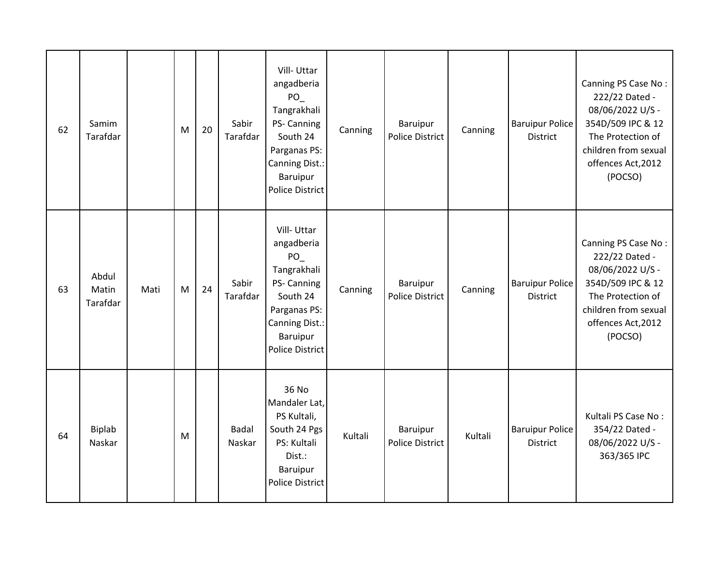| 62 | Samim<br>Tarafdar          |      | M | 20 | Sabir<br>Tarafdar      | Vill-Uttar<br>angadberia<br>$PO_$<br>Tangrakhali<br>PS- Canning<br>South 24<br>Parganas PS:<br>Canning Dist.:<br>Baruipur<br><b>Police District</b> | Canning | Baruipur<br><b>Police District</b> | Canning | <b>Baruipur Police</b><br><b>District</b> | Canning PS Case No:<br>222/22 Dated -<br>08/06/2022 U/S -<br>354D/509 IPC & 12<br>The Protection of<br>children from sexual<br>offences Act, 2012<br>(POCSO) |
|----|----------------------------|------|---|----|------------------------|-----------------------------------------------------------------------------------------------------------------------------------------------------|---------|------------------------------------|---------|-------------------------------------------|--------------------------------------------------------------------------------------------------------------------------------------------------------------|
| 63 | Abdul<br>Matin<br>Tarafdar | Mati | M | 24 | Sabir<br>Tarafdar      | Vill-Uttar<br>angadberia<br>PO_<br>Tangrakhali<br>PS- Canning<br>South 24<br>Parganas PS:<br>Canning Dist.:<br>Baruipur<br><b>Police District</b>   | Canning | Baruipur<br>Police District        | Canning | <b>Baruipur Police</b><br><b>District</b> | Canning PS Case No:<br>222/22 Dated -<br>08/06/2022 U/S -<br>354D/509 IPC & 12<br>The Protection of<br>children from sexual<br>offences Act, 2012<br>(POCSO) |
| 64 | Biplab<br>Naskar           |      | M |    | <b>Badal</b><br>Naskar | 36 No<br>Mandaler Lat,<br>PS Kultali,<br>South 24 Pgs<br>PS: Kultali<br>Dist.:<br>Baruipur<br><b>Police District</b>                                | Kultali | Baruipur<br>Police District        | Kultali | <b>Baruipur Police</b><br>District        | Kultali PS Case No:<br>354/22 Dated -<br>08/06/2022 U/S -<br>363/365 IPC                                                                                     |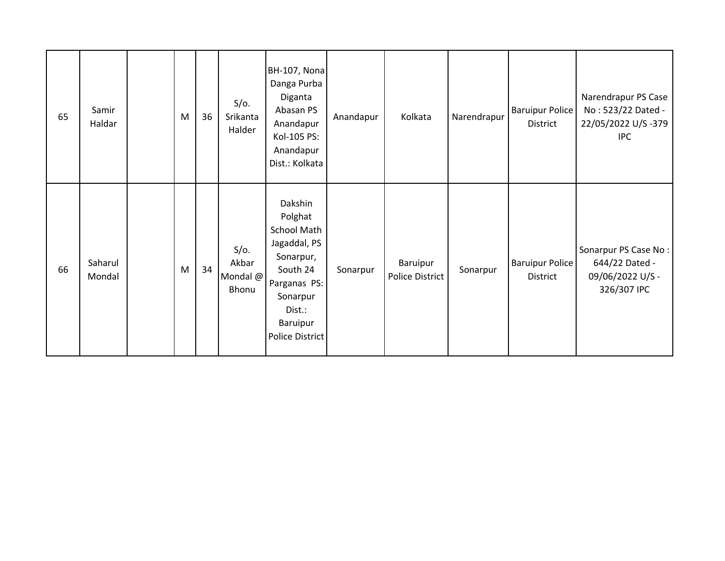| 65 | Samir<br>Haldar   | M | 36 | $S/O$ .<br>Srikanta<br>Halder         | <b>BH-107, Nona</b><br>Danga Purba<br>Diganta<br>Abasan PS<br>Anandapur<br>Kol-105 PS:<br>Anandapur<br>Dist.: Kolkata                                  | Anandapur | Kolkata                     | Narendrapur | <b>Baruipur Police</b><br>District | Narendrapur PS Case<br>No: 523/22 Dated -<br>22/05/2022 U/S -379<br><b>IPC</b> |
|----|-------------------|---|----|---------------------------------------|--------------------------------------------------------------------------------------------------------------------------------------------------------|-----------|-----------------------------|-------------|------------------------------------|--------------------------------------------------------------------------------|
| 66 | Saharul<br>Mondal | M | 34 | $S/O$ .<br>Akbar<br>Mondal @<br>Bhonu | Dakshin<br>Polghat<br>School Math<br>Jagaddal, PS<br>Sonarpur,<br>South 24<br>Parganas PS:<br>Sonarpur<br>Dist.:<br>Baruipur<br><b>Police District</b> | Sonarpur  | Baruipur<br>Police District | Sonarpur    | <b>Baruipur Police</b><br>District | Sonarpur PS Case No:<br>644/22 Dated -<br>09/06/2022 U/S -<br>326/307 IPC      |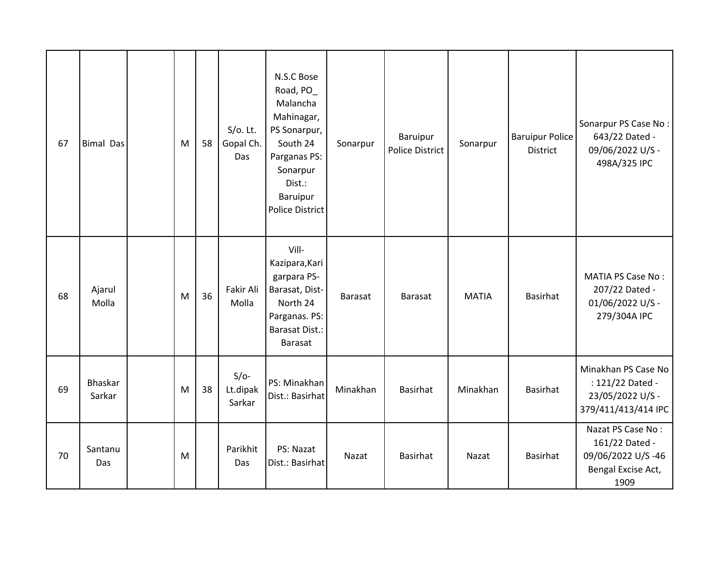| 67 | <b>Bimal Das</b>  | M | 58 | $S/O$ . Lt.<br>Gopal Ch.<br>Das | N.S.C Bose<br>Road, PO_<br>Malancha<br>Mahinagar,<br>PS Sonarpur,<br>South 24<br>Parganas PS:<br>Sonarpur<br>Dist.:<br>Baruipur<br><b>Police District</b> | Sonarpur | Baruipur<br>Police District | Sonarpur     | <b>Baruipur Police</b><br><b>District</b> | Sonarpur PS Case No:<br>643/22 Dated -<br>09/06/2022 U/S -<br>498A/325 IPC             |
|----|-------------------|---|----|---------------------------------|-----------------------------------------------------------------------------------------------------------------------------------------------------------|----------|-----------------------------|--------------|-------------------------------------------|----------------------------------------------------------------------------------------|
| 68 | Ajarul<br>Molla   | M | 36 | Fakir Ali<br>Molla              | Vill-<br>Kazipara, Kari<br>garpara PS-<br>Barasat, Dist-<br>North 24<br>Parganas. PS:<br><b>Barasat Dist.:</b><br>Barasat                                 | Barasat  | <b>Barasat</b>              | <b>MATIA</b> | <b>Basirhat</b>                           | <b>MATIA PS Case No:</b><br>207/22 Dated -<br>01/06/2022 U/S -<br>279/304A IPC         |
| 69 | Bhaskar<br>Sarkar | M | 38 | $S/O-$<br>Lt.dipak<br>Sarkar    | PS: Minakhan<br>Dist.: Basirhat                                                                                                                           | Minakhan | Basirhat                    | Minakhan     | Basirhat                                  | Minakhan PS Case No<br>: 121/22 Dated -<br>23/05/2022 U/S -<br>379/411/413/414 IPC     |
| 70 | Santanu<br>Das    | M |    | Parikhit<br>Das                 | PS: Nazat<br>Dist.: Basirhat                                                                                                                              | Nazat    | Basirhat                    | Nazat        | Basirhat                                  | Nazat PS Case No:<br>161/22 Dated -<br>09/06/2022 U/S-46<br>Bengal Excise Act,<br>1909 |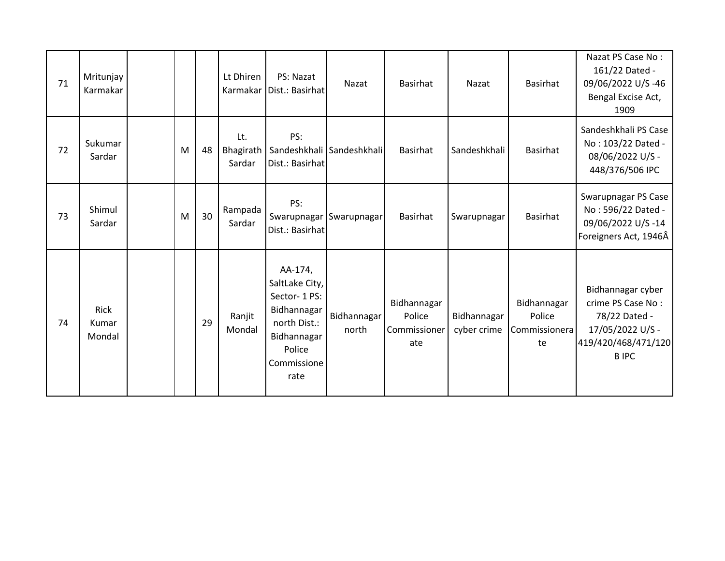| 71 | Mritunjay<br>Karmakar          |   |    | Lt Dhiren                  | PS: Nazat<br>Karmakar   Dist.: Basirhat                                                                                 | Nazat                       | Basirhat                                     | Nazat                      | Basirhat                                     | Nazat PS Case No:<br>161/22 Dated -<br>09/06/2022 U/S-46<br>Bengal Excise Act,<br>1909                            |
|----|--------------------------------|---|----|----------------------------|-------------------------------------------------------------------------------------------------------------------------|-----------------------------|----------------------------------------------|----------------------------|----------------------------------------------|-------------------------------------------------------------------------------------------------------------------|
| 72 | Sukumar<br>Sardar              | M | 48 | Lt.<br>Bhagirath<br>Sardar | PS:<br>Dist.: Basirhat                                                                                                  | Sandeshkhali Sandeshkhali   | Basirhat                                     | Sandeshkhali               | Basirhat                                     | Sandeshkhali PS Case<br>No: 103/22 Dated -<br>08/06/2022 U/S -<br>448/376/506 IPC                                 |
| 73 | Shimul<br>Sardar               | M | 30 | Rampada<br>Sardar          | PS:<br>Dist.: Basirhat                                                                                                  | Swarupnagar Swarupnagar     | Basirhat                                     | Swarupnagar                | Basirhat                                     | Swarupnagar PS Case<br>No: 596/22 Dated -<br>09/06/2022 U/S-14<br>Foreigners Act, 1946Â                           |
| 74 | <b>Rick</b><br>Kumar<br>Mondal |   | 29 | Ranjit<br>Mondal           | AA-174,<br>SaltLake City,<br>Sector-1PS:<br>Bidhannagar<br>north Dist.:<br>Bidhannagar<br>Police<br>Commissione<br>rate | <b>Bidhannagar</b><br>north | Bidhannagar<br>Police<br>Commissioner<br>ate | Bidhannagar<br>cyber crime | Bidhannagar<br>Police<br>Commissionera<br>te | Bidhannagar cyber<br>crime PS Case No:<br>78/22 Dated -<br>17/05/2022 U/S -<br>419/420/468/471/120<br><b>BIPC</b> |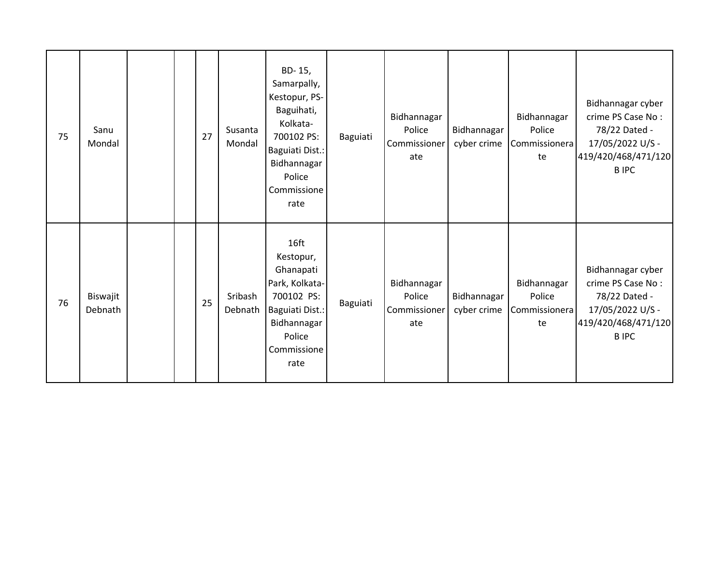| 75 | Sanu<br>Mondal      |  | 27 | Susanta<br>Mondal  | BD-15,<br>Samarpally,<br>Kestopur, PS-<br>Baguihati,<br>Kolkata-<br>700102 PS:<br>Baguiati Dist.:<br>Bidhannagar<br>Police<br>Commissione<br>rate | Baguiati | Bidhannagar<br>Police<br>Commissioner<br>ate | Bidhannagar<br>cyber crime | Bidhannagar<br>Police<br>Commissionera<br>te | Bidhannagar cyber<br>crime PS Case No:<br>78/22 Dated -<br>17/05/2022 U/S -<br>419/420/468/471/120<br><b>BIPC</b> |
|----|---------------------|--|----|--------------------|---------------------------------------------------------------------------------------------------------------------------------------------------|----------|----------------------------------------------|----------------------------|----------------------------------------------|-------------------------------------------------------------------------------------------------------------------|
| 76 | Biswajit<br>Debnath |  | 25 | Sribash<br>Debnath | 16ft<br>Kestopur,<br>Ghanapati<br>Park, Kolkata-<br>700102 PS:<br>Baguiati Dist.:<br>Bidhannagar<br>Police<br>Commissione<br>rate                 | Baguiati | Bidhannagar<br>Police<br>Commissioner<br>ate | Bidhannagar<br>cyber crime | Bidhannagar<br>Police<br>Commissionera<br>te | Bidhannagar cyber<br>crime PS Case No:<br>78/22 Dated -<br>17/05/2022 U/S -<br>419/420/468/471/120<br><b>BIPC</b> |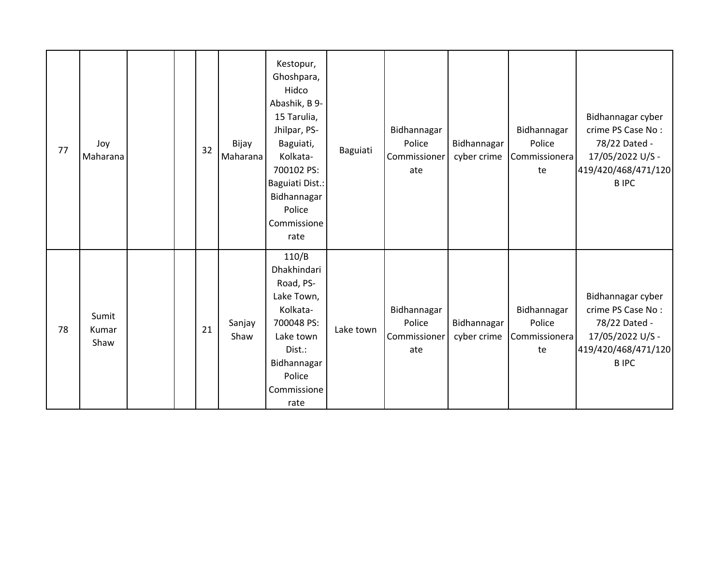| 77 | Joy<br>Maharana        |  | 32 | Bijay<br>Maharana | Kestopur,<br>Ghoshpara,<br>Hidco<br>Abashik, B 9-<br>15 Tarulia,<br>Jhilpar, PS-<br>Baguiati,<br>Kolkata-<br>700102 PS:<br>Baguiati Dist.:<br>Bidhannagar<br>Police<br>Commissione<br>rate | Baguiati  | Bidhannagar<br>Police<br>Commissioner<br>ate | Bidhannagar<br>cyber crime | Bidhannagar<br>Police<br>Commissionera<br>te | Bidhannagar cyber<br>crime PS Case No:<br>78/22 Dated -<br>17/05/2022 U/S -<br>419/420/468/471/120<br><b>BIPC</b> |
|----|------------------------|--|----|-------------------|--------------------------------------------------------------------------------------------------------------------------------------------------------------------------------------------|-----------|----------------------------------------------|----------------------------|----------------------------------------------|-------------------------------------------------------------------------------------------------------------------|
| 78 | Sumit<br>Kumar<br>Shaw |  | 21 | Sanjay<br>Shaw    | 110/B<br>Dhakhindari<br>Road, PS-<br>Lake Town,<br>Kolkata-<br>700048 PS:<br>Lake town<br>Dist.:<br>Bidhannagar<br>Police<br>Commissione<br>rate                                           | Lake town | Bidhannagar<br>Police<br>Commissioner<br>ate | Bidhannagar<br>cyber crime | Bidhannagar<br>Police<br>Commissionera<br>te | Bidhannagar cyber<br>crime PS Case No:<br>78/22 Dated -<br>17/05/2022 U/S -<br>419/420/468/471/120<br><b>BIPC</b> |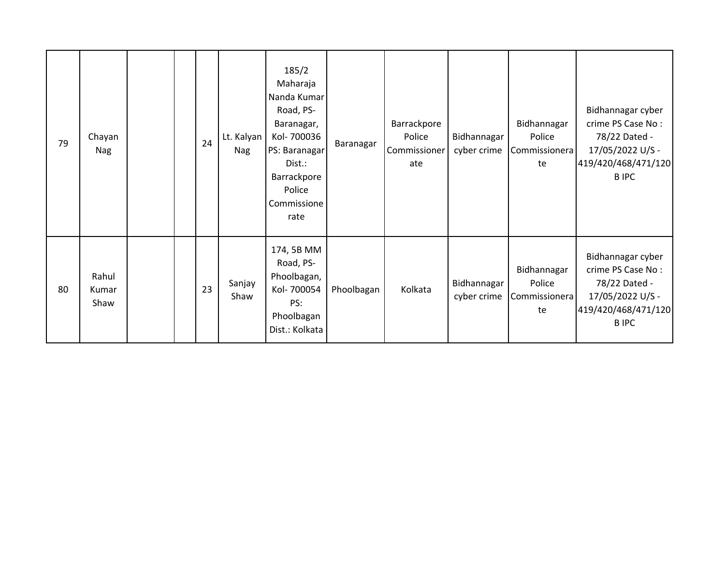| 79 | Chayan<br>Nag          |  | 24 | Lt. Kalyan<br>Nag | 185/2<br>Maharaja<br>Nanda Kumar<br>Road, PS-<br>Baranagar,<br>Kol-700036<br>PS: Baranagar<br>Dist.:<br>Barrackpore<br>Police<br>Commissione<br>rate | Baranagar  | Barrackpore<br>Police<br>Commissioner<br>ate | Bidhannagar<br>cyber crime | Bidhannagar<br>Police<br>Commissionera<br>te | Bidhannagar cyber<br>crime PS Case No:<br>78/22 Dated -<br>17/05/2022 U/S -<br>419/420/468/471/120<br><b>BIPC</b> |
|----|------------------------|--|----|-------------------|------------------------------------------------------------------------------------------------------------------------------------------------------|------------|----------------------------------------------|----------------------------|----------------------------------------------|-------------------------------------------------------------------------------------------------------------------|
| 80 | Rahul<br>Kumar<br>Shaw |  | 23 | Sanjay<br>Shaw    | 174, 5B MM<br>Road, PS-<br>Phoolbagan,<br>Kol-700054<br>PS:<br>Phoolbagan<br>Dist.: Kolkata                                                          | Phoolbagan | Kolkata                                      | Bidhannagar<br>cyber crime | Bidhannagar<br>Police<br>Commissionera<br>te | Bidhannagar cyber<br>crime PS Case No:<br>78/22 Dated -<br>17/05/2022 U/S -<br>419/420/468/471/120<br><b>BIPC</b> |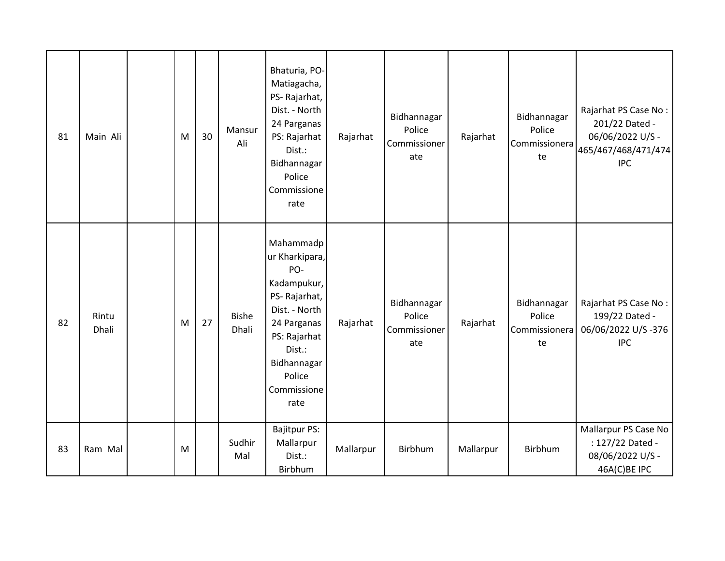| 81 | Main Ali       | M | 30 | Mansur<br>Ali         | Bhaturia, PO-<br>Matiagacha,<br>PS-Rajarhat,<br>Dist. - North<br>24 Parganas<br>PS: Rajarhat<br>Dist.:<br>Bidhannagar<br>Police<br>Commissione<br>rate                      | Rajarhat  | Bidhannagar<br>Police<br>Commissioner<br>ate | Rajarhat  | Bidhannagar<br>Police<br>Commissionera<br>te | Rajarhat PS Case No:<br>201/22 Dated -<br>06/06/2022 U/S -<br>465/467/468/471/474<br><b>IPC</b> |
|----|----------------|---|----|-----------------------|-----------------------------------------------------------------------------------------------------------------------------------------------------------------------------|-----------|----------------------------------------------|-----------|----------------------------------------------|-------------------------------------------------------------------------------------------------|
| 82 | Rintu<br>Dhali | M | 27 | <b>Bishe</b><br>Dhali | Mahammadp<br>ur Kharkipara,<br>PO-<br>Kadampukur,<br>PS-Rajarhat,<br>Dist. - North<br>24 Parganas<br>PS: Rajarhat<br>Dist.:<br>Bidhannagar<br>Police<br>Commissione<br>rate | Rajarhat  | Bidhannagar<br>Police<br>Commissioner<br>ate | Rajarhat  | Bidhannagar<br>Police<br>Commissionera<br>te | Rajarhat PS Case No:<br>199/22 Dated -<br>06/06/2022 U/S-376<br><b>IPC</b>                      |
| 83 | Ram Mal        | M |    | Sudhir<br>Mal         | <b>Bajitpur PS:</b><br>Mallarpur<br>Dist.:<br>Birbhum                                                                                                                       | Mallarpur | Birbhum                                      | Mallarpur | Birbhum                                      | Mallarpur PS Case No<br>: 127/22 Dated -<br>08/06/2022 U/S -<br>46A(C)BE IPC                    |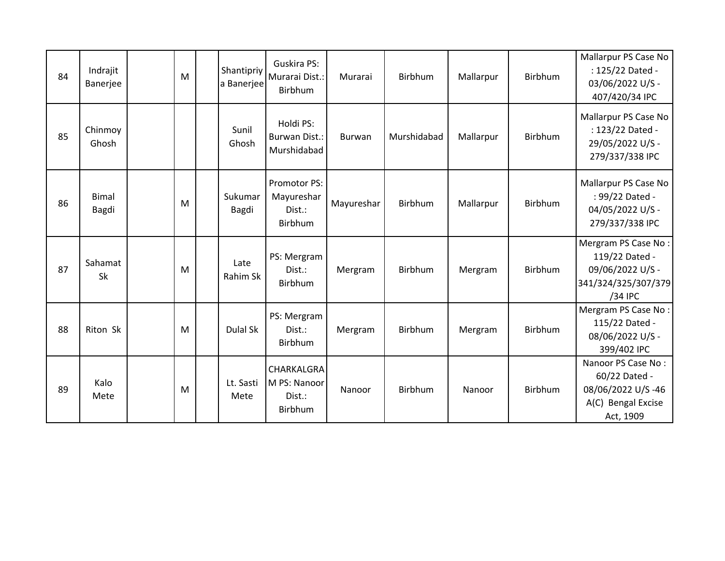| 84 | Indrajit<br>Banerjee  | M | Shantipriy<br>a Banerjee | <b>Guskira PS:</b><br>Murarai Dist.:<br>Birbhum | Murarai       | Birbhum     | Mallarpur | Birbhum        | Mallarpur PS Case No<br>: 125/22 Dated -<br>03/06/2022 U/S -<br>407/420/34 IPC              |
|----|-----------------------|---|--------------------------|-------------------------------------------------|---------------|-------------|-----------|----------------|---------------------------------------------------------------------------------------------|
| 85 | Chinmoy<br>Ghosh      |   | Sunil<br>Ghosh           | Holdi PS:<br>Burwan Dist.:<br>Murshidabad       | <b>Burwan</b> | Murshidabad | Mallarpur | Birbhum        | Mallarpur PS Case No<br>: 123/22 Dated -<br>29/05/2022 U/S -<br>279/337/338 IPC             |
| 86 | <b>Bimal</b><br>Bagdi | M | Sukumar<br>Bagdi         | Promotor PS:<br>Mayureshar<br>Dist.:<br>Birbhum | Mayureshar    | Birbhum     | Mallarpur | Birbhum        | Mallarpur PS Case No<br>: 99/22 Dated -<br>04/05/2022 U/S -<br>279/337/338 IPC              |
| 87 | Sahamat<br>Sk         | M | Late<br>Rahim Sk         | PS: Mergram<br>Dist.:<br>Birbhum                | Mergram       | Birbhum     | Mergram   | Birbhum        | Mergram PS Case No:<br>119/22 Dated -<br>09/06/2022 U/S -<br>341/324/325/307/379<br>/34 IPC |
| 88 | Riton Sk              | M | Dulal Sk                 | PS: Mergram<br>Dist.:<br>Birbhum                | Mergram       | Birbhum     | Mergram   | Birbhum        | Mergram PS Case No:<br>115/22 Dated -<br>08/06/2022 U/S -<br>399/402 IPC                    |
| 89 | Kalo<br>Mete          | M | Lt. Sasti<br>Mete        | CHARKALGRA<br>M PS: Nanoor<br>Dist.:<br>Birbhum | Nanoor        | Birbhum     | Nanoor    | <b>Birbhum</b> | Nanoor PS Case No:<br>60/22 Dated -<br>08/06/2022 U/S-46<br>A(C) Bengal Excise<br>Act, 1909 |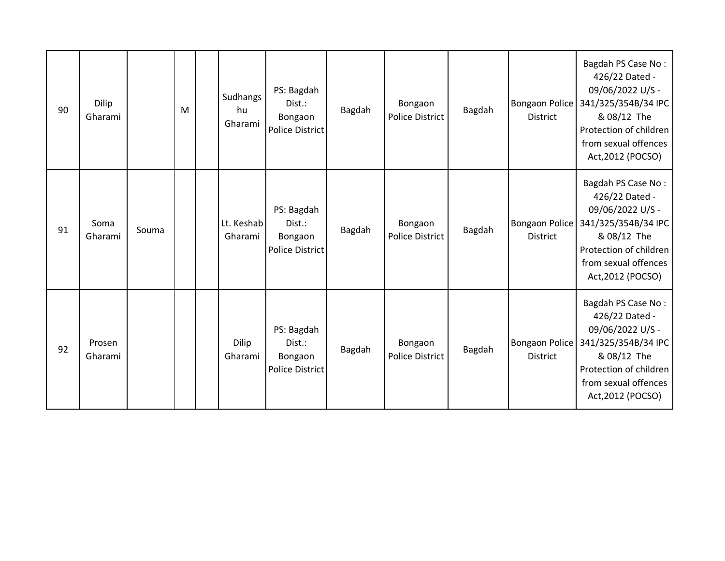| 90 | Dilip<br>Gharami  |       | M | Sudhangs<br>hu<br>Gharami | PS: Bagdah<br>Dist.:<br>Bongaon<br>Police District        | Bagdah | Bongaon<br>Police District        | Bagdah | <b>Bongaon Police</b><br><b>District</b> | Bagdah PS Case No:<br>426/22 Dated -<br>09/06/2022 U/S -<br>341/325/354B/34 IPC<br>& 08/12 The<br>Protection of children<br>from sexual offences<br>Act, 2012 (POCSO) |
|----|-------------------|-------|---|---------------------------|-----------------------------------------------------------|--------|-----------------------------------|--------|------------------------------------------|-----------------------------------------------------------------------------------------------------------------------------------------------------------------------|
| 91 | Soma<br>Gharami   | Souma |   | Lt. Keshab<br>Gharami     | PS: Bagdah<br>Dist.:<br>Bongaon<br><b>Police District</b> | Bagdah | Bongaon<br><b>Police District</b> | Bagdah | <b>Bongaon Police</b><br><b>District</b> | Bagdah PS Case No:<br>426/22 Dated -<br>09/06/2022 U/S -<br>341/325/354B/34 IPC<br>& 08/12 The<br>Protection of children<br>from sexual offences<br>Act, 2012 (POCSO) |
| 92 | Prosen<br>Gharami |       |   | Dilip<br>Gharami          | PS: Bagdah<br>Dist.:<br>Bongaon<br><b>Police District</b> | Bagdah | Bongaon<br>Police District        | Bagdah | <b>Bongaon Police</b><br><b>District</b> | Bagdah PS Case No:<br>426/22 Dated -<br>09/06/2022 U/S -<br>341/325/354B/34 IPC<br>& 08/12 The<br>Protection of children<br>from sexual offences<br>Act, 2012 (POCSO) |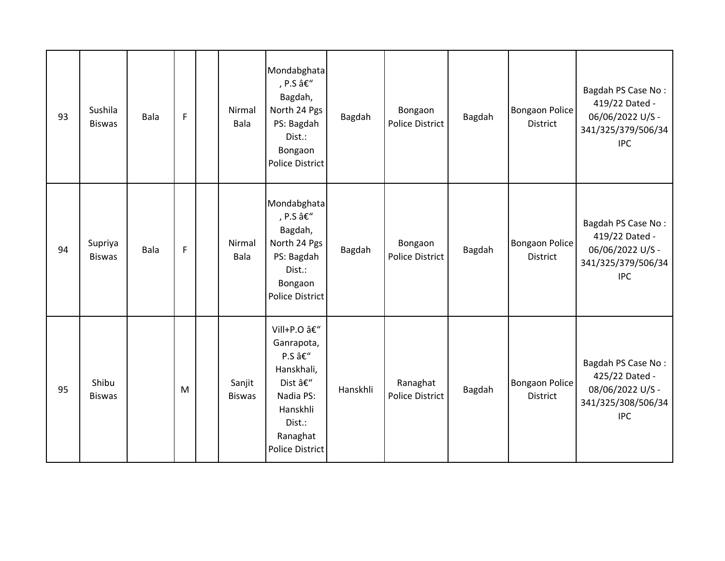| 93 | Sushila<br><b>Biswas</b> | <b>Bala</b> | $\mathsf{F}$ | Nirmal<br>Bala          | Mondabghata<br>, P.S –<br>Bagdah,<br>North 24 Pgs<br>PS: Bagdah<br>Dist.:<br>Bongaon<br><b>Police District</b>                     | Bagdah   | Bongaon<br>Police District        | Bagdah | <b>Bongaon Police</b><br><b>District</b> | Bagdah PS Case No:<br>419/22 Dated -<br>06/06/2022 U/S -<br>341/325/379/506/34<br><b>IPC</b> |
|----|--------------------------|-------------|--------------|-------------------------|------------------------------------------------------------------------------------------------------------------------------------|----------|-----------------------------------|--------|------------------------------------------|----------------------------------------------------------------------------------------------|
| 94 | Supriya<br><b>Biswas</b> | <b>Bala</b> | F            | Nirmal<br>Bala          | Mondabghata<br>, P.S –<br>Bagdah,<br>North 24 Pgs<br>PS: Bagdah<br>Dist.:<br>Bongaon<br><b>Police District</b>                     | Bagdah   | Bongaon<br><b>Police District</b> | Bagdah | <b>Bongaon Police</b><br><b>District</b> | Bagdah PS Case No:<br>419/22 Dated -<br>06/06/2022 U/S -<br>341/325/379/506/34<br><b>IPC</b> |
| 95 | Shibu<br><b>Biswas</b>   |             | M            | Sanjit<br><b>Biswas</b> | Vill+P.O –<br>Ganrapota,<br>P.S –<br>Hanskhali,<br>Dist –<br>Nadia PS:<br>Hanskhli<br>Dist.:<br>Ranaghat<br><b>Police District</b> | Hanskhli | Ranaghat<br>Police District       | Bagdah | <b>Bongaon Police</b><br><b>District</b> | Bagdah PS Case No:<br>425/22 Dated -<br>08/06/2022 U/S -<br>341/325/308/506/34<br><b>IPC</b> |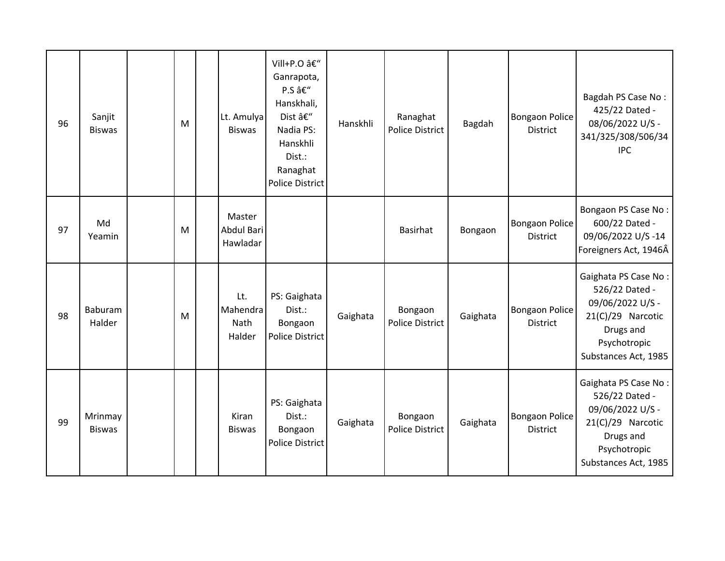| 96 | Sanjit<br><b>Biswas</b>  | M | Lt. Amulya<br><b>Biswas</b>       | Vill+P.O –<br>Ganrapota,<br>P.S –<br>Hanskhali,<br>Dist –<br>Nadia PS:<br>Hanskhli<br>Dist.:<br>Ranaghat<br><b>Police District</b> | Hanskhli | Ranaghat<br><b>Police District</b> | Bagdah   | <b>Bongaon Police</b><br><b>District</b> | Bagdah PS Case No:<br>425/22 Dated -<br>08/06/2022 U/S -<br>341/325/308/506/34<br><b>IPC</b>                                         |
|----|--------------------------|---|-----------------------------------|------------------------------------------------------------------------------------------------------------------------------------|----------|------------------------------------|----------|------------------------------------------|--------------------------------------------------------------------------------------------------------------------------------------|
| 97 | Md<br>Yeamin             | M | Master<br>Abdul Bari<br>Hawladar  |                                                                                                                                    |          | <b>Basirhat</b>                    | Bongaon  | <b>Bongaon Police</b><br>District        | Bongaon PS Case No:<br>600/22 Dated -<br>09/06/2022 U/S-14<br>Foreigners Act, 1946Â                                                  |
| 98 | Baburam<br>Halder        | M | Lt.<br>Mahendra<br>Nath<br>Halder | PS: Gaighata<br>Dist.:<br>Bongaon<br><b>Police District</b>                                                                        | Gaighata | Bongaon<br><b>Police District</b>  | Gaighata | <b>Bongaon Police</b><br><b>District</b> | Gaighata PS Case No:<br>526/22 Dated -<br>09/06/2022 U/S -<br>21(C)/29 Narcotic<br>Drugs and<br>Psychotropic<br>Substances Act, 1985 |
| 99 | Mrinmay<br><b>Biswas</b> |   | Kiran<br><b>Biswas</b>            | PS: Gaighata<br>Dist.:<br>Bongaon<br><b>Police District</b>                                                                        | Gaighata | Bongaon<br>Police District         | Gaighata | <b>Bongaon Police</b><br><b>District</b> | Gaighata PS Case No:<br>526/22 Dated -<br>09/06/2022 U/S -<br>21(C)/29 Narcotic<br>Drugs and<br>Psychotropic<br>Substances Act, 1985 |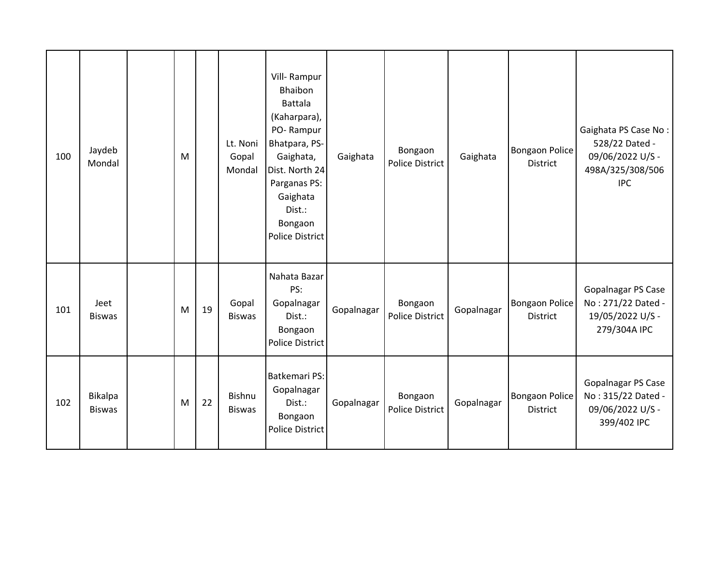| 100 | Jaydeb<br>Mondal                | M |    | Lt. Noni<br>Gopal<br>Mondal    | Vill-Rampur<br>Bhaibon<br><b>Battala</b><br>(Kaharpara),<br>PO-Rampur<br>Bhatpara, PS-<br>Gaighata,<br>Dist. North 24<br>Parganas PS:<br>Gaighata<br>Dist.:<br>Bongaon<br><b>Police District</b> | Gaighata   | Bongaon<br>Police District        | Gaighata   | <b>Bongaon Police</b><br><b>District</b> | Gaighata PS Case No:<br>528/22 Dated -<br>09/06/2022 U/S -<br>498A/325/308/506<br><b>IPC</b> |
|-----|---------------------------------|---|----|--------------------------------|--------------------------------------------------------------------------------------------------------------------------------------------------------------------------------------------------|------------|-----------------------------------|------------|------------------------------------------|----------------------------------------------------------------------------------------------|
| 101 | Jeet<br><b>Biswas</b>           | M | 19 | Gopal<br><b>Biswas</b>         | Nahata Bazar<br>PS:<br>Gopalnagar<br>Dist.:<br>Bongaon<br><b>Police District</b>                                                                                                                 | Gopalnagar | Bongaon<br>Police District        | Gopalnagar | <b>Bongaon Police</b><br><b>District</b> | Gopalnagar PS Case<br>No: 271/22 Dated -<br>19/05/2022 U/S -<br>279/304A IPC                 |
| 102 | <b>Bikalpa</b><br><b>Biswas</b> | M | 22 | <b>Bishnu</b><br><b>Biswas</b> | Batkemari PS:<br>Gopalnagar<br>Dist.:<br>Bongaon<br><b>Police District</b>                                                                                                                       | Gopalnagar | Bongaon<br><b>Police District</b> | Gopalnagar | <b>Bongaon Police</b><br><b>District</b> | Gopalnagar PS Case<br>No: 315/22 Dated -<br>09/06/2022 U/S -<br>399/402 IPC                  |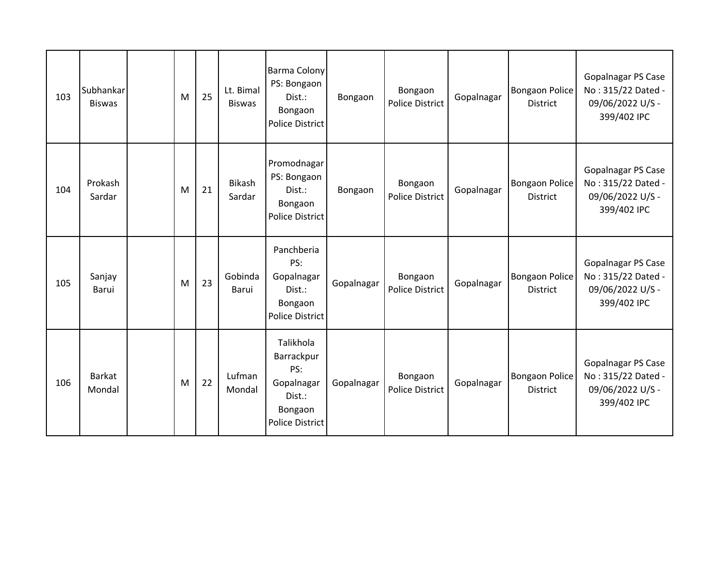| 103 | Subhankar<br><b>Biswas</b> | M | 25 | Lt. Bimal<br><b>Biswas</b> | <b>Barma Colony</b><br>PS: Bongaon<br>Dist.:<br>Bongaon<br><b>Police District</b>           | Bongaon    | Bongaon<br><b>Police District</b> | Gopalnagar | <b>Bongaon Police</b><br><b>District</b> | <b>Gopalnagar PS Case</b><br>No: 315/22 Dated -<br>09/06/2022 U/S -<br>399/402 IPC |
|-----|----------------------------|---|----|----------------------------|---------------------------------------------------------------------------------------------|------------|-----------------------------------|------------|------------------------------------------|------------------------------------------------------------------------------------|
| 104 | Prokash<br>Sardar          | M | 21 | <b>Bikash</b><br>Sardar    | Promodnagar<br>PS: Bongaon<br>Dist.:<br>Bongaon<br><b>Police District</b>                   | Bongaon    | Bongaon<br><b>Police District</b> | Gopalnagar | <b>Bongaon Police</b><br><b>District</b> | <b>Gopalnagar PS Case</b><br>No: 315/22 Dated -<br>09/06/2022 U/S -<br>399/402 IPC |
| 105 | Sanjay<br>Barui            | M | 23 | Gobinda<br>Barui           | Panchberia<br>PS:<br>Gopalnagar<br>Dist.:<br>Bongaon<br><b>Police District</b>              | Gopalnagar | Bongaon<br><b>Police District</b> | Gopalnagar | <b>Bongaon Police</b><br><b>District</b> | Gopalnagar PS Case<br>No: 315/22 Dated -<br>09/06/2022 U/S -<br>399/402 IPC        |
| 106 | <b>Barkat</b><br>Mondal    | M | 22 | Lufman<br>Mondal           | Talikhola<br>Barrackpur<br>PS:<br>Gopalnagar<br>Dist.:<br>Bongaon<br><b>Police District</b> | Gopalnagar | Bongaon<br><b>Police District</b> | Gopalnagar | <b>Bongaon Police</b><br><b>District</b> | Gopalnagar PS Case<br>No: 315/22 Dated -<br>09/06/2022 U/S -<br>399/402 IPC        |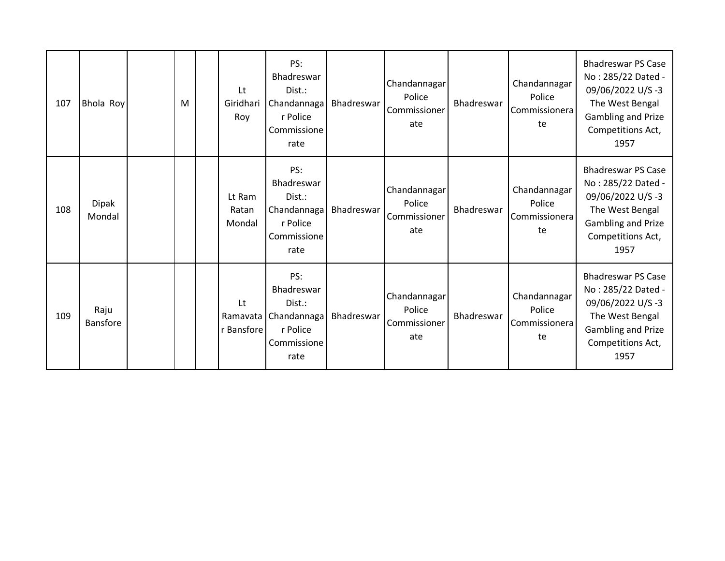| 107 | Bhola Roy               | M | Lt<br>Giridhari<br>Roy       | PS:<br>Bhadreswar<br>Dist.:<br>Chandannaga<br>r Police<br>Commissione<br>rate | Bhadreswar | Chandannagar<br>Police<br>Commissioner<br>ate | Bhadreswar        | Chandannagar<br>Police<br>Commissionera<br>te | <b>Bhadreswar PS Case</b><br>No: 285/22 Dated -<br>09/06/2022 U/S-3<br>The West Bengal<br>Gambling and Prize<br>Competitions Act,<br>1957 |
|-----|-------------------------|---|------------------------------|-------------------------------------------------------------------------------|------------|-----------------------------------------------|-------------------|-----------------------------------------------|-------------------------------------------------------------------------------------------------------------------------------------------|
| 108 | <b>Dipak</b><br>Mondal  |   | Lt Ram<br>Ratan<br>Mondal    | PS:<br>Bhadreswar<br>Dist.:<br>Chandannaga<br>r Police<br>Commissione<br>rate | Bhadreswar | Chandannagar<br>Police<br>Commissioner<br>ate | <b>Bhadreswar</b> | Chandannagar<br>Police<br>Commissionera<br>te | <b>Bhadreswar PS Case</b><br>No: 285/22 Dated -<br>09/06/2022 U/S-3<br>The West Bengal<br>Gambling and Prize<br>Competitions Act,<br>1957 |
| 109 | Raju<br><b>Bansfore</b> |   | Lt<br>Ramavata<br>r Bansfore | PS:<br>Bhadreswar<br>Dist.:<br>Chandannaga<br>r Police<br>Commissione<br>rate | Bhadreswar | Chandannagar<br>Police<br>Commissioner<br>ate | Bhadreswar        | Chandannagar<br>Police<br>Commissionera<br>te | <b>Bhadreswar PS Case</b><br>No: 285/22 Dated -<br>09/06/2022 U/S-3<br>The West Bengal<br>Gambling and Prize<br>Competitions Act,<br>1957 |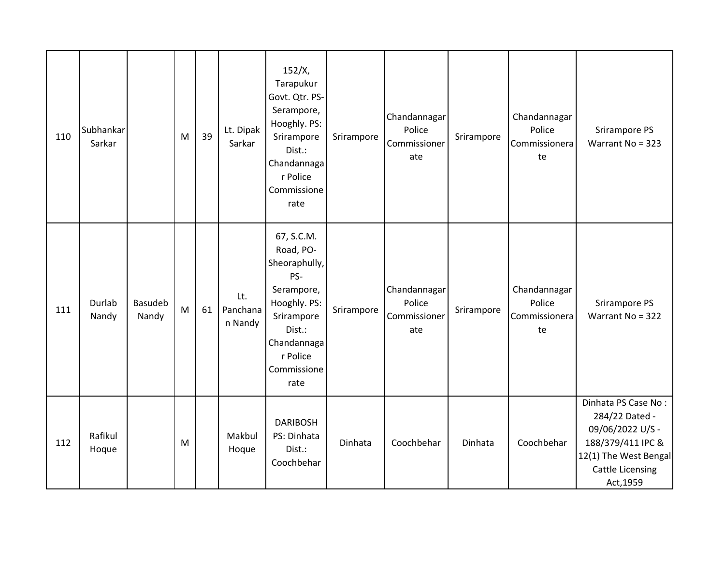| 110 | Subhankar<br>Sarkar |                  | M | 39 | Lt. Dipak<br>Sarkar        | 152/X,<br>Tarapukur<br>Govt. Qtr. PS-<br>Serampore,<br>Hooghly. PS:<br>Srirampore<br>Dist.:<br>Chandannaga<br>r Police<br>Commissione<br>rate           | Srirampore | Chandannagar<br>Police<br>Commissioner<br>ate | Srirampore | Chandannagar<br>Police<br>Commissionera<br>te | Srirampore PS<br>Warrant No = 323                                                                                                               |
|-----|---------------------|------------------|---|----|----------------------------|---------------------------------------------------------------------------------------------------------------------------------------------------------|------------|-----------------------------------------------|------------|-----------------------------------------------|-------------------------------------------------------------------------------------------------------------------------------------------------|
| 111 | Durlab<br>Nandy     | Basudeb<br>Nandy | M | 61 | Lt.<br>Panchana<br>n Nandy | 67, S.C.M.<br>Road, PO-<br>Sheoraphully,<br>PS-<br>Serampore,<br>Hooghly. PS:<br>Srirampore<br>Dist.:<br>Chandannaga<br>r Police<br>Commissione<br>rate | Srirampore | Chandannagar<br>Police<br>Commissioner<br>ate | Srirampore | Chandannagar<br>Police<br>Commissionera<br>te | Srirampore PS<br>Warrant No = 322                                                                                                               |
| 112 | Rafikul<br>Hoque    |                  | M |    | Makbul<br>Hoque            | <b>DARIBOSH</b><br>PS: Dinhata<br>Dist.:<br>Coochbehar                                                                                                  | Dinhata    | Coochbehar                                    | Dinhata    | Coochbehar                                    | Dinhata PS Case No:<br>284/22 Dated -<br>09/06/2022 U/S -<br>188/379/411 IPC &<br>12(1) The West Bengal<br><b>Cattle Licensing</b><br>Act, 1959 |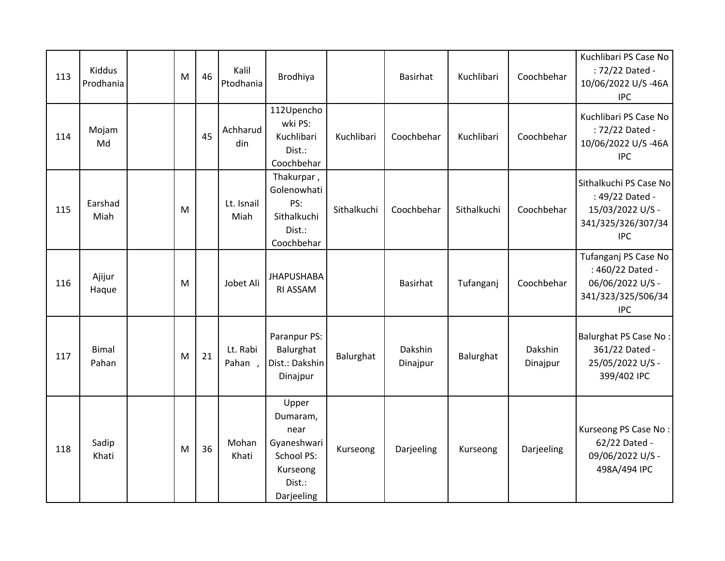| 113 | Kiddus<br>Prodhania   | M | 46 | Kalil<br>Ptodhania | Brodhiya                                                                                   |             | <b>Basirhat</b>     | Kuchlibari  | Coochbehar          | Kuchlibari PS Case No<br>: 72/22 Dated -<br>10/06/2022 U/S-46A<br><b>IPC</b>                      |
|-----|-----------------------|---|----|--------------------|--------------------------------------------------------------------------------------------|-------------|---------------------|-------------|---------------------|---------------------------------------------------------------------------------------------------|
| 114 | Mojam<br>Md           |   | 45 | Achharud<br>din    | 112Upencho<br>wki PS:<br>Kuchlibari<br>Dist.:<br>Coochbehar                                | Kuchlibari  | Coochbehar          | Kuchlibari  | Coochbehar          | Kuchlibari PS Case No<br>: 72/22 Dated -<br>10/06/2022 U/S-46A<br><b>IPC</b>                      |
| 115 | Earshad<br>Miah       | M |    | Lt. Isnail<br>Miah | Thakurpar,<br>Golenowhati<br>PS:<br>Sithalkuchi<br>Dist.:<br>Coochbehar                    | Sithalkuchi | Coochbehar          | Sithalkuchi | Coochbehar          | Sithalkuchi PS Case No<br>: 49/22 Dated -<br>15/03/2022 U/S -<br>341/325/326/307/34<br><b>IPC</b> |
| 116 | Ajijur<br>Haque       | M |    | Jobet Ali          | <b>JHAPUSHABA</b><br>RI ASSAM                                                              |             | <b>Basirhat</b>     | Tufanganj   | Coochbehar          | Tufanganj PS Case No<br>: 460/22 Dated -<br>06/06/2022 U/S -<br>341/323/325/506/34<br><b>IPC</b>  |
| 117 | <b>Bimal</b><br>Pahan | M | 21 | Lt. Rabi<br>Pahan, | Paranpur PS:<br>Balurghat<br>Dist.: Dakshin<br>Dinajpur                                    | Balurghat   | Dakshin<br>Dinajpur | Balurghat   | Dakshin<br>Dinajpur | <b>Balurghat PS Case No:</b><br>361/22 Dated -<br>25/05/2022 U/S -<br>399/402 IPC                 |
| 118 | Sadip<br>Khati        | M | 36 | Mohan<br>Khati     | Upper<br>Dumaram,<br>near<br>Gyaneshwari<br>School PS:<br>Kurseong<br>Dist.:<br>Darjeeling | Kurseong    | Darjeeling          | Kurseong    | Darjeeling          | Kurseong PS Case No:<br>62/22 Dated -<br>09/06/2022 U/S -<br>498A/494 IPC                         |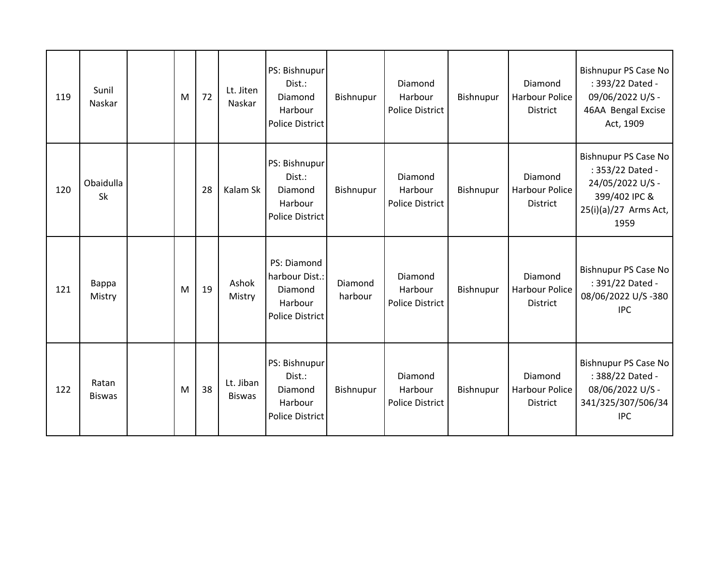| 119 | Sunil<br>Naskar        | M | 72 | Lt. Jiten<br>Naskar        | PS: Bishnupur<br>Dist.:<br>Diamond<br>Harbour<br><b>Police District</b>       | Bishnupur          | Diamond<br>Harbour<br>Police District | Bishnupur | Diamond<br>Harbour Police<br><b>District</b> | <b>Bishnupur PS Case No</b><br>: 393/22 Dated -<br>09/06/2022 U/S -<br>46AA Bengal Excise<br>Act, 1909                |
|-----|------------------------|---|----|----------------------------|-------------------------------------------------------------------------------|--------------------|---------------------------------------|-----------|----------------------------------------------|-----------------------------------------------------------------------------------------------------------------------|
| 120 | Obaidulla<br>Sk        |   | 28 | Kalam Sk                   | PS: Bishnupur<br>Dist.:<br>Diamond<br>Harbour<br><b>Police District</b>       | Bishnupur          | Diamond<br>Harbour<br>Police District | Bishnupur | Diamond<br>Harbour Police<br><b>District</b> | <b>Bishnupur PS Case No</b><br>: 353/22 Dated -<br>24/05/2022 U/S -<br>399/402 IPC &<br>25(i)(a)/27 Arms Act,<br>1959 |
| 121 | Bappa<br>Mistry        | M | 19 | Ashok<br>Mistry            | PS: Diamond<br>harbour Dist.:<br>Diamond<br>Harbour<br><b>Police District</b> | Diamond<br>harbour | Diamond<br>Harbour<br>Police District | Bishnupur | Diamond<br>Harbour Police<br><b>District</b> | Bishnupur PS Case No<br>: 391/22 Dated -<br>08/06/2022 U/S-380<br><b>IPC</b>                                          |
| 122 | Ratan<br><b>Biswas</b> | M | 38 | Lt. Jiban<br><b>Biswas</b> | PS: Bishnupur<br>Dist.:<br>Diamond<br>Harbour<br><b>Police District</b>       | Bishnupur          | Diamond<br>Harbour<br>Police District | Bishnupur | Diamond<br>Harbour Police<br>District        | Bishnupur PS Case No<br>: 388/22 Dated -<br>08/06/2022 U/S -<br>341/325/307/506/34<br><b>IPC</b>                      |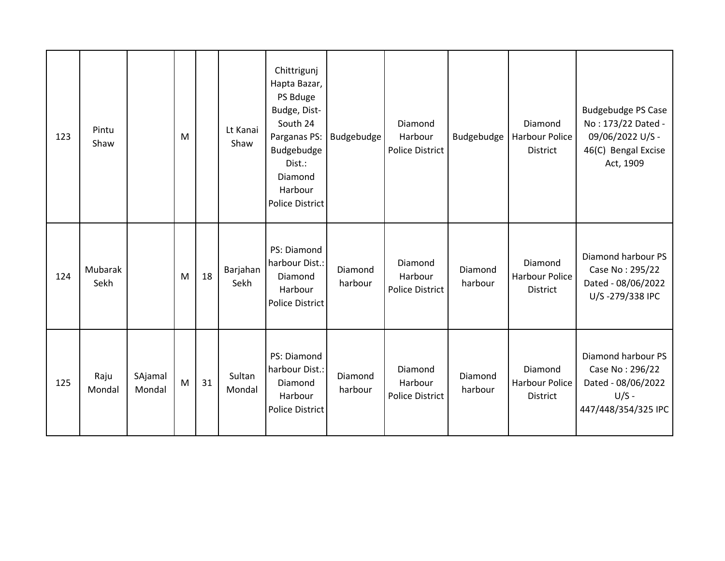| 123 | Pintu<br>Shaw   |                   | M |    | Lt Kanai<br>Shaw | Chittrigunj<br>Hapta Bazar,<br>PS Bduge<br>Budge, Dist-<br>South 24<br>Parganas PS:<br>Budgebudge<br>Dist.:<br>Diamond<br>Harbour<br><b>Police District</b> | Budgebudge         | Diamond<br>Harbour<br><b>Police District</b> | Budgebudge         | Diamond<br><b>Harbour Police</b><br><b>District</b> | <b>Budgebudge PS Case</b><br>No: 173/22 Dated -<br>09/06/2022 U/S -<br>46(C) Bengal Excise<br>Act, 1909 |
|-----|-----------------|-------------------|---|----|------------------|-------------------------------------------------------------------------------------------------------------------------------------------------------------|--------------------|----------------------------------------------|--------------------|-----------------------------------------------------|---------------------------------------------------------------------------------------------------------|
| 124 | Mubarak<br>Sekh |                   | M | 18 | Barjahan<br>Sekh | PS: Diamond<br>harbour Dist.:<br>Diamond<br>Harbour<br><b>Police District</b>                                                                               | Diamond<br>harbour | Diamond<br>Harbour<br><b>Police District</b> | Diamond<br>harbour | Diamond<br>Harbour Police<br><b>District</b>        | Diamond harbour PS<br>Case No: 295/22<br>Dated - 08/06/2022<br>U/S-279/338 IPC                          |
| 125 | Raju<br>Mondal  | SAjamal<br>Mondal | M | 31 | Sultan<br>Mondal | PS: Diamond<br>harbour Dist.:<br>Diamond<br>Harbour<br>Police District                                                                                      | Diamond<br>harbour | Diamond<br>Harbour<br><b>Police District</b> | Diamond<br>harbour | Diamond<br>Harbour Police<br><b>District</b>        | Diamond harbour PS<br>Case No: 296/22<br>Dated - 08/06/2022<br>$U/S -$<br>447/448/354/325 IPC           |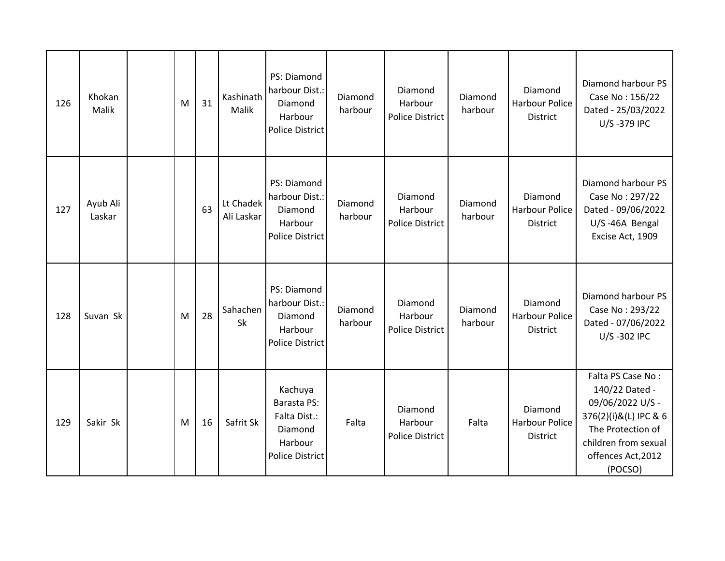| 126 | Khokan<br>Malik    | M | 31 | Kashinath<br>Malik      | PS: Diamond<br>harbour Dist.:<br>Diamond<br>Harbour<br><b>Police District</b>                 | Diamond<br>harbour | Diamond<br>Harbour<br><b>Police District</b> | Diamond<br>harbour | Diamond<br><b>Harbour Police</b><br><b>District</b> | Diamond harbour PS<br>Case No: 156/22<br>Dated - 25/03/2022<br>U/S-379 IPC                                                                                     |
|-----|--------------------|---|----|-------------------------|-----------------------------------------------------------------------------------------------|--------------------|----------------------------------------------|--------------------|-----------------------------------------------------|----------------------------------------------------------------------------------------------------------------------------------------------------------------|
| 127 | Ayub Ali<br>Laskar |   | 63 | Lt Chadek<br>Ali Laskar | PS: Diamond<br>harbour Dist.:<br>Diamond<br>Harbour<br><b>Police District</b>                 | Diamond<br>harbour | Diamond<br>Harbour<br>Police District        | Diamond<br>harbour | Diamond<br><b>Harbour Police</b><br>District        | Diamond harbour PS<br>Case No: 297/22<br>Dated - 09/06/2022<br>U/S-46A Bengal<br>Excise Act, 1909                                                              |
| 128 | Suvan Sk           | M | 28 | Sahachen<br>Sk          | PS: Diamond<br>harbour Dist.:<br>Diamond<br>Harbour<br><b>Police District</b>                 | Diamond<br>harbour | Diamond<br>Harbour<br><b>Police District</b> | Diamond<br>harbour | Diamond<br><b>Harbour Police</b><br><b>District</b> | Diamond harbour PS<br>Case No: 293/22<br>Dated - 07/06/2022<br>U/S-302 IPC                                                                                     |
| 129 | Sakir Sk           | M | 16 | Safrit Sk               | Kachuya<br><b>Barasta PS:</b><br>Falta Dist.:<br>Diamond<br>Harbour<br><b>Police District</b> | Falta              | Diamond<br>Harbour<br><b>Police District</b> | Falta              | Diamond<br><b>Harbour Police</b><br>District        | Falta PS Case No:<br>140/22 Dated -<br>09/06/2022 U/S -<br>376(2)(i)&(L) IPC & 6<br>The Protection of<br>children from sexual<br>offences Act, 2012<br>(POCSO) |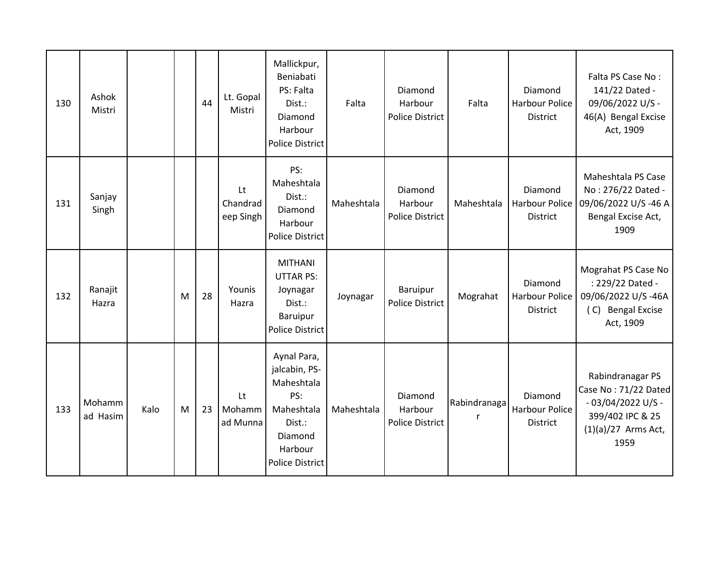| 130 | Ashok<br>Mistri    |      |   | 44 | Lt. Gopal<br>Mistri         | Mallickpur,<br>Beniabati<br>PS: Falta<br>Dist.:<br>Diamond<br>Harbour<br><b>Police District</b>                           | Falta      | Diamond<br>Harbour<br><b>Police District</b> | Falta             | Diamond<br><b>Harbour Police</b><br><b>District</b> | Falta PS Case No:<br>141/22 Dated -<br>09/06/2022 U/S -<br>46(A) Bengal Excise<br>Act, 1909                          |
|-----|--------------------|------|---|----|-----------------------------|---------------------------------------------------------------------------------------------------------------------------|------------|----------------------------------------------|-------------------|-----------------------------------------------------|----------------------------------------------------------------------------------------------------------------------|
| 131 | Sanjay<br>Singh    |      |   |    | Lt<br>Chandrad<br>eep Singh | PS:<br>Maheshtala<br>Dist.:<br>Diamond<br>Harbour<br><b>Police District</b>                                               | Maheshtala | Diamond<br>Harbour<br>Police District        | Maheshtala        | Diamond<br>Harbour Police<br><b>District</b>        | Maheshtala PS Case<br>No: 276/22 Dated -<br>09/06/2022 U/S-46 A<br>Bengal Excise Act,<br>1909                        |
| 132 | Ranajit<br>Hazra   |      | M | 28 | Younis<br>Hazra             | <b>MITHANI</b><br><b>UTTAR PS:</b><br>Joynagar<br>Dist.:<br>Baruipur<br><b>Police District</b>                            | Joynagar   | Baruipur<br><b>Police District</b>           | Mograhat          | Diamond<br>Harbour Police<br><b>District</b>        | Mograhat PS Case No<br>: 229/22 Dated -<br>09/06/2022 U/S-46A<br>(C) Bengal Excise<br>Act, 1909                      |
| 133 | Mohamm<br>ad Hasim | Kalo | M | 23 | Lt<br>Mohamm<br>ad Munna    | Aynal Para,<br>jalcabin, PS-<br>Maheshtala<br>PS:<br>Maheshtala<br>Dist.:<br>Diamond<br>Harbour<br><b>Police District</b> | Maheshtala | Diamond<br>Harbour<br>Police District        | Rabindranaga<br>r | Diamond<br><b>Harbour Police</b><br><b>District</b> | Rabindranagar PS<br>Case No: 71/22 Dated<br>$-03/04/2022$ U/S -<br>399/402 IPC & 25<br>$(1)(a)/27$ Arms Act,<br>1959 |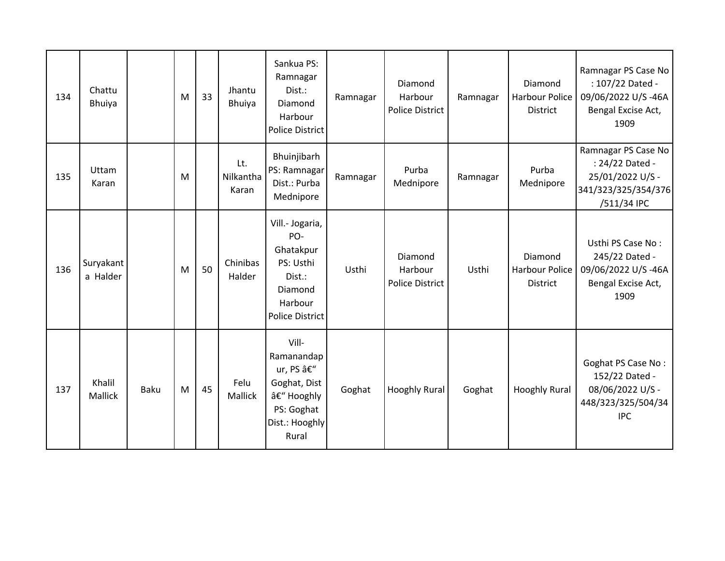| 134 | Chattu<br>Bhuiya      |             | M | 33 | Jhantu<br><b>Bhuiya</b>   | Sankua PS:<br>Ramnagar<br>Dist.:<br>Diamond<br>Harbour<br><b>Police District</b>                            | Ramnagar | Diamond<br>Harbour<br><b>Police District</b> | Ramnagar | Diamond<br>Harbour Police<br><b>District</b> | Ramnagar PS Case No<br>: 107/22 Dated -<br>09/06/2022 U/S-46A<br>Bengal Excise Act,<br>1909      |
|-----|-----------------------|-------------|---|----|---------------------------|-------------------------------------------------------------------------------------------------------------|----------|----------------------------------------------|----------|----------------------------------------------|--------------------------------------------------------------------------------------------------|
| 135 | Uttam<br>Karan        |             | M |    | Lt.<br>Nilkantha<br>Karan | Bhuinjibarh<br>PS: Ramnagar<br>Dist.: Purba<br>Mednipore                                                    | Ramnagar | Purba<br>Mednipore                           | Ramnagar | Purba<br>Mednipore                           | Ramnagar PS Case No<br>: 24/22 Dated -<br>25/01/2022 U/S -<br>341/323/325/354/376<br>/511/34 IPC |
| 136 | Suryakant<br>a Halder |             | M | 50 | Chinibas<br>Halder        | Vill .- Jogaria,<br>PO-<br>Ghatakpur<br>PS: Usthi<br>Dist.:<br>Diamond<br>Harbour<br><b>Police District</b> | Usthi    | Diamond<br>Harbour<br><b>Police District</b> | Usthi    | Diamond<br>Harbour Police<br><b>District</b> | Usthi PS Case No:<br>245/22 Dated -<br>09/06/2022 U/S-46A<br>Bengal Excise Act,<br>1909          |
| 137 | Khalil<br>Mallick     | <b>Baku</b> | M | 45 | Felu<br>Mallick           | Vill-<br>Ramanandap<br>ur, PS –<br>Goghat, Dist<br>– Hooghly<br>PS: Goghat<br>Dist.: Hooghly<br>Rural       | Goghat   | <b>Hooghly Rural</b>                         | Goghat   | <b>Hooghly Rural</b>                         | Goghat PS Case No:<br>152/22 Dated -<br>08/06/2022 U/S -<br>448/323/325/504/34<br><b>IPC</b>     |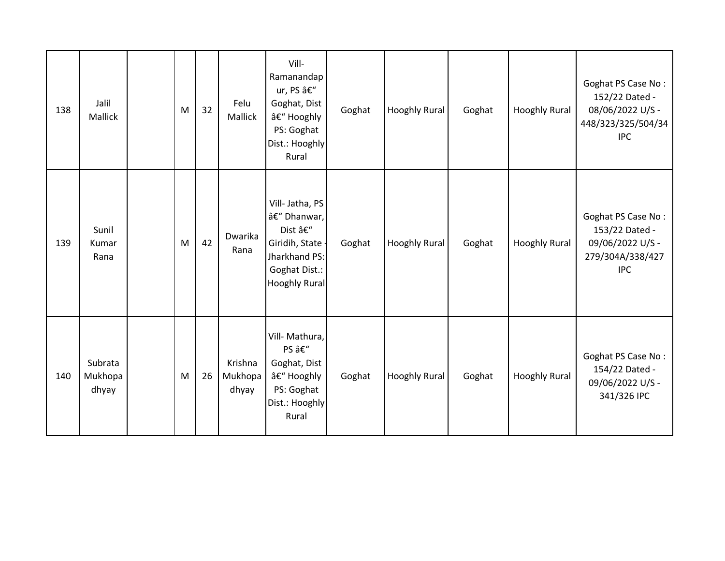| 138 | Jalil<br><b>Mallick</b>     | M | 32 | Felu<br>Mallick             | Vill-<br>Ramanandap<br>ur, PS –<br>Goghat, Dist<br>– Hooghly<br>PS: Goghat<br>Dist.: Hooghly<br>Rural                | Goghat | <b>Hooghly Rural</b> | Goghat | <b>Hooghly Rural</b> | Goghat PS Case No:<br>152/22 Dated -<br>08/06/2022 U/S -<br>448/323/325/504/34<br><b>IPC</b> |
|-----|-----------------------------|---|----|-----------------------------|----------------------------------------------------------------------------------------------------------------------|--------|----------------------|--------|----------------------|----------------------------------------------------------------------------------------------|
| 139 | Sunil<br>Kumar<br>Rana      | M | 42 | Dwarika<br>Rana             | Vill-Jatha, PS<br>– Dhanwar,<br>Dist –<br>Giridih, State -<br>Jharkhand PS:<br>Goghat Dist.:<br><b>Hooghly Rural</b> | Goghat | <b>Hooghly Rural</b> | Goghat | <b>Hooghly Rural</b> | Goghat PS Case No:<br>153/22 Dated -<br>09/06/2022 U/S -<br>279/304A/338/427<br><b>IPC</b>   |
| 140 | Subrata<br>Mukhopa<br>dhyay | M | 26 | Krishna<br>Mukhopa<br>dhyay | Vill- Mathura,<br>PS –<br>Goghat, Dist<br>– Hooghly<br>PS: Goghat<br>Dist.: Hooghly<br>Rural                         | Goghat | <b>Hooghly Rural</b> | Goghat | <b>Hooghly Rural</b> | Goghat PS Case No:<br>154/22 Dated -<br>09/06/2022 U/S -<br>341/326 IPC                      |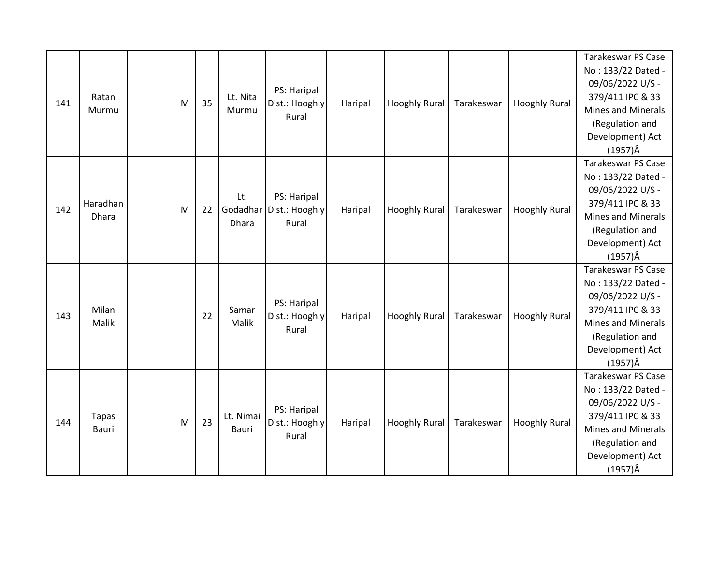| 141 | Ratan<br>Murmu        | M | 35 | Lt. Nita<br>Murmu        | PS: Haripal<br>Dist.: Hooghly<br>Rural | Haripal | <b>Hooghly Rural</b> | Tarakeswar | <b>Hooghly Rural</b> | <b>Tarakeswar PS Case</b><br>No: 133/22 Dated -<br>09/06/2022 U/S -<br>379/411 IPC & 33<br><b>Mines and Minerals</b><br>(Regulation and<br>Development) Act<br>$(1957)\hat{A}$ |
|-----|-----------------------|---|----|--------------------------|----------------------------------------|---------|----------------------|------------|----------------------|--------------------------------------------------------------------------------------------------------------------------------------------------------------------------------|
| 142 | Haradhan<br>Dhara     | M | 22 | Lt.<br>Godadhar<br>Dhara | PS: Haripal<br>Dist.: Hooghly<br>Rural | Haripal | <b>Hooghly Rural</b> | Tarakeswar | <b>Hooghly Rural</b> | <b>Tarakeswar PS Case</b><br>No: 133/22 Dated -<br>09/06/2022 U/S -<br>379/411 IPC & 33<br><b>Mines and Minerals</b><br>(Regulation and<br>Development) Act<br>$(1957)\hat{A}$ |
| 143 | Milan<br>Malik        |   | 22 | Samar<br>Malik           | PS: Haripal<br>Dist.: Hooghly<br>Rural | Haripal | <b>Hooghly Rural</b> | Tarakeswar | <b>Hooghly Rural</b> | Tarakeswar PS Case<br>No: 133/22 Dated -<br>09/06/2022 U/S -<br>379/411 IPC & 33<br><b>Mines and Minerals</b><br>(Regulation and<br>Development) Act<br>$(1957)\hat{A}$        |
| 144 | <b>Tapas</b><br>Bauri | M | 23 | Lt. Nimai<br>Bauri       | PS: Haripal<br>Dist.: Hooghly<br>Rural | Haripal | <b>Hooghly Rural</b> | Tarakeswar | <b>Hooghly Rural</b> | <b>Tarakeswar PS Case</b><br>No: 133/22 Dated -<br>09/06/2022 U/S -<br>379/411 IPC & 33<br><b>Mines and Minerals</b><br>(Regulation and<br>Development) Act<br>$(1957)\hat{A}$ |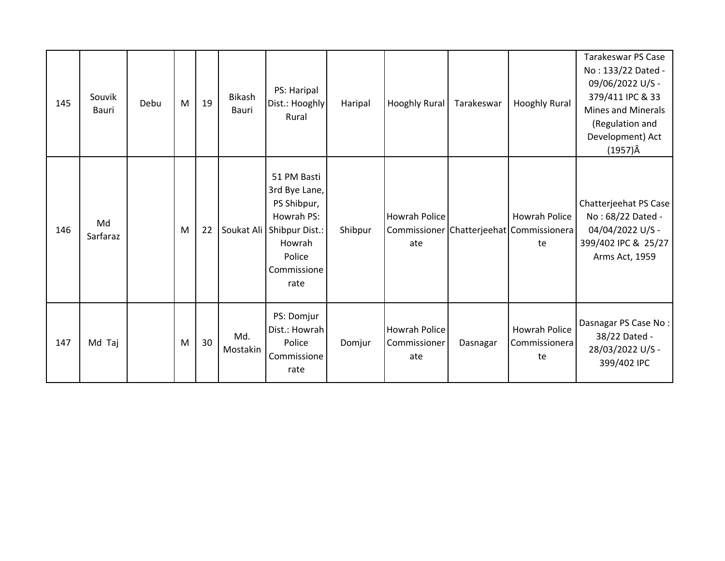| 145 | Souvik<br>Bauri | Debu | M | 19 | <b>Bikash</b><br>Bauri | PS: Haripal<br>Dist.: Hooghly<br>Rural                                                                                 | Haripal | <b>Hooghly Rural</b>                 | Tarakeswar | <b>Hooghly Rural</b>                                                   | <b>Tarakeswar PS Case</b><br>No: 133/22 Dated -<br>09/06/2022 U/S -<br>379/411 IPC & 33<br><b>Mines and Minerals</b><br>(Regulation and<br>Development) Act<br>(1957)Â |
|-----|-----------------|------|---|----|------------------------|------------------------------------------------------------------------------------------------------------------------|---------|--------------------------------------|------------|------------------------------------------------------------------------|------------------------------------------------------------------------------------------------------------------------------------------------------------------------|
| 146 | Md<br>Sarfaraz  |      | M | 22 | Soukat Ali             | 51 PM Basti<br>3rd Bye Lane,<br>PS Shibpur,<br>Howrah PS:<br>Shibpur Dist.:<br>Howrah<br>Police<br>Commissione<br>rate | Shibpur | Howrah Police<br>ate                 |            | <b>Howrah Police</b><br>Commissioner Chatterjeehat Commissionera<br>te | Chatterjeehat PS Case<br>No: 68/22 Dated -<br>04/04/2022 U/S -<br>399/402 IPC & 25/27<br>Arms Act, 1959                                                                |
| 147 | Md Taj          |      | M | 30 | Md.<br>Mostakin        | PS: Domjur<br>Dist.: Howrah<br>Police<br>Commissione<br>rate                                                           | Domjur  | Howrah Police<br>Commissioner<br>ate | Dasnagar   | Howrah Police<br>Commissionera<br>te                                   | Dasnagar PS Case No:<br>38/22 Dated -<br>28/03/2022 U/S -<br>399/402 IPC                                                                                               |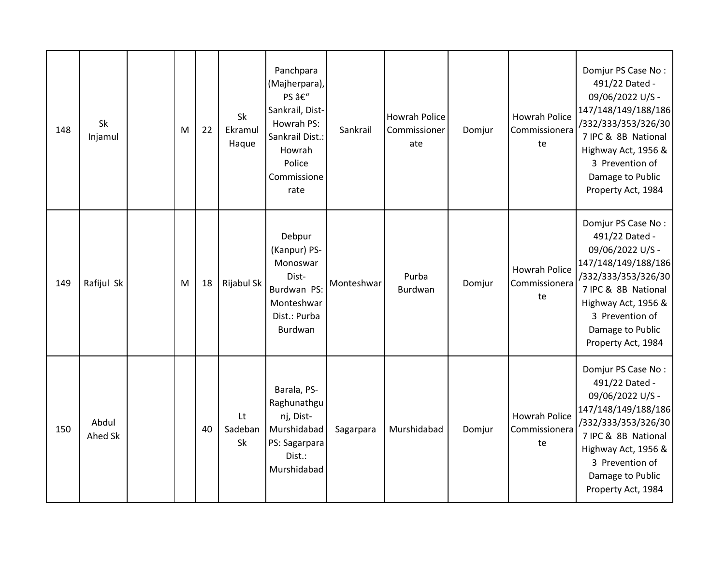| 148 | <b>Sk</b><br>Injamul | M | 22 | Sk<br>Ekramul<br>Haque | Panchpara<br>(Majherpara),<br>PS –<br>Sankrail, Dist-<br>Howrah PS:<br>Sankrail Dist.:<br>Howrah<br>Police<br>Commissione<br>rate | Sankrail   | <b>Howrah Police</b><br>Commissioner<br>ate | Domjur | Howrah Police<br>Commissionera<br>te        | Domjur PS Case No:<br>491/22 Dated -<br>09/06/2022 U/S -<br>147/148/149/188/186<br>/332/333/353/326/30<br>7 IPC & 8B National<br>Highway Act, 1956 &<br>3 Prevention of<br>Damage to Public<br>Property Act, 1984 |
|-----|----------------------|---|----|------------------------|-----------------------------------------------------------------------------------------------------------------------------------|------------|---------------------------------------------|--------|---------------------------------------------|-------------------------------------------------------------------------------------------------------------------------------------------------------------------------------------------------------------------|
| 149 | Rafijul Sk           | M | 18 | Rijabul Sk             | Debpur<br>(Kanpur) PS-<br>Monoswar<br>Dist-<br>Burdwan PS:<br>Monteshwar<br>Dist.: Purba<br>Burdwan                               | Monteshwar | Purba<br>Burdwan                            | Domjur | <b>Howrah Police</b><br>Commissionera<br>te | Domjur PS Case No:<br>491/22 Dated -<br>09/06/2022 U/S -<br>147/148/149/188/186<br>/332/333/353/326/30<br>7 IPC & 8B National<br>Highway Act, 1956 &<br>3 Prevention of<br>Damage to Public<br>Property Act, 1984 |
| 150 | Abdul<br>Ahed Sk     |   | 40 | Lt<br>Sadeban<br>Sk    | Barala, PS-<br>Raghunathgu<br>nj, Dist-<br>Murshidabad<br>PS: Sagarpara<br>Dist.:<br>Murshidabad                                  | Sagarpara  | Murshidabad                                 | Domjur | <b>Howrah Police</b><br>Commissionera<br>te | Domjur PS Case No:<br>491/22 Dated -<br>09/06/2022 U/S -<br>147/148/149/188/186<br>/332/333/353/326/30<br>7 IPC & 8B National<br>Highway Act, 1956 &<br>3 Prevention of<br>Damage to Public<br>Property Act, 1984 |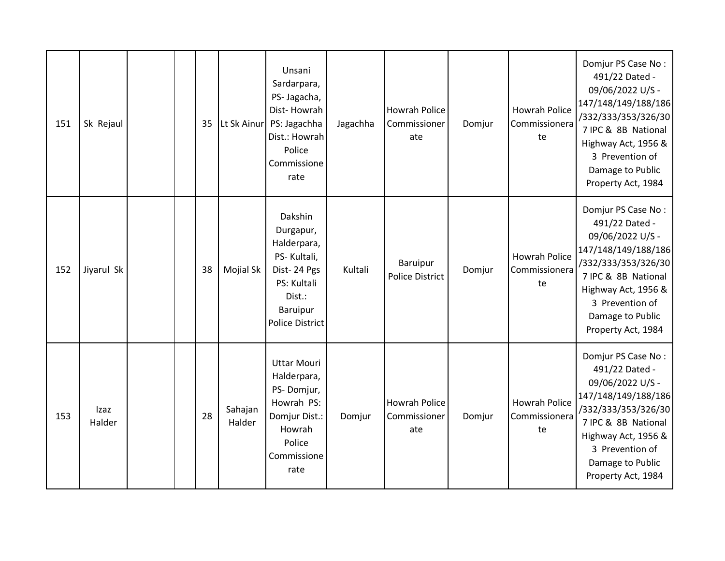| 151 | Sk Rejaul      |  | 35 | Lt Sk Ainur       | Unsani<br>Sardarpara,<br>PS- Jagacha,<br>Dist-Howrah<br>PS: Jagachha<br>Dist.: Howrah<br>Police<br>Commissione<br>rate           | Jagachha | <b>Howrah Police</b><br>Commissioner<br>ate | Domjur | <b>Howrah Police</b><br>Commissionera<br>te | Domjur PS Case No:<br>491/22 Dated -<br>09/06/2022 U/S -<br>147/148/149/188/186<br>/332/333/353/326/30<br>7 IPC & 8B National<br>Highway Act, 1956 &<br>3 Prevention of<br>Damage to Public<br>Property Act, 1984 |
|-----|----------------|--|----|-------------------|----------------------------------------------------------------------------------------------------------------------------------|----------|---------------------------------------------|--------|---------------------------------------------|-------------------------------------------------------------------------------------------------------------------------------------------------------------------------------------------------------------------|
| 152 | Jiyarul Sk     |  | 38 | Mojial Sk         | Dakshin<br>Durgapur,<br>Halderpara,<br>PS-Kultali,<br>Dist-24 Pgs<br>PS: Kultali<br>Dist.:<br>Baruipur<br><b>Police District</b> | Kultali  | <b>Baruipur</b><br><b>Police District</b>   | Domjur | <b>Howrah Police</b><br>Commissionera<br>te | Domjur PS Case No:<br>491/22 Dated -<br>09/06/2022 U/S -<br>147/148/149/188/186<br>/332/333/353/326/30<br>7 IPC & 8B National<br>Highway Act, 1956 &<br>3 Prevention of<br>Damage to Public<br>Property Act, 1984 |
| 153 | Izaz<br>Halder |  | 28 | Sahajan<br>Halder | <b>Uttar Mouri</b><br>Halderpara,<br>PS-Domjur,<br>Howrah PS:<br>Domjur Dist.:<br>Howrah<br>Police<br>Commissione<br>rate        | Domjur   | <b>Howrah Police</b><br>Commissioner<br>ate | Domjur | <b>Howrah Police</b><br>Commissionera<br>te | Domjur PS Case No:<br>491/22 Dated -<br>09/06/2022 U/S -<br>147/148/149/188/186<br>/332/333/353/326/30<br>7 IPC & 8B National<br>Highway Act, 1956 &<br>3 Prevention of<br>Damage to Public<br>Property Act, 1984 |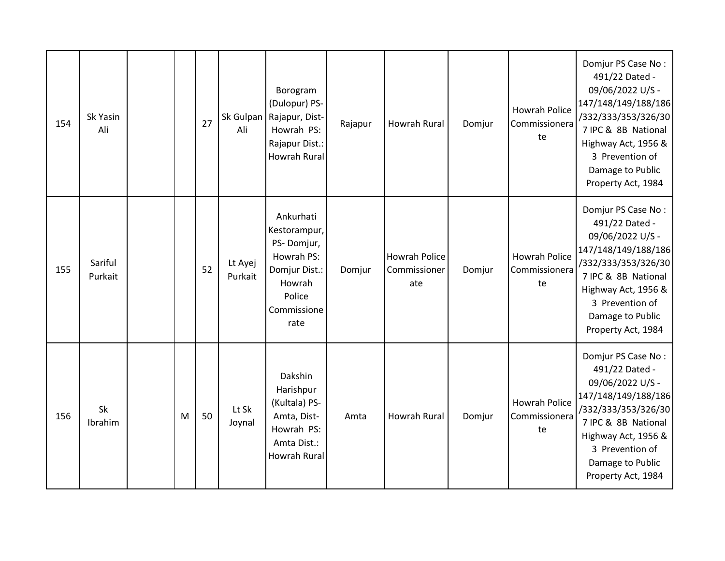| 154 | Sk Yasin<br>Ali      |   | 27 | Sk Gulpan<br>Ali   | Borogram<br>(Dulopur) PS-<br>Rajapur, Dist-<br>Howrah PS:<br>Rajapur Dist.:<br><b>Howrah Rural</b>                | Rajapur | <b>Howrah Rural</b>                         | Domjur | <b>Howrah Police</b><br>Commissionera<br>te | Domjur PS Case No:<br>491/22 Dated -<br>09/06/2022 U/S -<br>147/148/149/188/186<br>/332/333/353/326/30<br>7 IPC & 8B National<br>Highway Act, 1956 &<br>3 Prevention of<br>Damage to Public<br>Property Act, 1984 |
|-----|----------------------|---|----|--------------------|-------------------------------------------------------------------------------------------------------------------|---------|---------------------------------------------|--------|---------------------------------------------|-------------------------------------------------------------------------------------------------------------------------------------------------------------------------------------------------------------------|
| 155 | Sariful<br>Purkait   |   | 52 | Lt Ayej<br>Purkait | Ankurhati<br>Kestorampur,<br>PS-Domjur,<br>Howrah PS:<br>Domjur Dist.:<br>Howrah<br>Police<br>Commissione<br>rate | Domjur  | <b>Howrah Police</b><br>Commissioner<br>ate | Domjur | <b>Howrah Police</b><br>Commissionera<br>te | Domjur PS Case No:<br>491/22 Dated -<br>09/06/2022 U/S -<br>147/148/149/188/186<br>/332/333/353/326/30<br>7 IPC & 8B National<br>Highway Act, 1956 &<br>3 Prevention of<br>Damage to Public<br>Property Act, 1984 |
| 156 | <b>Sk</b><br>Ibrahim | M | 50 | Lt Sk<br>Joynal    | Dakshin<br>Harishpur<br>(Kultala) PS-<br>Amta, Dist-<br>Howrah PS:<br>Amta Dist.:<br><b>Howrah Rural</b>          | Amta    | <b>Howrah Rural</b>                         | Domjur | <b>Howrah Police</b><br>Commissionera<br>te | Domjur PS Case No:<br>491/22 Dated -<br>09/06/2022 U/S -<br>147/148/149/188/186<br>/332/333/353/326/30<br>7 IPC & 8B National<br>Highway Act, 1956 &<br>3 Prevention of<br>Damage to Public<br>Property Act, 1984 |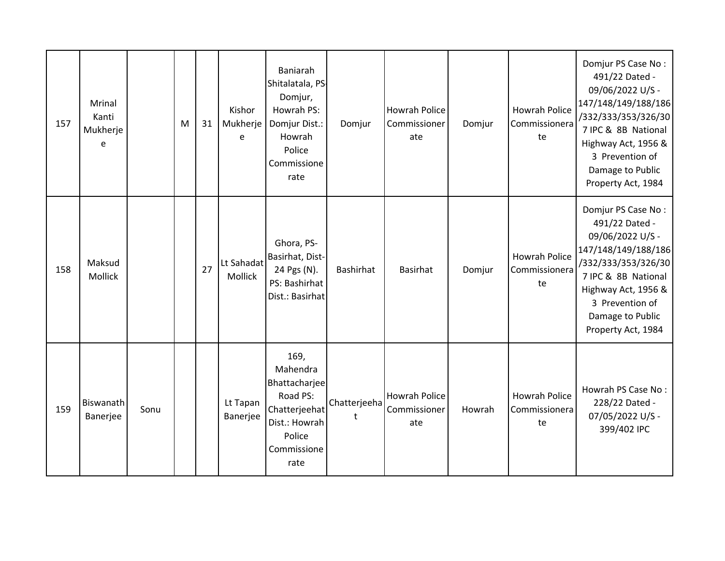| 157 | Mrinal<br>Kanti<br>Mukherje<br>e |      | M | 31 | Kishor<br>Mukherje<br>e | Baniarah<br>Shitalatala, PS-<br>Domjur,<br>Howrah PS:<br>Domjur Dist.:<br>Howrah<br>Police<br>Commissione<br>rate | Domjur            | <b>Howrah Police</b><br>Commissioner<br>ate | Domjur | <b>Howrah Police</b><br>Commissionera<br>te | Domjur PS Case No:<br>491/22 Dated -<br>09/06/2022 U/S -<br>147/148/149/188/186<br>/332/333/353/326/30<br>7 IPC & 8B National<br>Highway Act, 1956 &<br>3 Prevention of<br>Damage to Public<br>Property Act, 1984 |
|-----|----------------------------------|------|---|----|-------------------------|-------------------------------------------------------------------------------------------------------------------|-------------------|---------------------------------------------|--------|---------------------------------------------|-------------------------------------------------------------------------------------------------------------------------------------------------------------------------------------------------------------------|
| 158 | Maksud<br>Mollick                |      |   | 27 | Lt Sahadat<br>Mollick   | Ghora, PS-<br>Basirhat, Dist-<br>24 Pgs (N).<br>PS: Bashirhat<br>Dist.: Basirhat                                  | <b>Bashirhat</b>  | <b>Basirhat</b>                             | Domjur | <b>Howrah Police</b><br>Commissionera<br>te | Domjur PS Case No:<br>491/22 Dated -<br>09/06/2022 U/S -<br>147/148/149/188/186<br>/332/333/353/326/30<br>7 IPC & 8B National<br>Highway Act, 1956 &<br>3 Prevention of<br>Damage to Public<br>Property Act, 1984 |
| 159 | Biswanath<br>Banerjee            | Sonu |   |    | Lt Tapan<br>Banerjee    | 169,<br>Mahendra<br>Bhattacharjee<br>Road PS:<br>Chatterjeehat<br>Dist.: Howrah<br>Police<br>Commissione<br>rate  | Chatterjeeha<br>t | Howrah Police<br>Commissioner<br>ate        | Howrah | Howrah Police<br>Commissionera<br>te        | Howrah PS Case No:<br>228/22 Dated -<br>07/05/2022 U/S -<br>399/402 IPC                                                                                                                                           |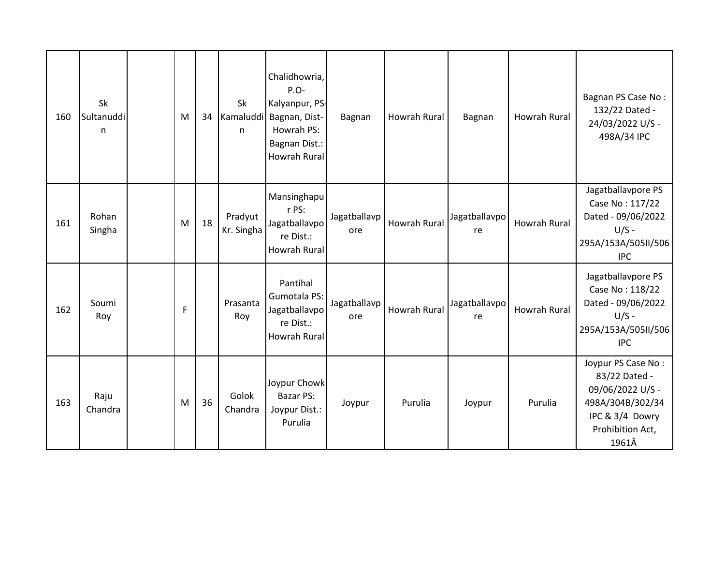| 160 | Sk<br>Sultanuddi<br>n | M | 34 | Sk<br>Kamaluddi<br>n  | Chalidhowria,<br>$P.O-$<br>Kalyanpur, PS-<br>Bagnan, Dist-<br>Howrah PS:<br>Bagnan Dist.:<br><b>Howrah Rural</b> | Bagnan              | Howrah Rural | Bagnan              | Howrah Rural        | Bagnan PS Case No:<br>132/22 Dated -<br>24/03/2022 U/S -<br>498A/34 IPC                                                     |
|-----|-----------------------|---|----|-----------------------|------------------------------------------------------------------------------------------------------------------|---------------------|--------------|---------------------|---------------------|-----------------------------------------------------------------------------------------------------------------------------|
| 161 | Rohan<br>Singha       | M | 18 | Pradyut<br>Kr. Singha | Mansinghapu<br>r PS:<br>Jagatballavpo<br>re Dist.:<br><b>Howrah Rural</b>                                        | Jagatballavp<br>ore | Howrah Rural | Jagatballavpo<br>re | <b>Howrah Rural</b> | Jagatballavpore PS<br>Case No: 117/22<br>Dated - 09/06/2022<br>$U/S -$<br>295A/153A/505II/506<br><b>IPC</b>                 |
| 162 | Soumi<br>Roy          | F |    | Prasanta<br>Roy       | Pantihal<br>Gumotala PS:<br>Jagatballavpo<br>re Dist.:<br>Howrah Rural                                           | Jagatballavp<br>ore | Howrah Rural | Jagatballavpo<br>re | <b>Howrah Rural</b> | Jagatballavpore PS<br>Case No: 118/22<br>Dated - 09/06/2022<br>$U/S -$<br>295A/153A/505II/506<br><b>IPC</b>                 |
| 163 | Raju<br>Chandra       | M | 36 | Golok<br>Chandra      | Joypur Chowk<br>Bazar PS:<br>Joypur Dist.:<br>Purulia                                                            | Joypur              | Purulia      | Joypur              | Purulia             | Joypur PS Case No:<br>83/22 Dated -<br>09/06/2022 U/S -<br>498A/304B/302/34<br>IPC & 3/4 Dowry<br>Prohibition Act,<br>1961Â |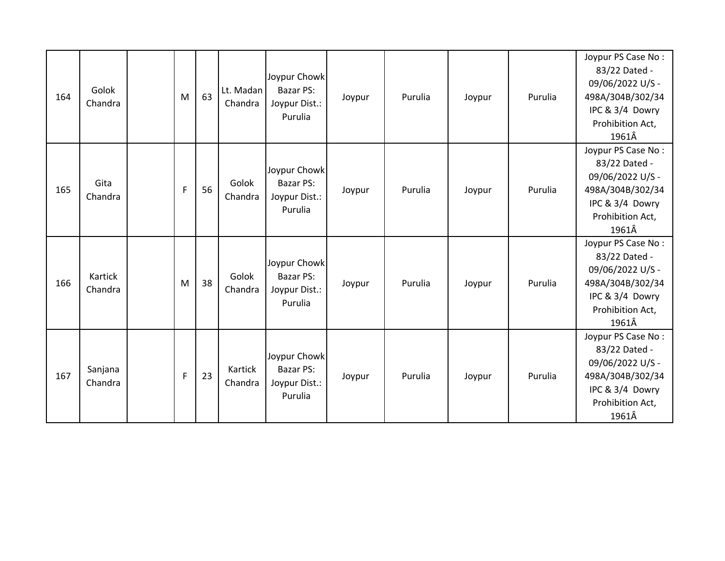| 164 | Golok<br>Chandra   | M            | 63 | Lt. Madan<br>Chandra | Joypur Chowk<br>Bazar PS:<br>Joypur Dist.:<br>Purulia | Joypur | Purulia | Joypur | Purulia | Joypur PS Case No:<br>83/22 Dated -<br>09/06/2022 U/S -<br>498A/304B/302/34<br>IPC & 3/4 Dowry<br>Prohibition Act,<br>1961Â |
|-----|--------------------|--------------|----|----------------------|-------------------------------------------------------|--------|---------|--------|---------|-----------------------------------------------------------------------------------------------------------------------------|
| 165 | Gita<br>Chandra    | F            | 56 | Golok<br>Chandra     | Joypur Chowk<br>Bazar PS:<br>Joypur Dist.:<br>Purulia | Joypur | Purulia | Joypur | Purulia | Joypur PS Case No:<br>83/22 Dated -<br>09/06/2022 U/S -<br>498A/304B/302/34<br>IPC & 3/4 Dowry<br>Prohibition Act,<br>1961Â |
| 166 | Kartick<br>Chandra | M            | 38 | Golok<br>Chandra     | Joypur Chowk<br>Bazar PS:<br>Joypur Dist.:<br>Purulia | Joypur | Purulia | Joypur | Purulia | Joypur PS Case No:<br>83/22 Dated -<br>09/06/2022 U/S -<br>498A/304B/302/34<br>IPC & 3/4 Dowry<br>Prohibition Act,<br>1961Â |
| 167 | Sanjana<br>Chandra | $\mathsf{F}$ | 23 | Kartick<br>Chandra   | Joypur Chowk<br>Bazar PS:<br>Joypur Dist.:<br>Purulia | Joypur | Purulia | Joypur | Purulia | Joypur PS Case No:<br>83/22 Dated -<br>09/06/2022 U/S -<br>498A/304B/302/34<br>IPC & 3/4 Dowry<br>Prohibition Act,<br>1961Â |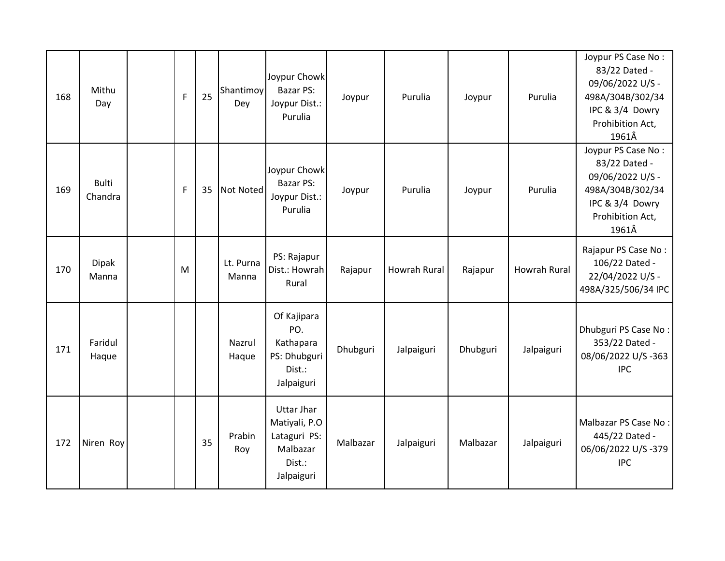| 168 | Mithu<br>Day            | $\mathsf{F}$ | 25 | Shantimoy<br>Dey   | Joypur Chowk<br>Bazar PS:<br>Joypur Dist.:<br>Purulia                                  | Joypur   | Purulia      | Joypur   | Purulia             | Joypur PS Case No:<br>83/22 Dated -<br>09/06/2022 U/S -<br>498A/304B/302/34<br>IPC & 3/4 Dowry<br>Prohibition Act,<br>1961Â |
|-----|-------------------------|--------------|----|--------------------|----------------------------------------------------------------------------------------|----------|--------------|----------|---------------------|-----------------------------------------------------------------------------------------------------------------------------|
| 169 | <b>Bulti</b><br>Chandra | $\mathsf F$  | 35 | Not Noted          | Joypur Chowk<br><b>Bazar PS:</b><br>Joypur Dist.:<br>Purulia                           | Joypur   | Purulia      | Joypur   | Purulia             | Joypur PS Case No:<br>83/22 Dated -<br>09/06/2022 U/S -<br>498A/304B/302/34<br>IPC & 3/4 Dowry<br>Prohibition Act,<br>1961Â |
| 170 | <b>Dipak</b><br>Manna   | M            |    | Lt. Purna<br>Manna | PS: Rajapur<br>Dist.: Howrah<br>Rural                                                  | Rajapur  | Howrah Rural | Rajapur  | <b>Howrah Rural</b> | Rajapur PS Case No:<br>106/22 Dated -<br>22/04/2022 U/S -<br>498A/325/506/34 IPC                                            |
| 171 | Faridul<br>Haque        |              |    | Nazrul<br>Haque    | Of Kajipara<br>PO.<br>Kathapara<br>PS: Dhubguri<br>Dist.:<br>Jalpaiguri                | Dhubguri | Jalpaiguri   | Dhubguri | Jalpaiguri          | Dhubguri PS Case No:<br>353/22 Dated -<br>08/06/2022 U/S-363<br><b>IPC</b>                                                  |
| 172 | Niren Roy               |              | 35 | Prabin<br>Roy      | <b>Uttar Jhar</b><br>Matiyali, P.O<br>Lataguri PS:<br>Malbazar<br>Dist.:<br>Jalpaiguri | Malbazar | Jalpaiguri   | Malbazar | Jalpaiguri          | Malbazar PS Case No:<br>445/22 Dated -<br>06/06/2022 U/S-379<br><b>IPC</b>                                                  |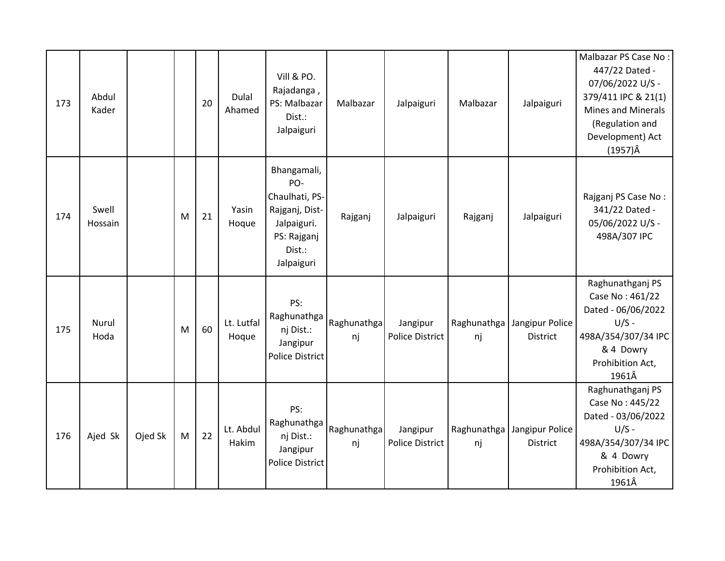| 173 | Abdul<br>Kader   |         |   | 20 | Dulal<br>Ahamed     | Vill & PO.<br>Rajadanga,<br>PS: Malbazar<br>Dist.:<br>Jalpaiguri                                             | Malbazar          | Jalpaiguri                         | Malbazar          | Jalpaiguri                         | Malbazar PS Case No:<br>447/22 Dated -<br>07/06/2022 U/S -<br>379/411 IPC & 21(1)<br><b>Mines and Minerals</b><br>(Regulation and<br>Development) Act<br>$(1957)\hat{A}$ |
|-----|------------------|---------|---|----|---------------------|--------------------------------------------------------------------------------------------------------------|-------------------|------------------------------------|-------------------|------------------------------------|--------------------------------------------------------------------------------------------------------------------------------------------------------------------------|
| 174 | Swell<br>Hossain |         | M | 21 | Yasin<br>Hoque      | Bhangamali,<br>PO-<br>Chaulhati, PS-<br>Rajganj, Dist-<br>Jalpaiguri.<br>PS: Rajganj<br>Dist.:<br>Jalpaiguri | Rajganj           | Jalpaiguri                         | Rajganj           | Jalpaiguri                         | Rajganj PS Case No:<br>341/22 Dated -<br>05/06/2022 U/S -<br>498A/307 IPC                                                                                                |
| 175 | Nurul<br>Hoda    |         | M | 60 | Lt. Lutfal<br>Hoque | PS:<br>Raghunathga<br>nj Dist.:<br>Jangipur<br><b>Police District</b>                                        | Raghunathga<br>nj | Jangipur<br><b>Police District</b> | Raghunathga<br>nj | Jangipur Police<br><b>District</b> | Raghunathganj PS<br>Case No: 461/22<br>Dated - 06/06/2022<br>$U/S -$<br>498A/354/307/34 IPC<br>& 4 Dowry<br>Prohibition Act,<br>1961Â                                    |
| 176 | Ajed Sk          | Ojed Sk | M | 22 | Lt. Abdul<br>Hakim  | PS:<br>Raghunathga<br>nj Dist.:<br>Jangipur<br><b>Police District</b>                                        | Raghunathga<br>nj | Jangipur<br>Police District        | Raghunathga<br>nj | Jangipur Police<br><b>District</b> | Raghunathganj PS<br>Case No: 445/22<br>Dated - 03/06/2022<br>$U/S -$<br>498A/354/307/34 IPC<br>& 4 Dowry<br>Prohibition Act,<br>1961Â                                    |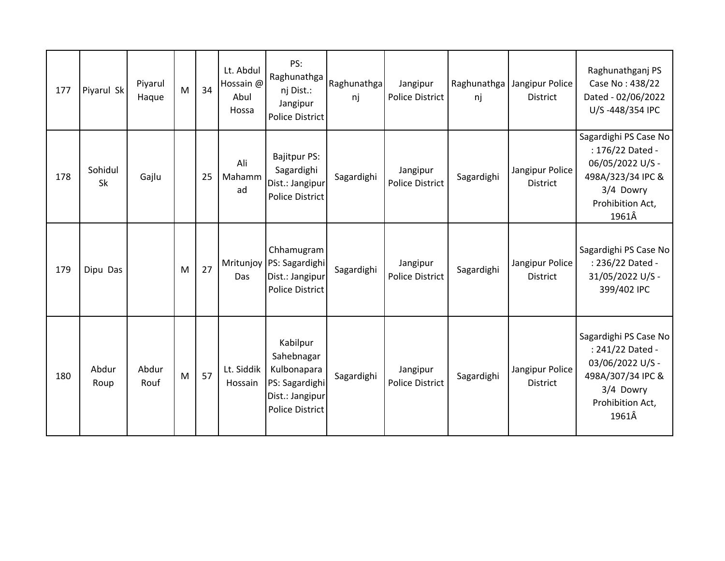| 177 | Piyarul Sk    | Piyarul<br>Haque | M | 34 | Lt. Abdul<br>Hossain @<br>Abul<br>Hossa | PS:<br>Raghunathga<br>nj Dist.:<br>Jangipur<br><b>Police District</b>                                | Raghunathga<br>nj | Jangipur<br>Police District        | nj         | Raghunathga   Jangipur Police<br><b>District</b> | Raghunathganj PS<br>Case No: 438/22<br>Dated - 02/06/2022<br>U/S-448/354 IPC                                                 |
|-----|---------------|------------------|---|----|-----------------------------------------|------------------------------------------------------------------------------------------------------|-------------------|------------------------------------|------------|--------------------------------------------------|------------------------------------------------------------------------------------------------------------------------------|
| 178 | Sohidul<br>Sk | Gajlu            |   | 25 | Ali<br>Mahamm<br>ad                     | <b>Bajitpur PS:</b><br>Sagardighi<br>Dist.: Jangipur<br><b>Police District</b>                       | Sagardighi        | Jangipur<br><b>Police District</b> | Sagardighi | Jangipur Police<br><b>District</b>               | Sagardighi PS Case No<br>: 176/22 Dated -<br>06/05/2022 U/S -<br>498A/323/34 IPC &<br>3/4 Dowry<br>Prohibition Act,<br>1961Â |
| 179 | Dipu Das      |                  | M | 27 | Das                                     | Chhamugram<br>Mritunjoy   PS: Sagardighi<br>Dist.: Jangipur<br><b>Police District</b>                | Sagardighi        | Jangipur<br>Police District        | Sagardighi | Jangipur Police<br><b>District</b>               | Sagardighi PS Case No<br>: 236/22 Dated -<br>31/05/2022 U/S -<br>399/402 IPC                                                 |
| 180 | Abdur<br>Roup | Abdur<br>Rouf    | M | 57 | Lt. Siddik<br>Hossain                   | Kabilpur<br>Sahebnagar<br>Kulbonapara<br>PS: Sagardighi<br>Dist.: Jangipur<br><b>Police District</b> | Sagardighi        | Jangipur<br><b>Police District</b> | Sagardighi | Jangipur Police<br><b>District</b>               | Sagardighi PS Case No<br>: 241/22 Dated -<br>03/06/2022 U/S -<br>498A/307/34 IPC &<br>3/4 Dowry<br>Prohibition Act,<br>1961Â |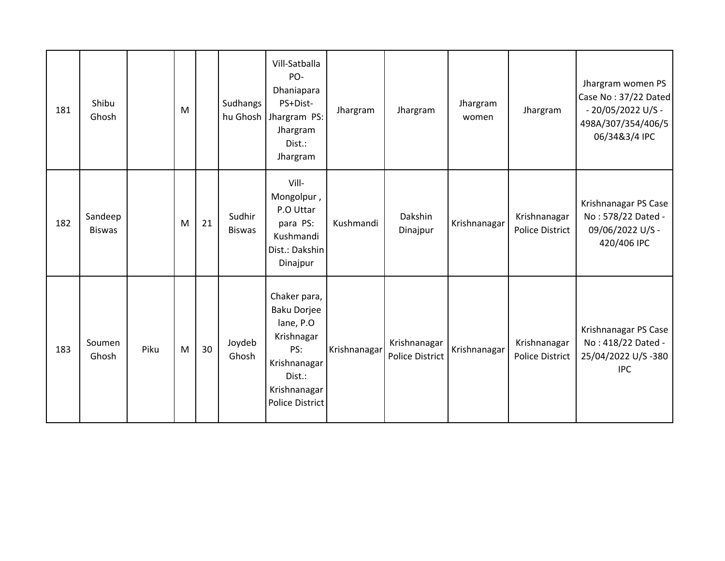| 181 | Shibu<br>Ghosh           |      | M |    | Sudhangs                | Vill-Satballa<br>PO-<br>Dhaniapara<br>PS+Dist-<br>hu Ghosh   Jhargram PS:<br>Jhargram<br>Dist.:<br>Jhargram                              | Jhargram     | Jhargram                               | Jhargram<br>women | Jhargram                               | Jhargram women PS<br>Case No: 37/22 Dated<br>- 20/05/2022 U/S -<br>498A/307/354/406/5<br>06/34&3/4 IPC |
|-----|--------------------------|------|---|----|-------------------------|------------------------------------------------------------------------------------------------------------------------------------------|--------------|----------------------------------------|-------------------|----------------------------------------|--------------------------------------------------------------------------------------------------------|
| 182 | Sandeep<br><b>Biswas</b> |      | M | 21 | Sudhir<br><b>Biswas</b> | Vill-<br>Mongolpur,<br>P.O Uttar<br>para PS:<br>Kushmandi<br>Dist.: Dakshin<br>Dinajpur                                                  | Kushmandi    | Dakshin<br>Dinajpur                    | Krishnanagar      | Krishnanagar<br><b>Police District</b> | Krishnanagar PS Case<br>No: 578/22 Dated -<br>09/06/2022 U/S -<br>420/406 IPC                          |
| 183 | Soumen<br>Ghosh          | Piku | M | 30 | Joydeb<br>Ghosh         | Chaker para,<br><b>Baku Dorjee</b><br>lane, P.O<br>Krishnagar<br>PS:<br>Krishnanagar<br>Dist.:<br>Krishnanagar<br><b>Police District</b> | Krishnanagar | Krishnanagar<br><b>Police District</b> | Krishnanagar      | Krishnanagar<br><b>Police District</b> | Krishnanagar PS Case<br>No: 418/22 Dated -<br>25/04/2022 U/S-380<br><b>IPC</b>                         |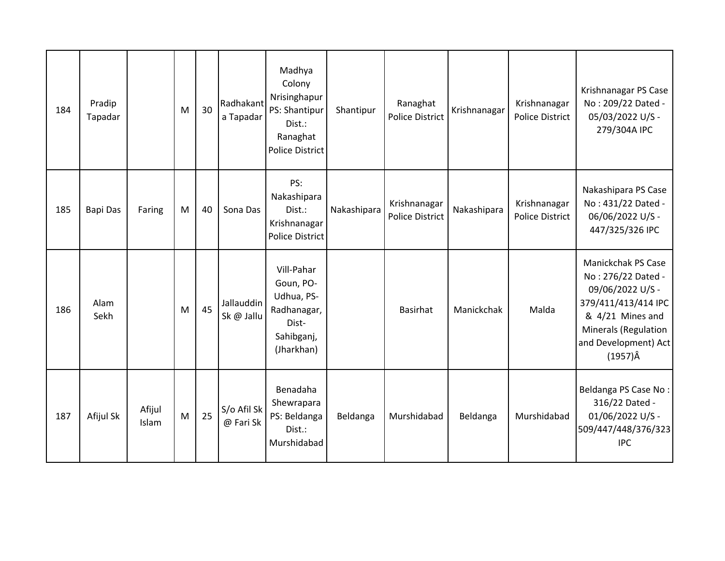| 184 | Pradip<br>Tapadar |                 | M | 30 | Radhakant<br>a Tapadar   | Madhya<br>Colony<br>Nrisinghapur<br>PS: Shantipur<br>Dist.:<br>Ranaghat<br><b>Police District</b> | Shantipur   | Ranaghat<br>Police District     | Krishnanagar | Krishnanagar<br>Police District | Krishnanagar PS Case<br>No: 209/22 Dated -<br>05/03/2022 U/S -<br>279/304A IPC                                                                                                    |
|-----|-------------------|-----------------|---|----|--------------------------|---------------------------------------------------------------------------------------------------|-------------|---------------------------------|--------------|---------------------------------|-----------------------------------------------------------------------------------------------------------------------------------------------------------------------------------|
| 185 | <b>Bapi Das</b>   | Faring          | M | 40 | Sona Das                 | PS:<br>Nakashipara<br>Dist.:<br>Krishnanagar<br><b>Police District</b>                            | Nakashipara | Krishnanagar<br>Police District | Nakashipara  | Krishnanagar<br>Police District | Nakashipara PS Case<br>No: 431/22 Dated -<br>06/06/2022 U/S -<br>447/325/326 IPC                                                                                                  |
| 186 | Alam<br>Sekh      |                 | M | 45 | Jallauddin<br>Sk @ Jallu | Vill-Pahar<br>Goun, PO-<br>Udhua, PS-<br>Radhanagar,<br>Dist-<br>Sahibganj,<br>(Jharkhan)         |             | Basirhat                        | Manickchak   | Malda                           | <b>Manickchak PS Case</b><br>No: 276/22 Dated -<br>09/06/2022 U/S -<br>379/411/413/414 IPC<br>& 4/21 Mines and<br>Minerals (Regulation<br>and Development) Act<br>$(1957)\hat{A}$ |
| 187 | Afijul Sk         | Afijul<br>Islam | M | 25 | S/o Afil Sk<br>@ Fari Sk | Benadaha<br>Shewrapara<br>PS: Beldanga<br>Dist.:<br>Murshidabad                                   | Beldanga    | Murshidabad                     | Beldanga     | Murshidabad                     | Beldanga PS Case No:<br>316/22 Dated -<br>01/06/2022 U/S -<br>509/447/448/376/323<br><b>IPC</b>                                                                                   |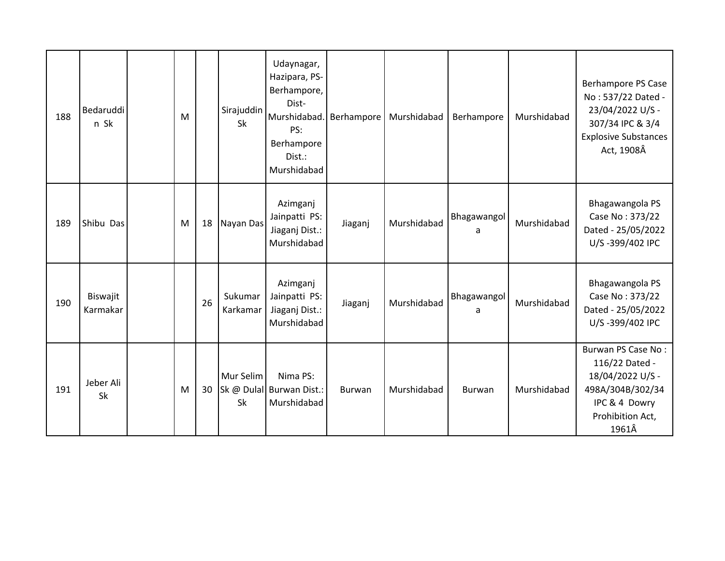| 188 | Bedaruddi<br>n Sk    | M |    | Sirajuddin<br><b>Sk</b> | Udaynagar,<br>Hazipara, PS-<br>Berhampore,<br>Dist-<br>Murshidabad.<br>PS:<br>Berhampore<br>Dist.:<br>Murshidabad | Berhampore | Murshidabad | Berhampore       | Murshidabad | <b>Berhampore PS Case</b><br>No: 537/22 Dated -<br>23/04/2022 U/S -<br>307/34 IPC & 3/4<br><b>Explosive Substances</b><br>Act, 1908Â |
|-----|----------------------|---|----|-------------------------|-------------------------------------------------------------------------------------------------------------------|------------|-------------|------------------|-------------|--------------------------------------------------------------------------------------------------------------------------------------|
| 189 | Shibu Das            | M | 18 | Nayan Das               | Azimganj<br>Jainpatti PS:<br>Jiaganj Dist.:<br>Murshidabad                                                        | Jiaganj    | Murshidabad | Bhagawangol<br>a | Murshidabad | Bhagawangola PS<br>Case No: 373/22<br>Dated - 25/05/2022<br>U/S-399/402 IPC                                                          |
| 190 | Biswajit<br>Karmakar |   | 26 | Sukumar<br>Karkamar     | Azimganj<br>Jainpatti PS:<br>Jiaganj Dist.:<br>Murshidabad                                                        | Jiaganj    | Murshidabad | Bhagawangol<br>a | Murshidabad | Bhagawangola PS<br>Case No: 373/22<br>Dated - 25/05/2022<br>U/S-399/402 IPC                                                          |
| 191 | Jeber Ali<br>Sk      | M | 30 | Mur Selim<br>Sk         | Nima PS:<br>Sk @ Dulal Burwan Dist.:<br>Murshidabad                                                               | Burwan     | Murshidabad | Burwan           | Murshidabad | Burwan PS Case No:<br>116/22 Dated -<br>18/04/2022 U/S -<br>498A/304B/302/34<br>IPC & 4 Dowry<br>Prohibition Act,<br>1961Â           |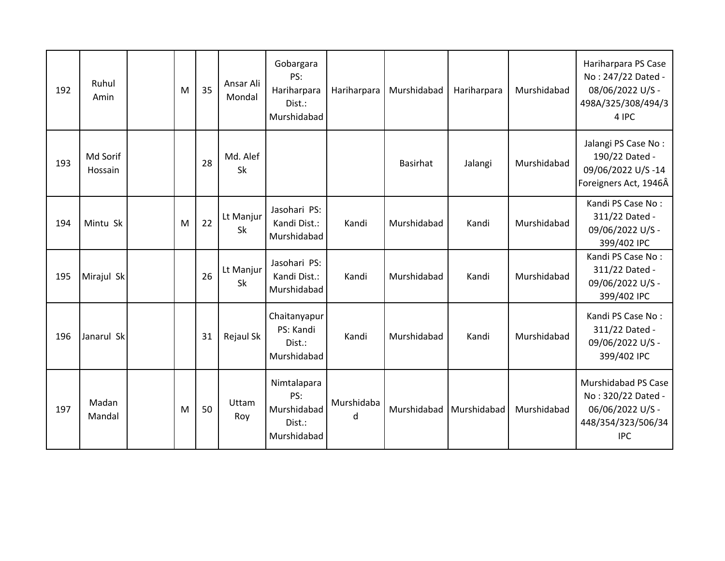| 192 | Ruhul<br>Amin       | M | 35 | Ansar Ali<br>Mondal | Gobargara<br>PS:<br>Hariharpara<br>Dist.:<br>Murshidabad   | Hariharpara     | Murshidabad | Hariharpara | Murshidabad | Hariharpara PS Case<br>No: 247/22 Dated -<br>08/06/2022 U/S -<br>498A/325/308/494/3<br>4 IPC      |
|-----|---------------------|---|----|---------------------|------------------------------------------------------------|-----------------|-------------|-------------|-------------|---------------------------------------------------------------------------------------------------|
| 193 | Md Sorif<br>Hossain |   | 28 | Md. Alef<br>Sk      |                                                            |                 | Basirhat    | Jalangi     | Murshidabad | Jalangi PS Case No:<br>190/22 Dated -<br>09/06/2022 U/S-14<br>Foreigners Act, 1946Â               |
| 194 | Mintu Sk            | M | 22 | Lt Manjur<br>Sk     | Jasohari PS:<br>Kandi Dist.:<br>Murshidabad                | Kandi           | Murshidabad | Kandi       | Murshidabad | Kandi PS Case No:<br>311/22 Dated -<br>09/06/2022 U/S -<br>399/402 IPC                            |
| 195 | Mirajul Sk          |   | 26 | Lt Manjur<br>Sk     | Jasohari PS:<br>Kandi Dist.:<br>Murshidabad                | Kandi           | Murshidabad | Kandi       | Murshidabad | Kandi PS Case No:<br>311/22 Dated -<br>09/06/2022 U/S -<br>399/402 IPC                            |
| 196 | Janarul Sk          |   | 31 | Rejaul Sk           | Chaitanyapur<br>PS: Kandi<br>Dist.:<br>Murshidabad         | Kandi           | Murshidabad | Kandi       | Murshidabad | Kandi PS Case No:<br>311/22 Dated -<br>09/06/2022 U/S -<br>399/402 IPC                            |
| 197 | Madan<br>Mandal     | M | 50 | Uttam<br>Roy        | Nimtalapara<br>PS:<br>Murshidabad<br>Dist.:<br>Murshidabad | Murshidaba<br>d | Murshidabad | Murshidabad | Murshidabad | Murshidabad PS Case<br>No: 320/22 Dated -<br>06/06/2022 U/S -<br>448/354/323/506/34<br><b>IPC</b> |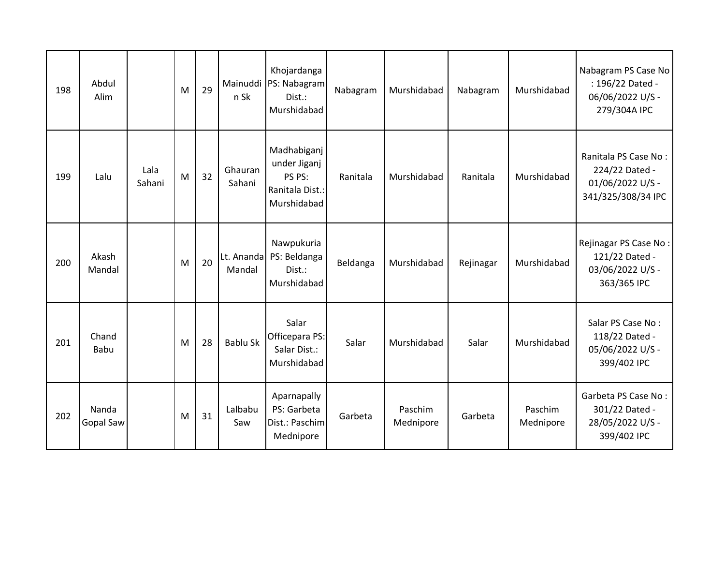| 198 | Abdul<br>Alim      |                | M | 29 | Mainuddi<br>n Sk     | Khojardanga<br>PS: Nabagram<br>Dist.:<br>Murshidabad                    | Nabagram | Murshidabad          | Nabagram  | Murshidabad          | Nabagram PS Case No<br>: 196/22 Dated -<br>06/06/2022 U/S -<br>279/304A IPC      |
|-----|--------------------|----------------|---|----|----------------------|-------------------------------------------------------------------------|----------|----------------------|-----------|----------------------|----------------------------------------------------------------------------------|
| 199 | Lalu               | Lala<br>Sahani | M | 32 | Ghauran<br>Sahani    | Madhabiganj<br>under Jiganj<br>PS PS:<br>Ranitala Dist.:<br>Murshidabad | Ranitala | Murshidabad          | Ranitala  | Murshidabad          | Ranitala PS Case No:<br>224/22 Dated -<br>01/06/2022 U/S -<br>341/325/308/34 IPC |
| 200 | Akash<br>Mandal    |                | M | 20 | Lt. Ananda<br>Mandal | Nawpukuria<br>PS: Beldanga<br>Dist.:<br>Murshidabad                     | Beldanga | Murshidabad          | Rejinagar | Murshidabad          | Rejinagar PS Case No:<br>121/22 Dated -<br>03/06/2022 U/S -<br>363/365 IPC       |
| 201 | Chand<br>Babu      |                | M | 28 | <b>Bablu Sk</b>      | Salar<br>Officepara PS:<br>Salar Dist.:<br>Murshidabad                  | Salar    | Murshidabad          | Salar     | Murshidabad          | Salar PS Case No:<br>118/22 Dated -<br>05/06/2022 U/S -<br>399/402 IPC           |
| 202 | Nanda<br>Gopal Saw |                | M | 31 | Lalbabu<br>Saw       | Aparnapally<br>PS: Garbeta<br>Dist.: Paschim<br>Mednipore               | Garbeta  | Paschim<br>Mednipore | Garbeta   | Paschim<br>Mednipore | Garbeta PS Case No:<br>301/22 Dated -<br>28/05/2022 U/S -<br>399/402 IPC         |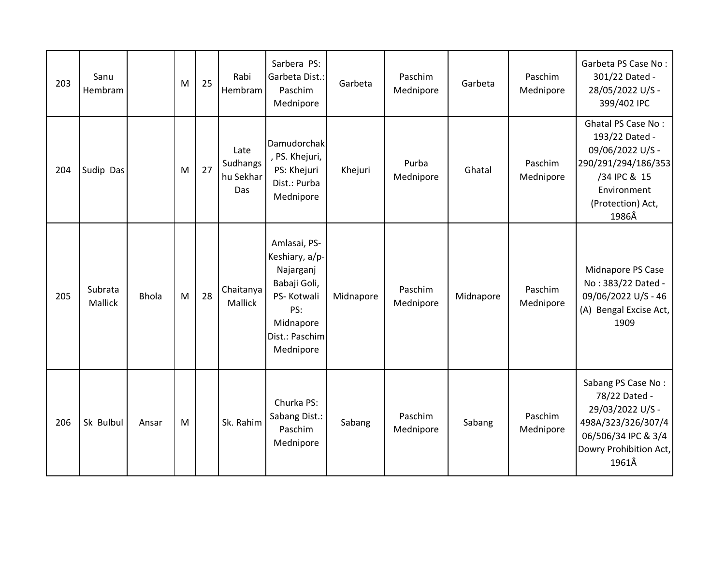| 203 | Sanu<br>Hembram           |              | M | 25 | Rabi<br>Hembram                      | Sarbera PS:<br>Garbeta Dist.:<br>Paschim<br>Mednipore                                                                        | Garbeta   | Paschim<br>Mednipore | Garbeta   | Paschim<br>Mednipore | Garbeta PS Case No:<br>301/22 Dated -<br>28/05/2022 U/S -<br>399/402 IPC                                                                            |
|-----|---------------------------|--------------|---|----|--------------------------------------|------------------------------------------------------------------------------------------------------------------------------|-----------|----------------------|-----------|----------------------|-----------------------------------------------------------------------------------------------------------------------------------------------------|
| 204 | Sudip Das                 |              | M | 27 | Late<br>Sudhangs<br>hu Sekhar<br>Das | Damudorchak<br>, PS. Khejuri,<br>PS: Khejuri<br>Dist.: Purba<br>Mednipore                                                    | Khejuri   | Purba<br>Mednipore   | Ghatal    | Paschim<br>Mednipore | <b>Ghatal PS Case No:</b><br>193/22 Dated -<br>09/06/2022 U/S -<br>290/291/294/186/353<br>/34 IPC & 15<br>Environment<br>(Protection) Act,<br>1986Â |
| 205 | Subrata<br><b>Mallick</b> | <b>Bhola</b> | M | 28 | Chaitanya<br><b>Mallick</b>          | Amlasai, PS-<br>Keshiary, a/p-<br>Najarganj<br>Babaji Goli,<br>PS-Kotwali<br>PS:<br>Midnapore<br>Dist.: Paschim<br>Mednipore | Midnapore | Paschim<br>Mednipore | Midnapore | Paschim<br>Mednipore | Midnapore PS Case<br>No: 383/22 Dated -<br>09/06/2022 U/S - 46<br>(A) Bengal Excise Act,<br>1909                                                    |
| 206 | Sk Bulbul                 | Ansar        | M |    | Sk. Rahim                            | Churka PS:<br>Sabang Dist.:<br>Paschim<br>Mednipore                                                                          | Sabang    | Paschim<br>Mednipore | Sabang    | Paschim<br>Mednipore | Sabang PS Case No:<br>78/22 Dated -<br>29/03/2022 U/S -<br>498A/323/326/307/4<br>06/506/34 IPC & 3/4<br>Dowry Prohibition Act,<br>1961Â             |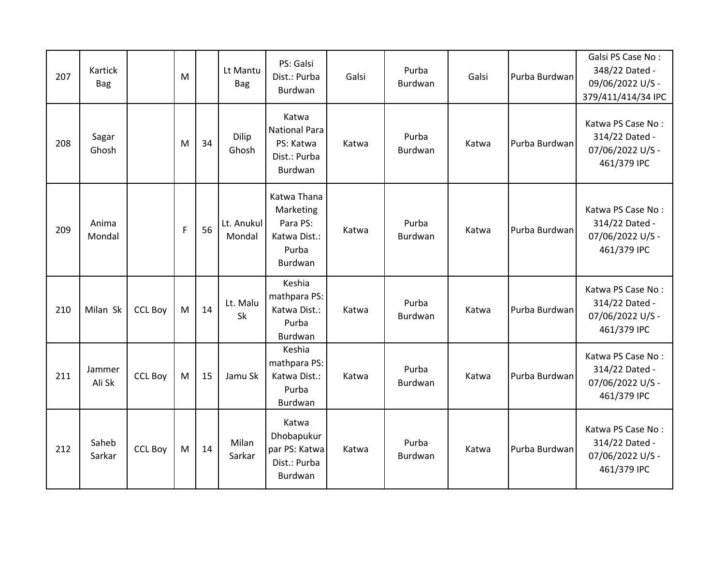| 207 | Kartick<br><b>Bag</b> |                | M |    | Lt Mantu<br><b>Bag</b> | PS: Galsi<br>Dist.: Purba<br>Burdwan                                     | Galsi | Purba<br>Burdwan | Galsi | Purba Burdwan | Galsi PS Case No:<br>348/22 Dated -<br>09/06/2022 U/S -<br>379/411/414/34 IPC |
|-----|-----------------------|----------------|---|----|------------------------|--------------------------------------------------------------------------|-------|------------------|-------|---------------|-------------------------------------------------------------------------------|
| 208 | Sagar<br>Ghosh        |                | M | 34 | Dilip<br>Ghosh         | Katwa<br><b>National Para</b><br>PS: Katwa<br>Dist.: Purba<br>Burdwan    | Katwa | Purba<br>Burdwan | Katwa | Purba Burdwan | Katwa PS Case No:<br>314/22 Dated -<br>07/06/2022 U/S -<br>461/379 IPC        |
| 209 | Anima<br>Mondal       |                | F | 56 | Lt. Anukul<br>Mondal   | Katwa Thana<br>Marketing<br>Para PS:<br>Katwa Dist.:<br>Purba<br>Burdwan | Katwa | Purba<br>Burdwan | Katwa | Purba Burdwan | Katwa PS Case No:<br>314/22 Dated -<br>07/06/2022 U/S -<br>461/379 IPC        |
| 210 | Milan Sk              | <b>CCL Boy</b> | M | 14 | Lt. Malu<br>Sk         | Keshia<br>mathpara PS:<br>Katwa Dist.:<br>Purba<br>Burdwan               | Katwa | Purba<br>Burdwan | Katwa | Purba Burdwan | Katwa PS Case No:<br>314/22 Dated -<br>07/06/2022 U/S -<br>461/379 IPC        |
| 211 | Jammer<br>Ali Sk      | <b>CCL Boy</b> | M | 15 | Jamu Sk                | Keshia<br>mathpara PS:<br>Katwa Dist.:<br>Purba<br>Burdwan               | Katwa | Purba<br>Burdwan | Katwa | Purba Burdwan | Katwa PS Case No:<br>314/22 Dated -<br>07/06/2022 U/S -<br>461/379 IPC        |
| 212 | Saheb<br>Sarkar       | <b>CCL Boy</b> | M | 14 | Milan<br>Sarkar        | Katwa<br>Dhobapukur<br>par PS: Katwa<br>Dist.: Purba<br>Burdwan          | Katwa | Purba<br>Burdwan | Katwa | Purba Burdwan | Katwa PS Case No:<br>314/22 Dated -<br>07/06/2022 U/S -<br>461/379 IPC        |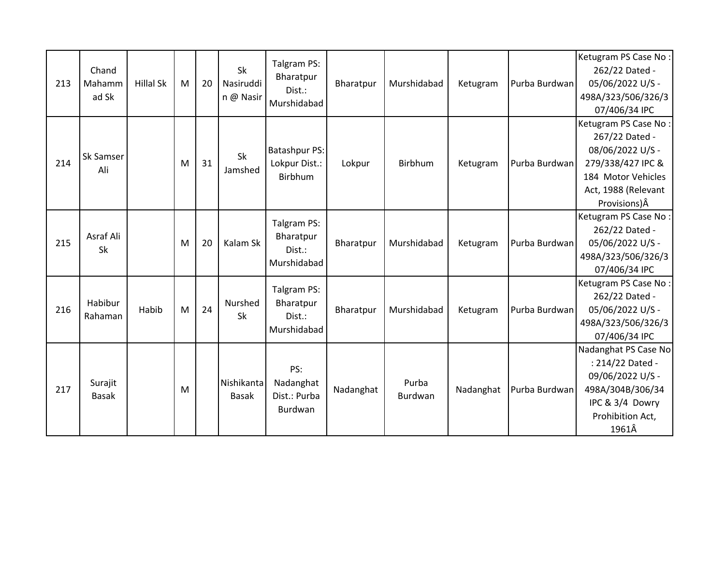| 213 | Chand<br>Mahamm<br>ad Sk | <b>Hillal Sk</b> | M | 20 | Sk<br>Nasiruddi<br>n @ Nasir | Talgram PS:<br>Bharatpur<br>Dist.:<br>Murshidabad | Bharatpur | Murshidabad             | Ketugram  | Purba Burdwan | Ketugram PS Case No:<br>262/22 Dated -<br>05/06/2022 U/S -<br>498A/323/506/326/3<br>07/406/34 IPC                                                     |
|-----|--------------------------|------------------|---|----|------------------------------|---------------------------------------------------|-----------|-------------------------|-----------|---------------|-------------------------------------------------------------------------------------------------------------------------------------------------------|
| 214 | Sk Samser<br>Ali         |                  | M | 31 | Sk<br>Jamshed                | <b>Batashpur PS:</b><br>Lokpur Dist.:<br>Birbhum  | Lokpur    | Birbhum                 | Ketugram  | Purba Burdwan | Ketugram PS Case No:<br>267/22 Dated -<br>08/06/2022 U/S -<br>279/338/427 IPC &<br>184 Motor Vehicles<br>Act, 1988 (Relevant<br>Provisions) $\hat{A}$ |
| 215 | Asraf Ali<br>Sk          |                  | M | 20 | Kalam Sk                     | Talgram PS:<br>Bharatpur<br>Dist.:<br>Murshidabad | Bharatpur | Murshidabad             | Ketugram  | Purba Burdwan | Ketugram PS Case No:<br>262/22 Dated -<br>05/06/2022 U/S -<br>498A/323/506/326/3<br>07/406/34 IPC                                                     |
| 216 | Habibur<br>Rahaman       | Habib            | M | 24 | Nurshed<br><b>Sk</b>         | Talgram PS:<br>Bharatpur<br>Dist.:<br>Murshidabad | Bharatpur | Murshidabad             | Ketugram  | Purba Burdwan | Ketugram PS Case No:<br>262/22 Dated -<br>05/06/2022 U/S -<br>498A/323/506/326/3<br>07/406/34 IPC                                                     |
| 217 | Surajit<br><b>Basak</b>  |                  | M |    | Nishikanta<br><b>Basak</b>   | PS:<br>Nadanghat<br>Dist.: Purba<br>Burdwan       | Nadanghat | Purba<br><b>Burdwan</b> | Nadanghat | Purba Burdwan | Nadanghat PS Case No<br>: 214/22 Dated -<br>09/06/2022 U/S -<br>498A/304B/306/34<br>IPC & 3/4 Dowry<br>Prohibition Act,<br>1961Â                      |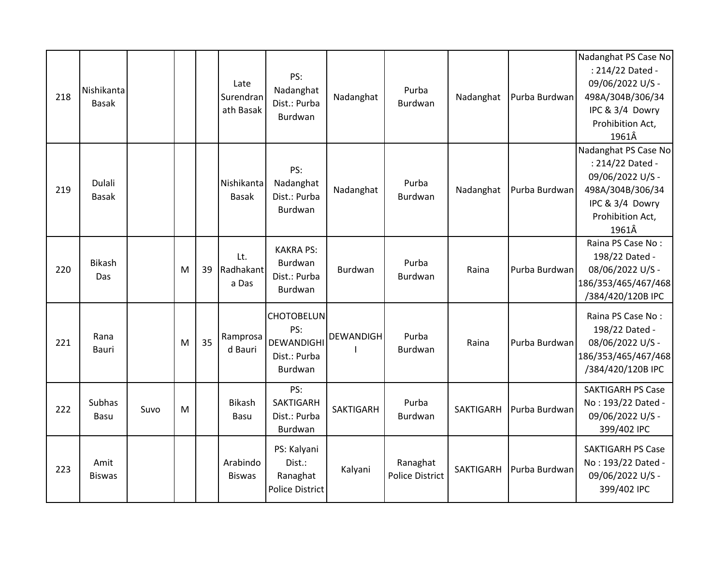|     |               |      |   |    |               |                   |                  |                        |                  |               | Nadanghat PS Case No     |
|-----|---------------|------|---|----|---------------|-------------------|------------------|------------------------|------------------|---------------|--------------------------|
|     |               |      |   |    |               | PS:               |                  |                        |                  |               | : 214/22 Dated -         |
|     | Nishikanta    |      |   |    | Late          | Nadanghat         |                  | Purba                  |                  |               | 09/06/2022 U/S -         |
| 218 | <b>Basak</b>  |      |   |    | Surendran     | Dist.: Purba      | Nadanghat        | Burdwan                | Nadanghat        | Purba Burdwan | 498A/304B/306/34         |
|     |               |      |   |    | ath Basak     | Burdwan           |                  |                        |                  |               | IPC & 3/4 Dowry          |
|     |               |      |   |    |               |                   |                  |                        |                  |               | Prohibition Act,         |
|     |               |      |   |    |               |                   |                  |                        |                  |               | 1961Â                    |
|     |               |      |   |    |               |                   |                  |                        |                  |               | Nadanghat PS Case No     |
|     |               |      |   |    |               | PS:               |                  |                        |                  |               | : 214/22 Dated -         |
|     | Dulali        |      |   |    | Nishikanta    | Nadanghat         |                  | Purba                  |                  |               | 09/06/2022 U/S -         |
| 219 | <b>Basak</b>  |      |   |    | <b>Basak</b>  | Dist.: Purba      | Nadanghat        | Burdwan                | Nadanghat        | Purba Burdwan | 498A/304B/306/34         |
|     |               |      |   |    |               | Burdwan           |                  |                        |                  |               | IPC & 3/4 Dowry          |
|     |               |      |   |    |               |                   |                  |                        |                  |               | Prohibition Act,         |
|     |               |      |   |    |               |                   |                  |                        |                  |               | 1961Â                    |
|     |               |      |   |    |               | <b>KAKRA PS:</b>  |                  |                        |                  |               | Raina PS Case No:        |
|     | Bikash        |      |   |    | Lt.           | <b>Burdwan</b>    |                  | Purba                  |                  |               | 198/22 Dated -           |
| 220 | Das           |      | M | 39 | Radhakant     | Dist.: Purba      | Burdwan          | Burdwan                | Raina            | Purba Burdwan | 08/06/2022 U/S -         |
|     |               |      |   |    | a Das         | Burdwan           |                  |                        |                  |               | 186/353/465/467/468      |
|     |               |      |   |    |               |                   |                  |                        |                  |               | /384/420/120B IPC        |
|     |               |      |   |    |               | <b>CHOTOBELUN</b> |                  |                        |                  |               | Raina PS Case No:        |
|     |               |      |   |    |               | PS:               |                  |                        |                  |               | 198/22 Dated -           |
| 221 | Rana          |      | M | 35 | Ramprosa      | DEWANDIGHI        | <b>DEWANDIGH</b> | Purba                  | Raina            | Purba Burdwan | 08/06/2022 U/S -         |
|     | Bauri         |      |   |    | d Bauri       | Dist.: Purba      |                  | Burdwan                |                  |               | 186/353/465/467/468      |
|     |               |      |   |    |               | Burdwan           |                  |                        |                  |               | /384/420/120B IPC        |
|     |               |      |   |    |               |                   |                  |                        |                  |               |                          |
|     |               |      |   |    |               | PS:               |                  |                        |                  |               | <b>SAKTIGARH PS Case</b> |
| 222 | <b>Subhas</b> | Suvo | M |    | <b>Bikash</b> | <b>SAKTIGARH</b>  | <b>SAKTIGARH</b> | Purba                  | SAKTIGARH        | Purba Burdwan | No: 193/22 Dated -       |
|     | Basu          |      |   |    | Basu          | Dist.: Purba      |                  | Burdwan                |                  |               | 09/06/2022 U/S -         |
|     |               |      |   |    |               | Burdwan           |                  |                        |                  |               | 399/402 IPC              |
|     |               |      |   |    |               | PS: Kalyani       |                  |                        |                  |               | <b>SAKTIGARH PS Case</b> |
|     | Amit          |      |   |    | Arabindo      | Dist.:            |                  | Ranaghat               |                  |               | No: 193/22 Dated -       |
| 223 | <b>Biswas</b> |      |   |    | <b>Biswas</b> | Ranaghat          | Kalyani          | <b>Police District</b> | <b>SAKTIGARH</b> | Purba Burdwan | 09/06/2022 U/S -         |
|     |               |      |   |    |               | Police District   |                  |                        |                  |               | 399/402 IPC              |
|     |               |      |   |    |               |                   |                  |                        |                  |               |                          |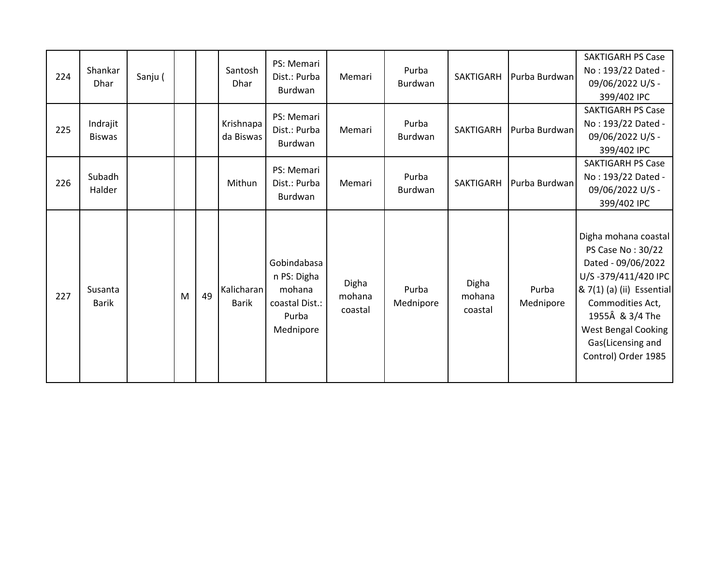| 224 | Shankar<br><b>Dhar</b>    | Sanju ( |   |    | Santosh<br>Dhar            | PS: Memari<br>Dist.: Purba<br>Burdwan                                        | Memari                     | Purba<br>Burdwan   | SAKTIGARH                  | Purba Burdwan      | <b>SAKTIGARH PS Case</b><br>No: 193/22 Dated -<br>09/06/2022 U/S -<br>399/402 IPC                                                                                                                                                    |
|-----|---------------------------|---------|---|----|----------------------------|------------------------------------------------------------------------------|----------------------------|--------------------|----------------------------|--------------------|--------------------------------------------------------------------------------------------------------------------------------------------------------------------------------------------------------------------------------------|
| 225 | Indrajit<br><b>Biswas</b> |         |   |    | Krishnapa<br>da Biswas     | PS: Memari<br>Dist.: Purba<br>Burdwan                                        | Memari                     | Purba<br>Burdwan   | SAKTIGARH                  | Purba Burdwan      | <b>SAKTIGARH PS Case</b><br>No: 193/22 Dated -<br>09/06/2022 U/S -<br>399/402 IPC                                                                                                                                                    |
| 226 | Subadh<br>Halder          |         |   |    | Mithun                     | PS: Memari<br>Dist.: Purba<br>Burdwan                                        | Memari                     | Purba<br>Burdwan   | SAKTIGARH                  | Purba Burdwan      | <b>SAKTIGARH PS Case</b><br>No: 193/22 Dated -<br>09/06/2022 U/S -<br>399/402 IPC                                                                                                                                                    |
| 227 | Susanta<br><b>Barik</b>   |         | M | 49 | Kalicharan<br><b>Barik</b> | Gobindabasa<br>n PS: Digha<br>mohana<br>coastal Dist.:<br>Purba<br>Mednipore | Digha<br>mohana<br>coastal | Purba<br>Mednipore | Digha<br>mohana<br>coastal | Purba<br>Mednipore | Digha mohana coastal<br>PS Case No: 30/22<br>Dated - 09/06/2022<br>U/S-379/411/420 IPC<br>& 7(1) (a) (ii) Essential<br>Commodities Act,<br>1955Â & 3/4 The<br><b>West Bengal Cooking</b><br>Gas(Licensing and<br>Control) Order 1985 |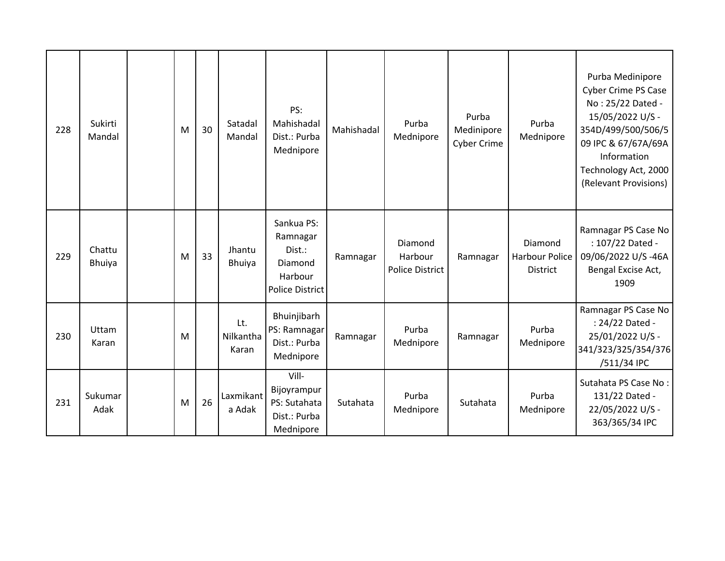| 228 | Sukirti<br>Mandal       | M | 30 | Satadal<br>Mandal         | PS:<br>Mahishadal<br>Dist.: Purba<br>Mednipore                                   | Mahishadal | Purba<br>Mednipore                    | Purba<br>Medinipore<br><b>Cyber Crime</b> | Purba<br>Mednipore                                  | Purba Medinipore<br><b>Cyber Crime PS Case</b><br>No: 25/22 Dated -<br>15/05/2022 U/S -<br>354D/499/500/506/5<br>09 IPC & 67/67A/69A<br>Information<br>Technology Act, 2000<br>(Relevant Provisions) |
|-----|-------------------------|---|----|---------------------------|----------------------------------------------------------------------------------|------------|---------------------------------------|-------------------------------------------|-----------------------------------------------------|------------------------------------------------------------------------------------------------------------------------------------------------------------------------------------------------------|
| 229 | Chattu<br><b>Bhuiya</b> | M | 33 | Jhantu<br>Bhuiya          | Sankua PS:<br>Ramnagar<br>Dist.:<br>Diamond<br>Harbour<br><b>Police District</b> | Ramnagar   | Diamond<br>Harbour<br>Police District | Ramnagar                                  | Diamond<br><b>Harbour Police</b><br><b>District</b> | Ramnagar PS Case No<br>: 107/22 Dated -<br>09/06/2022 U/S-46A<br>Bengal Excise Act,<br>1909                                                                                                          |
| 230 | Uttam<br>Karan          | M |    | Lt.<br>Nilkantha<br>Karan | Bhuinjibarh<br>PS: Ramnagar<br>Dist.: Purba<br>Mednipore                         | Ramnagar   | Purba<br>Mednipore                    | Ramnagar                                  | Purba<br>Mednipore                                  | Ramnagar PS Case No<br>: 24/22 Dated -<br>25/01/2022 U/S -<br>341/323/325/354/376<br>/511/34 IPC                                                                                                     |
| 231 | Sukumar<br>Adak         | M | 26 | Laxmikant<br>a Adak       | Vill-<br>Bijoyrampur<br>PS: Sutahata<br>Dist.: Purba<br>Mednipore                | Sutahata   | Purba<br>Mednipore                    | Sutahata                                  | Purba<br>Mednipore                                  | Sutahata PS Case No:<br>131/22 Dated -<br>22/05/2022 U/S -<br>363/365/34 IPC                                                                                                                         |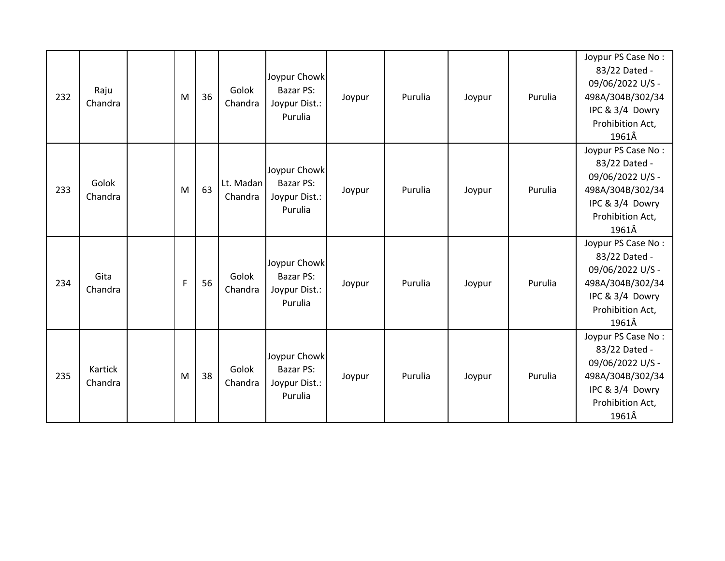| 232 | Raju<br>Chandra    | M              | 36 | Golok<br>Chandra     | Joypur Chowk<br>Bazar PS:<br>Joypur Dist.:<br>Purulia        | Joypur | Purulia | Joypur | Purulia | Joypur PS Case No:<br>83/22 Dated -<br>09/06/2022 U/S -<br>498A/304B/302/34<br>IPC & 3/4 Dowry<br>Prohibition Act,<br>1961Â |
|-----|--------------------|----------------|----|----------------------|--------------------------------------------------------------|--------|---------|--------|---------|-----------------------------------------------------------------------------------------------------------------------------|
| 233 | Golok<br>Chandra   | M              | 63 | Lt. Madan<br>Chandra | Joypur Chowk<br>Bazar PS:<br>Joypur Dist.:<br>Purulia        | Joypur | Purulia | Joypur | Purulia | Joypur PS Case No:<br>83/22 Dated -<br>09/06/2022 U/S -<br>498A/304B/302/34<br>IPC & 3/4 Dowry<br>Prohibition Act,<br>1961Â |
| 234 | Gita<br>Chandra    | $\overline{F}$ | 56 | Golok<br>Chandra     | Joypur Chowk<br>Bazar PS:<br>Joypur Dist.:<br>Purulia        | Joypur | Purulia | Joypur | Purulia | Joypur PS Case No:<br>83/22 Dated -<br>09/06/2022 U/S -<br>498A/304B/302/34<br>IPC & 3/4 Dowry<br>Prohibition Act,<br>1961Â |
| 235 | Kartick<br>Chandra | M              | 38 | Golok<br>Chandra     | Joypur Chowk<br><b>Bazar PS:</b><br>Joypur Dist.:<br>Purulia | Joypur | Purulia | Joypur | Purulia | Joypur PS Case No:<br>83/22 Dated -<br>09/06/2022 U/S -<br>498A/304B/302/34<br>IPC & 3/4 Dowry<br>Prohibition Act,<br>1961Â |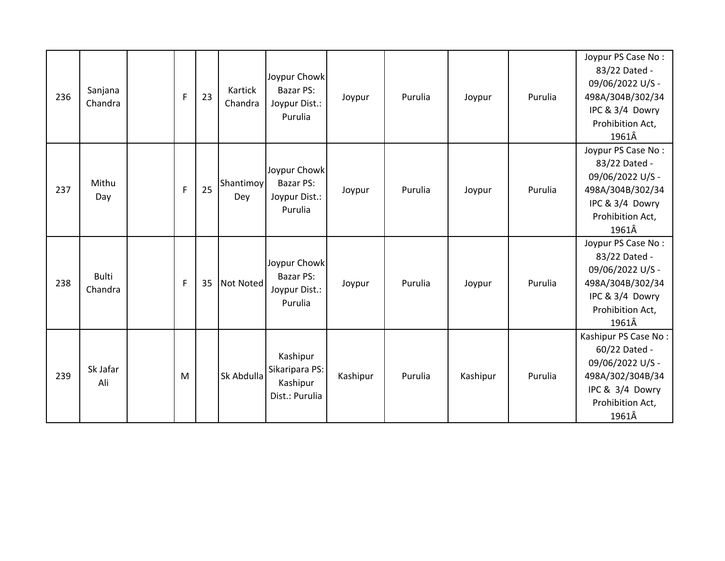| 236 | Sanjana<br>Chandra      | $\mathsf{F}$ | 23 | Kartick<br>Chandra | Joypur Chowk<br>Bazar PS:<br>Joypur Dist.:<br>Purulia    | Joypur   | Purulia | Joypur   | Purulia | Joypur PS Case No:<br>83/22 Dated -<br>09/06/2022 U/S -<br>498A/304B/302/34<br>IPC & 3/4 Dowry<br>Prohibition Act,<br>1961Â   |
|-----|-------------------------|--------------|----|--------------------|----------------------------------------------------------|----------|---------|----------|---------|-------------------------------------------------------------------------------------------------------------------------------|
| 237 | Mithu<br>Day            | F            | 25 | Shantimoy<br>Dey   | Joypur Chowk<br>Bazar PS:<br>Joypur Dist.:<br>Purulia    | Joypur   | Purulia | Joypur   | Purulia | Joypur PS Case No:<br>83/22 Dated -<br>09/06/2022 U/S -<br>498A/304B/302/34<br>IPC & 3/4 Dowry<br>Prohibition Act,<br>1961Â   |
| 238 | <b>Bulti</b><br>Chandra | $\mathsf{F}$ | 35 | Not Noted          | Joypur Chowk<br>Bazar PS:<br>Joypur Dist.:<br>Purulia    | Joypur   | Purulia | Joypur   | Purulia | Joypur PS Case No:<br>83/22 Dated -<br>09/06/2022 U/S -<br>498A/304B/302/34<br>IPC & 3/4 Dowry<br>Prohibition Act,<br>1961Â   |
| 239 | Sk Jafar<br>Ali         | M            |    | Sk Abdulla         | Kashipur<br>Sikaripara PS:<br>Kashipur<br>Dist.: Purulia | Kashipur | Purulia | Kashipur | Purulia | Kashipur PS Case No:<br>60/22 Dated -<br>09/06/2022 U/S -<br>498A/302/304B/34<br>IPC & 3/4 Dowry<br>Prohibition Act,<br>1961Â |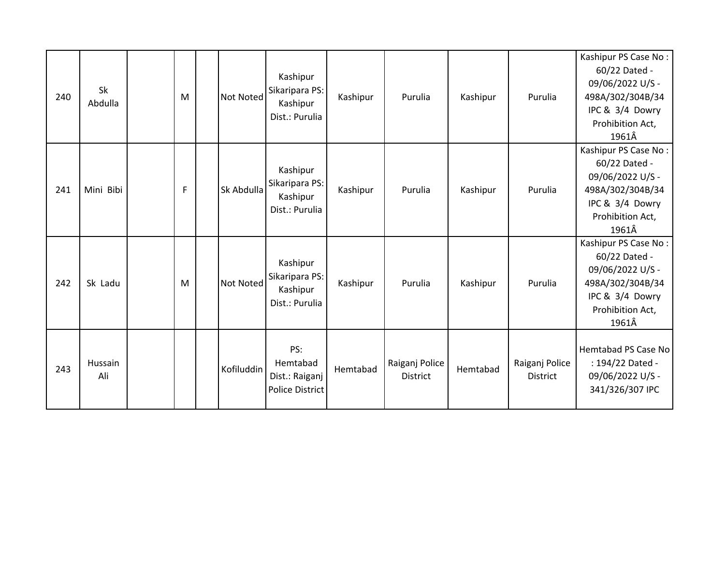| 240 | Sk<br>Abdulla  | M | Not Noted  | Kashipur<br>Sikaripara PS:<br>Kashipur<br>Dist.: Purulia | Kashipur | Purulia                           | Kashipur | Purulia                    | Kashipur PS Case No:<br>60/22 Dated -<br>09/06/2022 U/S -<br>498A/302/304B/34<br>IPC & 3/4 Dowry<br>Prohibition Act,<br>1961Â |
|-----|----------------|---|------------|----------------------------------------------------------|----------|-----------------------------------|----------|----------------------------|-------------------------------------------------------------------------------------------------------------------------------|
| 241 | Mini Bibi      | F | Sk Abdulla | Kashipur<br>Sikaripara PS:<br>Kashipur<br>Dist.: Purulia | Kashipur | Purulia                           | Kashipur | Purulia                    | Kashipur PS Case No:<br>60/22 Dated -<br>09/06/2022 U/S -<br>498A/302/304B/34<br>IPC & 3/4 Dowry<br>Prohibition Act,<br>1961Â |
| 242 | Sk Ladu        | M | Not Noted  | Kashipur<br>Sikaripara PS:<br>Kashipur<br>Dist.: Purulia | Kashipur | Purulia                           | Kashipur | Purulia                    | Kashipur PS Case No:<br>60/22 Dated -<br>09/06/2022 U/S -<br>498A/302/304B/34<br>IPC & 3/4 Dowry<br>Prohibition Act,<br>1961Â |
| 243 | Hussain<br>Ali |   | Kofiluddin | PS:<br>Hemtabad<br>Dist.: Raiganj<br>Police District     | Hemtabad | Raiganj Police<br><b>District</b> | Hemtabad | Raiganj Police<br>District | Hemtabad PS Case No<br>: 194/22 Dated -<br>09/06/2022 U/S -<br>341/326/307 IPC                                                |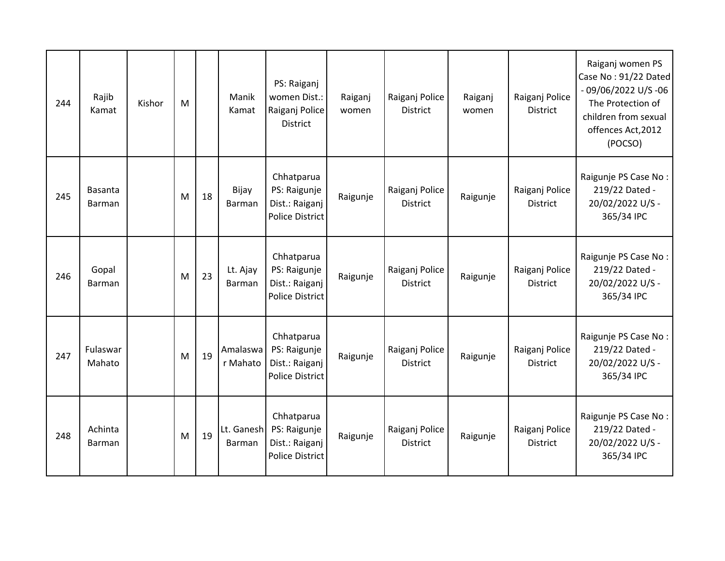| 244 | Rajib<br>Kamat           | Kishor | M |    | Manik<br>Kamat       | PS: Raiganj<br>women Dist.:<br>Raiganj Police<br><b>District</b>       | Raiganj<br>women | Raiganj Police<br><b>District</b> | Raiganj<br>women | Raiganj Police<br><b>District</b> | Raiganj women PS<br>Case No: 91/22 Dated<br>$-09/06/2022$ U/S $-06$<br>The Protection of<br>children from sexual<br>offences Act, 2012<br>(POCSO) |
|-----|--------------------------|--------|---|----|----------------------|------------------------------------------------------------------------|------------------|-----------------------------------|------------------|-----------------------------------|---------------------------------------------------------------------------------------------------------------------------------------------------|
| 245 | Basanta<br><b>Barman</b> |        | M | 18 | Bijay<br>Barman      | Chhatparua<br>PS: Raigunje<br>Dist.: Raiganj<br><b>Police District</b> | Raigunje         | Raiganj Police<br><b>District</b> | Raigunje         | Raiganj Police<br><b>District</b> | Raigunje PS Case No:<br>219/22 Dated -<br>20/02/2022 U/S -<br>365/34 IPC                                                                          |
| 246 | Gopal<br>Barman          |        | M | 23 | Lt. Ajay<br>Barman   | Chhatparua<br>PS: Raigunje<br>Dist.: Raiganj<br><b>Police District</b> | Raigunje         | Raiganj Police<br><b>District</b> | Raigunje         | Raiganj Police<br><b>District</b> | Raigunje PS Case No:<br>219/22 Dated -<br>20/02/2022 U/S -<br>365/34 IPC                                                                          |
| 247 | Fulaswar<br>Mahato       |        | M | 19 | Amalaswa<br>r Mahato | Chhatparua<br>PS: Raigunje<br>Dist.: Raiganj<br><b>Police District</b> | Raigunje         | Raiganj Police<br><b>District</b> | Raigunje         | Raiganj Police<br><b>District</b> | Raigunje PS Case No:<br>219/22 Dated -<br>20/02/2022 U/S -<br>365/34 IPC                                                                          |
| 248 | Achinta<br><b>Barman</b> |        | M | 19 | Lt. Ganesh<br>Barman | Chhatparua<br>PS: Raigunje<br>Dist.: Raiganj<br><b>Police District</b> | Raigunje         | Raiganj Police<br><b>District</b> | Raigunje         | Raiganj Police<br><b>District</b> | Raigunje PS Case No:<br>219/22 Dated -<br>20/02/2022 U/S -<br>365/34 IPC                                                                          |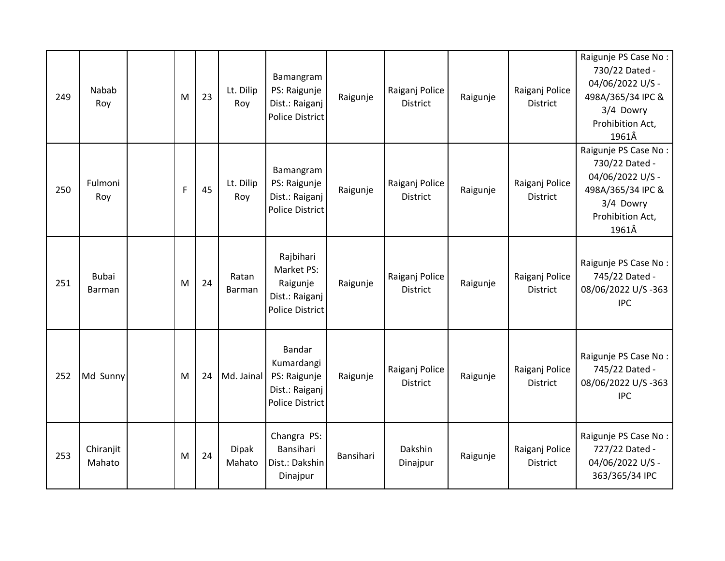| 249 | <b>Nabab</b><br>Roy    | M            | 23 | Lt. Dilip<br>Roy | Bamangram<br>PS: Raigunje<br>Dist.: Raiganj<br><b>Police District</b>                   | Raigunje  | Raiganj Police<br><b>District</b> | Raigunje | Raiganj Police<br><b>District</b> | Raigunje PS Case No:<br>730/22 Dated -<br>04/06/2022 U/S -<br>498A/365/34 IPC &<br>3/4 Dowry<br>Prohibition Act,<br>1961Â |
|-----|------------------------|--------------|----|------------------|-----------------------------------------------------------------------------------------|-----------|-----------------------------------|----------|-----------------------------------|---------------------------------------------------------------------------------------------------------------------------|
| 250 | Fulmoni<br>Roy         | $\mathsf{F}$ | 45 | Lt. Dilip<br>Roy | Bamangram<br>PS: Raigunje<br>Dist.: Raiganj<br><b>Police District</b>                   | Raigunje  | Raiganj Police<br><b>District</b> | Raigunje | Raiganj Police<br><b>District</b> | Raigunje PS Case No:<br>730/22 Dated -<br>04/06/2022 U/S -<br>498A/365/34 IPC &<br>3/4 Dowry<br>Prohibition Act,<br>1961Â |
| 251 | <b>Bubai</b><br>Barman | M            | 24 | Ratan<br>Barman  | Rajbihari<br>Market PS:<br>Raigunje<br>Dist.: Raiganj<br><b>Police District</b>         | Raigunje  | Raiganj Police<br><b>District</b> | Raigunje | Raiganj Police<br><b>District</b> | Raigunje PS Case No:<br>745/22 Dated -<br>08/06/2022 U/S-363<br><b>IPC</b>                                                |
| 252 | Md Sunny               | M            | 24 | Md. Jainal       | <b>Bandar</b><br>Kumardangi<br>PS: Raigunje<br>Dist.: Raiganj<br><b>Police District</b> | Raigunje  | Raiganj Police<br><b>District</b> | Raigunje | Raiganj Police<br><b>District</b> | Raigunje PS Case No:<br>745/22 Dated -<br>08/06/2022 U/S-363<br><b>IPC</b>                                                |
| 253 | Chiranjit<br>Mahato    | M            | 24 | Dipak<br>Mahato  | Changra PS:<br>Bansihari<br>Dist.: Dakshin<br>Dinajpur                                  | Bansihari | Dakshin<br>Dinajpur               | Raigunje | Raiganj Police<br><b>District</b> | Raigunje PS Case No:<br>727/22 Dated -<br>04/06/2022 U/S -<br>363/365/34 IPC                                              |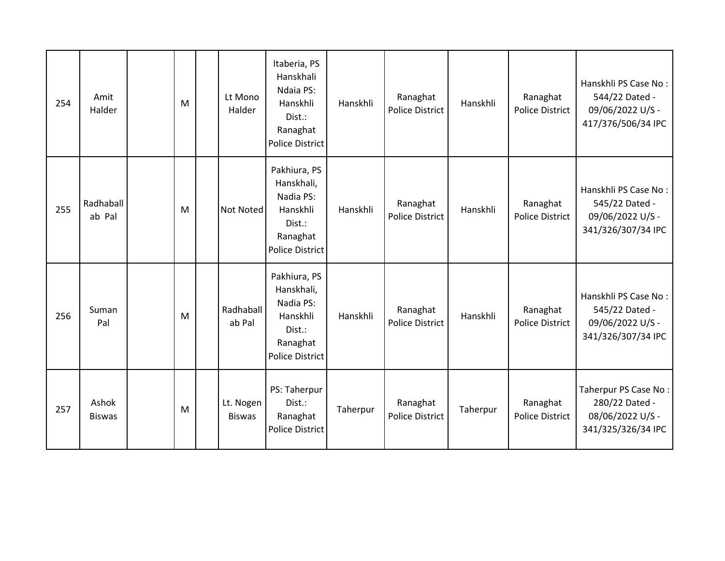| 254 | Amit<br>Halder         | M | Lt Mono<br>Halder          | Itaberia, PS<br>Hanskhali<br>Ndaia PS:<br>Hanskhli<br>Dist.:<br>Ranaghat<br><b>Police District</b>  | Hanskhli | Ranaghat<br><b>Police District</b> | Hanskhli | Ranaghat<br><b>Police District</b> | Hanskhli PS Case No:<br>544/22 Dated -<br>09/06/2022 U/S -<br>417/376/506/34 IPC |
|-----|------------------------|---|----------------------------|-----------------------------------------------------------------------------------------------------|----------|------------------------------------|----------|------------------------------------|----------------------------------------------------------------------------------|
| 255 | Radhaball<br>ab Pal    | M | Not Noted                  | Pakhiura, PS<br>Hanskhali,<br>Nadia PS:<br>Hanskhli<br>Dist.:<br>Ranaghat<br><b>Police District</b> | Hanskhli | Ranaghat<br>Police District        | Hanskhli | Ranaghat<br>Police District        | Hanskhli PS Case No:<br>545/22 Dated -<br>09/06/2022 U/S -<br>341/326/307/34 IPC |
| 256 | Suman<br>Pal           | M | Radhaball<br>ab Pal        | Pakhiura, PS<br>Hanskhali,<br>Nadia PS:<br>Hanskhli<br>Dist.:<br>Ranaghat<br><b>Police District</b> | Hanskhli | Ranaghat<br>Police District        | Hanskhli | Ranaghat<br><b>Police District</b> | Hanskhli PS Case No:<br>545/22 Dated -<br>09/06/2022 U/S -<br>341/326/307/34 IPC |
| 257 | Ashok<br><b>Biswas</b> | M | Lt. Nogen<br><b>Biswas</b> | PS: Taherpur<br>Dist.:<br>Ranaghat<br><b>Police District</b>                                        | Taherpur | Ranaghat<br><b>Police District</b> | Taherpur | Ranaghat<br><b>Police District</b> | Taherpur PS Case No:<br>280/22 Dated -<br>08/06/2022 U/S -<br>341/325/326/34 IPC |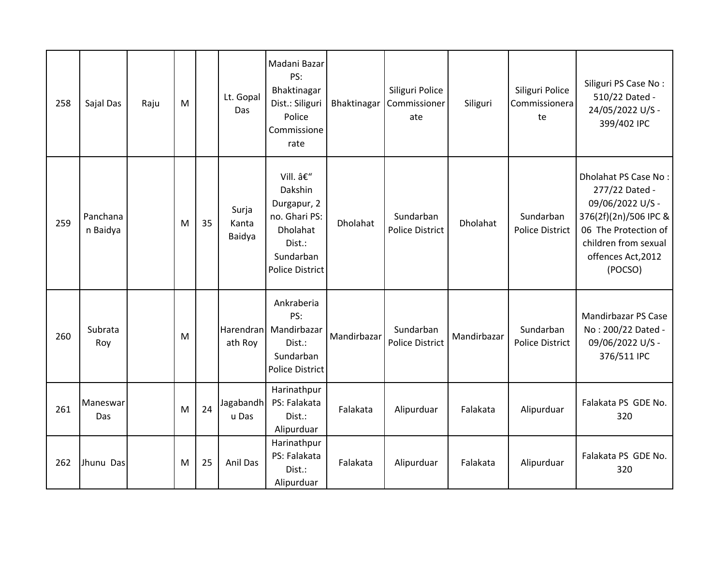| 258 | Sajal Das            | Raju | M |    | Lt. Gopal<br>Das         | Madani Bazar<br>PS:<br>Bhaktinagar<br>Dist.: Siliguri<br>Police<br>Commissione<br>rate                          | Bhaktinagar | Siliguri Police<br>Commissioner<br>ate | Siliguri    | Siliguri Police<br>Commissionera<br>te | Siliguri PS Case No:<br>510/22 Dated -<br>24/05/2022 U/S -<br>399/402 IPC                                                                                            |
|-----|----------------------|------|---|----|--------------------------|-----------------------------------------------------------------------------------------------------------------|-------------|----------------------------------------|-------------|----------------------------------------|----------------------------------------------------------------------------------------------------------------------------------------------------------------------|
| 259 | Panchana<br>n Baidya |      | M | 35 | Surja<br>Kanta<br>Baidya | Vill. –<br>Dakshin<br>Durgapur, 2<br>no. Ghari PS:<br>Dholahat<br>Dist.:<br>Sundarban<br><b>Police District</b> | Dholahat    | Sundarban<br><b>Police District</b>    | Dholahat    | Sundarban<br><b>Police District</b>    | Dholahat PS Case No:<br>277/22 Dated -<br>09/06/2022 U/S -<br>376(2f)(2n)/506 IPC &<br>06 The Protection of<br>children from sexual<br>offences Act, 2012<br>(POCSO) |
| 260 | Subrata<br>Roy       |      | M |    | Harendran<br>ath Roy     | Ankraberia<br>PS:<br>Mandirbazar<br>Dist.:<br>Sundarban<br>Police District                                      | Mandirbazar | Sundarban<br>Police District           | Mandirbazar | Sundarban<br><b>Police District</b>    | <b>Mandirbazar PS Case</b><br>No: 200/22 Dated -<br>09/06/2022 U/S -<br>376/511 IPC                                                                                  |
| 261 | Maneswar<br>Das      |      | M | 24 | Jagabandh<br>u Das       | Harinathpur<br>PS: Falakata<br>Dist.:<br>Alipurduar                                                             | Falakata    | Alipurduar                             | Falakata    | Alipurduar                             | Falakata PS GDE No.<br>320                                                                                                                                           |
| 262 | Jhunu Das            |      | M | 25 | Anil Das                 | Harinathpur<br>PS: Falakata<br>Dist.:<br>Alipurduar                                                             | Falakata    | Alipurduar                             | Falakata    | Alipurduar                             | Falakata PS GDE No.<br>320                                                                                                                                           |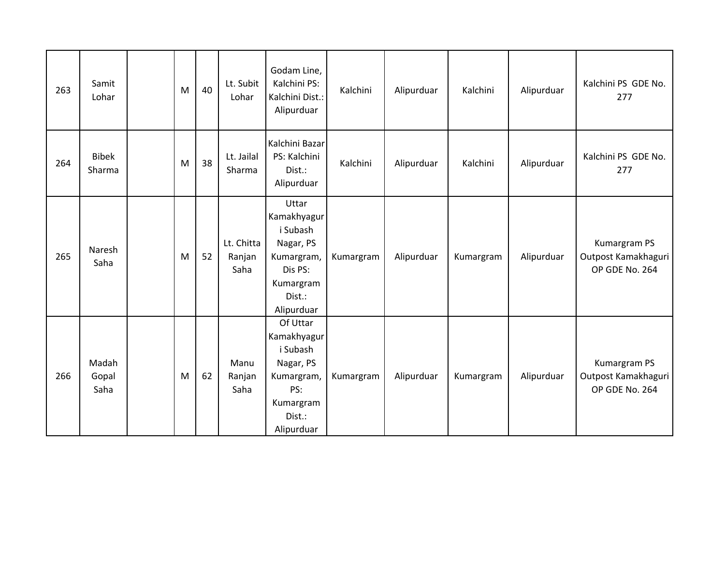| 263 | Samit<br>Lohar         | M | 40 | Lt. Subit<br>Lohar           | Godam Line,<br>Kalchini PS:<br>Kalchini Dist.:<br>Alipurduar                                                | Kalchini  | Alipurduar | Kalchini  | Alipurduar | Kalchini PS GDE No.<br>277                            |
|-----|------------------------|---|----|------------------------------|-------------------------------------------------------------------------------------------------------------|-----------|------------|-----------|------------|-------------------------------------------------------|
| 264 | <b>Bibek</b><br>Sharma | M | 38 | Lt. Jailal<br>Sharma         | Kalchini Bazar<br>PS: Kalchini<br>Dist.:<br>Alipurduar                                                      | Kalchini  | Alipurduar | Kalchini  | Alipurduar | Kalchini PS GDE No.<br>277                            |
| 265 | Naresh<br>Saha         | M | 52 | Lt. Chitta<br>Ranjan<br>Saha | Uttar<br>Kamakhyagur<br>i Subash<br>Nagar, PS<br>Kumargram,<br>Dis PS:<br>Kumargram<br>Dist.:<br>Alipurduar | Kumargram | Alipurduar | Kumargram | Alipurduar | Kumargram PS<br>Outpost Kamakhaguri<br>OP GDE No. 264 |
| 266 | Madah<br>Gopal<br>Saha | M | 62 | Manu<br>Ranjan<br>Saha       | Of Uttar<br>Kamakhyagur<br>i Subash<br>Nagar, PS<br>Kumargram,<br>PS:<br>Kumargram<br>Dist.:<br>Alipurduar  | Kumargram | Alipurduar | Kumargram | Alipurduar | Kumargram PS<br>Outpost Kamakhaguri<br>OP GDE No. 264 |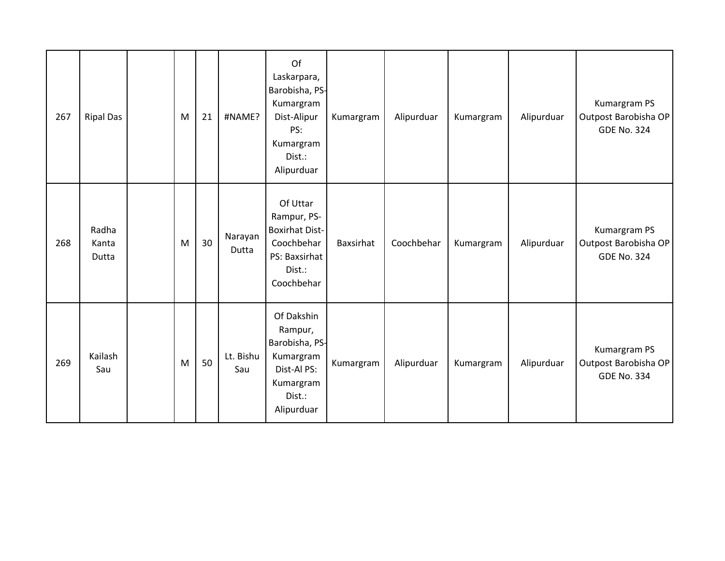| 267 | <b>Ripal Das</b>        | M | 21 | #NAME?           | Of<br>Laskarpara,<br>Barobisha, PS-<br>Kumargram<br>Dist-Alipur<br>PS:<br>Kumargram<br>Dist.:<br>Alipurduar | Kumargram | Alipurduar | Kumargram | Alipurduar | Kumargram PS<br>Outpost Barobisha OP<br><b>GDE No. 324</b> |
|-----|-------------------------|---|----|------------------|-------------------------------------------------------------------------------------------------------------|-----------|------------|-----------|------------|------------------------------------------------------------|
| 268 | Radha<br>Kanta<br>Dutta | M | 30 | Narayan<br>Dutta | Of Uttar<br>Rampur, PS-<br><b>Boxirhat Dist-</b><br>Coochbehar<br>PS: Baxsirhat<br>Dist.:<br>Coochbehar     | Baxsirhat | Coochbehar | Kumargram | Alipurduar | Kumargram PS<br>Outpost Barobisha OP<br><b>GDE No. 324</b> |
| 269 | Kailash<br>Sau          | M | 50 | Lt. Bishu<br>Sau | Of Dakshin<br>Rampur,<br>Barobisha, PS-<br>Kumargram<br>Dist-Al PS:<br>Kumargram<br>Dist.:<br>Alipurduar    | Kumargram | Alipurduar | Kumargram | Alipurduar | Kumargram PS<br>Outpost Barobisha OP<br><b>GDE No. 334</b> |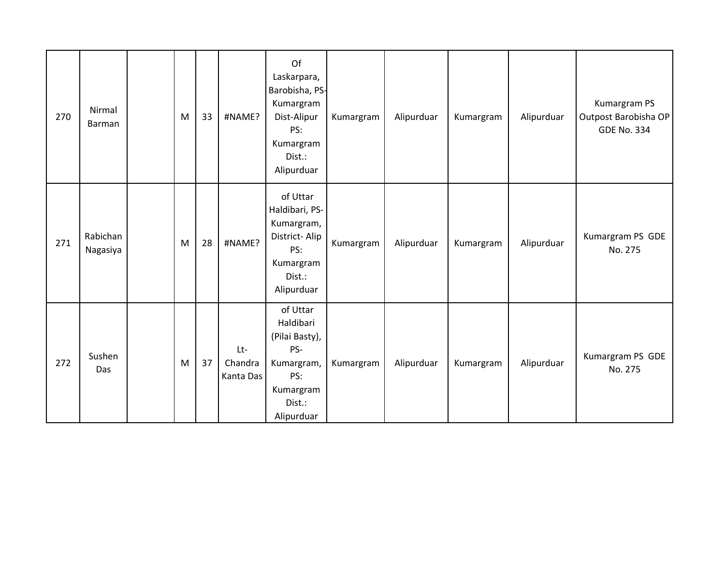| 270 | Nirmal<br>Barman     | M         | 33 | #NAME?                      | Of<br>Laskarpara,<br>Barobisha, PS-<br>Kumargram<br>Dist-Alipur<br>PS:<br>Kumargram<br>Dist.:<br>Alipurduar | Kumargram | Alipurduar | Kumargram | Alipurduar | Kumargram PS<br>Outpost Barobisha OP<br><b>GDE No. 334</b> |
|-----|----------------------|-----------|----|-----------------------------|-------------------------------------------------------------------------------------------------------------|-----------|------------|-----------|------------|------------------------------------------------------------|
| 271 | Rabichan<br>Nagasiya | M         | 28 | #NAME?                      | of Uttar<br>Haldibari, PS-<br>Kumargram,<br>District-Alip<br>PS:<br>Kumargram<br>Dist.:<br>Alipurduar       | Kumargram | Alipurduar | Kumargram | Alipurduar | Kumargram PS GDE<br>No. 275                                |
| 272 | Sushen<br>Das        | ${\sf M}$ | 37 | Lt-<br>Chandra<br>Kanta Das | of Uttar<br>Haldibari<br>(Pilai Basty),<br>PS-<br>Kumargram,<br>PS:<br>Kumargram<br>Dist.:<br>Alipurduar    | Kumargram | Alipurduar | Kumargram | Alipurduar | Kumargram PS GDE<br>No. 275                                |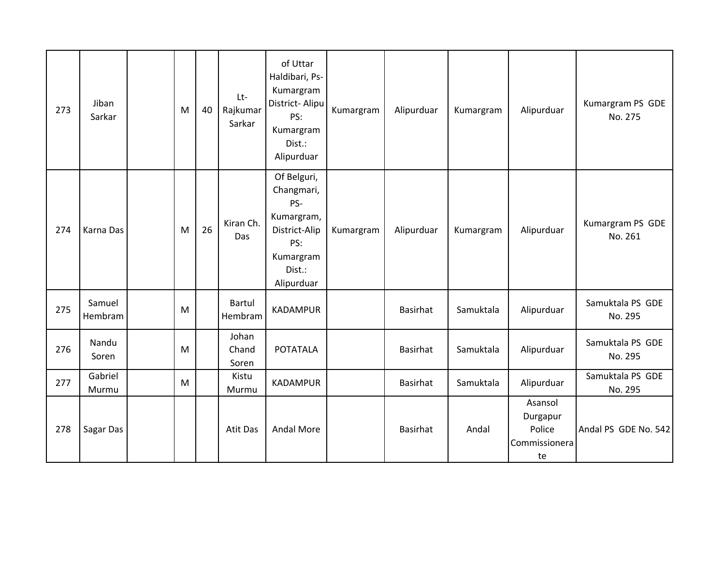| 273 | Jiban<br>Sarkar   | M | 40 | Lt-<br>Rajkumar<br>Sarkar | of Uttar<br>Haldibari, Ps-<br>Kumargram<br>District-Alipu<br>PS:<br>Kumargram<br>Dist.:<br>Alipurduar       | Kumargram | Alipurduar | Kumargram | Alipurduar                                           | Kumargram PS GDE<br>No. 275 |
|-----|-------------------|---|----|---------------------------|-------------------------------------------------------------------------------------------------------------|-----------|------------|-----------|------------------------------------------------------|-----------------------------|
| 274 | Karna Das         | M | 26 | Kiran Ch.<br>Das          | Of Belguri,<br>Changmari,<br>PS-<br>Kumargram,<br>District-Alip<br>PS:<br>Kumargram<br>Dist.:<br>Alipurduar | Kumargram | Alipurduar | Kumargram | Alipurduar                                           | Kumargram PS GDE<br>No. 261 |
| 275 | Samuel<br>Hembram | M |    | <b>Bartul</b><br>Hembram  | <b>KADAMPUR</b>                                                                                             |           | Basirhat   | Samuktala | Alipurduar                                           | Samuktala PS GDE<br>No. 295 |
| 276 | Nandu<br>Soren    | M |    | Johan<br>Chand<br>Soren   | <b>POTATALA</b>                                                                                             |           | Basirhat   | Samuktala | Alipurduar                                           | Samuktala PS GDE<br>No. 295 |
| 277 | Gabriel<br>Murmu  | M |    | Kistu<br>Murmu            | <b>KADAMPUR</b>                                                                                             |           | Basirhat   | Samuktala | Alipurduar                                           | Samuktala PS GDE<br>No. 295 |
| 278 | Sagar Das         |   |    | Atit Das                  | <b>Andal More</b>                                                                                           |           | Basirhat   | Andal     | Asansol<br>Durgapur<br>Police<br>Commissionera<br>te | Andal PS GDE No. 542        |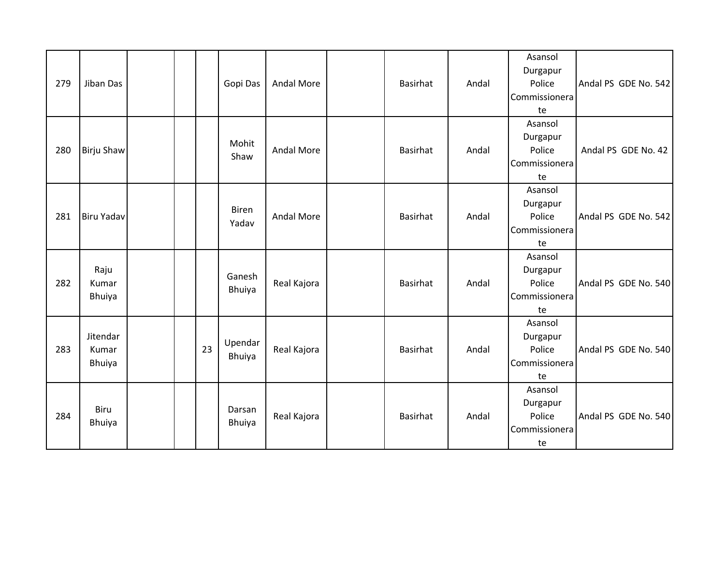| 279 | Jiban Das                      |  |    | Gopi Das              | Andal More        | Basirhat | Andal | Asansol<br>Durgapur<br>Police<br>Commissionera<br>te | Andal PS GDE No. 542 |
|-----|--------------------------------|--|----|-----------------------|-------------------|----------|-------|------------------------------------------------------|----------------------|
| 280 | <b>Birju Shaw</b>              |  |    | Mohit<br>Shaw         | <b>Andal More</b> | Basirhat | Andal | Asansol<br>Durgapur<br>Police<br>Commissionera<br>te | Andal PS GDE No. 42  |
| 281 | <b>Biru Yadav</b>              |  |    | <b>Biren</b><br>Yadav | <b>Andal More</b> | Basirhat | Andal | Asansol<br>Durgapur<br>Police<br>Commissionera<br>te | Andal PS GDE No. 542 |
| 282 | Raju<br>Kumar<br><b>Bhuiya</b> |  |    | Ganesh<br>Bhuiya      | Real Kajora       | Basirhat | Andal | Asansol<br>Durgapur<br>Police<br>Commissionera<br>te | Andal PS GDE No. 540 |
| 283 | Jitendar<br>Kumar<br>Bhuiya    |  | 23 | Upendar<br>Bhuiya     | Real Kajora       | Basirhat | Andal | Asansol<br>Durgapur<br>Police<br>Commissionera<br>te | Andal PS GDE No. 540 |
| 284 | <b>Biru</b><br><b>Bhuiya</b>   |  |    | Darsan<br>Bhuiya      | Real Kajora       | Basirhat | Andal | Asansol<br>Durgapur<br>Police<br>Commissionera<br>te | Andal PS GDE No. 540 |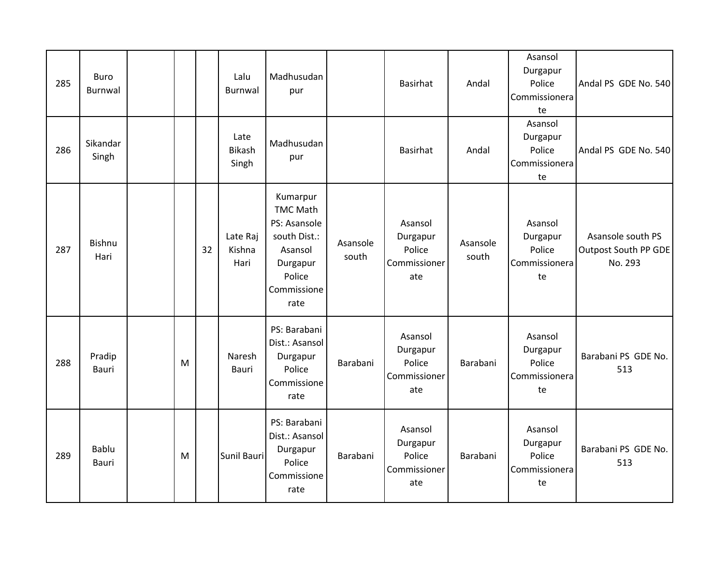| 285 | <b>Buro</b><br>Burnwal |   |    | Lalu<br><b>Burnwal</b>         | Madhusudan<br>pur                                                                                                   |                   | Basirhat                                             | Andal             | Asansol<br>Durgapur<br>Police<br>Commissionera<br>te | Andal PS GDE No. 540                                 |
|-----|------------------------|---|----|--------------------------------|---------------------------------------------------------------------------------------------------------------------|-------------------|------------------------------------------------------|-------------------|------------------------------------------------------|------------------------------------------------------|
| 286 | Sikandar<br>Singh      |   |    | Late<br><b>Bikash</b><br>Singh | Madhusudan<br>pur                                                                                                   |                   | <b>Basirhat</b>                                      | Andal             | Asansol<br>Durgapur<br>Police<br>Commissionera<br>te | Andal PS GDE No. 540                                 |
| 287 | <b>Bishnu</b><br>Hari  |   | 32 | Late Raj<br>Kishna<br>Hari     | Kumarpur<br><b>TMC Math</b><br>PS: Asansole<br>south Dist.:<br>Asansol<br>Durgapur<br>Police<br>Commissione<br>rate | Asansole<br>south | Asansol<br>Durgapur<br>Police<br>Commissioner<br>ate | Asansole<br>south | Asansol<br>Durgapur<br>Police<br>Commissionera<br>te | Asansole south PS<br>Outpost South PP GDE<br>No. 293 |
| 288 | Pradip<br>Bauri        | M |    | Naresh<br>Bauri                | PS: Barabani<br>Dist.: Asansol<br>Durgapur<br>Police<br>Commissione<br>rate                                         | Barabani          | Asansol<br>Durgapur<br>Police<br>Commissioner<br>ate | Barabani          | Asansol<br>Durgapur<br>Police<br>Commissionera<br>te | Barabani PS GDE No.<br>513                           |
| 289 | Bablu<br>Bauri         | M |    | Sunil Bauri                    | PS: Barabani<br>Dist.: Asansol<br>Durgapur<br>Police<br>Commissione<br>rate                                         | Barabani          | Asansol<br>Durgapur<br>Police<br>Commissioner<br>ate | Barabani          | Asansol<br>Durgapur<br>Police<br>Commissionera<br>te | Barabani PS GDE No.<br>513                           |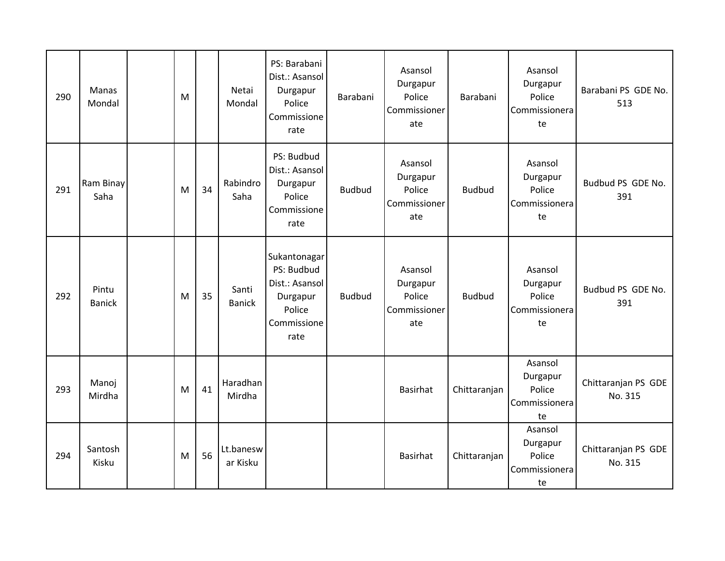| 290 | <b>Manas</b><br>Mondal | M |    | Netai<br>Mondal        | PS: Barabani<br>Dist.: Asansol<br>Durgapur<br>Police<br>Commissione<br>rate               | Barabani      | Asansol<br>Durgapur<br>Police<br>Commissioner<br>ate | Barabani      | Asansol<br>Durgapur<br>Police<br>Commissionera<br>te | Barabani PS GDE No.<br>513     |
|-----|------------------------|---|----|------------------------|-------------------------------------------------------------------------------------------|---------------|------------------------------------------------------|---------------|------------------------------------------------------|--------------------------------|
| 291 | Ram Binay<br>Saha      | M | 34 | Rabindro<br>Saha       | PS: Budbud<br>Dist.: Asansol<br>Durgapur<br>Police<br>Commissione<br>rate                 | <b>Budbud</b> | Asansol<br>Durgapur<br>Police<br>Commissioner<br>ate | <b>Budbud</b> | Asansol<br>Durgapur<br>Police<br>Commissionera<br>te | Budbud PS GDE No.<br>391       |
| 292 | Pintu<br><b>Banick</b> | M | 35 | Santi<br><b>Banick</b> | Sukantonagar<br>PS: Budbud<br>Dist.: Asansol<br>Durgapur<br>Police<br>Commissione<br>rate | <b>Budbud</b> | Asansol<br>Durgapur<br>Police<br>Commissioner<br>ate | <b>Budbud</b> | Asansol<br>Durgapur<br>Police<br>Commissionera<br>te | Budbud PS GDE No.<br>391       |
| 293 | Manoj<br>Mirdha        | M | 41 | Haradhan<br>Mirdha     |                                                                                           |               | Basirhat                                             | Chittaranjan  | Asansol<br>Durgapur<br>Police<br>Commissionera<br>te | Chittaranjan PS GDE<br>No. 315 |
| 294 | Santosh<br>Kisku       | M | 56 | Lt.banesw<br>ar Kisku  |                                                                                           |               | Basirhat                                             | Chittaranjan  | Asansol<br>Durgapur<br>Police<br>Commissionera<br>te | Chittaranjan PS GDE<br>No. 315 |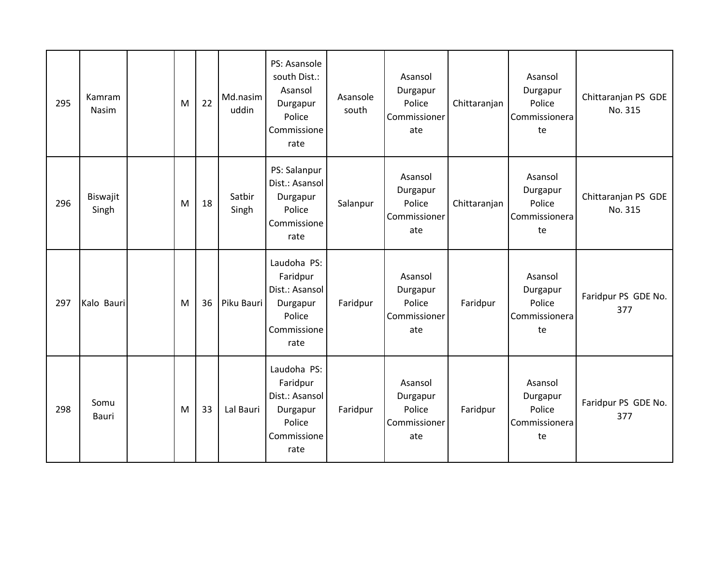| 295 | Kamram<br>Nasim   | M | 22 | Md.nasim<br>uddin | PS: Asansole<br>south Dist.:<br>Asansol<br>Durgapur<br>Police<br>Commissione<br>rate   | Asansole<br>south | Asansol<br>Durgapur<br>Police<br>Commissioner<br>ate | Chittaranjan | Asansol<br>Durgapur<br>Police<br>Commissionera<br>te | Chittaranjan PS GDE<br>No. 315 |
|-----|-------------------|---|----|-------------------|----------------------------------------------------------------------------------------|-------------------|------------------------------------------------------|--------------|------------------------------------------------------|--------------------------------|
| 296 | Biswajit<br>Singh | M | 18 | Satbir<br>Singh   | PS: Salanpur<br>Dist.: Asansol<br>Durgapur<br>Police<br>Commissione<br>rate            | Salanpur          | Asansol<br>Durgapur<br>Police<br>Commissioner<br>ate | Chittaranjan | Asansol<br>Durgapur<br>Police<br>Commissionera<br>te | Chittaranjan PS GDE<br>No. 315 |
| 297 | Kalo Bauri        | M | 36 | Piku Bauri        | Laudoha PS:<br>Faridpur<br>Dist.: Asansol<br>Durgapur<br>Police<br>Commissione<br>rate | Faridpur          | Asansol<br>Durgapur<br>Police<br>Commissioner<br>ate | Faridpur     | Asansol<br>Durgapur<br>Police<br>Commissionera<br>te | Faridpur PS GDE No.<br>377     |
| 298 | Somu<br>Bauri     | M | 33 | Lal Bauri         | Laudoha PS:<br>Faridpur<br>Dist.: Asansol<br>Durgapur<br>Police<br>Commissione<br>rate | Faridpur          | Asansol<br>Durgapur<br>Police<br>Commissioner<br>ate | Faridpur     | Asansol<br>Durgapur<br>Police<br>Commissionera<br>te | Faridpur PS GDE No.<br>377     |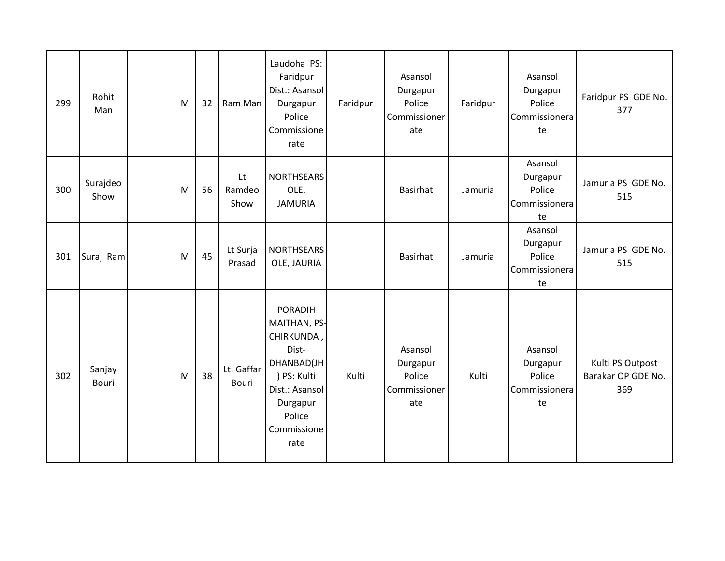| 299 | Rohit<br>Man           | M | 32 | Ram Man              | Laudoha PS:<br>Faridpur<br>Dist.: Asansol<br>Durgapur<br>Police<br>Commissione<br>rate                                                            | Faridpur | Asansol<br>Durgapur<br>Police<br>Commissioner<br>ate | Faridpur | Asansol<br>Durgapur<br>Police<br>Commissionera<br>te | Faridpur PS GDE No.<br>377                    |
|-----|------------------------|---|----|----------------------|---------------------------------------------------------------------------------------------------------------------------------------------------|----------|------------------------------------------------------|----------|------------------------------------------------------|-----------------------------------------------|
| 300 | Surajdeo<br>Show       | M | 56 | Lt<br>Ramdeo<br>Show | <b>NORTHSEARS</b><br>OLE,<br><b>JAMURIA</b>                                                                                                       |          | Basirhat                                             | Jamuria  | Asansol<br>Durgapur<br>Police<br>Commissionera<br>te | Jamuria PS GDE No.<br>515                     |
| 301 | Suraj Ram              | M | 45 | Lt Surja<br>Prasad   | <b>NORTHSEARS</b><br>OLE, JAURIA                                                                                                                  |          | Basirhat                                             | Jamuria  | Asansol<br>Durgapur<br>Police<br>Commissionera<br>te | Jamuria PS GDE No.<br>515                     |
| 302 | Sanjay<br><b>Bouri</b> | M | 38 | Lt. Gaffar<br>Bouri  | <b>PORADIH</b><br>MAITHAN, PS-<br>CHIRKUNDA,<br>Dist-<br>DHANBAD(JH<br>) PS: Kulti<br>Dist.: Asansol<br>Durgapur<br>Police<br>Commissione<br>rate | Kulti    | Asansol<br>Durgapur<br>Police<br>Commissioner<br>ate | Kulti    | Asansol<br>Durgapur<br>Police<br>Commissionera<br>te | Kulti PS Outpost<br>Barakar OP GDE No.<br>369 |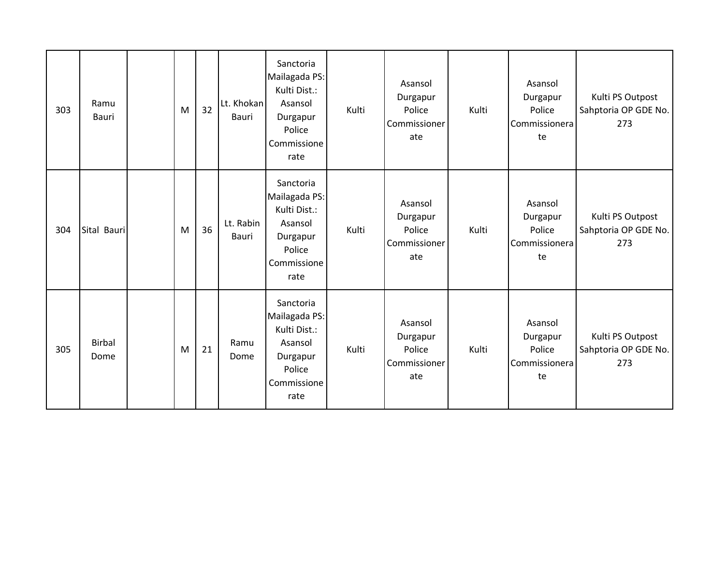| 303 | Ramu<br>Bauri         | M | 32 | Lt. Khokan<br>Bauri | Sanctoria<br>Mailagada PS:<br>Kulti Dist.:<br>Asansol<br>Durgapur<br>Police<br>Commissione<br>rate | Kulti | Asansol<br>Durgapur<br>Police<br>Commissioner<br>ate | Kulti | Asansol<br>Durgapur<br>Police<br>Commissionera<br>te | Kulti PS Outpost<br>Sahptoria OP GDE No.<br>273 |
|-----|-----------------------|---|----|---------------------|----------------------------------------------------------------------------------------------------|-------|------------------------------------------------------|-------|------------------------------------------------------|-------------------------------------------------|
| 304 | Sital Bauri           | M | 36 | Lt. Rabin<br>Bauri  | Sanctoria<br>Mailagada PS:<br>Kulti Dist.:<br>Asansol<br>Durgapur<br>Police<br>Commissione<br>rate | Kulti | Asansol<br>Durgapur<br>Police<br>Commissioner<br>ate | Kulti | Asansol<br>Durgapur<br>Police<br>Commissionera<br>te | Kulti PS Outpost<br>Sahptoria OP GDE No.<br>273 |
| 305 | <b>Birbal</b><br>Dome | M | 21 | Ramu<br>Dome        | Sanctoria<br>Mailagada PS:<br>Kulti Dist.:<br>Asansol<br>Durgapur<br>Police<br>Commissione<br>rate | Kulti | Asansol<br>Durgapur<br>Police<br>Commissioner<br>ate | Kulti | Asansol<br>Durgapur<br>Police<br>Commissionera<br>te | Kulti PS Outpost<br>Sahptoria OP GDE No.<br>273 |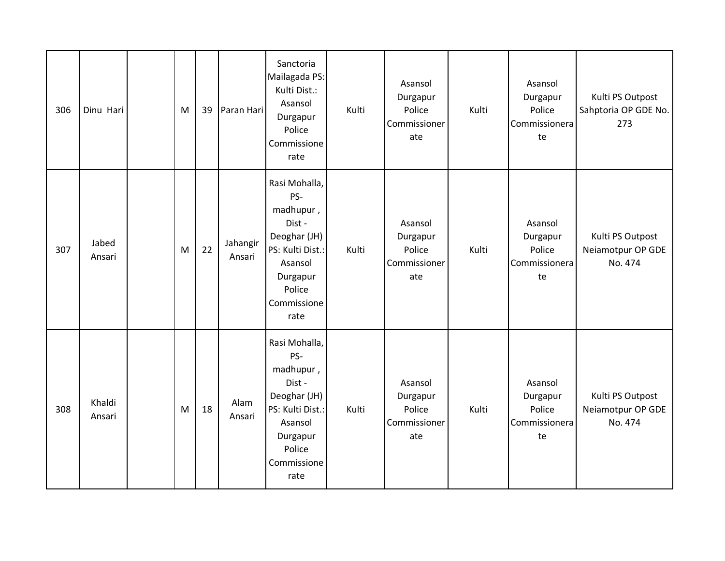| 306 | Dinu Hari        | M | 39 | Paran Hari         | Sanctoria<br>Mailagada PS:<br>Kulti Dist.:<br>Asansol<br>Durgapur<br>Police<br>Commissione<br>rate                                     | Kulti | Asansol<br>Durgapur<br>Police<br>Commissioner<br>ate | Kulti | Asansol<br>Durgapur<br>Police<br>Commissionera<br>te | Kulti PS Outpost<br>Sahptoria OP GDE No.<br>273  |
|-----|------------------|---|----|--------------------|----------------------------------------------------------------------------------------------------------------------------------------|-------|------------------------------------------------------|-------|------------------------------------------------------|--------------------------------------------------|
| 307 | Jabed<br>Ansari  | M | 22 | Jahangir<br>Ansari | Rasi Mohalla,<br>PS-<br>madhupur,<br>Dist-<br>Deoghar (JH)<br>PS: Kulti Dist.:<br>Asansol<br>Durgapur<br>Police<br>Commissione<br>rate | Kulti | Asansol<br>Durgapur<br>Police<br>Commissioner<br>ate | Kulti | Asansol<br>Durgapur<br>Police<br>Commissionera<br>te | Kulti PS Outpost<br>Neiamotpur OP GDE<br>No. 474 |
| 308 | Khaldi<br>Ansari | M | 18 | Alam<br>Ansari     | Rasi Mohalla,<br>PS-<br>madhupur,<br>Dist-<br>Deoghar (JH)<br>PS: Kulti Dist.:<br>Asansol<br>Durgapur<br>Police<br>Commissione<br>rate | Kulti | Asansol<br>Durgapur<br>Police<br>Commissioner<br>ate | Kulti | Asansol<br>Durgapur<br>Police<br>Commissionera<br>te | Kulti PS Outpost<br>Neiamotpur OP GDE<br>No. 474 |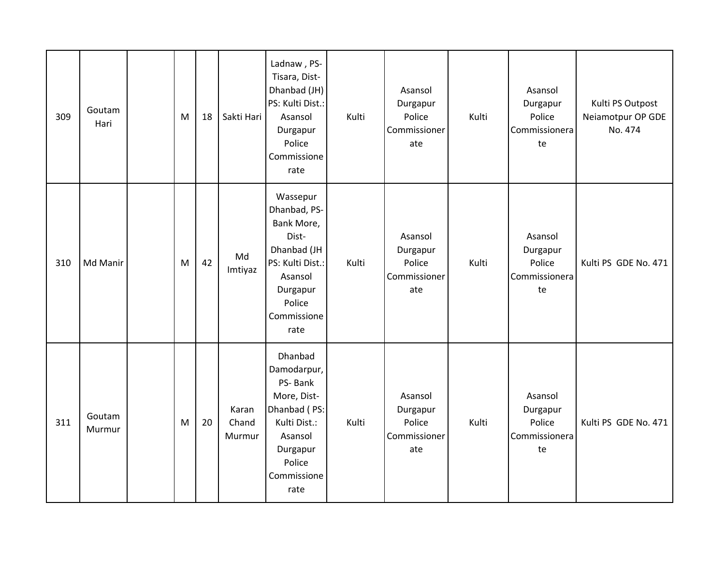| 309 | Goutam<br>Hari   | M | 18 | Sakti Hari               | Ladnaw, PS-<br>Tisara, Dist-<br>Dhanbad (JH)<br>PS: Kulti Dist.:<br>Asansol<br>Durgapur<br>Police<br>Commissione<br>rate                   | Kulti | Asansol<br>Durgapur<br>Police<br>Commissioner<br>ate | Kulti | Asansol<br>Durgapur<br>Police<br>Commissionera<br>te | Kulti PS Outpost<br>Neiamotpur OP GDE<br>No. 474 |
|-----|------------------|---|----|--------------------------|--------------------------------------------------------------------------------------------------------------------------------------------|-------|------------------------------------------------------|-------|------------------------------------------------------|--------------------------------------------------|
| 310 | Md Manir         | M | 42 | Md<br>Imtiyaz            | Wassepur<br>Dhanbad, PS-<br>Bank More,<br>Dist-<br>Dhanbad (JH<br>PS: Kulti Dist.:<br>Asansol<br>Durgapur<br>Police<br>Commissione<br>rate | Kulti | Asansol<br>Durgapur<br>Police<br>Commissioner<br>ate | Kulti | Asansol<br>Durgapur<br>Police<br>Commissionera<br>te | Kulti PS GDE No. 471                             |
| 311 | Goutam<br>Murmur | M | 20 | Karan<br>Chand<br>Murmur | Dhanbad<br>Damodarpur,<br>PS-Bank<br>More, Dist-<br>Dhanbad (PS:<br>Kulti Dist.:<br>Asansol<br>Durgapur<br>Police<br>Commissione<br>rate   | Kulti | Asansol<br>Durgapur<br>Police<br>Commissioner<br>ate | Kulti | Asansol<br>Durgapur<br>Police<br>Commissionera<br>te | Kulti PS GDE No. 471                             |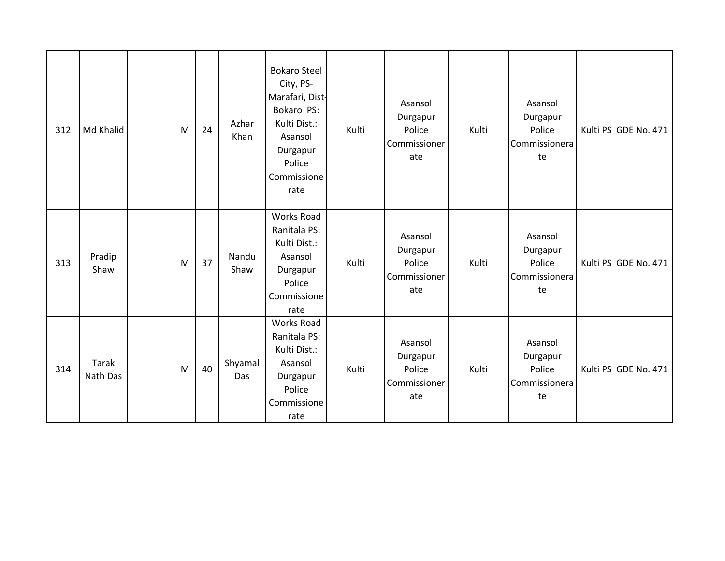| 312 | Md Khalid         | M | 24 | Azhar<br>Khan  | <b>Bokaro Steel</b><br>City, PS-<br>Marafari, Dist-<br>Bokaro PS:<br>Kulti Dist.:<br>Asansol<br>Durgapur<br>Police<br>Commissione<br>rate | Kulti | Asansol<br>Durgapur<br>Police<br>Commissioner<br>ate | Kulti | Asansol<br>Durgapur<br>Police<br>Commissionera<br>te | Kulti PS GDE No. 471 |
|-----|-------------------|---|----|----------------|-------------------------------------------------------------------------------------------------------------------------------------------|-------|------------------------------------------------------|-------|------------------------------------------------------|----------------------|
| 313 | Pradip<br>Shaw    | M | 37 | Nandu<br>Shaw  | <b>Works Road</b><br>Ranitala PS:<br>Kulti Dist.:<br>Asansol<br>Durgapur<br>Police<br>Commissione<br>rate                                 | Kulti | Asansol<br>Durgapur<br>Police<br>Commissioner<br>ate | Kulti | Asansol<br>Durgapur<br>Police<br>Commissionera<br>te | Kulti PS GDE No. 471 |
| 314 | Tarak<br>Nath Das | M | 40 | Shyamal<br>Das | Works Road<br>Ranitala PS:<br>Kulti Dist.:<br>Asansol<br>Durgapur<br>Police<br>Commissione<br>rate                                        | Kulti | Asansol<br>Durgapur<br>Police<br>Commissioner<br>ate | Kulti | Asansol<br>Durgapur<br>Police<br>Commissionera<br>te | Kulti PS GDE No. 471 |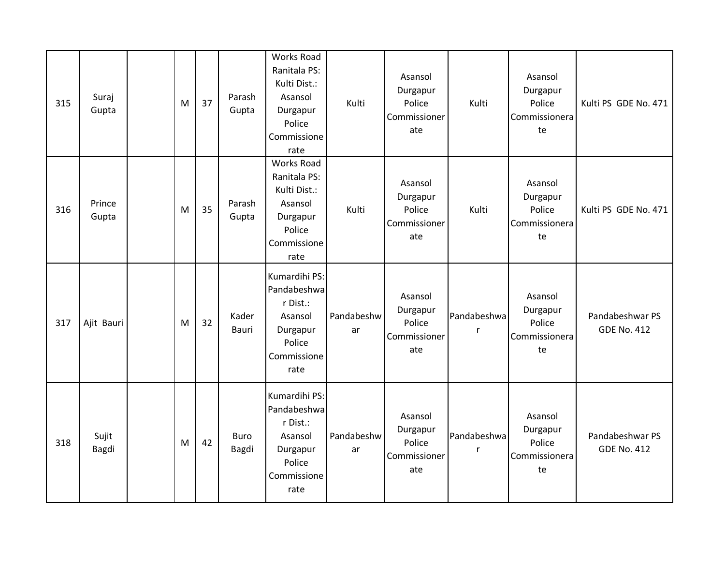| 315 | Suraj<br>Gupta  | M | 37 | Parash<br>Gupta       | <b>Works Road</b><br>Ranitala PS:<br>Kulti Dist.:<br>Asansol<br>Durgapur<br>Police<br>Commissione<br>rate | Kulti            | Asansol<br>Durgapur<br>Police<br>Commissioner<br>ate | Kulti            | Asansol<br>Durgapur<br>Police<br>Commissionera<br>te | Kulti PS GDE No. 471                  |
|-----|-----------------|---|----|-----------------------|-----------------------------------------------------------------------------------------------------------|------------------|------------------------------------------------------|------------------|------------------------------------------------------|---------------------------------------|
| 316 | Prince<br>Gupta | M | 35 | Parash<br>Gupta       | <b>Works Road</b><br>Ranitala PS:<br>Kulti Dist.:<br>Asansol<br>Durgapur<br>Police<br>Commissione<br>rate | Kulti            | Asansol<br>Durgapur<br>Police<br>Commissioner<br>ate | Kulti            | Asansol<br>Durgapur<br>Police<br>Commissionera<br>te | Kulti PS GDE No. 471                  |
| 317 | Ajit Bauri      | M | 32 | Kader<br><b>Bauri</b> | Kumardihi PS:<br>Pandabeshwa<br>r Dist.:<br>Asansol<br>Durgapur<br>Police<br>Commissione<br>rate          | Pandabeshw<br>ar | Asansol<br>Durgapur<br>Police<br>Commissioner<br>ate | Pandabeshwa<br>r | Asansol<br>Durgapur<br>Police<br>Commissionera<br>te | Pandabeshwar PS<br><b>GDE No. 412</b> |
| 318 | Sujit<br>Bagdi  | M | 42 | <b>Buro</b><br>Bagdi  | Kumardihi PS:<br>Pandabeshwa<br>r Dist.:<br>Asansol<br>Durgapur<br>Police<br>Commissione<br>rate          | Pandabeshw<br>ar | Asansol<br>Durgapur<br>Police<br>Commissioner<br>ate | Pandabeshwa<br>r | Asansol<br>Durgapur<br>Police<br>Commissionera<br>te | Pandabeshwar PS<br><b>GDE No. 412</b> |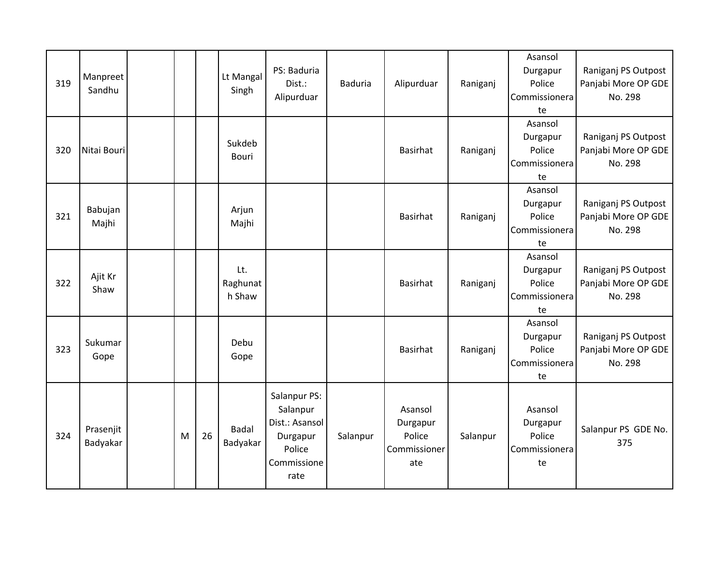| 319 | Manpreet<br>Sandhu    |   |    | Lt Mangal<br>Singh        | PS: Baduria<br>Dist.:<br>Alipurduar                                                     | <b>Baduria</b> | Alipurduar                                           | Raniganj | Asansol<br>Durgapur<br>Police<br>Commissionera<br>te | Raniganj PS Outpost<br>Panjabi More OP GDE<br>No. 298 |
|-----|-----------------------|---|----|---------------------------|-----------------------------------------------------------------------------------------|----------------|------------------------------------------------------|----------|------------------------------------------------------|-------------------------------------------------------|
| 320 | Nitai Bouri           |   |    | Sukdeb<br>Bouri           |                                                                                         |                | Basirhat                                             | Raniganj | Asansol<br>Durgapur<br>Police<br>Commissionera<br>te | Raniganj PS Outpost<br>Panjabi More OP GDE<br>No. 298 |
| 321 | Babujan<br>Majhi      |   |    | Arjun<br>Majhi            |                                                                                         |                | Basirhat                                             | Raniganj | Asansol<br>Durgapur<br>Police<br>Commissionera<br>te | Raniganj PS Outpost<br>Panjabi More OP GDE<br>No. 298 |
| 322 | Ajit Kr<br>Shaw       |   |    | Lt.<br>Raghunat<br>h Shaw |                                                                                         |                | <b>Basirhat</b>                                      | Raniganj | Asansol<br>Durgapur<br>Police<br>Commissionera<br>te | Raniganj PS Outpost<br>Panjabi More OP GDE<br>No. 298 |
| 323 | Sukumar<br>Gope       |   |    | Debu<br>Gope              |                                                                                         |                | Basirhat                                             | Raniganj | Asansol<br>Durgapur<br>Police<br>Commissionera<br>te | Raniganj PS Outpost<br>Panjabi More OP GDE<br>No. 298 |
| 324 | Prasenjit<br>Badyakar | M | 26 | Badal<br>Badyakar         | Salanpur PS:<br>Salanpur<br>Dist.: Asansol<br>Durgapur<br>Police<br>Commissione<br>rate | Salanpur       | Asansol<br>Durgapur<br>Police<br>Commissioner<br>ate | Salanpur | Asansol<br>Durgapur<br>Police<br>Commissionera<br>te | Salanpur PS GDE No.<br>375                            |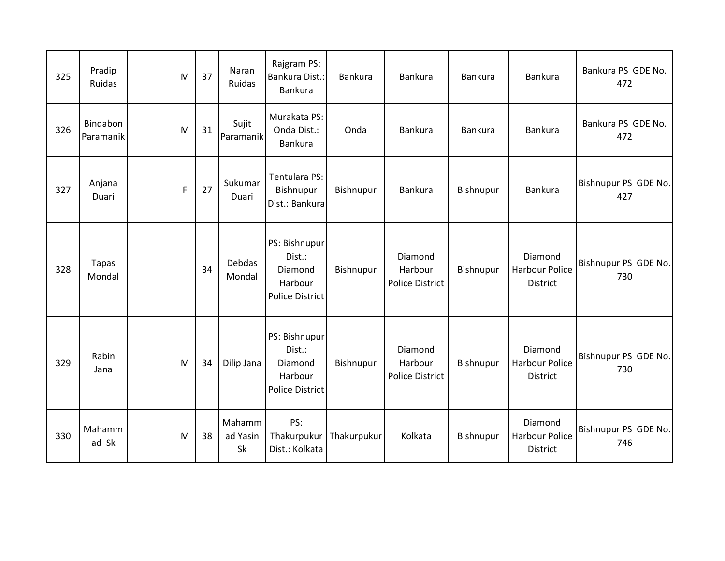| 325 | Pradip<br>Ruidas       | M           | 37 | Naran<br>Ruidas                 | Rajgram PS:<br>Bankura Dist.:<br><b>Bankura</b>                         | Bankura     | Bankura                                      | <b>Bankura</b> | <b>Bankura</b>                                      | Bankura PS GDE No.<br>472   |
|-----|------------------------|-------------|----|---------------------------------|-------------------------------------------------------------------------|-------------|----------------------------------------------|----------------|-----------------------------------------------------|-----------------------------|
| 326 | Bindabon<br>Paramanik  | M           | 31 | Sujit<br>Paramanik              | Murakata PS:<br>Onda Dist.:<br><b>Bankura</b>                           | Onda        | <b>Bankura</b>                               | <b>Bankura</b> | <b>Bankura</b>                                      | Bankura PS GDE No.<br>472   |
| 327 | Anjana<br>Duari        | $\mathsf F$ | 27 | Sukumar<br>Duari                | Tentulara PS:<br>Bishnupur<br>Dist.: Bankura                            | Bishnupur   | <b>Bankura</b>                               | Bishnupur      | <b>Bankura</b>                                      | Bishnupur PS GDE No.<br>427 |
| 328 | <b>Tapas</b><br>Mondal |             | 34 | <b>Debdas</b><br>Mondal         | PS: Bishnupur<br>Dist.:<br>Diamond<br>Harbour<br><b>Police District</b> | Bishnupur   | Diamond<br>Harbour<br>Police District        | Bishnupur      | Diamond<br><b>Harbour Police</b><br>District        | Bishnupur PS GDE No.<br>730 |
| 329 | Rabin<br>Jana          | M           | 34 | Dilip Jana                      | PS: Bishnupur<br>Dist.:<br>Diamond<br>Harbour<br><b>Police District</b> | Bishnupur   | Diamond<br>Harbour<br><b>Police District</b> | Bishnupur      | Diamond<br><b>Harbour Police</b><br><b>District</b> | Bishnupur PS GDE No.<br>730 |
| 330 | Mahamm<br>ad Sk        | M           | 38 | Mahamm<br>ad Yasin<br><b>Sk</b> | PS:<br>Thakurpukur<br>Dist.: Kolkata                                    | Thakurpukur | Kolkata                                      | Bishnupur      | Diamond<br><b>Harbour Police</b><br><b>District</b> | Bishnupur PS GDE No.<br>746 |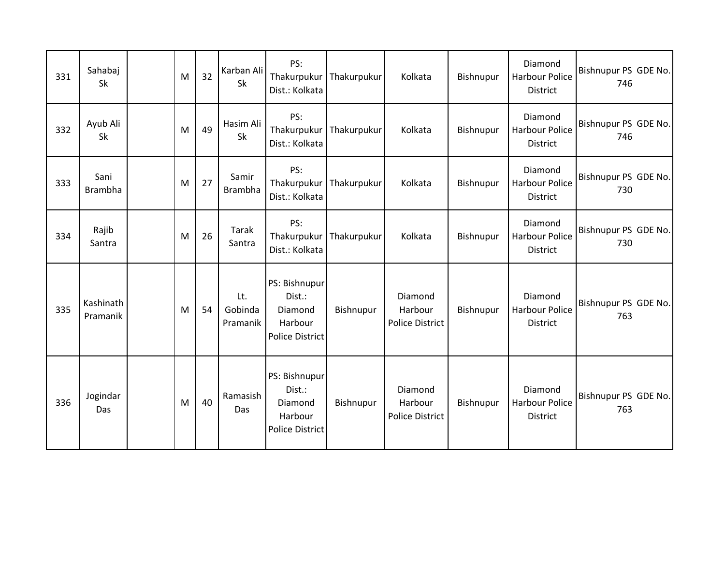| 331 | Sahabaj<br><b>Sk</b>   | M | 32 | Karban Ali<br>Sk           | PS:<br>Thakurpukur<br>Dist.: Kolkata                                    | Thakurpukur | Kolkata                               | Bishnupur | Diamond<br><b>Harbour Police</b><br><b>District</b> | Bishnupur PS GDE No.<br>746 |
|-----|------------------------|---|----|----------------------------|-------------------------------------------------------------------------|-------------|---------------------------------------|-----------|-----------------------------------------------------|-----------------------------|
| 332 | Ayub Ali<br>Sk         | M | 49 | Hasim Ali<br>Sk            | PS:<br>Thakurpukur<br>Dist.: Kolkata                                    | Thakurpukur | Kolkata                               | Bishnupur | Diamond<br><b>Harbour Police</b><br><b>District</b> | Bishnupur PS GDE No.<br>746 |
| 333 | Sani<br><b>Brambha</b> | M | 27 | Samir<br><b>Brambha</b>    | PS:<br>Thakurpukur<br>Dist.: Kolkata                                    | Thakurpukur | Kolkata                               | Bishnupur | Diamond<br>Harbour Police<br>District               | Bishnupur PS GDE No.<br>730 |
| 334 | Rajib<br>Santra        | M | 26 | Tarak<br>Santra            | PS:<br>Thakurpukur<br>Dist.: Kolkata                                    | Thakurpukur | Kolkata                               | Bishnupur | Diamond<br>Harbour Police<br>District               | Bishnupur PS GDE No.<br>730 |
| 335 | Kashinath<br>Pramanik  | M | 54 | Lt.<br>Gobinda<br>Pramanik | PS: Bishnupur<br>Dist.:<br>Diamond<br>Harbour<br>Police District        | Bishnupur   | Diamond<br>Harbour<br>Police District | Bishnupur | Diamond<br><b>Harbour Police</b><br><b>District</b> | Bishnupur PS GDE No.<br>763 |
| 336 | Jogindar<br>Das        | M | 40 | Ramasish<br>Das            | PS: Bishnupur<br>Dist.:<br>Diamond<br>Harbour<br><b>Police District</b> | Bishnupur   | Diamond<br>Harbour<br>Police District | Bishnupur | Diamond<br><b>Harbour Police</b><br><b>District</b> | Bishnupur PS GDE No.<br>763 |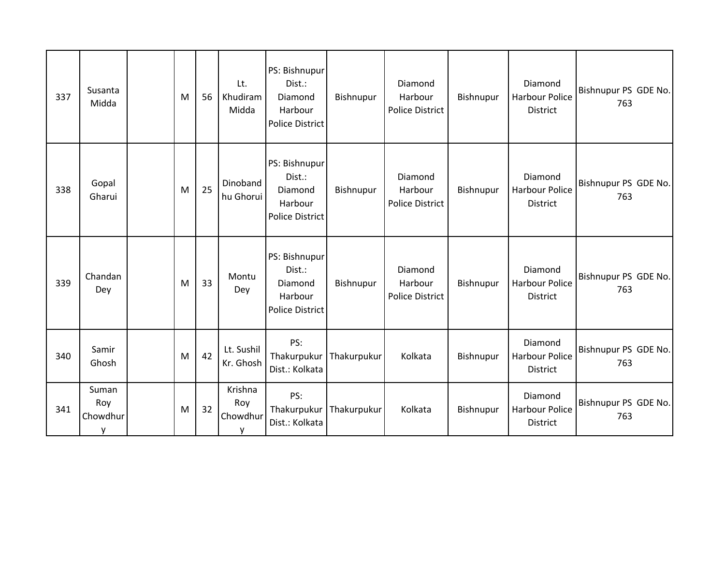| 337 | Susanta<br>Midda              | M | 56 | Lt.<br>Khudiram<br>Midda        | PS: Bishnupur<br>Dist.:<br>Diamond<br>Harbour<br><b>Police District</b> | Bishnupur   | Diamond<br>Harbour<br>Police District | Bishnupur | Diamond<br>Harbour Police<br><b>District</b>        | Bishnupur PS GDE No.<br>763 |
|-----|-------------------------------|---|----|---------------------------------|-------------------------------------------------------------------------|-------------|---------------------------------------|-----------|-----------------------------------------------------|-----------------------------|
| 338 | Gopal<br>Gharui               | M | 25 | Dinoband<br>hu Ghorui           | PS: Bishnupur<br>Dist.:<br>Diamond<br>Harbour<br><b>Police District</b> | Bishnupur   | Diamond<br>Harbour<br>Police District | Bishnupur | Diamond<br>Harbour Police<br><b>District</b>        | Bishnupur PS GDE No.<br>763 |
| 339 | Chandan<br>Dey                | M | 33 | Montu<br>Dey                    | PS: Bishnupur<br>Dist.:<br>Diamond<br>Harbour<br><b>Police District</b> | Bishnupur   | Diamond<br>Harbour<br>Police District | Bishnupur | Diamond<br>Harbour Police<br><b>District</b>        | Bishnupur PS GDE No.<br>763 |
| 340 | Samir<br>Ghosh                | M | 42 | Lt. Sushil<br>Kr. Ghosh         | PS:<br>Thakurpukur<br>Dist.: Kolkata                                    | Thakurpukur | Kolkata                               | Bishnupur | Diamond<br><b>Harbour Police</b><br><b>District</b> | Bishnupur PS GDE No.<br>763 |
| 341 | Suman<br>Roy<br>Chowdhur<br>۷ | M | 32 | Krishna<br>Roy<br>Chowdhur<br>v | PS:<br>Thakurpukur<br>Dist.: Kolkata                                    | Thakurpukur | Kolkata                               | Bishnupur | Diamond<br><b>Harbour Police</b><br><b>District</b> | Bishnupur PS GDE No.<br>763 |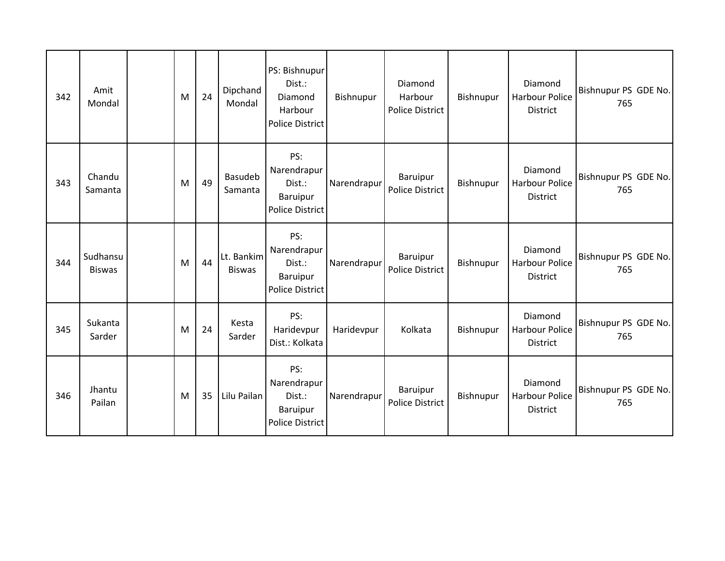| 342 | Amit<br>Mondal            | M | 24 | Dipchand<br>Mondal          | PS: Bishnupur<br>Dist.:<br>Diamond<br>Harbour<br><b>Police District</b> | Bishnupur   | Diamond<br>Harbour<br>Police District | Bishnupur | Diamond<br><b>Harbour Police</b><br><b>District</b> | Bishnupur PS GDE No.<br>765 |
|-----|---------------------------|---|----|-----------------------------|-------------------------------------------------------------------------|-------------|---------------------------------------|-----------|-----------------------------------------------------|-----------------------------|
| 343 | Chandu<br>Samanta         | M | 49 | <b>Basudeb</b><br>Samanta   | PS:<br>Narendrapur<br>Dist.:<br>Baruipur<br><b>Police District</b>      | Narendrapur | Baruipur<br>Police District           | Bishnupur | Diamond<br><b>Harbour Police</b><br><b>District</b> | Bishnupur PS GDE No.<br>765 |
| 344 | Sudhansu<br><b>Biswas</b> | M | 44 | Lt. Bankim<br><b>Biswas</b> | PS:<br>Narendrapur<br>Dist.:<br>Baruipur<br><b>Police District</b>      | Narendrapur | Baruipur<br>Police District           | Bishnupur | Diamond<br><b>Harbour Police</b><br><b>District</b> | Bishnupur PS GDE No.<br>765 |
| 345 | Sukanta<br>Sarder         | M | 24 | Kesta<br>Sarder             | PS:<br>Haridevpur<br>Dist.: Kolkata                                     | Haridevpur  | Kolkata                               | Bishnupur | Diamond<br><b>Harbour Police</b><br><b>District</b> | Bishnupur PS GDE No.<br>765 |
| 346 | Jhantu<br>Pailan          | M | 35 | Lilu Pailan                 | PS:<br>Narendrapur<br>Dist.:<br>Baruipur<br><b>Police District</b>      | Narendrapur | Baruipur<br><b>Police District</b>    | Bishnupur | Diamond<br><b>Harbour Police</b><br><b>District</b> | Bishnupur PS GDE No.<br>765 |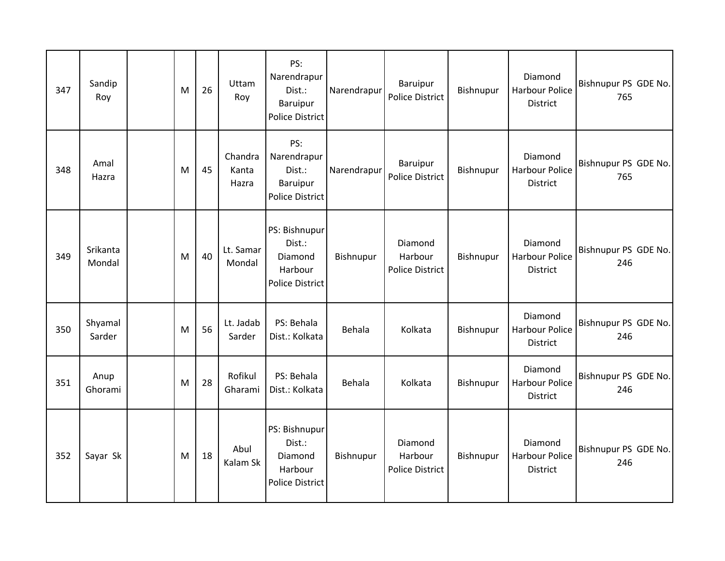| 347 | Sandip<br>Roy      | M | 26 | Uttam<br>Roy              | PS:<br>Narendrapur<br>Dist.:<br><b>Baruipur</b><br><b>Police District</b> | Narendrapur | Baruipur<br>Police District                  | Bishnupur | Diamond<br><b>Harbour Police</b><br><b>District</b> | Bishnupur PS GDE No.<br>765 |
|-----|--------------------|---|----|---------------------------|---------------------------------------------------------------------------|-------------|----------------------------------------------|-----------|-----------------------------------------------------|-----------------------------|
| 348 | Amal<br>Hazra      | M | 45 | Chandra<br>Kanta<br>Hazra | PS:<br>Narendrapur<br>Dist.:<br>Baruipur<br><b>Police District</b>        | Narendrapur | Baruipur<br>Police District                  | Bishnupur | Diamond<br><b>Harbour Police</b><br>District        | Bishnupur PS GDE No.<br>765 |
| 349 | Srikanta<br>Mondal | M | 40 | Lt. Samar<br>Mondal       | PS: Bishnupur<br>Dist.:<br>Diamond<br>Harbour<br><b>Police District</b>   | Bishnupur   | Diamond<br>Harbour<br><b>Police District</b> | Bishnupur | Diamond<br><b>Harbour Police</b><br>District        | Bishnupur PS GDE No.<br>246 |
| 350 | Shyamal<br>Sarder  | M | 56 | Lt. Jadab<br>Sarder       | PS: Behala<br>Dist.: Kolkata                                              | Behala      | Kolkata                                      | Bishnupur | Diamond<br>Harbour Police<br>District               | Bishnupur PS GDE No.<br>246 |
| 351 | Anup<br>Ghorami    | M | 28 | Rofikul<br>Gharami        | PS: Behala<br>Dist.: Kolkata                                              | Behala      | Kolkata                                      | Bishnupur | Diamond<br><b>Harbour Police</b><br>District        | Bishnupur PS GDE No.<br>246 |
| 352 | Sayar Sk           | M | 18 | Abul<br>Kalam Sk          | PS: Bishnupur<br>Dist.:<br>Diamond<br>Harbour<br><b>Police District</b>   | Bishnupur   | Diamond<br>Harbour<br>Police District        | Bishnupur | Diamond<br><b>Harbour Police</b><br>District        | Bishnupur PS GDE No.<br>246 |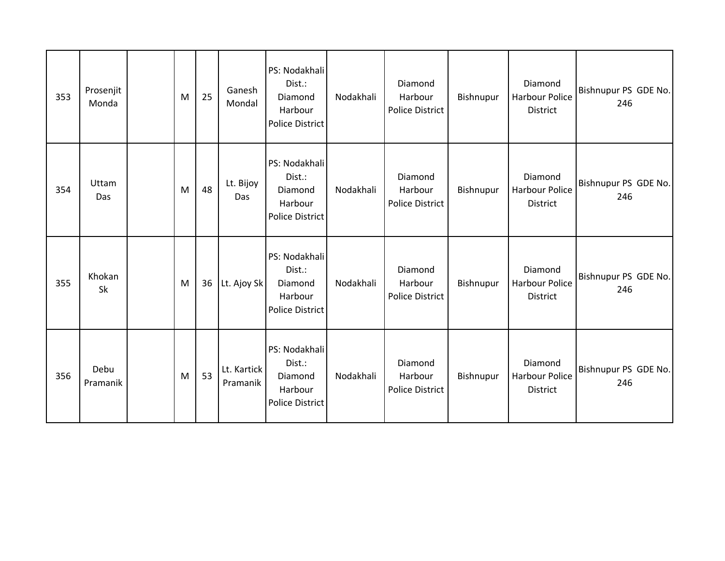| 353 | Prosenjit<br>Monda | M | 25 | Ganesh<br>Mondal        | PS: Nodakhali<br>Dist.:<br>Diamond<br>Harbour<br><b>Police District</b> | Nodakhali | Diamond<br>Harbour<br>Police District | Bishnupur | Diamond<br>Harbour Police<br>District        | Bishnupur PS GDE No.<br>246 |
|-----|--------------------|---|----|-------------------------|-------------------------------------------------------------------------|-----------|---------------------------------------|-----------|----------------------------------------------|-----------------------------|
| 354 | Uttam<br>Das       | M | 48 | Lt. Bijoy<br>Das        | PS: Nodakhali<br>Dist.:<br>Diamond<br>Harbour<br>Police District        | Nodakhali | Diamond<br>Harbour<br>Police District | Bishnupur | Diamond<br><b>Harbour Police</b><br>District | Bishnupur PS GDE No.<br>246 |
| 355 | Khokan<br>Sk       | M | 36 | Lt. Ajoy Sk             | PS: Nodakhali<br>Dist.:<br>Diamond<br>Harbour<br><b>Police District</b> | Nodakhali | Diamond<br>Harbour<br>Police District | Bishnupur | Diamond<br><b>Harbour Police</b><br>District | Bishnupur PS GDE No.<br>246 |
| 356 | Debu<br>Pramanik   | M | 53 | Lt. Kartick<br>Pramanik | PS: Nodakhali<br>Dist.:<br>Diamond<br>Harbour<br><b>Police District</b> | Nodakhali | Diamond<br>Harbour<br>Police District | Bishnupur | Diamond<br>Harbour Police<br>District        | Bishnupur PS GDE No.<br>246 |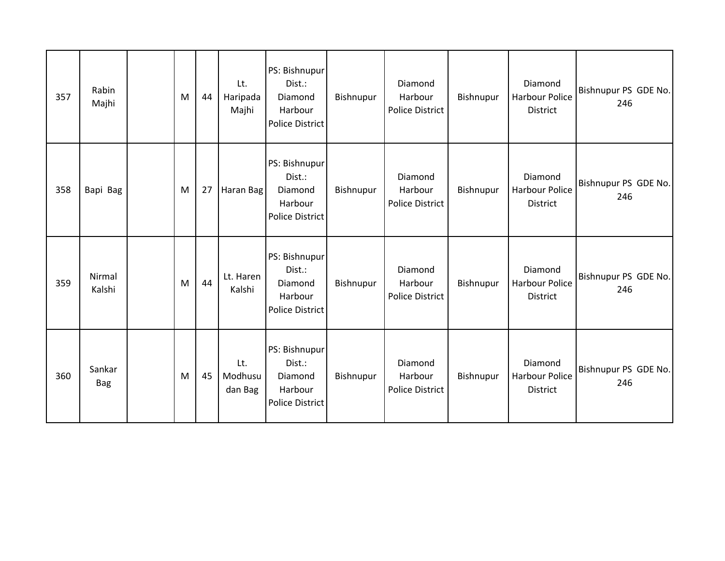| 357 | Rabin<br>Majhi       | M | 44 | Lt.<br>Haripada<br>Majhi  | PS: Bishnupur<br>Dist.:<br>Diamond<br>Harbour<br><b>Police District</b> | Bishnupur | Diamond<br>Harbour<br>Police District | Bishnupur | Diamond<br><b>Harbour Police</b><br>District        | Bishnupur PS GDE No.<br>246 |
|-----|----------------------|---|----|---------------------------|-------------------------------------------------------------------------|-----------|---------------------------------------|-----------|-----------------------------------------------------|-----------------------------|
| 358 | Bapi Bag             | M | 27 | Haran Bag                 | PS: Bishnupur<br>Dist.:<br>Diamond<br>Harbour<br><b>Police District</b> | Bishnupur | Diamond<br>Harbour<br>Police District | Bishnupur | Diamond<br>Harbour Police<br>District               | Bishnupur PS GDE No.<br>246 |
| 359 | Nirmal<br>Kalshi     | M | 44 | Lt. Haren<br>Kalshi       | PS: Bishnupur<br>Dist.:<br>Diamond<br>Harbour<br><b>Police District</b> | Bishnupur | Diamond<br>Harbour<br>Police District | Bishnupur | Diamond<br><b>Harbour Police</b><br>District        | Bishnupur PS GDE No.<br>246 |
| 360 | Sankar<br><b>Bag</b> | M | 45 | Lt.<br>Modhusu<br>dan Bag | PS: Bishnupur<br>Dist.:<br>Diamond<br>Harbour<br><b>Police District</b> | Bishnupur | Diamond<br>Harbour<br>Police District | Bishnupur | Diamond<br><b>Harbour Police</b><br><b>District</b> | Bishnupur PS GDE No.<br>246 |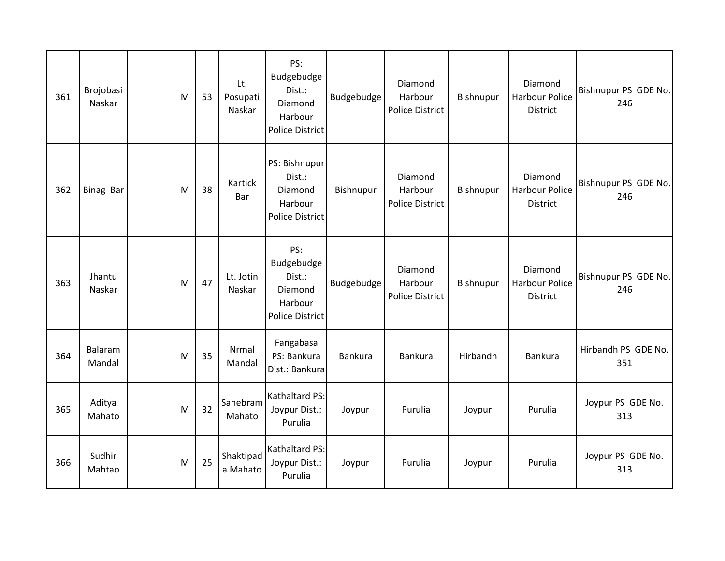| 361 | Brojobasi<br>Naskar | M | 53 | Lt.<br>Posupati<br>Naskar | PS:<br>Budgebudge<br>Dist.:<br>Diamond<br>Harbour<br><b>Police District</b> | Budgebudge     | Diamond<br>Harbour<br><b>Police District</b> | Bishnupur | Diamond<br><b>Harbour Police</b><br><b>District</b> | Bishnupur PS GDE No.<br>246 |
|-----|---------------------|---|----|---------------------------|-----------------------------------------------------------------------------|----------------|----------------------------------------------|-----------|-----------------------------------------------------|-----------------------------|
| 362 | <b>Binag Bar</b>    | M | 38 | Kartick<br>Bar            | PS: Bishnupur<br>Dist.:<br>Diamond<br>Harbour<br><b>Police District</b>     | Bishnupur      | Diamond<br>Harbour<br>Police District        | Bishnupur | Diamond<br><b>Harbour Police</b><br><b>District</b> | Bishnupur PS GDE No.<br>246 |
| 363 | Jhantu<br>Naskar    | M | 47 | Lt. Jotin<br>Naskar       | PS:<br>Budgebudge<br>Dist.:<br>Diamond<br>Harbour<br><b>Police District</b> | Budgebudge     | Diamond<br>Harbour<br>Police District        | Bishnupur | Diamond<br>Harbour Police<br>District               | Bishnupur PS GDE No.<br>246 |
| 364 | Balaram<br>Mandal   | M | 35 | Nrmal<br>Mandal           | Fangabasa<br>PS: Bankura<br>Dist.: Bankura                                  | <b>Bankura</b> | Bankura                                      | Hirbandh  | Bankura                                             | Hirbandh PS GDE No.<br>351  |
| 365 | Aditya<br>Mahato    | M | 32 | Sahebram<br>Mahato        | Kathaltard PS:<br>Joypur Dist.:<br>Purulia                                  | Joypur         | Purulia                                      | Joypur    | Purulia                                             | Joypur PS GDE No.<br>313    |
| 366 | Sudhir<br>Mahtao    | M | 25 | Shaktipad<br>a Mahato     | Kathaltard PS:<br>Joypur Dist.:<br>Purulia                                  | Joypur         | Purulia                                      | Joypur    | Purulia                                             | Joypur PS GDE No.<br>313    |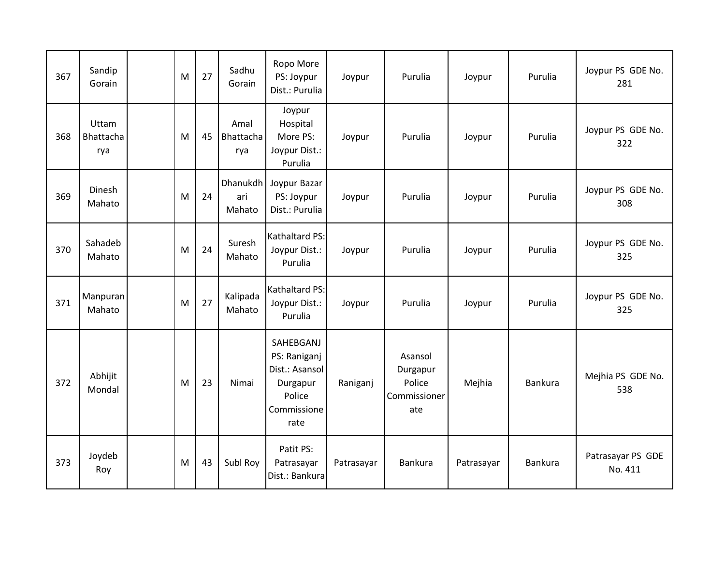| 367 | Sandip<br>Gorain          | M | 27 | Sadhu<br>Gorain          | Ropo More<br>PS: Joypur<br>Dist.: Purulia                                                | Joypur     | Purulia                                              | Joypur     | Purulia        | Joypur PS GDE No.<br>281     |
|-----|---------------------------|---|----|--------------------------|------------------------------------------------------------------------------------------|------------|------------------------------------------------------|------------|----------------|------------------------------|
| 368 | Uttam<br>Bhattacha<br>rya | M | 45 | Amal<br>Bhattacha<br>rya | Joypur<br>Hospital<br>More PS:<br>Joypur Dist.:<br>Purulia                               | Joypur     | Purulia                                              | Joypur     | Purulia        | Joypur PS GDE No.<br>322     |
| 369 | Dinesh<br>Mahato          | M | 24 | ari<br>Mahato            | Dhanukdh   Joypur Bazar<br>PS: Joypur<br>Dist.: Purulia                                  | Joypur     | Purulia                                              | Joypur     | Purulia        | Joypur PS GDE No.<br>308     |
| 370 | Sahadeb<br>Mahato         | M | 24 | Suresh<br>Mahato         | <b>Kathaltard PS:</b><br>Joypur Dist.:<br>Purulia                                        | Joypur     | Purulia                                              | Joypur     | Purulia        | Joypur PS GDE No.<br>325     |
| 371 | Manpuran<br>Mahato        | M | 27 | Kalipada<br>Mahato       | Kathaltard PS:<br>Joypur Dist.:<br>Purulia                                               | Joypur     | Purulia                                              | Joypur     | Purulia        | Joypur PS GDE No.<br>325     |
| 372 | Abhijit<br>Mondal         | M | 23 | Nimai                    | SAHEBGANJ<br>PS: Raniganj<br>Dist.: Asansol<br>Durgapur<br>Police<br>Commissione<br>rate | Raniganj   | Asansol<br>Durgapur<br>Police<br>Commissioner<br>ate | Mejhia     | Bankura        | Mejhia PS GDE No.<br>538     |
| 373 | Joydeb<br>Roy             | M | 43 | Subl Roy                 | Patit PS:<br>Patrasayar<br>Dist.: Bankura                                                | Patrasayar | Bankura                                              | Patrasayar | <b>Bankura</b> | Patrasayar PS GDE<br>No. 411 |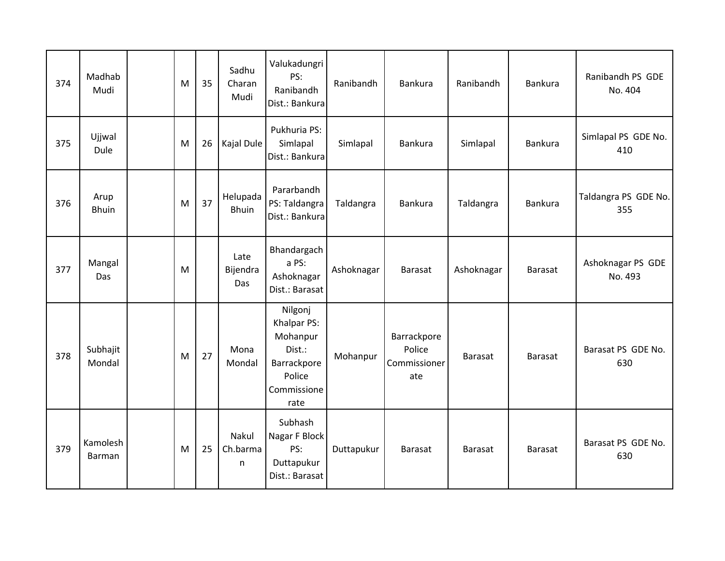| 374 | Madhab<br>Mudi            | M | 35 | Sadhu<br>Charan<br>Mudi  | Valukadungri<br>PS:<br>Ranibandh<br>Dist.: Bankura                                           | Ranibandh  | Bankura                                      | Ranibandh      | Bankura        | Ranibandh PS GDE<br>No. 404  |
|-----|---------------------------|---|----|--------------------------|----------------------------------------------------------------------------------------------|------------|----------------------------------------------|----------------|----------------|------------------------------|
| 375 | Ujjwal<br>Dule            | M | 26 | Kajal Dule               | Pukhuria PS:<br>Simlapal<br>Dist.: Bankura                                                   | Simlapal   | Bankura                                      | Simlapal       | Bankura        | Simlapal PS GDE No.<br>410   |
| 376 | Arup<br><b>Bhuin</b>      | M | 37 | Helupada<br><b>Bhuin</b> | Pararbandh<br>PS: Taldangra<br>Dist.: Bankura                                                | Taldangra  | Bankura                                      | Taldangra      | Bankura        | Taldangra PS GDE No.<br>355  |
| 377 | Mangal<br>Das             | M |    | Late<br>Bijendra<br>Das  | Bhandargach<br>a PS:<br>Ashoknagar<br>Dist.: Barasat                                         | Ashoknagar | <b>Barasat</b>                               | Ashoknagar     | <b>Barasat</b> | Ashoknagar PS GDE<br>No. 493 |
| 378 | Subhajit<br>Mondal        | M | 27 | Mona<br>Mondal           | Nilgonj<br>Khalpar PS:<br>Mohanpur<br>Dist.:<br>Barrackpore<br>Police<br>Commissione<br>rate | Mohanpur   | Barrackpore<br>Police<br>Commissioner<br>ate | <b>Barasat</b> | <b>Barasat</b> | Barasat PS GDE No.<br>630    |
| 379 | Kamolesh<br><b>Barman</b> | M | 25 | Nakul<br>Ch.barma<br>n.  | Subhash<br>Nagar F Block<br>PS:<br>Duttapukur<br>Dist.: Barasat                              | Duttapukur | <b>Barasat</b>                               | <b>Barasat</b> | <b>Barasat</b> | Barasat PS GDE No.<br>630    |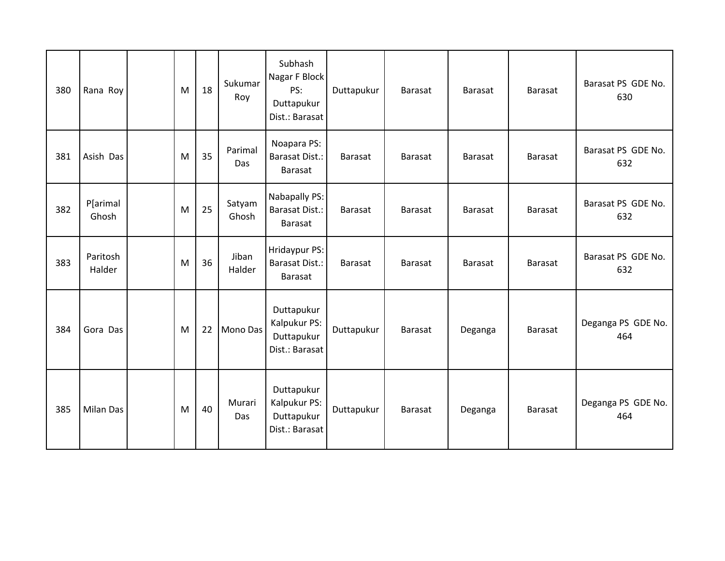| 380 | Rana Roy           | M | 18 | Sukumar<br>Roy  | Subhash<br>Nagar F Block<br>PS:<br>Duttapukur<br>Dist.: Barasat | Duttapukur     | Barasat        | Barasat        | Barasat        | Barasat PS GDE No.<br>630 |
|-----|--------------------|---|----|-----------------|-----------------------------------------------------------------|----------------|----------------|----------------|----------------|---------------------------|
| 381 | Asish Das          | M | 35 | Parimal<br>Das  | Noapara PS:<br>Barasat Dist.:<br>Barasat                        | <b>Barasat</b> | <b>Barasat</b> | Barasat        | <b>Barasat</b> | Barasat PS GDE No.<br>632 |
| 382 | P[arimal<br>Ghosh  | M | 25 | Satyam<br>Ghosh | Nabapally PS:<br><b>Barasat Dist.:</b><br>Barasat               | <b>Barasat</b> | Barasat        | <b>Barasat</b> | Barasat        | Barasat PS GDE No.<br>632 |
| 383 | Paritosh<br>Halder | M | 36 | Jiban<br>Halder | Hridaypur PS:<br><b>Barasat Dist.:</b><br><b>Barasat</b>        | <b>Barasat</b> | <b>Barasat</b> | <b>Barasat</b> | <b>Barasat</b> | Barasat PS GDE No.<br>632 |
| 384 | Gora Das           | M | 22 | Mono Das        | Duttapukur<br>Kalpukur PS:<br>Duttapukur<br>Dist.: Barasat      | Duttapukur     | <b>Barasat</b> | Deganga        | <b>Barasat</b> | Deganga PS GDE No.<br>464 |
| 385 | <b>Milan Das</b>   | M | 40 | Murari<br>Das   | Duttapukur<br>Kalpukur PS:<br>Duttapukur<br>Dist.: Barasat      | Duttapukur     | <b>Barasat</b> | Deganga        | <b>Barasat</b> | Deganga PS GDE No.<br>464 |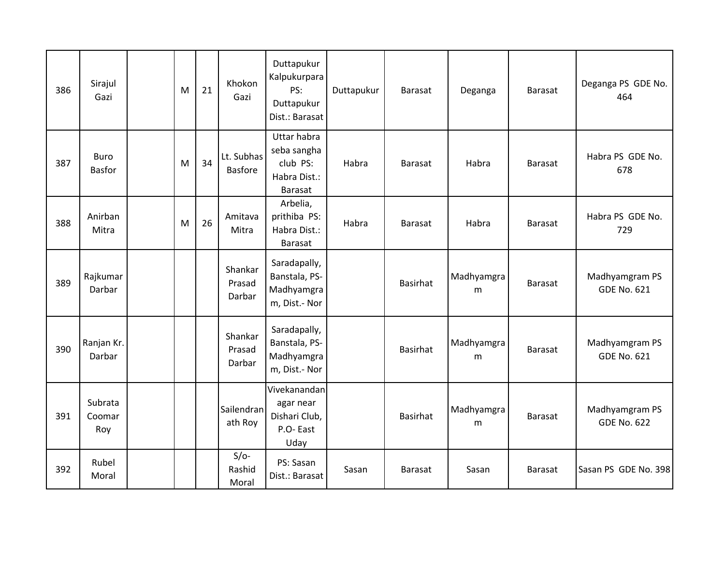| 386 | Sirajul<br>Gazi              | M | 21 | Khokon<br>Gazi               | Duttapukur<br>Kalpukurpara<br>PS:<br>Duttapukur<br>Dist.: Barasat               | Duttapukur | <b>Barasat</b>  | Deganga         | <b>Barasat</b> | Deganga PS GDE No.<br>464            |
|-----|------------------------------|---|----|------------------------------|---------------------------------------------------------------------------------|------------|-----------------|-----------------|----------------|--------------------------------------|
| 387 | <b>Buro</b><br><b>Basfor</b> | M | 34 | Lt. Subhas<br><b>Basfore</b> | <b>Uttar habra</b><br>seba sangha<br>club PS:<br>Habra Dist.:<br><b>Barasat</b> | Habra      | <b>Barasat</b>  | Habra           | <b>Barasat</b> | Habra PS GDE No.<br>678              |
| 388 | Anirban<br>Mitra             | M | 26 | Amitava<br>Mitra             | Arbelia,<br>prithiba PS:<br>Habra Dist.:<br>Barasat                             | Habra      | <b>Barasat</b>  | Habra           | <b>Barasat</b> | Habra PS GDE No.<br>729              |
| 389 | Rajkumar<br>Darbar           |   |    | Shankar<br>Prasad<br>Darbar  | Saradapally,<br>Banstala, PS-<br>Madhyamgra<br>m, Dist.- Nor                    |            | <b>Basirhat</b> | Madhyamgra<br>m | <b>Barasat</b> | Madhyamgram PS<br><b>GDE No. 621</b> |
| 390 | Ranjan Kr.<br>Darbar         |   |    | Shankar<br>Prasad<br>Darbar  | Saradapally,<br>Banstala, PS-<br>Madhyamgra<br>m, Dist.- Nor                    |            | <b>Basirhat</b> | Madhyamgra<br>m | <b>Barasat</b> | Madhyamgram PS<br><b>GDE No. 621</b> |
| 391 | Subrata<br>Coomar<br>Roy     |   |    | Sailendran<br>ath Roy        | Vivekanandan<br>agar near<br>Dishari Club,<br>P.O-East<br>Uday                  |            | <b>Basirhat</b> | Madhyamgra<br>m | <b>Barasat</b> | Madhyamgram PS<br><b>GDE No. 622</b> |
| 392 | Rubel<br>Moral               |   |    | $S/O-$<br>Rashid<br>Moral    | PS: Sasan<br>Dist.: Barasat                                                     | Sasan      | <b>Barasat</b>  | Sasan           | Barasat        | Sasan PS GDE No. 398                 |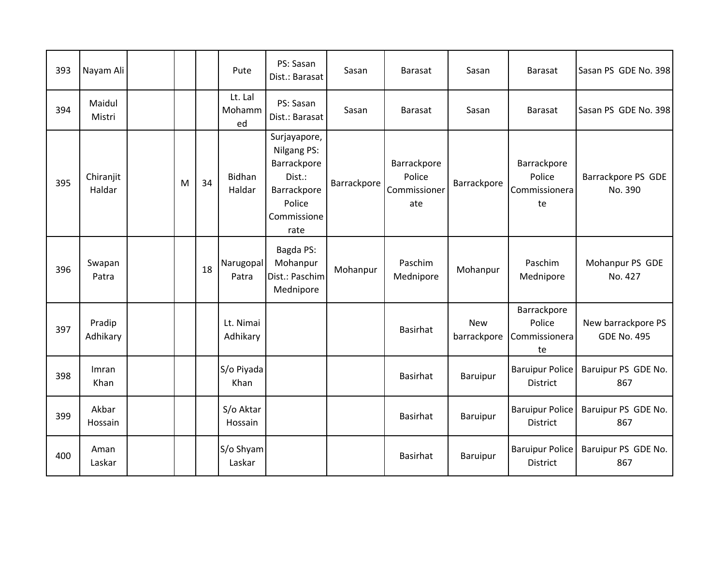| 393 | Nayam Ali           |   |    | Pute                    | PS: Sasan<br>Dist.: Barasat                                                                          | Sasan       | <b>Barasat</b>                               | Sasan                     | <b>Barasat</b>                               | Sasan PS GDE No. 398                     |
|-----|---------------------|---|----|-------------------------|------------------------------------------------------------------------------------------------------|-------------|----------------------------------------------|---------------------------|----------------------------------------------|------------------------------------------|
| 394 | Maidul<br>Mistri    |   |    | Lt. Lal<br>Mohamm<br>ed | PS: Sasan<br>Dist.: Barasat                                                                          | Sasan       | Barasat                                      | Sasan                     | <b>Barasat</b>                               | Sasan PS GDE No. 398                     |
| 395 | Chiranjit<br>Haldar | M | 34 | <b>Bidhan</b><br>Haldar | Surjayapore,<br>Nilgang PS:<br>Barrackpore<br>Dist.:<br>Barrackpore<br>Police<br>Commissione<br>rate | Barrackpore | Barrackpore<br>Police<br>Commissioner<br>ate | Barrackpore               | Barrackpore<br>Police<br>Commissionera<br>te | Barrackpore PS GDE<br>No. 390            |
| 396 | Swapan<br>Patra     |   | 18 | Narugopal<br>Patra      | Bagda PS:<br>Mohanpur<br>Dist.: Paschim<br>Mednipore                                                 | Mohanpur    | Paschim<br>Mednipore                         | Mohanpur                  | Paschim<br>Mednipore                         | Mohanpur PS GDE<br>No. 427               |
| 397 | Pradip<br>Adhikary  |   |    | Lt. Nimai<br>Adhikary   |                                                                                                      |             | <b>Basirhat</b>                              | <b>New</b><br>barrackpore | Barrackpore<br>Police<br>Commissionera<br>te | New barrackpore PS<br><b>GDE No. 495</b> |
| 398 | Imran<br>Khan       |   |    | S/o Piyada<br>Khan      |                                                                                                      |             | <b>Basirhat</b>                              | Baruipur                  | <b>Baruipur Police</b><br><b>District</b>    | Baruipur PS GDE No.<br>867               |
| 399 | Akbar<br>Hossain    |   |    | S/o Aktar<br>Hossain    |                                                                                                      |             | <b>Basirhat</b>                              | Baruipur                  | <b>Baruipur Police</b><br><b>District</b>    | Baruipur PS GDE No.<br>867               |
| 400 | Aman<br>Laskar      |   |    | S/o Shyam<br>Laskar     |                                                                                                      |             | <b>Basirhat</b>                              | Baruipur                  | <b>Baruipur Police</b><br>District           | Baruipur PS GDE No.<br>867               |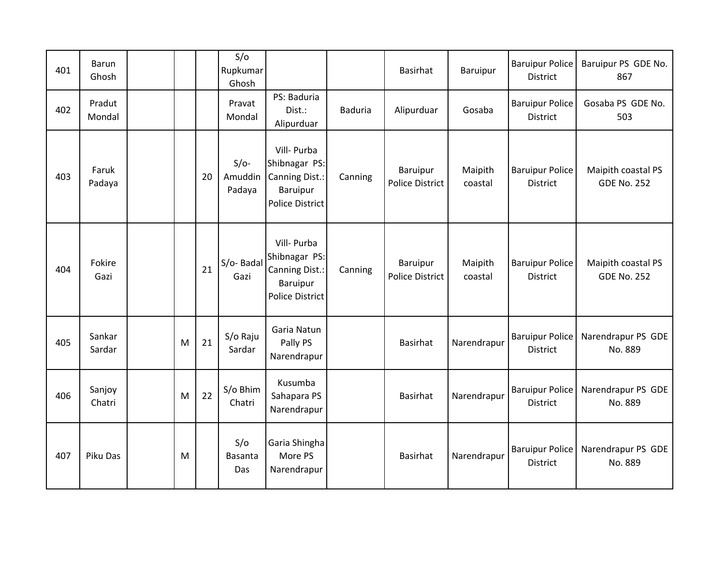| 401 | <b>Barun</b><br>Ghosh |   |    | S/O<br>Rupkumar<br>Ghosh    |                                                                                             |                | Basirhat                    | Baruipur           | <b>Baruipur Police</b><br><b>District</b> | Baruipur PS GDE No.<br>867               |
|-----|-----------------------|---|----|-----------------------------|---------------------------------------------------------------------------------------------|----------------|-----------------------------|--------------------|-------------------------------------------|------------------------------------------|
| 402 | Pradut<br>Mondal      |   |    | Pravat<br>Mondal            | PS: Baduria<br>Dist.:<br>Alipurduar                                                         | <b>Baduria</b> | Alipurduar                  | Gosaba             | <b>Baruipur Police</b><br><b>District</b> | Gosaba PS GDE No.<br>503                 |
| 403 | Faruk<br>Padaya       |   | 20 | $S/O-$<br>Amuddin<br>Padaya | Vill- Purba<br>Shibnagar PS:<br>Canning Dist.:<br>Baruipur<br><b>Police District</b>        | Canning        | Baruipur<br>Police District | Maipith<br>coastal | <b>Baruipur Police</b><br><b>District</b> | Maipith coastal PS<br><b>GDE No. 252</b> |
| 404 | Fokire<br>Gazi        |   | 21 | S/o-Badal<br>Gazi           | Vill- Purba<br>Shibnagar PS:<br>Canning Dist.:<br><b>Baruipur</b><br><b>Police District</b> | Canning        | Baruipur<br>Police District | Maipith<br>coastal | <b>Baruipur Police</b><br><b>District</b> | Maipith coastal PS<br><b>GDE No. 252</b> |
| 405 | Sankar<br>Sardar      | M | 21 | S/o Raju<br>Sardar          | Garia Natun<br>Pally PS<br>Narendrapur                                                      |                | <b>Basirhat</b>             | Narendrapur        | <b>Baruipur Police</b><br><b>District</b> | Narendrapur PS GDE<br>No. 889            |
| 406 | Sanjoy<br>Chatri      | M | 22 | S/o Bhim<br>Chatri          | Kusumba<br>Sahapara PS<br>Narendrapur                                                       |                | Basirhat                    | Narendrapur        | <b>Baruipur Police</b><br><b>District</b> | Narendrapur PS GDE<br>No. 889            |
| 407 | Piku Das              | M |    | S/O<br>Basanta<br>Das       | Garia Shingha<br>More PS<br>Narendrapur                                                     |                | Basirhat                    | Narendrapur        | <b>Baruipur Police</b><br><b>District</b> | Narendrapur PS GDE<br>No. 889            |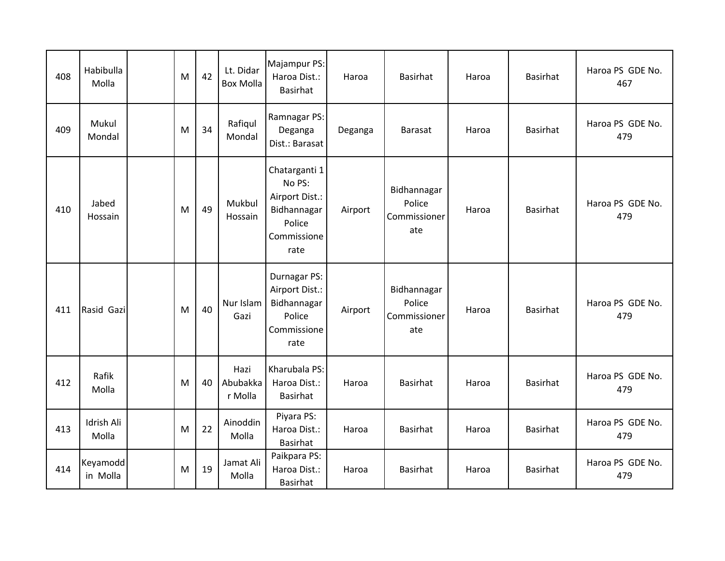| 408 | Habibulla<br>Molla         | M | 42 | Lt. Didar<br><b>Box Molla</b> | Majampur PS:<br>Haroa Dist.:<br><b>Basirhat</b>                                           | Haroa   | Basirhat                                     | Haroa | Basirhat        | Haroa PS GDE No.<br>467 |
|-----|----------------------------|---|----|-------------------------------|-------------------------------------------------------------------------------------------|---------|----------------------------------------------|-------|-----------------|-------------------------|
| 409 | Mukul<br>Mondal            | M | 34 | Rafiqul<br>Mondal             | Ramnagar PS:<br>Deganga<br>Dist.: Barasat                                                 | Deganga | <b>Barasat</b>                               | Haroa | Basirhat        | Haroa PS GDE No.<br>479 |
| 410 | Jabed<br>Hossain           | M | 49 | Mukbul<br>Hossain             | Chatarganti 1<br>No PS:<br>Airport Dist.:<br>Bidhannagar<br>Police<br>Commissione<br>rate | Airport | Bidhannagar<br>Police<br>Commissioner<br>ate | Haroa | Basirhat        | Haroa PS GDE No.<br>479 |
| 411 | Rasid Gazi                 | M | 40 | Nur Islam<br>Gazi             | Durnagar PS:<br>Airport Dist.:<br>Bidhannagar<br>Police<br>Commissione<br>rate            | Airport | Bidhannagar<br>Police<br>Commissioner<br>ate | Haroa | <b>Basirhat</b> | Haroa PS GDE No.<br>479 |
| 412 | Rafik<br>Molla             | M | 40 | Hazi<br>Abubakka<br>r Molla   | Kharubala PS:<br>Haroa Dist.:<br>Basirhat                                                 | Haroa   | Basirhat                                     | Haroa | Basirhat        | Haroa PS GDE No.<br>479 |
| 413 | <b>Idrish Ali</b><br>Molla | M | 22 | Ainoddin<br>Molla             | Piyara PS:<br>Haroa Dist.:<br>Basirhat                                                    | Haroa   | Basirhat                                     | Haroa | Basirhat        | Haroa PS GDE No.<br>479 |
| 414 | Keyamodd<br>in Molla       | M | 19 | Jamat Ali<br>Molla            | Paikpara PS:<br>Haroa Dist.:<br>Basirhat                                                  | Haroa   | <b>Basirhat</b>                              | Haroa | Basirhat        | Haroa PS GDE No.<br>479 |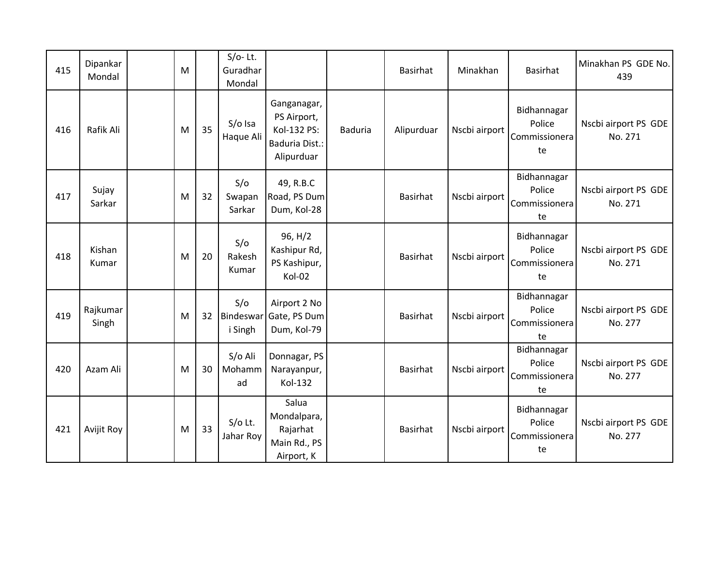| 415 | Dipankar<br>Mondal | M |    | $S/O-$ Lt.<br>Guradhar<br>Mondal |                                                                           |                | Basirhat        | Minakhan      | Basirhat                                     | Minakhan PS GDE No.<br>439      |
|-----|--------------------|---|----|----------------------------------|---------------------------------------------------------------------------|----------------|-----------------|---------------|----------------------------------------------|---------------------------------|
| 416 | Rafik Ali          | M | 35 | S/o Isa<br>Haque Ali             | Ganganagar,<br>PS Airport,<br>Kol-132 PS:<br>Baduria Dist.:<br>Alipurduar | <b>Baduria</b> | Alipurduar      | Nscbi airport | Bidhannagar<br>Police<br>Commissionera<br>te | Nscbi airport PS GDE<br>No. 271 |
| 417 | Sujay<br>Sarkar    | M | 32 | S/O<br>Swapan<br>Sarkar          | 49, R.B.C<br>Road, PS Dum<br>Dum, Kol-28                                  |                | Basirhat        | Nscbi airport | Bidhannagar<br>Police<br>Commissionera<br>te | Nscbi airport PS GDE<br>No. 271 |
| 418 | Kishan<br>Kumar    | M | 20 | S/O<br>Rakesh<br>Kumar           | 96, H/2<br>Kashipur Rd,<br>PS Kashipur,<br>Kol-02                         |                | Basirhat        | Nscbi airport | Bidhannagar<br>Police<br>Commissionera<br>te | Nscbi airport PS GDE<br>No. 271 |
| 419 | Rajkumar<br>Singh  | M | 32 | S/O<br>Bindeswar<br>i Singh      | Airport 2 No<br>Gate, PS Dum<br>Dum, Kol-79                               |                | Basirhat        | Nscbi airport | Bidhannagar<br>Police<br>Commissionera<br>te | Nscbi airport PS GDE<br>No. 277 |
| 420 | Azam Ali           | M | 30 | S/o Ali<br>Mohamm<br>ad          | Donnagar, PS<br>Narayanpur,<br>Kol-132                                    |                | <b>Basirhat</b> | Nscbi airport | Bidhannagar<br>Police<br>Commissionera<br>te | Nscbi airport PS GDE<br>No. 277 |
| 421 | Avijit Roy         | M | 33 | $S/O$ Lt.<br>Jahar Roy           | Salua<br>Mondalpara,<br>Rajarhat<br>Main Rd., PS<br>Airport, K            |                | <b>Basirhat</b> | Nscbi airport | Bidhannagar<br>Police<br>Commissionera<br>te | Nscbi airport PS GDE<br>No. 277 |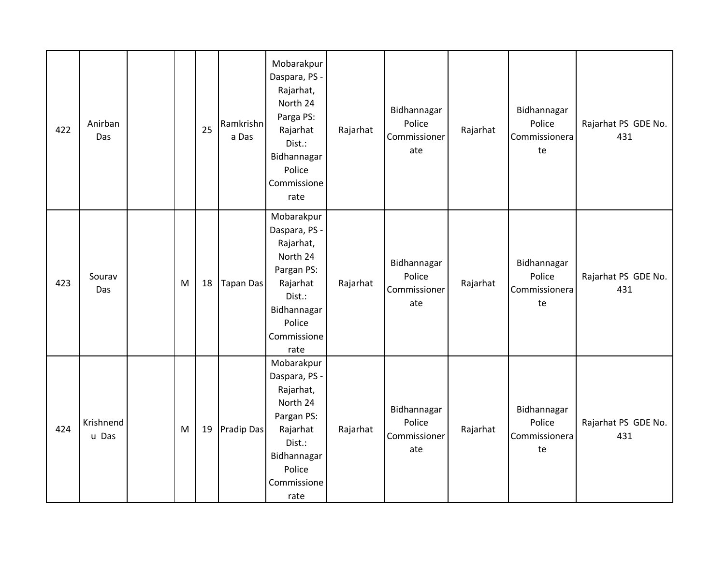| 422 | Anirban<br>Das     |   | 25 | Ramkrishn<br>a Das | Mobarakpur<br>Daspara, PS -<br>Rajarhat,<br>North 24<br>Parga PS:<br>Rajarhat<br>Dist.:<br>Bidhannagar<br>Police<br>Commissione<br>rate  | Rajarhat | Bidhannagar<br>Police<br>Commissioner<br>ate | Rajarhat | Bidhannagar<br>Police<br>Commissionera<br>te | Rajarhat PS GDE No.<br>431 |
|-----|--------------------|---|----|--------------------|------------------------------------------------------------------------------------------------------------------------------------------|----------|----------------------------------------------|----------|----------------------------------------------|----------------------------|
| 423 | Sourav<br>Das      | M | 18 | <b>Tapan Das</b>   | Mobarakpur<br>Daspara, PS -<br>Rajarhat,<br>North 24<br>Pargan PS:<br>Rajarhat<br>Dist.:<br>Bidhannagar<br>Police<br>Commissione<br>rate | Rajarhat | Bidhannagar<br>Police<br>Commissioner<br>ate | Rajarhat | Bidhannagar<br>Police<br>Commissionera<br>te | Rajarhat PS GDE No.<br>431 |
| 424 | Krishnend<br>u Das | M | 19 | Pradip Das         | Mobarakpur<br>Daspara, PS -<br>Rajarhat,<br>North 24<br>Pargan PS:<br>Rajarhat<br>Dist.:<br>Bidhannagar<br>Police<br>Commissione<br>rate | Rajarhat | Bidhannagar<br>Police<br>Commissioner<br>ate | Rajarhat | Bidhannagar<br>Police<br>Commissionera<br>te | Rajarhat PS GDE No.<br>431 |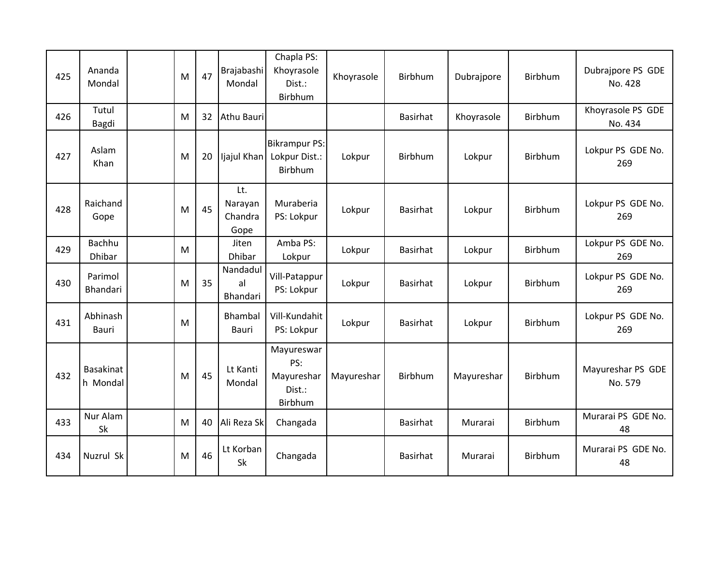| 425 | Ananda<br>Mondal             | M | 47 | Brajabashi<br>Mondal              | Chapla PS:<br>Khoyrasole<br>Dist.:<br>Birbhum        | Khoyrasole | Birbhum         | Dubrajpore | Birbhum        | Dubrajpore PS GDE<br>No. 428 |
|-----|------------------------------|---|----|-----------------------------------|------------------------------------------------------|------------|-----------------|------------|----------------|------------------------------|
| 426 | Tutul<br>Bagdi               | M | 32 | Athu Bauri                        |                                                      |            | <b>Basirhat</b> | Khoyrasole | Birbhum        | Khoyrasole PS GDE<br>No. 434 |
| 427 | Aslam<br>Khan                | M | 20 | Ijajul Khan                       | <b>Bikrampur PS:</b><br>Lokpur Dist.:<br>Birbhum     | Lokpur     | <b>Birbhum</b>  | Lokpur     | <b>Birbhum</b> | Lokpur PS GDE No.<br>269     |
| 428 | Raichand<br>Gope             | M | 45 | Lt.<br>Narayan<br>Chandra<br>Gope | Muraberia<br>PS: Lokpur                              | Lokpur     | <b>Basirhat</b> | Lokpur     | <b>Birbhum</b> | Lokpur PS GDE No.<br>269     |
| 429 | <b>Bachhu</b><br>Dhibar      | M |    | Jiten<br>Dhibar                   | Amba PS:<br>Lokpur                                   | Lokpur     | Basirhat        | Lokpur     | Birbhum        | Lokpur PS GDE No.<br>269     |
| 430 | Parimol<br>Bhandari          | M | 35 | Nandadul<br>al<br>Bhandari        | Vill-Patappur<br>PS: Lokpur                          | Lokpur     | Basirhat        | Lokpur     | Birbhum        | Lokpur PS GDE No.<br>269     |
| 431 | Abhinash<br>Bauri            | M |    | Bhambal<br>Bauri                  | Vill-Kundahit<br>PS: Lokpur                          | Lokpur     | <b>Basirhat</b> | Lokpur     | <b>Birbhum</b> | Lokpur PS GDE No.<br>269     |
| 432 | <b>Basakinat</b><br>h Mondal | M | 45 | Lt Kanti<br>Mondal                | Mayureswar<br>PS:<br>Mayureshar<br>Dist.:<br>Birbhum | Mayureshar | Birbhum         | Mayureshar | Birbhum        | Mayureshar PS GDE<br>No. 579 |
| 433 | Nur Alam<br>Sk               | M | 40 | Ali Reza Sk                       | Changada                                             |            | Basirhat        | Murarai    | Birbhum        | Murarai PS GDE No.<br>48     |
| 434 | Nuzrul Sk                    | M | 46 | Lt Korban<br><b>Sk</b>            | Changada                                             |            | Basirhat        | Murarai    | Birbhum        | Murarai PS GDE No.<br>48     |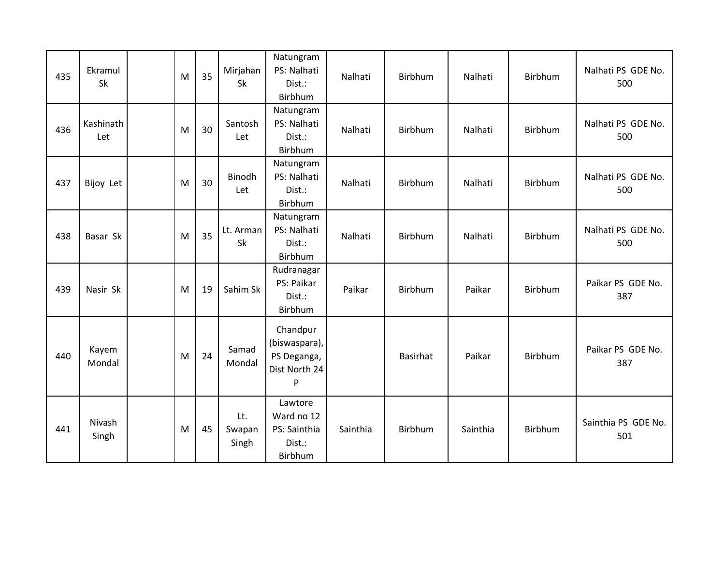| 435 | Ekramul<br>Sk    | M | 35 | Mirjahan<br>Sk         | Natungram<br>PS: Nalhati<br>Dist.:<br>Birbhum                  | Nalhati  | Birbhum  | Nalhati  | Birbhum        | Nalhati PS GDE No.<br>500  |
|-----|------------------|---|----|------------------------|----------------------------------------------------------------|----------|----------|----------|----------------|----------------------------|
| 436 | Kashinath<br>Let | M | 30 | Santosh<br>Let         | Natungram<br>PS: Nalhati<br>Dist.:<br>Birbhum                  | Nalhati  | Birbhum  | Nalhati  | Birbhum        | Nalhati PS GDE No.<br>500  |
| 437 | Bijoy Let        | M | 30 | Binodh<br>Let          | Natungram<br>PS: Nalhati<br>Dist.:<br>Birbhum                  | Nalhati  | Birbhum  | Nalhati  | <b>Birbhum</b> | Nalhati PS GDE No.<br>500  |
| 438 | Basar Sk         | M | 35 | Lt. Arman<br>Sk        | Natungram<br>PS: Nalhati<br>Dist.:<br>Birbhum                  | Nalhati  | Birbhum  | Nalhati  | Birbhum        | Nalhati PS GDE No.<br>500  |
| 439 | Nasir Sk         | M | 19 | Sahim Sk               | Rudranagar<br>PS: Paikar<br>Dist.:<br>Birbhum                  | Paikar   | Birbhum  | Paikar   | Birbhum        | Paikar PS GDE No.<br>387   |
| 440 | Kayem<br>Mondal  | M | 24 | Samad<br>Mondal        | Chandpur<br>(biswaspara),<br>PS Deganga,<br>Dist North 24<br>P |          | Basirhat | Paikar   | Birbhum        | Paikar PS GDE No.<br>387   |
| 441 | Nivash<br>Singh  | M | 45 | Lt.<br>Swapan<br>Singh | Lawtore<br>Ward no 12<br>PS: Sainthia<br>Dist.:<br>Birbhum     | Sainthia | Birbhum  | Sainthia | Birbhum        | Sainthia PS GDE No.<br>501 |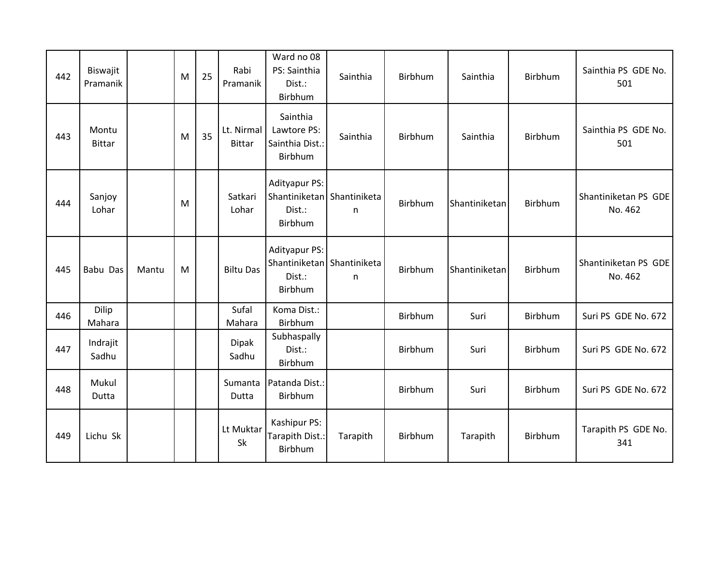| 442 | Biswajit<br>Pramanik   |       | M | 25 | Rabi<br>Pramanik            | Ward no 08<br>PS: Sainthia<br>Dist.:<br>Birbhum                         | Sainthia | Birbhum | Sainthia      | Birbhum | Sainthia PS GDE No.<br>501      |
|-----|------------------------|-------|---|----|-----------------------------|-------------------------------------------------------------------------|----------|---------|---------------|---------|---------------------------------|
| 443 | Montu<br><b>Bittar</b> |       | M | 35 | Lt. Nirmal<br><b>Bittar</b> | Sainthia<br>Lawtore PS:<br>Sainthia Dist.:<br>Birbhum                   | Sainthia | Birbhum | Sainthia      | Birbhum | Sainthia PS GDE No.<br>501      |
| 444 | Sanjoy<br>Lohar        |       | M |    | Satkari<br>Lohar            | <b>Adityapur PS:</b><br>Shantiniketan Shantiniketa<br>Dist.:<br>Birbhum | n        | Birbhum | Shantiniketan | Birbhum | Shantiniketan PS GDE<br>No. 462 |
| 445 | Babu Das               | Mantu | M |    | <b>Biltu Das</b>            | <b>Adityapur PS:</b><br>Shantiniketan Shantiniketa<br>Dist.:<br>Birbhum | n.       | Birbhum | Shantiniketan | Birbhum | Shantiniketan PS GDE<br>No. 462 |
| 446 | Dilip<br>Mahara        |       |   |    | Sufal<br>Mahara             | Koma Dist.:<br>Birbhum                                                  |          | Birbhum | Suri          | Birbhum | Suri PS GDE No. 672             |
| 447 | Indrajit<br>Sadhu      |       |   |    | <b>Dipak</b><br>Sadhu       | Subhaspally<br>Dist.:<br>Birbhum                                        |          | Birbhum | Suri          | Birbhum | Suri PS GDE No. 672             |
| 448 | Mukul<br>Dutta         |       |   |    | Sumanta<br>Dutta            | Patanda Dist.:<br>Birbhum                                               |          | Birbhum | Suri          | Birbhum | Suri PS GDE No. 672             |
| 449 | Lichu Sk               |       |   |    | Lt Muktar<br>Sk             | Kashipur PS:<br>Tarapith Dist.:<br>Birbhum                              | Tarapith | Birbhum | Tarapith      | Birbhum | Tarapith PS GDE No.<br>341      |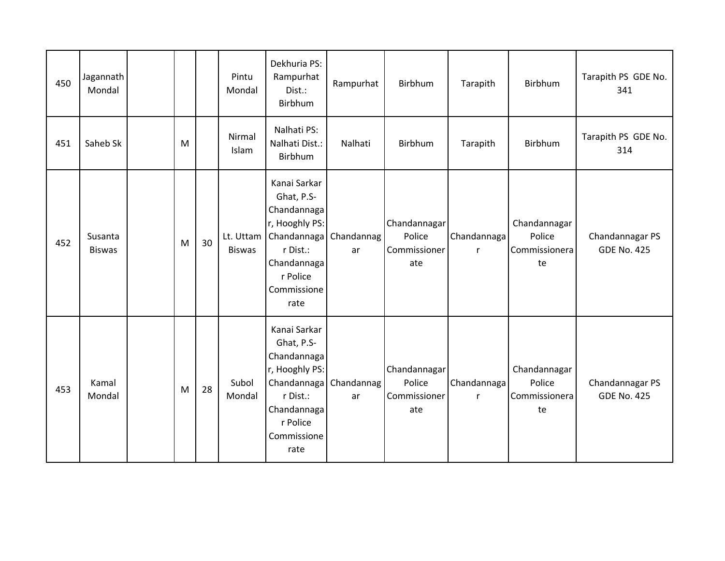| 450 | Jagannath<br>Mondal      |   |    | Pintu<br>Mondal            | Dekhuria PS:<br>Rampurhat<br>Dist.:<br>Birbhum                                                                                                      | Rampurhat        | Birbhum                                       | Tarapith                    | <b>Birbhum</b>                                | Tarapith PS GDE No.<br>341            |
|-----|--------------------------|---|----|----------------------------|-----------------------------------------------------------------------------------------------------------------------------------------------------|------------------|-----------------------------------------------|-----------------------------|-----------------------------------------------|---------------------------------------|
| 451 | Saheb Sk                 | M |    | Nirmal<br>Islam            | Nalhati PS:<br>Nalhati Dist.:<br>Birbhum                                                                                                            | Nalhati          | Birbhum                                       | Tarapith                    | Birbhum                                       | Tarapith PS GDE No.<br>314            |
| 452 | Susanta<br><b>Biswas</b> | M | 30 | Lt. Uttam<br><b>Biswas</b> | Kanai Sarkar<br>Ghat, P.S-<br>Chandannaga<br>r, Hooghly PS:<br>Chandannaga<br>r Dist.:<br>Chandannaga<br>r Police<br>Commissione<br>rate            | Chandannag<br>ar | Chandannagar<br>Police<br>Commissioner<br>ate | Chandannaga<br>r            | Chandannagar<br>Police<br>Commissionera<br>te | Chandannagar PS<br><b>GDE No. 425</b> |
| 453 | Kamal<br>Mondal          | M | 28 | Subol<br>Mondal            | Kanai Sarkar<br>Ghat, P.S-<br>Chandannaga<br>r, Hooghly PS:<br>Chandannaga Chandannag<br>r Dist.:<br>Chandannaga<br>r Police<br>Commissione<br>rate | ar               | Chandannagar<br>Police<br>Commissioner<br>ate | Chandannaga<br>$\mathsf{r}$ | Chandannagar<br>Police<br>Commissionera<br>te | Chandannagar PS<br><b>GDE No. 425</b> |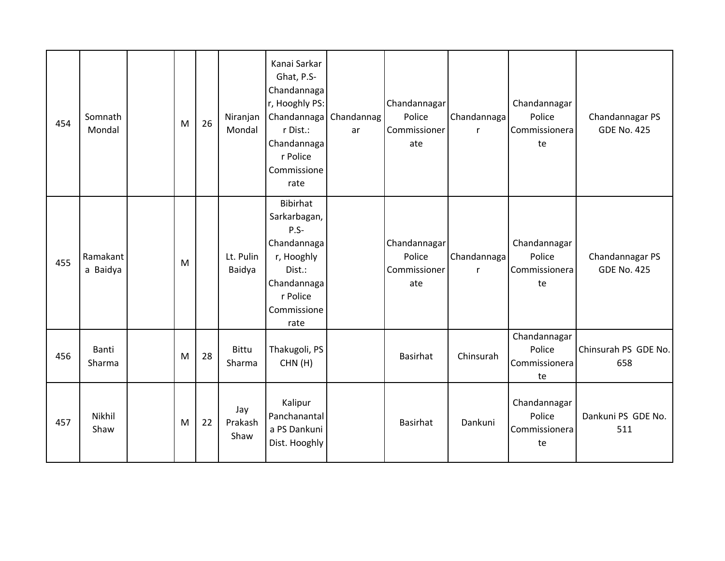| 454 | Somnath<br>Mondal    | M | 26 | Niranjan<br>Mondal     | Kanai Sarkar<br>Ghat, P.S-<br>Chandannaga<br>r, Hooghly PS:<br>Chandannaga   Chandannag<br>r Dist.:<br>Chandannaga<br>r Police<br>Commissione<br>rate | ar | Chandannagar<br>Police<br>Commissioner<br>ate | Chandannaga<br>$\mathsf{r}$ | Chandannagar<br>Police<br>Commissionera<br>te | Chandannagar PS<br><b>GDE No. 425</b> |
|-----|----------------------|---|----|------------------------|-------------------------------------------------------------------------------------------------------------------------------------------------------|----|-----------------------------------------------|-----------------------------|-----------------------------------------------|---------------------------------------|
| 455 | Ramakant<br>a Baidya | M |    | Lt. Pulin<br>Baidya    | <b>Bibirhat</b><br>Sarkarbagan,<br>$P.S-$<br>Chandannaga<br>r, Hooghly<br>Dist.:<br>Chandannaga<br>r Police<br>Commissione<br>rate                    |    | Chandannagar<br>Police<br>Commissioner<br>ate | Chandannaga<br>$\mathsf{r}$ | Chandannagar<br>Police<br>Commissionera<br>te | Chandannagar PS<br><b>GDE No. 425</b> |
| 456 | Banti<br>Sharma      | M | 28 | Bittu<br>Sharma        | Thakugoli, PS<br>CHN(H)                                                                                                                               |    | <b>Basirhat</b>                               | Chinsurah                   | Chandannagar<br>Police<br>Commissionera<br>te | Chinsurah PS GDE No.<br>658           |
| 457 | Nikhil<br>Shaw       | M | 22 | Jay<br>Prakash<br>Shaw | Kalipur<br>Panchanantal<br>a PS Dankuni<br>Dist. Hooghly                                                                                              |    | <b>Basirhat</b>                               | Dankuni                     | Chandannagar<br>Police<br>Commissionera<br>te | Dankuni PS GDE No.<br>511             |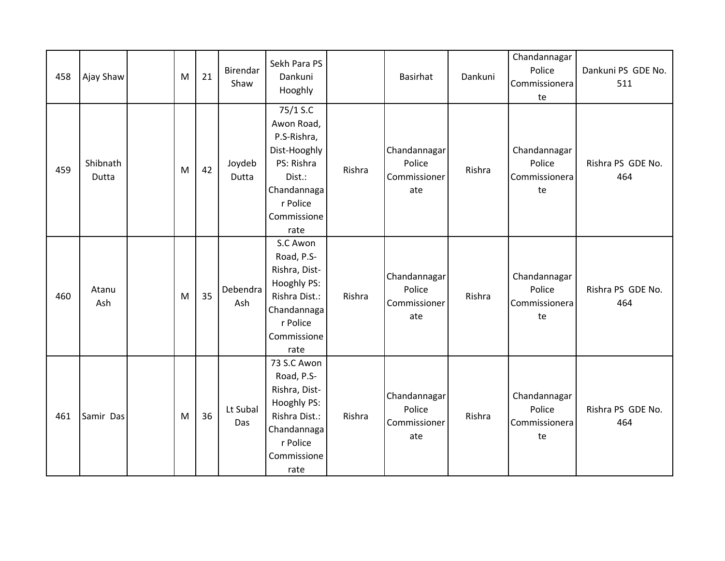| 458 | Ajay Shaw         | M | 21 | Birendar<br>Shaw | Sekh Para PS<br>Dankuni<br>Hooghly                                                                                              |        | <b>Basirhat</b>                               | Dankuni | Chandannagar<br>Police<br>Commissionera<br>te | Dankuni PS GDE No.<br>511 |
|-----|-------------------|---|----|------------------|---------------------------------------------------------------------------------------------------------------------------------|--------|-----------------------------------------------|---------|-----------------------------------------------|---------------------------|
| 459 | Shibnath<br>Dutta | M | 42 | Joydeb<br>Dutta  | 75/1 S.C<br>Awon Road,<br>P.S-Rishra,<br>Dist-Hooghly<br>PS: Rishra<br>Dist.:<br>Chandannaga<br>r Police<br>Commissione<br>rate | Rishra | Chandannagar<br>Police<br>Commissioner<br>ate | Rishra  | Chandannagar<br>Police<br>Commissionera<br>te | Rishra PS GDE No.<br>464  |
| 460 | Atanu<br>Ash      | M | 35 | Debendra<br>Ash  | S.C Awon<br>Road, P.S-<br>Rishra, Dist-<br>Hooghly PS:<br>Rishra Dist.:<br>Chandannaga<br>r Police<br>Commissione<br>rate       | Rishra | Chandannagar<br>Police<br>Commissioner<br>ate | Rishra  | Chandannagar<br>Police<br>Commissionera<br>te | Rishra PS GDE No.<br>464  |
| 461 | Samir Das         | M | 36 | Lt Subal<br>Das  | 73 S.C Awon<br>Road, P.S-<br>Rishra, Dist-<br>Hooghly PS:<br>Rishra Dist.:<br>Chandannaga<br>r Police<br>Commissione<br>rate    | Rishra | Chandannagar<br>Police<br>Commissioner<br>ate | Rishra  | Chandannagar<br>Police<br>Commissionera<br>te | Rishra PS GDE No.<br>464  |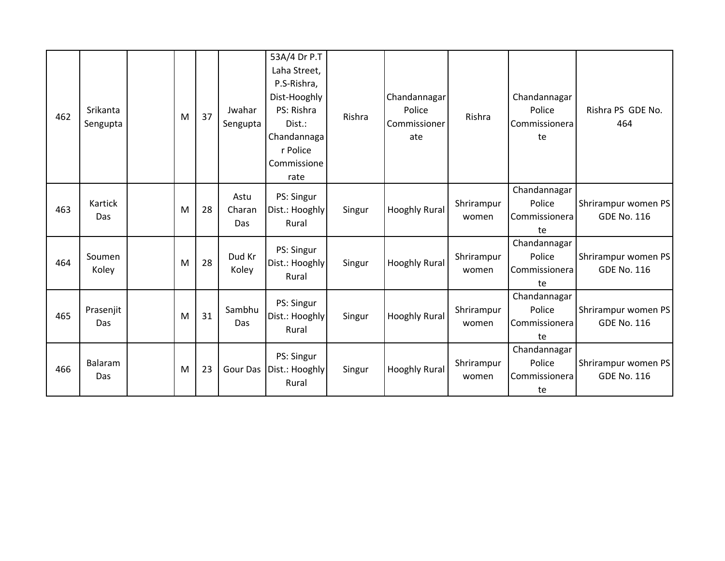| 462 | Srikanta<br>Sengupta | M | 37 | Jwahar<br>Sengupta    | 53A/4 Dr P.T<br>Laha Street,<br>P.S-Rishra,<br>Dist-Hooghly<br>PS: Rishra<br>Dist.:<br>Chandannaga<br>r Police<br>Commissione<br>rate | Rishra | Chandannagar<br>Police<br>Commissioner<br>ate | Rishra              | Chandannagar<br>Police<br>Commissionera<br>te | Rishra PS GDE No.<br>464                  |
|-----|----------------------|---|----|-----------------------|---------------------------------------------------------------------------------------------------------------------------------------|--------|-----------------------------------------------|---------------------|-----------------------------------------------|-------------------------------------------|
| 463 | Kartick<br>Das       | M | 28 | Astu<br>Charan<br>Das | PS: Singur<br>Dist.: Hooghly<br>Rural                                                                                                 | Singur | Hooghly Rural                                 | Shrirampur<br>women | Chandannagar<br>Police<br>Commissionera<br>te | Shrirampur women PS<br><b>GDE No. 116</b> |
| 464 | Soumen<br>Koley      | M | 28 | Dud Kr<br>Koley       | PS: Singur<br>Dist.: Hooghly<br>Rural                                                                                                 | Singur | Hooghly Rural                                 | Shrirampur<br>women | Chandannagar<br>Police<br>Commissionera<br>te | Shrirampur women PS<br><b>GDE No. 116</b> |
| 465 | Prasenjit<br>Das     | M | 31 | Sambhu<br>Das         | PS: Singur<br>Dist.: Hooghly<br>Rural                                                                                                 | Singur | Hooghly Rural                                 | Shrirampur<br>women | Chandannagar<br>Police<br>Commissionera<br>te | Shrirampur women PS<br><b>GDE No. 116</b> |
| 466 | Balaram<br>Das       | M | 23 | Gour Das              | PS: Singur<br>Dist.: Hooghly<br>Rural                                                                                                 | Singur | Hooghly Rural                                 | Shrirampur<br>women | Chandannagar<br>Police<br>Commissionera<br>te | Shrirampur women PS<br><b>GDE No. 116</b> |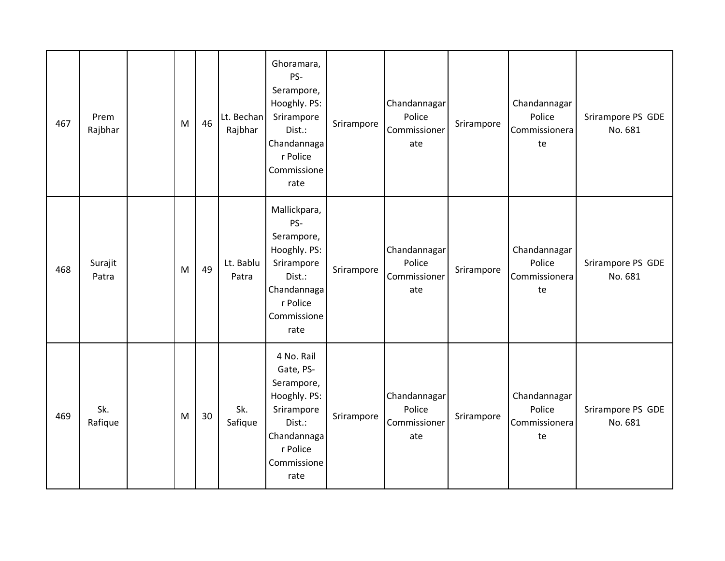| 467 | Prem<br>Rajbhar  | M | 46 | Lt. Bechan<br>Rajbhar | Ghoramara,<br>PS-<br>Serampore,<br>Hooghly. PS:<br>Srirampore<br>Dist.:<br>Chandannaga<br>r Police<br>Commissione<br>rate       | Srirampore | Chandannagar<br>Police<br>Commissioner<br>ate | Srirampore | Chandannagar<br>Police<br>Commissionera<br>te | Srirampore PS GDE<br>No. 681 |
|-----|------------------|---|----|-----------------------|---------------------------------------------------------------------------------------------------------------------------------|------------|-----------------------------------------------|------------|-----------------------------------------------|------------------------------|
| 468 | Surajit<br>Patra | M | 49 | Lt. Bablu<br>Patra    | Mallickpara,<br>PS-<br>Serampore,<br>Hooghly. PS:<br>Srirampore<br>Dist.:<br>Chandannaga<br>r Police<br>Commissione<br>rate     | Srirampore | Chandannagar<br>Police<br>Commissioner<br>ate | Srirampore | Chandannagar<br>Police<br>Commissionera<br>te | Srirampore PS GDE<br>No. 681 |
| 469 | Sk.<br>Rafique   | M | 30 | Sk.<br>Safique        | 4 No. Rail<br>Gate, PS-<br>Serampore,<br>Hooghly. PS:<br>Srirampore<br>Dist.:<br>Chandannaga<br>r Police<br>Commissione<br>rate | Srirampore | Chandannagar<br>Police<br>Commissioner<br>ate | Srirampore | Chandannagar<br>Police<br>Commissionera<br>te | Srirampore PS GDE<br>No. 681 |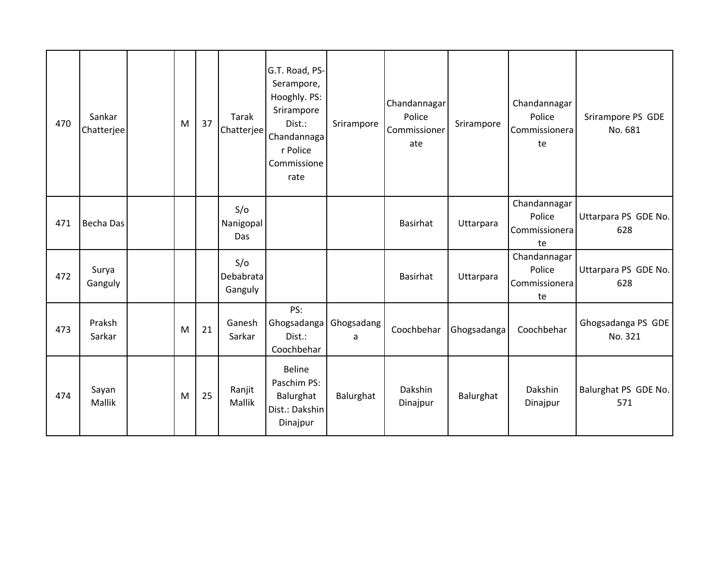| 470 | Sankar<br>Chatterjee | M | 37 | Tarak<br>Chatterjee         | G.T. Road, PS-<br>Serampore,<br>Hooghly. PS:<br>Srirampore<br>Dist.:<br>Chandannaga<br>r Police<br>Commissione<br>rate | Srirampore      | Chandannagar<br>Police<br>Commissioner<br>ate | Srirampore  | Chandannagar<br>Police<br>Commissionera<br>te | Srirampore PS GDE<br>No. 681  |
|-----|----------------------|---|----|-----------------------------|------------------------------------------------------------------------------------------------------------------------|-----------------|-----------------------------------------------|-------------|-----------------------------------------------|-------------------------------|
| 471 | Becha Das            |   |    | S/O<br>Nanigopal<br>Das     |                                                                                                                        |                 | <b>Basirhat</b>                               | Uttarpara   | Chandannagar<br>Police<br>Commissionera<br>te | Uttarpara PS GDE No.<br>628   |
| 472 | Surya<br>Ganguly     |   |    | S/O<br>Debabrata<br>Ganguly |                                                                                                                        |                 | Basirhat                                      | Uttarpara   | Chandannagar<br>Police<br>Commissionera<br>te | Uttarpara PS GDE No.<br>628   |
| 473 | Praksh<br>Sarkar     | M | 21 | Ganesh<br>Sarkar            | PS:<br>Ghogsadanga<br>Dist.:<br>Coochbehar                                                                             | Ghogsadang<br>a | Coochbehar                                    | Ghogsadanga | Coochbehar                                    | Ghogsadanga PS GDE<br>No. 321 |
| 474 | Sayan<br>Mallik      | M | 25 | Ranjit<br>Mallik            | <b>Beline</b><br>Paschim PS:<br>Balurghat<br>Dist.: Dakshin<br>Dinajpur                                                | Balurghat       | Dakshin<br>Dinajpur                           | Balurghat   | Dakshin<br>Dinajpur                           | Balurghat PS GDE No.<br>571   |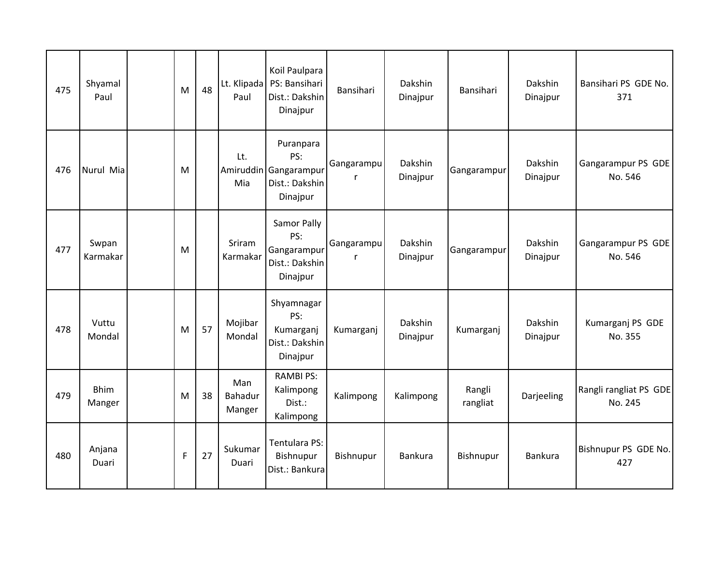| 475 | Shyamal<br>Paul       | M           | 48 | Paul                     | Koil Paulpara<br>Lt. Klipada   PS: Bansihari<br>Dist.: Dakshin<br>Dinajpur | Bansihari       | Dakshin<br>Dinajpur | Bansihari          | Dakshin<br>Dinajpur | Bansihari PS GDE No.<br>371       |
|-----|-----------------------|-------------|----|--------------------------|----------------------------------------------------------------------------|-----------------|---------------------|--------------------|---------------------|-----------------------------------|
| 476 | Nurul Mia             | M           |    | Lt.<br>Mia               | Puranpara<br>PS:<br>Amiruddin Gangarampur<br>Dist.: Dakshin<br>Dinajpur    | Gangarampu<br>r | Dakshin<br>Dinajpur | Gangarampur        | Dakshin<br>Dinajpur | Gangarampur PS GDE<br>No. 546     |
| 477 | Swpan<br>Karmakar     | M           |    | Sriram<br>Karmakar       | Samor Pally<br>PS:<br>Gangarampur<br>Dist.: Dakshin<br>Dinajpur            | Gangarampu<br>r | Dakshin<br>Dinajpur | Gangarampur        | Dakshin<br>Dinajpur | Gangarampur PS GDE<br>No. 546     |
| 478 | Vuttu<br>Mondal       | M           | 57 | Mojibar<br>Mondal        | Shyamnagar<br>PS:<br>Kumarganj<br>Dist.: Dakshin<br>Dinajpur               | Kumarganj       | Dakshin<br>Dinajpur | Kumarganj          | Dakshin<br>Dinajpur | Kumarganj PS GDE<br>No. 355       |
| 479 | <b>Bhim</b><br>Manger | M           | 38 | Man<br>Bahadur<br>Manger | <b>RAMBI PS:</b><br>Kalimpong<br>Dist.:<br>Kalimpong                       | Kalimpong       | Kalimpong           | Rangli<br>rangliat | Darjeeling          | Rangli rangliat PS GDE<br>No. 245 |
| 480 | Anjana<br>Duari       | $\mathsf F$ | 27 | Sukumar<br>Duari         | Tentulara PS:<br>Bishnupur<br>Dist.: Bankura                               | Bishnupur       | Bankura             | Bishnupur          | Bankura             | Bishnupur PS GDE No.<br>427       |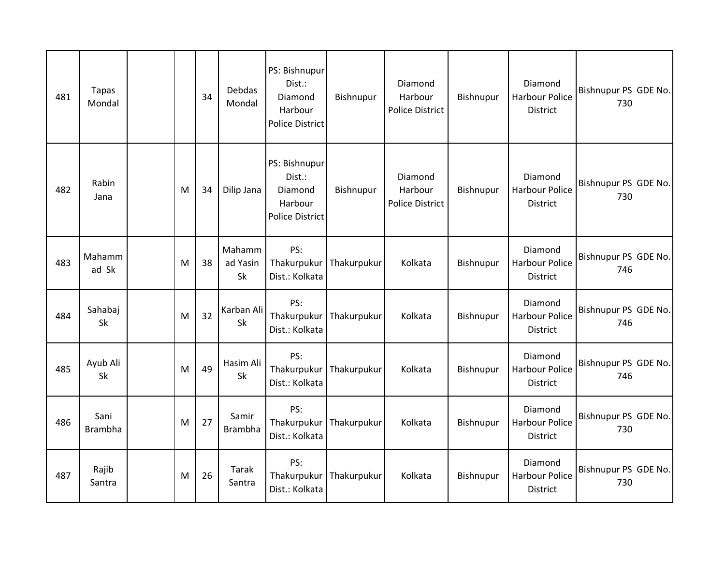| 481 | Tapas<br>Mondal        |   | 34 | Debdas<br>Mondal         | PS: Bishnupur<br>Dist.:<br>Diamond<br>Harbour<br><b>Police District</b> | Bishnupur   | Diamond<br>Harbour<br><b>Police District</b> | Bishnupur | Diamond<br><b>Harbour Police</b><br><b>District</b> | Bishnupur PS GDE No.<br>730 |
|-----|------------------------|---|----|--------------------------|-------------------------------------------------------------------------|-------------|----------------------------------------------|-----------|-----------------------------------------------------|-----------------------------|
| 482 | Rabin<br>Jana          | M | 34 | Dilip Jana               | PS: Bishnupur<br>Dist.:<br>Diamond<br>Harbour<br><b>Police District</b> | Bishnupur   | Diamond<br>Harbour<br>Police District        | Bishnupur | Diamond<br><b>Harbour Police</b><br>District        | Bishnupur PS GDE No.<br>730 |
| 483 | Mahamm<br>ad Sk        | M | 38 | Mahamm<br>ad Yasin<br>Sk | PS:<br>Thakurpukur<br>Dist.: Kolkata                                    | Thakurpukur | Kolkata                                      | Bishnupur | Diamond<br><b>Harbour Police</b><br>District        | Bishnupur PS GDE No.<br>746 |
| 484 | Sahabaj<br>Sk          | M | 32 | Karban Ali<br>Sk         | PS:<br>Thakurpukur<br>Dist.: Kolkata                                    | Thakurpukur | Kolkata                                      | Bishnupur | Diamond<br><b>Harbour Police</b><br>District        | Bishnupur PS GDE No.<br>746 |
| 485 | Ayub Ali<br>Sk         | M | 49 | Hasim Ali<br>Sk          | PS:<br>Thakurpukur<br>Dist.: Kolkata                                    | Thakurpukur | Kolkata                                      | Bishnupur | Diamond<br><b>Harbour Police</b><br>District        | Bishnupur PS GDE No.<br>746 |
| 486 | Sani<br><b>Brambha</b> | M | 27 | Samir<br><b>Brambha</b>  | PS:<br>Thakurpukur<br>Dist.: Kolkata                                    | Thakurpukur | Kolkata                                      | Bishnupur | Diamond<br><b>Harbour Police</b><br><b>District</b> | Bishnupur PS GDE No.<br>730 |
| 487 | Rajib<br>Santra        | M | 26 | Tarak<br>Santra          | PS:<br>Thakurpukur<br>Dist.: Kolkata                                    | Thakurpukur | Kolkata                                      | Bishnupur | Diamond<br><b>Harbour Police</b><br>District        | Bishnupur PS GDE No.<br>730 |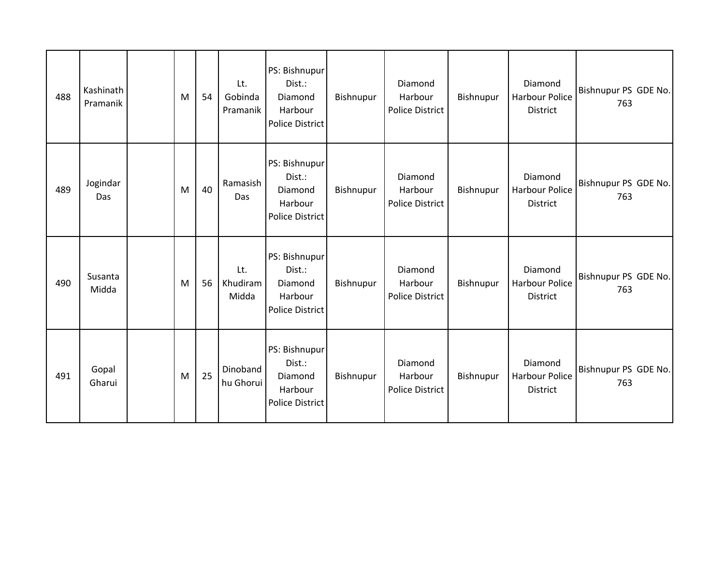| 488 | Kashinath<br>Pramanik | M | 54 | Lt.<br>Gobinda<br>Pramanik | PS: Bishnupur<br>Dist.:<br>Diamond<br>Harbour<br><b>Police District</b> | Bishnupur | Diamond<br>Harbour<br>Police District | Bishnupur | Diamond<br>Harbour Police<br>District               | Bishnupur PS GDE No.<br>763 |
|-----|-----------------------|---|----|----------------------------|-------------------------------------------------------------------------|-----------|---------------------------------------|-----------|-----------------------------------------------------|-----------------------------|
| 489 | Jogindar<br>Das       | M | 40 | Ramasish<br>Das            | PS: Bishnupur<br>Dist.:<br>Diamond<br>Harbour<br>Police District        | Bishnupur | Diamond<br>Harbour<br>Police District | Bishnupur | Diamond<br><b>Harbour Police</b><br>District        | Bishnupur PS GDE No.<br>763 |
| 490 | Susanta<br>Midda      | M | 56 | Lt.<br>Khudiram<br>Midda   | PS: Bishnupur<br>Dist.:<br>Diamond<br>Harbour<br><b>Police District</b> | Bishnupur | Diamond<br>Harbour<br>Police District | Bishnupur | Diamond<br><b>Harbour Police</b><br><b>District</b> | Bishnupur PS GDE No.<br>763 |
| 491 | Gopal<br>Gharui       | M | 25 | Dinoband<br>hu Ghorui      | PS: Bishnupur<br>Dist.:<br>Diamond<br>Harbour<br><b>Police District</b> | Bishnupur | Diamond<br>Harbour<br>Police District | Bishnupur | Diamond<br><b>Harbour Police</b><br>District        | Bishnupur PS GDE No.<br>763 |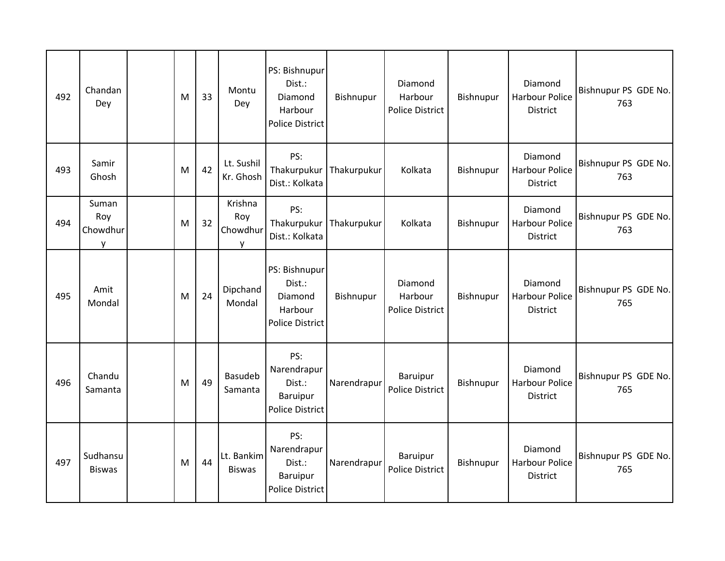| 492 | Chandan<br>Dey                | M | 33 | Montu<br>Dey                    | PS: Bishnupur<br>Dist.:<br>Diamond<br>Harbour<br><b>Police District</b>   | Bishnupur   | Diamond<br>Harbour<br><b>Police District</b> | Bishnupur | Diamond<br><b>Harbour Police</b><br><b>District</b> | Bishnupur PS GDE No.<br>763 |
|-----|-------------------------------|---|----|---------------------------------|---------------------------------------------------------------------------|-------------|----------------------------------------------|-----------|-----------------------------------------------------|-----------------------------|
| 493 | Samir<br>Ghosh                | M | 42 | Lt. Sushil<br>Kr. Ghosh         | PS:<br>Thakurpukur<br>Dist.: Kolkata                                      | Thakurpukur | Kolkata                                      | Bishnupur | Diamond<br><b>Harbour Police</b><br>District        | Bishnupur PS GDE No.<br>763 |
| 494 | Suman<br>Roy<br>Chowdhur<br>y | M | 32 | Krishna<br>Roy<br>Chowdhur<br>v | PS:<br>Thakurpukur<br>Dist.: Kolkata                                      | Thakurpukur | Kolkata                                      | Bishnupur | Diamond<br><b>Harbour Police</b><br><b>District</b> | Bishnupur PS GDE No.<br>763 |
| 495 | Amit<br>Mondal                | M | 24 | Dipchand<br>Mondal              | PS: Bishnupur<br>Dist.:<br>Diamond<br>Harbour<br><b>Police District</b>   | Bishnupur   | Diamond<br>Harbour<br>Police District        | Bishnupur | Diamond<br><b>Harbour Police</b><br><b>District</b> | Bishnupur PS GDE No.<br>765 |
| 496 | Chandu<br>Samanta             | M | 49 | <b>Basudeb</b><br>Samanta       | PS:<br>Narendrapur<br>Dist.:<br>Baruipur<br><b>Police District</b>        | Narendrapur | Baruipur<br><b>Police District</b>           | Bishnupur | Diamond<br><b>Harbour Police</b><br>District        | Bishnupur PS GDE No.<br>765 |
| 497 | Sudhansu<br><b>Biswas</b>     | M | 44 | Lt. Bankim<br><b>Biswas</b>     | PS:<br>Narendrapur<br>Dist.:<br><b>Baruipur</b><br><b>Police District</b> | Narendrapur | Baruipur<br>Police District                  | Bishnupur | Diamond<br><b>Harbour Police</b><br><b>District</b> | Bishnupur PS GDE No.<br>765 |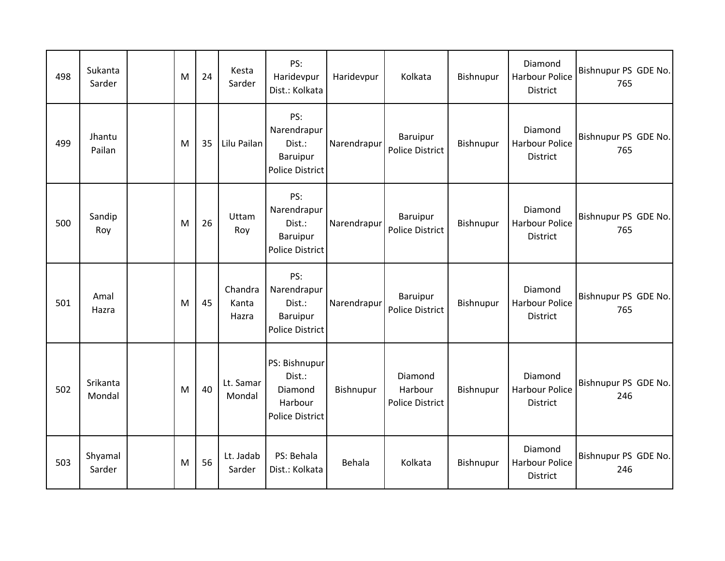| 498 | Sukanta<br>Sarder  | M | 24 | Kesta<br>Sarder           | PS:<br>Haridevpur<br>Dist.: Kolkata                                       | Haridevpur  | Kolkata                               | Bishnupur | Diamond<br><b>Harbour Police</b><br><b>District</b> | Bishnupur PS GDE No.<br>765 |
|-----|--------------------|---|----|---------------------------|---------------------------------------------------------------------------|-------------|---------------------------------------|-----------|-----------------------------------------------------|-----------------------------|
| 499 | Jhantu<br>Pailan   | M | 35 | Lilu Pailan               | PS:<br>Narendrapur<br>Dist.:<br>Baruipur<br><b>Police District</b>        | Narendrapur | Baruipur<br><b>Police District</b>    | Bishnupur | Diamond<br><b>Harbour Police</b><br>District        | Bishnupur PS GDE No.<br>765 |
| 500 | Sandip<br>Roy      | M | 26 | Uttam<br>Roy              | PS:<br>Narendrapur<br>Dist.:<br><b>Baruipur</b><br><b>Police District</b> | Narendrapur | Baruipur<br><b>Police District</b>    | Bishnupur | Diamond<br><b>Harbour Police</b><br><b>District</b> | Bishnupur PS GDE No.<br>765 |
| 501 | Amal<br>Hazra      | M | 45 | Chandra<br>Kanta<br>Hazra | PS:<br>Narendrapur<br>Dist.:<br><b>Baruipur</b><br><b>Police District</b> | Narendrapur | Baruipur<br><b>Police District</b>    | Bishnupur | Diamond<br><b>Harbour Police</b><br><b>District</b> | Bishnupur PS GDE No.<br>765 |
| 502 | Srikanta<br>Mondal | M | 40 | Lt. Samar<br>Mondal       | PS: Bishnupur<br>Dist.:<br>Diamond<br>Harbour<br><b>Police District</b>   | Bishnupur   | Diamond<br>Harbour<br>Police District | Bishnupur | Diamond<br><b>Harbour Police</b><br>District        | Bishnupur PS GDE No.<br>246 |
| 503 | Shyamal<br>Sarder  | M | 56 | Lt. Jadab<br>Sarder       | PS: Behala<br>Dist.: Kolkata                                              | Behala      | Kolkata                               | Bishnupur | Diamond<br><b>Harbour Police</b><br>District        | Bishnupur PS GDE No.<br>246 |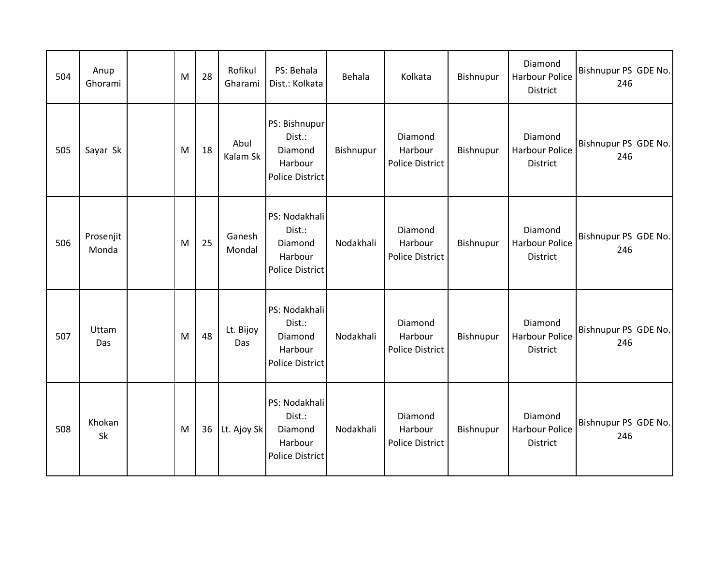| 504 | Anup<br>Ghorami    | M | 28 | Rofikul<br>Gharami | PS: Behala<br>Dist.: Kolkata                                            | Behala    | Kolkata                                      | Bishnupur | Diamond<br><b>Harbour Police</b><br><b>District</b> | Bishnupur PS GDE No.<br>246 |
|-----|--------------------|---|----|--------------------|-------------------------------------------------------------------------|-----------|----------------------------------------------|-----------|-----------------------------------------------------|-----------------------------|
| 505 | Sayar Sk           | M | 18 | Abul<br>Kalam Sk   | PS: Bishnupur<br>Dist.:<br>Diamond<br>Harbour<br><b>Police District</b> | Bishnupur | Diamond<br>Harbour<br>Police District        | Bishnupur | Diamond<br><b>Harbour Police</b><br>District        | Bishnupur PS GDE No.<br>246 |
| 506 | Prosenjit<br>Monda | M | 25 | Ganesh<br>Mondal   | PS: Nodakhali<br>Dist.:<br>Diamond<br>Harbour<br><b>Police District</b> | Nodakhali | Diamond<br>Harbour<br>Police District        | Bishnupur | Diamond<br><b>Harbour Police</b><br>District        | Bishnupur PS GDE No.<br>246 |
| 507 | Uttam<br>Das       | M | 48 | Lt. Bijoy<br>Das   | PS: Nodakhali<br>Dist.:<br>Diamond<br>Harbour<br>Police District        | Nodakhali | Diamond<br>Harbour<br><b>Police District</b> | Bishnupur | Diamond<br><b>Harbour Police</b><br><b>District</b> | Bishnupur PS GDE No.<br>246 |
| 508 | Khokan<br>Sk       | M | 36 | Lt. Ajoy Sk        | PS: Nodakhali<br>Dist.:<br>Diamond<br>Harbour<br>Police District        | Nodakhali | Diamond<br>Harbour<br><b>Police District</b> | Bishnupur | Diamond<br><b>Harbour Police</b><br><b>District</b> | Bishnupur PS GDE No.<br>246 |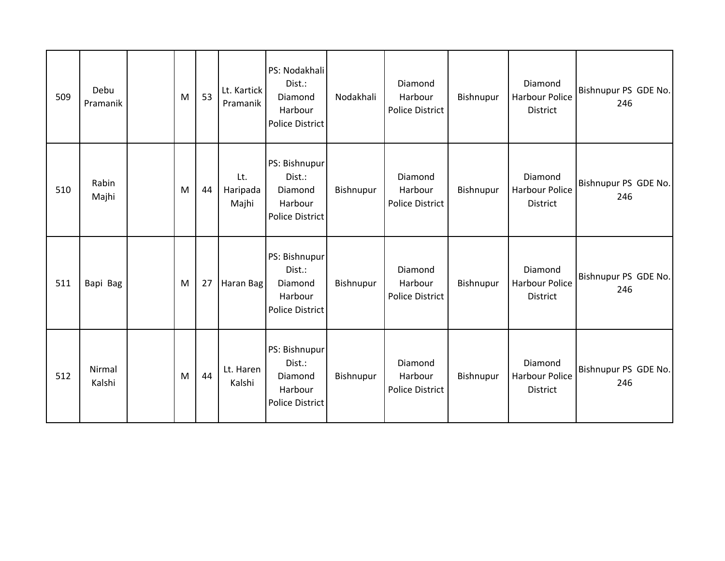| 509 | Debu<br>Pramanik | M | 53 | Lt. Kartick<br>Pramanik  | PS: Nodakhali<br>Dist.:<br>Diamond<br>Harbour<br><b>Police District</b> | Nodakhali | Diamond<br>Harbour<br>Police District | Bishnupur | Diamond<br><b>Harbour Police</b><br>District        | Bishnupur PS GDE No.<br>246 |
|-----|------------------|---|----|--------------------------|-------------------------------------------------------------------------|-----------|---------------------------------------|-----------|-----------------------------------------------------|-----------------------------|
| 510 | Rabin<br>Majhi   | M | 44 | Lt.<br>Haripada<br>Majhi | PS: Bishnupur<br>Dist.:<br>Diamond<br>Harbour<br>Police District        | Bishnupur | Diamond<br>Harbour<br>Police District | Bishnupur | Diamond<br><b>Harbour Police</b><br>District        | Bishnupur PS GDE No.<br>246 |
| 511 | Bapi Bag         | M | 27 | Haran Bag                | PS: Bishnupur<br>Dist.:<br>Diamond<br>Harbour<br><b>Police District</b> | Bishnupur | Diamond<br>Harbour<br>Police District | Bishnupur | Diamond<br><b>Harbour Police</b><br><b>District</b> | Bishnupur PS GDE No.<br>246 |
| 512 | Nirmal<br>Kalshi | M | 44 | Lt. Haren<br>Kalshi      | PS: Bishnupur<br>Dist.:<br>Diamond<br>Harbour<br><b>Police District</b> | Bishnupur | Diamond<br>Harbour<br>Police District | Bishnupur | Diamond<br><b>Harbour Police</b><br>District        | Bishnupur PS GDE No.<br>246 |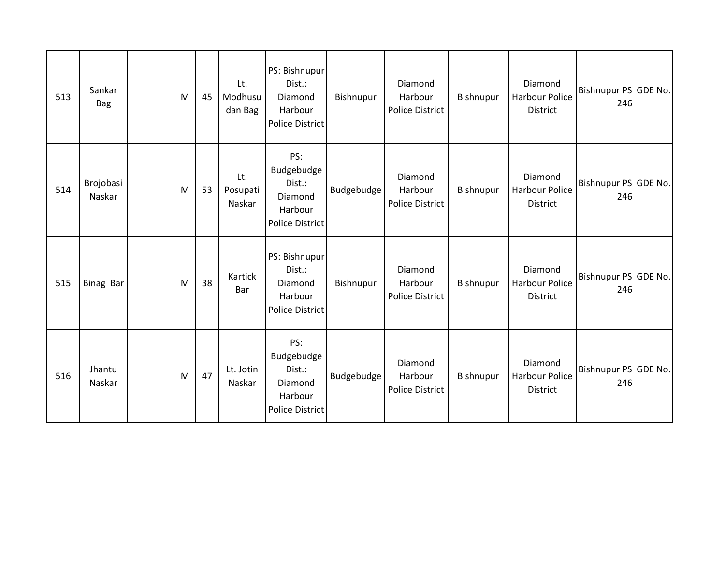| 513 | Sankar<br><b>Bag</b> | M | 45 | Lt.<br>Modhusu<br>dan Bag | PS: Bishnupur<br>Dist.:<br>Diamond<br>Harbour<br><b>Police District</b>     | Bishnupur         | Diamond<br>Harbour<br>Police District | Bishnupur | Diamond<br><b>Harbour Police</b><br>District        | Bishnupur PS GDE No.<br>246 |
|-----|----------------------|---|----|---------------------------|-----------------------------------------------------------------------------|-------------------|---------------------------------------|-----------|-----------------------------------------------------|-----------------------------|
| 514 | Brojobasi<br>Naskar  | M | 53 | Lt.<br>Posupati<br>Naskar | PS:<br>Budgebudge<br>Dist.:<br>Diamond<br>Harbour<br><b>Police District</b> | Budgebudge        | Diamond<br>Harbour<br>Police District | Bishnupur | Diamond<br><b>Harbour Police</b><br><b>District</b> | Bishnupur PS GDE No.<br>246 |
| 515 | Binag Bar            | M | 38 | Kartick<br>Bar            | PS: Bishnupur<br>Dist.:<br>Diamond<br>Harbour<br><b>Police District</b>     | Bishnupur         | Diamond<br>Harbour<br>Police District | Bishnupur | Diamond<br>Harbour Police<br>District               | Bishnupur PS GDE No.<br>246 |
| 516 | Jhantu<br>Naskar     | M | 47 | Lt. Jotin<br>Naskar       | PS:<br>Budgebudge<br>Dist.:<br>Diamond<br>Harbour<br><b>Police District</b> | <b>Budgebudge</b> | Diamond<br>Harbour<br>Police District | Bishnupur | Diamond<br>Harbour Police<br>District               | Bishnupur PS GDE No.<br>246 |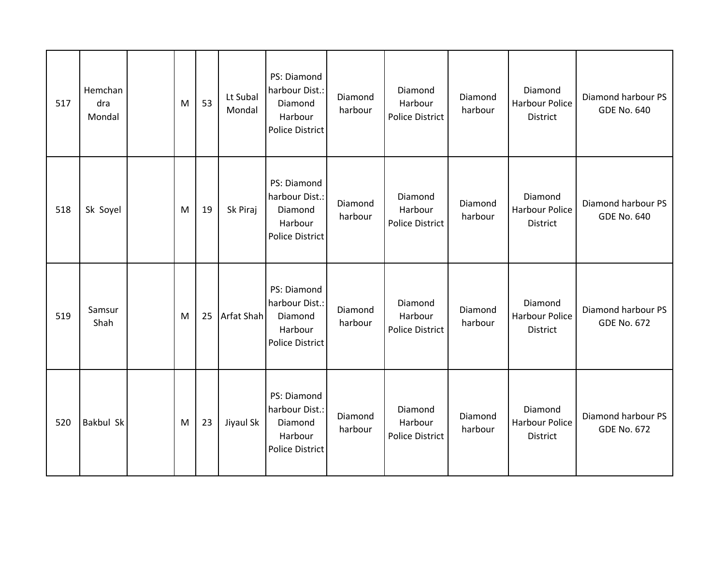| 517 | Hemchan<br>dra<br>Mondal | M | 53 | Lt Subal<br>Mondal | PS: Diamond<br>harbour Dist.:<br>Diamond<br>Harbour<br><b>Police District</b> | Diamond<br>harbour | Diamond<br>Harbour<br>Police District        | Diamond<br>harbour | Diamond<br>Harbour Police<br>District               | Diamond harbour PS<br><b>GDE No. 640</b> |
|-----|--------------------------|---|----|--------------------|-------------------------------------------------------------------------------|--------------------|----------------------------------------------|--------------------|-----------------------------------------------------|------------------------------------------|
| 518 | Sk Soyel                 | M | 19 | Sk Piraj           | PS: Diamond<br>harbour Dist.:<br>Diamond<br>Harbour<br><b>Police District</b> | Diamond<br>harbour | Diamond<br>Harbour<br><b>Police District</b> | Diamond<br>harbour | Diamond<br><b>Harbour Police</b><br><b>District</b> | Diamond harbour PS<br><b>GDE No. 640</b> |
| 519 | Samsur<br>Shah           | M | 25 | Arfat Shah         | PS: Diamond<br>harbour Dist.:<br>Diamond<br>Harbour<br><b>Police District</b> | Diamond<br>harbour | Diamond<br>Harbour<br>Police District        | Diamond<br>harbour | Diamond<br>Harbour Police<br>District               | Diamond harbour PS<br><b>GDE No. 672</b> |
| 520 | <b>Bakbul Sk</b>         | M | 23 | Jiyaul Sk          | PS: Diamond<br>harbour Dist.:<br>Diamond<br>Harbour<br><b>Police District</b> | Diamond<br>harbour | Diamond<br>Harbour<br>Police District        | Diamond<br>harbour | Diamond<br><b>Harbour Police</b><br>District        | Diamond harbour PS<br><b>GDE No. 672</b> |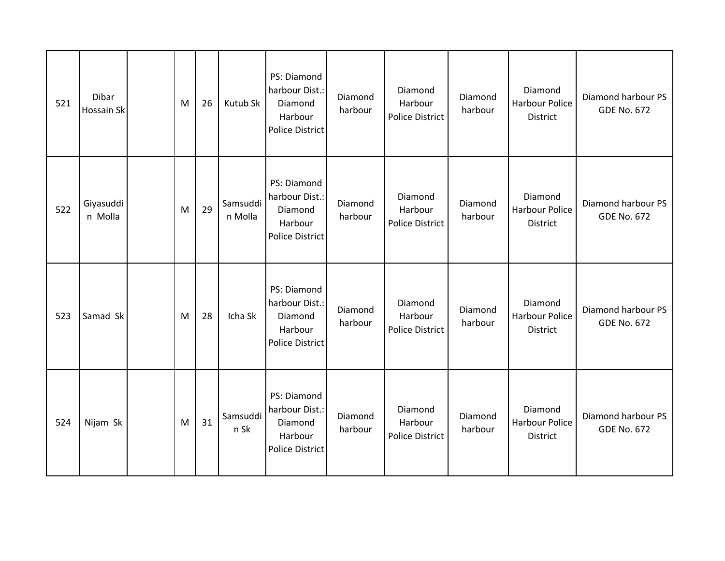| 521 | Dibar<br>Hossain Sk  | M | 26 | Kutub Sk            | PS: Diamond<br>harbour Dist.:<br>Diamond<br>Harbour<br><b>Police District</b> | Diamond<br>harbour | Diamond<br>Harbour<br>Police District        | Diamond<br>harbour | Diamond<br>Harbour Police<br>District        | Diamond harbour PS<br><b>GDE No. 672</b> |
|-----|----------------------|---|----|---------------------|-------------------------------------------------------------------------------|--------------------|----------------------------------------------|--------------------|----------------------------------------------|------------------------------------------|
| 522 | Giyasuddi<br>n Molla | M | 29 | Samsuddi<br>n Molla | PS: Diamond<br>harbour Dist.:<br>Diamond<br>Harbour<br>Police District        | Diamond<br>harbour | Diamond<br>Harbour<br><b>Police District</b> | Diamond<br>harbour | Diamond<br><b>Harbour Police</b><br>District | Diamond harbour PS<br><b>GDE No. 672</b> |
| 523 | Samad Sk             | M | 28 | Icha Sk             | PS: Diamond<br>harbour Dist.:<br>Diamond<br>Harbour<br><b>Police District</b> | Diamond<br>harbour | Diamond<br>Harbour<br><b>Police District</b> | Diamond<br>harbour | Diamond<br>Harbour Police<br><b>District</b> | Diamond harbour PS<br><b>GDE No. 672</b> |
| 524 | Nijam Sk             | M | 31 | Samsuddi<br>n Sk    | PS: Diamond<br>harbour Dist.:<br>Diamond<br>Harbour<br><b>Police District</b> | Diamond<br>harbour | Diamond<br>Harbour<br><b>Police District</b> | Diamond<br>harbour | Diamond<br><b>Harbour Police</b><br>District | Diamond harbour PS<br><b>GDE No. 672</b> |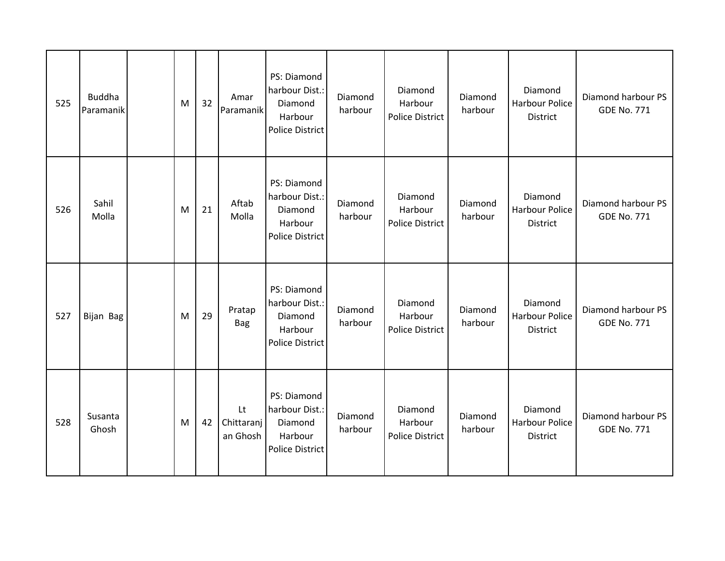| 525 | <b>Buddha</b><br>Paramanik | M | 32 | Amar<br>Paramanik            | PS: Diamond<br>harbour Dist.:<br>Diamond<br>Harbour<br><b>Police District</b> | Diamond<br>harbour | Diamond<br>Harbour<br>Police District        | Diamond<br>harbour | Diamond<br><b>Harbour Police</b><br>District | Diamond harbour PS<br><b>GDE No. 771</b> |
|-----|----------------------------|---|----|------------------------------|-------------------------------------------------------------------------------|--------------------|----------------------------------------------|--------------------|----------------------------------------------|------------------------------------------|
| 526 | Sahil<br>Molla             | M | 21 | Aftab<br>Molla               | PS: Diamond<br>harbour Dist.:<br>Diamond<br>Harbour<br><b>Police District</b> | Diamond<br>harbour | Diamond<br>Harbour<br><b>Police District</b> | Diamond<br>harbour | Diamond<br><b>Harbour Police</b><br>District | Diamond harbour PS<br><b>GDE No. 771</b> |
| 527 | Bijan Bag                  | M | 29 | Pratap<br><b>Bag</b>         | PS: Diamond<br>harbour Dist.:<br>Diamond<br>Harbour<br><b>Police District</b> | Diamond<br>harbour | Diamond<br>Harbour<br><b>Police District</b> | Diamond<br>harbour | Diamond<br>Harbour Police<br>District        | Diamond harbour PS<br><b>GDE No. 771</b> |
| 528 | Susanta<br>Ghosh           | M | 42 | Lt<br>Chittaranj<br>an Ghosh | PS: Diamond<br>harbour Dist.:<br>Diamond<br>Harbour<br><b>Police District</b> | Diamond<br>harbour | Diamond<br>Harbour<br><b>Police District</b> | Diamond<br>harbour | Diamond<br><b>Harbour Police</b><br>District | Diamond harbour PS<br><b>GDE No. 771</b> |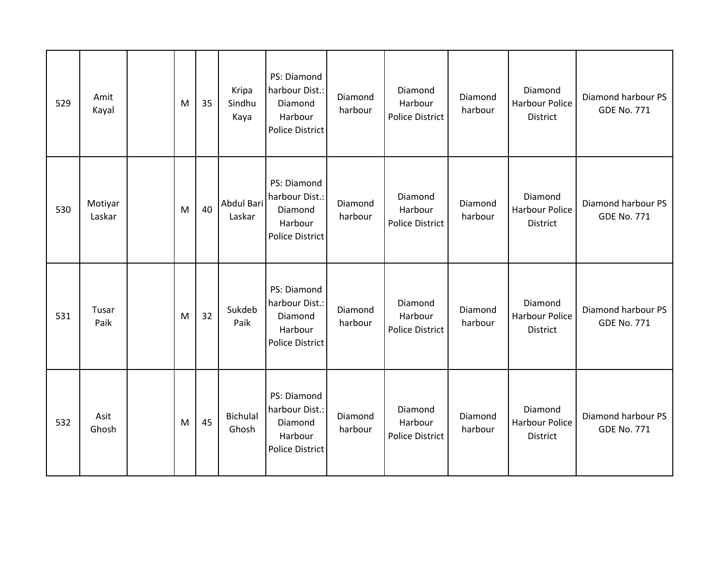| 529 | Amit<br>Kayal     | M | 35 | Kripa<br>Sindhu<br>Kaya | PS: Diamond<br>harbour Dist.:<br>Diamond<br>Harbour<br><b>Police District</b> | Diamond<br>harbour | Diamond<br>Harbour<br>Police District        | Diamond<br>harbour | Diamond<br><b>Harbour Police</b><br>District | Diamond harbour PS<br><b>GDE No. 771</b> |
|-----|-------------------|---|----|-------------------------|-------------------------------------------------------------------------------|--------------------|----------------------------------------------|--------------------|----------------------------------------------|------------------------------------------|
| 530 | Motiyar<br>Laskar | M | 40 | Abdul Bari<br>Laskar    | PS: Diamond<br>harbour Dist.:<br>Diamond<br>Harbour<br><b>Police District</b> | Diamond<br>harbour | Diamond<br>Harbour<br><b>Police District</b> | Diamond<br>harbour | Diamond<br><b>Harbour Police</b><br>District | Diamond harbour PS<br><b>GDE No. 771</b> |
| 531 | Tusar<br>Paik     | M | 32 | Sukdeb<br>Paik          | PS: Diamond<br>harbour Dist.:<br>Diamond<br>Harbour<br><b>Police District</b> | Diamond<br>harbour | Diamond<br>Harbour<br><b>Police District</b> | Diamond<br>harbour | Diamond<br>Harbour Police<br><b>District</b> | Diamond harbour PS<br><b>GDE No. 771</b> |
| 532 | Asit<br>Ghosh     | M | 45 | Bichulal<br>Ghosh       | PS: Diamond<br>harbour Dist.:<br>Diamond<br>Harbour<br><b>Police District</b> | Diamond<br>harbour | Diamond<br>Harbour<br><b>Police District</b> | Diamond<br>harbour | Diamond<br><b>Harbour Police</b><br>District | Diamond harbour PS<br><b>GDE No. 771</b> |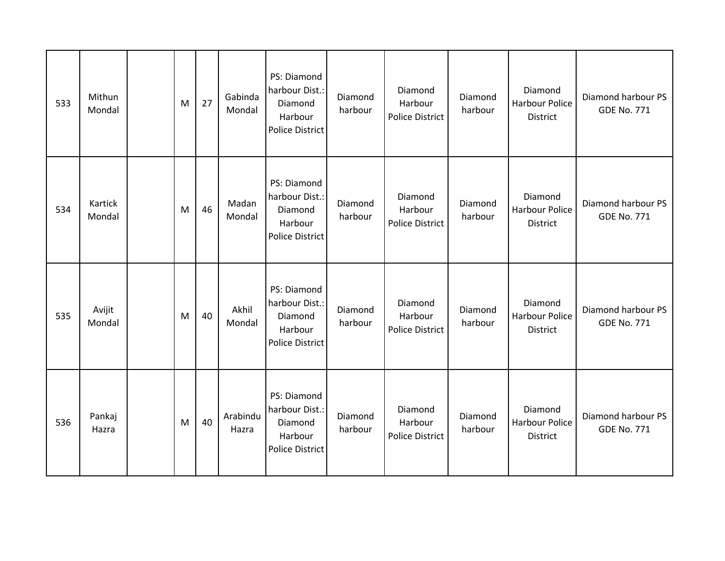| 533 | Mithun<br>Mondal  | M | 27 | Gabinda<br>Mondal | PS: Diamond<br>harbour Dist.:<br>Diamond<br>Harbour<br><b>Police District</b> | Diamond<br>harbour | Diamond<br>Harbour<br>Police District        | Diamond<br>harbour | Diamond<br>Harbour Police<br>District        | Diamond harbour PS<br><b>GDE No. 771</b> |
|-----|-------------------|---|----|-------------------|-------------------------------------------------------------------------------|--------------------|----------------------------------------------|--------------------|----------------------------------------------|------------------------------------------|
| 534 | Kartick<br>Mondal | M | 46 | Madan<br>Mondal   | PS: Diamond<br>harbour Dist.:<br>Diamond<br>Harbour<br><b>Police District</b> | Diamond<br>harbour | Diamond<br>Harbour<br><b>Police District</b> | Diamond<br>harbour | Diamond<br><b>Harbour Police</b><br>District | Diamond harbour PS<br><b>GDE No. 771</b> |
| 535 | Avijit<br>Mondal  | M | 40 | Akhil<br>Mondal   | PS: Diamond<br>harbour Dist.:<br>Diamond<br>Harbour<br><b>Police District</b> | Diamond<br>harbour | Diamond<br>Harbour<br><b>Police District</b> | Diamond<br>harbour | Diamond<br>Harbour Police<br>District        | Diamond harbour PS<br><b>GDE No. 771</b> |
| 536 | Pankaj<br>Hazra   | M | 40 | Arabindu<br>Hazra | PS: Diamond<br>harbour Dist.:<br>Diamond<br>Harbour<br><b>Police District</b> | Diamond<br>harbour | Diamond<br>Harbour<br><b>Police District</b> | Diamond<br>harbour | Diamond<br><b>Harbour Police</b><br>District | Diamond harbour PS<br><b>GDE No. 771</b> |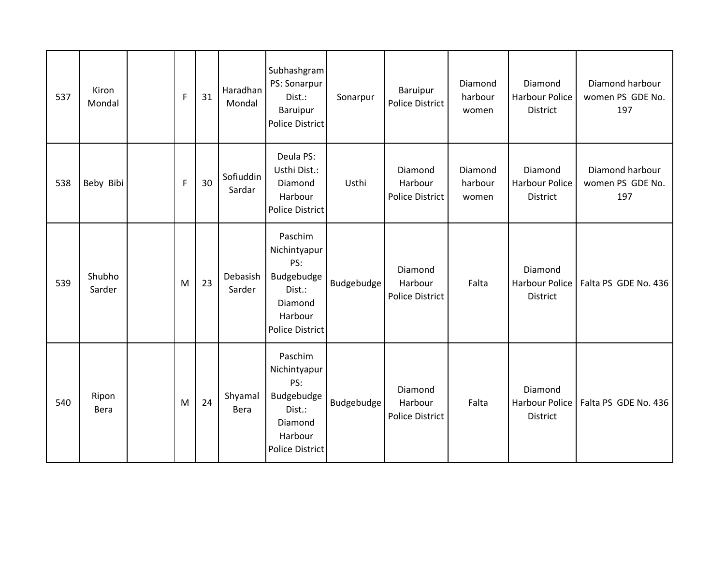| 537 | Kiron<br>Mondal  | $\mathsf{F}$ | 31 | Haradhan<br>Mondal  | Subhashgram<br>PS: Sonarpur<br>Dist.:<br><b>Baruipur</b><br><b>Police District</b>                     | Sonarpur   | Baruipur<br><b>Police District</b>    | Diamond<br>harbour<br>women | Diamond<br><b>Harbour Police</b><br><b>District</b> | Diamond harbour<br>women PS GDE No.<br>197 |
|-----|------------------|--------------|----|---------------------|--------------------------------------------------------------------------------------------------------|------------|---------------------------------------|-----------------------------|-----------------------------------------------------|--------------------------------------------|
| 538 | Beby Bibi        | $\mathsf F$  | 30 | Sofiuddin<br>Sardar | Deula PS:<br>Usthi Dist.:<br>Diamond<br>Harbour<br>Police District                                     | Usthi      | Diamond<br>Harbour<br>Police District | Diamond<br>harbour<br>women | Diamond<br><b>Harbour Police</b><br>District        | Diamond harbour<br>women PS GDE No.<br>197 |
| 539 | Shubho<br>Sarder | M            | 23 | Debasish<br>Sarder  | Paschim<br>Nichintyapur<br>PS:<br>Budgebudge<br>Dist.:<br>Diamond<br>Harbour<br><b>Police District</b> | Budgebudge | Diamond<br>Harbour<br>Police District | Falta                       | Diamond<br><b>Harbour Police</b><br>District        | Falta PS GDE No. 436                       |
| 540 | Ripon<br>Bera    | M            | 24 | Shyamal<br>Bera     | Paschim<br>Nichintyapur<br>PS:<br>Budgebudge<br>Dist.:<br>Diamond<br>Harbour<br><b>Police District</b> | Budgebudge | Diamond<br>Harbour<br>Police District | Falta                       | Diamond<br>Harbour Police<br>District               | Falta PS GDE No. 436                       |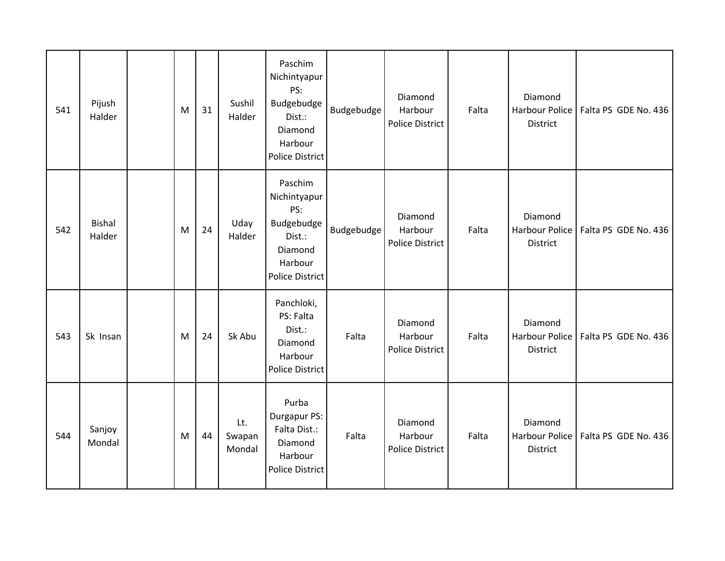| 541 | Pijush<br>Halder        | M | 31 | Sushil<br>Halder        | Paschim<br>Nichintyapur<br>PS:<br>Budgebudge<br>Dist.:<br>Diamond<br>Harbour<br><b>Police District</b> | Budgebudge | Diamond<br>Harbour<br><b>Police District</b> | Falta | Diamond<br><b>Harbour Police</b><br>District | Falta PS GDE No. 436 |
|-----|-------------------------|---|----|-------------------------|--------------------------------------------------------------------------------------------------------|------------|----------------------------------------------|-------|----------------------------------------------|----------------------|
| 542 | <b>Bishal</b><br>Halder | M | 24 | Uday<br>Halder          | Paschim<br>Nichintyapur<br>PS:<br>Budgebudge<br>Dist.:<br>Diamond<br>Harbour<br><b>Police District</b> | Budgebudge | Diamond<br>Harbour<br><b>Police District</b> | Falta | Diamond<br><b>Harbour Police</b><br>District | Falta PS GDE No. 436 |
| 543 | Sk Insan                | M | 24 | Sk Abu                  | Panchloki,<br>PS: Falta<br>Dist.:<br>Diamond<br>Harbour<br>Police District                             | Falta      | Diamond<br>Harbour<br><b>Police District</b> | Falta | Diamond<br><b>Harbour Police</b><br>District | Falta PS GDE No. 436 |
| 544 | Sanjoy<br>Mondal        | M | 44 | Lt.<br>Swapan<br>Mondal | Purba<br>Durgapur PS:<br>Falta Dist.:<br>Diamond<br>Harbour<br><b>Police District</b>                  | Falta      | Diamond<br>Harbour<br><b>Police District</b> | Falta | Diamond<br><b>Harbour Police</b><br>District | Falta PS GDE No. 436 |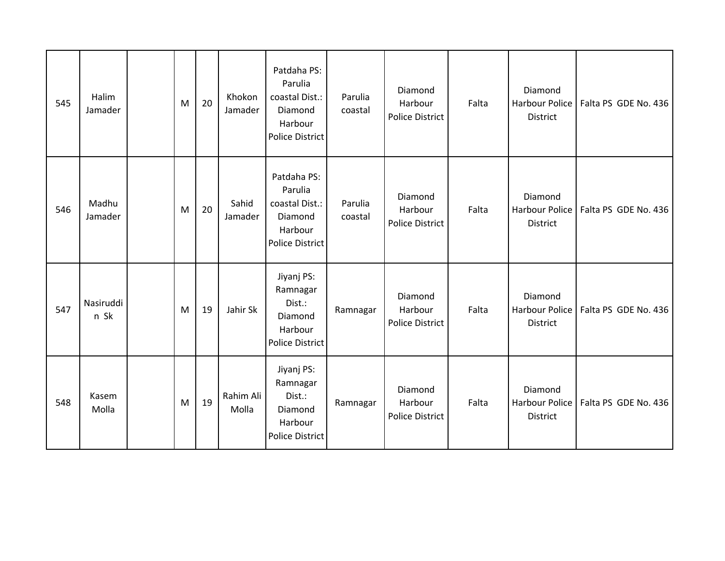| 545 | Halim<br>Jamader  | M | 20 | Khokon<br>Jamader  | Patdaha PS:<br>Parulia<br>coastal Dist.:<br>Diamond<br>Harbour<br><b>Police District</b> | Parulia<br>coastal | Diamond<br>Harbour<br>Police District        | Falta | Diamond<br><b>Harbour Police</b><br>District | Falta PS GDE No. 436 |
|-----|-------------------|---|----|--------------------|------------------------------------------------------------------------------------------|--------------------|----------------------------------------------|-------|----------------------------------------------|----------------------|
| 546 | Madhu<br>Jamader  | M | 20 | Sahid<br>Jamader   | Patdaha PS:<br>Parulia<br>coastal Dist.:<br>Diamond<br>Harbour<br><b>Police District</b> | Parulia<br>coastal | Diamond<br>Harbour<br>Police District        | Falta | Diamond<br><b>Harbour Police</b><br>District | Falta PS GDE No. 436 |
| 547 | Nasiruddi<br>n Sk | M | 19 | Jahir Sk           | Jiyanj PS:<br>Ramnagar<br>Dist.:<br>Diamond<br>Harbour<br><b>Police District</b>         | Ramnagar           | Diamond<br>Harbour<br><b>Police District</b> | Falta | Diamond<br>Harbour Police<br>District        | Falta PS GDE No. 436 |
| 548 | Kasem<br>Molla    | M | 19 | Rahim Ali<br>Molla | Jiyanj PS:<br>Ramnagar<br>Dist.:<br>Diamond<br>Harbour<br><b>Police District</b>         | Ramnagar           | Diamond<br>Harbour<br><b>Police District</b> | Falta | Diamond<br><b>Harbour Police</b><br>District | Falta PS GDE No. 436 |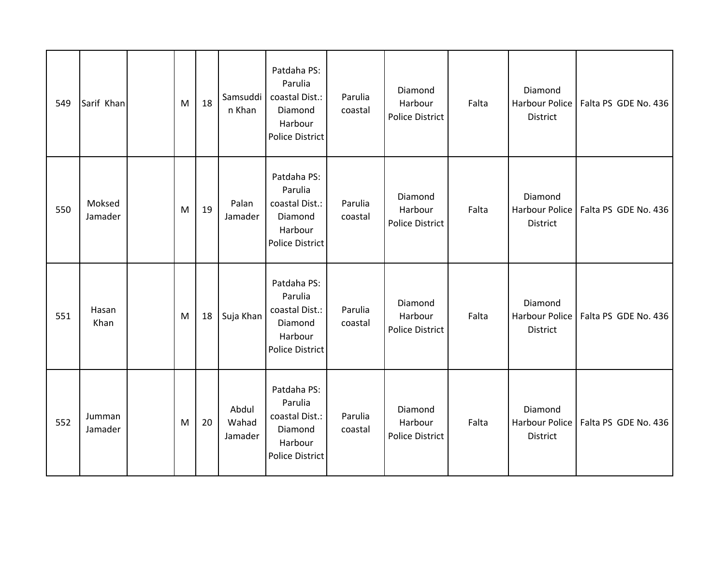| 549 | Sarif Khan        | M | 18 | Samsuddi<br>n Khan        | Patdaha PS:<br>Parulia<br>coastal Dist.:<br>Diamond<br>Harbour<br><b>Police District</b> | Parulia<br>coastal | Diamond<br>Harbour<br><b>Police District</b> | Falta | Diamond<br>Harbour Police<br>District        | Falta PS GDE No. 436 |
|-----|-------------------|---|----|---------------------------|------------------------------------------------------------------------------------------|--------------------|----------------------------------------------|-------|----------------------------------------------|----------------------|
| 550 | Moksed<br>Jamader | M | 19 | Palan<br>Jamader          | Patdaha PS:<br>Parulia<br>coastal Dist.:<br>Diamond<br>Harbour<br>Police District        | Parulia<br>coastal | Diamond<br>Harbour<br><b>Police District</b> | Falta | Diamond<br><b>Harbour Police</b><br>District | Falta PS GDE No. 436 |
| 551 | Hasan<br>Khan     | M | 18 | Suja Khan                 | Patdaha PS:<br>Parulia<br>coastal Dist.:<br>Diamond<br>Harbour<br>Police District        | Parulia<br>coastal | Diamond<br>Harbour<br>Police District        | Falta | Diamond<br><b>Harbour Police</b><br>District | Falta PS GDE No. 436 |
| 552 | Jumman<br>Jamader | M | 20 | Abdul<br>Wahad<br>Jamader | Patdaha PS:<br>Parulia<br>coastal Dist.:<br>Diamond<br>Harbour<br><b>Police District</b> | Parulia<br>coastal | Diamond<br>Harbour<br><b>Police District</b> | Falta | Diamond<br>Harbour Police<br>District        | Falta PS GDE No. 436 |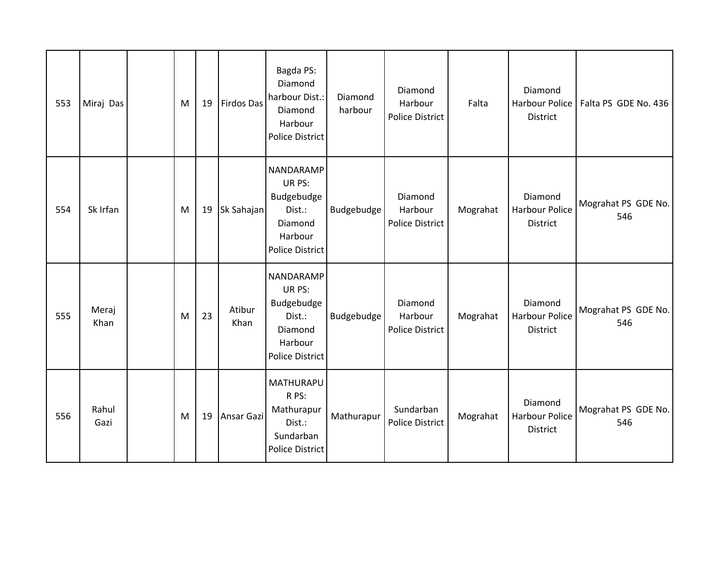| 553 | Miraj Das     | M | 19 | <b>Firdos Das</b> | Bagda PS:<br>Diamond<br>harbour Dist.:<br>Diamond<br>Harbour<br>Police District             | Diamond<br>harbour | Diamond<br>Harbour<br><b>Police District</b> | Falta    | Diamond<br>Harbour Police<br>District               | Falta PS GDE No. 436       |
|-----|---------------|---|----|-------------------|---------------------------------------------------------------------------------------------|--------------------|----------------------------------------------|----------|-----------------------------------------------------|----------------------------|
| 554 | Sk Irfan      | M | 19 | Sk Sahajan        | NANDARAMP<br>UR PS:<br>Budgebudge<br>Dist.:<br>Diamond<br>Harbour<br><b>Police District</b> | Budgebudge         | Diamond<br>Harbour<br><b>Police District</b> | Mograhat | Diamond<br>Harbour Police<br><b>District</b>        | Mograhat PS GDE No.<br>546 |
| 555 | Meraj<br>Khan | M | 23 | Atibur<br>Khan    | NANDARAMP<br>UR PS:<br>Budgebudge<br>Dist.:<br>Diamond<br>Harbour<br><b>Police District</b> | Budgebudge         | Diamond<br>Harbour<br>Police District        | Mograhat | Diamond<br><b>Harbour Police</b><br>District        | Mograhat PS GDE No.<br>546 |
| 556 | Rahul<br>Gazi | M | 19 | Ansar Gazi        | <b>MATHURAPU</b><br>R PS:<br>Mathurapur<br>Dist.:<br>Sundarban<br><b>Police District</b>    | Mathurapur         | Sundarban<br><b>Police District</b>          | Mograhat | Diamond<br><b>Harbour Police</b><br><b>District</b> | Mograhat PS GDE No.<br>546 |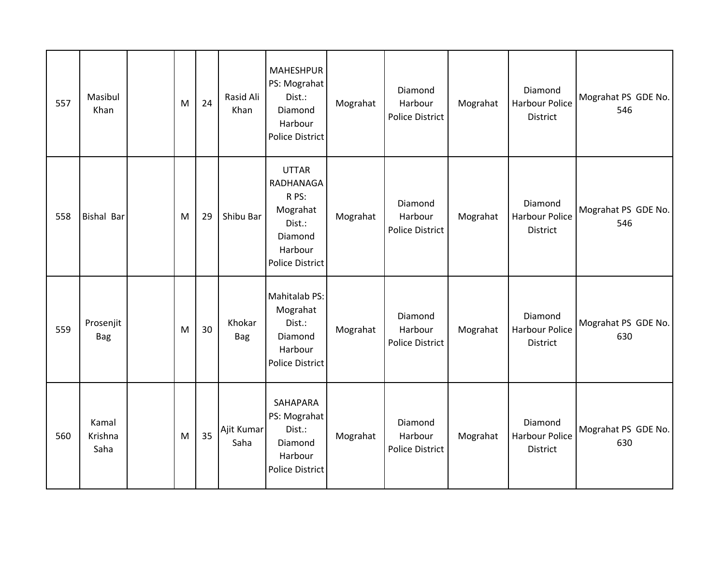| 557 | Masibul<br>Khan          | M | 24 | Rasid Ali<br>Khan    | <b>MAHESHPUR</b><br>PS: Mograhat<br>Dist.:<br>Diamond<br>Harbour<br><b>Police District</b>               | Mograhat | Diamond<br>Harbour<br>Police District | Mograhat | Diamond<br><b>Harbour Police</b><br>District        | Mograhat PS GDE No.<br>546 |
|-----|--------------------------|---|----|----------------------|----------------------------------------------------------------------------------------------------------|----------|---------------------------------------|----------|-----------------------------------------------------|----------------------------|
| 558 | <b>Bishal Bar</b>        | M | 29 | Shibu Bar            | <b>UTTAR</b><br>RADHANAGA<br>R PS:<br>Mograhat<br>Dist.:<br>Diamond<br>Harbour<br><b>Police District</b> | Mograhat | Diamond<br>Harbour<br>Police District | Mograhat | Diamond<br><b>Harbour Police</b><br>District        | Mograhat PS GDE No.<br>546 |
| 559 | Prosenjit<br><b>Bag</b>  | M | 30 | Khokar<br><b>Bag</b> | Mahitalab PS:<br>Mograhat<br>Dist.:<br>Diamond<br>Harbour<br><b>Police District</b>                      | Mograhat | Diamond<br>Harbour<br>Police District | Mograhat | Diamond<br><b>Harbour Police</b><br>District        | Mograhat PS GDE No.<br>630 |
| 560 | Kamal<br>Krishna<br>Saha | M | 35 | Ajit Kumar<br>Saha   | SAHAPARA<br>PS: Mograhat<br>Dist.:<br>Diamond<br>Harbour<br>Police District                              | Mograhat | Diamond<br>Harbour<br>Police District | Mograhat | Diamond<br><b>Harbour Police</b><br><b>District</b> | Mograhat PS GDE No.<br>630 |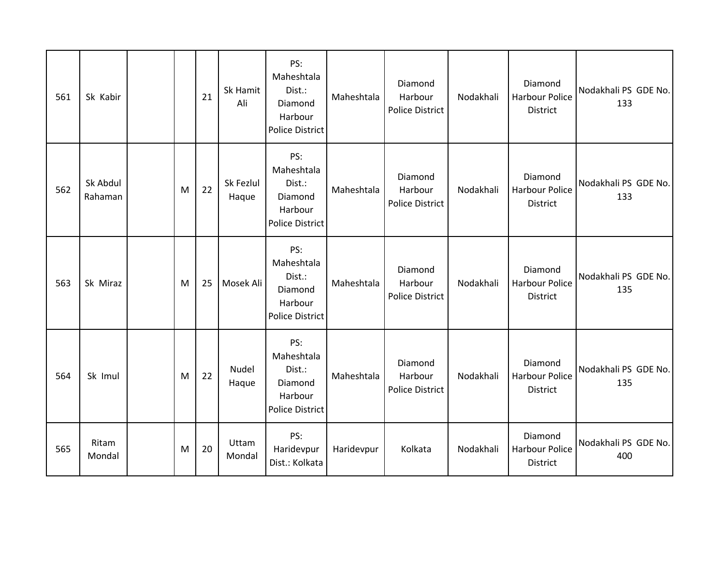| 561 | Sk Kabir            |   | 21 | Sk Hamit<br>Ali    | PS:<br>Maheshtala<br>Dist.:<br>Diamond<br>Harbour<br><b>Police District</b> | Maheshtala | Diamond<br>Harbour<br>Police District        | Nodakhali | Diamond<br><b>Harbour Police</b><br><b>District</b> | Nodakhali PS GDE No.<br>133 |
|-----|---------------------|---|----|--------------------|-----------------------------------------------------------------------------|------------|----------------------------------------------|-----------|-----------------------------------------------------|-----------------------------|
| 562 | Sk Abdul<br>Rahaman | M | 22 | Sk Fezlul<br>Haque | PS:<br>Maheshtala<br>Dist.:<br>Diamond<br>Harbour<br><b>Police District</b> | Maheshtala | Diamond<br>Harbour<br>Police District        | Nodakhali | Diamond<br>Harbour Police<br><b>District</b>        | Nodakhali PS GDE No.<br>133 |
| 563 | Sk Miraz            | M | 25 | Mosek Ali          | PS:<br>Maheshtala<br>Dist.:<br>Diamond<br>Harbour<br><b>Police District</b> | Maheshtala | Diamond<br>Harbour<br><b>Police District</b> | Nodakhali | Diamond<br><b>Harbour Police</b><br>District        | Nodakhali PS GDE No.<br>135 |
| 564 | Sk Imul             | M | 22 | Nudel<br>Haque     | PS:<br>Maheshtala<br>Dist.:<br>Diamond<br>Harbour<br><b>Police District</b> | Maheshtala | Diamond<br>Harbour<br><b>Police District</b> | Nodakhali | Diamond<br><b>Harbour Police</b><br>District        | Nodakhali PS GDE No.<br>135 |
| 565 | Ritam<br>Mondal     | M | 20 | Uttam<br>Mondal    | PS:<br>Haridevpur<br>Dist.: Kolkata                                         | Haridevpur | Kolkata                                      | Nodakhali | Diamond<br><b>Harbour Police</b><br><b>District</b> | Nodakhali PS GDE No.<br>400 |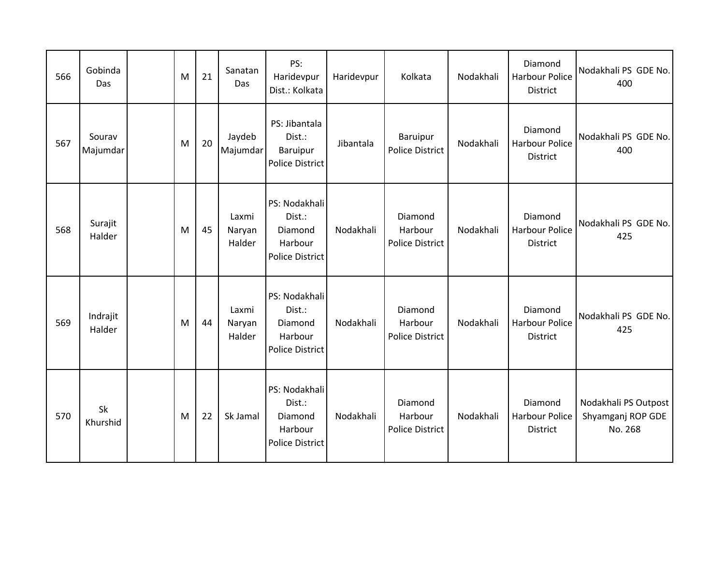| 566 | Gobinda<br>Das     | M | 21 | Sanatan<br>Das            | PS:<br>Haridevpur<br>Dist.: Kolkata                                     | Haridevpur | Kolkata                               | Nodakhali | Diamond<br><b>Harbour Police</b><br><b>District</b> | Nodakhali PS GDE No.<br>400                          |
|-----|--------------------|---|----|---------------------------|-------------------------------------------------------------------------|------------|---------------------------------------|-----------|-----------------------------------------------------|------------------------------------------------------|
| 567 | Sourav<br>Majumdar | M | 20 | Jaydeb<br>Majumdar        | PS: Jibantala<br>Dist.:<br>Baruipur<br><b>Police District</b>           | Jibantala  | Baruipur<br>Police District           | Nodakhali | Diamond<br><b>Harbour Police</b><br>District        | Nodakhali PS GDE No.<br>400                          |
| 568 | Surajit<br>Halder  | M | 45 | Laxmi<br>Naryan<br>Halder | PS: Nodakhali<br>Dist.:<br>Diamond<br>Harbour<br><b>Police District</b> | Nodakhali  | Diamond<br>Harbour<br>Police District | Nodakhali | Diamond<br><b>Harbour Police</b><br><b>District</b> | Nodakhali PS GDE No.<br>425                          |
| 569 | Indrajit<br>Halder | M | 44 | Laxmi<br>Naryan<br>Halder | PS: Nodakhali<br>Dist.:<br>Diamond<br>Harbour<br>Police District        | Nodakhali  | Diamond<br>Harbour<br>Police District | Nodakhali | Diamond<br><b>Harbour Police</b><br><b>District</b> | Nodakhali PS GDE No.<br>425                          |
| 570 | Sk<br>Khurshid     | M | 22 | Sk Jamal                  | PS: Nodakhali<br>Dist.:<br>Diamond<br>Harbour<br><b>Police District</b> | Nodakhali  | Diamond<br>Harbour<br>Police District | Nodakhali | Diamond<br><b>Harbour Police</b><br>District        | Nodakhali PS Outpost<br>Shyamganj ROP GDE<br>No. 268 |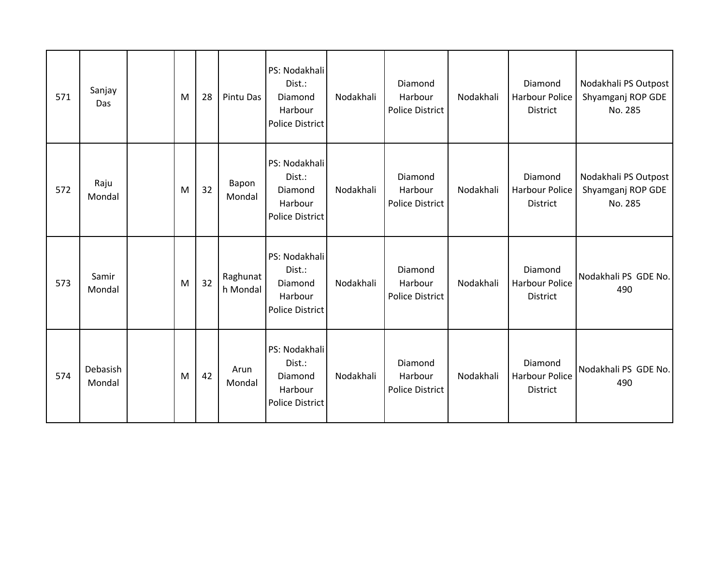| 571 | Sanjay<br>Das      | M | 28 | Pintu Das            | PS: Nodakhali<br>Dist.:<br>Diamond<br>Harbour<br>Police District        | Nodakhali | Diamond<br>Harbour<br>Police District        | Nodakhali | Diamond<br><b>Harbour Police</b><br>District        | Nodakhali PS Outpost<br>Shyamganj ROP GDE<br>No. 285 |
|-----|--------------------|---|----|----------------------|-------------------------------------------------------------------------|-----------|----------------------------------------------|-----------|-----------------------------------------------------|------------------------------------------------------|
| 572 | Raju<br>Mondal     | M | 32 | Bapon<br>Mondal      | PS: Nodakhali<br>Dist.:<br>Diamond<br>Harbour<br><b>Police District</b> | Nodakhali | Diamond<br>Harbour<br>Police District        | Nodakhali | Diamond<br><b>Harbour Police</b><br>District        | Nodakhali PS Outpost<br>Shyamganj ROP GDE<br>No. 285 |
| 573 | Samir<br>Mondal    | M | 32 | Raghunat<br>h Mondal | PS: Nodakhali<br>Dist.:<br>Diamond<br>Harbour<br>Police District        | Nodakhali | Diamond<br>Harbour<br><b>Police District</b> | Nodakhali | Diamond<br><b>Harbour Police</b><br><b>District</b> | Nodakhali PS GDE No.<br>490                          |
| 574 | Debasish<br>Mondal | M | 42 | Arun<br>Mondal       | PS: Nodakhali<br>Dist.:<br>Diamond<br>Harbour<br><b>Police District</b> | Nodakhali | Diamond<br>Harbour<br><b>Police District</b> | Nodakhali | Diamond<br><b>Harbour Police</b><br><b>District</b> | Nodakhali PS GDE No.<br>490                          |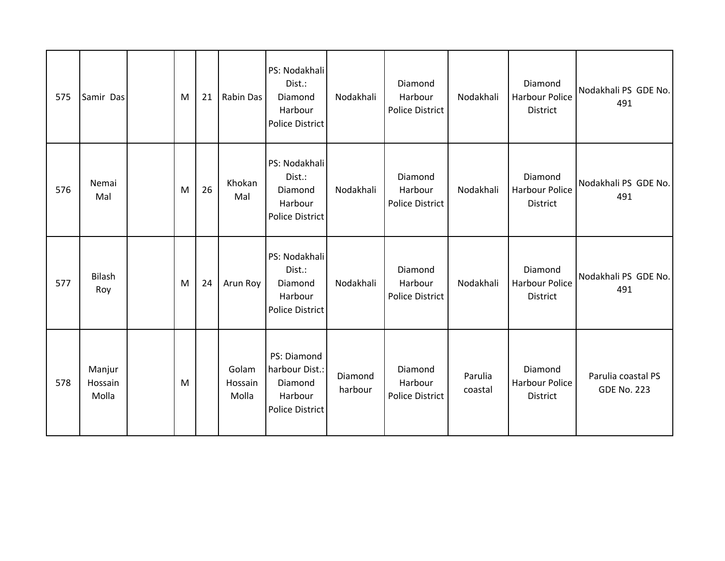| 575 | Samir Das                  | M | 21 | Rabin Das                 | PS: Nodakhali<br>Dist.:<br>Diamond<br>Harbour<br><b>Police District</b>       | Nodakhali          | Diamond<br>Harbour<br>Police District        | Nodakhali          | Diamond<br><b>Harbour Police</b><br>District | Nodakhali PS GDE No.<br>491              |
|-----|----------------------------|---|----|---------------------------|-------------------------------------------------------------------------------|--------------------|----------------------------------------------|--------------------|----------------------------------------------|------------------------------------------|
| 576 | Nemai<br>Mal               | M | 26 | Khokan<br>Mal             | PS: Nodakhali<br>Dist.:<br>Diamond<br>Harbour<br><b>Police District</b>       | Nodakhali          | Diamond<br>Harbour<br><b>Police District</b> | Nodakhali          | Diamond<br>Harbour Police<br>District        | Nodakhali PS GDE No.<br>491              |
| 577 | <b>Bilash</b><br>Roy       | M | 24 | Arun Roy                  | PS: Nodakhali<br>Dist.:<br>Diamond<br>Harbour<br><b>Police District</b>       | Nodakhali          | Diamond<br>Harbour<br><b>Police District</b> | Nodakhali          | Diamond<br><b>Harbour Police</b><br>District | Nodakhali PS GDE No.<br>491              |
| 578 | Manjur<br>Hossain<br>Molla | M |    | Golam<br>Hossain<br>Molla | PS: Diamond<br>harbour Dist.:<br>Diamond<br>Harbour<br><b>Police District</b> | Diamond<br>harbour | Diamond<br>Harbour<br><b>Police District</b> | Parulia<br>coastal | Diamond<br><b>Harbour Police</b><br>District | Parulia coastal PS<br><b>GDE No. 223</b> |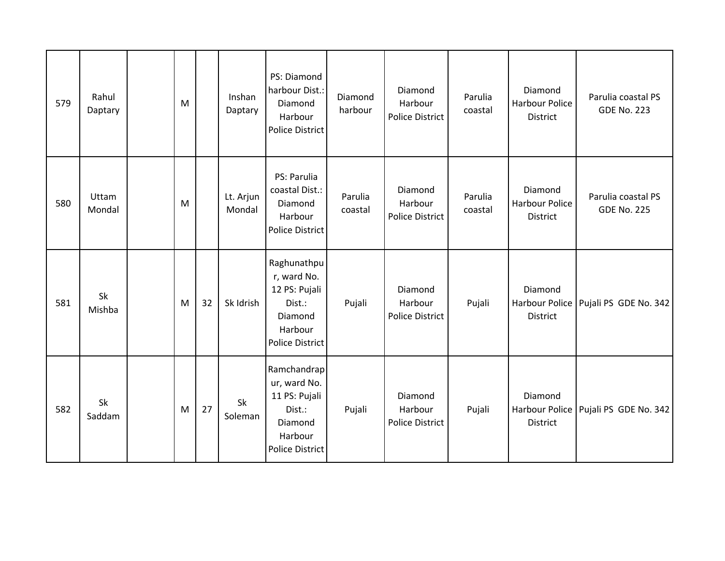| 579 | Rahul<br>Daptary | M |    | Inshan<br>Daptary   | PS: Diamond<br>harbour Dist.:<br>Diamond<br>Harbour<br>Police District                                 | Diamond<br>harbour | Diamond<br>Harbour<br>Police District | Parulia<br>coastal | Diamond<br>Harbour Police<br>District        | Parulia coastal PS<br><b>GDE No. 223</b> |
|-----|------------------|---|----|---------------------|--------------------------------------------------------------------------------------------------------|--------------------|---------------------------------------|--------------------|----------------------------------------------|------------------------------------------|
| 580 | Uttam<br>Mondal  | M |    | Lt. Arjun<br>Mondal | PS: Parulia<br>coastal Dist.:<br>Diamond<br>Harbour<br><b>Police District</b>                          | Parulia<br>coastal | Diamond<br>Harbour<br>Police District | Parulia<br>coastal | Diamond<br><b>Harbour Police</b><br>District | Parulia coastal PS<br><b>GDE No. 225</b> |
| 581 | Sk<br>Mishba     | M | 32 | Sk Idrish           | Raghunathpu<br>r, ward No.<br>12 PS: Pujali<br>Dist.:<br>Diamond<br>Harbour<br><b>Police District</b>  | Pujali             | Diamond<br>Harbour<br>Police District | Pujali             | Diamond<br>Harbour Police<br>District        | Pujali PS GDE No. 342                    |
| 582 | Sk<br>Saddam     | M | 27 | Sk<br>Soleman       | Ramchandrap<br>ur, ward No.<br>11 PS: Pujali<br>Dist.:<br>Diamond<br>Harbour<br><b>Police District</b> | Pujali             | Diamond<br>Harbour<br>Police District | Pujali             | Diamond<br>Harbour Police<br>District        | Pujali PS GDE No. 342                    |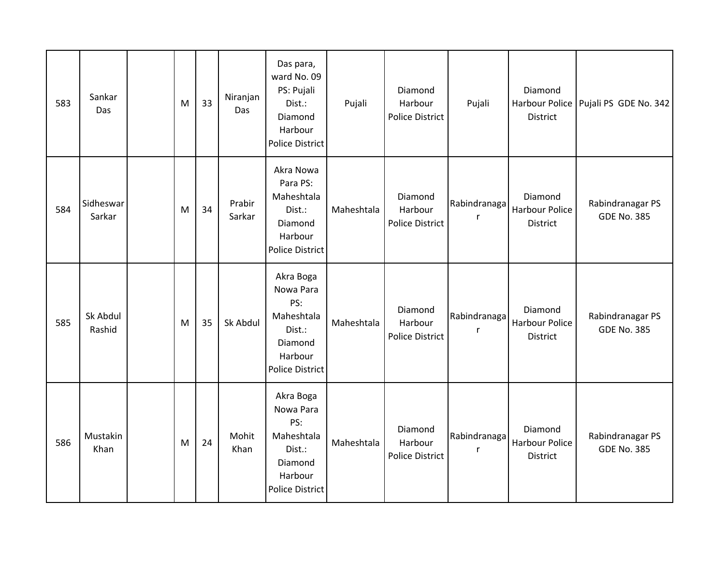| 583 | Sankar<br>Das       | M | 33 | Niranjan<br>Das  | Das para,<br>ward No. 09<br>PS: Pujali<br>Dist.:<br>Diamond<br>Harbour<br><b>Police District</b>      | Pujali     | Diamond<br>Harbour<br>Police District | Pujali            | Diamond<br>Harbour Police<br>District               | Pujali PS GDE No. 342                  |
|-----|---------------------|---|----|------------------|-------------------------------------------------------------------------------------------------------|------------|---------------------------------------|-------------------|-----------------------------------------------------|----------------------------------------|
| 584 | Sidheswar<br>Sarkar | M | 34 | Prabir<br>Sarkar | Akra Nowa<br>Para PS:<br>Maheshtala<br>Dist.:<br>Diamond<br>Harbour<br><b>Police District</b>         | Maheshtala | Diamond<br>Harbour<br>Police District | Rabindranaga<br>r | Diamond<br><b>Harbour Police</b><br><b>District</b> | Rabindranagar PS<br><b>GDE No. 385</b> |
| 585 | Sk Abdul<br>Rashid  | M | 35 | Sk Abdul         | Akra Boga<br>Nowa Para<br>PS:<br>Maheshtala<br>Dist.:<br>Diamond<br>Harbour<br><b>Police District</b> | Maheshtala | Diamond<br>Harbour<br>Police District | Rabindranaga<br>r | Diamond<br><b>Harbour Police</b><br><b>District</b> | Rabindranagar PS<br><b>GDE No. 385</b> |
| 586 | Mustakin<br>Khan    | M | 24 | Mohit<br>Khan    | Akra Boga<br>Nowa Para<br>PS:<br>Maheshtala<br>Dist.:<br>Diamond<br>Harbour<br><b>Police District</b> | Maheshtala | Diamond<br>Harbour<br>Police District | Rabindranaga<br>r | Diamond<br>Harbour Police<br>District               | Rabindranagar PS<br><b>GDE No. 385</b> |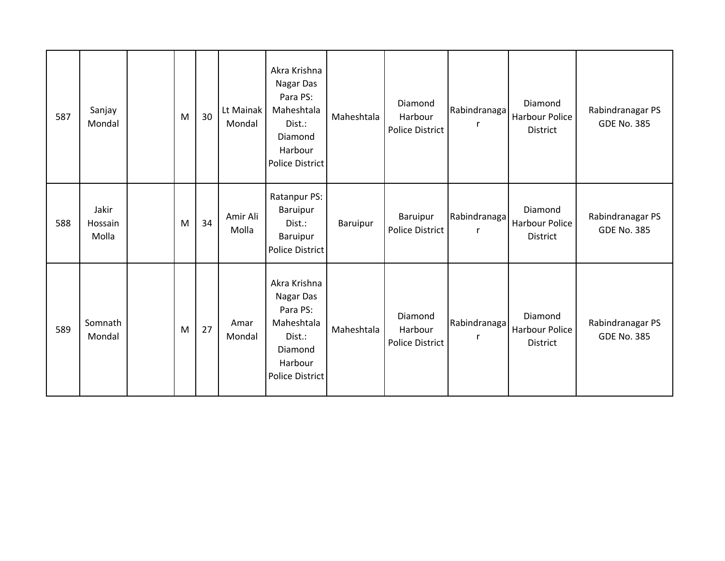| 587 | Sanjay<br>Mondal          | M | 30 | Lt Mainak<br>Mondal | Akra Krishna<br>Nagar Das<br>Para PS:<br>Maheshtala<br>Dist.:<br>Diamond<br>Harbour<br><b>Police District</b> | Maheshtala | Diamond<br>Harbour<br>Police District | Rabindranaga      | Diamond<br><b>Harbour Police</b><br><b>District</b> | Rabindranagar PS<br><b>GDE No. 385</b> |
|-----|---------------------------|---|----|---------------------|---------------------------------------------------------------------------------------------------------------|------------|---------------------------------------|-------------------|-----------------------------------------------------|----------------------------------------|
| 588 | Jakir<br>Hossain<br>Molla | M | 34 | Amir Ali<br>Molla   | Ratanpur PS:<br>Baruipur<br>Dist.:<br>Baruipur<br><b>Police District</b>                                      | Baruipur   | Baruipur<br>Police District           | Rabindranaga      | Diamond<br>Harbour Police<br><b>District</b>        | Rabindranagar PS<br><b>GDE No. 385</b> |
| 589 | Somnath<br>Mondal         | M | 27 | Amar<br>Mondal      | Akra Krishna<br>Nagar Das<br>Para PS:<br>Maheshtala<br>Dist.:<br>Diamond<br>Harbour<br><b>Police District</b> | Maheshtala | Diamond<br>Harbour<br>Police District | Rabindranaga<br>r | Diamond<br><b>Harbour Police</b><br><b>District</b> | Rabindranagar PS<br><b>GDE No. 385</b> |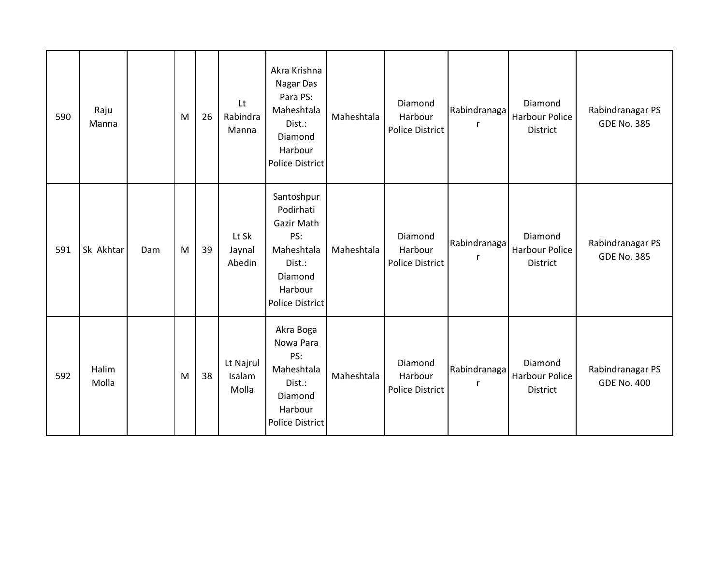| 590 | Raju<br>Manna  |     | M | 26 | Lt<br>Rabindra<br>Manna      | Akra Krishna<br>Nagar Das<br>Para PS:<br>Maheshtala<br>Dist.:<br>Diamond<br>Harbour<br>Police District               | Maheshtala | Diamond<br>Harbour<br>Police District | Rabindranaga<br>$\mathsf{r}$ | Diamond<br><b>Harbour Police</b><br>District | Rabindranagar PS<br><b>GDE No. 385</b> |
|-----|----------------|-----|---|----|------------------------------|----------------------------------------------------------------------------------------------------------------------|------------|---------------------------------------|------------------------------|----------------------------------------------|----------------------------------------|
| 591 | Sk Akhtar      | Dam | M | 39 | Lt Sk<br>Jaynal<br>Abedin    | Santoshpur<br>Podirhati<br>Gazir Math<br>PS:<br>Maheshtala<br>Dist.:<br>Diamond<br>Harbour<br><b>Police District</b> | Maheshtala | Diamond<br>Harbour<br>Police District | Rabindranaga<br>$\mathsf{r}$ | Diamond<br>Harbour Police<br>District        | Rabindranagar PS<br><b>GDE No. 385</b> |
| 592 | Halim<br>Molla |     | M | 38 | Lt Najrul<br>Isalam<br>Molla | Akra Boga<br>Nowa Para<br>PS:<br>Maheshtala<br>Dist.:<br>Diamond<br>Harbour<br>Police District                       | Maheshtala | Diamond<br>Harbour<br>Police District | Rabindranaga<br>$\mathsf{r}$ | Diamond<br>Harbour Police<br>District        | Rabindranagar PS<br><b>GDE No. 400</b> |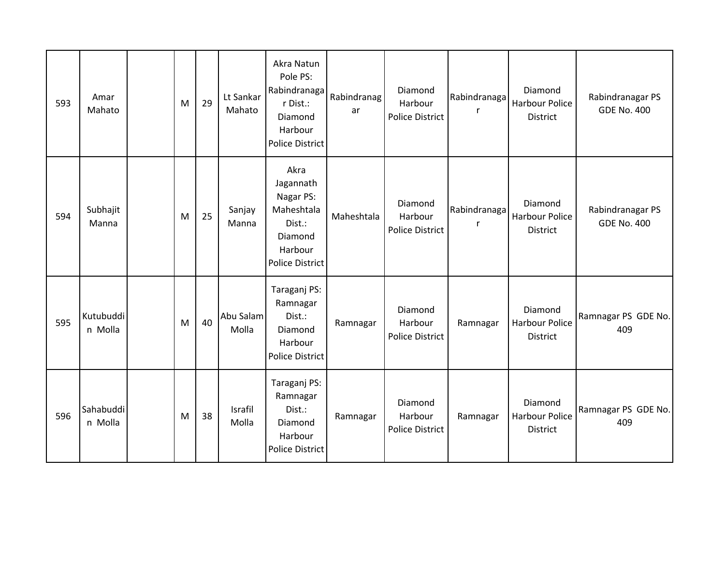| 593 | Amar<br>Mahato       | M | 29 | Lt Sankar<br>Mahato | Akra Natun<br>Pole PS:<br>Rabindranaga<br>r Dist.:<br>Diamond<br>Harbour<br><b>Police District</b>     | Rabindranag<br>ar | Diamond<br>Harbour<br>Police District | Rabindranaga<br>r | Diamond<br>Harbour Police<br>District        | Rabindranagar PS<br><b>GDE No. 400</b> |
|-----|----------------------|---|----|---------------------|--------------------------------------------------------------------------------------------------------|-------------------|---------------------------------------|-------------------|----------------------------------------------|----------------------------------------|
| 594 | Subhajit<br>Manna    | M | 25 | Sanjay<br>Manna     | Akra<br>Jagannath<br>Nagar PS:<br>Maheshtala<br>Dist.:<br>Diamond<br>Harbour<br><b>Police District</b> | Maheshtala        | Diamond<br>Harbour<br>Police District | Rabindranaga<br>r | Diamond<br>Harbour Police<br><b>District</b> | Rabindranagar PS<br><b>GDE No. 400</b> |
| 595 | Kutubuddi<br>n Molla | M | 40 | Abu Salam<br>Molla  | Taraganj PS:<br>Ramnagar<br>Dist.:<br>Diamond<br>Harbour<br><b>Police District</b>                     | Ramnagar          | Diamond<br>Harbour<br>Police District | Ramnagar          | Diamond<br>Harbour Police<br>District        | Ramnagar PS GDE No.<br>409             |
| 596 | Sahabuddi<br>n Molla | M | 38 | Israfil<br>Molla    | Taraganj PS:<br>Ramnagar<br>Dist.:<br>Diamond<br>Harbour<br><b>Police District</b>                     | Ramnagar          | Diamond<br>Harbour<br>Police District | Ramnagar          | Diamond<br><b>Harbour Police</b><br>District | Ramnagar PS GDE No.<br>409             |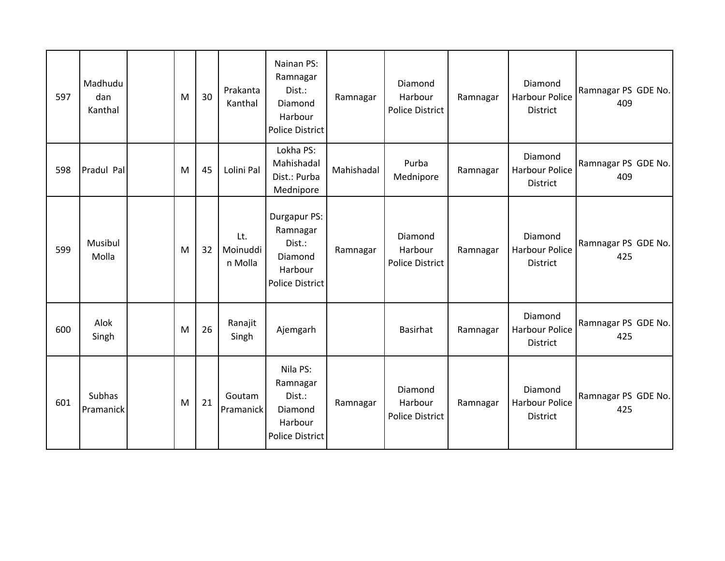| 597 | Madhudu<br>dan<br>Kanthal | M | 30 | Prakanta<br>Kanthal        | Nainan PS:<br>Ramnagar<br>Dist.:<br>Diamond<br>Harbour<br><b>Police District</b>   | Ramnagar   | Diamond<br>Harbour<br>Police District | Ramnagar | Diamond<br><b>Harbour Police</b><br><b>District</b> | Ramnagar PS GDE No.<br>409 |
|-----|---------------------------|---|----|----------------------------|------------------------------------------------------------------------------------|------------|---------------------------------------|----------|-----------------------------------------------------|----------------------------|
| 598 | Pradul Pal                | M | 45 | Lolini Pal                 | Lokha PS:<br>Mahishadal<br>Dist.: Purba<br>Mednipore                               | Mahishadal | Purba<br>Mednipore                    | Ramnagar | Diamond<br><b>Harbour Police</b><br><b>District</b> | Ramnagar PS GDE No.<br>409 |
| 599 | Musibul<br>Molla          | M | 32 | Lt.<br>Moinuddi<br>n Molla | Durgapur PS:<br>Ramnagar<br>Dist.:<br>Diamond<br>Harbour<br><b>Police District</b> | Ramnagar   | Diamond<br>Harbour<br>Police District | Ramnagar | Diamond<br><b>Harbour Police</b><br><b>District</b> | Ramnagar PS GDE No.<br>425 |
| 600 | Alok<br>Singh             | M | 26 | Ranajit<br>Singh           | Ajemgarh                                                                           |            | Basirhat                              | Ramnagar | Diamond<br><b>Harbour Police</b><br><b>District</b> | Ramnagar PS GDE No.<br>425 |
| 601 | Subhas<br>Pramanick       | M | 21 | Goutam<br>Pramanick        | Nila PS:<br>Ramnagar<br>Dist.:<br>Diamond<br>Harbour<br><b>Police District</b>     | Ramnagar   | Diamond<br>Harbour<br>Police District | Ramnagar | Diamond<br><b>Harbour Police</b><br><b>District</b> | Ramnagar PS GDE No.<br>425 |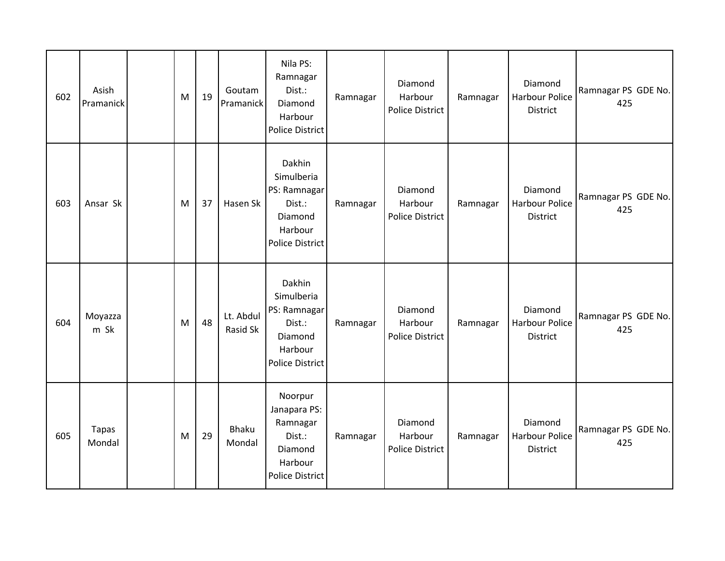| 602 | Asish<br>Pramanick | M | 19 | Goutam<br>Pramanick    | Nila PS:<br>Ramnagar<br>Dist.:<br>Diamond<br>Harbour<br><b>Police District</b>                 | Ramnagar | Diamond<br>Harbour<br>Police District | Ramnagar | Diamond<br><b>Harbour Police</b><br>District        | Ramnagar PS GDE No.<br>425 |
|-----|--------------------|---|----|------------------------|------------------------------------------------------------------------------------------------|----------|---------------------------------------|----------|-----------------------------------------------------|----------------------------|
| 603 | Ansar Sk           | M | 37 | Hasen Sk               | Dakhin<br>Simulberia<br>PS: Ramnagar<br>Dist.:<br>Diamond<br>Harbour<br><b>Police District</b> | Ramnagar | Diamond<br>Harbour<br>Police District | Ramnagar | Diamond<br>Harbour Police<br>District               | Ramnagar PS GDE No.<br>425 |
| 604 | Moyazza<br>m Sk    | M | 48 | Lt. Abdul<br>Rasid Sk  | Dakhin<br>Simulberia<br>PS: Ramnagar<br>Dist.:<br>Diamond<br>Harbour<br><b>Police District</b> | Ramnagar | Diamond<br>Harbour<br>Police District | Ramnagar | Diamond<br><b>Harbour Police</b><br>District        | Ramnagar PS GDE No.<br>425 |
| 605 | Tapas<br>Mondal    | M | 29 | <b>Bhaku</b><br>Mondal | Noorpur<br>Janapara PS:<br>Ramnagar<br>Dist.:<br>Diamond<br>Harbour<br><b>Police District</b>  | Ramnagar | Diamond<br>Harbour<br>Police District | Ramnagar | Diamond<br><b>Harbour Police</b><br><b>District</b> | Ramnagar PS GDE No.<br>425 |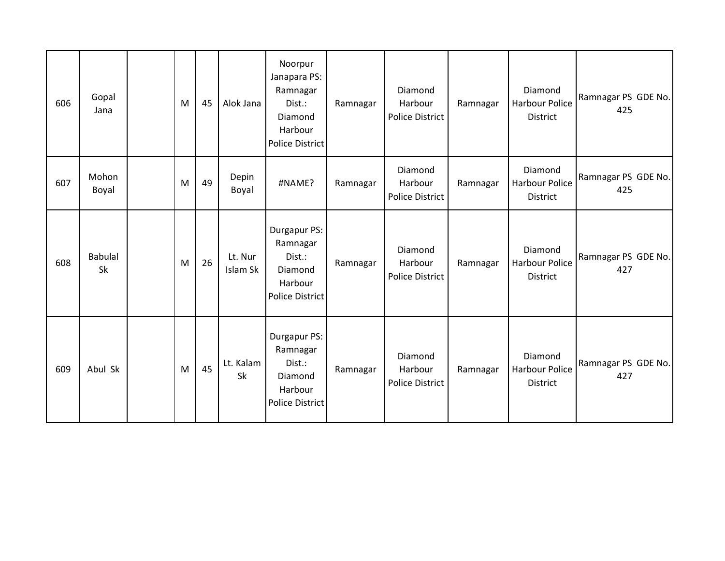| 606 | Gopal<br>Jana               | M | 45 | Alok Jana           | Noorpur<br>Janapara PS:<br>Ramnagar<br>Dist.:<br>Diamond<br>Harbour<br><b>Police District</b> | Ramnagar | Diamond<br>Harbour<br>Police District | Ramnagar | Diamond<br><b>Harbour Police</b><br>District | Ramnagar PS GDE No.<br>425 |
|-----|-----------------------------|---|----|---------------------|-----------------------------------------------------------------------------------------------|----------|---------------------------------------|----------|----------------------------------------------|----------------------------|
| 607 | Mohon<br>Boyal              | M | 49 | Depin<br>Boyal      | #NAME?                                                                                        | Ramnagar | Diamond<br>Harbour<br>Police District | Ramnagar | Diamond<br>Harbour Police<br>District        | Ramnagar PS GDE No.<br>425 |
| 608 | <b>Babulal</b><br><b>Sk</b> | M | 26 | Lt. Nur<br>Islam Sk | Durgapur PS:<br>Ramnagar<br>Dist.:<br>Diamond<br>Harbour<br><b>Police District</b>            | Ramnagar | Diamond<br>Harbour<br>Police District | Ramnagar | Diamond<br>Harbour Police<br><b>District</b> | Ramnagar PS GDE No.<br>427 |
| 609 | Abul Sk                     | M | 45 | Lt. Kalam<br>Sk     | Durgapur PS:<br>Ramnagar<br>Dist.:<br>Diamond<br>Harbour<br><b>Police District</b>            | Ramnagar | Diamond<br>Harbour<br>Police District | Ramnagar | Diamond<br>Harbour Police<br><b>District</b> | Ramnagar PS GDE No.<br>427 |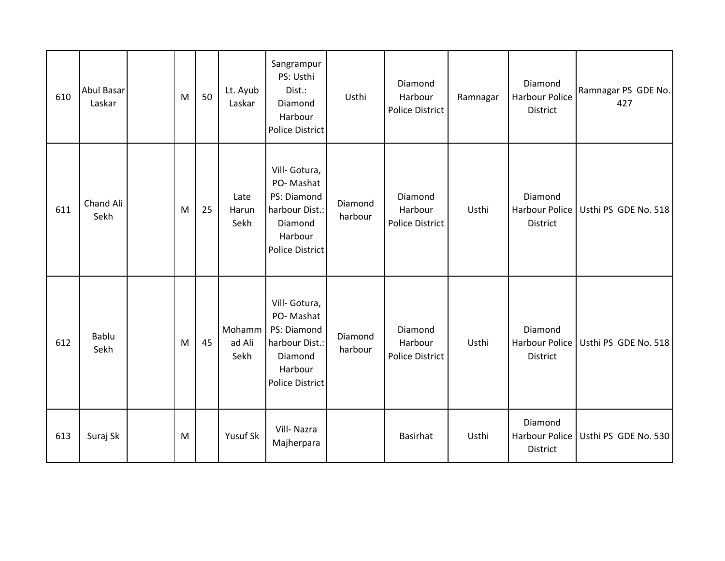| 610 | <b>Abul Basar</b><br>Laskar | M | 50 | Lt. Ayub<br>Laskar       | Sangrampur<br>PS: Usthi<br>Dist.:<br>Diamond<br>Harbour<br>Police District                                  | Usthi              | Diamond<br>Harbour<br>Police District        | Ramnagar | Diamond<br>Harbour Police<br><b>District</b>        | Ramnagar PS GDE No.<br>427 |
|-----|-----------------------------|---|----|--------------------------|-------------------------------------------------------------------------------------------------------------|--------------------|----------------------------------------------|----------|-----------------------------------------------------|----------------------------|
| 611 | Chand Ali<br>Sekh           | M | 25 | Late<br>Harun<br>Sekh    | Vill- Gotura,<br>PO-Mashat<br>PS: Diamond<br>harbour Dist.:<br>Diamond<br>Harbour<br><b>Police District</b> | Diamond<br>harbour | Diamond<br>Harbour<br><b>Police District</b> | Usthi    | Diamond<br>Harbour Police<br><b>District</b>        | Usthi PS GDE No. 518       |
| 612 | Bablu<br>Sekh               | M | 45 | Mohamm<br>ad Ali<br>Sekh | Vill- Gotura,<br>PO-Mashat<br>PS: Diamond<br>harbour Dist.:<br>Diamond<br>Harbour<br><b>Police District</b> | Diamond<br>harbour | Diamond<br>Harbour<br><b>Police District</b> | Usthi    | Diamond<br>Harbour Police<br><b>District</b>        | Usthi PS GDE No. 518       |
| 613 | Suraj Sk                    | M |    | Yusuf Sk                 | Vill-Nazra<br>Majherpara                                                                                    |                    | Basirhat                                     | Usthi    | Diamond<br><b>Harbour Police</b><br><b>District</b> | Usthi PS GDE No. 530       |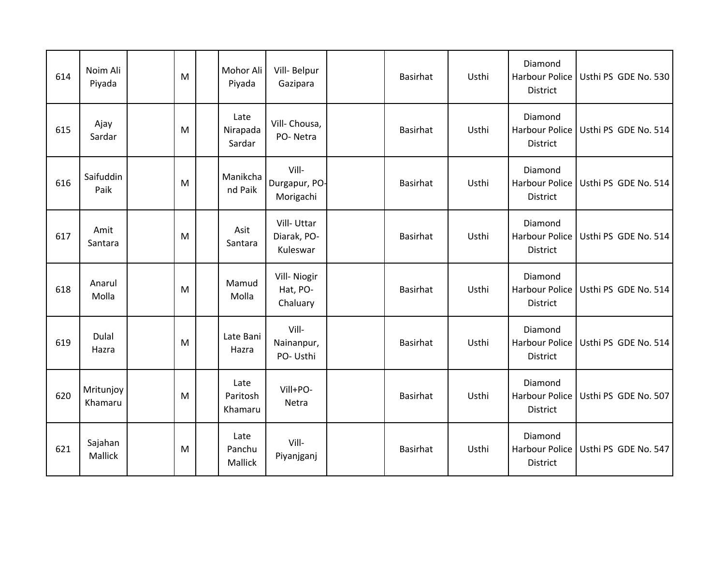| 614 | Noim Ali<br>Piyada   | M | Mohor Ali<br>Piyada         | Vill- Belpur<br>Gazipara              | Basirhat        | Usthi | Diamond<br>Harbour Police<br><b>District</b>        | Usthi PS GDE No. 530 |
|-----|----------------------|---|-----------------------------|---------------------------------------|-----------------|-------|-----------------------------------------------------|----------------------|
| 615 | Ajay<br>Sardar       | M | Late<br>Nirapada<br>Sardar  | Vill- Chousa,<br>PO-Netra             | Basirhat        | Usthi | Diamond<br><b>Harbour Police</b><br>District        | Usthi PS GDE No. 514 |
| 616 | Saifuddin<br>Paik    | M | Manikcha<br>nd Paik         | Vill-<br>Durgapur, PO-<br>Morigachi   | Basirhat        | Usthi | Diamond<br>Harbour Police<br><b>District</b>        | Usthi PS GDE No. 514 |
| 617 | Amit<br>Santara      | M | Asit<br>Santara             | Vill-Uttar<br>Diarak, PO-<br>Kuleswar | Basirhat        | Usthi | Diamond<br><b>Harbour Police</b><br><b>District</b> | Usthi PS GDE No. 514 |
| 618 | Anarul<br>Molla      | M | Mamud<br>Molla              | Vill- Niogir<br>Hat, PO-<br>Chaluary  | Basirhat        | Usthi | Diamond<br>Harbour Police<br>District               | Usthi PS GDE No. 514 |
| 619 | Dulal<br>Hazra       | M | Late Bani<br>Hazra          | Vill-<br>Nainanpur,<br>PO- Usthi      | Basirhat        | Usthi | Diamond<br>Harbour Police<br>District               | Usthi PS GDE No. 514 |
| 620 | Mritunjoy<br>Khamaru | M | Late<br>Paritosh<br>Khamaru | Vill+PO-<br>Netra                     | <b>Basirhat</b> | Usthi | Diamond<br>Harbour Police<br><b>District</b>        | Usthi PS GDE No. 507 |
| 621 | Sajahan<br>Mallick   | M | Late<br>Panchu<br>Mallick   | Vill-<br>Piyanjganj                   | Basirhat        | Usthi | Diamond<br><b>Harbour Police</b><br>District        | Usthi PS GDE No. 547 |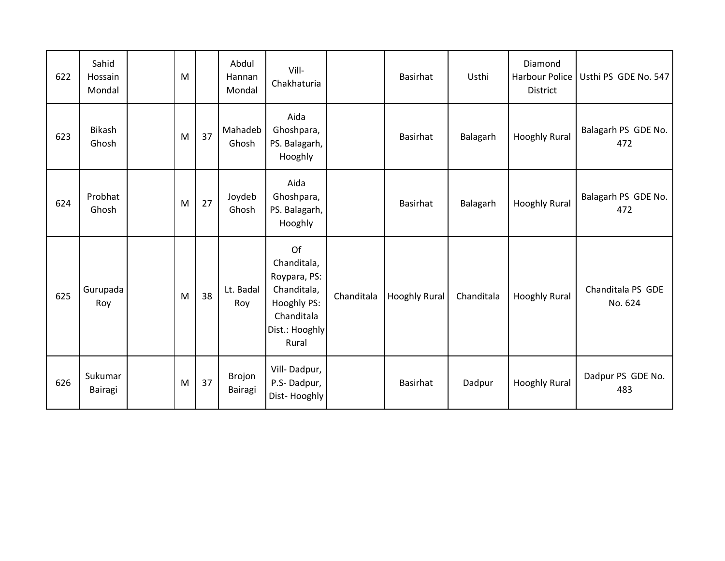| 622 | Sahid<br>Hossain<br>Mondal | M |    | Abdul<br>Hannan<br>Mondal | Vill-<br>Chakhaturia                                                                                     |            | Basirhat      | Usthi      | Diamond<br>Harbour Police<br>District | Usthi PS GDE No. 547         |
|-----|----------------------------|---|----|---------------------------|----------------------------------------------------------------------------------------------------------|------------|---------------|------------|---------------------------------------|------------------------------|
| 623 | Bikash<br>Ghosh            | M | 37 | Mahadeb<br>Ghosh          | Aida<br>Ghoshpara,<br>PS. Balagarh,<br>Hooghly                                                           |            | Basirhat      | Balagarh   | <b>Hooghly Rural</b>                  | Balagarh PS GDE No.<br>472   |
| 624 | Probhat<br>Ghosh           | M | 27 | Joydeb<br>Ghosh           | Aida<br>Ghoshpara,<br>PS. Balagarh,<br>Hooghly                                                           |            | Basirhat      | Balagarh   | <b>Hooghly Rural</b>                  | Balagarh PS GDE No.<br>472   |
| 625 | Gurupada<br>Roy            | M | 38 | Lt. Badal<br>Roy          | Of<br>Chanditala,<br>Roypara, PS:<br>Chanditala,<br>Hooghly PS:<br>Chanditala<br>Dist.: Hooghly<br>Rural | Chanditala | Hooghly Rural | Chanditala | <b>Hooghly Rural</b>                  | Chanditala PS GDE<br>No. 624 |
| 626 | Sukumar<br>Bairagi         | M | 37 | Brojon<br>Bairagi         | Vill-Dadpur,<br>P.S-Dadpur,<br>Dist-Hooghly                                                              |            | Basirhat      | Dadpur     | <b>Hooghly Rural</b>                  | Dadpur PS GDE No.<br>483     |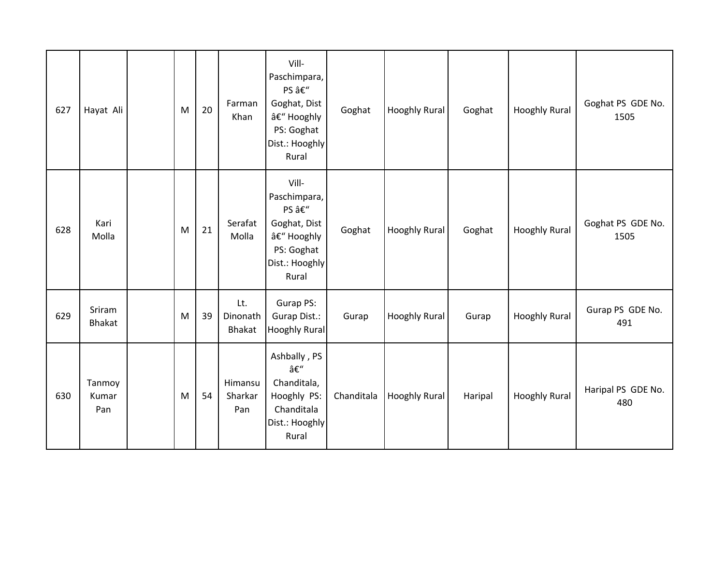| 627 | Hayat Ali               | M | 20 | Farman<br>Khan            | Vill-<br>Paschimpara,<br>PS –<br>Goghat, Dist<br>– Hooghly<br>PS: Goghat<br>Dist.: Hooghly<br>Rural | Goghat     | <b>Hooghly Rural</b> | Goghat  | <b>Hooghly Rural</b> | Goghat PS GDE No.<br>1505 |
|-----|-------------------------|---|----|---------------------------|-----------------------------------------------------------------------------------------------------|------------|----------------------|---------|----------------------|---------------------------|
| 628 | Kari<br>Molla           | M | 21 | Serafat<br>Molla          | Vill-<br>Paschimpara,<br>PS –<br>Goghat, Dist<br>– Hooghly<br>PS: Goghat<br>Dist.: Hooghly<br>Rural | Goghat     | Hooghly Rural        | Goghat  | <b>Hooghly Rural</b> | Goghat PS GDE No.<br>1505 |
| 629 | Sriram<br><b>Bhakat</b> | M | 39 | Lt.<br>Dinonath<br>Bhakat | Gurap PS:<br>Gurap Dist.:<br>Hooghly Rural                                                          | Gurap      | <b>Hooghly Rural</b> | Gurap   | <b>Hooghly Rural</b> | Gurap PS GDE No.<br>491   |
| 630 | Tanmoy<br>Kumar<br>Pan  | M | 54 | Himansu<br>Sharkar<br>Pan | Ashbally, PS<br>–<br>Chanditala,<br>Hooghly PS:<br>Chanditala<br>Dist.: Hooghly<br>Rural            | Chanditala | <b>Hooghly Rural</b> | Haripal | <b>Hooghly Rural</b> | Haripal PS GDE No.<br>480 |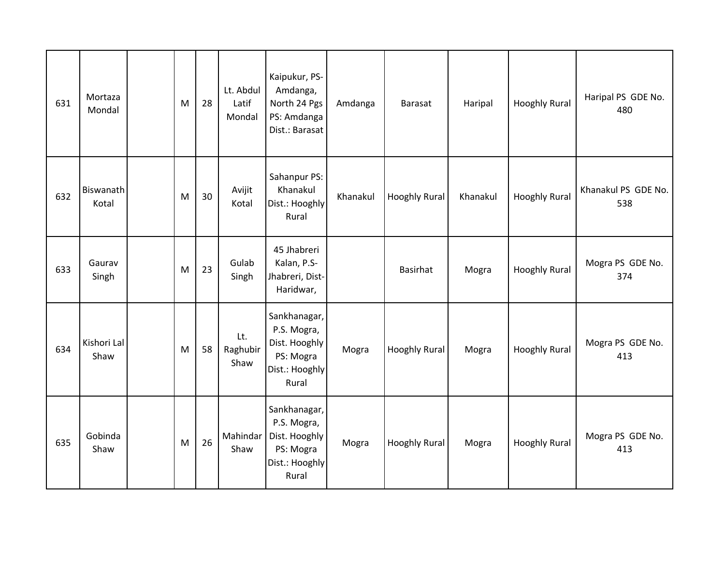| 631 | Mortaza<br>Mondal         | M | 28 | Lt. Abdul<br>Latif<br>Mondal | Kaipukur, PS-<br>Amdanga,<br>North 24 Pgs<br>PS: Amdanga<br>Dist.: Barasat           | Amdanga  | Barasat              | Haripal  | <b>Hooghly Rural</b> | Haripal PS GDE No.<br>480  |
|-----|---------------------------|---|----|------------------------------|--------------------------------------------------------------------------------------|----------|----------------------|----------|----------------------|----------------------------|
| 632 | <b>Biswanath</b><br>Kotal | M | 30 | Avijit<br>Kotal              | Sahanpur PS:<br>Khanakul<br>Dist.: Hooghly<br>Rural                                  | Khanakul | <b>Hooghly Rural</b> | Khanakul | <b>Hooghly Rural</b> | Khanakul PS GDE No.<br>538 |
| 633 | Gaurav<br>Singh           | M | 23 | Gulab<br>Singh               | 45 Jhabreri<br>Kalan, P.S-<br>Jhabreri, Dist-<br>Haridwar,                           |          | Basirhat             | Mogra    | <b>Hooghly Rural</b> | Mogra PS GDE No.<br>374    |
| 634 | Kishori Lal<br>Shaw       | M | 58 | Lt.<br>Raghubir<br>Shaw      | Sankhanagar,<br>P.S. Mogra,<br>Dist. Hooghly<br>PS: Mogra<br>Dist.: Hooghly<br>Rural | Mogra    | <b>Hooghly Rural</b> | Mogra    | <b>Hooghly Rural</b> | Mogra PS GDE No.<br>413    |
| 635 | Gobinda<br>Shaw           | M | 26 | Mahindar<br>Shaw             | Sankhanagar,<br>P.S. Mogra,<br>Dist. Hooghly<br>PS: Mogra<br>Dist.: Hooghly<br>Rural | Mogra    | <b>Hooghly Rural</b> | Mogra    | <b>Hooghly Rural</b> | Mogra PS GDE No.<br>413    |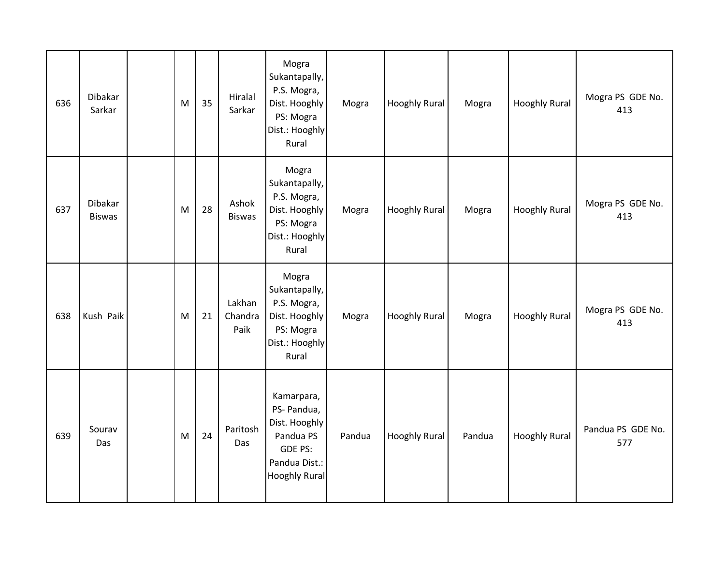| 636 | Dibakar<br>Sarkar        | M | 35 | Hiralal<br>Sarkar         | Mogra<br>Sukantapally,<br>P.S. Mogra,<br>Dist. Hooghly<br>PS: Mogra<br>Dist.: Hooghly<br>Rural              | Mogra  | <b>Hooghly Rural</b> | Mogra  | <b>Hooghly Rural</b> | Mogra PS GDE No.<br>413  |
|-----|--------------------------|---|----|---------------------------|-------------------------------------------------------------------------------------------------------------|--------|----------------------|--------|----------------------|--------------------------|
| 637 | Dibakar<br><b>Biswas</b> | M | 28 | Ashok<br><b>Biswas</b>    | Mogra<br>Sukantapally,<br>P.S. Mogra,<br>Dist. Hooghly<br>PS: Mogra<br>Dist.: Hooghly<br>Rural              | Mogra  | <b>Hooghly Rural</b> | Mogra  | <b>Hooghly Rural</b> | Mogra PS GDE No.<br>413  |
| 638 | Kush Paik                | M | 21 | Lakhan<br>Chandra<br>Paik | Mogra<br>Sukantapally,<br>P.S. Mogra,<br>Dist. Hooghly<br>PS: Mogra<br>Dist.: Hooghly<br>Rural              | Mogra  | <b>Hooghly Rural</b> | Mogra  | <b>Hooghly Rural</b> | Mogra PS GDE No.<br>413  |
| 639 | Sourav<br>Das            | M | 24 | Paritosh<br>Das           | Kamarpara,<br>PS- Pandua,<br>Dist. Hooghly<br>Pandua PS<br>GDE PS:<br>Pandua Dist.:<br><b>Hooghly Rural</b> | Pandua | Hooghly Rural        | Pandua | <b>Hooghly Rural</b> | Pandua PS GDE No.<br>577 |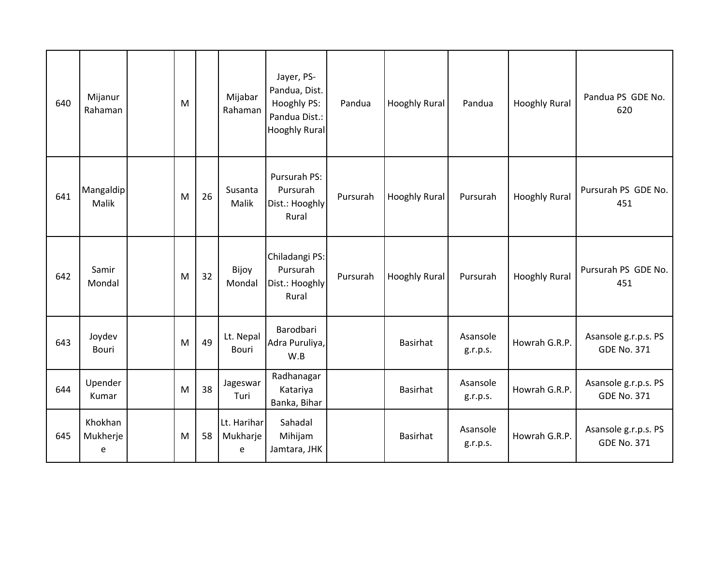| 640 | Mijanur<br>Rahaman       | M |    | Mijabar<br>Rahaman           | Jayer, PS-<br>Pandua, Dist.<br>Hooghly PS:<br>Pandua Dist.:<br><b>Hooghly Rural</b> | Pandua   | <b>Hooghly Rural</b> | Pandua               | <b>Hooghly Rural</b> | Pandua PS GDE No.<br>620                   |
|-----|--------------------------|---|----|------------------------------|-------------------------------------------------------------------------------------|----------|----------------------|----------------------|----------------------|--------------------------------------------|
| 641 | Mangaldip<br>Malik       | M | 26 | Susanta<br>Malik             | Pursurah PS:<br>Pursurah<br>Dist.: Hooghly<br>Rural                                 | Pursurah | <b>Hooghly Rural</b> | Pursurah             | <b>Hooghly Rural</b> | Pursurah PS GDE No.<br>451                 |
| 642 | Samir<br>Mondal          | M | 32 | Bijoy<br>Mondal              | Chiladangi PS:<br>Pursurah<br>Dist.: Hooghly<br>Rural                               | Pursurah | <b>Hooghly Rural</b> | Pursurah             | <b>Hooghly Rural</b> | Pursurah PS GDE No.<br>451                 |
| 643 | Joydev<br>Bouri          | M | 49 | Lt. Nepal<br><b>Bouri</b>    | Barodbari<br>Adra Puruliya,<br>W.B                                                  |          | <b>Basirhat</b>      | Asansole<br>g.r.p.s. | Howrah G.R.P.        | Asansole g.r.p.s. PS<br><b>GDE No. 371</b> |
| 644 | Upender<br>Kumar         | M | 38 | Jageswar<br>Turi             | Radhanagar<br>Katariya<br>Banka, Bihar                                              |          | Basirhat             | Asansole<br>g.r.p.s. | Howrah G.R.P.        | Asansole g.r.p.s. PS<br><b>GDE No. 371</b> |
| 645 | Khokhan<br>Mukherje<br>e | M | 58 | Lt. Harihar<br>Mukharje<br>e | Sahadal<br>Mihijam<br>Jamtara, JHK                                                  |          | Basirhat             | Asansole<br>g.r.p.s. | Howrah G.R.P.        | Asansole g.r.p.s. PS<br><b>GDE No. 371</b> |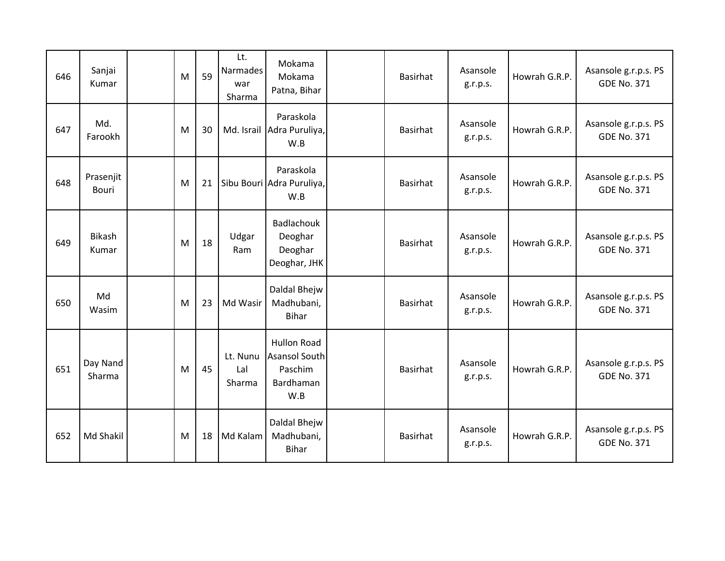| 646 | Sanjai<br>Kumar           | M | 59 | Lt.<br>Narmades<br>war<br>Sharma | Mokama<br>Mokama<br>Patna, Bihar                                          | <b>Basirhat</b> | Asansole<br>g.r.p.s. | Howrah G.R.P. | Asansole g.r.p.s. PS<br><b>GDE No. 371</b> |
|-----|---------------------------|---|----|----------------------------------|---------------------------------------------------------------------------|-----------------|----------------------|---------------|--------------------------------------------|
| 647 | Md.<br>Farookh            | M | 30 |                                  | Paraskola<br>Md. Israil Adra Puruliya,<br>W.B                             | Basirhat        | Asansole<br>g.r.p.s. | Howrah G.R.P. | Asansole g.r.p.s. PS<br><b>GDE No. 371</b> |
| 648 | Prasenjit<br><b>Bouri</b> | M | 21 |                                  | Paraskola<br>Sibu Bouri Adra Puruliya,<br>W.B                             | <b>Basirhat</b> | Asansole<br>g.r.p.s. | Howrah G.R.P. | Asansole g.r.p.s. PS<br><b>GDE No. 371</b> |
| 649 | <b>Bikash</b><br>Kumar    | M | 18 | Udgar<br>Ram                     | Badlachouk<br>Deoghar<br>Deoghar<br>Deoghar, JHK                          | Basirhat        | Asansole<br>g.r.p.s. | Howrah G.R.P. | Asansole g.r.p.s. PS<br><b>GDE No. 371</b> |
| 650 | Md<br>Wasim               | M | 23 | Md Wasir                         | Daldal Bhejw<br>Madhubani,<br><b>Bihar</b>                                | <b>Basirhat</b> | Asansole<br>g.r.p.s. | Howrah G.R.P. | Asansole g.r.p.s. PS<br><b>GDE No. 371</b> |
| 651 | Day Nand<br>Sharma        | M | 45 | Lt. Nunu<br>Lal<br>Sharma        | <b>Hullon Road</b><br><b>Asansol South</b><br>Paschim<br>Bardhaman<br>W.B | Basirhat        | Asansole<br>g.r.p.s. | Howrah G.R.P. | Asansole g.r.p.s. PS<br><b>GDE No. 371</b> |
| 652 | Md Shakil                 | M | 18 | Md Kalam                         | Daldal Bhejw<br>Madhubani,<br>Bihar                                       | <b>Basirhat</b> | Asansole<br>g.r.p.s. | Howrah G.R.P. | Asansole g.r.p.s. PS<br><b>GDE No. 371</b> |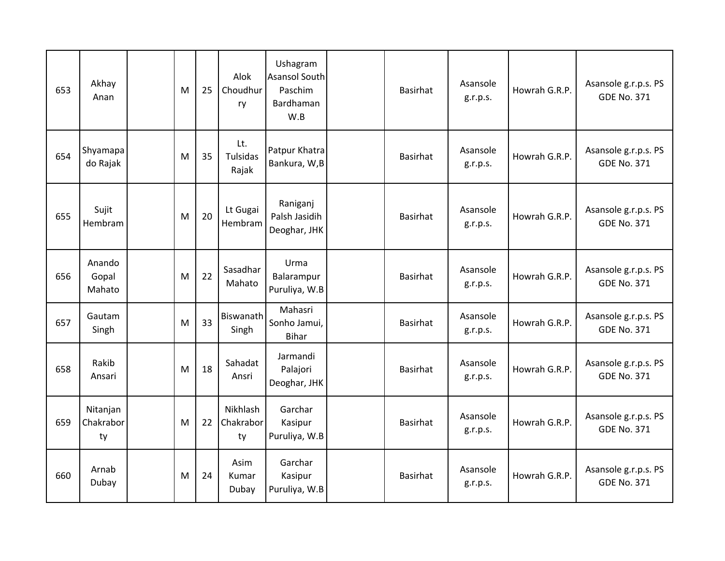| 653 | Akhay<br>Anan               | M | 25 | Alok<br>Choudhur<br>ry          | Ushagram<br>Asansol South<br>Paschim<br>Bardhaman<br>W.B | Basirhat        | Asansole<br>g.r.p.s. | Howrah G.R.P. | Asansole g.r.p.s. PS<br><b>GDE No. 371</b> |
|-----|-----------------------------|---|----|---------------------------------|----------------------------------------------------------|-----------------|----------------------|---------------|--------------------------------------------|
| 654 | Shyamapa<br>do Rajak        | M | 35 | Lt.<br><b>Tulsidas</b><br>Rajak | Patpur Khatra<br>Bankura, W,B                            | <b>Basirhat</b> | Asansole<br>g.r.p.s. | Howrah G.R.P. | Asansole g.r.p.s. PS<br><b>GDE No. 371</b> |
| 655 | Sujit<br>Hembram            | M | 20 | Lt Gugai<br>Hembram             | Raniganj<br>Palsh Jasidih<br>Deoghar, JHK                | Basirhat        | Asansole<br>g.r.p.s. | Howrah G.R.P. | Asansole g.r.p.s. PS<br><b>GDE No. 371</b> |
| 656 | Anando<br>Gopal<br>Mahato   | M | 22 | Sasadhar<br>Mahato              | Urma<br>Balarampur<br>Puruliya, W.B                      | Basirhat        | Asansole<br>g.r.p.s. | Howrah G.R.P. | Asansole g.r.p.s. PS<br><b>GDE No. 371</b> |
| 657 | Gautam<br>Singh             | M | 33 | Biswanath<br>Singh              | Mahasri<br>Sonho Jamui,<br><b>Bihar</b>                  | <b>Basirhat</b> | Asansole<br>g.r.p.s. | Howrah G.R.P. | Asansole g.r.p.s. PS<br><b>GDE No. 371</b> |
| 658 | Rakib<br>Ansari             | M | 18 | Sahadat<br>Ansri                | Jarmandi<br>Palajori<br>Deoghar, JHK                     | Basirhat        | Asansole<br>g.r.p.s. | Howrah G.R.P. | Asansole g.r.p.s. PS<br><b>GDE No. 371</b> |
| 659 | Nitanjan<br>Chakrabor<br>ty | M | 22 | Nikhlash<br>Chakrabor<br>ty     | Garchar<br>Kasipur<br>Puruliya, W.B                      | Basirhat        | Asansole<br>g.r.p.s. | Howrah G.R.P. | Asansole g.r.p.s. PS<br><b>GDE No. 371</b> |
| 660 | Arnab<br>Dubay              | M | 24 | Asim<br>Kumar<br>Dubay          | Garchar<br>Kasipur<br>Puruliya, W.B                      | <b>Basirhat</b> | Asansole<br>g.r.p.s. | Howrah G.R.P. | Asansole g.r.p.s. PS<br><b>GDE No. 371</b> |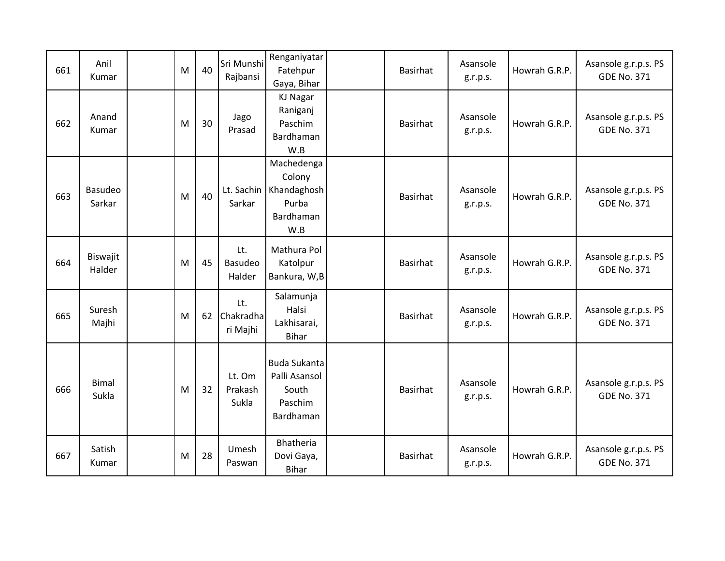| 661 | Anil<br>Kumar            | M | 40 | Sri Munshi<br>Rajbansi       | Renganiyatar<br>Fatehpur<br>Gaya, Bihar                                 | Basirhat        | Asansole<br>g.r.p.s. | Howrah G.R.P. | Asansole g.r.p.s. PS<br><b>GDE No. 371</b> |
|-----|--------------------------|---|----|------------------------------|-------------------------------------------------------------------------|-----------------|----------------------|---------------|--------------------------------------------|
| 662 | Anand<br>Kumar           | M | 30 | Jago<br>Prasad               | <b>KJ Nagar</b><br>Raniganj<br>Paschim<br>Bardhaman<br>W.B              | Basirhat        | Asansole<br>g.r.p.s. | Howrah G.R.P. | Asansole g.r.p.s. PS<br><b>GDE No. 371</b> |
| 663 | <b>Basudeo</b><br>Sarkar | M | 40 | Lt. Sachin<br>Sarkar         | Machedenga<br>Colony<br>Khandaghosh<br>Purba<br><b>Bardhaman</b><br>W.B | Basirhat        | Asansole<br>g.r.p.s. | Howrah G.R.P. | Asansole g.r.p.s. PS<br><b>GDE No. 371</b> |
| 664 | Biswajit<br>Halder       | M | 45 | Lt.<br>Basudeo<br>Halder     | Mathura Pol<br>Katolpur<br>Bankura, W,B                                 | Basirhat        | Asansole<br>g.r.p.s. | Howrah G.R.P. | Asansole g.r.p.s. PS<br><b>GDE No. 371</b> |
| 665 | Suresh<br>Majhi          | M | 62 | Lt.<br>Chakradha<br>ri Majhi | Salamunja<br>Halsi<br>Lakhisarai,<br><b>Bihar</b>                       | Basirhat        | Asansole<br>g.r.p.s. | Howrah G.R.P. | Asansole g.r.p.s. PS<br><b>GDE No. 371</b> |
| 666 | <b>Bimal</b><br>Sukla    | M | 32 | Lt. Om<br>Prakash<br>Sukla   | <b>Buda Sukanta</b><br>Palli Asansol<br>South<br>Paschim<br>Bardhaman   | Basirhat        | Asansole<br>g.r.p.s. | Howrah G.R.P. | Asansole g.r.p.s. PS<br><b>GDE No. 371</b> |
| 667 | Satish<br>Kumar          | M | 28 | Umesh<br>Paswan              | Bhatheria<br>Dovi Gaya,<br><b>Bihar</b>                                 | <b>Basirhat</b> | Asansole<br>g.r.p.s. | Howrah G.R.P. | Asansole g.r.p.s. PS<br><b>GDE No. 371</b> |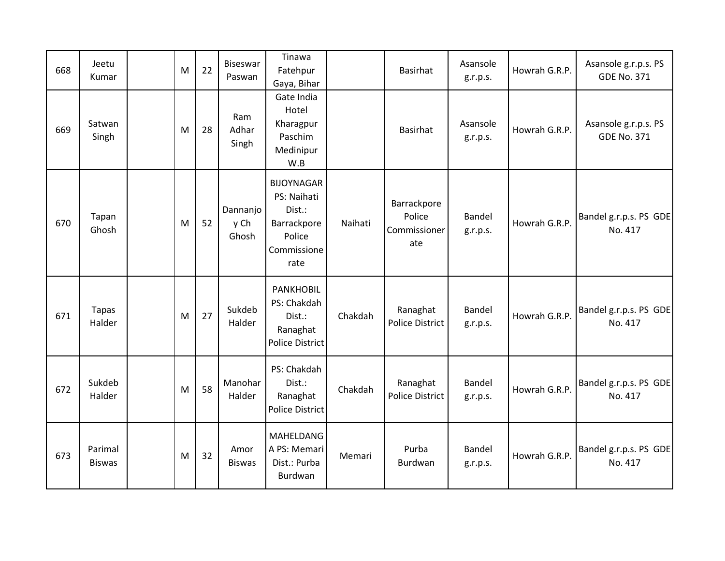| 668 | Jeetu<br>Kumar           | M | 22 | Biseswar<br>Paswan        | Tinawa<br>Fatehpur<br>Gaya, Bihar                                                          |         | Basirhat                                     | Asansole<br>g.r.p.s.      | Howrah G.R.P. | Asansole g.r.p.s. PS<br><b>GDE No. 371</b> |
|-----|--------------------------|---|----|---------------------------|--------------------------------------------------------------------------------------------|---------|----------------------------------------------|---------------------------|---------------|--------------------------------------------|
| 669 | Satwan<br>Singh          | M | 28 | Ram<br>Adhar<br>Singh     | Gate India<br>Hotel<br>Kharagpur<br>Paschim<br>Medinipur<br>W.B                            |         | Basirhat                                     | Asansole<br>g.r.p.s.      | Howrah G.R.P. | Asansole g.r.p.s. PS<br><b>GDE No. 371</b> |
| 670 | Tapan<br>Ghosh           | M | 52 | Dannanjo<br>y Ch<br>Ghosh | <b>BIJOYNAGAR</b><br>PS: Naihati<br>Dist.:<br>Barrackpore<br>Police<br>Commissione<br>rate | Naihati | Barrackpore<br>Police<br>Commissioner<br>ate | Bandel<br>g.r.p.s.        | Howrah G.R.P. | Bandel g.r.p.s. PS GDE<br>No. 417          |
| 671 | <b>Tapas</b><br>Halder   | M | 27 | Sukdeb<br>Halder          | <b>PANKHOBIL</b><br>PS: Chakdah<br>Dist.:<br>Ranaghat<br><b>Police District</b>            | Chakdah | Ranaghat<br>Police District                  | Bandel<br>g.r.p.s.        | Howrah G.R.P. | Bandel g.r.p.s. PS GDE<br>No. 417          |
| 672 | Sukdeb<br>Halder         | M | 58 | Manohar<br>Halder         | PS: Chakdah<br>Dist.:<br>Ranaghat<br><b>Police District</b>                                | Chakdah | Ranaghat<br>Police District                  | <b>Bandel</b><br>g.r.p.s. | Howrah G.R.P. | Bandel g.r.p.s. PS GDE<br>No. 417          |
| 673 | Parimal<br><b>Biswas</b> | M | 32 | Amor<br><b>Biswas</b>     | MAHELDANG<br>A PS: Memari<br>Dist.: Purba<br>Burdwan                                       | Memari  | Purba<br>Burdwan                             | Bandel<br>g.r.p.s.        | Howrah G.R.P. | Bandel g.r.p.s. PS GDE<br>No. 417          |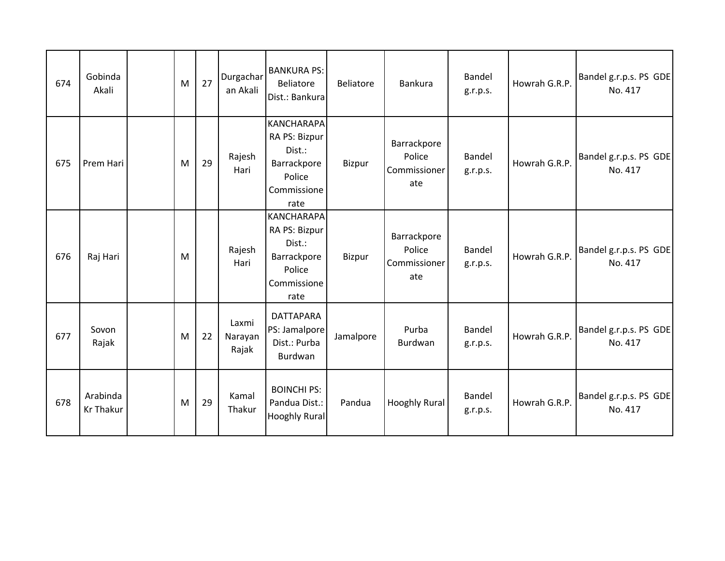| 674 | Gobinda<br>Akali             | M | 27 | Durgachar<br>an Akali     | <b>BANKURA PS:</b><br><b>Beliatore</b><br>Dist.: Bankura                                     | Beliatore     | Bankura                                      | Bandel<br>g.r.p.s. | Howrah G.R.P. | Bandel g.r.p.s. PS GDE<br>No. 417 |
|-----|------------------------------|---|----|---------------------------|----------------------------------------------------------------------------------------------|---------------|----------------------------------------------|--------------------|---------------|-----------------------------------|
| 675 | Prem Hari                    | M | 29 | Rajesh<br>Hari            | <b>KANCHARAPA</b><br>RA PS: Bizpur<br>Dist.:<br>Barrackpore<br>Police<br>Commissione<br>rate | Bizpur        | Barrackpore<br>Police<br>Commissioner<br>ate | Bandel<br>g.r.p.s. | Howrah G.R.P. | Bandel g.r.p.s. PS GDE<br>No. 417 |
| 676 | Raj Hari                     | M |    | Rajesh<br>Hari            | <b>KANCHARAPA</b><br>RA PS: Bizpur<br>Dist.:<br>Barrackpore<br>Police<br>Commissione<br>rate | <b>Bizpur</b> | Barrackpore<br>Police<br>Commissioner<br>ate | Bandel<br>g.r.p.s. | Howrah G.R.P. | Bandel g.r.p.s. PS GDE<br>No. 417 |
| 677 | Sovon<br>Rajak               | M | 22 | Laxmi<br>Narayan<br>Rajak | <b>DATTAPARA</b><br>PS: Jamalpore<br>Dist.: Purba<br>Burdwan                                 | Jamalpore     | Purba<br>Burdwan                             | Bandel<br>g.r.p.s. | Howrah G.R.P. | Bandel g.r.p.s. PS GDE<br>No. 417 |
| 678 | Arabinda<br><b>Kr Thakur</b> | M | 29 | Kamal<br>Thakur           | <b>BOINCHI PS:</b><br>Pandua Dist.:<br><b>Hooghly Rural</b>                                  | Pandua        | <b>Hooghly Rural</b>                         | Bandel<br>g.r.p.s. | Howrah G.R.P. | Bandel g.r.p.s. PS GDE<br>No. 417 |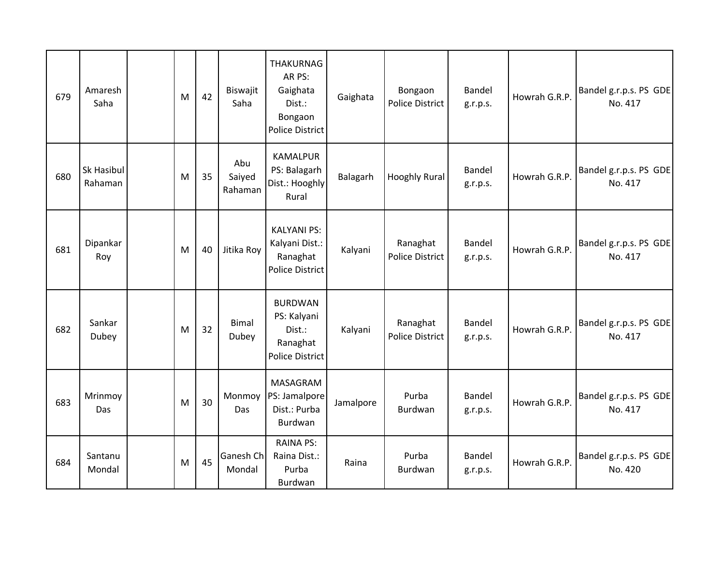| 679 | Amaresh<br>Saha       | M | 42 | Biswajit<br>Saha         | <b>THAKURNAG</b><br>AR PS:<br>Gaighata<br>Dist.:<br>Bongaon<br><b>Police District</b> | Gaighata  | Bongaon<br><b>Police District</b>  | <b>Bandel</b><br>g.r.p.s. | Howrah G.R.P. | Bandel g.r.p.s. PS GDE<br>No. 417 |
|-----|-----------------------|---|----|--------------------------|---------------------------------------------------------------------------------------|-----------|------------------------------------|---------------------------|---------------|-----------------------------------|
| 680 | Sk Hasibul<br>Rahaman | M | 35 | Abu<br>Saiyed<br>Rahaman | <b>KAMALPUR</b><br>PS: Balagarh<br>Dist.: Hooghly<br>Rural                            | Balagarh  | <b>Hooghly Rural</b>               | <b>Bandel</b><br>g.r.p.s. | Howrah G.R.P. | Bandel g.r.p.s. PS GDE<br>No. 417 |
| 681 | Dipankar<br>Roy       | M | 40 | Jitika Roy               | <b>KALYANI PS:</b><br>Kalyani Dist.:<br>Ranaghat<br><b>Police District</b>            | Kalyani   | Ranaghat<br><b>Police District</b> | <b>Bandel</b><br>g.r.p.s. | Howrah G.R.P. | Bandel g.r.p.s. PS GDE<br>No. 417 |
| 682 | Sankar<br>Dubey       | M | 32 | <b>Bimal</b><br>Dubey    | <b>BURDWAN</b><br>PS: Kalyani<br>Dist.:<br>Ranaghat<br>Police District                | Kalyani   | Ranaghat<br>Police District        | Bandel<br>g.r.p.s.        | Howrah G.R.P. | Bandel g.r.p.s. PS GDE<br>No. 417 |
| 683 | Mrinmoy<br>Das        | M | 30 | Monmoy<br>Das            | MASAGRAM<br>PS: Jamalpore<br>Dist.: Purba<br>Burdwan                                  | Jamalpore | Purba<br>Burdwan                   | Bandel<br>g.r.p.s.        | Howrah G.R.P. | Bandel g.r.p.s. PS GDE<br>No. 417 |
| 684 | Santanu<br>Mondal     | M | 45 | Ganesh Ch<br>Mondal      | <b>RAINA PS:</b><br>Raina Dist.:<br>Purba<br>Burdwan                                  | Raina     | Purba<br>Burdwan                   | Bandel<br>g.r.p.s.        | Howrah G.R.P. | Bandel g.r.p.s. PS GDE<br>No. 420 |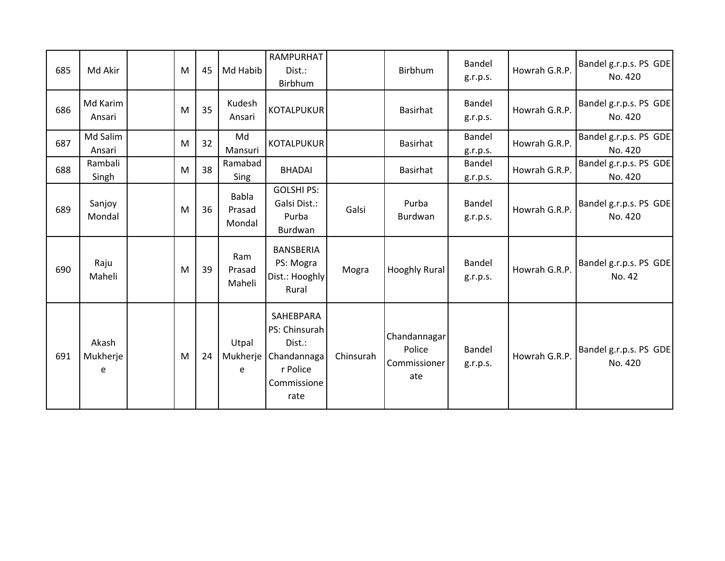| 685 | Md Akir                | M | 45 | Md Habib                         | RAMPURHAT<br>Dist.:<br>Birbhum                                                         |           | Birbhum                                       | Bandel<br>g.r.p.s. | Howrah G.R.P. | Bandel g.r.p.s. PS GDE<br>No. 420 |
|-----|------------------------|---|----|----------------------------------|----------------------------------------------------------------------------------------|-----------|-----------------------------------------------|--------------------|---------------|-----------------------------------|
| 686 | Md Karim<br>Ansari     | M | 35 | Kudesh<br>Ansari                 | <b>KOTALPUKUR</b>                                                                      |           | <b>Basirhat</b>                               | Bandel<br>g.r.p.s. | Howrah G.R.P. | Bandel g.r.p.s. PS GDE<br>No. 420 |
| 687 | Md Salim<br>Ansari     | M | 32 | Md<br>Mansuri                    | <b>KOTALPUKUR</b>                                                                      |           | <b>Basirhat</b>                               | Bandel<br>g.r.p.s. | Howrah G.R.P. | Bandel g.r.p.s. PS GDE<br>No. 420 |
| 688 | Rambali<br>Singh       | M | 38 | Ramabad<br>Sing                  | <b>BHADAI</b>                                                                          |           | <b>Basirhat</b>                               | Bandel<br>g.r.p.s. | Howrah G.R.P. | Bandel g.r.p.s. PS GDE<br>No. 420 |
| 689 | Sanjoy<br>Mondal       | M | 36 | <b>Babla</b><br>Prasad<br>Mondal | <b>GOLSHI PS:</b><br>Galsi Dist.:<br>Purba<br>Burdwan                                  | Galsi     | Purba<br>Burdwan                              | Bandel<br>g.r.p.s. | Howrah G.R.P. | Bandel g.r.p.s. PS GDE<br>No. 420 |
| 690 | Raju<br>Maheli         | M | 39 | Ram<br>Prasad<br>Maheli          | <b>BANSBERIA</b><br>PS: Mogra<br>Dist.: Hooghly<br>Rural                               | Mogra     | <b>Hooghly Rural</b>                          | Bandel<br>g.r.p.s. | Howrah G.R.P. | Bandel g.r.p.s. PS GDE<br>No. 42  |
| 691 | Akash<br>Mukherje<br>e | M | 24 | Utpal<br>Mukherje<br>e           | SAHEBPARA<br>PS: Chinsurah<br>Dist.:<br>Chandannaga<br>r Police<br>Commissione<br>rate | Chinsurah | Chandannagar<br>Police<br>Commissioner<br>ate | Bandel<br>g.r.p.s. | Howrah G.R.P. | Bandel g.r.p.s. PS GDE<br>No. 420 |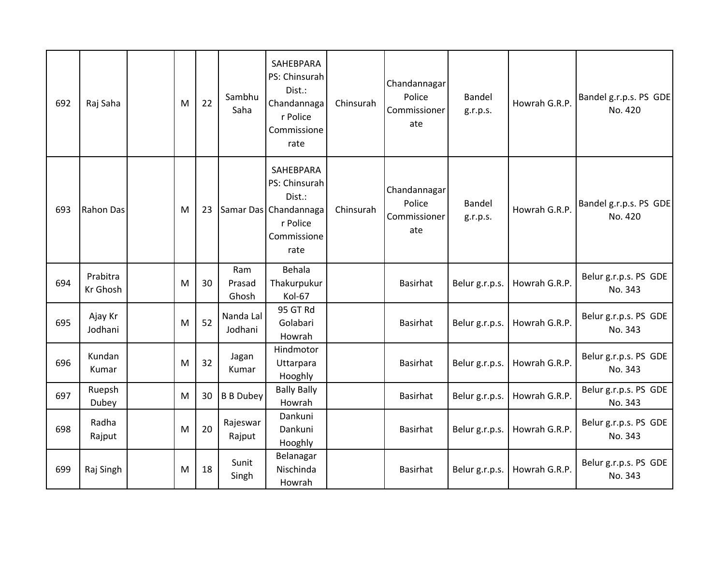| 692 | Raj Saha             | M | 22 | Sambhu<br>Saha         | SAHEBPARA<br>PS: Chinsurah<br>Dist.:<br>Chandannaga<br>r Police<br>Commissione<br>rate           | Chinsurah | Chandannagar<br>Police<br>Commissioner<br>ate | Bandel<br>g.r.p.s. | Howrah G.R.P. | Bandel g.r.p.s. PS GDE<br>No. 420 |
|-----|----------------------|---|----|------------------------|--------------------------------------------------------------------------------------------------|-----------|-----------------------------------------------|--------------------|---------------|-----------------------------------|
| 693 | <b>Rahon Das</b>     | M | 23 |                        | SAHEBPARA<br>PS: Chinsurah<br>Dist.:<br>Samar Das Chandannaga<br>r Police<br>Commissione<br>rate | Chinsurah | Chandannagar<br>Police<br>Commissioner<br>ate | Bandel<br>g.r.p.s. | Howrah G.R.P. | Bandel g.r.p.s. PS GDE<br>No. 420 |
| 694 | Prabitra<br>Kr Ghosh | M | 30 | Ram<br>Prasad<br>Ghosh | Behala<br>Thakurpukur<br>Kol-67                                                                  |           | <b>Basirhat</b>                               | Belur g.r.p.s.     | Howrah G.R.P. | Belur g.r.p.s. PS GDE<br>No. 343  |
| 695 | Ajay Kr<br>Jodhani   | M | 52 | Nanda Lal<br>Jodhani   | 95 GT Rd<br>Golabari<br>Howrah                                                                   |           | <b>Basirhat</b>                               | Belur g.r.p.s.     | Howrah G.R.P. | Belur g.r.p.s. PS GDE<br>No. 343  |
| 696 | Kundan<br>Kumar      | M | 32 | Jagan<br>Kumar         | Hindmotor<br>Uttarpara<br>Hooghly                                                                |           | <b>Basirhat</b>                               | Belur g.r.p.s.     | Howrah G.R.P. | Belur g.r.p.s. PS GDE<br>No. 343  |
| 697 | Ruepsh<br>Dubey      | M | 30 | <b>B B Dubey</b>       | <b>Bally Bally</b><br>Howrah                                                                     |           | <b>Basirhat</b>                               | Belur g.r.p.s.     | Howrah G.R.P. | Belur g.r.p.s. PS GDE<br>No. 343  |
| 698 | Radha<br>Rajput      | M | 20 | Rajeswar<br>Rajput     | Dankuni<br>Dankuni<br>Hooghly                                                                    |           | <b>Basirhat</b>                               | Belur g.r.p.s.     | Howrah G.R.P. | Belur g.r.p.s. PS GDE<br>No. 343  |
| 699 | Raj Singh            | M | 18 | Sunit<br>Singh         | Belanagar<br>Nischinda<br>Howrah                                                                 |           | <b>Basirhat</b>                               | Belur g.r.p.s.     | Howrah G.R.P. | Belur g.r.p.s. PS GDE<br>No. 343  |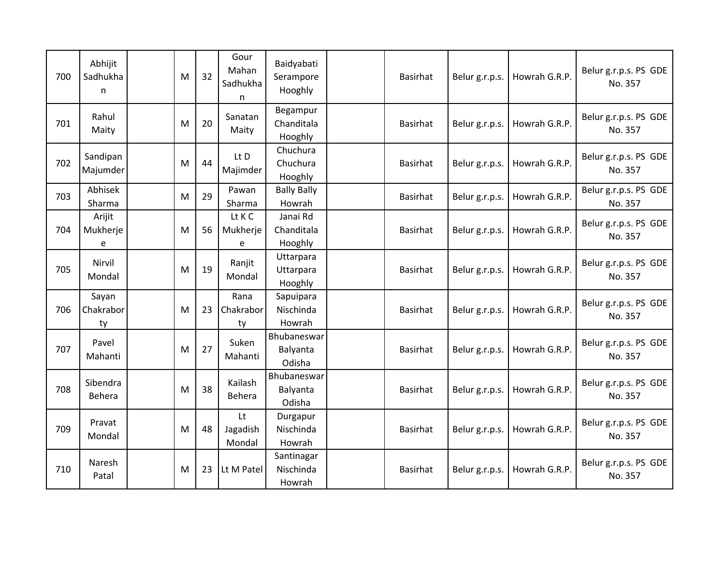| 700 | Abhijit<br>Sadhukha<br>n | M | 32 | Gour<br>Mahan<br>Sadhukha<br>n | Baidyabati<br>Serampore<br>Hooghly | Basirhat        | Belur g.r.p.s. | Howrah G.R.P. | Belur g.r.p.s. PS GDE<br>No. 357 |
|-----|--------------------------|---|----|--------------------------------|------------------------------------|-----------------|----------------|---------------|----------------------------------|
| 701 | Rahul<br>Maity           | M | 20 | Sanatan<br>Maity               | Begampur<br>Chanditala<br>Hooghly  | <b>Basirhat</b> | Belur g.r.p.s. | Howrah G.R.P. | Belur g.r.p.s. PS GDE<br>No. 357 |
| 702 | Sandipan<br>Majumder     | M | 44 | Lt D<br>Majimder               | Chuchura<br>Chuchura<br>Hooghly    | <b>Basirhat</b> | Belur g.r.p.s. | Howrah G.R.P. | Belur g.r.p.s. PS GDE<br>No. 357 |
| 703 | Abhisek<br>Sharma        | M | 29 | Pawan<br>Sharma                | <b>Bally Bally</b><br>Howrah       | <b>Basirhat</b> | Belur g.r.p.s. | Howrah G.R.P. | Belur g.r.p.s. PS GDE<br>No. 357 |
| 704 | Arijit<br>Mukherje<br>e  | M | 56 | Lt K C<br>Mukherje<br>e        | Janai Rd<br>Chanditala<br>Hooghly  | <b>Basirhat</b> | Belur g.r.p.s. | Howrah G.R.P. | Belur g.r.p.s. PS GDE<br>No. 357 |
| 705 | Nirvil<br>Mondal         | M | 19 | Ranjit<br>Mondal               | Uttarpara<br>Uttarpara<br>Hooghly  | <b>Basirhat</b> | Belur g.r.p.s. | Howrah G.R.P. | Belur g.r.p.s. PS GDE<br>No. 357 |
| 706 | Sayan<br>Chakrabor<br>ty | M | 23 | Rana<br>Chakrabor<br>ty        | Sapuipara<br>Nischinda<br>Howrah   | <b>Basirhat</b> | Belur g.r.p.s. | Howrah G.R.P. | Belur g.r.p.s. PS GDE<br>No. 357 |
| 707 | Pavel<br>Mahanti         | M | 27 | Suken<br>Mahanti               | Bhubaneswar<br>Balyanta<br>Odisha  | <b>Basirhat</b> | Belur g.r.p.s. | Howrah G.R.P. | Belur g.r.p.s. PS GDE<br>No. 357 |
| 708 | Sibendra<br>Behera       | M | 38 | Kailash<br>Behera              | Bhubaneswar<br>Balyanta<br>Odisha  | <b>Basirhat</b> | Belur g.r.p.s. | Howrah G.R.P. | Belur g.r.p.s. PS GDE<br>No. 357 |
| 709 | Pravat<br>Mondal         | M | 48 | Lt<br>Jagadish<br>Mondal       | Durgapur<br>Nischinda<br>Howrah    | Basirhat        | Belur g.r.p.s. | Howrah G.R.P. | Belur g.r.p.s. PS GDE<br>No. 357 |
| 710 | Naresh<br>Patal          | M | 23 | Lt M Patel                     | Santinagar<br>Nischinda<br>Howrah  | <b>Basirhat</b> | Belur g.r.p.s. | Howrah G.R.P. | Belur g.r.p.s. PS GDE<br>No. 357 |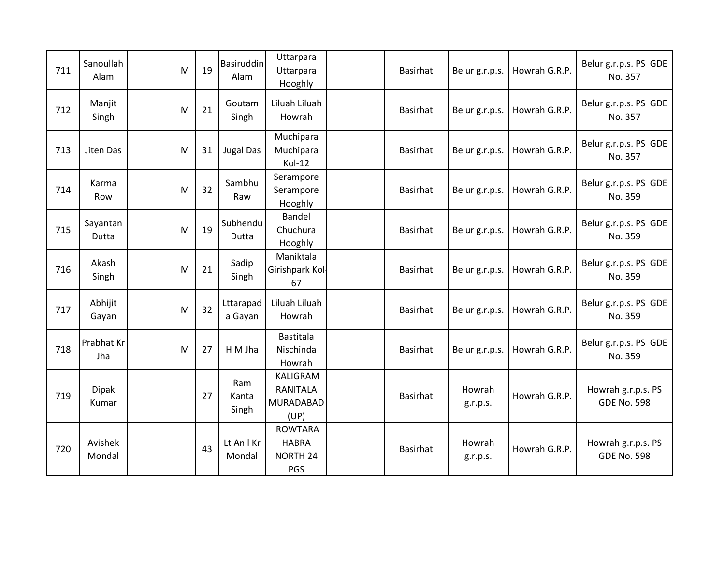| 711 | Sanoullah<br>Alam     | M | 19 | <b>Basiruddin</b><br>Alam | Uttarpara<br>Uttarpara<br>Hooghly                        | Basirhat        | Belur g.r.p.s.     | Howrah G.R.P. | Belur g.r.p.s. PS GDE<br>No. 357         |
|-----|-----------------------|---|----|---------------------------|----------------------------------------------------------|-----------------|--------------------|---------------|------------------------------------------|
| 712 | Manjit<br>Singh       | M | 21 | Goutam<br>Singh           | Liluah Liluah<br>Howrah                                  | Basirhat        | Belur g.r.p.s.     | Howrah G.R.P. | Belur g.r.p.s. PS GDE<br>No. 357         |
| 713 | Jiten Das             | M | 31 | <b>Jugal Das</b>          | Muchipara<br>Muchipara<br>Kol-12                         | Basirhat        | Belur g.r.p.s.     | Howrah G.R.P. | Belur g.r.p.s. PS GDE<br>No. 357         |
| 714 | Karma<br>Row          | M | 32 | Sambhu<br>Raw             | Serampore<br>Serampore<br>Hooghly                        | Basirhat        | Belur g.r.p.s.     | Howrah G.R.P. | Belur g.r.p.s. PS GDE<br>No. 359         |
| 715 | Sayantan<br>Dutta     | M | 19 | Subhendu<br>Dutta         | <b>Bandel</b><br>Chuchura<br>Hooghly                     | Basirhat        | Belur g.r.p.s.     | Howrah G.R.P. | Belur g.r.p.s. PS GDE<br>No. 359         |
| 716 | Akash<br>Singh        | M | 21 | Sadip<br>Singh            | Maniktala<br>Girishpark Kol-<br>67                       | Basirhat        | Belur g.r.p.s.     | Howrah G.R.P. | Belur g.r.p.s. PS GDE<br>No. 359         |
| 717 | Abhijit<br>Gayan      | M | 32 | Lttarapad<br>a Gayan      | Liluah Liluah<br>Howrah                                  | Basirhat        | Belur g.r.p.s.     | Howrah G.R.P. | Belur g.r.p.s. PS GDE<br>No. 359         |
| 718 | Prabhat Kr<br>Jha     | M | 27 | H M Jha                   | <b>Bastitala</b><br>Nischinda<br>Howrah                  | Basirhat        | Belur g.r.p.s.     | Howrah G.R.P. | Belur g.r.p.s. PS GDE<br>No. 359         |
| 719 | <b>Dipak</b><br>Kumar |   | 27 | Ram<br>Kanta<br>Singh     | KALIGRAM<br><b>RANITALA</b><br>MURADABAD<br>(UP)         | <b>Basirhat</b> | Howrah<br>g.r.p.s. | Howrah G.R.P. | Howrah g.r.p.s. PS<br><b>GDE No. 598</b> |
| 720 | Avishek<br>Mondal     |   | 43 | Lt Anil Kr<br>Mondal      | <b>ROWTARA</b><br><b>HABRA</b><br><b>NORTH 24</b><br>PGS | Basirhat        | Howrah<br>g.r.p.s. | Howrah G.R.P. | Howrah g.r.p.s. PS<br><b>GDE No. 598</b> |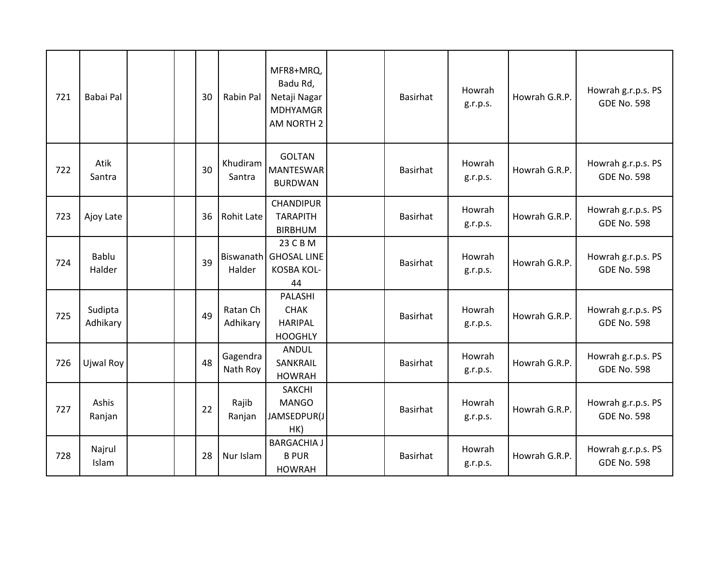| 721 | Babai Pal           |  | 30 | Rabin Pal            | MFR8+MRQ,<br>Badu Rd,<br>Netaji Nagar<br><b>MDHYAMGR</b><br>AM NORTH 2 | Basirhat        | Howrah<br>g.r.p.s. | Howrah G.R.P. | Howrah g.r.p.s. PS<br><b>GDE No. 598</b> |
|-----|---------------------|--|----|----------------------|------------------------------------------------------------------------|-----------------|--------------------|---------------|------------------------------------------|
| 722 | Atik<br>Santra      |  | 30 | Khudiram<br>Santra   | <b>GOLTAN</b><br><b>MANTESWAR</b><br><b>BURDWAN</b>                    | <b>Basirhat</b> | Howrah<br>g.r.p.s. | Howrah G.R.P. | Howrah g.r.p.s. PS<br><b>GDE No. 598</b> |
| 723 | Ajoy Late           |  | 36 | <b>Rohit Late</b>    | CHANDIPUR<br><b>TARAPITH</b><br><b>BIRBHUM</b>                         | <b>Basirhat</b> | Howrah<br>g.r.p.s. | Howrah G.R.P. | Howrah g.r.p.s. PS<br><b>GDE No. 598</b> |
| 724 | Bablu<br>Halder     |  | 39 | Halder               | 23 C B M<br>Biswanath   GHOSAL LINE<br><b>KOSBA KOL-</b><br>44         | Basirhat        | Howrah<br>g.r.p.s. | Howrah G.R.P. | Howrah g.r.p.s. PS<br><b>GDE No. 598</b> |
| 725 | Sudipta<br>Adhikary |  | 49 | Ratan Ch<br>Adhikary | PALASHI<br><b>CHAK</b><br><b>HARIPAL</b><br><b>HOOGHLY</b>             | Basirhat        | Howrah<br>g.r.p.s. | Howrah G.R.P. | Howrah g.r.p.s. PS<br><b>GDE No. 598</b> |
| 726 | Ujwal Roy           |  | 48 | Gagendra<br>Nath Roy | <b>ANDUL</b><br>SANKRAIL<br><b>HOWRAH</b>                              | <b>Basirhat</b> | Howrah<br>g.r.p.s. | Howrah G.R.P. | Howrah g.r.p.s. PS<br><b>GDE No. 598</b> |
| 727 | Ashis<br>Ranjan     |  | 22 | Rajib<br>Ranjan      | <b>SAKCHI</b><br><b>MANGO</b><br>JAMSEDPUR(J<br>HK)                    | <b>Basirhat</b> | Howrah<br>g.r.p.s. | Howrah G.R.P. | Howrah g.r.p.s. PS<br><b>GDE No. 598</b> |
| 728 | Najrul<br>Islam     |  | 28 | Nur Islam            | <b>BARGACHIA J</b><br><b>B PUR</b><br><b>HOWRAH</b>                    | <b>Basirhat</b> | Howrah<br>g.r.p.s. | Howrah G.R.P. | Howrah g.r.p.s. PS<br><b>GDE No. 598</b> |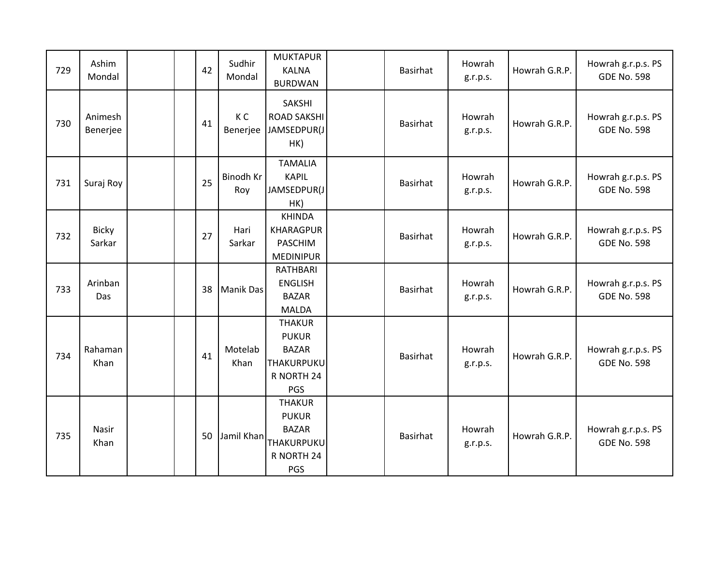| 729 | Ashim<br>Mondal        | 42 | Sudhir<br>Mondal           | <b>MUKTAPUR</b><br><b>KALNA</b><br><b>BURDWAN</b>                                | Basirhat | Howrah<br>g.r.p.s. | Howrah G.R.P. | Howrah g.r.p.s. PS<br><b>GDE No. 598</b> |
|-----|------------------------|----|----------------------------|----------------------------------------------------------------------------------|----------|--------------------|---------------|------------------------------------------|
| 730 | Animesh<br>Benerjee    | 41 | K <sub>C</sub><br>Benerjee | <b>SAKSHI</b><br><b>ROAD SAKSHI</b><br>JAMSEDPUR(J<br>HK)                        | Basirhat | Howrah<br>g.r.p.s. | Howrah G.R.P. | Howrah g.r.p.s. PS<br><b>GDE No. 598</b> |
| 731 | Suraj Roy              | 25 | Binodh Kr<br>Roy           | <b>TAMALIA</b><br><b>KAPIL</b><br>JAMSEDPUR(J<br>HK)                             | Basirhat | Howrah<br>g.r.p.s. | Howrah G.R.P. | Howrah g.r.p.s. PS<br><b>GDE No. 598</b> |
| 732 | <b>Bicky</b><br>Sarkar | 27 | Hari<br>Sarkar             | <b>KHINDA</b><br><b>KHARAGPUR</b><br><b>PASCHIM</b><br><b>MEDINIPUR</b>          | Basirhat | Howrah<br>g.r.p.s. | Howrah G.R.P. | Howrah g.r.p.s. PS<br><b>GDE No. 598</b> |
| 733 | Arinban<br>Das         | 38 | <b>Manik Das</b>           | RATHBARI<br><b>ENGLISH</b><br><b>BAZAR</b><br><b>MALDA</b>                       | Basirhat | Howrah<br>g.r.p.s. | Howrah G.R.P. | Howrah g.r.p.s. PS<br><b>GDE No. 598</b> |
| 734 | Rahaman<br>Khan        | 41 | Motelab<br>Khan            | <b>THAKUR</b><br><b>PUKUR</b><br><b>BAZAR</b><br>THAKURPUKU<br>R NORTH 24<br>PGS | Basirhat | Howrah<br>g.r.p.s. | Howrah G.R.P. | Howrah g.r.p.s. PS<br><b>GDE No. 598</b> |
| 735 | Nasir<br>Khan          | 50 | Jamil Khan                 | <b>THAKUR</b><br><b>PUKUR</b><br><b>BAZAR</b><br>THAKURPUKU<br>R NORTH 24<br>PGS | Basirhat | Howrah<br>g.r.p.s. | Howrah G.R.P. | Howrah g.r.p.s. PS<br><b>GDE No. 598</b> |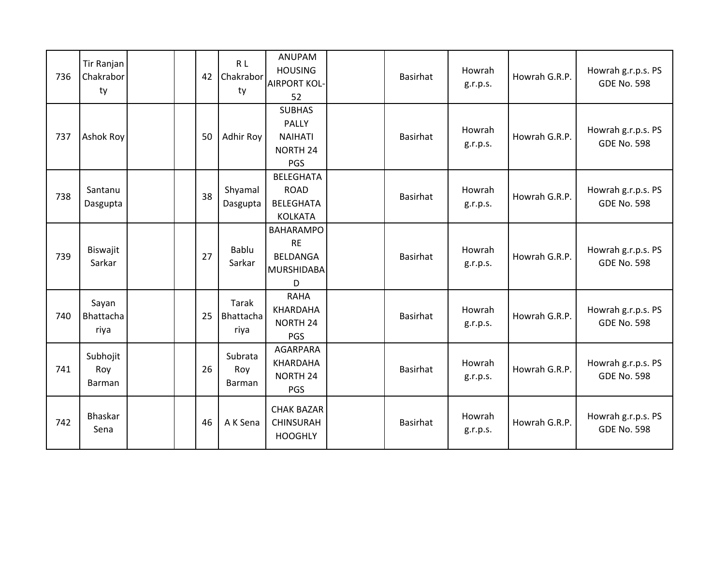| 736 | Tir Ranjan<br>Chakrabor<br>ty |  | 42 | R L<br>Chakrabor<br>ty     | <b>ANUPAM</b><br><b>HOUSING</b><br><b>AIRPORT KOL-</b><br>52               | Basirhat | Howrah<br>g.r.p.s. | Howrah G.R.P. | Howrah g.r.p.s. PS<br><b>GDE No. 598</b> |
|-----|-------------------------------|--|----|----------------------------|----------------------------------------------------------------------------|----------|--------------------|---------------|------------------------------------------|
| 737 | Ashok Roy                     |  | 50 | Adhir Roy                  | <b>SUBHAS</b><br>PALLY<br><b>NAIHATI</b><br>NORTH 24<br>PGS                | Basirhat | Howrah<br>g.r.p.s. | Howrah G.R.P. | Howrah g.r.p.s. PS<br><b>GDE No. 598</b> |
| 738 | Santanu<br>Dasgupta           |  | 38 | Shyamal<br>Dasgupta        | <b>BELEGHATA</b><br><b>ROAD</b><br><b>BELEGHATA</b><br><b>KOLKATA</b>      | Basirhat | Howrah<br>g.r.p.s. | Howrah G.R.P. | Howrah g.r.p.s. PS<br><b>GDE No. 598</b> |
| 739 | Biswajit<br>Sarkar            |  | 27 | <b>Bablu</b><br>Sarkar     | <b>BAHARAMPO</b><br><b>RE</b><br><b>BELDANGA</b><br><b>MURSHIDABA</b><br>D | Basirhat | Howrah<br>g.r.p.s. | Howrah G.R.P. | Howrah g.r.p.s. PS<br><b>GDE No. 598</b> |
| 740 | Sayan<br>Bhattacha<br>riya    |  | 25 | Tarak<br>Bhattacha<br>riya | <b>RAHA</b><br>KHARDAHA<br><b>NORTH 24</b><br>PGS                          | Basirhat | Howrah<br>g.r.p.s. | Howrah G.R.P. | Howrah g.r.p.s. PS<br><b>GDE No. 598</b> |
| 741 | Subhojit<br>Roy<br>Barman     |  | 26 | Subrata<br>Roy<br>Barman   | AGARPARA<br>KHARDAHA<br><b>NORTH 24</b><br>PGS                             | Basirhat | Howrah<br>g.r.p.s. | Howrah G.R.P. | Howrah g.r.p.s. PS<br><b>GDE No. 598</b> |
| 742 | Bhaskar<br>Sena               |  | 46 | A K Sena                   | <b>CHAK BAZAR</b><br><b>CHINSURAH</b><br><b>HOOGHLY</b>                    | Basirhat | Howrah<br>g.r.p.s. | Howrah G.R.P. | Howrah g.r.p.s. PS<br><b>GDE No. 598</b> |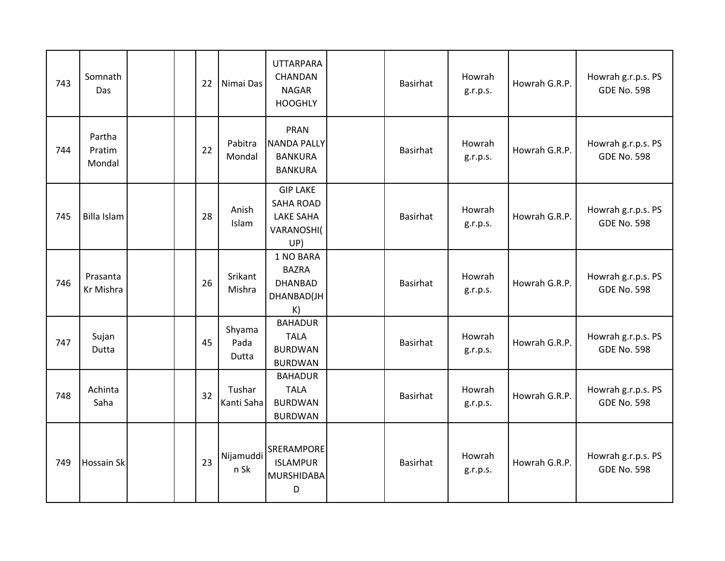| 743 | Somnath<br>Das             |  | 22 | Nimai Das               | <b>UTTARPARA</b><br>CHANDAN<br><b>NAGAR</b><br><b>HOOGHLY</b>                | Basirhat        | Howrah<br>g.r.p.s. | Howrah G.R.P. | Howrah g.r.p.s. PS<br><b>GDE No. 598</b> |
|-----|----------------------------|--|----|-------------------------|------------------------------------------------------------------------------|-----------------|--------------------|---------------|------------------------------------------|
| 744 | Partha<br>Pratim<br>Mondal |  | 22 | Pabitra<br>Mondal       | PRAN<br><b>NANDA PALLY</b><br><b>BANKURA</b><br><b>BANKURA</b>               | Basirhat        | Howrah<br>g.r.p.s. | Howrah G.R.P. | Howrah g.r.p.s. PS<br><b>GDE No. 598</b> |
| 745 | Billa Islam                |  | 28 | Anish<br>Islam          | <b>GIP LAKE</b><br><b>SAHA ROAD</b><br><b>LAKE SAHA</b><br>VARANOSHI(<br>UP) | Basirhat        | Howrah<br>g.r.p.s. | Howrah G.R.P. | Howrah g.r.p.s. PS<br><b>GDE No. 598</b> |
| 746 | Prasanta<br>Kr Mishra      |  | 26 | Srikant<br>Mishra       | 1 NO BARA<br><b>BAZRA</b><br><b>DHANBAD</b><br>DHANBAD(JH<br>K)              | Basirhat        | Howrah<br>g.r.p.s. | Howrah G.R.P. | Howrah g.r.p.s. PS<br><b>GDE No. 598</b> |
| 747 | Sujan<br>Dutta             |  | 45 | Shyama<br>Pada<br>Dutta | <b>BAHADUR</b><br><b>TALA</b><br><b>BURDWAN</b><br><b>BURDWAN</b>            | <b>Basirhat</b> | Howrah<br>g.r.p.s. | Howrah G.R.P. | Howrah g.r.p.s. PS<br><b>GDE No. 598</b> |
| 748 | Achinta<br>Saha            |  | 32 | Tushar<br>Kanti Saha    | <b>BAHADUR</b><br><b>TALA</b><br><b>BURDWAN</b><br><b>BURDWAN</b>            | Basirhat        | Howrah<br>g.r.p.s. | Howrah G.R.P. | Howrah g.r.p.s. PS<br><b>GDE No. 598</b> |
| 749 | <b>Hossain Sk</b>          |  | 23 | Nijamuddi<br>n Sk       | <b>SRERAMPORE</b><br><b>ISLAMPUR</b><br><b>MURSHIDABA</b><br>D               | <b>Basirhat</b> | Howrah<br>g.r.p.s. | Howrah G.R.P. | Howrah g.r.p.s. PS<br><b>GDE No. 598</b> |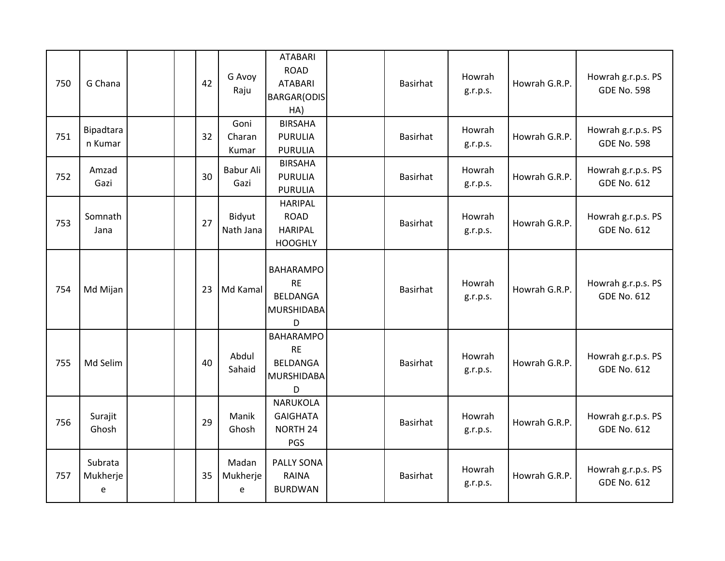| 750 | G Chana                  |  | 42 | G Avoy<br>Raju          | <b>ATABARI</b><br><b>ROAD</b><br><b>ATABARI</b><br><b>BARGAR(ODIS</b><br>HA) | <b>Basirhat</b> | Howrah<br>g.r.p.s. | Howrah G.R.P. | Howrah g.r.p.s. PS<br><b>GDE No. 598</b> |
|-----|--------------------------|--|----|-------------------------|------------------------------------------------------------------------------|-----------------|--------------------|---------------|------------------------------------------|
| 751 | Bipadtara<br>n Kumar     |  | 32 | Goni<br>Charan<br>Kumar | <b>BIRSAHA</b><br><b>PURULIA</b><br><b>PURULIA</b>                           | Basirhat        | Howrah<br>g.r.p.s. | Howrah G.R.P. | Howrah g.r.p.s. PS<br><b>GDE No. 598</b> |
| 752 | Amzad<br>Gazi            |  | 30 | Babur Ali<br>Gazi       | <b>BIRSAHA</b><br><b>PURULIA</b><br><b>PURULIA</b>                           | <b>Basirhat</b> | Howrah<br>g.r.p.s. | Howrah G.R.P. | Howrah g.r.p.s. PS<br><b>GDE No. 612</b> |
| 753 | Somnath<br>Jana          |  | 27 | Bidyut<br>Nath Jana     | <b>HARIPAL</b><br><b>ROAD</b><br><b>HARIPAL</b><br><b>HOOGHLY</b>            | <b>Basirhat</b> | Howrah<br>g.r.p.s. | Howrah G.R.P. | Howrah g.r.p.s. PS<br><b>GDE No. 612</b> |
| 754 | Md Mijan                 |  | 23 | Md Kamal                | <b>BAHARAMPO</b><br><b>RE</b><br>BELDANGA<br><b>MURSHIDABA</b><br>D          | <b>Basirhat</b> | Howrah<br>g.r.p.s. | Howrah G.R.P. | Howrah g.r.p.s. PS<br><b>GDE No. 612</b> |
| 755 | Md Selim                 |  | 40 | Abdul<br>Sahaid         | <b>BAHARAMPO</b><br><b>RE</b><br>BELDANGA<br><b>MURSHIDABA</b><br>D          | <b>Basirhat</b> | Howrah<br>g.r.p.s. | Howrah G.R.P. | Howrah g.r.p.s. PS<br><b>GDE No. 612</b> |
| 756 | Surajit<br>Ghosh         |  | 29 | Manik<br>Ghosh          | <b>NARUKOLA</b><br><b>GAIGHATA</b><br>NORTH 24<br>PGS                        | <b>Basirhat</b> | Howrah<br>g.r.p.s. | Howrah G.R.P. | Howrah g.r.p.s. PS<br><b>GDE No. 612</b> |
| 757 | Subrata<br>Mukherje<br>e |  | 35 | Madan<br>Mukherje<br>e  | PALLY SONA<br>RAINA<br><b>BURDWAN</b>                                        | <b>Basirhat</b> | Howrah<br>g.r.p.s. | Howrah G.R.P. | Howrah g.r.p.s. PS<br><b>GDE No. 612</b> |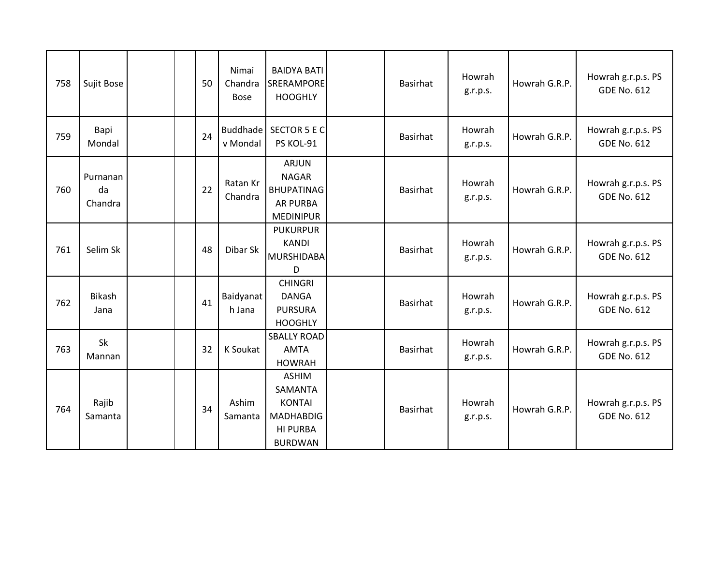| 758 | Sujit Bose                |  | 50 | Nimai<br>Chandra<br><b>Bose</b> | <b>BAIDYA BATI</b><br><b>SRERAMPORE</b><br><b>HOOGHLY</b>                                         | <b>Basirhat</b> | Howrah<br>g.r.p.s. | Howrah G.R.P. | Howrah g.r.p.s. PS<br><b>GDE No. 612</b> |
|-----|---------------------------|--|----|---------------------------------|---------------------------------------------------------------------------------------------------|-----------------|--------------------|---------------|------------------------------------------|
| 759 | Bapi<br>Mondal            |  | 24 | Buddhade<br>v Mondal            | <b>SECTOR 5 E C</b><br>PS KOL-91                                                                  | Basirhat        | Howrah<br>g.r.p.s. | Howrah G.R.P. | Howrah g.r.p.s. PS<br><b>GDE No. 612</b> |
| 760 | Purnanan<br>da<br>Chandra |  | 22 | Ratan Kr<br>Chandra             | <b>ARJUN</b><br><b>NAGAR</b><br><b>BHUPATINAG</b><br><b>AR PURBA</b><br><b>MEDINIPUR</b>          | Basirhat        | Howrah<br>g.r.p.s. | Howrah G.R.P. | Howrah g.r.p.s. PS<br><b>GDE No. 612</b> |
| 761 | Selim Sk                  |  | 48 | Dibar Sk                        | <b>PUKURPUR</b><br><b>KANDI</b><br><b>MURSHIDABA</b><br>D                                         | Basirhat        | Howrah<br>g.r.p.s. | Howrah G.R.P. | Howrah g.r.p.s. PS<br><b>GDE No. 612</b> |
| 762 | <b>Bikash</b><br>Jana     |  | 41 | Baidyanat<br>h Jana             | <b>CHINGRI</b><br><b>DANGA</b><br><b>PURSURA</b><br><b>HOOGHLY</b>                                | Basirhat        | Howrah<br>g.r.p.s. | Howrah G.R.P. | Howrah g.r.p.s. PS<br><b>GDE No. 612</b> |
| 763 | Sk<br>Mannan              |  | 32 | K Soukat                        | <b>SBALLY ROAD</b><br><b>AMTA</b><br><b>HOWRAH</b>                                                | Basirhat        | Howrah<br>g.r.p.s. | Howrah G.R.P. | Howrah g.r.p.s. PS<br><b>GDE No. 612</b> |
| 764 | Rajib<br>Samanta          |  | 34 | Ashim<br>Samanta                | <b>ASHIM</b><br>SAMANTA<br><b>KONTAI</b><br><b>MADHABDIG</b><br><b>HI PURBA</b><br><b>BURDWAN</b> | Basirhat        | Howrah<br>g.r.p.s. | Howrah G.R.P. | Howrah g.r.p.s. PS<br><b>GDE No. 612</b> |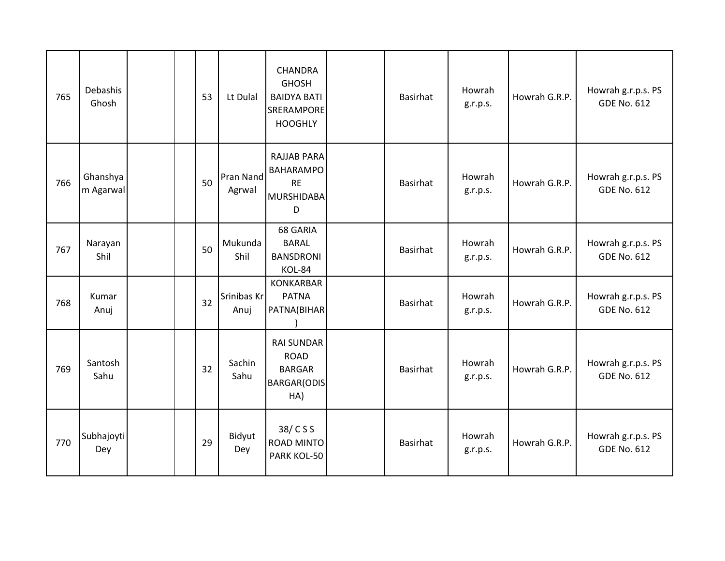| 765 | Debashis<br>Ghosh     |  | 53 | Lt Dulal            | <b>CHANDRA</b><br><b>GHOSH</b><br><b>BAIDYA BATI</b><br>SRERAMPORE<br><b>HOOGHLY</b> | <b>Basirhat</b> | Howrah<br>g.r.p.s. | Howrah G.R.P. | Howrah g.r.p.s. PS<br><b>GDE No. 612</b> |
|-----|-----------------------|--|----|---------------------|--------------------------------------------------------------------------------------|-----------------|--------------------|---------------|------------------------------------------|
| 766 | Ghanshya<br>m Agarwal |  | 50 | Pran Nand<br>Agrwal | <b>RAJJAB PARA</b><br><b>BAHARAMPO</b><br><b>RE</b><br><b>MURSHIDABA</b><br>D        | Basirhat        | Howrah<br>g.r.p.s. | Howrah G.R.P. | Howrah g.r.p.s. PS<br><b>GDE No. 612</b> |
| 767 | Narayan<br>Shil       |  | 50 | Mukunda<br>Shil     | 68 GARIA<br><b>BARAL</b><br><b>BANSDRONI</b><br>KOL-84                               | Basirhat        | Howrah<br>g.r.p.s. | Howrah G.R.P. | Howrah g.r.p.s. PS<br><b>GDE No. 612</b> |
| 768 | Kumar<br>Anuj         |  | 32 | Srinibas Kr<br>Anuj | <b>KONKARBAR</b><br><b>PATNA</b><br>PATNA(BIHAR                                      | Basirhat        | Howrah<br>g.r.p.s. | Howrah G.R.P. | Howrah g.r.p.s. PS<br><b>GDE No. 612</b> |
| 769 | Santosh<br>Sahu       |  | 32 | Sachin<br>Sahu      | <b>RAI SUNDAR</b><br><b>ROAD</b><br><b>BARGAR</b><br><b>BARGAR(ODIS</b><br>HA)       | <b>Basirhat</b> | Howrah<br>g.r.p.s. | Howrah G.R.P. | Howrah g.r.p.s. PS<br><b>GDE No. 612</b> |
| 770 | Subhajoyti<br>Dey     |  | 29 | Bidyut<br>Dey       | 38/CSS<br><b>ROAD MINTO</b><br>PARK KOL-50                                           | Basirhat        | Howrah<br>g.r.p.s. | Howrah G.R.P. | Howrah g.r.p.s. PS<br><b>GDE No. 612</b> |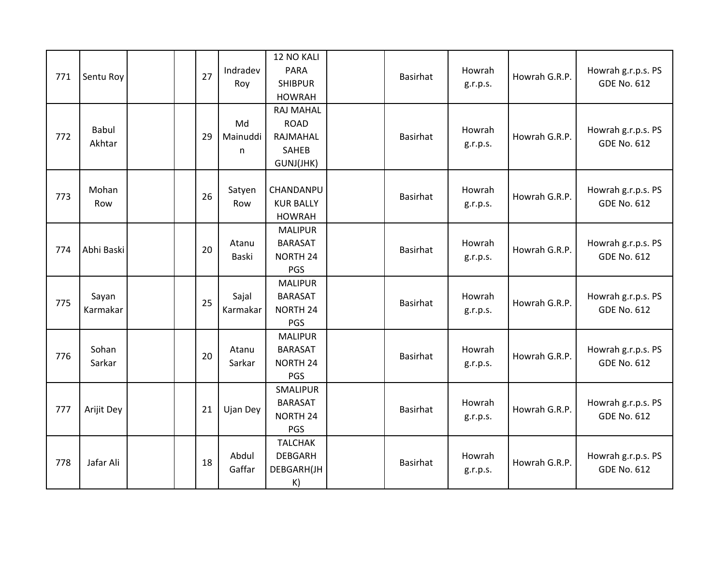| 771 | Sentu Roy         | 27 | Indradev<br>Roy                | 12 NO KALI<br><b>PARA</b><br><b>SHIBPUR</b><br><b>HOWRAH</b>             | Basirhat        | Howrah<br>g.r.p.s. | Howrah G.R.P. | Howrah g.r.p.s. PS<br><b>GDE No. 612</b> |
|-----|-------------------|----|--------------------------------|--------------------------------------------------------------------------|-----------------|--------------------|---------------|------------------------------------------|
| 772 | Babul<br>Akhtar   | 29 | Md<br>Mainuddi<br>$\mathsf{n}$ | <b>RAJ MAHAL</b><br><b>ROAD</b><br>RAJMAHAL<br><b>SAHEB</b><br>GUNJ(JHK) | <b>Basirhat</b> | Howrah<br>g.r.p.s. | Howrah G.R.P. | Howrah g.r.p.s. PS<br><b>GDE No. 612</b> |
| 773 | Mohan<br>Row      | 26 | Satyen<br>Row                  | CHANDANPU<br><b>KUR BALLY</b><br><b>HOWRAH</b>                           | Basirhat        | Howrah<br>g.r.p.s. | Howrah G.R.P. | Howrah g.r.p.s. PS<br><b>GDE No. 612</b> |
| 774 | Abhi Baski        | 20 | Atanu<br>Baski                 | <b>MALIPUR</b><br><b>BARASAT</b><br>NORTH 24<br>PGS                      | Basirhat        | Howrah<br>g.r.p.s. | Howrah G.R.P. | Howrah g.r.p.s. PS<br><b>GDE No. 612</b> |
| 775 | Sayan<br>Karmakar | 25 | Sajal<br>Karmakar              | <b>MALIPUR</b><br><b>BARASAT</b><br>NORTH 24<br>PGS                      | Basirhat        | Howrah<br>g.r.p.s. | Howrah G.R.P. | Howrah g.r.p.s. PS<br><b>GDE No. 612</b> |
| 776 | Sohan<br>Sarkar   | 20 | Atanu<br>Sarkar                | <b>MALIPUR</b><br><b>BARASAT</b><br>NORTH 24<br>PGS                      | Basirhat        | Howrah<br>g.r.p.s. | Howrah G.R.P. | Howrah g.r.p.s. PS<br><b>GDE No. 612</b> |
| 777 | Arijit Dey        | 21 | Ujan Dey                       | SMALIPUR<br><b>BARASAT</b><br>NORTH 24<br>PGS                            | Basirhat        | Howrah<br>g.r.p.s. | Howrah G.R.P. | Howrah g.r.p.s. PS<br><b>GDE No. 612</b> |
| 778 | Jafar Ali         | 18 | Abdul<br>Gaffar                | <b>TALCHAK</b><br><b>DEBGARH</b><br>DEBGARH(JH<br>K)                     | Basirhat        | Howrah<br>g.r.p.s. | Howrah G.R.P. | Howrah g.r.p.s. PS<br><b>GDE No. 612</b> |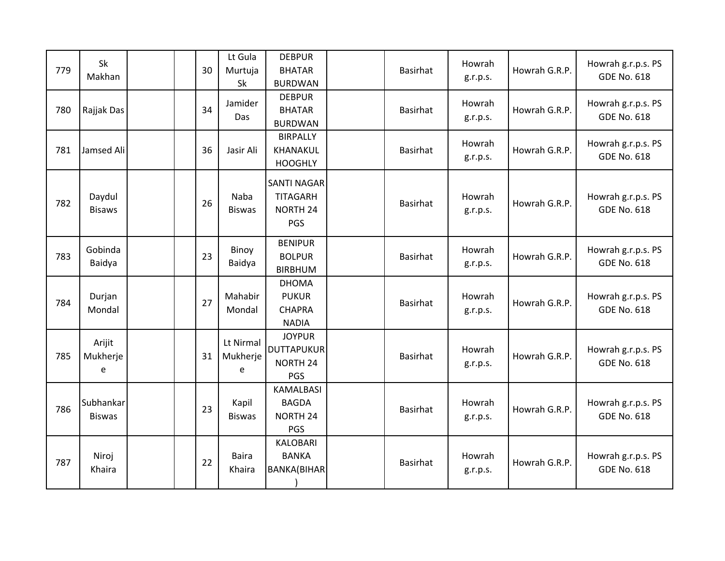| 779 | Sk<br>Makhan               |  | 30 | Lt Gula<br>Murtuja<br>Sk   | <b>DEBPUR</b><br><b>BHATAR</b><br><b>BURDWAN</b>              | Basirhat | Howrah<br>g.r.p.s. | Howrah G.R.P. | Howrah g.r.p.s. PS<br><b>GDE No. 618</b> |
|-----|----------------------------|--|----|----------------------------|---------------------------------------------------------------|----------|--------------------|---------------|------------------------------------------|
| 780 | Rajjak Das                 |  | 34 | Jamider<br>Das             | <b>DEBPUR</b><br><b>BHATAR</b><br><b>BURDWAN</b>              | Basirhat | Howrah<br>g.r.p.s. | Howrah G.R.P. | Howrah g.r.p.s. PS<br><b>GDE No. 618</b> |
| 781 | Jamsed Ali                 |  | 36 | Jasir Ali                  | <b>BIRPALLY</b><br>KHANAKUL<br><b>HOOGHLY</b>                 | Basirhat | Howrah<br>g.r.p.s. | Howrah G.R.P. | Howrah g.r.p.s. PS<br><b>GDE No. 618</b> |
| 782 | Daydul<br><b>Bisaws</b>    |  | 26 | Naba<br><b>Biswas</b>      | <b>SANTI NAGAR</b><br><b>TITAGARH</b><br>NORTH 24<br>PGS      | Basirhat | Howrah<br>g.r.p.s. | Howrah G.R.P. | Howrah g.r.p.s. PS<br><b>GDE No. 618</b> |
| 783 | Gobinda<br>Baidya          |  | 23 | Binoy<br>Baidya            | <b>BENIPUR</b><br><b>BOLPUR</b><br><b>BIRBHUM</b>             | Basirhat | Howrah<br>g.r.p.s. | Howrah G.R.P. | Howrah g.r.p.s. PS<br><b>GDE No. 618</b> |
| 784 | Durjan<br>Mondal           |  | 27 | Mahabir<br>Mondal          | <b>DHOMA</b><br><b>PUKUR</b><br><b>CHAPRA</b><br><b>NADIA</b> | Basirhat | Howrah<br>g.r.p.s. | Howrah G.R.P. | Howrah g.r.p.s. PS<br><b>GDE No. 618</b> |
| 785 | Arijit<br>Mukherje<br>e    |  | 31 | Lt Nirmal<br>Mukherje<br>e | <b>JOYPUR</b><br><b>DUTTAPUKUR</b><br>NORTH 24<br>PGS         | Basirhat | Howrah<br>g.r.p.s. | Howrah G.R.P. | Howrah g.r.p.s. PS<br><b>GDE No. 618</b> |
| 786 | Subhankar<br><b>Biswas</b> |  | 23 | Kapil<br><b>Biswas</b>     | <b>KAMALBASI</b><br><b>BAGDA</b><br>NORTH 24<br>PGS           | Basirhat | Howrah<br>g.r.p.s. | Howrah G.R.P. | Howrah g.r.p.s. PS<br><b>GDE No. 618</b> |
| 787 | Niroj<br>Khaira            |  | 22 | <b>Baira</b><br>Khaira     | <b>KALOBARI</b><br><b>BANKA</b><br><b>BANKA(BIHAR</b>         | Basirhat | Howrah<br>g.r.p.s. | Howrah G.R.P. | Howrah g.r.p.s. PS<br><b>GDE No. 618</b> |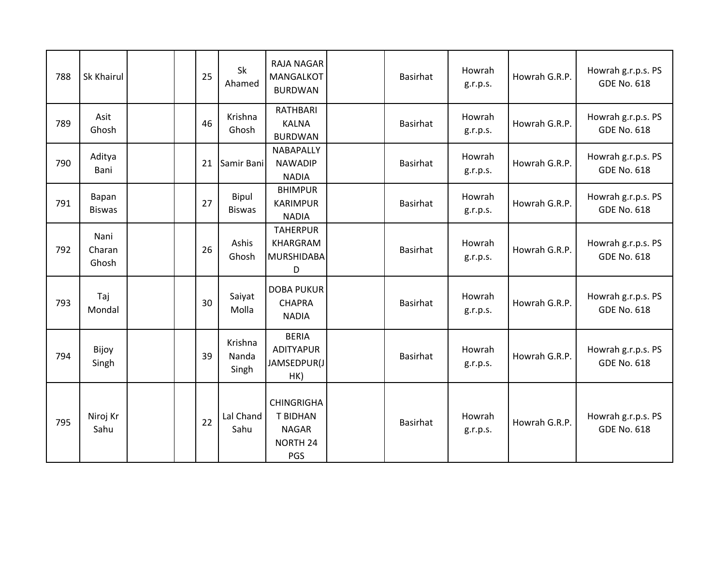| 788 | Sk Khairul              |  | 25 | Sk<br>Ahamed              | RAJA NAGAR<br><b>MANGALKOT</b><br><b>BURDWAN</b>                               | Basirhat | Howrah<br>g.r.p.s. | Howrah G.R.P. | Howrah g.r.p.s. PS<br><b>GDE No. 618</b> |
|-----|-------------------------|--|----|---------------------------|--------------------------------------------------------------------------------|----------|--------------------|---------------|------------------------------------------|
| 789 | Asit<br>Ghosh           |  | 46 | Krishna<br>Ghosh          | RATHBARI<br><b>KALNA</b><br><b>BURDWAN</b>                                     | Basirhat | Howrah<br>g.r.p.s. | Howrah G.R.P. | Howrah g.r.p.s. PS<br><b>GDE No. 618</b> |
| 790 | Aditya<br>Bani          |  | 21 | Samir Bani                | NABAPALLY<br><b>NAWADIP</b><br><b>NADIA</b>                                    | Basirhat | Howrah<br>g.r.p.s. | Howrah G.R.P. | Howrah g.r.p.s. PS<br><b>GDE No. 618</b> |
| 791 | Bapan<br><b>Biswas</b>  |  | 27 | Bipul<br><b>Biswas</b>    | <b>BHIMPUR</b><br><b>KARIMPUR</b><br><b>NADIA</b>                              | Basirhat | Howrah<br>g.r.p.s. | Howrah G.R.P. | Howrah g.r.p.s. PS<br><b>GDE No. 618</b> |
| 792 | Nani<br>Charan<br>Ghosh |  | 26 | Ashis<br>Ghosh            | <b>TAHERPUR</b><br>KHARGRAM<br><b>MURSHIDABA</b><br>D                          | Basirhat | Howrah<br>g.r.p.s. | Howrah G.R.P. | Howrah g.r.p.s. PS<br><b>GDE No. 618</b> |
| 793 | Taj<br>Mondal           |  | 30 | Saiyat<br>Molla           | <b>DOBA PUKUR</b><br><b>CHAPRA</b><br><b>NADIA</b>                             | Basirhat | Howrah<br>g.r.p.s. | Howrah G.R.P. | Howrah g.r.p.s. PS<br><b>GDE No. 618</b> |
| 794 | Bijoy<br>Singh          |  | 39 | Krishna<br>Nanda<br>Singh | <b>BERIA</b><br>ADITYAPUR<br>JAMSEDPUR(J<br>HK)                                | Basirhat | Howrah<br>g.r.p.s. | Howrah G.R.P. | Howrah g.r.p.s. PS<br><b>GDE No. 618</b> |
| 795 | Niroj Kr<br>Sahu        |  | 22 | Lal Chand<br>Sahu         | <b>CHINGRIGHA</b><br><b>T BIDHAN</b><br><b>NAGAR</b><br><b>NORTH 24</b><br>PGS | Basirhat | Howrah<br>g.r.p.s. | Howrah G.R.P. | Howrah g.r.p.s. PS<br><b>GDE No. 618</b> |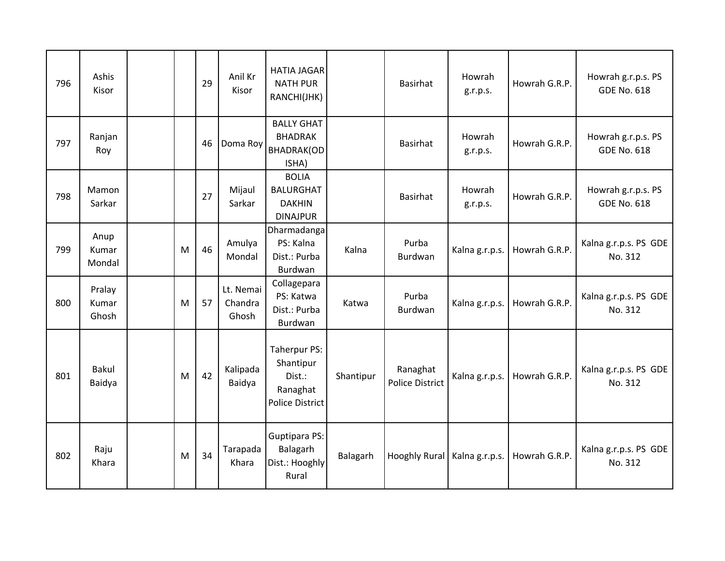| 796 | Ashis<br>Kisor           |   | 29 | Anil Kr<br>Kisor              | <b>HATIA JAGAR</b><br><b>NATH PUR</b><br>RANCHI(JHK)                      |           | Basirhat                           | Howrah<br>g.r.p.s. | Howrah G.R.P. | Howrah g.r.p.s. PS<br><b>GDE No. 618</b> |
|-----|--------------------------|---|----|-------------------------------|---------------------------------------------------------------------------|-----------|------------------------------------|--------------------|---------------|------------------------------------------|
| 797 | Ranjan<br>Roy            |   | 46 | Doma Roy                      | <b>BALLY GHAT</b><br><b>BHADRAK</b><br><b>BHADRAK(OD</b><br>ISHA)         |           | Basirhat                           | Howrah<br>g.r.p.s. | Howrah G.R.P. | Howrah g.r.p.s. PS<br><b>GDE No. 618</b> |
| 798 | Mamon<br>Sarkar          |   | 27 | Mijaul<br>Sarkar              | <b>BOLIA</b><br><b>BALURGHAT</b><br><b>DAKHIN</b><br><b>DINAJPUR</b>      |           | Basirhat                           | Howrah<br>g.r.p.s. | Howrah G.R.P. | Howrah g.r.p.s. PS<br><b>GDE No. 618</b> |
| 799 | Anup<br>Kumar<br>Mondal  | M | 46 | Amulya<br>Mondal              | Dharmadanga<br>PS: Kalna<br>Dist.: Purba<br>Burdwan                       | Kalna     | Purba<br><b>Burdwan</b>            | Kalna g.r.p.s.     | Howrah G.R.P. | Kalna g.r.p.s. PS GDE<br>No. 312         |
| 800 | Pralay<br>Kumar<br>Ghosh | M | 57 | Lt. Nemai<br>Chandra<br>Ghosh | Collagepara<br>PS: Katwa<br>Dist.: Purba<br>Burdwan                       | Katwa     | Purba<br>Burdwan                   | Kalna g.r.p.s.     | Howrah G.R.P. | Kalna g.r.p.s. PS GDE<br>No. 312         |
| 801 | <b>Bakul</b><br>Baidya   | M | 42 | Kalipada<br>Baidya            | Taherpur PS:<br>Shantipur<br>Dist.:<br>Ranaghat<br><b>Police District</b> | Shantipur | Ranaghat<br><b>Police District</b> | Kalna g.r.p.s.     | Howrah G.R.P. | Kalna g.r.p.s. PS GDE<br>No. 312         |
| 802 | Raju<br>Khara            | M | 34 | Tarapada<br>Khara             | <b>Guptipara PS:</b><br>Balagarh<br>Dist.: Hooghly<br>Rural               | Balagarh  | Hooghly Rural   Kalna g.r.p.s.     |                    | Howrah G.R.P. | Kalna g.r.p.s. PS GDE<br>No. 312         |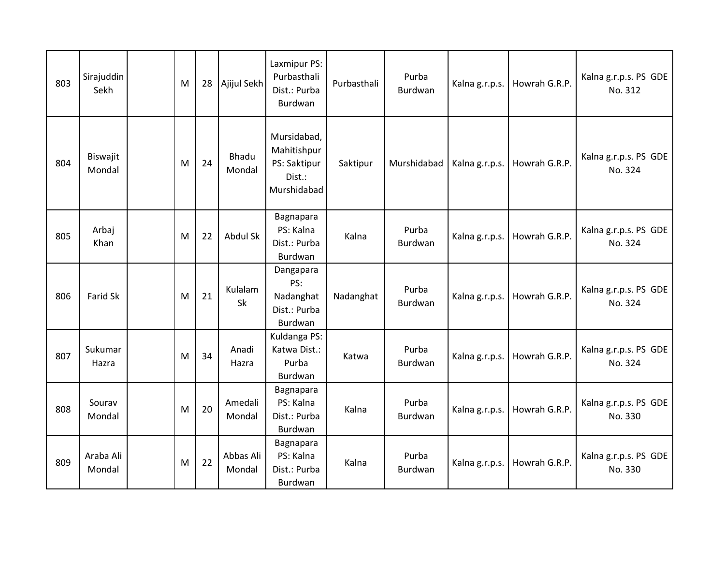| 803 | Sirajuddin<br>Sekh  | M | 28 | Ajijul Sekh            | Laxmipur PS:<br>Purbasthali<br>Dist.: Purba<br>Burdwan              | Purbasthali | Purba<br>Burdwan | Kalna g.r.p.s. | Howrah G.R.P. | Kalna g.r.p.s. PS GDE<br>No. 312 |
|-----|---------------------|---|----|------------------------|---------------------------------------------------------------------|-------------|------------------|----------------|---------------|----------------------------------|
| 804 | Biswajit<br>Mondal  | M | 24 | <b>Bhadu</b><br>Mondal | Mursidabad,<br>Mahitishpur<br>PS: Saktipur<br>Dist.:<br>Murshidabad | Saktipur    | Murshidabad      | Kalna g.r.p.s. | Howrah G.R.P. | Kalna g.r.p.s. PS GDE<br>No. 324 |
| 805 | Arbaj<br>Khan       | M | 22 | Abdul Sk               | Bagnapara<br>PS: Kalna<br>Dist.: Purba<br>Burdwan                   | Kalna       | Purba<br>Burdwan | Kalna g.r.p.s. | Howrah G.R.P. | Kalna g.r.p.s. PS GDE<br>No. 324 |
| 806 | Farid Sk            | M | 21 | Kulalam<br>Sk          | Dangapara<br>PS:<br>Nadanghat<br>Dist.: Purba<br>Burdwan            | Nadanghat   | Purba<br>Burdwan | Kalna g.r.p.s. | Howrah G.R.P. | Kalna g.r.p.s. PS GDE<br>No. 324 |
| 807 | Sukumar<br>Hazra    | M | 34 | Anadi<br>Hazra         | Kuldanga PS:<br>Katwa Dist.:<br>Purba<br>Burdwan                    | Katwa       | Purba<br>Burdwan | Kalna g.r.p.s. | Howrah G.R.P. | Kalna g.r.p.s. PS GDE<br>No. 324 |
| 808 | Sourav<br>Mondal    | M | 20 | Amedali<br>Mondal      | Bagnapara<br>PS: Kalna<br>Dist.: Purba<br>Burdwan                   | Kalna       | Purba<br>Burdwan | Kalna g.r.p.s. | Howrah G.R.P. | Kalna g.r.p.s. PS GDE<br>No. 330 |
| 809 | Araba Ali<br>Mondal | M | 22 | Abbas Ali<br>Mondal    | Bagnapara<br>PS: Kalna<br>Dist.: Purba<br>Burdwan                   | Kalna       | Purba<br>Burdwan | Kalna g.r.p.s. | Howrah G.R.P. | Kalna g.r.p.s. PS GDE<br>No. 330 |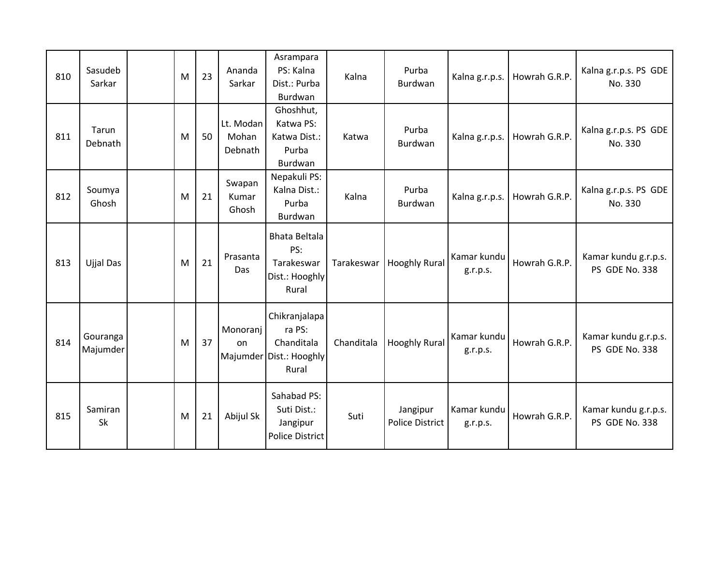| 810 | Sasudeb<br>Sarkar    | M | 23 | Ananda<br>Sarkar              | Asrampara<br>PS: Kalna<br>Dist.: Purba<br>Burdwan                         | Kalna      | Purba<br>Burdwan                   | Kalna g.r.p.s.          | Howrah G.R.P. | Kalna g.r.p.s. PS GDE<br>No. 330       |
|-----|----------------------|---|----|-------------------------------|---------------------------------------------------------------------------|------------|------------------------------------|-------------------------|---------------|----------------------------------------|
| 811 | Tarun<br>Debnath     | M | 50 | Lt. Modan<br>Mohan<br>Debnath | Ghoshhut,<br>Katwa PS:<br>Katwa Dist.:<br>Purba<br>Burdwan                | Katwa      | Purba<br>Burdwan                   | Kalna g.r.p.s.          | Howrah G.R.P. | Kalna g.r.p.s. PS GDE<br>No. 330       |
| 812 | Soumya<br>Ghosh      | M | 21 | Swapan<br>Kumar<br>Ghosh      | Nepakuli PS:<br>Kalna Dist.:<br>Purba<br>Burdwan                          | Kalna      | Purba<br>Burdwan                   | Kalna g.r.p.s.          | Howrah G.R.P. | Kalna g.r.p.s. PS GDE<br>No. 330       |
| 813 | Ujjal Das            | M | 21 | Prasanta<br>Das               | <b>Bhata Beltala</b><br>PS:<br>Tarakeswar<br>Dist.: Hooghly<br>Rural      | Tarakeswar | <b>Hooghly Rural</b>               | Kamar kundu<br>g.r.p.s. | Howrah G.R.P. | Kamar kundu g.r.p.s.<br>PS GDE No. 338 |
| 814 | Gouranga<br>Majumder | M | 37 | Monoranj<br>on                | Chikranjalapa<br>ra PS:<br>Chanditala<br>Majumder Dist.: Hooghly<br>Rural | Chanditala | <b>Hooghly Rural</b>               | Kamar kundu<br>g.r.p.s. | Howrah G.R.P. | Kamar kundu g.r.p.s.<br>PS GDE No. 338 |
| 815 | Samiran<br><b>Sk</b> | M | 21 | Abijul Sk                     | Sahabad PS:<br>Suti Dist.:<br>Jangipur<br><b>Police District</b>          | Suti       | Jangipur<br><b>Police District</b> | Kamar kundu<br>g.r.p.s. | Howrah G.R.P. | Kamar kundu g.r.p.s.<br>PS GDE No. 338 |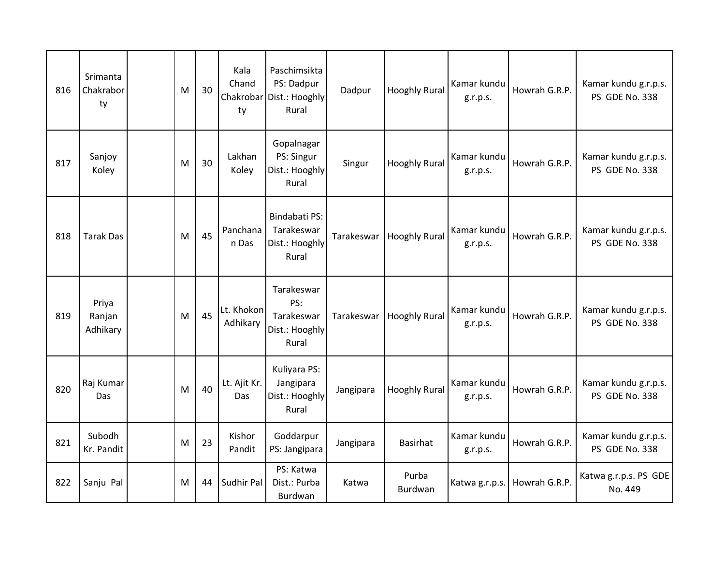| 816 | Srimanta<br>Chakrabor<br>ty | M | 30 | Kala<br>Chand<br>Chakrobar<br>ty | Paschimsikta<br>PS: Dadpur<br>Dist.: Hooghly<br>Rural      | Dadpur     | <b>Hooghly Rural</b>    | Kamar kundu<br>g.r.p.s. | Howrah G.R.P. | Kamar kundu g.r.p.s.<br>PS GDE No. 338 |
|-----|-----------------------------|---|----|----------------------------------|------------------------------------------------------------|------------|-------------------------|-------------------------|---------------|----------------------------------------|
| 817 | Sanjoy<br>Koley             | M | 30 | Lakhan<br>Koley                  | Gopalnagar<br>PS: Singur<br>Dist.: Hooghly<br>Rural        | Singur     | <b>Hooghly Rural</b>    | Kamar kundu<br>g.r.p.s. | Howrah G.R.P. | Kamar kundu g.r.p.s.<br>PS GDE No. 338 |
| 818 | <b>Tarak Das</b>            | M | 45 | Panchana<br>n Das                | Bindabati PS:<br>Tarakeswar<br>Dist.: Hooghly<br>Rural     | Tarakeswar | <b>Hooghly Rural</b>    | Kamar kundu<br>g.r.p.s. | Howrah G.R.P. | Kamar kundu g.r.p.s.<br>PS GDE No. 338 |
| 819 | Priya<br>Ranjan<br>Adhikary | M | 45 | Lt. Khokon<br>Adhikary           | Tarakeswar<br>PS:<br>Tarakeswar<br>Dist.: Hooghly<br>Rural | Tarakeswar | <b>Hooghly Rural</b>    | Kamar kundu<br>g.r.p.s. | Howrah G.R.P. | Kamar kundu g.r.p.s.<br>PS GDE No. 338 |
| 820 | Raj Kumar<br>Das            | M | 40 | Lt. Ajit Kr.<br>Das              | Kuliyara PS:<br>Jangipara<br>Dist.: Hooghly<br>Rural       | Jangipara  | <b>Hooghly Rural</b>    | Kamar kundu<br>g.r.p.s. | Howrah G.R.P. | Kamar kundu g.r.p.s.<br>PS GDE No. 338 |
| 821 | Subodh<br>Kr. Pandit        | M | 23 | Kishor<br>Pandit                 | Goddarpur<br>PS: Jangipara                                 | Jangipara  | <b>Basirhat</b>         | Kamar kundu<br>g.r.p.s. | Howrah G.R.P. | Kamar kundu g.r.p.s.<br>PS GDE No. 338 |
| 822 | Sanju Pal                   | M | 44 | Sudhir Pal                       | PS: Katwa<br>Dist.: Purba<br>Burdwan                       | Katwa      | Purba<br><b>Burdwan</b> | Katwa g.r.p.s.          | Howrah G.R.P. | Katwa g.r.p.s. PS GDE<br>No. 449       |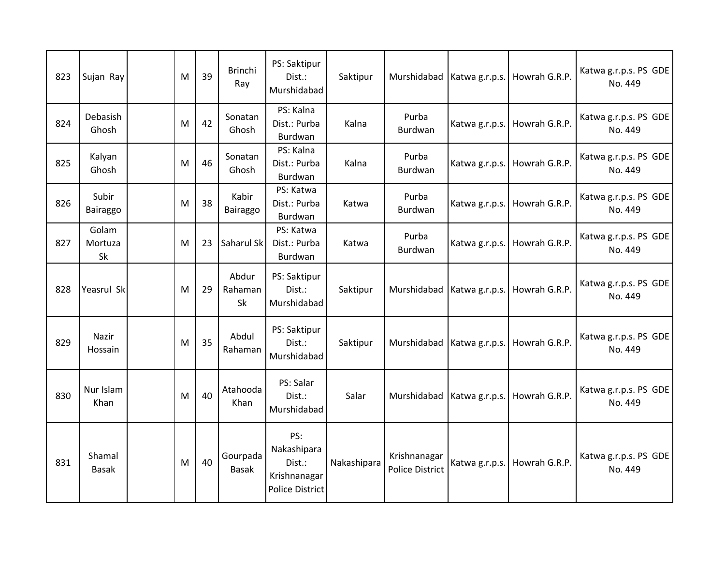| 823 | Sujan Ray              | M | 39 | <b>Brinchi</b><br>Ray    | PS: Saktipur<br>Dist.:<br>Murshidabad                                  | Saktipur    |                                        | Murshidabad   Katwa g.r.p.s. | Howrah G.R.P. | Katwa g.r.p.s. PS GDE<br>No. 449 |
|-----|------------------------|---|----|--------------------------|------------------------------------------------------------------------|-------------|----------------------------------------|------------------------------|---------------|----------------------------------|
| 824 | Debasish<br>Ghosh      | M | 42 | Sonatan<br>Ghosh         | PS: Kalna<br>Dist.: Purba<br>Burdwan                                   | Kalna       | Purba<br>Burdwan                       | Katwa g.r.p.s.               | Howrah G.R.P. | Katwa g.r.p.s. PS GDE<br>No. 449 |
| 825 | Kalyan<br>Ghosh        | M | 46 | Sonatan<br>Ghosh         | PS: Kalna<br>Dist.: Purba<br>Burdwan                                   | Kalna       | Purba<br>Burdwan                       | Katwa g.r.p.s.               | Howrah G.R.P. | Katwa g.r.p.s. PS GDE<br>No. 449 |
| 826 | Subir<br>Bairaggo      | M | 38 | Kabir<br>Bairaggo        | PS: Katwa<br>Dist.: Purba<br>Burdwan                                   | Katwa       | Purba<br>Burdwan                       | Katwa g.r.p.s.               | Howrah G.R.P. | Katwa g.r.p.s. PS GDE<br>No. 449 |
| 827 | Golam<br>Mortuza<br>Sk | M | 23 | Saharul Sk               | PS: Katwa<br>Dist.: Purba<br>Burdwan                                   | Katwa       | Purba<br>Burdwan                       | Katwa g.r.p.s.               | Howrah G.R.P. | Katwa g.r.p.s. PS GDE<br>No. 449 |
| 828 | Yeasrul Sk             | M | 29 | Abdur<br>Rahaman<br>Sk   | PS: Saktipur<br>Dist.:<br>Murshidabad                                  | Saktipur    |                                        | Murshidabad   Katwa g.r.p.s. | Howrah G.R.P. | Katwa g.r.p.s. PS GDE<br>No. 449 |
| 829 | Nazir<br>Hossain       | M | 35 | Abdul<br>Rahaman         | PS: Saktipur<br>Dist.:<br>Murshidabad                                  | Saktipur    |                                        | Murshidabad   Katwa g.r.p.s. | Howrah G.R.P. | Katwa g.r.p.s. PS GDE<br>No. 449 |
| 830 | Nur Islam<br>Khan      | M | 40 | Atahooda<br>Khan         | PS: Salar<br>Dist.:<br>Murshidabad                                     | Salar       | Murshidabad   Katwa g.r.p.s.           |                              | Howrah G.R.P. | Katwa g.r.p.s. PS GDE<br>No. 449 |
| 831 | Shamal<br><b>Basak</b> | M | 40 | Gourpada<br><b>Basak</b> | PS:<br>Nakashipara<br>Dist.:<br>Krishnanagar<br><b>Police District</b> | Nakashipara | Krishnanagar<br><b>Police District</b> | Katwa g.r.p.s.               | Howrah G.R.P. | Katwa g.r.p.s. PS GDE<br>No. 449 |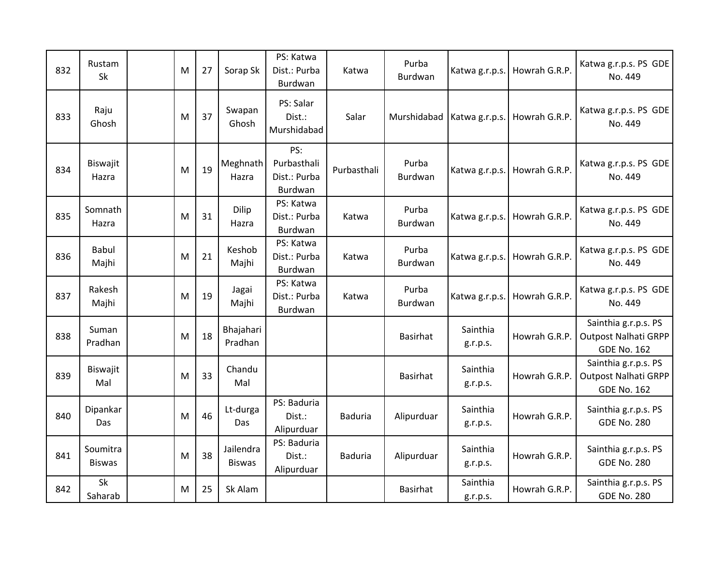| 832 | Rustam<br>Sk              | M | 27 | Sorap Sk                   | PS: Katwa<br>Dist.: Purba<br>Burdwan          | Katwa          | Purba<br><b>Burdwan</b> | Katwa g.r.p.s.               | Howrah G.R.P. | Katwa g.r.p.s. PS GDE<br>No. 449                                          |
|-----|---------------------------|---|----|----------------------------|-----------------------------------------------|----------------|-------------------------|------------------------------|---------------|---------------------------------------------------------------------------|
| 833 | Raju<br>Ghosh             | M | 37 | Swapan<br>Ghosh            | PS: Salar<br>Dist.:<br>Murshidabad            | Salar          |                         | Murshidabad   Katwa g.r.p.s. | Howrah G.R.P. | Katwa g.r.p.s. PS GDE<br>No. 449                                          |
| 834 | Biswajit<br>Hazra         | M | 19 | Meghnath<br>Hazra          | PS:<br>Purbasthali<br>Dist.: Purba<br>Burdwan | Purbasthali    | Purba<br>Burdwan        | Katwa g.r.p.s.               | Howrah G.R.P. | Katwa g.r.p.s. PS GDE<br>No. 449                                          |
| 835 | Somnath<br>Hazra          | M | 31 | Dilip<br>Hazra             | PS: Katwa<br>Dist.: Purba<br>Burdwan          | Katwa          | Purba<br>Burdwan        | Katwa g.r.p.s.               | Howrah G.R.P. | Katwa g.r.p.s. PS GDE<br>No. 449                                          |
| 836 | Babul<br>Majhi            | M | 21 | Keshob<br>Majhi            | PS: Katwa<br>Dist.: Purba<br>Burdwan          | Katwa          | Purba<br>Burdwan        | Katwa g.r.p.s.               | Howrah G.R.P. | Katwa g.r.p.s. PS GDE<br>No. 449                                          |
| 837 | Rakesh<br>Majhi           | M | 19 | Jagai<br>Majhi             | PS: Katwa<br>Dist.: Purba<br>Burdwan          | Katwa          | Purba<br>Burdwan        | Katwa g.r.p.s.               | Howrah G.R.P. | Katwa g.r.p.s. PS GDE<br>No. 449                                          |
| 838 | Suman<br>Pradhan          | M | 18 | Bhajahari<br>Pradhan       |                                               |                | <b>Basirhat</b>         | Sainthia<br>g.r.p.s.         | Howrah G.R.P. | Sainthia g.r.p.s. PS<br><b>Outpost Nalhati GRPP</b><br><b>GDE No. 162</b> |
| 839 | Biswajit<br>Mal           | M | 33 | Chandu<br>Mal              |                                               |                | Basirhat                | Sainthia<br>g.r.p.s.         | Howrah G.R.P. | Sainthia g.r.p.s. PS<br><b>Outpost Nalhati GRPP</b><br><b>GDE No. 162</b> |
| 840 | Dipankar<br>Das           | M | 46 | Lt-durga<br>Das            | PS: Baduria<br>Dist.:<br>Alipurduar           | <b>Baduria</b> | Alipurduar              | Sainthia<br>g.r.p.s.         | Howrah G.R.P. | Sainthia g.r.p.s. PS<br><b>GDE No. 280</b>                                |
| 841 | Soumitra<br><b>Biswas</b> | M | 38 | Jailendra<br><b>Biswas</b> | PS: Baduria<br>Dist.:<br>Alipurduar           | <b>Baduria</b> | Alipurduar              | Sainthia<br>g.r.p.s.         | Howrah G.R.P. | Sainthia g.r.p.s. PS<br><b>GDE No. 280</b>                                |
| 842 | Sk<br>Saharab             | M | 25 | Sk Alam                    |                                               |                | Basirhat                | Sainthia<br>g.r.p.s.         | Howrah G.R.P. | Sainthia g.r.p.s. PS<br><b>GDE No. 280</b>                                |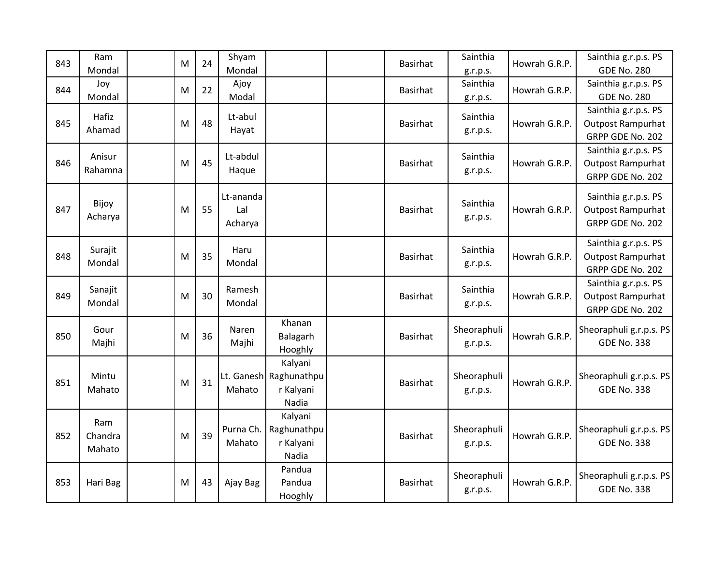| 843 | Ram      |  | M | 24 | Shyam     |                        | Basirhat | Sainthia    | Howrah G.R.P. | Sainthia g.r.p.s. PS     |
|-----|----------|--|---|----|-----------|------------------------|----------|-------------|---------------|--------------------------|
|     | Mondal   |  |   |    | Mondal    |                        |          | g.r.p.s.    |               | <b>GDE No. 280</b>       |
| 844 | Joy      |  | M | 22 | Ajoy      |                        | Basirhat | Sainthia    | Howrah G.R.P. | Sainthia g.r.p.s. PS     |
|     | Mondal   |  |   |    | Modal     |                        |          | g.r.p.s.    |               | <b>GDE No. 280</b>       |
|     | Hafiz    |  |   |    | Lt-abul   |                        |          | Sainthia    |               | Sainthia g.r.p.s. PS     |
| 845 | Ahamad   |  | M | 48 | Hayat     |                        | Basirhat |             | Howrah G.R.P. | <b>Outpost Rampurhat</b> |
|     |          |  |   |    |           |                        |          | g.r.p.s.    |               | GRPP GDE No. 202         |
|     | Anisur   |  |   |    | Lt-abdul  |                        |          | Sainthia    |               | Sainthia g.r.p.s. PS     |
| 846 | Rahamna  |  | M | 45 | Haque     |                        | Basirhat |             | Howrah G.R.P. | <b>Outpost Rampurhat</b> |
|     |          |  |   |    |           |                        |          | g.r.p.s.    |               | GRPP GDE No. 202         |
|     |          |  |   |    | Lt-ananda |                        |          |             |               | Sainthia g.r.p.s. PS     |
| 847 | Bijoy    |  | M | 55 | Lal       |                        | Basirhat | Sainthia    | Howrah G.R.P. | <b>Outpost Rampurhat</b> |
|     | Acharya  |  |   |    | Acharya   |                        |          | g.r.p.s.    |               | GRPP GDE No. 202         |
|     |          |  |   |    |           |                        |          |             |               |                          |
|     | Surajit  |  |   |    | Haru      |                        |          | Sainthia    |               | Sainthia g.r.p.s. PS     |
| 848 | Mondal   |  | M | 35 | Mondal    |                        | Basirhat | g.r.p.s.    | Howrah G.R.P. | <b>Outpost Rampurhat</b> |
|     |          |  |   |    |           |                        |          |             |               | GRPP GDE No. 202         |
|     | Sanajit  |  |   |    | Ramesh    |                        |          | Sainthia    |               | Sainthia g.r.p.s. PS     |
| 849 | Mondal   |  | M | 30 | Mondal    |                        | Basirhat | g.r.p.s.    | Howrah G.R.P. | <b>Outpost Rampurhat</b> |
|     |          |  |   |    |           |                        |          |             |               | GRPP GDE No. 202         |
|     | Gour     |  |   |    | Naren     | Khanan                 |          | Sheoraphuli |               | Sheoraphuli g.r.p.s. PS  |
| 850 | Majhi    |  | M | 36 | Majhi     | Balagarh               | Basirhat | g.r.p.s.    | Howrah G.R.P. | <b>GDE No. 338</b>       |
|     |          |  |   |    |           | Hooghly                |          |             |               |                          |
|     |          |  |   |    |           | Kalyani                |          |             |               |                          |
| 851 | Mintu    |  | M | 31 |           | Lt. Ganesh Raghunathpu | Basirhat | Sheoraphuli | Howrah G.R.P. | Sheoraphuli g.r.p.s. PS  |
|     | Mahato   |  |   |    | Mahato    | r Kalyani              |          | g.r.p.s.    |               | <b>GDE No. 338</b>       |
|     |          |  |   |    |           | Nadia                  |          |             |               |                          |
|     | Ram      |  |   |    |           | Kalyani                |          |             |               |                          |
| 852 | Chandra  |  | M | 39 | Purna Ch. | Raghunathpu            | Basirhat | Sheoraphuli | Howrah G.R.P. | Sheoraphuli g.r.p.s. PS  |
|     | Mahato   |  |   |    | Mahato    | r Kalyani              |          | g.r.p.s.    |               | <b>GDE No. 338</b>       |
|     |          |  |   |    |           | Nadia                  |          |             |               |                          |
|     |          |  |   |    |           | Pandua                 |          | Sheoraphuli |               | Sheoraphuli g.r.p.s. PS  |
| 853 | Hari Bag |  | M | 43 | Ajay Bag  | Pandua                 | Basirhat | g.r.p.s.    | Howrah G.R.P. | <b>GDE No. 338</b>       |
|     |          |  |   |    |           | Hooghly                |          |             |               |                          |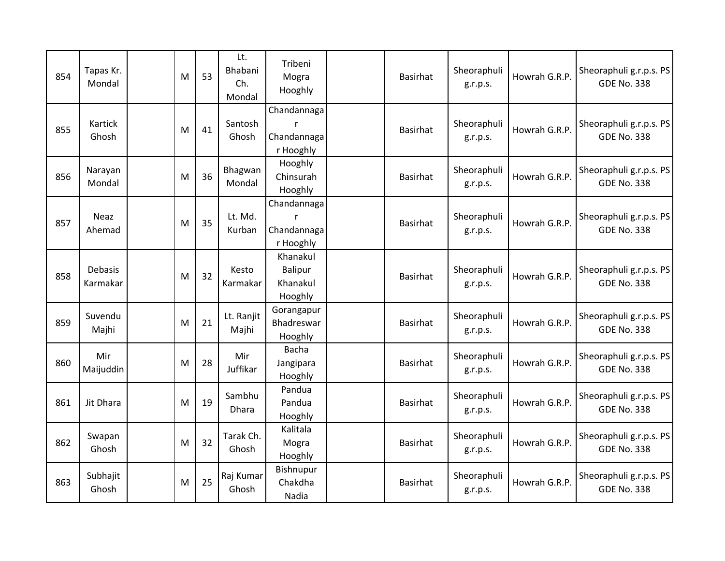| 854 | Tapas Kr.<br>Mondal   | M | 53 | Lt.<br>Bhabani<br>Ch.<br>Mondal | Tribeni<br>Mogra<br>Hooghly                       | <b>Basirhat</b> | Sheoraphuli<br>g.r.p.s. | Howrah G.R.P. | Sheoraphuli g.r.p.s. PS<br><b>GDE No. 338</b> |
|-----|-----------------------|---|----|---------------------------------|---------------------------------------------------|-----------------|-------------------------|---------------|-----------------------------------------------|
| 855 | Kartick<br>Ghosh      | M | 41 | Santosh<br>Ghosh                | Chandannaga<br>r<br>Chandannaga<br>r Hooghly      | <b>Basirhat</b> | Sheoraphuli<br>g.r.p.s. | Howrah G.R.P. | Sheoraphuli g.r.p.s. PS<br><b>GDE No. 338</b> |
| 856 | Narayan<br>Mondal     | M | 36 | Bhagwan<br>Mondal               | Hooghly<br>Chinsurah<br>Hooghly                   | <b>Basirhat</b> | Sheoraphuli<br>g.r.p.s. | Howrah G.R.P. | Sheoraphuli g.r.p.s. PS<br><b>GDE No. 338</b> |
| 857 | <b>Neaz</b><br>Ahemad | M | 35 | Lt. Md.<br>Kurban               | Chandannaga<br>r<br>Chandannaga<br>r Hooghly      | <b>Basirhat</b> | Sheoraphuli<br>g.r.p.s. | Howrah G.R.P. | Sheoraphuli g.r.p.s. PS<br><b>GDE No. 338</b> |
| 858 | Debasis<br>Karmakar   | M | 32 | Kesto<br>Karmakar               | Khanakul<br><b>Balipur</b><br>Khanakul<br>Hooghly | <b>Basirhat</b> | Sheoraphuli<br>g.r.p.s. | Howrah G.R.P. | Sheoraphuli g.r.p.s. PS<br><b>GDE No. 338</b> |
| 859 | Suvendu<br>Majhi      | M | 21 | Lt. Ranjit<br>Majhi             | Gorangapur<br>Bhadreswar<br>Hooghly               | <b>Basirhat</b> | Sheoraphuli<br>g.r.p.s. | Howrah G.R.P. | Sheoraphuli g.r.p.s. PS<br><b>GDE No. 338</b> |
| 860 | Mir<br>Maijuddin      | M | 28 | Mir<br>Juffikar                 | Bacha<br>Jangipara<br>Hooghly                     | <b>Basirhat</b> | Sheoraphuli<br>g.r.p.s. | Howrah G.R.P. | Sheoraphuli g.r.p.s. PS<br><b>GDE No. 338</b> |
| 861 | Jit Dhara             | M | 19 | Sambhu<br>Dhara                 | Pandua<br>Pandua<br>Hooghly                       | <b>Basirhat</b> | Sheoraphuli<br>g.r.p.s. | Howrah G.R.P. | Sheoraphuli g.r.p.s. PS<br><b>GDE No. 338</b> |
| 862 | Swapan<br>Ghosh       | M | 32 | Tarak Ch.<br>Ghosh              | Kalitala<br>Mogra<br>Hooghly                      | <b>Basirhat</b> | Sheoraphuli<br>g.r.p.s. | Howrah G.R.P. | Sheoraphuli g.r.p.s. PS<br><b>GDE No. 338</b> |
| 863 | Subhajit<br>Ghosh     | M | 25 | Raj Kumar<br>Ghosh              | Bishnupur<br>Chakdha<br>Nadia                     | <b>Basirhat</b> | Sheoraphuli<br>g.r.p.s. | Howrah G.R.P. | Sheoraphuli g.r.p.s. PS<br><b>GDE No. 338</b> |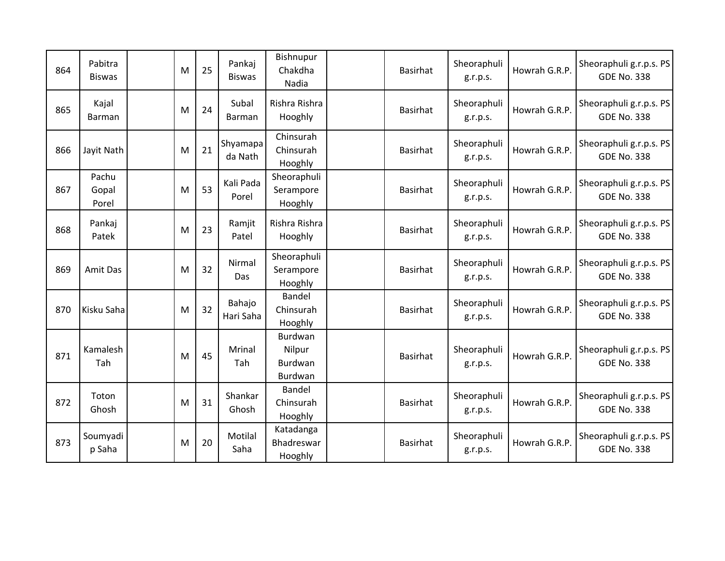| 864 | Pabitra<br><b>Biswas</b> | M | 25 | Pankaj<br><b>Biswas</b> | Bishnupur<br>Chakdha<br>Nadia             | <b>Basirhat</b> | Sheoraphuli<br>g.r.p.s. | Howrah G.R.P. | Sheoraphuli g.r.p.s. PS<br><b>GDE No. 338</b> |
|-----|--------------------------|---|----|-------------------------|-------------------------------------------|-----------------|-------------------------|---------------|-----------------------------------------------|
| 865 | Kajal<br>Barman          | M | 24 | Subal<br>Barman         | Rishra Rishra<br>Hooghly                  | <b>Basirhat</b> | Sheoraphuli<br>g.r.p.s. | Howrah G.R.P. | Sheoraphuli g.r.p.s. PS<br><b>GDE No. 338</b> |
| 866 | Jayit Nath               | M | 21 | Shyamapa<br>da Nath     | Chinsurah<br>Chinsurah<br>Hooghly         | <b>Basirhat</b> | Sheoraphuli<br>g.r.p.s. | Howrah G.R.P. | Sheoraphuli g.r.p.s. PS<br><b>GDE No. 338</b> |
| 867 | Pachu<br>Gopal<br>Porel  | M | 53 | Kali Pada<br>Porel      | Sheoraphuli<br>Serampore<br>Hooghly       | <b>Basirhat</b> | Sheoraphuli<br>g.r.p.s. | Howrah G.R.P. | Sheoraphuli g.r.p.s. PS<br><b>GDE No. 338</b> |
| 868 | Pankaj<br>Patek          | M | 23 | Ramjit<br>Patel         | Rishra Rishra<br>Hooghly                  | <b>Basirhat</b> | Sheoraphuli<br>g.r.p.s. | Howrah G.R.P. | Sheoraphuli g.r.p.s. PS<br><b>GDE No. 338</b> |
| 869 | Amit Das                 | M | 32 | Nirmal<br>Das           | Sheoraphuli<br>Serampore<br>Hooghly       | <b>Basirhat</b> | Sheoraphuli<br>g.r.p.s. | Howrah G.R.P. | Sheoraphuli g.r.p.s. PS<br><b>GDE No. 338</b> |
| 870 | Kisku Saha               | M | 32 | Bahajo<br>Hari Saha     | Bandel<br>Chinsurah<br>Hooghly            | <b>Basirhat</b> | Sheoraphuli<br>g.r.p.s. | Howrah G.R.P. | Sheoraphuli g.r.p.s. PS<br><b>GDE No. 338</b> |
| 871 | Kamalesh<br>Tah          | M | 45 | Mrinal<br>Tah           | Burdwan<br>Nilpur<br>Burdwan<br>Burdwan   | Basirhat        | Sheoraphuli<br>g.r.p.s. | Howrah G.R.P. | Sheoraphuli g.r.p.s. PS<br><b>GDE No. 338</b> |
| 872 | Toton<br>Ghosh           | M | 31 | Shankar<br>Ghosh        | <b>Bandel</b><br>Chinsurah<br>Hooghly     | <b>Basirhat</b> | Sheoraphuli<br>g.r.p.s. | Howrah G.R.P. | Sheoraphuli g.r.p.s. PS<br><b>GDE No. 338</b> |
| 873 | Soumyadi<br>p Saha       | M | 20 | Motilal<br>Saha         | Katadanga<br><b>Bhadreswar</b><br>Hooghly | <b>Basirhat</b> | Sheoraphuli<br>g.r.p.s. | Howrah G.R.P. | Sheoraphuli g.r.p.s. PS<br><b>GDE No. 338</b> |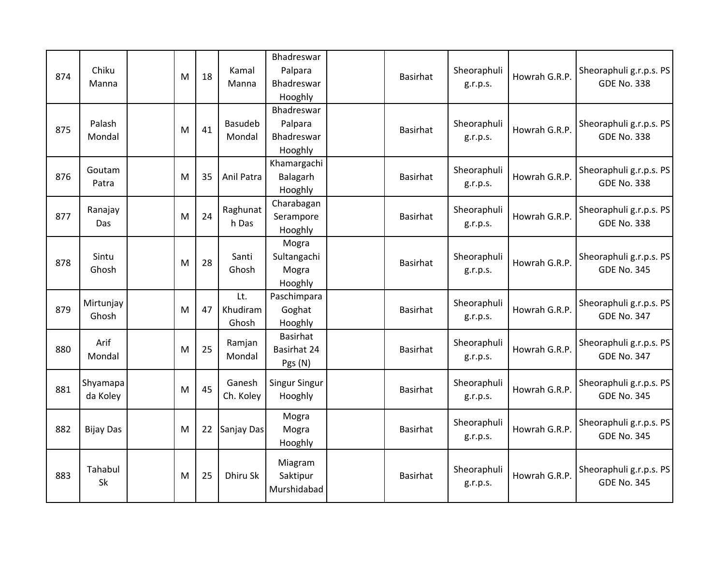| 874 | Chiku<br>Manna       | M | 18 | Kamal<br>Manna           | Bhadreswar<br>Palpara<br>Bhadreswar<br>Hooghly | Basirhat        | Sheoraphuli<br>g.r.p.s. | Howrah G.R.P. | Sheoraphuli g.r.p.s. PS<br><b>GDE No. 338</b> |
|-----|----------------------|---|----|--------------------------|------------------------------------------------|-----------------|-------------------------|---------------|-----------------------------------------------|
| 875 | Palash<br>Mondal     | M | 41 | <b>Basudeb</b><br>Mondal | Bhadreswar<br>Palpara<br>Bhadreswar<br>Hooghly | Basirhat        | Sheoraphuli<br>g.r.p.s. | Howrah G.R.P. | Sheoraphuli g.r.p.s. PS<br><b>GDE No. 338</b> |
| 876 | Goutam<br>Patra      | M | 35 | Anil Patra               | Khamargachi<br>Balagarh<br>Hooghly             | Basirhat        | Sheoraphuli<br>g.r.p.s. | Howrah G.R.P. | Sheoraphuli g.r.p.s. PS<br><b>GDE No. 338</b> |
| 877 | Ranajay<br>Das       | M | 24 | Raghunat<br>h Das        | Charabagan<br>Serampore<br>Hooghly             | Basirhat        | Sheoraphuli<br>g.r.p.s. | Howrah G.R.P. | Sheoraphuli g.r.p.s. PS<br><b>GDE No. 338</b> |
| 878 | Sintu<br>Ghosh       | M | 28 | Santi<br>Ghosh           | Mogra<br>Sultangachi<br>Mogra<br>Hooghly       | Basirhat        | Sheoraphuli<br>g.r.p.s. | Howrah G.R.P. | Sheoraphuli g.r.p.s. PS<br><b>GDE No. 345</b> |
| 879 | Mirtunjay<br>Ghosh   | M | 47 | Lt.<br>Khudiram<br>Ghosh | Paschimpara<br>Goghat<br>Hooghly               | Basirhat        | Sheoraphuli<br>g.r.p.s. | Howrah G.R.P. | Sheoraphuli g.r.p.s. PS<br><b>GDE No. 347</b> |
| 880 | Arif<br>Mondal       | M | 25 | Ramjan<br>Mondal         | <b>Basirhat</b><br>Basirhat 24<br>Pgs (N)      | Basirhat        | Sheoraphuli<br>g.r.p.s. | Howrah G.R.P. | Sheoraphuli g.r.p.s. PS<br><b>GDE No. 347</b> |
| 881 | Shyamapa<br>da Koley | M | 45 | Ganesh<br>Ch. Koley      | <b>Singur Singur</b><br>Hooghly                | Basirhat        | Sheoraphuli<br>g.r.p.s. | Howrah G.R.P. | Sheoraphuli g.r.p.s. PS<br><b>GDE No. 345</b> |
| 882 | <b>Bijay Das</b>     | M | 22 | Sanjay Das               | Mogra<br>Mogra<br>Hooghly                      | <b>Basirhat</b> | Sheoraphuli<br>g.r.p.s. | Howrah G.R.P. | Sheoraphuli g.r.p.s. PS<br><b>GDE No. 345</b> |
| 883 | Tahabul<br>Sk        | M | 25 | Dhiru Sk                 | Miagram<br>Saktipur<br>Murshidabad             | Basirhat        | Sheoraphuli<br>g.r.p.s. | Howrah G.R.P. | Sheoraphuli g.r.p.s. PS<br><b>GDE No. 345</b> |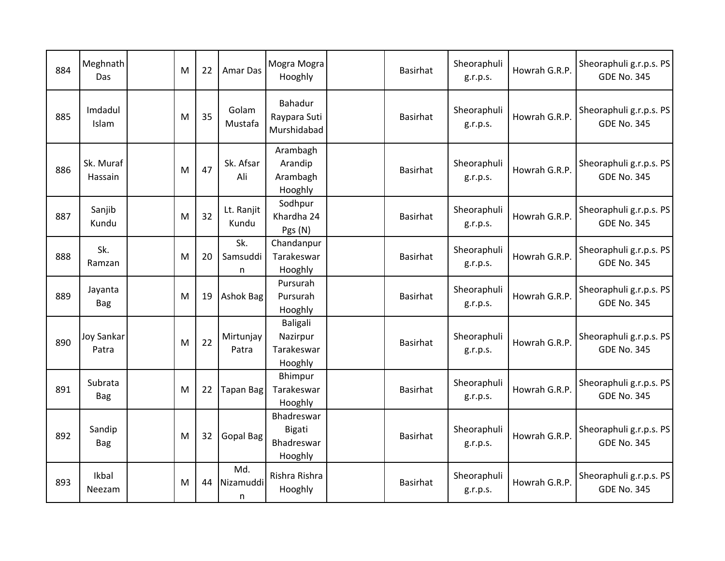| 884 | Meghnath<br><b>Das</b>     | M | 22 | Amar Das              | Mogra Mogra<br>Hooghly                               | Basirhat        | Sheoraphuli<br>g.r.p.s. | Howrah G.R.P. | Sheoraphuli g.r.p.s. PS<br><b>GDE No. 345</b> |
|-----|----------------------------|---|----|-----------------------|------------------------------------------------------|-----------------|-------------------------|---------------|-----------------------------------------------|
| 885 | Imdadul<br>Islam           | M | 35 | Golam<br>Mustafa      | Bahadur<br>Raypara Suti<br>Murshidabad               | Basirhat        | Sheoraphuli<br>g.r.p.s. | Howrah G.R.P. | Sheoraphuli g.r.p.s. PS<br><b>GDE No. 345</b> |
| 886 | Sk. Muraf<br>Hassain       | M | 47 | Sk. Afsar<br>Ali      | Arambagh<br>Arandip<br>Arambagh<br>Hooghly           | Basirhat        | Sheoraphuli<br>g.r.p.s. | Howrah G.R.P. | Sheoraphuli g.r.p.s. PS<br><b>GDE No. 345</b> |
| 887 | Sanjib<br>Kundu            | M | 32 | Lt. Ranjit<br>Kundu   | Sodhpur<br>Khardha 24<br>Pgs (N)                     | Basirhat        | Sheoraphuli<br>g.r.p.s. | Howrah G.R.P. | Sheoraphuli g.r.p.s. PS<br><b>GDE No. 345</b> |
| 888 | Sk.<br>Ramzan              | M | 20 | Sk.<br>Samsuddi<br>n  | Chandanpur<br>Tarakeswar<br>Hooghly                  | Basirhat        | Sheoraphuli<br>g.r.p.s. | Howrah G.R.P. | Sheoraphuli g.r.p.s. PS<br><b>GDE No. 345</b> |
| 889 | Jayanta<br>Bag             | M | 19 | <b>Ashok Bag</b>      | Pursurah<br>Pursurah<br>Hooghly                      | Basirhat        | Sheoraphuli<br>g.r.p.s. | Howrah G.R.P. | Sheoraphuli g.r.p.s. PS<br><b>GDE No. 345</b> |
| 890 | <b>Joy Sankar</b><br>Patra | M | 22 | Mirtunjay<br>Patra    | <b>Baligali</b><br>Nazirpur<br>Tarakeswar<br>Hooghly | Basirhat        | Sheoraphuli<br>g.r.p.s. | Howrah G.R.P. | Sheoraphuli g.r.p.s. PS<br><b>GDE No. 345</b> |
| 891 | Subrata<br><b>Bag</b>      | M | 22 | <b>Tapan Bag</b>      | Bhimpur<br>Tarakeswar<br>Hooghly                     | <b>Basirhat</b> | Sheoraphuli<br>g.r.p.s. | Howrah G.R.P. | Sheoraphuli g.r.p.s. PS<br><b>GDE No. 345</b> |
| 892 | Sandip<br><b>Bag</b>       | M | 32 | <b>Gopal Bag</b>      | Bhadreswar<br>Bigati<br>Bhadreswar<br>Hooghly        | Basirhat        | Sheoraphuli<br>g.r.p.s. | Howrah G.R.P. | Sheoraphuli g.r.p.s. PS<br><b>GDE No. 345</b> |
| 893 | Ikbal<br>Neezam            | M | 44 | Md.<br>Nizamuddi<br>n | Rishra Rishra<br>Hooghly                             | Basirhat        | Sheoraphuli<br>g.r.p.s. | Howrah G.R.P. | Sheoraphuli g.r.p.s. PS<br><b>GDE No. 345</b> |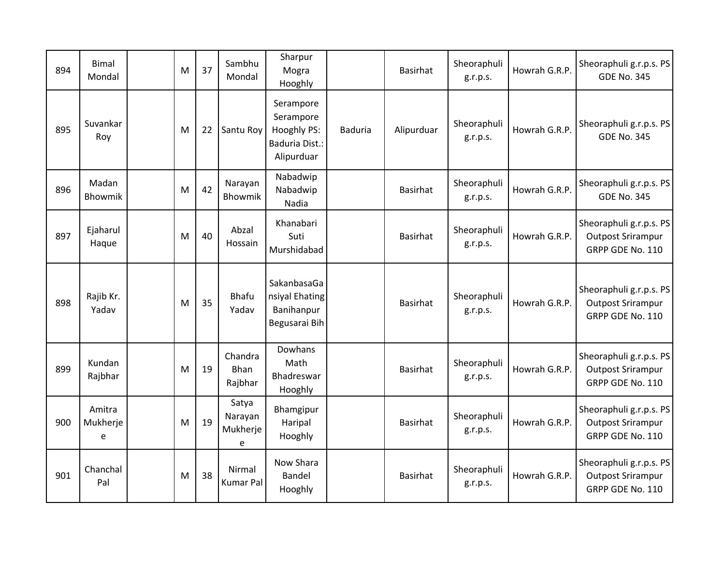| 894 | <b>Bimal</b><br>Mondal  | M | 37 | Sambhu<br>Mondal                  | Sharpur<br>Mogra<br>Hooghly                                                  |                | Basirhat        | Sheoraphuli<br>g.r.p.s. | Howrah G.R.P. | Sheoraphuli g.r.p.s. PS<br><b>GDE No. 345</b>                           |
|-----|-------------------------|---|----|-----------------------------------|------------------------------------------------------------------------------|----------------|-----------------|-------------------------|---------------|-------------------------------------------------------------------------|
| 895 | Suvankar<br>Roy         | M | 22 | Santu Roy                         | Serampore<br>Serampore<br>Hooghly PS:<br><b>Baduria Dist.:</b><br>Alipurduar | <b>Baduria</b> | Alipurduar      | Sheoraphuli<br>g.r.p.s. | Howrah G.R.P. | Sheoraphuli g.r.p.s. PS<br><b>GDE No. 345</b>                           |
| 896 | Madan<br>Bhowmik        | M | 42 | Narayan<br>Bhowmik                | Nabadwip<br>Nabadwip<br>Nadia                                                |                | <b>Basirhat</b> | Sheoraphuli<br>g.r.p.s. | Howrah G.R.P. | Sheoraphuli g.r.p.s. PS<br><b>GDE No. 345</b>                           |
| 897 | Ejaharul<br>Haque       | M | 40 | Abzal<br>Hossain                  | Khanabari<br>Suti<br>Murshidabad                                             |                | Basirhat        | Sheoraphuli<br>g.r.p.s. | Howrah G.R.P. | Sheoraphuli g.r.p.s. PS<br><b>Outpost Srirampur</b><br>GRPP GDE No. 110 |
| 898 | Rajib Kr.<br>Yadav      | M | 35 | <b>Bhafu</b><br>Yadav             | SakanbasaGa<br>nsiyal Ehating<br>Banihanpur<br>Begusarai Bih                 |                | Basirhat        | Sheoraphuli<br>g.r.p.s. | Howrah G.R.P. | Sheoraphuli g.r.p.s. PS<br><b>Outpost Srirampur</b><br>GRPP GDE No. 110 |
| 899 | Kundan<br>Rajbhar       | M | 19 | Chandra<br>Bhan<br>Rajbhar        | Dowhans<br>Math<br>Bhadreswar<br>Hooghly                                     |                | Basirhat        | Sheoraphuli<br>g.r.p.s. | Howrah G.R.P. | Sheoraphuli g.r.p.s. PS<br><b>Outpost Srirampur</b><br>GRPP GDE No. 110 |
| 900 | Amitra<br>Mukherje<br>e | M | 19 | Satya<br>Narayan<br>Mukherje<br>e | Bhamgipur<br>Haripal<br>Hooghly                                              |                | <b>Basirhat</b> | Sheoraphuli<br>g.r.p.s. | Howrah G.R.P. | Sheoraphuli g.r.p.s. PS<br><b>Outpost Srirampur</b><br>GRPP GDE No. 110 |
| 901 | Chanchal<br>Pal         | M | 38 | Nirmal<br><b>Kumar Pal</b>        | Now Shara<br>Bandel<br>Hooghly                                               |                | Basirhat        | Sheoraphuli<br>g.r.p.s. | Howrah G.R.P. | Sheoraphuli g.r.p.s. PS<br><b>Outpost Srirampur</b><br>GRPP GDE No. 110 |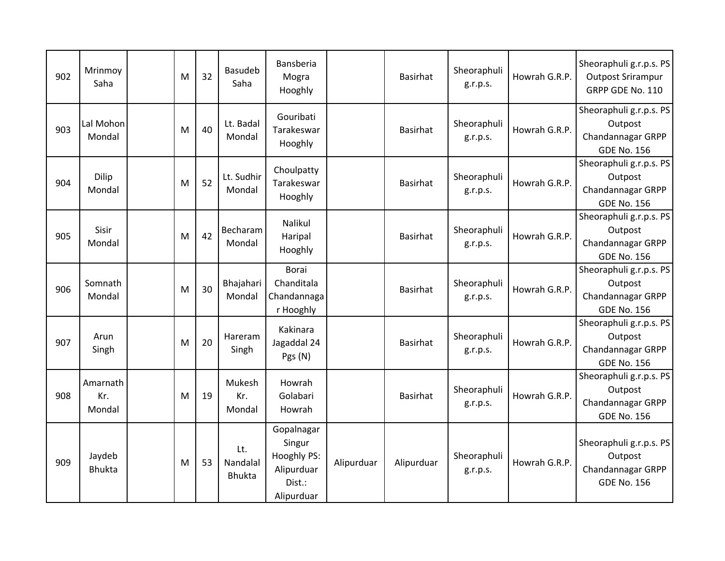| 902 | Mrinmoy<br>Saha           | M | 32 | <b>Basudeb</b><br>Saha           | Bansberia<br>Mogra<br>Hooghly                                             |            | <b>Basirhat</b> | Sheoraphuli<br>g.r.p.s. | Howrah G.R.P. | Sheoraphuli g.r.p.s. PS<br><b>Outpost Srirampur</b><br>GRPP GDE No. 110       |
|-----|---------------------------|---|----|----------------------------------|---------------------------------------------------------------------------|------------|-----------------|-------------------------|---------------|-------------------------------------------------------------------------------|
| 903 | Lal Mohon<br>Mondal       | M | 40 | Lt. Badal<br>Mondal              | Gouribati<br>Tarakeswar<br>Hooghly                                        |            | <b>Basirhat</b> | Sheoraphuli<br>g.r.p.s. | Howrah G.R.P. | Sheoraphuli g.r.p.s. PS<br>Outpost<br>Chandannagar GRPP<br><b>GDE No. 156</b> |
| 904 | Dilip<br>Mondal           | M | 52 | Lt. Sudhir<br>Mondal             | Choulpatty<br>Tarakeswar<br>Hooghly                                       |            | <b>Basirhat</b> | Sheoraphuli<br>g.r.p.s. | Howrah G.R.P. | Sheoraphuli g.r.p.s. PS<br>Outpost<br>Chandannagar GRPP<br><b>GDE No. 156</b> |
| 905 | Sisir<br>Mondal           | M | 42 | Becharam<br>Mondal               | Nalikul<br>Haripal<br>Hooghly                                             |            | <b>Basirhat</b> | Sheoraphuli<br>g.r.p.s. | Howrah G.R.P. | Sheoraphuli g.r.p.s. PS<br>Outpost<br>Chandannagar GRPP<br><b>GDE No. 156</b> |
| 906 | Somnath<br>Mondal         | M | 30 | Bhajahari<br>Mondal              | Borai<br>Chanditala<br>Chandannaga<br>r Hooghly                           |            | Basirhat        | Sheoraphuli<br>g.r.p.s. | Howrah G.R.P. | Sheoraphuli g.r.p.s. PS<br>Outpost<br>Chandannagar GRPP<br><b>GDE No. 156</b> |
| 907 | Arun<br>Singh             | M | 20 | Hareram<br>Singh                 | Kakinara<br>Jagaddal 24<br>Pgs (N)                                        |            | <b>Basirhat</b> | Sheoraphuli<br>g.r.p.s. | Howrah G.R.P. | Sheoraphuli g.r.p.s. PS<br>Outpost<br>Chandannagar GRPP<br><b>GDE No. 156</b> |
| 908 | Amarnath<br>Kr.<br>Mondal | M | 19 | Mukesh<br>Kr.<br>Mondal          | Howrah<br>Golabari<br>Howrah                                              |            | <b>Basirhat</b> | Sheoraphuli<br>g.r.p.s. | Howrah G.R.P. | Sheoraphuli g.r.p.s. PS<br>Outpost<br>Chandannagar GRPP<br><b>GDE No. 156</b> |
| 909 | Jaydeb<br><b>Bhukta</b>   | M | 53 | Lt.<br>Nandalal<br><b>Bhukta</b> | Gopalnagar<br>Singur<br>Hooghly PS:<br>Alipurduar<br>Dist.:<br>Alipurduar | Alipurduar | Alipurduar      | Sheoraphuli<br>g.r.p.s. | Howrah G.R.P. | Sheoraphuli g.r.p.s. PS<br>Outpost<br>Chandannagar GRPP<br><b>GDE No. 156</b> |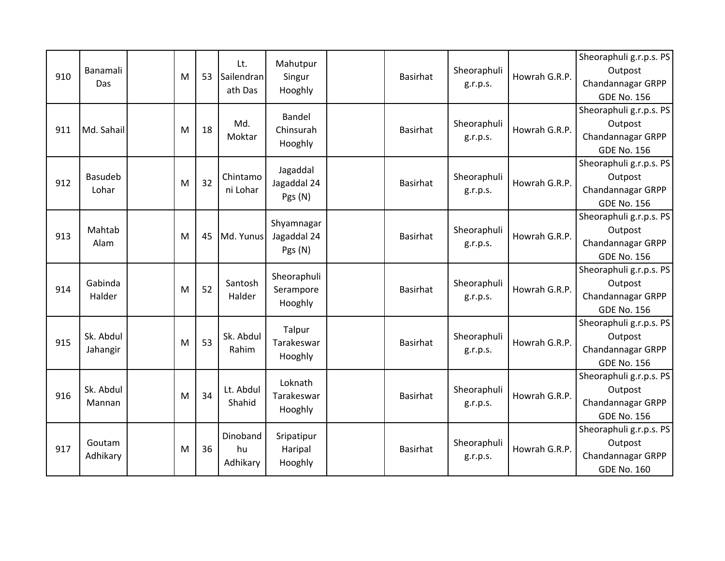|     |                |   |    | Lt.            |                    |                 |             |               | Sheoraphuli g.r.p.s. PS  |
|-----|----------------|---|----|----------------|--------------------|-----------------|-------------|---------------|--------------------------|
| 910 | Banamali       | M | 53 | Sailendran     | Mahutpur           | <b>Basirhat</b> | Sheoraphuli | Howrah G.R.P. | Outpost                  |
|     | Das            |   |    | ath Das        | Singur<br>Hooghly  |                 | g.r.p.s.    |               | Chandannagar GRPP        |
|     |                |   |    |                |                    |                 |             |               | <b>GDE No. 156</b>       |
|     |                |   |    |                | Bandel             |                 |             |               | Sheoraphuli g.r.p.s. PS  |
| 911 | Md. Sahail     | M | 18 | Md.            | Chinsurah          | <b>Basirhat</b> | Sheoraphuli | Howrah G.R.P. | Outpost                  |
|     |                |   |    | Moktar         | Hooghly            |                 | g.r.p.s.    |               | <b>Chandannagar GRPP</b> |
|     |                |   |    |                |                    |                 |             |               | <b>GDE No. 156</b>       |
|     |                |   |    |                | Jagaddal           |                 |             |               | Sheoraphuli g.r.p.s. PS  |
| 912 | <b>Basudeb</b> | M | 32 | Chintamo       | Jagaddal 24        | <b>Basirhat</b> | Sheoraphuli | Howrah G.R.P. | Outpost                  |
|     | Lohar          |   |    | ni Lohar       | Pgs (N)            |                 | g.r.p.s.    |               | Chandannagar GRPP        |
|     |                |   |    |                |                    |                 |             |               | <b>GDE No. 156</b>       |
|     |                |   |    |                | Shyamnagar         |                 |             |               | Sheoraphuli g.r.p.s. PS  |
| 913 | Mahtab         | M | 45 | Md. Yunus      | Jagaddal 24        | <b>Basirhat</b> | Sheoraphuli | Howrah G.R.P. | Outpost                  |
|     | Alam           |   |    |                | Pgs (N)            |                 | g.r.p.s.    |               | Chandannagar GRPP        |
|     |                |   |    |                |                    |                 |             |               | <b>GDE No. 156</b>       |
|     |                |   |    |                | Sheoraphuli        |                 |             |               | Sheoraphuli g.r.p.s. PS  |
| 914 | Gabinda        | M | 52 | Santosh        | Serampore          | <b>Basirhat</b> | Sheoraphuli | Howrah G.R.P. | Outpost                  |
|     | Halder         |   |    | Halder         | Hooghly            |                 | g.r.p.s.    |               | <b>Chandannagar GRPP</b> |
|     |                |   |    |                |                    |                 |             |               | <b>GDE No. 156</b>       |
|     |                |   |    |                | Talpur             |                 |             |               | Sheoraphuli g.r.p.s. PS  |
| 915 | Sk. Abdul      | M | 53 | Sk. Abdul      | Tarakeswar         | <b>Basirhat</b> | Sheoraphuli | Howrah G.R.P. | Outpost                  |
|     | Jahangir       |   |    | Rahim          | Hooghly            |                 | g.r.p.s.    |               | Chandannagar GRPP        |
|     |                |   |    |                |                    |                 |             |               | <b>GDE No. 156</b>       |
|     |                |   |    |                | Loknath            |                 |             |               | Sheoraphuli g.r.p.s. PS  |
| 916 | Sk. Abdul      |   |    | Lt. Abdul      | Tarakeswar         | <b>Basirhat</b> | Sheoraphuli |               | Outpost                  |
|     |                | M |    |                |                    |                 |             |               |                          |
|     | Mannan         |   | 34 | Shahid         |                    |                 | g.r.p.s.    | Howrah G.R.P. | Chandannagar GRPP        |
|     |                |   |    |                | Hooghly            |                 |             |               | <b>GDE No. 156</b>       |
|     |                |   |    |                |                    |                 |             |               | Sheoraphuli g.r.p.s. PS  |
|     | Goutam         |   |    | Dinoband       | Sripatipur         |                 | Sheoraphuli |               | Outpost                  |
| 917 | Adhikary       | M | 36 | hu<br>Adhikary | Haripal<br>Hooghly | <b>Basirhat</b> | g.r.p.s.    | Howrah G.R.P. | Chandannagar GRPP        |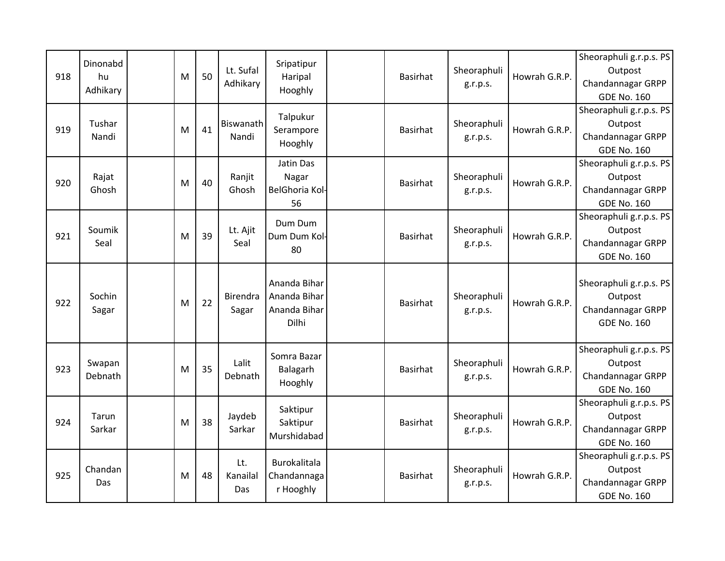|     | Dinonabd |     |   |    |           |                       |                 |             |               | Sheoraphuli g.r.p.s. PS |
|-----|----------|-----|---|----|-----------|-----------------------|-----------------|-------------|---------------|-------------------------|
| 918 | hu       |     | M | 50 | Lt. Sufal | Sripatipur<br>Haripal | Basirhat        | Sheoraphuli | Howrah G.R.P. | Outpost                 |
|     | Adhikary |     |   |    | Adhikary  | Hooghly               |                 | g.r.p.s.    |               | Chandannagar GRPP       |
|     |          |     |   |    |           |                       |                 |             |               | <b>GDE No. 160</b>      |
|     |          |     |   |    |           | Talpukur              |                 |             |               | Sheoraphuli g.r.p.s. PS |
| 919 | Tushar   |     | M | 41 | Biswanath | Serampore             | <b>Basirhat</b> | Sheoraphuli | Howrah G.R.P. | Outpost                 |
|     | Nandi    |     |   |    | Nandi     | Hooghly               |                 | g.r.p.s.    |               | Chandannagar GRPP       |
|     |          |     |   |    |           |                       |                 |             |               | <b>GDE No. 160</b>      |
|     |          |     |   |    |           | Jatin Das             |                 |             |               | Sheoraphuli g.r.p.s. PS |
| 920 | Rajat    |     | M | 40 | Ranjit    | Nagar                 | Basirhat        | Sheoraphuli | Howrah G.R.P. | Outpost                 |
|     | Ghosh    |     |   |    | Ghosh     | BelGhoria Kol-        |                 | g.r.p.s.    |               | Chandannagar GRPP       |
|     |          |     |   |    |           | 56                    |                 |             |               | <b>GDE No. 160</b>      |
|     |          |     |   |    |           | Dum Dum               |                 |             |               | Sheoraphuli g.r.p.s. PS |
| 921 | Soumik   |     | M | 39 | Lt. Ajit  | Dum Dum Kol-          | <b>Basirhat</b> | Sheoraphuli | Howrah G.R.P. | Outpost                 |
|     | Seal     |     |   |    | Seal      | 80                    |                 | g.r.p.s.    |               | Chandannagar GRPP       |
|     |          |     |   |    |           |                       |                 |             |               | <b>GDE No. 160</b>      |
|     |          |     |   |    |           |                       |                 |             |               |                         |
|     |          |     |   |    |           | Ananda Bihar          |                 |             |               | Sheoraphuli g.r.p.s. PS |
| 922 | Sochin   |     | M | 22 | Birendra  | Ananda Bihar          | Basirhat        | Sheoraphuli | Howrah G.R.P. | Outpost                 |
|     | Sagar    |     |   |    | Sagar     | Ananda Bihar          |                 | g.r.p.s.    |               | Chandannagar GRPP       |
|     |          |     |   |    |           | Dilhi                 |                 |             |               | <b>GDE No. 160</b>      |
|     |          |     |   |    |           |                       |                 |             |               |                         |
|     |          |     |   |    |           | Somra Bazar           |                 |             |               | Sheoraphuli g.r.p.s. PS |
| 923 | Swapan   |     | M | 35 | Lalit     | Balagarh              | <b>Basirhat</b> | Sheoraphuli | Howrah G.R.P. | Outpost                 |
|     | Debnath  |     |   |    | Debnath   | Hooghly               |                 | g.r.p.s.    |               | Chandannagar GRPP       |
|     |          |     |   |    |           |                       |                 |             |               | <b>GDE No. 160</b>      |
|     |          |     |   |    |           | Saktipur              |                 |             |               | Sheoraphuli g.r.p.s. PS |
| 924 | Tarun    |     | M | 38 | Jaydeb    | Saktipur              | Basirhat        | Sheoraphuli | Howrah G.R.P. | Outpost                 |
|     | Sarkar   |     |   |    | Sarkar    | Murshidabad           |                 | g.r.p.s.    |               | Chandannagar GRPP       |
|     |          |     |   |    |           |                       |                 |             |               | <b>GDE No. 160</b>      |
|     |          |     |   |    | Lt.       | Burokalitala          |                 |             |               | Sheoraphuli g.r.p.s. PS |
| 925 | Chandan  |     | M | 48 | Kanailal  | Chandannaga           | <b>Basirhat</b> | Sheoraphuli | Howrah G.R.P. | Outpost                 |
|     |          | Das |   |    | Das       | r Hooghly             |                 | g.r.p.s.    |               | Chandannagar GRPP       |
|     |          |     |   |    |           |                       |                 |             |               | <b>GDE No. 160</b>      |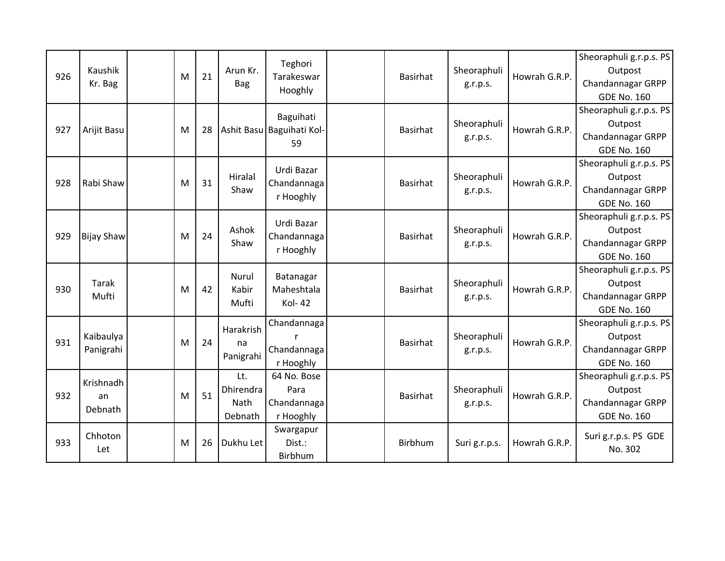|     |                   |   |    |           |                           |                 |               |               | Sheoraphuli g.r.p.s. PS |
|-----|-------------------|---|----|-----------|---------------------------|-----------------|---------------|---------------|-------------------------|
| 926 | Kaushik           | M | 21 | Arun Kr.  | Teghori<br>Tarakeswar     | <b>Basirhat</b> | Sheoraphuli   | Howrah G.R.P. | Outpost                 |
|     | Kr. Bag           |   |    | Bag       | Hooghly                   |                 | g.r.p.s.      |               | Chandannagar GRPP       |
|     |                   |   |    |           |                           |                 |               |               | <b>GDE No. 160</b>      |
|     |                   |   |    |           | Baguihati                 |                 |               |               | Sheoraphuli g.r.p.s. PS |
| 927 | Arijit Basu       | M | 28 |           | Ashit Basu Baguihati Kol- | Basirhat        | Sheoraphuli   | Howrah G.R.P. | Outpost                 |
|     |                   |   |    |           | 59                        |                 | g.r.p.s.      |               | Chandannagar GRPP       |
|     |                   |   |    |           |                           |                 |               |               | <b>GDE No. 160</b>      |
|     |                   |   |    |           | Urdi Bazar                |                 |               |               | Sheoraphuli g.r.p.s. PS |
| 928 | Rabi Shaw         | M | 31 | Hiralal   | Chandannaga               | <b>Basirhat</b> | Sheoraphuli   | Howrah G.R.P. | Outpost                 |
|     |                   |   |    | Shaw      | r Hooghly                 |                 | g.r.p.s.      |               | Chandannagar GRPP       |
|     |                   |   |    |           |                           |                 |               |               | <b>GDE No. 160</b>      |
|     |                   |   |    |           | Urdi Bazar                |                 |               |               | Sheoraphuli g.r.p.s. PS |
| 929 | <b>Bijay Shaw</b> | M | 24 | Ashok     | Chandannaga               | <b>Basirhat</b> | Sheoraphuli   | Howrah G.R.P. | Outpost                 |
|     |                   |   |    | Shaw      | r Hooghly                 |                 | g.r.p.s.      |               | Chandannagar GRPP       |
|     |                   |   |    |           |                           |                 |               |               | <b>GDE No. 160</b>      |
|     |                   |   |    | Nurul     | Batanagar                 |                 |               |               | Sheoraphuli g.r.p.s. PS |
| 930 | Tarak             | M | 42 | Kabir     | Maheshtala                | <b>Basirhat</b> | Sheoraphuli   | Howrah G.R.P. | Outpost                 |
|     | Mufti             |   |    | Mufti     | Kol-42                    |                 | g.r.p.s.      |               | Chandannagar GRPP       |
|     |                   |   |    |           |                           |                 |               |               | <b>GDE No. 160</b>      |
|     |                   |   |    | Harakrish | Chandannaga               |                 |               |               | Sheoraphuli g.r.p.s. PS |
| 931 | Kaibaulya         | M | 24 | na        |                           | <b>Basirhat</b> | Sheoraphuli   | Howrah G.R.P. | Outpost                 |
|     | Panigrahi         |   |    | Panigrahi | Chandannaga               |                 | g.r.p.s.      |               | Chandannagar GRPP       |
|     |                   |   |    |           | r Hooghly                 |                 |               |               | <b>GDE No. 160</b>      |
|     |                   |   |    | Lt.       | 64 No. Bose               |                 |               |               | Sheoraphuli g.r.p.s. PS |
| 932 | Krishnadh<br>an   | M | 51 | Dhirendra | Para                      | <b>Basirhat</b> | Sheoraphuli   | Howrah G.R.P. | Outpost                 |
|     | Debnath           |   |    | Nath      | Chandannaga               |                 | g.r.p.s.      |               | Chandannagar GRPP       |
|     |                   |   |    | Debnath   | r Hooghly                 |                 |               |               | <b>GDE No. 160</b>      |
|     | Chhoton           |   |    |           | Swargapur                 |                 |               |               | Suri g.r.p.s. PS GDE    |
| 933 | Let               | M | 26 | Dukhu Let | Dist.:                    | <b>Birbhum</b>  | Suri g.r.p.s. | Howrah G.R.P. | No. 302                 |
|     |                   |   |    |           | Birbhum                   |                 |               |               |                         |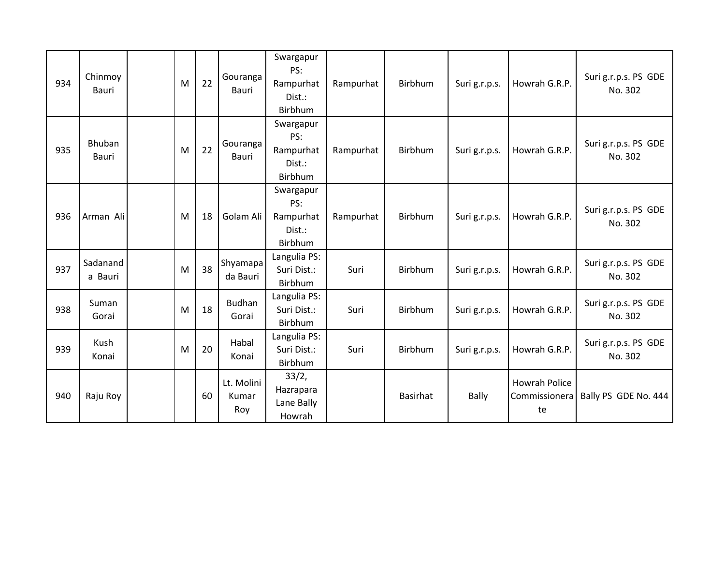| 934 | Chinmoy<br>Bauri    | M | 22 | Gouranga<br>Bauri          | Swargapur<br>PS:<br>Rampurhat<br>Dist.:<br>Birbhum | Rampurhat | Birbhum  | Suri g.r.p.s. | Howrah G.R.P.                               | Suri g.r.p.s. PS GDE<br>No. 302 |
|-----|---------------------|---|----|----------------------------|----------------------------------------------------|-----------|----------|---------------|---------------------------------------------|---------------------------------|
| 935 | Bhuban<br>Bauri     | M | 22 | Gouranga<br>Bauri          | Swargapur<br>PS:<br>Rampurhat<br>Dist.:<br>Birbhum | Rampurhat | Birbhum  | Suri g.r.p.s. | Howrah G.R.P.                               | Suri g.r.p.s. PS GDE<br>No. 302 |
| 936 | Arman Ali           | M | 18 | Golam Ali                  | Swargapur<br>PS:<br>Rampurhat<br>Dist.:<br>Birbhum | Rampurhat | Birbhum  | Suri g.r.p.s. | Howrah G.R.P.                               | Suri g.r.p.s. PS GDE<br>No. 302 |
| 937 | Sadanand<br>a Bauri | M | 38 | Shyamapa<br>da Bauri       | Langulia PS:<br>Suri Dist.:<br>Birbhum             | Suri      | Birbhum  | Suri g.r.p.s. | Howrah G.R.P.                               | Suri g.r.p.s. PS GDE<br>No. 302 |
| 938 | Suman<br>Gorai      | M | 18 | <b>Budhan</b><br>Gorai     | Langulia PS:<br>Suri Dist.:<br>Birbhum             | Suri      | Birbhum  | Suri g.r.p.s. | Howrah G.R.P.                               | Suri g.r.p.s. PS GDE<br>No. 302 |
| 939 | Kush<br>Konai       | M | 20 | Habal<br>Konai             | Langulia PS:<br>Suri Dist.:<br>Birbhum             | Suri      | Birbhum  | Suri g.r.p.s. | Howrah G.R.P.                               | Suri g.r.p.s. PS GDE<br>No. 302 |
| 940 | Raju Roy            |   | 60 | Lt. Molini<br>Kumar<br>Roy | 33/2,<br>Hazrapara<br>Lane Bally<br>Howrah         |           | Basirhat | Bally         | <b>Howrah Police</b><br>Commissionera<br>te | Bally PS GDE No. 444            |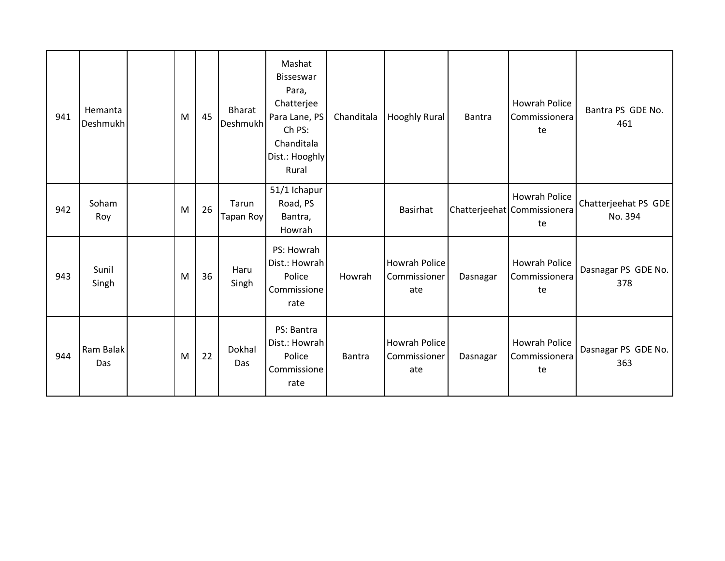| 941 | Hemanta<br><b>Deshmukh</b> | M | 45 | <b>Bharat</b><br>Deshmukh | Mashat<br><b>Bisseswar</b><br>Para,<br>Chatterjee<br>Para Lane, PS<br>Ch PS:<br>Chanditala<br>Dist.: Hooghly<br>Rural | Chanditala    | Hooghly Rural                               | Bantra   | Howrah Police<br>Commissionera<br>te               | Bantra PS GDE No.<br>461        |
|-----|----------------------------|---|----|---------------------------|-----------------------------------------------------------------------------------------------------------------------|---------------|---------------------------------------------|----------|----------------------------------------------------|---------------------------------|
| 942 | Soham<br>Roy               | M | 26 | Tarun<br>Tapan Roy        | 51/1 Ichapur<br>Road, PS<br>Bantra,<br>Howrah                                                                         |               | Basirhat                                    |          | Howrah Police<br>Chatterjeehat Commissionera<br>te | Chatterjeehat PS GDE<br>No. 394 |
| 943 | Sunil<br>Singh             | M | 36 | Haru<br>Singh             | PS: Howrah<br>Dist.: Howrah<br>Police<br>Commissione<br>rate                                                          | Howrah        | <b>Howrah Police</b><br>Commissioner<br>ate | Dasnagar | <b>Howrah Police</b><br>Commissionera<br>te        | Dasnagar PS GDE No.<br>378      |
| 944 | Ram Balak<br>Das           | M | 22 | Dokhal<br>Das             | PS: Bantra<br>Dist.: Howrah<br>Police<br>Commissione<br>rate                                                          | <b>Bantra</b> | <b>Howrah Police</b><br>Commissioner<br>ate | Dasnagar | Howrah Police<br>Commissionera<br>te               | Dasnagar PS GDE No.<br>363      |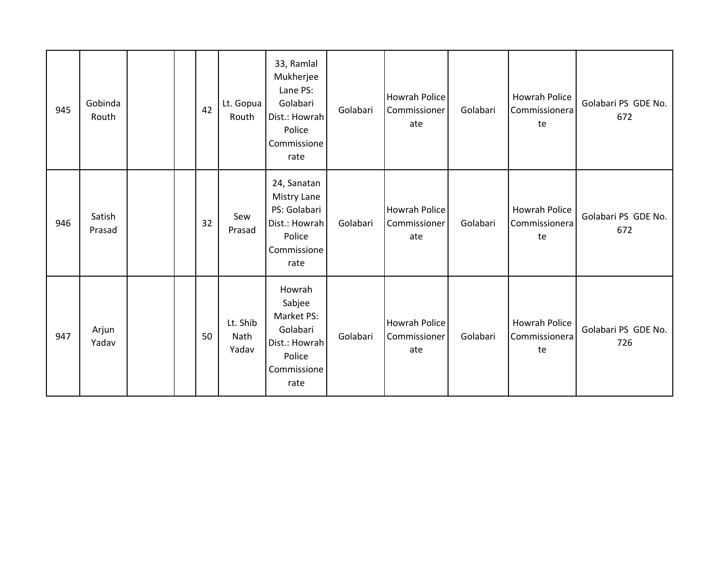| 945 | Gobinda<br>Routh |  | 42 | Lt. Gopua<br>Routh        | 33, Ramlal<br>Mukherjee<br>Lane PS:<br>Golabari<br>Dist.: Howrah<br>Police<br>Commissione<br>rate | Golabari | <b>Howrah Police</b><br>Commissioner<br>ate | Golabari | <b>Howrah Police</b><br>Commissionera<br>te | Golabari PS GDE No.<br>672 |
|-----|------------------|--|----|---------------------------|---------------------------------------------------------------------------------------------------|----------|---------------------------------------------|----------|---------------------------------------------|----------------------------|
| 946 | Satish<br>Prasad |  | 32 | Sew<br>Prasad             | 24, Sanatan<br>Mistry Lane<br>PS: Golabari<br>Dist.: Howrah<br>Police<br>Commissione<br>rate      | Golabari | Howrah Police<br>Commissioner<br>ate        | Golabari | <b>Howrah Police</b><br>Commissionera<br>te | Golabari PS GDE No.<br>672 |
| 947 | Arjun<br>Yadav   |  | 50 | Lt. Shib<br>Nath<br>Yadav | Howrah<br>Sabjee<br>Market PS:<br>Golabari<br>Dist.: Howrah<br>Police<br>Commissione<br>rate      | Golabari | Howrah Police<br>Commissioner<br>ate        | Golabari | Howrah Police<br>Commissionera<br>te        | Golabari PS GDE No.<br>726 |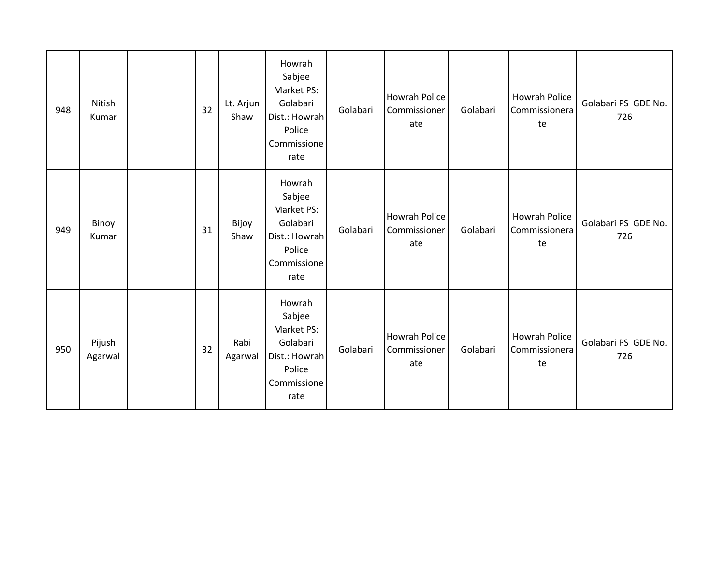| 948 | Nitish<br>Kumar   |  | 32 | Lt. Arjun<br>Shaw | Howrah<br>Sabjee<br>Market PS:<br>Golabari<br>Dist.: Howrah<br>Police<br>Commissione<br>rate | Golabari | <b>Howrah Police</b><br>Commissioner<br>ate | Golabari | Howrah Police<br>Commissionera<br>te        | Golabari PS GDE No.<br>726 |
|-----|-------------------|--|----|-------------------|----------------------------------------------------------------------------------------------|----------|---------------------------------------------|----------|---------------------------------------------|----------------------------|
| 949 | Binoy<br>Kumar    |  | 31 | Bijoy<br>Shaw     | Howrah<br>Sabjee<br>Market PS:<br>Golabari<br>Dist.: Howrah<br>Police<br>Commissione<br>rate | Golabari | <b>Howrah Police</b><br>Commissioner<br>ate | Golabari | <b>Howrah Police</b><br>Commissionera<br>te | Golabari PS GDE No.<br>726 |
| 950 | Pijush<br>Agarwal |  | 32 | Rabi<br>Agarwal   | Howrah<br>Sabjee<br>Market PS:<br>Golabari<br>Dist.: Howrah<br>Police<br>Commissione<br>rate | Golabari | <b>Howrah Police</b><br>Commissioner<br>ate | Golabari | <b>Howrah Police</b><br>Commissionera<br>te | Golabari PS GDE No.<br>726 |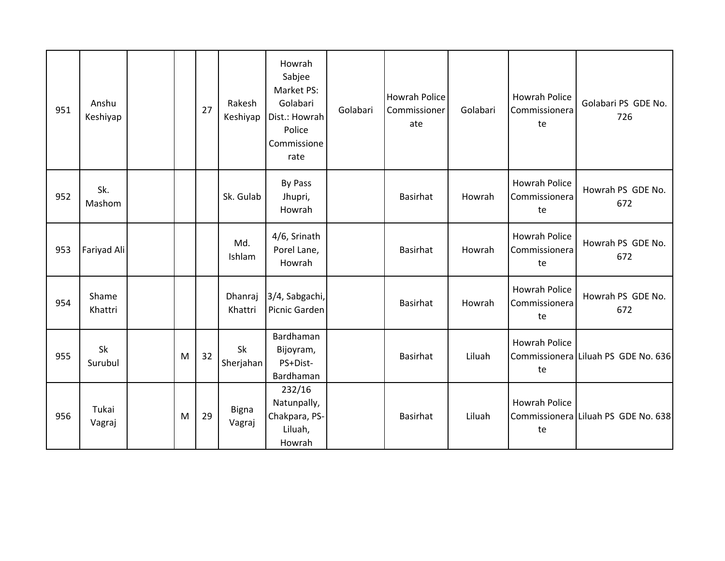| 951 | Anshu<br>Keshiyap |   | 27 | Rakesh<br>Keshiyap | Howrah<br>Sabjee<br>Market PS:<br>Golabari<br>Dist.: Howrah<br>Police<br>Commissione<br>rate | Golabari | <b>Howrah Police</b><br>Commissioner<br>ate | Golabari | <b>Howrah Police</b><br>Commissionera<br>te | Golabari PS GDE No.<br>726          |
|-----|-------------------|---|----|--------------------|----------------------------------------------------------------------------------------------|----------|---------------------------------------------|----------|---------------------------------------------|-------------------------------------|
| 952 | Sk.<br>Mashom     |   |    | Sk. Gulab          | By Pass<br>Jhupri,<br>Howrah                                                                 |          | <b>Basirhat</b>                             | Howrah   | <b>Howrah Police</b><br>Commissionera<br>te | Howrah PS GDE No.<br>672            |
| 953 | Fariyad Ali       |   |    | Md.<br>Ishlam      | 4/6, Srinath<br>Porel Lane,<br>Howrah                                                        |          | <b>Basirhat</b>                             | Howrah   | <b>Howrah Police</b><br>Commissionera<br>te | Howrah PS GDE No.<br>672            |
| 954 | Shame<br>Khattri  |   |    | Dhanraj<br>Khattri | 3/4, Sabgachi,<br>Picnic Garden                                                              |          | <b>Basirhat</b>                             | Howrah   | <b>Howrah Police</b><br>Commissionera<br>te | Howrah PS GDE No.<br>672            |
| 955 | Sk<br>Surubul     | M | 32 | Sk<br>Sherjahan    | Bardhaman<br>Bijoyram,<br>PS+Dist-<br>Bardhaman                                              |          | <b>Basirhat</b>                             | Liluah   | <b>Howrah Police</b><br>te                  | Commissionera Liluah PS GDE No. 636 |
| 956 | Tukai<br>Vagraj   | M | 29 | Bigna<br>Vagraj    | 232/16<br>Natunpally,<br>Chakpara, PS-<br>Liluah,<br>Howrah                                  |          | <b>Basirhat</b>                             | Liluah   | <b>Howrah Police</b><br>te                  | Commissionera Liluah PS GDE No. 638 |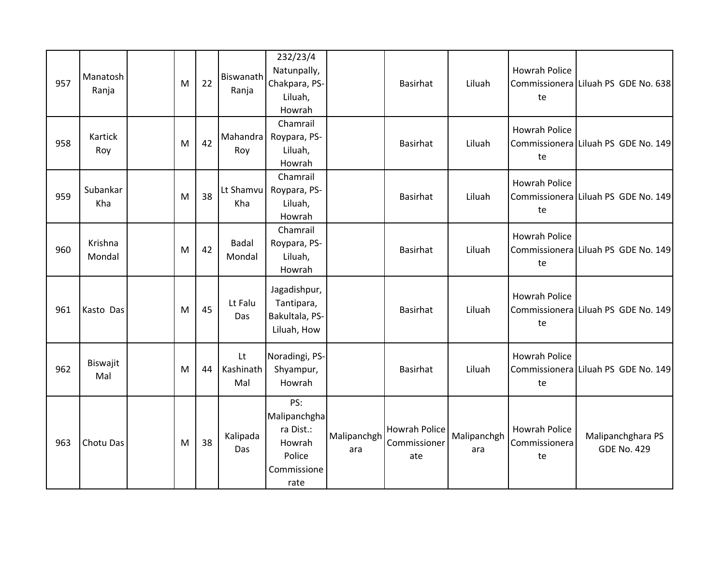| 957 | Manatosh<br>Ranja | M | 22 | Biswanath<br>Ranja     | 232/23/4<br>Natunpally,<br>Chakpara, PS-<br>Liluah,<br>Howrah               |                    | Basirhat                                    | Liluah             | <b>Howrah Police</b><br>te                  | Commissionera Liluah PS GDE No. 638     |
|-----|-------------------|---|----|------------------------|-----------------------------------------------------------------------------|--------------------|---------------------------------------------|--------------------|---------------------------------------------|-----------------------------------------|
| 958 | Kartick<br>Roy    | M | 42 | Mahandra<br>Roy        | Chamrail<br>Roypara, PS-<br>Liluah,<br>Howrah                               |                    | Basirhat                                    | Liluah             | <b>Howrah Police</b><br>te                  | Commissionera Liluah PS GDE No. 149     |
| 959 | Subankar<br>Kha   | M | 38 | Lt Shamvu<br>Kha       | Chamrail<br>Roypara, PS-<br>Liluah,<br>Howrah                               |                    | <b>Basirhat</b>                             | Liluah             | <b>Howrah Police</b><br>te                  | Commissionera Liluah PS GDE No. 149     |
| 960 | Krishna<br>Mondal | M | 42 | Badal<br>Mondal        | Chamrail<br>Roypara, PS-<br>Liluah,<br>Howrah                               |                    | Basirhat                                    | Liluah             | <b>Howrah Police</b><br>te                  | Commissionera Liluah PS GDE No. 149     |
| 961 | Kasto Das         | M | 45 | Lt Falu<br>Das         | Jagadishpur,<br>Tantipara,<br>Bakultala, PS-<br>Liluah, How                 |                    | <b>Basirhat</b>                             | Liluah             | <b>Howrah Police</b><br>te                  | Commissionera Liluah PS GDE No. 149     |
| 962 | Biswajit<br>Mal   | M | 44 | Lt<br>Kashinath<br>Mal | Noradingi, PS-<br>Shyampur,<br>Howrah                                       |                    | <b>Basirhat</b>                             | Liluah             | <b>Howrah Police</b><br>te                  | Commissionera Liluah PS GDE No. 149     |
| 963 | Chotu Das         | M | 38 | Kalipada<br>Das        | PS:<br>Malipanchgha<br>ra Dist.:<br>Howrah<br>Police<br>Commissione<br>rate | Malipanchgh<br>ara | <b>Howrah Police</b><br>Commissioner<br>ate | Malipanchgh<br>ara | <b>Howrah Police</b><br>Commissionera<br>te | Malipanchghara PS<br><b>GDE No. 429</b> |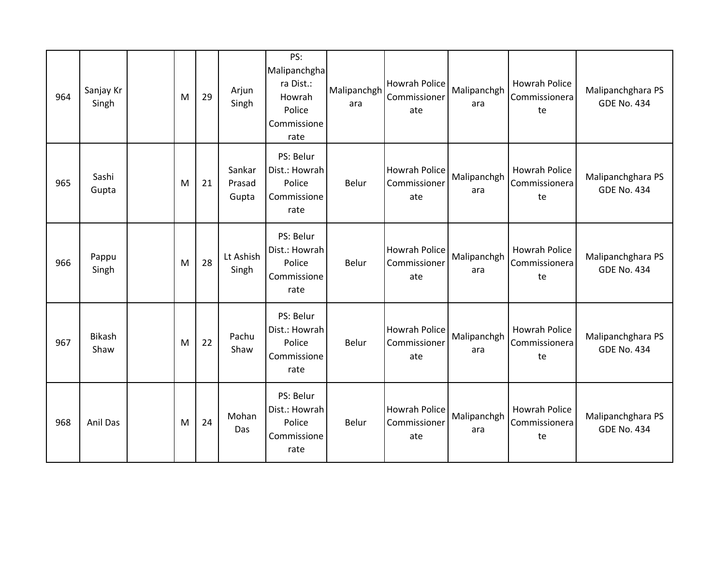| 964 | Sanjay Kr<br>Singh    | M | 29 | Arjun<br>Singh            | PS:<br>Malipanchgha<br>ra Dist.:<br>Howrah<br>Police<br>Commissione<br>rate | Malipanchgh<br>ara | Howrah Police<br>Commissioner<br>ate | Malipanchgh<br>ara | <b>Howrah Police</b><br>Commissionera<br>te | Malipanchghara PS<br><b>GDE No. 434</b> |
|-----|-----------------------|---|----|---------------------------|-----------------------------------------------------------------------------|--------------------|--------------------------------------|--------------------|---------------------------------------------|-----------------------------------------|
| 965 | Sashi<br>Gupta        | M | 21 | Sankar<br>Prasad<br>Gupta | PS: Belur<br>Dist.: Howrah<br>Police<br>Commissione<br>rate                 | Belur              | Howrah Police<br>Commissioner<br>ate | Malipanchgh<br>ara | <b>Howrah Police</b><br>Commissionera<br>te | Malipanchghara PS<br><b>GDE No. 434</b> |
| 966 | Pappu<br>Singh        | M | 28 | Lt Ashish<br>Singh        | PS: Belur<br>Dist.: Howrah<br>Police<br>Commissione<br>rate                 | Belur              | Howrah Police<br>Commissioner<br>ate | Malipanchgh<br>ara | <b>Howrah Police</b><br>Commissionera<br>te | Malipanchghara PS<br><b>GDE No. 434</b> |
| 967 | <b>Bikash</b><br>Shaw | M | 22 | Pachu<br>Shaw             | PS: Belur<br>Dist.: Howrah<br>Police<br>Commissione<br>rate                 | Belur              | Howrah Police<br>Commissioner<br>ate | Malipanchgh<br>ara | <b>Howrah Police</b><br>Commissionera<br>te | Malipanchghara PS<br><b>GDE No. 434</b> |
| 968 | Anil Das              | M | 24 | Mohan<br>Das              | PS: Belur<br>Dist.: Howrah<br>Police<br>Commissione<br>rate                 | Belur              | Howrah Police<br>Commissioner<br>ate | Malipanchgh<br>ara | Howrah Police<br>Commissionera<br>te        | Malipanchghara PS<br><b>GDE No. 434</b> |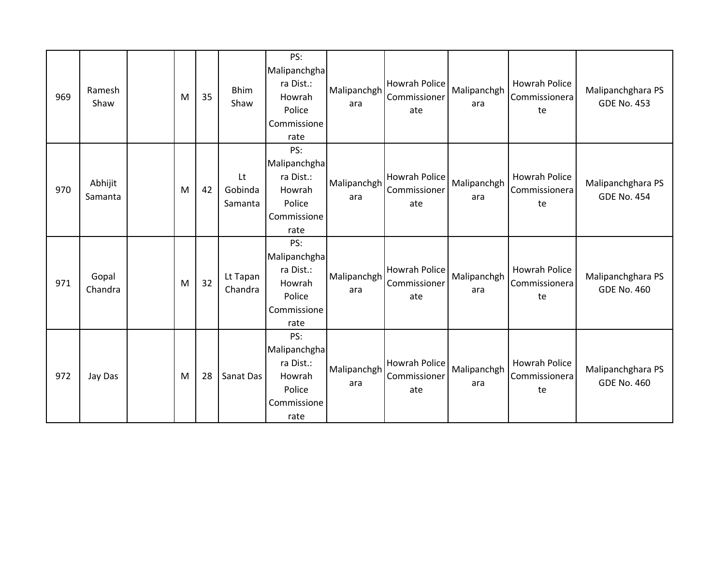| 969 | Ramesh<br>Shaw     | M | 35 | <b>Bhim</b><br>Shaw      | PS:<br>Malipanchgha<br>ra Dist.:<br>Howrah<br>Police<br>Commissione<br>rate | Malipanchgh<br>ara | Howrah Police<br>Commissioner<br>ate | Malipanchgh<br>ara | Howrah Police<br>Commissionera<br>te        | Malipanchghara PS<br><b>GDE No. 453</b> |
|-----|--------------------|---|----|--------------------------|-----------------------------------------------------------------------------|--------------------|--------------------------------------|--------------------|---------------------------------------------|-----------------------------------------|
| 970 | Abhijit<br>Samanta | M | 42 | Lt<br>Gobinda<br>Samanta | PS:<br>Malipanchgha<br>ra Dist.:<br>Howrah<br>Police<br>Commissione<br>rate | Malipanchgh<br>ara | Howrah Police<br>Commissioner<br>ate | Malipanchgh<br>ara | <b>Howrah Police</b><br>Commissionera<br>te | Malipanchghara PS<br><b>GDE No. 454</b> |
| 971 | Gopal<br>Chandra   | M | 32 | Lt Tapan<br>Chandra      | PS:<br>Malipanchgha<br>ra Dist.:<br>Howrah<br>Police<br>Commissione<br>rate | Malipanchgh<br>ara | Howrah Police<br>Commissioner<br>ate | Malipanchgh<br>ara | <b>Howrah Police</b><br>Commissionera<br>te | Malipanchghara PS<br><b>GDE No. 460</b> |
| 972 | Jay Das            | M | 28 | Sanat Das                | PS:<br>Malipanchgha<br>ra Dist.:<br>Howrah<br>Police<br>Commissione<br>rate | Malipanchgh<br>ara | Howrah Police<br>Commissioner<br>ate | Malipanchgh<br>ara | Howrah Police<br>Commissionera<br>te        | Malipanchghara PS<br><b>GDE No. 460</b> |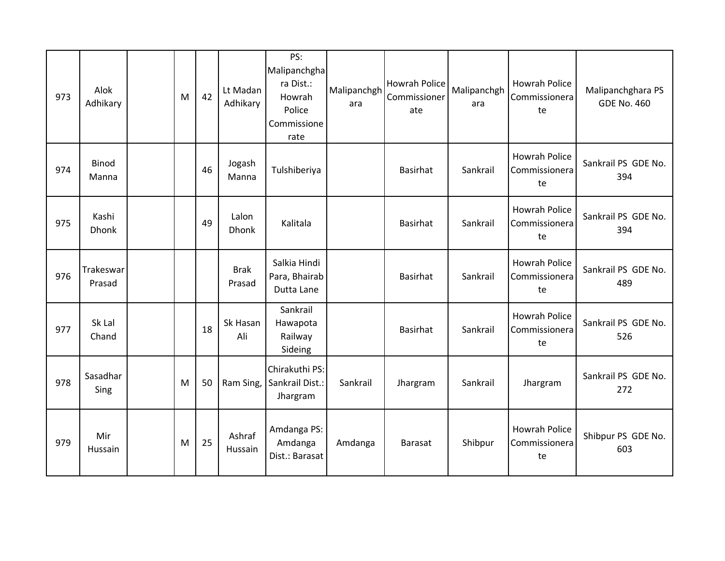| 973 | Alok<br>Adhikary      | M | 42 | Lt Madan<br>Adhikary  | PS:<br>Malipanchgha<br>ra Dist.:<br>Howrah<br>Police<br>Commissione<br>rate | Malipanchgh<br>ara | Howrah Police<br>Commissioner<br>ate | Malipanchgh<br>ara | <b>Howrah Police</b><br>Commissionera<br>te | Malipanchghara PS<br><b>GDE No. 460</b> |
|-----|-----------------------|---|----|-----------------------|-----------------------------------------------------------------------------|--------------------|--------------------------------------|--------------------|---------------------------------------------|-----------------------------------------|
| 974 | <b>Binod</b><br>Manna |   | 46 | Jogash<br>Manna       | Tulshiberiya                                                                |                    | <b>Basirhat</b>                      | Sankrail           | <b>Howrah Police</b><br>Commissionera<br>te | Sankrail PS GDE No.<br>394              |
| 975 | Kashi<br><b>Dhonk</b> |   | 49 | Lalon<br><b>Dhonk</b> | Kalitala                                                                    |                    | Basirhat                             | Sankrail           | <b>Howrah Police</b><br>Commissionera<br>te | Sankrail PS GDE No.<br>394              |
| 976 | Trakeswar<br>Prasad   |   |    | <b>Brak</b><br>Prasad | Salkia Hindi<br>Para, Bhairab<br>Dutta Lane                                 |                    | Basirhat                             | Sankrail           | Howrah Police<br>Commissionera<br>te        | Sankrail PS GDE No.<br>489              |
| 977 | Sk Lal<br>Chand       |   | 18 | Sk Hasan<br>Ali       | Sankrail<br>Hawapota<br>Railway<br>Sideing                                  |                    | <b>Basirhat</b>                      | Sankrail           | <b>Howrah Police</b><br>Commissionera<br>te | Sankrail PS GDE No.<br>526              |
| 978 | Sasadhar<br>Sing      | M | 50 | Ram Sing,             | Chirakuthi PS:<br>Sankrail Dist.:<br>Jhargram                               | Sankrail           | Jhargram                             | Sankrail           | Jhargram                                    | Sankrail PS GDE No.<br>272              |
| 979 | Mir<br>Hussain        | M | 25 | Ashraf<br>Hussain     | Amdanga PS:<br>Amdanga<br>Dist.: Barasat                                    | Amdanga            | <b>Barasat</b>                       | Shibpur            | <b>Howrah Police</b><br>Commissionera<br>te | Shibpur PS GDE No.<br>603               |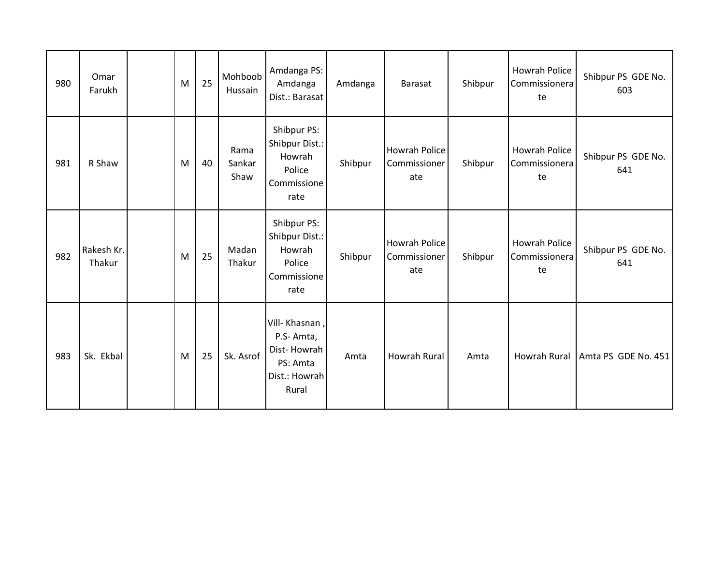| 980 | Omar<br>Farukh       | M | 25 | Mohboob<br>Hussain     | Amdanga PS:<br>Amdanga<br>Dist.: Barasat                                         | Amdanga | <b>Barasat</b>                       | Shibpur | Howrah Police<br>Commissionera<br>te        | Shibpur PS GDE No.<br>603 |
|-----|----------------------|---|----|------------------------|----------------------------------------------------------------------------------|---------|--------------------------------------|---------|---------------------------------------------|---------------------------|
| 981 | R Shaw               | M | 40 | Rama<br>Sankar<br>Shaw | Shibpur PS:<br>Shibpur Dist.:<br>Howrah<br>Police<br>Commissione<br>rate         | Shibpur | Howrah Police<br>Commissioner<br>ate | Shibpur | <b>Howrah Police</b><br>Commissionera<br>te | Shibpur PS GDE No.<br>641 |
| 982 | Rakesh Kr.<br>Thakur | M | 25 | Madan<br>Thakur        | Shibpur PS:<br>Shibpur Dist.:<br>Howrah<br>Police<br>Commissione<br>rate         | Shibpur | Howrah Police<br>Commissioner<br>ate | Shibpur | <b>Howrah Police</b><br>Commissionera<br>te | Shibpur PS GDE No.<br>641 |
| 983 | Sk. Ekbal            | M | 25 | Sk. Asrof              | Vill- Khasnan,<br>P.S-Amta,<br>Dist-Howrah<br>PS: Amta<br>Dist.: Howrah<br>Rural | Amta    | <b>Howrah Rural</b>                  | Amta    | Howrah Rural                                | Amta PS GDE No. 451       |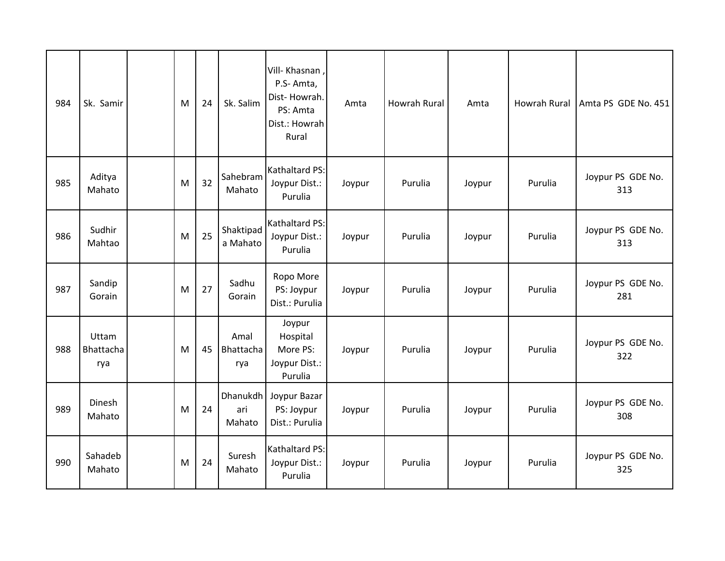| 984 | Sk. Samir                 | M | 24 | Sk. Salim                 | Vill- Khasnan,<br>P.S-Amta,<br>Dist-Howrah.<br>PS: Amta<br>Dist.: Howrah<br>Rural | Amta   | Howrah Rural | Amta   | Howrah Rural | Amta PS GDE No. 451      |
|-----|---------------------------|---|----|---------------------------|-----------------------------------------------------------------------------------|--------|--------------|--------|--------------|--------------------------|
| 985 | Aditya<br>Mahato          | M | 32 | Sahebram<br>Mahato        | Kathaltard PS:<br>Joypur Dist.:<br>Purulia                                        | Joypur | Purulia      | Joypur | Purulia      | Joypur PS GDE No.<br>313 |
| 986 | Sudhir<br>Mahtao          | M | 25 | Shaktipad<br>a Mahato     | Kathaltard PS:<br>Joypur Dist.:<br>Purulia                                        | Joypur | Purulia      | Joypur | Purulia      | Joypur PS GDE No.<br>313 |
| 987 | Sandip<br>Gorain          | M | 27 | Sadhu<br>Gorain           | Ropo More<br>PS: Joypur<br>Dist.: Purulia                                         | Joypur | Purulia      | Joypur | Purulia      | Joypur PS GDE No.<br>281 |
| 988 | Uttam<br>Bhattacha<br>rya | M | 45 | Amal<br>Bhattacha<br>rya  | Joypur<br>Hospital<br>More PS:<br>Joypur Dist.:<br>Purulia                        | Joypur | Purulia      | Joypur | Purulia      | Joypur PS GDE No.<br>322 |
| 989 | Dinesh<br>Mahato          | M | 24 | Dhanukdh<br>ari<br>Mahato | Joypur Bazar<br>PS: Joypur<br>Dist.: Purulia                                      | Joypur | Purulia      | Joypur | Purulia      | Joypur PS GDE No.<br>308 |
| 990 | Sahadeb<br>Mahato         | M | 24 | Suresh<br>Mahato          | Kathaltard PS:<br>Joypur Dist.:<br>Purulia                                        | Joypur | Purulia      | Joypur | Purulia      | Joypur PS GDE No.<br>325 |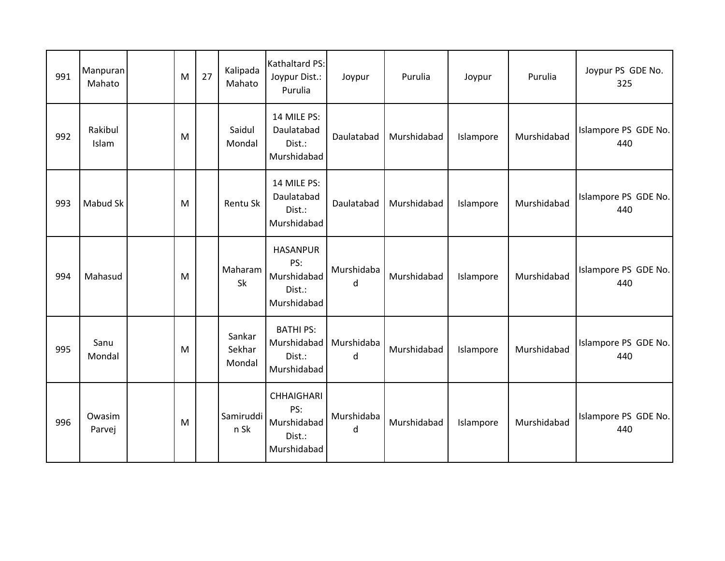| 991 | Manpuran<br>Mahato | M | 27 | Kalipada<br>Mahato         | Kathaltard PS:<br>Joypur Dist.:<br>Purulia                       | Joypur          | Purulia     | Joypur    | Purulia     | Joypur PS GDE No.<br>325    |
|-----|--------------------|---|----|----------------------------|------------------------------------------------------------------|-----------------|-------------|-----------|-------------|-----------------------------|
| 992 | Rakibul<br>Islam   | M |    | Saidul<br>Mondal           | 14 MILE PS:<br>Daulatabad<br>Dist.:<br>Murshidabad               | Daulatabad      | Murshidabad | Islampore | Murshidabad | Islampore PS GDE No.<br>440 |
| 993 | Mabud Sk           | M |    | Rentu Sk                   | 14 MILE PS:<br>Daulatabad<br>Dist.:<br>Murshidabad               | Daulatabad      | Murshidabad | Islampore | Murshidabad | Islampore PS GDE No.<br>440 |
| 994 | Mahasud            | M |    | Maharam<br>Sk              | <b>HASANPUR</b><br>PS:<br>Murshidabad<br>Dist.:<br>Murshidabad   | Murshidaba<br>d | Murshidabad | Islampore | Murshidabad | Islampore PS GDE No.<br>440 |
| 995 | Sanu<br>Mondal     | M |    | Sankar<br>Sekhar<br>Mondal | <b>BATHI PS:</b><br>Murshidabad<br>Dist.:<br>Murshidabad         | Murshidaba<br>d | Murshidabad | Islampore | Murshidabad | Islampore PS GDE No.<br>440 |
| 996 | Owasim<br>Parvej   | M |    | Samiruddi<br>n Sk          | <b>CHHAIGHARI</b><br>PS:<br>Murshidabad<br>Dist.:<br>Murshidabad | Murshidaba<br>d | Murshidabad | Islampore | Murshidabad | Islampore PS GDE No.<br>440 |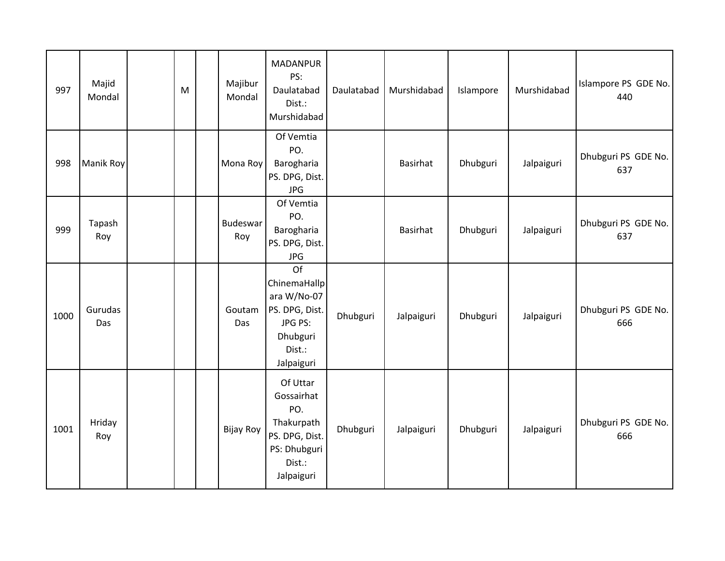| 997  | Majid<br>Mondal | M | Majibur<br>Mondal | <b>MADANPUR</b><br>PS:<br>Daulatabad<br>Dist.:<br>Murshidabad                                         | Daulatabad | Murshidabad | Islampore | Murshidabad | Islampore PS GDE No.<br>440 |
|------|-----------------|---|-------------------|-------------------------------------------------------------------------------------------------------|------------|-------------|-----------|-------------|-----------------------------|
| 998  | Manik Roy       |   | Mona Roy          | Of Vemtia<br>PO.<br>Barogharia<br>PS. DPG, Dist.<br><b>JPG</b>                                        |            | Basirhat    | Dhubguri  | Jalpaiguri  | Dhubguri PS GDE No.<br>637  |
| 999  | Tapash<br>Roy   |   | Budeswar<br>Roy   | Of Vemtia<br>PO.<br>Barogharia<br>PS. DPG, Dist.<br><b>JPG</b>                                        |            | Basirhat    | Dhubguri  | Jalpaiguri  | Dhubguri PS GDE No.<br>637  |
| 1000 | Gurudas<br>Das  |   | Goutam<br>Das     | Of<br>ChinemaHallp<br>ara W/No-07<br>PS. DPG, Dist.<br>JPG PS:<br>Dhubguri<br>Dist.:<br>Jalpaiguri    | Dhubguri   | Jalpaiguri  | Dhubguri  | Jalpaiguri  | Dhubguri PS GDE No.<br>666  |
| 1001 | Hriday<br>Roy   |   | Bijay Roy         | Of Uttar<br>Gossairhat<br>PO.<br>Thakurpath<br>PS. DPG, Dist.<br>PS: Dhubguri<br>Dist.:<br>Jalpaiguri | Dhubguri   | Jalpaiguri  | Dhubguri  | Jalpaiguri  | Dhubguri PS GDE No.<br>666  |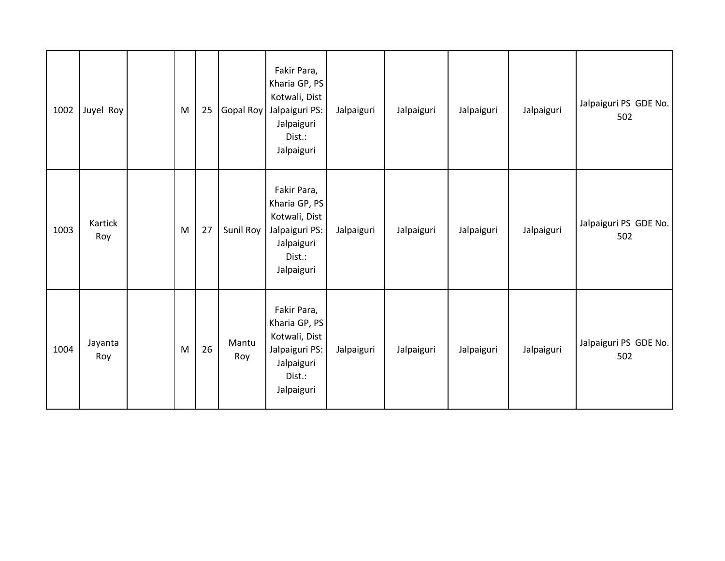| 1002 | Juyel Roy      | M | 25 | Gopal Roy    | Fakir Para,<br>Kharia GP, PS<br>Kotwali, Dist<br>Jalpaiguri PS:<br>Jalpaiguri<br>Dist.:<br>Jalpaiguri | Jalpaiguri | Jalpaiguri | Jalpaiguri | Jalpaiguri | Jalpaiguri PS GDE No.<br>502 |
|------|----------------|---|----|--------------|-------------------------------------------------------------------------------------------------------|------------|------------|------------|------------|------------------------------|
| 1003 | Kartick<br>Roy | M | 27 | Sunil Roy    | Fakir Para,<br>Kharia GP, PS<br>Kotwali, Dist<br>Jalpaiguri PS:<br>Jalpaiguri<br>Dist.:<br>Jalpaiguri | Jalpaiguri | Jalpaiguri | Jalpaiguri | Jalpaiguri | Jalpaiguri PS GDE No.<br>502 |
| 1004 | Jayanta<br>Roy | M | 26 | Mantu<br>Roy | Fakir Para,<br>Kharia GP, PS<br>Kotwali, Dist<br>Jalpaiguri PS:<br>Jalpaiguri<br>Dist.:<br>Jalpaiguri | Jalpaiguri | Jalpaiguri | Jalpaiguri | Jalpaiguri | Jalpaiguri PS GDE No.<br>502 |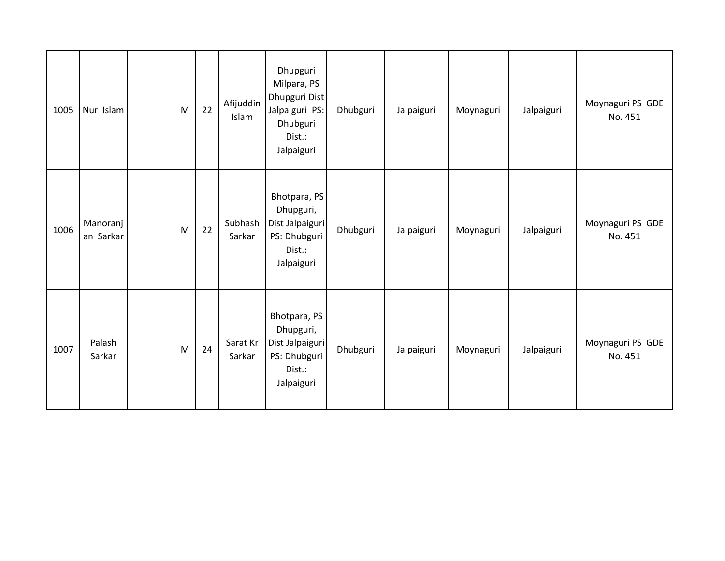| 1005 | Nur Islam             | M | 22 | Afijuddin<br>Islam | Dhupguri<br>Milpara, PS<br>Dhupguri Dist<br>Jalpaiguri PS:<br>Dhubguri<br>Dist.:<br>Jalpaiguri | Dhubguri | Jalpaiguri | Moynaguri | Jalpaiguri | Moynaguri PS GDE<br>No. 451 |
|------|-----------------------|---|----|--------------------|------------------------------------------------------------------------------------------------|----------|------------|-----------|------------|-----------------------------|
| 1006 | Manoranj<br>an Sarkar | M | 22 | Subhash<br>Sarkar  | Bhotpara, PS<br>Dhupguri,<br>Dist Jalpaiguri<br>PS: Dhubguri<br>Dist.:<br>Jalpaiguri           | Dhubguri | Jalpaiguri | Moynaguri | Jalpaiguri | Moynaguri PS GDE<br>No. 451 |
| 1007 | Palash<br>Sarkar      | M | 24 | Sarat Kr<br>Sarkar | Bhotpara, PS<br>Dhupguri,<br>Dist Jalpaiguri<br>PS: Dhubguri<br>Dist.:<br>Jalpaiguri           | Dhubguri | Jalpaiguri | Moynaguri | Jalpaiguri | Moynaguri PS GDE<br>No. 451 |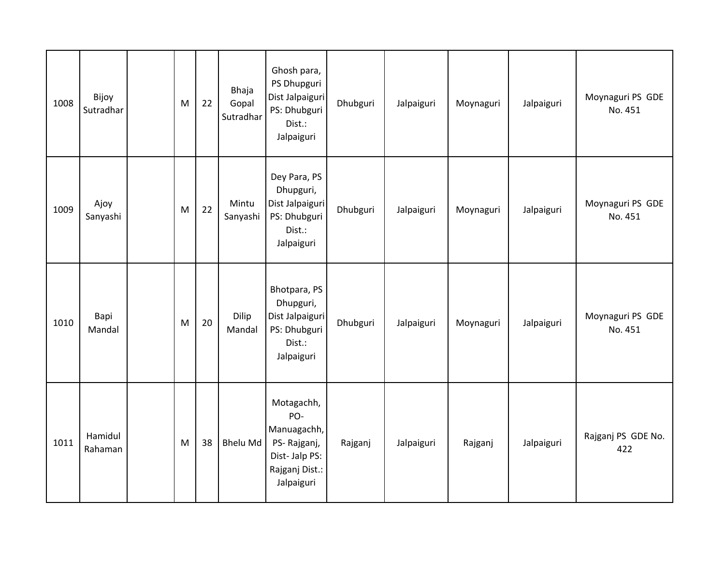| 1008 | Bijoy<br>Sutradhar | M | 22 | Bhaja<br>Gopal<br>Sutradhar | Ghosh para,<br>PS Dhupguri<br>Dist Jalpaiguri<br>PS: Dhubguri<br>Dist.:<br>Jalpaiguri            | Dhubguri | Jalpaiguri | Moynaguri | Jalpaiguri | Moynaguri PS GDE<br>No. 451 |
|------|--------------------|---|----|-----------------------------|--------------------------------------------------------------------------------------------------|----------|------------|-----------|------------|-----------------------------|
| 1009 | Ajoy<br>Sanyashi   | M | 22 | Mintu<br>Sanyashi           | Dey Para, PS<br>Dhupguri,<br>Dist Jalpaiguri<br>PS: Dhubguri<br>Dist.:<br>Jalpaiguri             | Dhubguri | Jalpaiguri | Moynaguri | Jalpaiguri | Moynaguri PS GDE<br>No. 451 |
| 1010 | Bapi<br>Mandal     | M | 20 | Dilip<br>Mandal             | Bhotpara, PS<br>Dhupguri,<br>Dist Jalpaiguri<br>PS: Dhubguri<br>Dist.:<br>Jalpaiguri             | Dhubguri | Jalpaiguri | Moynaguri | Jalpaiguri | Moynaguri PS GDE<br>No. 451 |
| 1011 | Hamidul<br>Rahaman | M | 38 | <b>Bhelu Md</b>             | Motagachh,<br>PO-<br>Manuagachh,<br>PS-Rajganj,<br>Dist-Jalp PS:<br>Rajganj Dist.:<br>Jalpaiguri | Rajganj  | Jalpaiguri | Rajganj   | Jalpaiguri | Rajganj PS GDE No.<br>422   |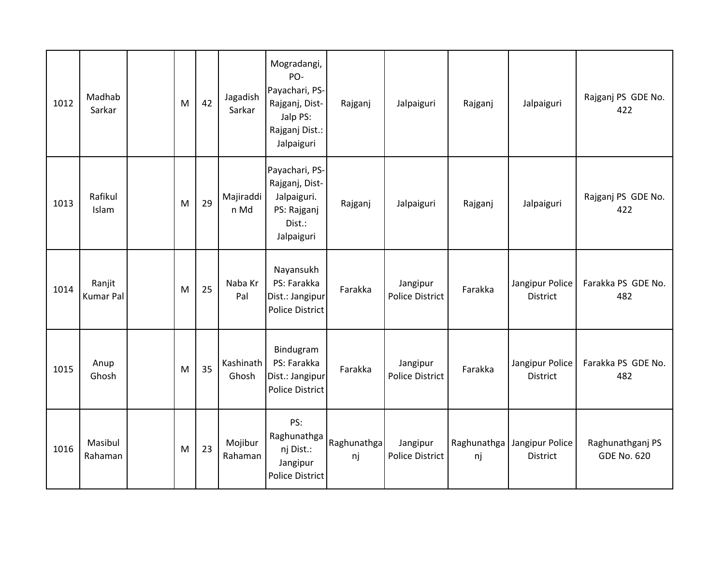| 1012 | Madhab<br>Sarkar           | M | 42 | Jagadish<br>Sarkar | Mogradangi,<br>PO-<br>Payachari, PS-<br>Rajganj, Dist-<br>Jalp PS:<br>Rajganj Dist.:<br>Jalpaiguri | Rajganj           | Jalpaiguri                         | Rajganj           | Jalpaiguri                         | Rajganj PS GDE No.<br>422              |
|------|----------------------------|---|----|--------------------|----------------------------------------------------------------------------------------------------|-------------------|------------------------------------|-------------------|------------------------------------|----------------------------------------|
| 1013 | Rafikul<br>Islam           | M | 29 | Majiraddi<br>n Md  | Payachari, PS-<br>Rajganj, Dist-<br>Jalpaiguri.<br>PS: Rajganj<br>Dist.:<br>Jalpaiguri             | Rajganj           | Jalpaiguri                         | Rajganj           | Jalpaiguri                         | Rajganj PS GDE No.<br>422              |
| 1014 | Ranjit<br><b>Kumar Pal</b> | M | 25 | Naba Kr<br>Pal     | Nayansukh<br>PS: Farakka<br>Dist.: Jangipur<br><b>Police District</b>                              | Farakka           | Jangipur<br><b>Police District</b> | Farakka           | Jangipur Police<br>District        | Farakka PS GDE No.<br>482              |
| 1015 | Anup<br>Ghosh              | M | 35 | Kashinath<br>Ghosh | Bindugram<br>PS: Farakka<br>Dist.: Jangipur<br><b>Police District</b>                              | Farakka           | Jangipur<br><b>Police District</b> | Farakka           | Jangipur Police<br>District        | Farakka PS GDE No.<br>482              |
| 1016 | Masibul<br>Rahaman         | M | 23 | Mojibur<br>Rahaman | PS:<br>Raghunathga<br>nj Dist.:<br>Jangipur<br><b>Police District</b>                              | Raghunathga<br>nj | Jangipur<br><b>Police District</b> | Raghunathga<br>nj | Jangipur Police<br><b>District</b> | Raghunathganj PS<br><b>GDE No. 620</b> |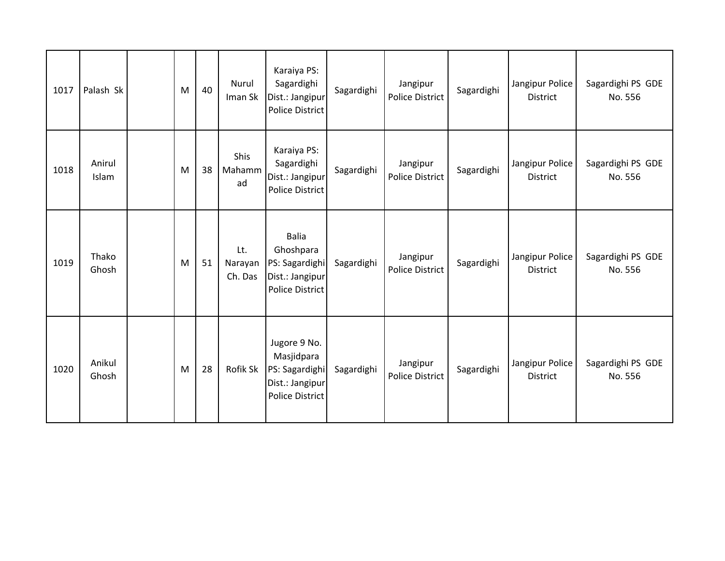| 1017 | Palash Sk       | M | 40 | Nurul<br>Iman Sk            | Karaiya PS:<br>Sagardighi<br>Dist.: Jangipur<br><b>Police District</b>                    | Sagardighi | Jangipur<br>Police District        | Sagardighi | Jangipur Police<br><b>District</b> | Sagardighi PS GDE<br>No. 556 |
|------|-----------------|---|----|-----------------------------|-------------------------------------------------------------------------------------------|------------|------------------------------------|------------|------------------------------------|------------------------------|
| 1018 | Anirul<br>Islam | M | 38 | <b>Shis</b><br>Mahamm<br>ad | Karaiya PS:<br>Sagardighi<br>Dist.: Jangipur<br><b>Police District</b>                    | Sagardighi | Jangipur<br><b>Police District</b> | Sagardighi | Jangipur Police<br>District        | Sagardighi PS GDE<br>No. 556 |
| 1019 | Thako<br>Ghosh  | M | 51 | Lt.<br>Narayan<br>Ch. Das   | <b>Balia</b><br>Ghoshpara<br>PS: Sagardighi<br>Dist.: Jangipur<br><b>Police District</b>  | Sagardighi | Jangipur<br>Police District        | Sagardighi | Jangipur Police<br>District        | Sagardighi PS GDE<br>No. 556 |
| 1020 | Anikul<br>Ghosh | M | 28 | Rofik Sk                    | Jugore 9 No.<br>Masjidpara<br>PS: Sagardighi<br>Dist.: Jangipur<br><b>Police District</b> | Sagardighi | Jangipur<br><b>Police District</b> | Sagardighi | Jangipur Police<br>District        | Sagardighi PS GDE<br>No. 556 |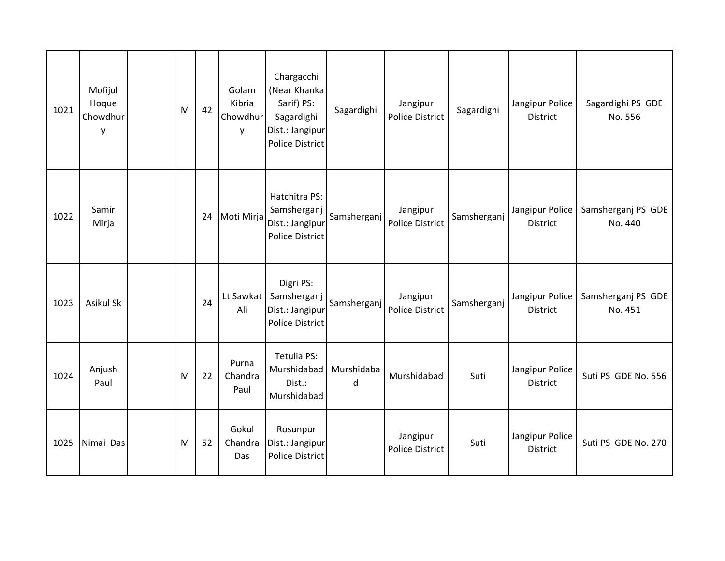| 1021 | Mofijul<br>Hoque<br>Chowdhur<br>y | M | 42 | Golam<br>Kibria<br>Chowdhur<br>y | Chargacchi<br>(Near Khanka<br>Sarif) PS:<br>Sagardighi<br>Dist.: Jangipur<br><b>Police District</b> | Sagardighi      | Jangipur<br>Police District        | Sagardighi  | Jangipur Police<br><b>District</b> | Sagardighi PS GDE<br>No. 556  |
|------|-----------------------------------|---|----|----------------------------------|-----------------------------------------------------------------------------------------------------|-----------------|------------------------------------|-------------|------------------------------------|-------------------------------|
| 1022 | Samir<br>Mirja                    |   | 24 | Moti Mirja                       | Hatchitra PS:<br>Samsherganj<br>Dist.: Jangipur<br><b>Police District</b>                           | Samsherganj     | Jangipur<br><b>Police District</b> | Samsherganj | Jangipur Police<br>District        | Samsherganj PS GDE<br>No. 440 |
| 1023 | <b>Asikul Sk</b>                  |   | 24 | Lt Sawkat<br>Ali                 | Digri PS:<br>Samsherganj<br>Dist.: Jangipur<br><b>Police District</b>                               | Samsherganj     | Jangipur<br>Police District        | Samsherganj | Jangipur Police<br><b>District</b> | Samsherganj PS GDE<br>No. 451 |
| 1024 | Anjush<br>Paul                    | M | 22 | Purna<br>Chandra<br>Paul         | Tetulia PS:<br>Murshidabad<br>Dist.:<br>Murshidabad                                                 | Murshidaba<br>d | Murshidabad                        | Suti        | Jangipur Police<br><b>District</b> | Suti PS GDE No. 556           |
| 1025 | Nimai Das                         | M | 52 | Gokul<br>Chandra<br>Das          | Rosunpur<br>Dist.: Jangipur<br><b>Police District</b>                                               |                 | Jangipur<br>Police District        | Suti        | Jangipur Police<br>District        | Suti PS GDE No. 270           |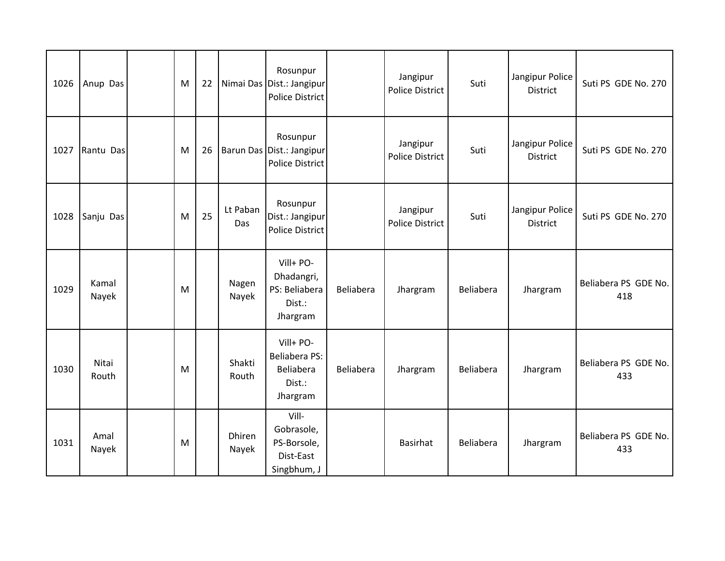| 1026 | Anup Das       | M | 22 |                 | Rosunpur<br>Nimai Das Dist.: Jangipur<br><b>Police District</b> |           | Jangipur<br>Police District        | Suti      | Jangipur Police<br><b>District</b> | Suti PS GDE No. 270         |
|------|----------------|---|----|-----------------|-----------------------------------------------------------------|-----------|------------------------------------|-----------|------------------------------------|-----------------------------|
| 1027 | Rantu Das      | M | 26 |                 | Rosunpur<br>Barun Das Dist.: Jangipur<br><b>Police District</b> |           | Jangipur<br><b>Police District</b> | Suti      | Jangipur Police<br><b>District</b> | Suti PS GDE No. 270         |
| 1028 | Sanju Das      | M | 25 | Lt Paban<br>Das | Rosunpur<br>Dist.: Jangipur<br><b>Police District</b>           |           | Jangipur<br><b>Police District</b> | Suti      | Jangipur Police<br><b>District</b> | Suti PS GDE No. 270         |
| 1029 | Kamal<br>Nayek | M |    | Nagen<br>Nayek  | Vill+ PO-<br>Dhadangri,<br>PS: Beliabera<br>Dist.:<br>Jhargram  | Beliabera | Jhargram                           | Beliabera | Jhargram                           | Beliabera PS GDE No.<br>418 |
| 1030 | Nitai<br>Routh | M |    | Shakti<br>Routh | Vill+ PO-<br>Beliabera PS:<br>Beliabera<br>Dist.:<br>Jhargram   | Beliabera | Jhargram                           | Beliabera | Jhargram                           | Beliabera PS GDE No.<br>433 |
| 1031 | Amal<br>Nayek  | M |    | Dhiren<br>Nayek | Vill-<br>Gobrasole,<br>PS-Borsole,<br>Dist-East<br>Singbhum, J  |           | Basirhat                           | Beliabera | Jhargram                           | Beliabera PS GDE No.<br>433 |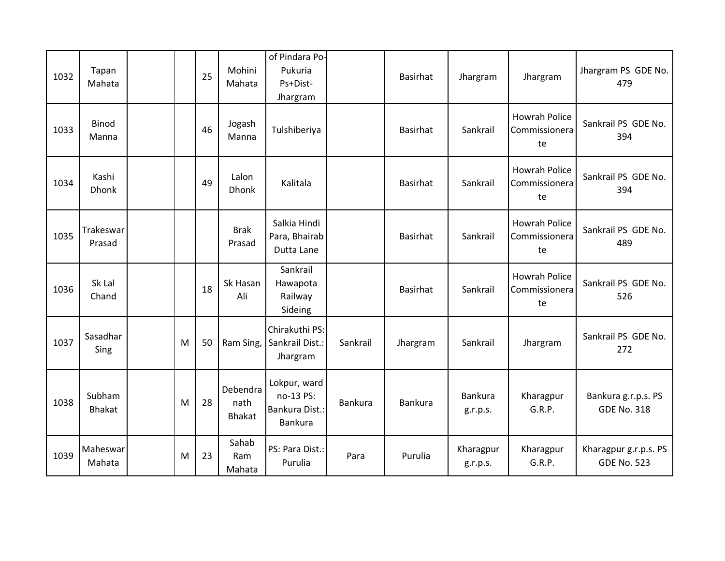| 1032 | Tapan<br>Mahata         |   | 25 | Mohini<br>Mahata                  | of Pindara Po-<br>Pukuria<br>Ps+Dist-<br>Jhargram      |          | <b>Basirhat</b> | Jhargram                   | Jhargram                                    | Jhargram PS GDE No.<br>479                  |
|------|-------------------------|---|----|-----------------------------------|--------------------------------------------------------|----------|-----------------|----------------------------|---------------------------------------------|---------------------------------------------|
| 1033 | <b>Binod</b><br>Manna   |   | 46 | Jogash<br>Manna                   | Tulshiberiya                                           |          | <b>Basirhat</b> | Sankrail                   | <b>Howrah Police</b><br>Commissionera<br>te | Sankrail PS GDE No.<br>394                  |
| 1034 | Kashi<br><b>Dhonk</b>   |   | 49 | Lalon<br><b>Dhonk</b>             | Kalitala                                               |          | Basirhat        | Sankrail                   | <b>Howrah Police</b><br>Commissionera<br>te | Sankrail PS GDE No.<br>394                  |
| 1035 | Trakeswar<br>Prasad     |   |    | <b>Brak</b><br>Prasad             | Salkia Hindi<br>Para, Bhairab<br>Dutta Lane            |          | Basirhat        | Sankrail                   | <b>Howrah Police</b><br>Commissionera<br>te | Sankrail PS GDE No.<br>489                  |
| 1036 | Sk Lal<br>Chand         |   | 18 | Sk Hasan<br>Ali                   | Sankrail<br>Hawapota<br>Railway<br>Sideing             |          | <b>Basirhat</b> | Sankrail                   | <b>Howrah Police</b><br>Commissionera<br>te | Sankrail PS GDE No.<br>526                  |
| 1037 | Sasadhar<br>Sing        | M | 50 | Ram Sing,                         | Chirakuthi PS:<br>Sankrail Dist.:<br>Jhargram          | Sankrail | Jhargram        | Sankrail                   | Jhargram                                    | Sankrail PS GDE No.<br>272                  |
| 1038 | Subham<br><b>Bhakat</b> | M | 28 | Debendra<br>nath<br><b>Bhakat</b> | Lokpur, ward<br>no-13 PS:<br>Bankura Dist.:<br>Bankura | Bankura  | Bankura         | <b>Bankura</b><br>g.r.p.s. | Kharagpur<br>G.R.P.                         | Bankura g.r.p.s. PS<br><b>GDE No. 318</b>   |
| 1039 | Maheswar<br>Mahata      | M | 23 | Sahab<br>Ram<br>Mahata            | PS: Para Dist.:<br>Purulia                             | Para     | Purulia         | Kharagpur<br>g.r.p.s.      | Kharagpur<br>G.R.P.                         | Kharagpur g.r.p.s. PS<br><b>GDE No. 523</b> |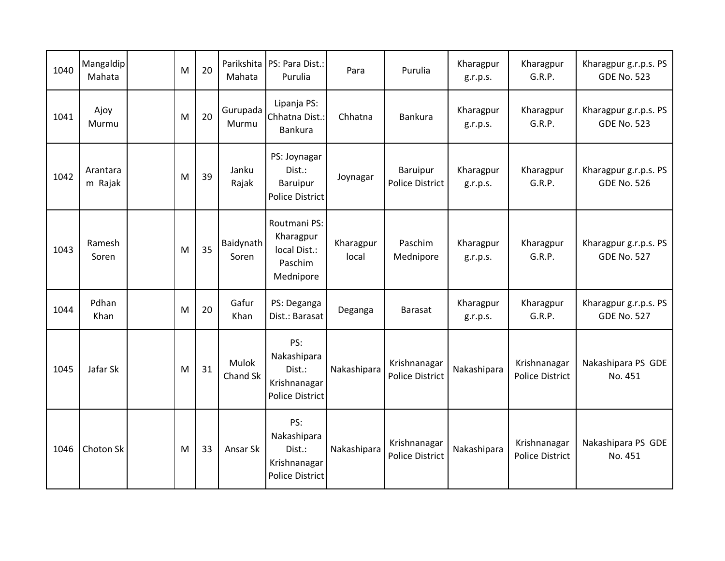| 1040 | Mangaldip<br>Mahata | M | 20 | Parikshita<br>Mahata | PS: Para Dist.:<br>Purulia                                             | Para               | Purulia                                | Kharagpur<br>g.r.p.s. | Kharagpur<br>G.R.P.                    | Kharagpur g.r.p.s. PS<br><b>GDE No. 523</b> |
|------|---------------------|---|----|----------------------|------------------------------------------------------------------------|--------------------|----------------------------------------|-----------------------|----------------------------------------|---------------------------------------------|
| 1041 | Ajoy<br>Murmu       | M | 20 | Gurupada<br>Murmu    | Lipanja PS:<br>Chhatna Dist.:<br>Bankura                               | Chhatna            | Bankura                                | Kharagpur<br>g.r.p.s. | Kharagpur<br>G.R.P.                    | Kharagpur g.r.p.s. PS<br><b>GDE No. 523</b> |
| 1042 | Arantara<br>m Rajak | M | 39 | Janku<br>Rajak       | PS: Joynagar<br>Dist.:<br>Baruipur<br><b>Police District</b>           | Joynagar           | Baruipur<br>Police District            | Kharagpur<br>g.r.p.s. | Kharagpur<br>G.R.P.                    | Kharagpur g.r.p.s. PS<br><b>GDE No. 526</b> |
| 1043 | Ramesh<br>Soren     | M | 35 | Baidynath<br>Soren   | Routmani PS:<br>Kharagpur<br>local Dist.:<br>Paschim<br>Mednipore      | Kharagpur<br>local | Paschim<br>Mednipore                   | Kharagpur<br>g.r.p.s. | Kharagpur<br>G.R.P.                    | Kharagpur g.r.p.s. PS<br><b>GDE No. 527</b> |
| 1044 | Pdhan<br>Khan       | M | 20 | Gafur<br>Khan        | PS: Deganga<br>Dist.: Barasat                                          | Deganga            | <b>Barasat</b>                         | Kharagpur<br>g.r.p.s. | Kharagpur<br>G.R.P.                    | Kharagpur g.r.p.s. PS<br><b>GDE No. 527</b> |
| 1045 | Jafar Sk            | M | 31 | Mulok<br>Chand Sk    | PS:<br>Nakashipara<br>Dist.:<br>Krishnanagar<br><b>Police District</b> | Nakashipara        | Krishnanagar<br><b>Police District</b> | Nakashipara           | Krishnanagar<br><b>Police District</b> | Nakashipara PS GDE<br>No. 451               |
| 1046 | Choton Sk           | M | 33 | Ansar Sk             | PS:<br>Nakashipara<br>Dist.:<br>Krishnanagar<br><b>Police District</b> | Nakashipara        | Krishnanagar<br><b>Police District</b> | Nakashipara           | Krishnanagar<br><b>Police District</b> | Nakashipara PS GDE<br>No. 451               |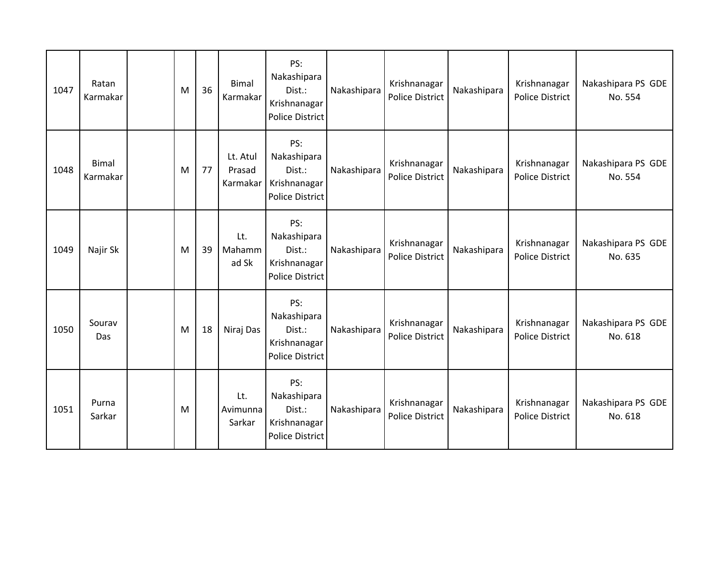| 1047 | Ratan<br>Karmakar        | M | 36 | <b>Bimal</b><br>Karmakar       | PS:<br>Nakashipara<br>Dist.:<br>Krishnanagar<br>Police District        | Nakashipara | Krishnanagar<br>Police District        | Nakashipara | Krishnanagar<br><b>Police District</b> | Nakashipara PS GDE<br>No. 554 |
|------|--------------------------|---|----|--------------------------------|------------------------------------------------------------------------|-------------|----------------------------------------|-------------|----------------------------------------|-------------------------------|
| 1048 | <b>Bimal</b><br>Karmakar | M | 77 | Lt. Atul<br>Prasad<br>Karmakar | PS:<br>Nakashipara<br>Dist.:<br>Krishnanagar<br><b>Police District</b> | Nakashipara | Krishnanagar<br>Police District        | Nakashipara | Krishnanagar<br><b>Police District</b> | Nakashipara PS GDE<br>No. 554 |
| 1049 | Najir Sk                 | M | 39 | Lt.<br>Mahamm<br>ad Sk         | PS:<br>Nakashipara<br>Dist.:<br>Krishnanagar<br><b>Police District</b> | Nakashipara | Krishnanagar<br><b>Police District</b> | Nakashipara | Krishnanagar<br><b>Police District</b> | Nakashipara PS GDE<br>No. 635 |
| 1050 | Sourav<br>Das            | M | 18 | Niraj Das                      | PS:<br>Nakashipara<br>Dist.:<br>Krishnanagar<br><b>Police District</b> | Nakashipara | Krishnanagar<br>Police District        | Nakashipara | Krishnanagar<br><b>Police District</b> | Nakashipara PS GDE<br>No. 618 |
| 1051 | Purna<br>Sarkar          | M |    | Lt.<br>Avimunna<br>Sarkar      | PS:<br>Nakashipara<br>Dist.:<br>Krishnanagar<br><b>Police District</b> | Nakashipara | Krishnanagar<br><b>Police District</b> | Nakashipara | Krishnanagar<br><b>Police District</b> | Nakashipara PS GDE<br>No. 618 |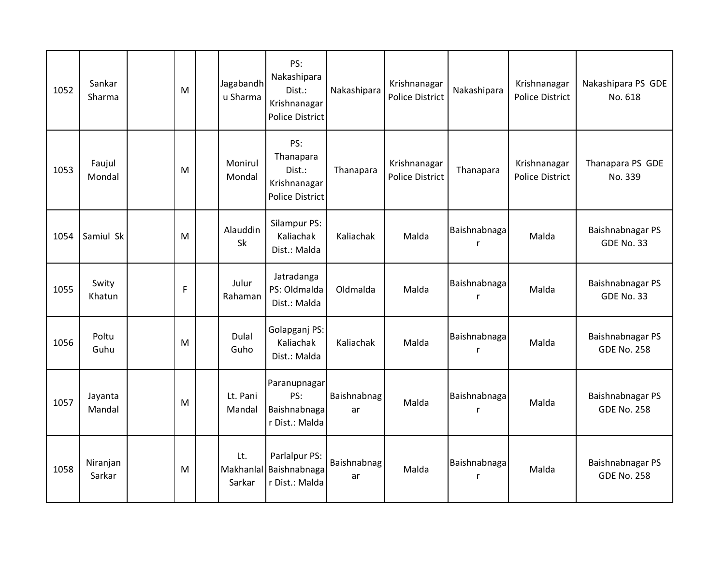| 1052 | Sankar<br>Sharma   | M | Jagabandh<br>u Sharma      | PS:<br>Nakashipara<br>Dist.:<br>Krishnanagar<br><b>Police District</b> | Nakashipara       | Krishnanagar<br>Police District        | Nakashipara       | Krishnanagar<br><b>Police District</b> | Nakashipara PS GDE<br>No. 618          |
|------|--------------------|---|----------------------------|------------------------------------------------------------------------|-------------------|----------------------------------------|-------------------|----------------------------------------|----------------------------------------|
| 1053 | Faujul<br>Mondal   | M | Monirul<br>Mondal          | PS:<br>Thanapara<br>Dist.:<br>Krishnanagar<br><b>Police District</b>   | Thanapara         | Krishnanagar<br><b>Police District</b> | Thanapara         | Krishnanagar<br>Police District        | Thanapara PS GDE<br>No. 339            |
| 1054 | Samiul Sk          | M | Alauddin<br>Sk             | Silampur PS:<br>Kaliachak<br>Dist.: Malda                              | Kaliachak         | Malda                                  | Baishnabnaga<br>r | Malda                                  | Baishnabnagar PS<br><b>GDE No. 33</b>  |
| 1055 | Swity<br>Khatun    | F | Julur<br>Rahaman           | Jatradanga<br>PS: Oldmalda<br>Dist.: Malda                             | Oldmalda          | Malda                                  | Baishnabnaga<br>r | Malda                                  | Baishnabnagar PS<br><b>GDE No. 33</b>  |
| 1056 | Poltu<br>Guhu      | M | Dulal<br>Guho              | Golapganj PS:<br>Kaliachak<br>Dist.: Malda                             | Kaliachak         | Malda                                  | Baishnabnaga<br>r | Malda                                  | Baishnabnagar PS<br><b>GDE No. 258</b> |
| 1057 | Jayanta<br>Mandal  | M | Lt. Pani<br>Mandal         | Paranupnagar<br>PS:<br>Baishnabnaga<br>r Dist.: Malda                  | Baishnabnag<br>ar | Malda                                  | Baishnabnaga<br>r | Malda                                  | Baishnabnagar PS<br><b>GDE No. 258</b> |
| 1058 | Niranjan<br>Sarkar | M | Lt.<br>Makhanlal<br>Sarkar | Parlalpur PS:<br>Baishnabnaga<br>r Dist.: Malda                        | Baishnabnag<br>ar | Malda                                  | Baishnabnaga<br>r | Malda                                  | Baishnabnagar PS<br><b>GDE No. 258</b> |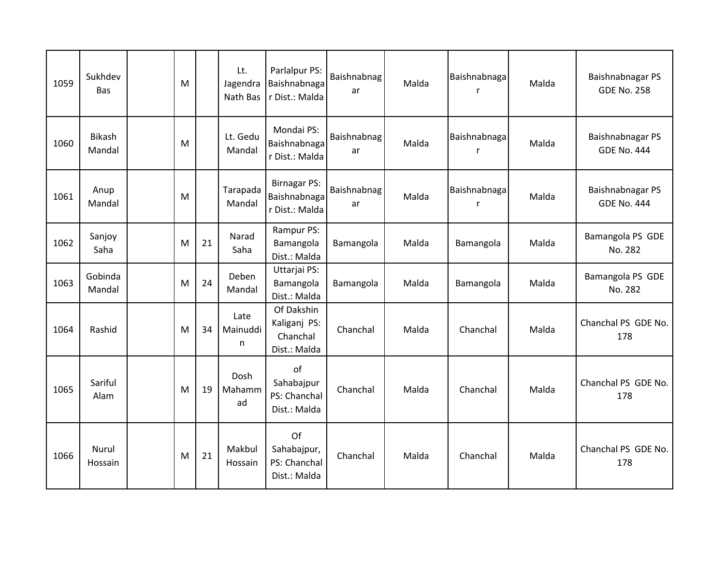| 1059 | Sukhdev<br>Bas          | M |    | Lt.<br>Jagendra<br>Nath Bas | Parlalpur PS:<br>Baishnabnaga<br>r Dist.: Malda        | Baishnabnag<br>ar | Malda | Baishnabnaga<br>r  | Malda | Baishnabnagar PS<br><b>GDE No. 258</b> |
|------|-------------------------|---|----|-----------------------------|--------------------------------------------------------|-------------------|-------|--------------------|-------|----------------------------------------|
| 1060 | <b>Bikash</b><br>Mandal | M |    | Lt. Gedu<br>Mandal          | Mondai PS:<br>Baishnabnaga<br>r Dist.: Malda           | Baishnabnag<br>ar | Malda | Baishnabnaga<br>r, | Malda | Baishnabnagar PS<br><b>GDE No. 444</b> |
| 1061 | Anup<br>Mandal          | M |    | Tarapada<br>Mandal          | <b>Birnagar PS:</b><br>Baishnabnaga<br>r Dist.: Malda  | Baishnabnag<br>ar | Malda | Baishnabnaga<br>r  | Malda | Baishnabnagar PS<br><b>GDE No. 444</b> |
| 1062 | Sanjoy<br>Saha          | M | 21 | Narad<br>Saha               | Rampur PS:<br>Bamangola<br>Dist.: Malda                | Bamangola         | Malda | Bamangola          | Malda | Bamangola PS GDE<br>No. 282            |
| 1063 | Gobinda<br>Mandal       | M | 24 | Deben<br>Mandal             | Uttarjai PS:<br>Bamangola<br>Dist.: Malda              | Bamangola         | Malda | Bamangola          | Malda | Bamangola PS GDE<br>No. 282            |
| 1064 | Rashid                  | M | 34 | Late<br>Mainuddi<br>n       | Of Dakshin<br>Kaliganj PS:<br>Chanchal<br>Dist.: Malda | Chanchal          | Malda | Chanchal           | Malda | Chanchal PS GDE No.<br>178             |
| 1065 | Sariful<br>Alam         | M | 19 | Dosh<br>Mahamm<br>ad        | of<br>Sahabajpur<br>PS: Chanchal<br>Dist.: Malda       | Chanchal          | Malda | Chanchal           | Malda | Chanchal PS GDE No.<br>178             |
| 1066 | Nurul<br>Hossain        | M | 21 | Makbul<br>Hossain           | Of<br>Sahabajpur,<br>PS: Chanchal<br>Dist.: Malda      | Chanchal          | Malda | Chanchal           | Malda | Chanchal PS GDE No.<br>178             |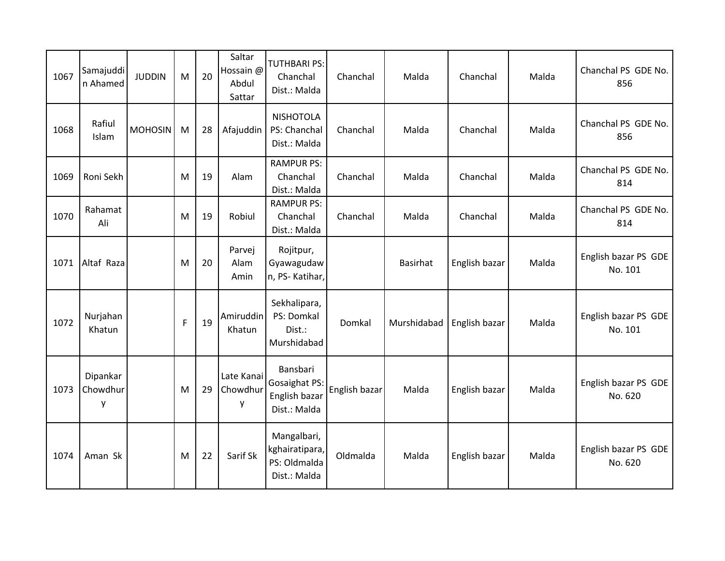| 1067 | Samajuddi<br>n Ahamed     | <b>JUDDIN</b>  | M | 20 | Saltar<br>Hossain @<br>Abdul<br>Sattar | <b>TUTHBARI PS:</b><br>Chanchal<br>Dist.: Malda               | Chanchal      | Malda       | Chanchal      | Malda | Chanchal PS GDE No.<br>856      |
|------|---------------------------|----------------|---|----|----------------------------------------|---------------------------------------------------------------|---------------|-------------|---------------|-------|---------------------------------|
| 1068 | Rafiul<br>Islam           | <b>MOHOSIN</b> | M | 28 | Afajuddin                              | <b>NISHOTOLA</b><br>PS: Chanchal<br>Dist.: Malda              | Chanchal      | Malda       | Chanchal      | Malda | Chanchal PS GDE No.<br>856      |
| 1069 | Roni Sekh                 |                | M | 19 | Alam                                   | <b>RAMPUR PS:</b><br>Chanchal<br>Dist.: Malda                 | Chanchal      | Malda       | Chanchal      | Malda | Chanchal PS GDE No.<br>814      |
| 1070 | Rahamat<br>Ali            |                | M | 19 | Robiul                                 | <b>RAMPUR PS:</b><br>Chanchal<br>Dist.: Malda                 | Chanchal      | Malda       | Chanchal      | Malda | Chanchal PS GDE No.<br>814      |
| 1071 | Altaf Raza                |                | M | 20 | Parvej<br>Alam<br>Amin                 | Rojitpur,<br>Gyawagudaw<br>n, PS-Katihar,                     |               | Basirhat    | English bazar | Malda | English bazar PS GDE<br>No. 101 |
| 1072 | Nurjahan<br>Khatun        |                | F | 19 | Amiruddin<br>Khatun                    | Sekhalipara,<br>PS: Domkal<br>Dist.:<br>Murshidabad           | Domkal        | Murshidabad | English bazar | Malda | English bazar PS GDE<br>No. 101 |
| 1073 | Dipankar<br>Chowdhur<br>у |                | M | 29 | Late Kanai<br>Chowdhur<br>у            | Bansbari<br>Gosaighat PS:<br>English bazar<br>Dist.: Malda    | English bazar | Malda       | English bazar | Malda | English bazar PS GDE<br>No. 620 |
| 1074 | Aman Sk                   |                | M | 22 | Sarif Sk                               | Mangalbari,<br>kghairatipara,<br>PS: Oldmalda<br>Dist.: Malda | Oldmalda      | Malda       | English bazar | Malda | English bazar PS GDE<br>No. 620 |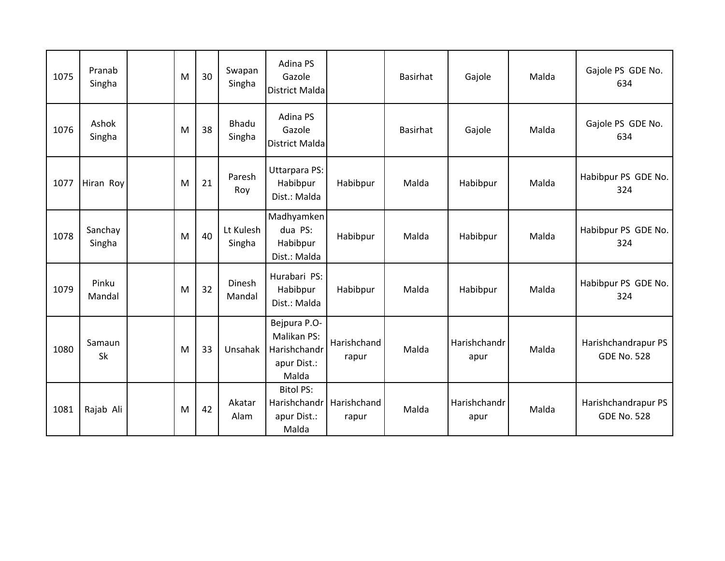| 1075 | Pranab<br>Singha  | M | 30 | Swapan<br>Singha       | Adina PS<br>Gazole<br><b>District Malda</b>                         |                      | Basirhat | Gajole               | Malda | Gajole PS GDE No.<br>634                  |
|------|-------------------|---|----|------------------------|---------------------------------------------------------------------|----------------------|----------|----------------------|-------|-------------------------------------------|
| 1076 | Ashok<br>Singha   | M | 38 | <b>Bhadu</b><br>Singha | Adina PS<br>Gazole<br><b>District Malda</b>                         |                      | Basirhat | Gajole               | Malda | Gajole PS GDE No.<br>634                  |
| 1077 | Hiran Roy         | M | 21 | Paresh<br>Roy          | <b>Uttarpara PS:</b><br>Habibpur<br>Dist.: Malda                    | Habibpur             | Malda    | Habibpur             | Malda | Habibpur PS GDE No.<br>324                |
| 1078 | Sanchay<br>Singha | M | 40 | Lt Kulesh<br>Singha    | Madhyamken<br>dua PS:<br>Habibpur<br>Dist.: Malda                   | Habibpur             | Malda    | Habibpur             | Malda | Habibpur PS GDE No.<br>324                |
| 1079 | Pinku<br>Mandal   | M | 32 | Dinesh<br>Mandal       | Hurabari PS:<br>Habibpur<br>Dist.: Malda                            | Habibpur             | Malda    | Habibpur             | Malda | Habibpur PS GDE No.<br>324                |
| 1080 | Samaun<br>Sk      | M | 33 | Unsahak                | Bejpura P.O-<br>Malikan PS:<br>Harishchandr<br>apur Dist.:<br>Malda | Harishchand<br>rapur | Malda    | Harishchandr<br>apur | Malda | Harishchandrapur PS<br><b>GDE No. 528</b> |
| 1081 | Rajab Ali         | M | 42 | Akatar<br>Alam         | <b>Bitol PS:</b><br>Harishchandr<br>apur Dist.:<br>Malda            | Harishchand<br>rapur | Malda    | Harishchandr<br>apur | Malda | Harishchandrapur PS<br><b>GDE No. 528</b> |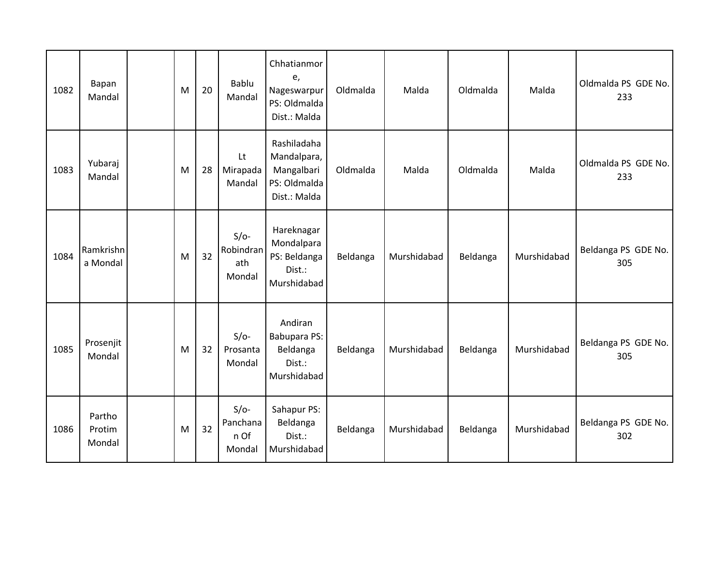| 1082 | Bapan<br>Mandal            | M | 20 | Bablu<br>Mandal                      | Chhatianmor<br>e,<br>Nageswarpur<br>PS: Oldmalda<br>Dist.: Malda         | Oldmalda | Malda       | Oldmalda | Malda       | Oldmalda PS GDE No.<br>233 |
|------|----------------------------|---|----|--------------------------------------|--------------------------------------------------------------------------|----------|-------------|----------|-------------|----------------------------|
| 1083 | Yubaraj<br>Mandal          | M | 28 | Lt<br>Mirapada<br>Mandal             | Rashiladaha<br>Mandalpara,<br>Mangalbari<br>PS: Oldmalda<br>Dist.: Malda | Oldmalda | Malda       | Oldmalda | Malda       | Oldmalda PS GDE No.<br>233 |
| 1084 | Ramkrishn<br>a Mondal      | M | 32 | $S/O-$<br>Robindran<br>ath<br>Mondal | Hareknagar<br>Mondalpara<br>PS: Beldanga<br>Dist.:<br>Murshidabad        | Beldanga | Murshidabad | Beldanga | Murshidabad | Beldanga PS GDE No.<br>305 |
| 1085 | Prosenjit<br>Mondal        | M | 32 | $S/O-$<br>Prosanta<br>Mondal         | Andiran<br>Babupara PS:<br>Beldanga<br>Dist.:<br>Murshidabad             | Beldanga | Murshidabad | Beldanga | Murshidabad | Beldanga PS GDE No.<br>305 |
| 1086 | Partho<br>Protim<br>Mondal | M | 32 | $S/O-$<br>Panchana<br>n Of<br>Mondal | Sahapur PS:<br>Beldanga<br>Dist.:<br>Murshidabad                         | Beldanga | Murshidabad | Beldanga | Murshidabad | Beldanga PS GDE No.<br>302 |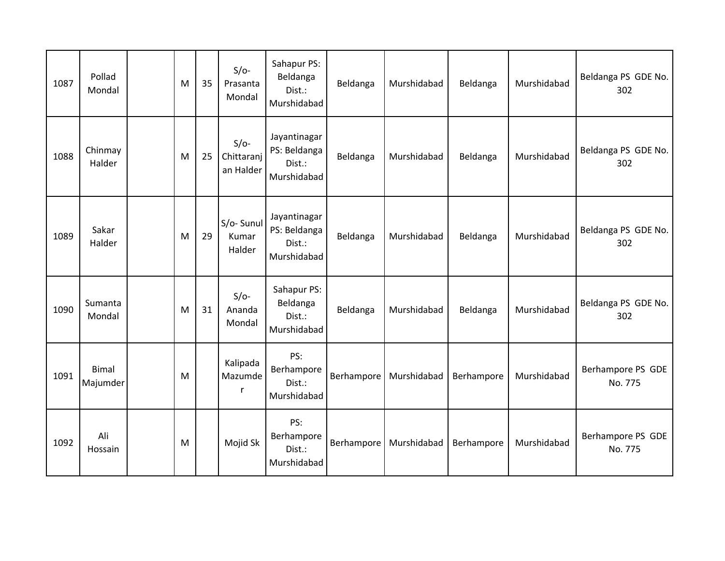| 1087 | Pollad<br>Mondal  | M | 35 | $S/O-$<br>Prasanta<br>Mondal        | Sahapur PS:<br>Beldanga<br>Dist.:<br>Murshidabad      | Beldanga   | Murshidabad | Beldanga   | Murshidabad | Beldanga PS GDE No.<br>302   |
|------|-------------------|---|----|-------------------------------------|-------------------------------------------------------|------------|-------------|------------|-------------|------------------------------|
| 1088 | Chinmay<br>Halder | M | 25 | $S/O-$<br>Chittaranj<br>an Halder   | Jayantinagar<br>PS: Beldanga<br>Dist.:<br>Murshidabad | Beldanga   | Murshidabad | Beldanga   | Murshidabad | Beldanga PS GDE No.<br>302   |
| 1089 | Sakar<br>Halder   | M | 29 | S/o-Sunul<br>Kumar<br>Halder        | Jayantinagar<br>PS: Beldanga<br>Dist.:<br>Murshidabad | Beldanga   | Murshidabad | Beldanga   | Murshidabad | Beldanga PS GDE No.<br>302   |
| 1090 | Sumanta<br>Mondal | M | 31 | $S/O-$<br>Ananda<br>Mondal          | Sahapur PS:<br>Beldanga<br>Dist.:<br>Murshidabad      | Beldanga   | Murshidabad | Beldanga   | Murshidabad | Beldanga PS GDE No.<br>302   |
| 1091 | Bimal<br>Majumder | M |    | Kalipada<br>Mazumde<br>$\mathsf{r}$ | PS:<br>Berhampore<br>Dist.:<br>Murshidabad            | Berhampore | Murshidabad | Berhampore | Murshidabad | Berhampore PS GDE<br>No. 775 |
| 1092 | Ali<br>Hossain    | M |    | Mojid Sk                            | PS:<br>Berhampore<br>Dist.:<br>Murshidabad            | Berhampore | Murshidabad | Berhampore | Murshidabad | Berhampore PS GDE<br>No. 775 |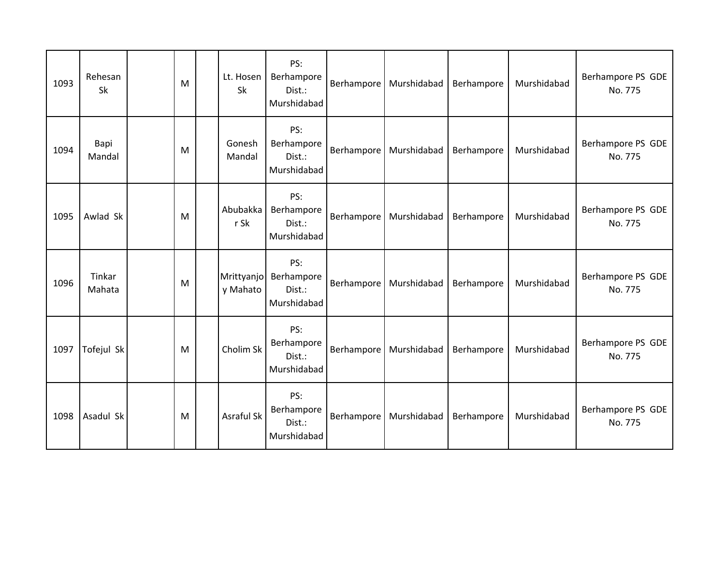| 1093 | Rehesan<br>Sk    | M | Lt. Hosen<br>Sk        | PS:<br>Berhampore<br>Dist.:<br>Murshidabad | Berhampore | Murshidabad | Berhampore | Murshidabad | Berhampore PS GDE<br>No. 775 |
|------|------------------|---|------------------------|--------------------------------------------|------------|-------------|------------|-------------|------------------------------|
| 1094 | Bapi<br>Mandal   | M | Gonesh<br>Mandal       | PS:<br>Berhampore<br>Dist.:<br>Murshidabad | Berhampore | Murshidabad | Berhampore | Murshidabad | Berhampore PS GDE<br>No. 775 |
| 1095 | Awlad Sk         | M | Abubakka<br>r Sk       | PS:<br>Berhampore<br>Dist.:<br>Murshidabad | Berhampore | Murshidabad | Berhampore | Murshidabad | Berhampore PS GDE<br>No. 775 |
| 1096 | Tinkar<br>Mahata | M | Mrittyanjo<br>y Mahato | PS:<br>Berhampore<br>Dist.:<br>Murshidabad | Berhampore | Murshidabad | Berhampore | Murshidabad | Berhampore PS GDE<br>No. 775 |
| 1097 | Tofejul Sk       | M | Cholim Sk              | PS:<br>Berhampore<br>Dist.:<br>Murshidabad | Berhampore | Murshidabad | Berhampore | Murshidabad | Berhampore PS GDE<br>No. 775 |
| 1098 | Asadul Sk        | M | <b>Asraful Sk</b>      | PS:<br>Berhampore<br>Dist.:<br>Murshidabad | Berhampore | Murshidabad | Berhampore | Murshidabad | Berhampore PS GDE<br>No. 775 |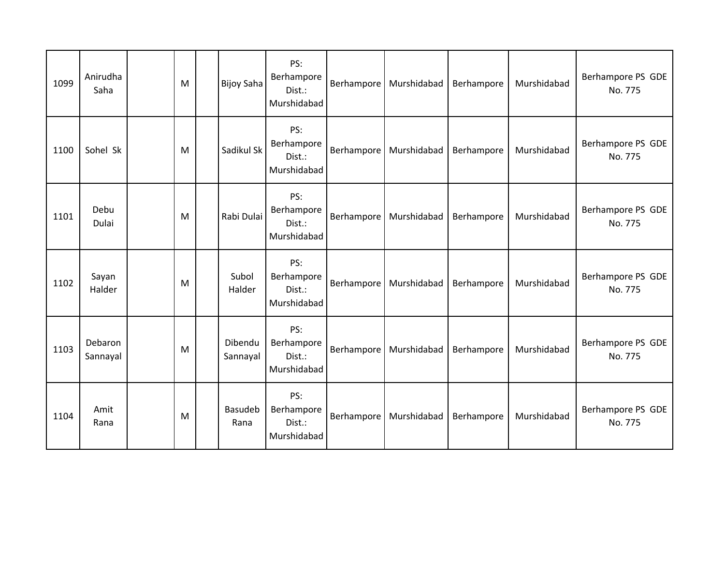| 1099 | Anirudha<br>Saha    | M | <b>Bijoy Saha</b>   | PS:<br>Berhampore<br>Dist.:<br>Murshidabad | Berhampore | Murshidabad | Berhampore | Murshidabad | Berhampore PS GDE<br>No. 775 |
|------|---------------------|---|---------------------|--------------------------------------------|------------|-------------|------------|-------------|------------------------------|
| 1100 | Sohel Sk            | M | Sadikul Sk          | PS:<br>Berhampore<br>Dist.:<br>Murshidabad | Berhampore | Murshidabad | Berhampore | Murshidabad | Berhampore PS GDE<br>No. 775 |
| 1101 | Debu<br>Dulai       | M | Rabi Dulai          | PS:<br>Berhampore<br>Dist.:<br>Murshidabad | Berhampore | Murshidabad | Berhampore | Murshidabad | Berhampore PS GDE<br>No. 775 |
| 1102 | Sayan<br>Halder     | M | Subol<br>Halder     | PS:<br>Berhampore<br>Dist.:<br>Murshidabad | Berhampore | Murshidabad | Berhampore | Murshidabad | Berhampore PS GDE<br>No. 775 |
| 1103 | Debaron<br>Sannayal | M | Dibendu<br>Sannayal | PS:<br>Berhampore<br>Dist.:<br>Murshidabad | Berhampore | Murshidabad | Berhampore | Murshidabad | Berhampore PS GDE<br>No. 775 |
| 1104 | Amit<br>Rana        | M | Basudeb<br>Rana     | PS:<br>Berhampore<br>Dist.:<br>Murshidabad | Berhampore | Murshidabad | Berhampore | Murshidabad | Berhampore PS GDE<br>No. 775 |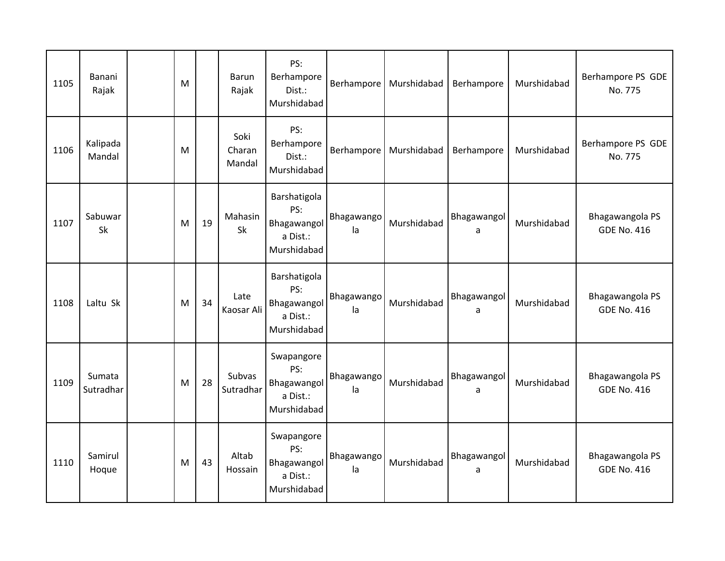| 1105 | Banani<br>Rajak     | M |    | Barun<br>Rajak           | PS:<br>Berhampore<br>Dist.:<br>Murshidabad                    |                  | Berhampore   Murshidabad | Berhampore       | Murshidabad | Berhampore PS GDE<br>No. 775          |
|------|---------------------|---|----|--------------------------|---------------------------------------------------------------|------------------|--------------------------|------------------|-------------|---------------------------------------|
| 1106 | Kalipada<br>Mandal  | M |    | Soki<br>Charan<br>Mandal | PS:<br>Berhampore<br>Dist.:<br>Murshidabad                    | Berhampore       | Murshidabad              | Berhampore       | Murshidabad | Berhampore PS GDE<br>No. 775          |
| 1107 | Sabuwar<br>Sk       | M | 19 | Mahasin<br>Sk            | Barshatigola<br>PS:<br>Bhagawangol<br>a Dist.:<br>Murshidabad | Bhagawango<br>la | Murshidabad              | Bhagawangol<br>a | Murshidabad | Bhagawangola PS<br><b>GDE No. 416</b> |
| 1108 | Laltu Sk            | M | 34 | Late<br>Kaosar Ali       | Barshatigola<br>PS:<br>Bhagawangol<br>a Dist.:<br>Murshidabad | Bhagawango<br>la | Murshidabad              | Bhagawangol<br>a | Murshidabad | Bhagawangola PS<br><b>GDE No. 416</b> |
| 1109 | Sumata<br>Sutradhar | M | 28 | Subvas<br>Sutradhar      | Swapangore<br>PS:<br>Bhagawangol<br>a Dist.:<br>Murshidabad   | Bhagawango<br>la | Murshidabad              | Bhagawangol<br>a | Murshidabad | Bhagawangola PS<br><b>GDE No. 416</b> |
| 1110 | Samirul<br>Hoque    | M | 43 | Altab<br>Hossain         | Swapangore<br>PS:<br>Bhagawangol<br>a Dist.:<br>Murshidabad   | Bhagawango<br>la | Murshidabad              | Bhagawangol<br>a | Murshidabad | Bhagawangola PS<br><b>GDE No. 416</b> |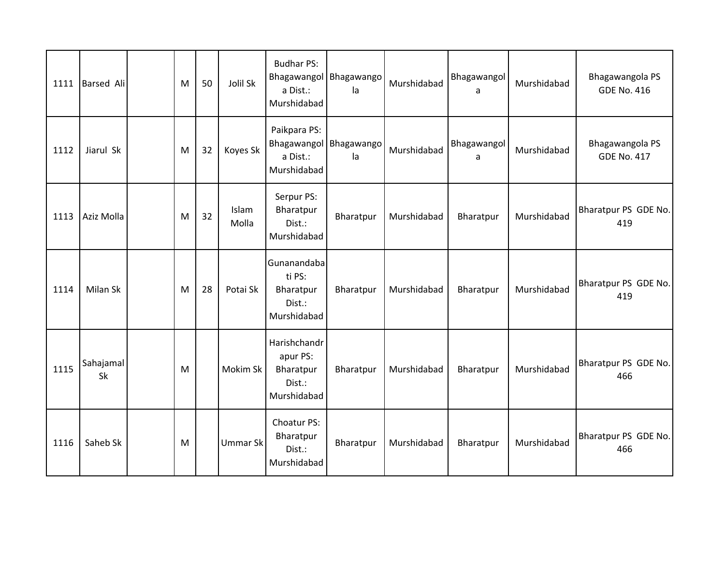| 1111 | <b>Barsed Ali</b> | M | 50 | Jolil Sk        | <b>Budhar PS:</b><br>Bhagawangol Bhagawango<br>a Dist.:<br>Murshidabad | la        | Murshidabad | Bhagawangol<br>a | Murshidabad | Bhagawangola PS<br><b>GDE No. 416</b> |
|------|-------------------|---|----|-----------------|------------------------------------------------------------------------|-----------|-------------|------------------|-------------|---------------------------------------|
| 1112 | Jiarul Sk         | M | 32 | Koyes Sk        | Paikpara PS:<br>Bhagawangol Bhagawango<br>a Dist.:<br>Murshidabad      | la        | Murshidabad | Bhagawangol<br>a | Murshidabad | Bhagawangola PS<br><b>GDE No. 417</b> |
| 1113 | Aziz Molla        | M | 32 | Islam<br>Molla  | Serpur PS:<br>Bharatpur<br>Dist.:<br>Murshidabad                       | Bharatpur | Murshidabad | Bharatpur        | Murshidabad | Bharatpur PS GDE No.<br>419           |
| 1114 | Milan Sk          | M | 28 | Potai Sk        | Gunanandaba<br>ti PS:<br>Bharatpur<br>Dist.:<br>Murshidabad            | Bharatpur | Murshidabad | Bharatpur        | Murshidabad | Bharatpur PS GDE No.<br>419           |
| 1115 | Sahajamal<br>Sk   | M |    | Mokim Sk        | Harishchandr<br>apur PS:<br>Bharatpur<br>Dist.:<br>Murshidabad         | Bharatpur | Murshidabad | Bharatpur        | Murshidabad | Bharatpur PS GDE No.<br>466           |
| 1116 | Saheb Sk          | M |    | <b>Ummar Sk</b> | Choatur PS:<br>Bharatpur<br>Dist.:<br>Murshidabad                      | Bharatpur | Murshidabad | Bharatpur        | Murshidabad | Bharatpur PS GDE No.<br>466           |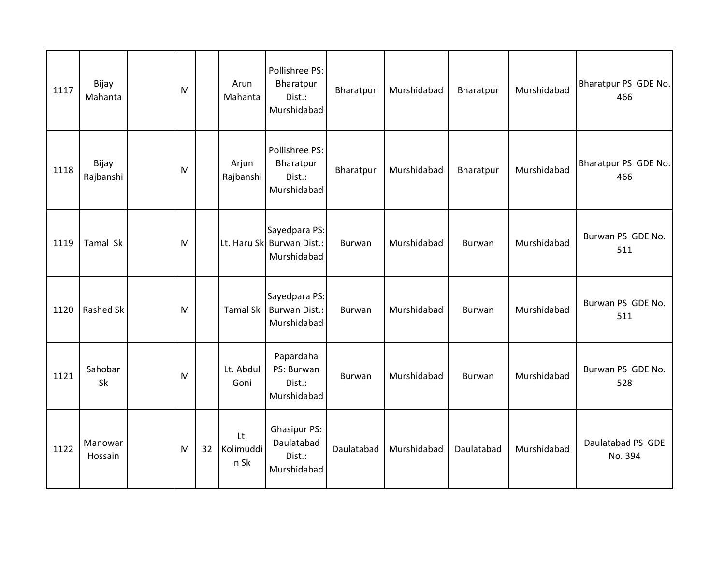| 1117 | Bijay<br>Mahanta   | M |    | Arun<br>Mahanta          | Pollishree PS:<br>Bharatpur<br>Dist.:<br>Murshidabad       | Bharatpur     | Murshidabad | Bharatpur  | Murshidabad | Bharatpur PS GDE No.<br>466  |
|------|--------------------|---|----|--------------------------|------------------------------------------------------------|---------------|-------------|------------|-------------|------------------------------|
| 1118 | Bijay<br>Rajbanshi | M |    | Arjun<br>Rajbanshi       | Pollishree PS:<br>Bharatpur<br>Dist.:<br>Murshidabad       | Bharatpur     | Murshidabad | Bharatpur  | Murshidabad | Bharatpur PS GDE No.<br>466  |
| 1119 | Tamal Sk           | M |    |                          | Sayedpara PS:<br>Lt. Haru Sk Burwan Dist.:<br>Murshidabad  | <b>Burwan</b> | Murshidabad | Burwan     | Murshidabad | Burwan PS GDE No.<br>511     |
| 1120 | Rashed Sk          | M |    | <b>Tamal Sk</b>          | Sayedpara PS:<br><b>Burwan Dist.:</b><br>Murshidabad       | Burwan        | Murshidabad | Burwan     | Murshidabad | Burwan PS GDE No.<br>511     |
| 1121 | Sahobar<br>Sk      | M |    | Lt. Abdul<br>Goni        | Papardaha<br>PS: Burwan<br>Dist.:<br>Murshidabad           | Burwan        | Murshidabad | Burwan     | Murshidabad | Burwan PS GDE No.<br>528     |
| 1122 | Manowar<br>Hossain | M | 32 | Lt.<br>Kolimuddi<br>n Sk | <b>Ghasipur PS:</b><br>Daulatabad<br>Dist.:<br>Murshidabad | Daulatabad    | Murshidabad | Daulatabad | Murshidabad | Daulatabad PS GDE<br>No. 394 |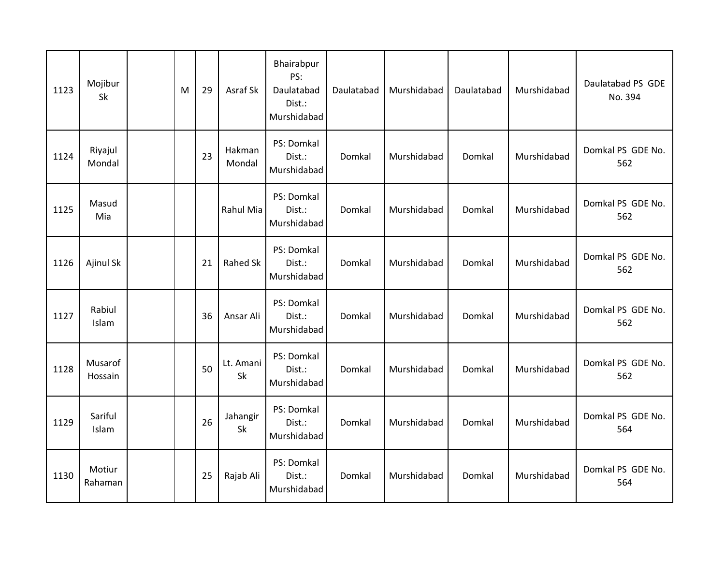| 1123 | Mojibur<br>Sk      | M | 29 | Asraf Sk         | Bhairabpur<br>PS:<br>Daulatabad<br>Dist.:<br>Murshidabad | Daulatabad | Murshidabad | Daulatabad | Murshidabad | Daulatabad PS GDE<br>No. 394 |
|------|--------------------|---|----|------------------|----------------------------------------------------------|------------|-------------|------------|-------------|------------------------------|
| 1124 | Riyajul<br>Mondal  |   | 23 | Hakman<br>Mondal | PS: Domkal<br>Dist.:<br>Murshidabad                      | Domkal     | Murshidabad | Domkal     | Murshidabad | Domkal PS GDE No.<br>562     |
| 1125 | Masud<br>Mia       |   |    | Rahul Mia        | PS: Domkal<br>Dist.:<br>Murshidabad                      | Domkal     | Murshidabad | Domkal     | Murshidabad | Domkal PS GDE No.<br>562     |
| 1126 | Ajinul Sk          |   | 21 | Rahed Sk         | PS: Domkal<br>Dist.:<br>Murshidabad                      | Domkal     | Murshidabad | Domkal     | Murshidabad | Domkal PS GDE No.<br>562     |
| 1127 | Rabiul<br>Islam    |   | 36 | Ansar Ali        | PS: Domkal<br>Dist.:<br>Murshidabad                      | Domkal     | Murshidabad | Domkal     | Murshidabad | Domkal PS GDE No.<br>562     |
| 1128 | Musarof<br>Hossain |   | 50 | Lt. Amani<br>Sk  | PS: Domkal<br>Dist.:<br>Murshidabad                      | Domkal     | Murshidabad | Domkal     | Murshidabad | Domkal PS GDE No.<br>562     |
| 1129 | Sariful<br>Islam   |   | 26 | Jahangir<br>Sk   | PS: Domkal<br>Dist.:<br>Murshidabad                      | Domkal     | Murshidabad | Domkal     | Murshidabad | Domkal PS GDE No.<br>564     |
| 1130 | Motiur<br>Rahaman  |   | 25 | Rajab Ali        | PS: Domkal<br>Dist.:<br>Murshidabad                      | Domkal     | Murshidabad | Domkal     | Murshidabad | Domkal PS GDE No.<br>564     |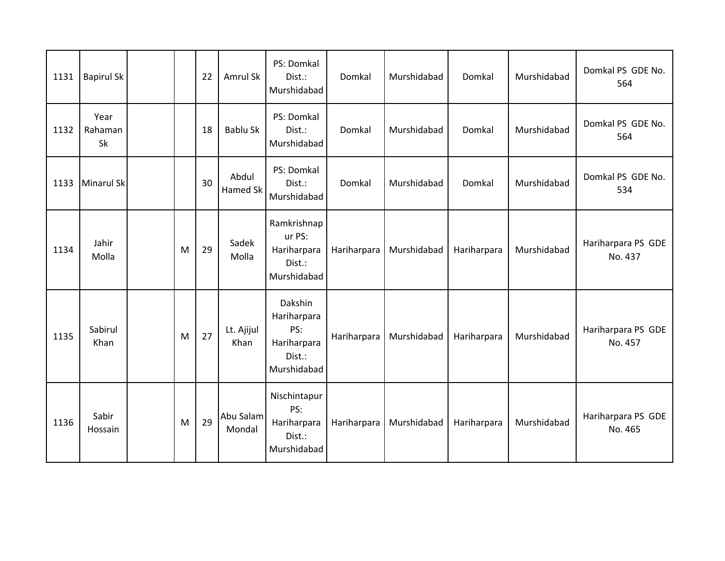| 1131 | <b>Bapirul Sk</b>     |   | 22 | Amrul Sk            | PS: Domkal<br>Dist.:<br>Murshidabad                                   | Domkal      | Murshidabad | Domkal      | Murshidabad | Domkal PS GDE No.<br>564      |
|------|-----------------------|---|----|---------------------|-----------------------------------------------------------------------|-------------|-------------|-------------|-------------|-------------------------------|
| 1132 | Year<br>Rahaman<br>Sk |   | 18 | Bablu Sk            | PS: Domkal<br>Dist.:<br>Murshidabad                                   | Domkal      | Murshidabad | Domkal      | Murshidabad | Domkal PS GDE No.<br>564      |
| 1133 | Minarul Sk            |   | 30 | Abdul<br>Hamed Sk   | PS: Domkal<br>Dist.:<br>Murshidabad                                   | Domkal      | Murshidabad | Domkal      | Murshidabad | Domkal PS GDE No.<br>534      |
| 1134 | Jahir<br>Molla        | M | 29 | Sadek<br>Molla      | Ramkrishnap<br>ur PS:<br>Hariharpara<br>Dist.:<br>Murshidabad         | Hariharpara | Murshidabad | Hariharpara | Murshidabad | Hariharpara PS GDE<br>No. 437 |
| 1135 | Sabirul<br>Khan       | M | 27 | Lt. Ajijul<br>Khan  | Dakshin<br>Hariharpara<br>PS:<br>Hariharpara<br>Dist.:<br>Murshidabad | Hariharpara | Murshidabad | Hariharpara | Murshidabad | Hariharpara PS GDE<br>No. 457 |
| 1136 | Sabir<br>Hossain      | M | 29 | Abu Salam<br>Mondal | Nischintapur<br>PS:<br>Hariharpara<br>Dist.:<br>Murshidabad           | Hariharpara | Murshidabad | Hariharpara | Murshidabad | Hariharpara PS GDE<br>No. 465 |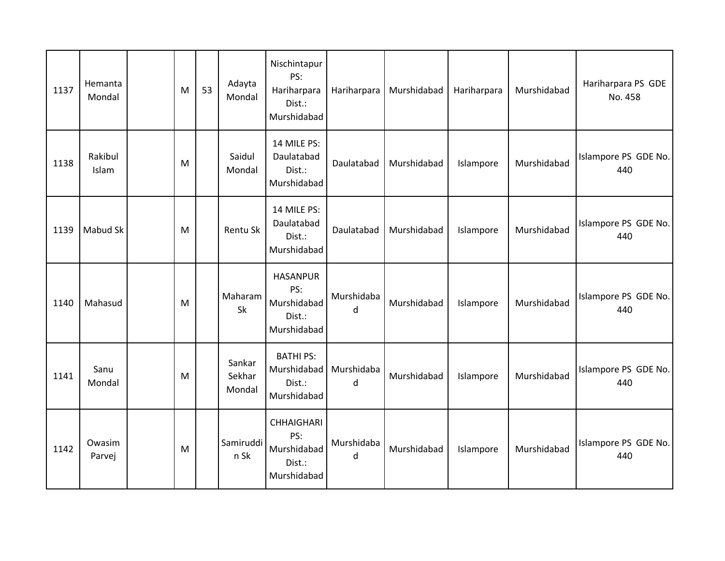| 1137 | Hemanta<br>Mondal | M | 53 | Adayta<br>Mondal           | Nischintapur<br>PS:<br>Hariharpara<br>Dist.:<br>Murshidabad      | Hariharpara     | Murshidabad | Hariharpara | Murshidabad | Hariharpara PS GDE<br>No. 458 |
|------|-------------------|---|----|----------------------------|------------------------------------------------------------------|-----------------|-------------|-------------|-------------|-------------------------------|
| 1138 | Rakibul<br>Islam  | M |    | Saidul<br>Mondal           | 14 MILE PS:<br>Daulatabad<br>Dist.:<br>Murshidabad               | Daulatabad      | Murshidabad | Islampore   | Murshidabad | Islampore PS GDE No.<br>440   |
| 1139 | Mabud Sk          | M |    | Rentu Sk                   | 14 MILE PS:<br>Daulatabad<br>Dist.:<br>Murshidabad               | Daulatabad      | Murshidabad | Islampore   | Murshidabad | Islampore PS GDE No.<br>440   |
| 1140 | Mahasud           | M |    | Maharam<br>Sk              | <b>HASANPUR</b><br>PS:<br>Murshidabad<br>Dist.:<br>Murshidabad   | Murshidaba<br>d | Murshidabad | Islampore   | Murshidabad | Islampore PS GDE No.<br>440   |
| 1141 | Sanu<br>Mondal    | M |    | Sankar<br>Sekhar<br>Mondal | <b>BATHI PS:</b><br>Murshidabad<br>Dist.:<br>Murshidabad         | Murshidaba<br>d | Murshidabad | Islampore   | Murshidabad | Islampore PS GDE No.<br>440   |
| 1142 | Owasim<br>Parvej  | M |    | Samiruddi<br>n Sk          | <b>CHHAIGHARI</b><br>PS:<br>Murshidabad<br>Dist.:<br>Murshidabad | Murshidaba<br>d | Murshidabad | Islampore   | Murshidabad | Islampore PS GDE No.<br>440   |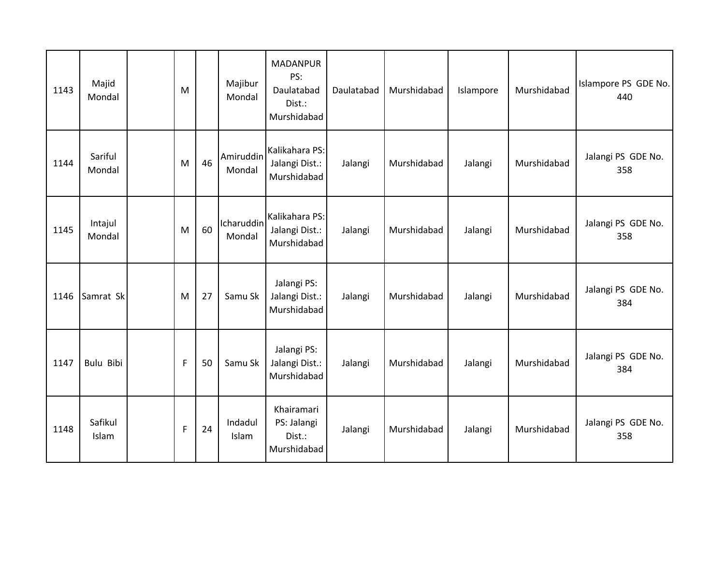| 1143 | Majid<br>Mondal   | M           |    | Majibur<br>Mondal    | <b>MADANPUR</b><br>PS:<br>Daulatabad<br>Dist.:<br>Murshidabad | Daulatabad | Murshidabad | Islampore | Murshidabad | Islampore PS GDE No.<br>440 |
|------|-------------------|-------------|----|----------------------|---------------------------------------------------------------|------------|-------------|-----------|-------------|-----------------------------|
| 1144 | Sariful<br>Mondal | M           | 46 | Amiruddin<br>Mondal  | Kalikahara PS:<br>Jalangi Dist.:<br>Murshidabad               | Jalangi    | Murshidabad | Jalangi   | Murshidabad | Jalangi PS GDE No.<br>358   |
| 1145 | Intajul<br>Mondal | M           | 60 | Icharuddin<br>Mondal | Kalikahara PS:<br>Jalangi Dist.:<br>Murshidabad               | Jalangi    | Murshidabad | Jalangi   | Murshidabad | Jalangi PS GDE No.<br>358   |
| 1146 | Samrat Sk         | M           | 27 | Samu Sk              | Jalangi PS:<br>Jalangi Dist.:<br>Murshidabad                  | Jalangi    | Murshidabad | Jalangi   | Murshidabad | Jalangi PS GDE No.<br>384   |
| 1147 | Bulu Bibi         | $\mathsf F$ | 50 | Samu Sk              | Jalangi PS:<br>Jalangi Dist.:<br>Murshidabad                  | Jalangi    | Murshidabad | Jalangi   | Murshidabad | Jalangi PS GDE No.<br>384   |
| 1148 | Safikul<br>Islam  | F           | 24 | Indadul<br>Islam     | Khairamari<br>PS: Jalangi<br>Dist.:<br>Murshidabad            | Jalangi    | Murshidabad | Jalangi   | Murshidabad | Jalangi PS GDE No.<br>358   |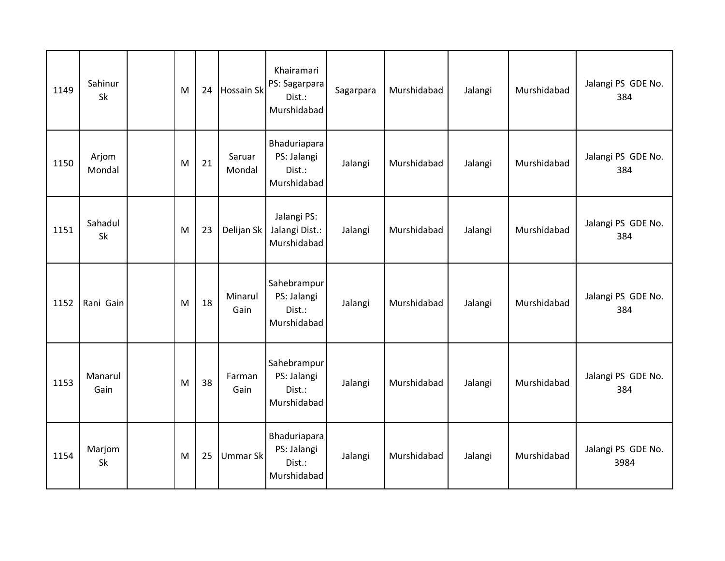| 1149 | Sahinur<br><b>Sk</b> | M | 24 | <b>Hossain Sk</b> | Khairamari<br>PS: Sagarpara<br>Dist.:<br>Murshidabad | Sagarpara | Murshidabad | Jalangi | Murshidabad | Jalangi PS GDE No.<br>384  |
|------|----------------------|---|----|-------------------|------------------------------------------------------|-----------|-------------|---------|-------------|----------------------------|
| 1150 | Arjom<br>Mondal      | M | 21 | Saruar<br>Mondal  | Bhaduriapara<br>PS: Jalangi<br>Dist.:<br>Murshidabad | Jalangi   | Murshidabad | Jalangi | Murshidabad | Jalangi PS GDE No.<br>384  |
| 1151 | Sahadul<br>Sk        | M | 23 | Delijan Sk        | Jalangi PS:<br>Jalangi Dist.:<br>Murshidabad         | Jalangi   | Murshidabad | Jalangi | Murshidabad | Jalangi PS GDE No.<br>384  |
| 1152 | Rani Gain            | M | 18 | Minarul<br>Gain   | Sahebrampur<br>PS: Jalangi<br>Dist.:<br>Murshidabad  | Jalangi   | Murshidabad | Jalangi | Murshidabad | Jalangi PS GDE No.<br>384  |
| 1153 | Manarul<br>Gain      | M | 38 | Farman<br>Gain    | Sahebrampur<br>PS: Jalangi<br>Dist.:<br>Murshidabad  | Jalangi   | Murshidabad | Jalangi | Murshidabad | Jalangi PS GDE No.<br>384  |
| 1154 | Marjom<br>Sk         | M | 25 | <b>Ummar Sk</b>   | Bhaduriapara<br>PS: Jalangi<br>Dist.:<br>Murshidabad | Jalangi   | Murshidabad | Jalangi | Murshidabad | Jalangi PS GDE No.<br>3984 |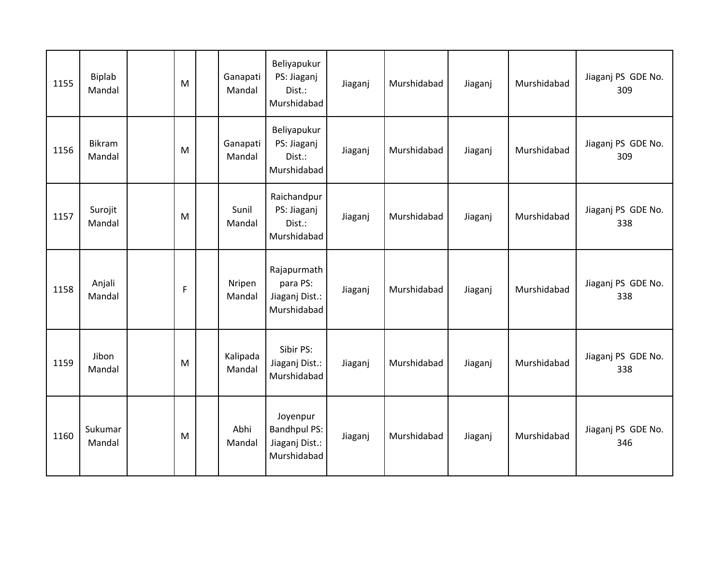| 1155 | Biplab<br>Mandal  | M           | Ganapati<br>Mandal | Beliyapukur<br>PS: Jiaganj<br>Dist.:<br>Murshidabad              | Jiaganj | Murshidabad | Jiaganj | Murshidabad | Jiaganj PS GDE No.<br>309 |
|------|-------------------|-------------|--------------------|------------------------------------------------------------------|---------|-------------|---------|-------------|---------------------------|
| 1156 | Bikram<br>Mandal  | M           | Ganapati<br>Mandal | Beliyapukur<br>PS: Jiaganj<br>Dist.:<br>Murshidabad              | Jiaganj | Murshidabad | Jiaganj | Murshidabad | Jiaganj PS GDE No.<br>309 |
| 1157 | Surojit<br>Mandal | M           | Sunil<br>Mandal    | Raichandpur<br>PS: Jiaganj<br>Dist.:<br>Murshidabad              | Jiaganj | Murshidabad | Jiaganj | Murshidabad | Jiaganj PS GDE No.<br>338 |
| 1158 | Anjali<br>Mandal  | $\mathsf F$ | Nripen<br>Mandal   | Rajapurmath<br>para PS:<br>Jiaganj Dist.:<br>Murshidabad         | Jiaganj | Murshidabad | Jiaganj | Murshidabad | Jiaganj PS GDE No.<br>338 |
| 1159 | Jibon<br>Mandal   | M           | Kalipada<br>Mandal | Sibir PS:<br>Jiaganj Dist.:<br>Murshidabad                       | Jiaganj | Murshidabad | Jiaganj | Murshidabad | Jiaganj PS GDE No.<br>338 |
| 1160 | Sukumar<br>Mandal | M           | Abhi<br>Mandal     | Joyenpur<br><b>Bandhpul PS:</b><br>Jiaganj Dist.:<br>Murshidabad | Jiaganj | Murshidabad | Jiaganj | Murshidabad | Jiaganj PS GDE No.<br>346 |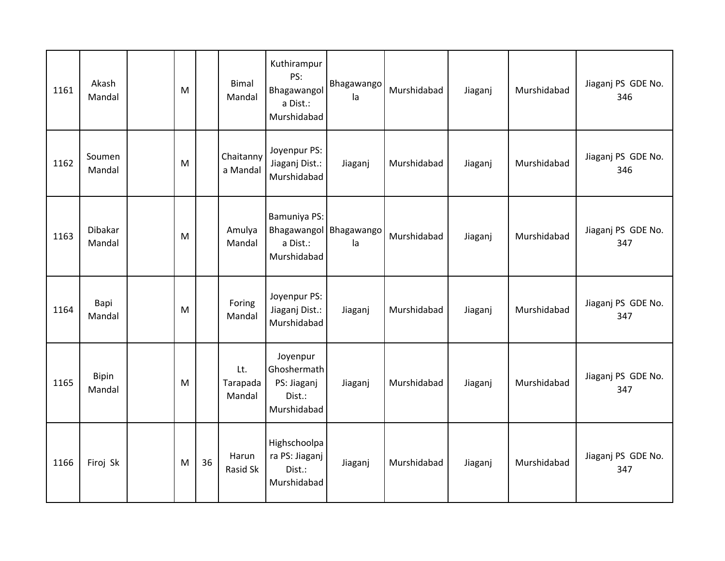| 1161 | Akash<br>Mandal   | M |    | <b>Bimal</b><br>Mandal    | Kuthirampur<br>PS:<br>Bhagawangol<br>a Dist.:<br>Murshidabad      | Bhagawango<br>la | Murshidabad | Jiaganj | Murshidabad | Jiaganj PS GDE No.<br>346 |
|------|-------------------|---|----|---------------------------|-------------------------------------------------------------------|------------------|-------------|---------|-------------|---------------------------|
| 1162 | Soumen<br>Mandal  | M |    | Chaitanny<br>a Mandal     | Joyenpur PS:<br>Jiaganj Dist.:<br>Murshidabad                     | Jiaganj          | Murshidabad | Jiaganj | Murshidabad | Jiaganj PS GDE No.<br>346 |
| 1163 | Dibakar<br>Mandal | M |    | Amulya<br>Mandal          | Bamuniya PS:<br>Bhagawangol Bhagawango<br>a Dist.:<br>Murshidabad | la               | Murshidabad | Jiaganj | Murshidabad | Jiaganj PS GDE No.<br>347 |
| 1164 | Bapi<br>Mandal    | M |    | Foring<br>Mandal          | Joyenpur PS:<br>Jiaganj Dist.:<br>Murshidabad                     | Jiaganj          | Murshidabad | Jiaganj | Murshidabad | Jiaganj PS GDE No.<br>347 |
| 1165 | Bipin<br>Mandal   | M |    | Lt.<br>Tarapada<br>Mandal | Joyenpur<br>Ghoshermath<br>PS: Jiaganj<br>Dist.:<br>Murshidabad   | Jiaganj          | Murshidabad | Jiaganj | Murshidabad | Jiaganj PS GDE No.<br>347 |
| 1166 | Firoj Sk          | M | 36 | Harun<br><b>Rasid Sk</b>  | Highschoolpa<br>ra PS: Jiaganj<br>Dist.:<br>Murshidabad           | Jiaganj          | Murshidabad | Jiaganj | Murshidabad | Jiaganj PS GDE No.<br>347 |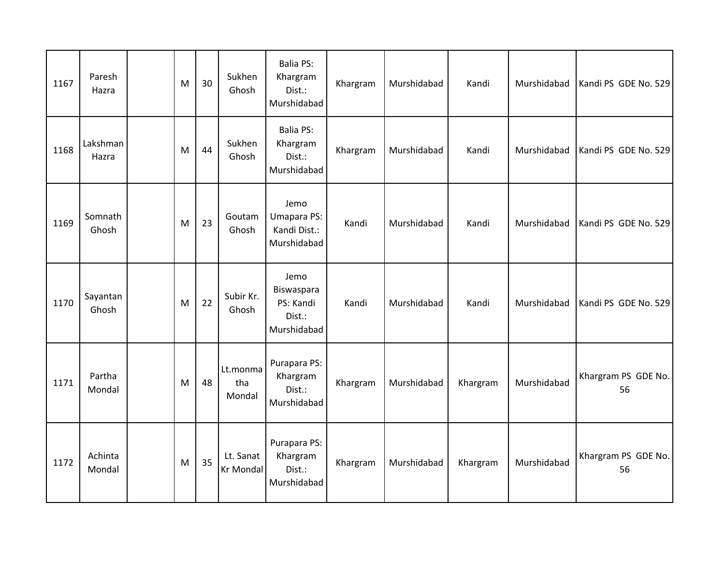| 1167 | Paresh<br>Hazra   | M | 30 | Sukhen<br>Ghosh               | <b>Balia PS:</b><br>Khargram<br>Dist.:<br>Murshidabad    | Khargram | Murshidabad | Kandi    | Murshidabad | Kandi PS GDE No. 529      |
|------|-------------------|---|----|-------------------------------|----------------------------------------------------------|----------|-------------|----------|-------------|---------------------------|
| 1168 | Lakshman<br>Hazra | M | 44 | Sukhen<br>Ghosh               | <b>Balia PS:</b><br>Khargram<br>Dist.:<br>Murshidabad    | Khargram | Murshidabad | Kandi    | Murshidabad | Kandi PS GDE No. 529      |
| 1169 | Somnath<br>Ghosh  | M | 23 | Goutam<br>Ghosh               | Jemo<br>Umapara PS:<br>Kandi Dist.:<br>Murshidabad       | Kandi    | Murshidabad | Kandi    | Murshidabad | Kandi PS GDE No. 529      |
| 1170 | Sayantan<br>Ghosh | M | 22 | Subir Kr.<br>Ghosh            | Jemo<br>Biswaspara<br>PS: Kandi<br>Dist.:<br>Murshidabad | Kandi    | Murshidabad | Kandi    | Murshidabad | Kandi PS GDE No. 529      |
| 1171 | Partha<br>Mondal  | M | 48 | Lt.monma<br>tha<br>Mondal     | Purapara PS:<br>Khargram<br>Dist.:<br>Murshidabad        | Khargram | Murshidabad | Khargram | Murshidabad | Khargram PS GDE No.<br>56 |
| 1172 | Achinta<br>Mondal | M | 35 | Lt. Sanat<br><b>Kr Mondal</b> | Purapara PS:<br>Khargram<br>Dist.:<br>Murshidabad        | Khargram | Murshidabad | Khargram | Murshidabad | Khargram PS GDE No.<br>56 |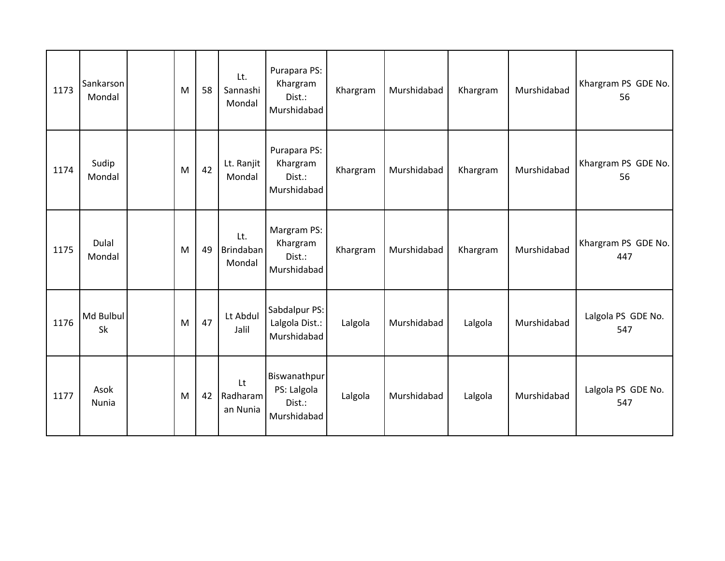| 1173 | Sankarson<br>Mondal | M | 58 | Lt.<br>Sannashi<br>Mondal  | Purapara PS:<br>Khargram<br>Dist.:<br>Murshidabad    | Khargram | Murshidabad | Khargram | Murshidabad | Khargram PS GDE No.<br>56  |
|------|---------------------|---|----|----------------------------|------------------------------------------------------|----------|-------------|----------|-------------|----------------------------|
| 1174 | Sudip<br>Mondal     | M | 42 | Lt. Ranjit<br>Mondal       | Purapara PS:<br>Khargram<br>Dist.:<br>Murshidabad    | Khargram | Murshidabad | Khargram | Murshidabad | Khargram PS GDE No.<br>56  |
| 1175 | Dulal<br>Mondal     | M | 49 | Lt.<br>Brindaban<br>Mondal | Margram PS:<br>Khargram<br>Dist.:<br>Murshidabad     | Khargram | Murshidabad | Khargram | Murshidabad | Khargram PS GDE No.<br>447 |
| 1176 | Md Bulbul<br>Sk     | M | 47 | Lt Abdul<br>Jalil          | Sabdalpur PS:<br>Lalgola Dist.:<br>Murshidabad       | Lalgola  | Murshidabad | Lalgola  | Murshidabad | Lalgola PS GDE No.<br>547  |
| 1177 | Asok<br>Nunia       | M | 42 | Lt<br>Radharam<br>an Nunia | Biswanathpur<br>PS: Lalgola<br>Dist.:<br>Murshidabad | Lalgola  | Murshidabad | Lalgola  | Murshidabad | Lalgola PS GDE No.<br>547  |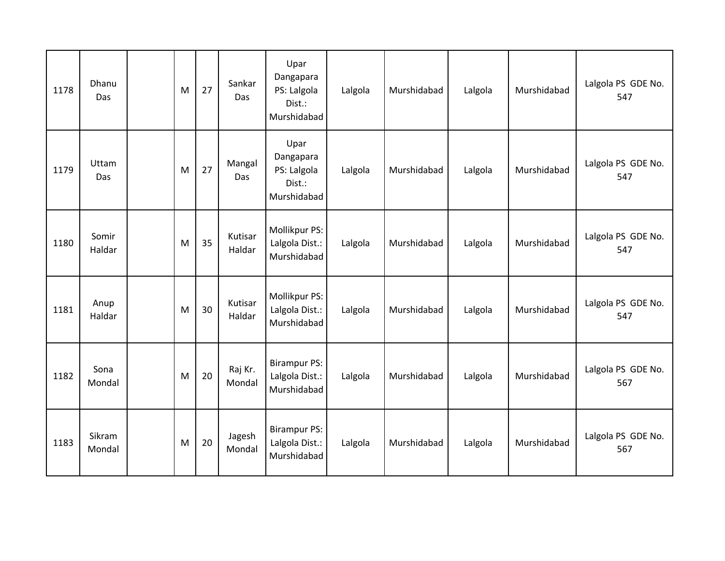| 1178 | Dhanu<br>Das     | M | 27 | Sankar<br>Das     | Upar<br>Dangapara<br>PS: Lalgola<br>Dist.:<br>Murshidabad | Lalgola | Murshidabad | Lalgola | Murshidabad | Lalgola PS GDE No.<br>547 |
|------|------------------|---|----|-------------------|-----------------------------------------------------------|---------|-------------|---------|-------------|---------------------------|
| 1179 | Uttam<br>Das     | M | 27 | Mangal<br>Das     | Upar<br>Dangapara<br>PS: Lalgola<br>Dist.:<br>Murshidabad | Lalgola | Murshidabad | Lalgola | Murshidabad | Lalgola PS GDE No.<br>547 |
| 1180 | Somir<br>Haldar  | M | 35 | Kutisar<br>Haldar | Mollikpur PS:<br>Lalgola Dist.:<br>Murshidabad            | Lalgola | Murshidabad | Lalgola | Murshidabad | Lalgola PS GDE No.<br>547 |
| 1181 | Anup<br>Haldar   | M | 30 | Kutisar<br>Haldar | Mollikpur PS:<br>Lalgola Dist.:<br>Murshidabad            | Lalgola | Murshidabad | Lalgola | Murshidabad | Lalgola PS GDE No.<br>547 |
| 1182 | Sona<br>Mondal   | M | 20 | Raj Kr.<br>Mondal | <b>Birampur PS:</b><br>Lalgola Dist.:<br>Murshidabad      | Lalgola | Murshidabad | Lalgola | Murshidabad | Lalgola PS GDE No.<br>567 |
| 1183 | Sikram<br>Mondal | M | 20 | Jagesh<br>Mondal  | <b>Birampur PS:</b><br>Lalgola Dist.:<br>Murshidabad      | Lalgola | Murshidabad | Lalgola | Murshidabad | Lalgola PS GDE No.<br>567 |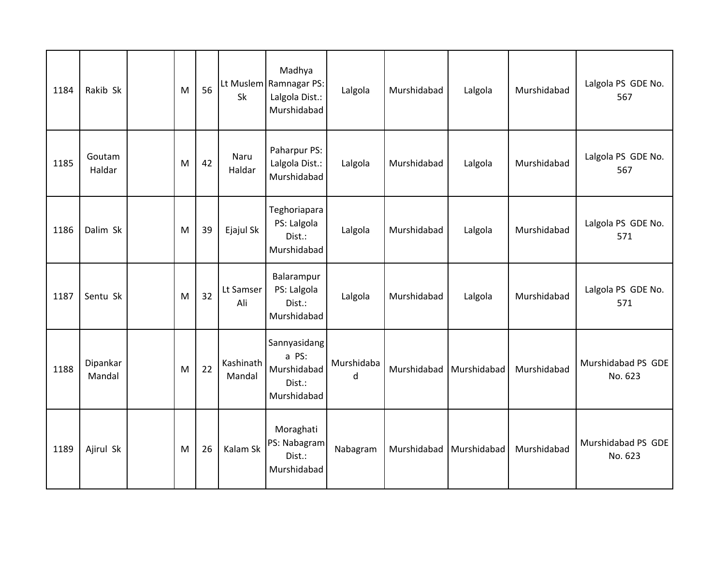| 1184 | Rakib Sk           | M | 56 | Sk                  | Madhya<br>Lt Muslem Ramnagar PS:<br>Lalgola Dist.:<br>Murshidabad | Lalgola         | Murshidabad | Lalgola                   | Murshidabad | Lalgola PS GDE No.<br>567     |
|------|--------------------|---|----|---------------------|-------------------------------------------------------------------|-----------------|-------------|---------------------------|-------------|-------------------------------|
| 1185 | Goutam<br>Haldar   | M | 42 | Naru<br>Haldar      | Paharpur PS:<br>Lalgola Dist.:<br>Murshidabad                     | Lalgola         | Murshidabad | Lalgola                   | Murshidabad | Lalgola PS GDE No.<br>567     |
| 1186 | Dalim Sk           | M | 39 | Ejajul Sk           | Teghoriapara<br>PS: Lalgola<br>Dist.:<br>Murshidabad              | Lalgola         | Murshidabad | Lalgola                   | Murshidabad | Lalgola PS GDE No.<br>571     |
| 1187 | Sentu Sk           | M | 32 | Lt Samser<br>Ali    | Balarampur<br>PS: Lalgola<br>Dist.:<br>Murshidabad                | Lalgola         | Murshidabad | Lalgola                   | Murshidabad | Lalgola PS GDE No.<br>571     |
| 1188 | Dipankar<br>Mandal | M | 22 | Kashinath<br>Mandal | Sannyasidang<br>a PS:<br>Murshidabad<br>Dist.:<br>Murshidabad     | Murshidaba<br>d | Murshidabad | Murshidabad               | Murshidabad | Murshidabad PS GDE<br>No. 623 |
| 1189 | Ajirul Sk          | M | 26 | Kalam Sk            | Moraghati<br>PS: Nabagram<br>Dist.:<br>Murshidabad                | Nabagram        |             | Murshidabad   Murshidabad | Murshidabad | Murshidabad PS GDE<br>No. 623 |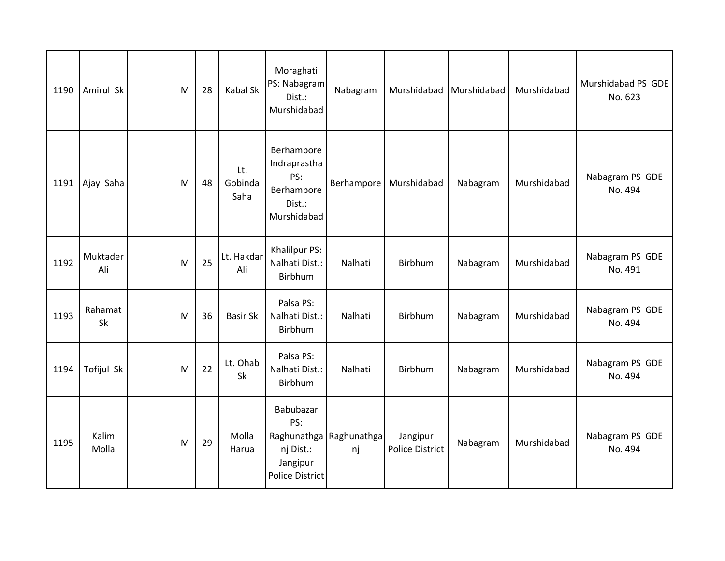| 1190 | Amirul Sk       | M | 28 | Kabal Sk               | Moraghati<br>PS: Nabagram<br>Dist.:<br>Murshidabad                       | Nabagram                      |                                    | Murshidabad   Murshidabad | Murshidabad | Murshidabad PS GDE<br>No. 623 |
|------|-----------------|---|----|------------------------|--------------------------------------------------------------------------|-------------------------------|------------------------------------|---------------------------|-------------|-------------------------------|
| 1191 | Ajay Saha       | M | 48 | Lt.<br>Gobinda<br>Saha | Berhampore<br>Indraprastha<br>PS:<br>Berhampore<br>Dist.:<br>Murshidabad | Berhampore                    | Murshidabad                        | Nabagram                  | Murshidabad | Nabagram PS GDE<br>No. 494    |
| 1192 | Muktader<br>Ali | M | 25 | Lt. Hakdar<br>Ali      | Khalilpur PS:<br>Nalhati Dist.:<br>Birbhum                               | Nalhati                       | Birbhum                            | Nabagram                  | Murshidabad | Nabagram PS GDE<br>No. 491    |
| 1193 | Rahamat<br>Sk   | M | 36 | <b>Basir Sk</b>        | Palsa PS:<br>Nalhati Dist.:<br>Birbhum                                   | Nalhati                       | Birbhum                            | Nabagram                  | Murshidabad | Nabagram PS GDE<br>No. 494    |
| 1194 | Tofijul Sk      | M | 22 | Lt. Ohab<br>Sk         | Palsa PS:<br>Nalhati Dist.:<br>Birbhum                                   | Nalhati                       | Birbhum                            | Nabagram                  | Murshidabad | Nabagram PS GDE<br>No. 494    |
| 1195 | Kalim<br>Molla  | M | 29 | Molla<br>Harua         | Babubazar<br>PS:<br>nj Dist.:<br>Jangipur<br>Police District             | Raghunathga Raghunathga<br>nj | Jangipur<br><b>Police District</b> | Nabagram                  | Murshidabad | Nabagram PS GDE<br>No. 494    |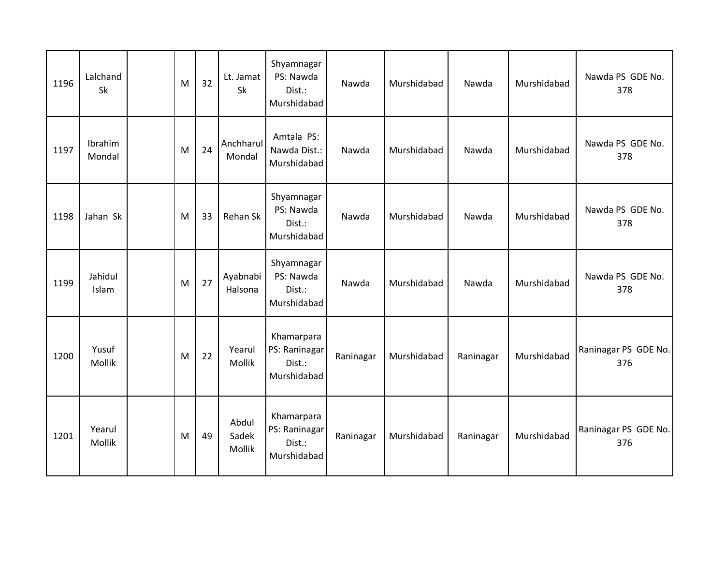| 1196 | Lalchand<br>Sk    | M | 32 | Lt. Jamat<br>Sk          | Shyamnagar<br>PS: Nawda<br>Dist.:<br>Murshidabad     | Nawda     | Murshidabad | Nawda     | Murshidabad | Nawda PS GDE No.<br>378     |
|------|-------------------|---|----|--------------------------|------------------------------------------------------|-----------|-------------|-----------|-------------|-----------------------------|
| 1197 | Ibrahim<br>Mondal | M | 24 | Anchharul<br>Mondal      | Amtala PS:<br>Nawda Dist.:<br>Murshidabad            | Nawda     | Murshidabad | Nawda     | Murshidabad | Nawda PS GDE No.<br>378     |
| 1198 | Jahan Sk          | M | 33 | Rehan Sk                 | Shyamnagar<br>PS: Nawda<br>Dist.:<br>Murshidabad     | Nawda     | Murshidabad | Nawda     | Murshidabad | Nawda PS GDE No.<br>378     |
| 1199 | Jahidul<br>Islam  | M | 27 | Ayabnabi<br>Halsona      | Shyamnagar<br>PS: Nawda<br>Dist.:<br>Murshidabad     | Nawda     | Murshidabad | Nawda     | Murshidabad | Nawda PS GDE No.<br>378     |
| 1200 | Yusuf<br>Mollik   | M | 22 | Yearul<br>Mollik         | Khamarpara<br>PS: Raninagar<br>Dist.:<br>Murshidabad | Raninagar | Murshidabad | Raninagar | Murshidabad | Raninagar PS GDE No.<br>376 |
| 1201 | Yearul<br>Mollik  | M | 49 | Abdul<br>Sadek<br>Mollik | Khamarpara<br>PS: Raninagar<br>Dist.:<br>Murshidabad | Raninagar | Murshidabad | Raninagar | Murshidabad | Raninagar PS GDE No.<br>376 |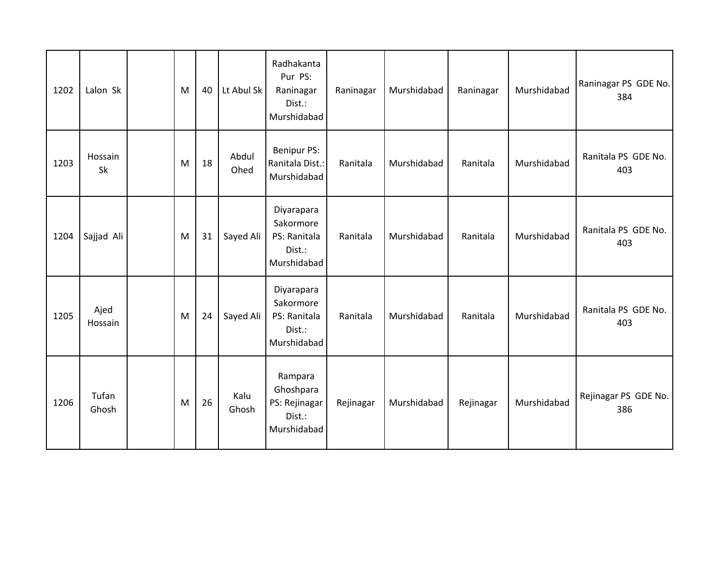| 1202 | Lalon Sk        | M | 40 | Lt Abul Sk    | Radhakanta<br>Pur PS:<br>Raninagar<br>Dist.:<br>Murshidabad      | Raninagar | Murshidabad | Raninagar | Murshidabad | Raninagar PS GDE No.<br>384 |
|------|-----------------|---|----|---------------|------------------------------------------------------------------|-----------|-------------|-----------|-------------|-----------------------------|
| 1203 | Hossain<br>Sk   | M | 18 | Abdul<br>Ohed | Benipur PS:<br>Ranitala Dist.:<br>Murshidabad                    | Ranitala  | Murshidabad | Ranitala  | Murshidabad | Ranitala PS GDE No.<br>403  |
| 1204 | Sajjad Ali      | M | 31 | Sayed Ali     | Diyarapara<br>Sakormore<br>PS: Ranitala<br>Dist.:<br>Murshidabad | Ranitala  | Murshidabad | Ranitala  | Murshidabad | Ranitala PS GDE No.<br>403  |
| 1205 | Ajed<br>Hossain | M | 24 | Sayed Ali     | Diyarapara<br>Sakormore<br>PS: Ranitala<br>Dist.:<br>Murshidabad | Ranitala  | Murshidabad | Ranitala  | Murshidabad | Ranitala PS GDE No.<br>403  |
| 1206 | Tufan<br>Ghosh  | M | 26 | Kalu<br>Ghosh | Rampara<br>Ghoshpara<br>PS: Rejinagar<br>Dist.:<br>Murshidabad   | Rejinagar | Murshidabad | Rejinagar | Murshidabad | Rejinagar PS GDE No.<br>386 |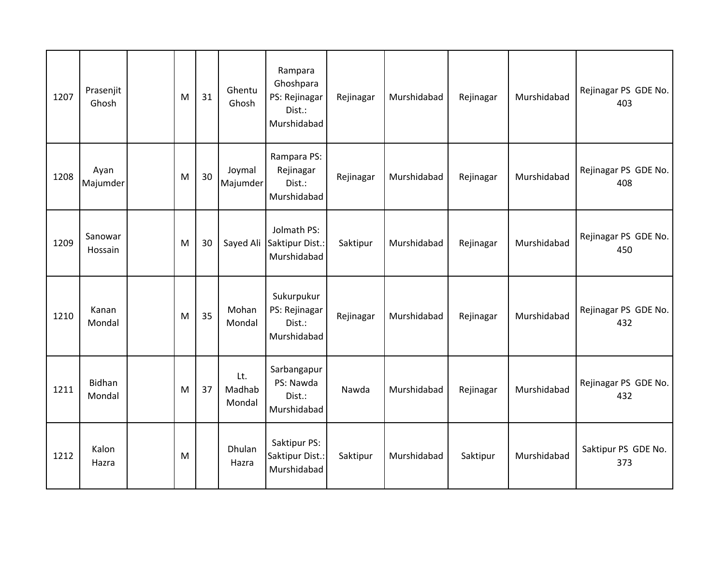| 1207 | Prasenjit<br>Ghosh      | M | 31 | Ghentu<br>Ghosh         | Rampara<br>Ghoshpara<br>PS: Rejinagar<br>Dist.:<br>Murshidabad | Rejinagar | Murshidabad | Rejinagar | Murshidabad | Rejinagar PS GDE No.<br>403 |
|------|-------------------------|---|----|-------------------------|----------------------------------------------------------------|-----------|-------------|-----------|-------------|-----------------------------|
| 1208 | Ayan<br>Majumder        | M | 30 | Joymal<br>Majumder      | Rampara PS:<br>Rejinagar<br>Dist.:<br>Murshidabad              | Rejinagar | Murshidabad | Rejinagar | Murshidabad | Rejinagar PS GDE No.<br>408 |
| 1209 | Sanowar<br>Hossain      | M | 30 | Sayed Ali               | Jolmath PS:<br>Saktipur Dist.:<br>Murshidabad                  | Saktipur  | Murshidabad | Rejinagar | Murshidabad | Rejinagar PS GDE No.<br>450 |
| 1210 | Kanan<br>Mondal         | M | 35 | Mohan<br>Mondal         | Sukurpukur<br>PS: Rejinagar<br>Dist.:<br>Murshidabad           | Rejinagar | Murshidabad | Rejinagar | Murshidabad | Rejinagar PS GDE No.<br>432 |
| 1211 | <b>Bidhan</b><br>Mondal | M | 37 | Lt.<br>Madhab<br>Mondal | Sarbangapur<br>PS: Nawda<br>Dist.:<br>Murshidabad              | Nawda     | Murshidabad | Rejinagar | Murshidabad | Rejinagar PS GDE No.<br>432 |
| 1212 | Kalon<br>Hazra          | M |    | Dhulan<br>Hazra         | Saktipur PS:<br>Saktipur Dist.:<br>Murshidabad                 | Saktipur  | Murshidabad | Saktipur  | Murshidabad | Saktipur PS GDE No.<br>373  |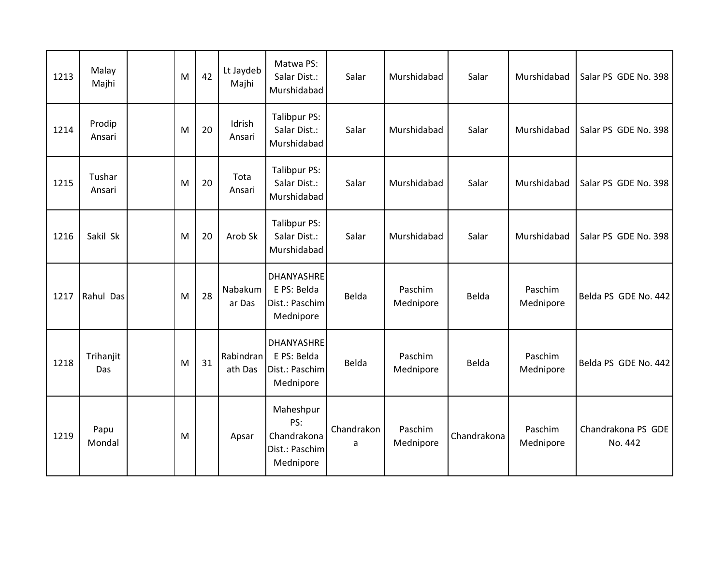| 1213 | Malay<br>Majhi   | M | 42 | Lt Jaydeb<br>Majhi   | Matwa PS:<br>Salar Dist.:<br>Murshidabad                        | Salar           | Murshidabad          | Salar       | Murshidabad          | Salar PS GDE No. 398          |
|------|------------------|---|----|----------------------|-----------------------------------------------------------------|-----------------|----------------------|-------------|----------------------|-------------------------------|
| 1214 | Prodip<br>Ansari | M | 20 | Idrish<br>Ansari     | Talibpur PS:<br>Salar Dist.:<br>Murshidabad                     | Salar           | Murshidabad          | Salar       | Murshidabad          | Salar PS GDE No. 398          |
| 1215 | Tushar<br>Ansari | M | 20 | Tota<br>Ansari       | Talibpur PS:<br>Salar Dist.:<br>Murshidabad                     | Salar           | Murshidabad          | Salar       | Murshidabad          | Salar PS GDE No. 398          |
| 1216 | Sakil Sk         | M | 20 | Arob Sk              | Talibpur PS:<br>Salar Dist.:<br>Murshidabad                     | Salar           | Murshidabad          | Salar       | Murshidabad          | Salar PS GDE No. 398          |
| 1217 | Rahul Das        | M | 28 | Nabakum<br>ar Das    | <b>DHANYASHRE</b><br>E PS: Belda<br>Dist.: Paschim<br>Mednipore | Belda           | Paschim<br>Mednipore | Belda       | Paschim<br>Mednipore | Belda PS GDE No. 442          |
| 1218 | Trihanjit<br>Das | M | 31 | Rabindran<br>ath Das | <b>DHANYASHRE</b><br>E PS: Belda<br>Dist.: Paschim<br>Mednipore | Belda           | Paschim<br>Mednipore | Belda       | Paschim<br>Mednipore | Belda PS GDE No. 442          |
| 1219 | Papu<br>Mondal   | M |    | Apsar                | Maheshpur<br>PS:<br>Chandrakona<br>Dist.: Paschim<br>Mednipore  | Chandrakon<br>a | Paschim<br>Mednipore | Chandrakona | Paschim<br>Mednipore | Chandrakona PS GDE<br>No. 442 |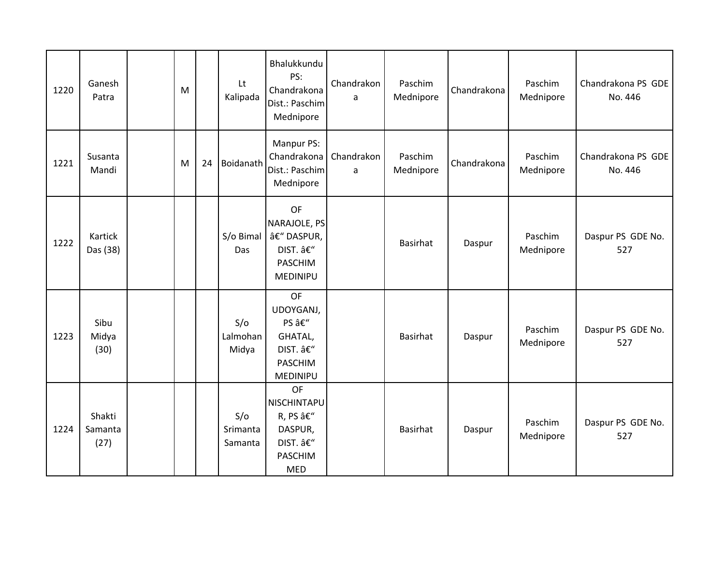| 1220 | Ganesh<br>Patra           | M |    | Lt<br>Kalipada             | Bhalukkundu<br>PS:<br>Chandrakona<br>Dist.: Paschim<br>Mednipore                            | Chandrakon<br>a | Paschim<br>Mednipore | Chandrakona | Paschim<br>Mednipore | Chandrakona PS GDE<br>No. 446 |
|------|---------------------------|---|----|----------------------------|---------------------------------------------------------------------------------------------|-----------------|----------------------|-------------|----------------------|-------------------------------|
| 1221 | Susanta<br>Mandi          | M | 24 | Boidanath                  | Manpur PS:<br>Chandrakona<br>Dist.: Paschim<br>Mednipore                                    | Chandrakon<br>a | Paschim<br>Mednipore | Chandrakona | Paschim<br>Mednipore | Chandrakona PS GDE<br>No. 446 |
| 1222 | Kartick<br>Das (38)       |   |    | S/o Bimal<br>Das           | OF<br>NARAJOLE, PS<br>– DASPUR,<br>DIST. –<br><b>PASCHIM</b><br><b>MEDINIPU</b>             |                 | Basirhat             | Daspur      | Paschim<br>Mednipore | Daspur PS GDE No.<br>527      |
| 1223 | Sibu<br>Midya<br>(30)     |   |    | S/O<br>Lalmohan<br>Midya   | OF<br>UDOYGANJ,<br>PS –<br>GHATAL,<br>DIST. –<br><b>PASCHIM</b><br>MEDINIPU                 |                 | Basirhat             | Daspur      | Paschim<br>Mednipore | Daspur PS GDE No.<br>527      |
| 1224 | Shakti<br>Samanta<br>(27) |   |    | S/O<br>Srimanta<br>Samanta | <b>OF</b><br>NISCHINTAPU<br>R, PS â€"<br>DASPUR,<br>DIST. –<br><b>PASCHIM</b><br><b>MED</b> |                 | Basirhat             | Daspur      | Paschim<br>Mednipore | Daspur PS GDE No.<br>527      |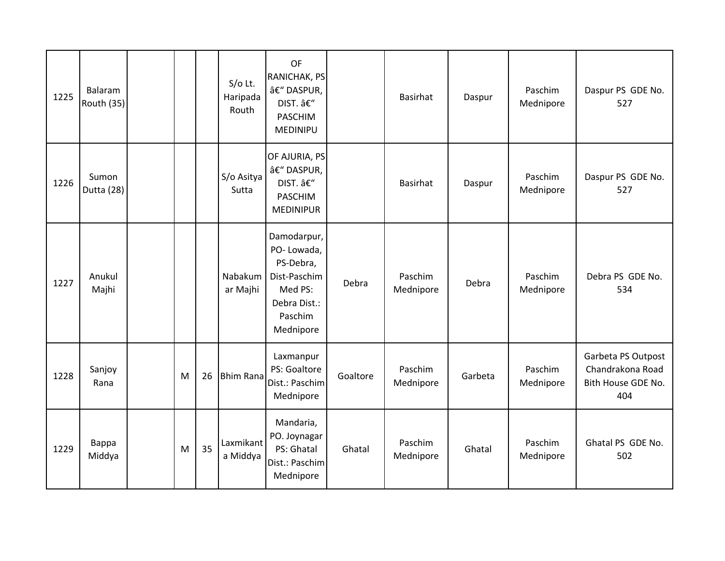| 1225 | Balaram<br><b>Routh (35)</b> |   |    | $S$ /o Lt.<br>Haripada<br>Routh | OF<br>RANICHAK, PS<br>â€" DASPUR,<br>DIST. –<br><b>PASCHIM</b><br>MEDINIPU                                |          | <b>Basirhat</b>      | Daspur  | Paschim<br>Mednipore | Daspur PS GDE No.<br>527                                            |
|------|------------------------------|---|----|---------------------------------|-----------------------------------------------------------------------------------------------------------|----------|----------------------|---------|----------------------|---------------------------------------------------------------------|
| 1226 | Sumon<br>Dutta (28)          |   |    | S/o Asitya<br>Sutta             | OF AJURIA, PS<br>â€" DASPUR,<br>DIST. –<br><b>PASCHIM</b><br><b>MEDINIPUR</b>                             |          | <b>Basirhat</b>      | Daspur  | Paschim<br>Mednipore | Daspur PS GDE No.<br>527                                            |
| 1227 | Anukul<br>Majhi              |   |    | Nabakum<br>ar Majhi             | Damodarpur,<br>PO-Lowada,<br>PS-Debra,<br>Dist-Paschim<br>Med PS:<br>Debra Dist.:<br>Paschim<br>Mednipore | Debra    | Paschim<br>Mednipore | Debra   | Paschim<br>Mednipore | Debra PS GDE No.<br>534                                             |
| 1228 | Sanjoy<br>Rana               | M | 26 | <b>Bhim Rana</b>                | Laxmanpur<br>PS: Goaltore<br>Dist.: Paschim<br>Mednipore                                                  | Goaltore | Paschim<br>Mednipore | Garbeta | Paschim<br>Mednipore | Garbeta PS Outpost<br>Chandrakona Road<br>Bith House GDE No.<br>404 |
| 1229 | Bappa<br>Middya              | M | 35 | Laxmikant<br>a Middya           | Mandaria,<br>PO. Joynagar<br>PS: Ghatal<br>Dist.: Paschim<br>Mednipore                                    | Ghatal   | Paschim<br>Mednipore | Ghatal  | Paschim<br>Mednipore | Ghatal PS GDE No.<br>502                                            |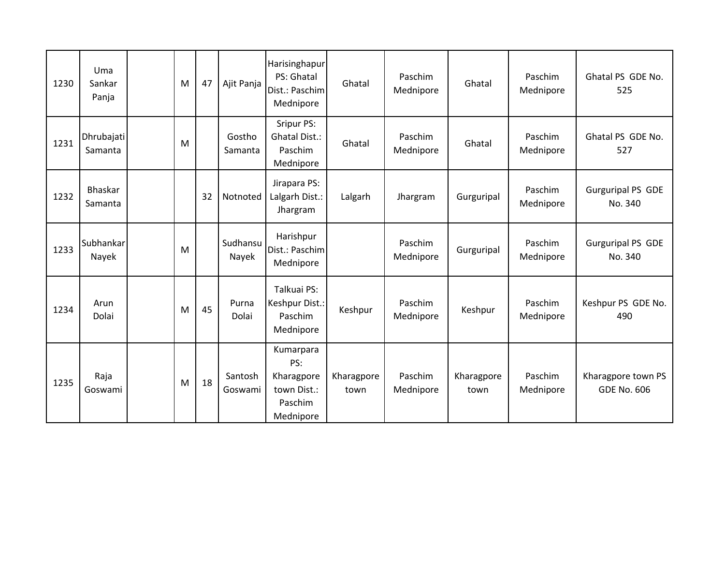| 1230 | Uma<br>Sankar<br>Panja    | M | 47 | Ajit Panja         | Harisinghapur<br>PS: Ghatal<br>Dist.: Paschim<br>Mednipore            | Ghatal             | Paschim<br>Mednipore | Ghatal             | Paschim<br>Mednipore | Ghatal PS GDE No.<br>525                 |
|------|---------------------------|---|----|--------------------|-----------------------------------------------------------------------|--------------------|----------------------|--------------------|----------------------|------------------------------------------|
| 1231 | Dhrubajati<br>Samanta     | M |    | Gostho<br>Samanta  | Sripur PS:<br><b>Ghatal Dist.:</b><br>Paschim<br>Mednipore            | Ghatal             | Paschim<br>Mednipore | Ghatal             | Paschim<br>Mednipore | Ghatal PS GDE No.<br>527                 |
| 1232 | <b>Bhaskar</b><br>Samanta |   | 32 | Notnoted           | Jirapara PS:<br>Lalgarh Dist.:<br>Jhargram                            | Lalgarh            | Jhargram             | Gurguripal         | Paschim<br>Mednipore | <b>Gurguripal PS GDE</b><br>No. 340      |
| 1233 | Subhankar<br>Nayek        | M |    | Sudhansu<br>Nayek  | Harishpur<br>Dist.: Paschim<br>Mednipore                              |                    | Paschim<br>Mednipore | Gurguripal         | Paschim<br>Mednipore | <b>Gurguripal PS GDE</b><br>No. 340      |
| 1234 | Arun<br>Dolai             | M | 45 | Purna<br>Dolai     | Talkuai PS:<br>Keshpur Dist.:<br>Paschim<br>Mednipore                 | Keshpur            | Paschim<br>Mednipore | Keshpur            | Paschim<br>Mednipore | Keshpur PS GDE No.<br>490                |
| 1235 | Raja<br>Goswami           | M | 18 | Santosh<br>Goswami | Kumarpara<br>PS:<br>Kharagpore<br>town Dist.:<br>Paschim<br>Mednipore | Kharagpore<br>town | Paschim<br>Mednipore | Kharagpore<br>town | Paschim<br>Mednipore | Kharagpore town PS<br><b>GDE No. 606</b> |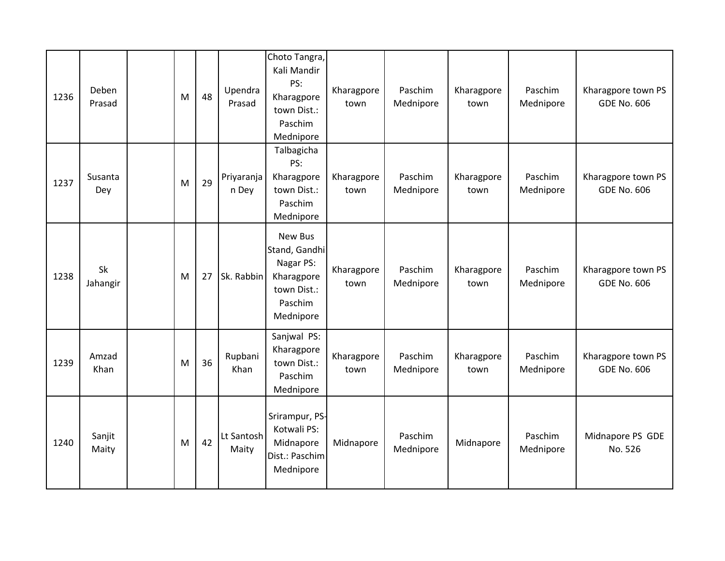| 1236 | Deben<br>Prasad | M | 48 | Upendra<br>Prasad   | Choto Tangra,<br>Kali Mandir<br>PS:<br>Kharagpore<br>town Dist.:<br>Paschim<br>Mednipore   | Kharagpore<br>town | Paschim<br>Mednipore | Kharagpore<br>town | Paschim<br>Mednipore | Kharagpore town PS<br><b>GDE No. 606</b> |
|------|-----------------|---|----|---------------------|--------------------------------------------------------------------------------------------|--------------------|----------------------|--------------------|----------------------|------------------------------------------|
| 1237 | Susanta<br>Dey  | M | 29 | Priyaranja<br>n Dey | Talbagicha<br>PS:<br>Kharagpore<br>town Dist.:<br>Paschim<br>Mednipore                     | Kharagpore<br>town | Paschim<br>Mednipore | Kharagpore<br>town | Paschim<br>Mednipore | Kharagpore town PS<br><b>GDE No. 606</b> |
| 1238 | Sk<br>Jahangir  | M | 27 | Sk. Rabbin          | New Bus<br>Stand, Gandhi<br>Nagar PS:<br>Kharagpore<br>town Dist.:<br>Paschim<br>Mednipore | Kharagpore<br>town | Paschim<br>Mednipore | Kharagpore<br>town | Paschim<br>Mednipore | Kharagpore town PS<br><b>GDE No. 606</b> |
| 1239 | Amzad<br>Khan   | M | 36 | Rupbani<br>Khan     | Sanjwal PS:<br>Kharagpore<br>town Dist.:<br>Paschim<br>Mednipore                           | Kharagpore<br>town | Paschim<br>Mednipore | Kharagpore<br>town | Paschim<br>Mednipore | Kharagpore town PS<br><b>GDE No. 606</b> |
| 1240 | Sanjit<br>Maity | M | 42 | Lt Santosh<br>Maity | Srirampur, PS-<br>Kotwali PS:<br>Midnapore<br>Dist.: Paschim<br>Mednipore                  | Midnapore          | Paschim<br>Mednipore | Midnapore          | Paschim<br>Mednipore | Midnapore PS GDE<br>No. 526              |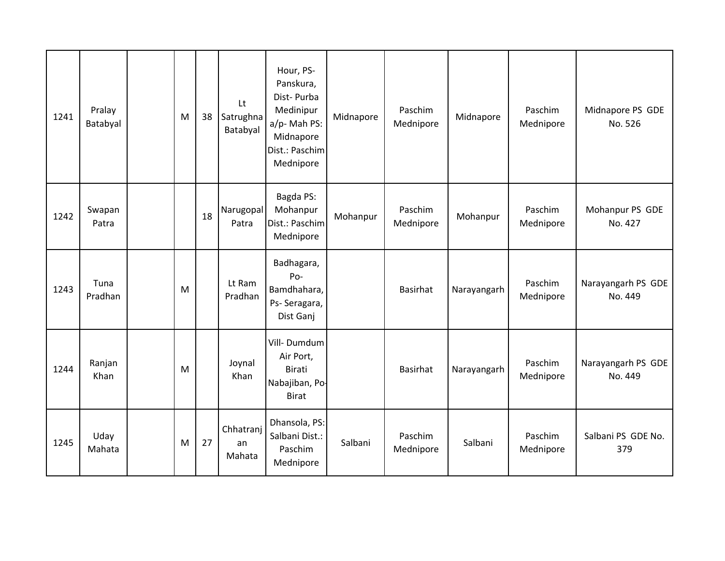| 1241 | Pralay<br>Batabyal | M | 38 | Lt<br>Satrughna<br>Batabyal | Hour, PS-<br>Panskura,<br>Dist-Purba<br>Medinipur<br>a/p- Mah PS:<br>Midnapore<br>Dist.: Paschim<br>Mednipore | Midnapore | Paschim<br>Mednipore | Midnapore   | Paschim<br>Mednipore | Midnapore PS GDE<br>No. 526   |
|------|--------------------|---|----|-----------------------------|---------------------------------------------------------------------------------------------------------------|-----------|----------------------|-------------|----------------------|-------------------------------|
| 1242 | Swapan<br>Patra    |   | 18 | Narugopal<br>Patra          | Bagda PS:<br>Mohanpur<br>Dist.: Paschim<br>Mednipore                                                          | Mohanpur  | Paschim<br>Mednipore | Mohanpur    | Paschim<br>Mednipore | Mohanpur PS GDE<br>No. 427    |
| 1243 | Tuna<br>Pradhan    | M |    | Lt Ram<br>Pradhan           | Badhagara,<br>Po-<br>Bamdhahara,<br>Ps-Seragara,<br>Dist Ganj                                                 |           | Basirhat             | Narayangarh | Paschim<br>Mednipore | Narayangarh PS GDE<br>No. 449 |
| 1244 | Ranjan<br>Khan     | M |    | Joynal<br>Khan              | Vill-Dumdum<br>Air Port,<br>Birati<br>Nabajiban, Po-<br><b>Birat</b>                                          |           | Basirhat             | Narayangarh | Paschim<br>Mednipore | Narayangarh PS GDE<br>No. 449 |
| 1245 | Uday<br>Mahata     | M | 27 | Chhatranj<br>an<br>Mahata   | Dhansola, PS:<br>Salbani Dist.:<br>Paschim<br>Mednipore                                                       | Salbani   | Paschim<br>Mednipore | Salbani     | Paschim<br>Mednipore | Salbani PS GDE No.<br>379     |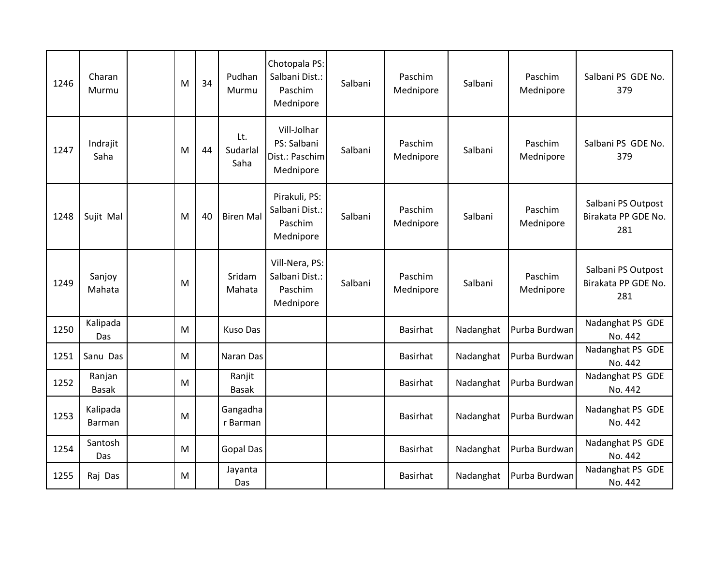| 1246 | Charan<br>Murmu           | M | 34 | Pudhan<br>Murmu         | Chotopala PS:<br>Salbani Dist.:<br>Paschim<br>Mednipore   | Salbani | Paschim<br>Mednipore | Salbani   | Paschim<br>Mednipore | Salbani PS GDE No.<br>379                        |
|------|---------------------------|---|----|-------------------------|-----------------------------------------------------------|---------|----------------------|-----------|----------------------|--------------------------------------------------|
| 1247 | Indrajit<br>Saha          | M | 44 | Lt.<br>Sudarlal<br>Saha | Vill-Jolhar<br>PS: Salbani<br>Dist.: Paschim<br>Mednipore | Salbani | Paschim<br>Mednipore | Salbani   | Paschim<br>Mednipore | Salbani PS GDE No.<br>379                        |
| 1248 | Sujit Mal                 | M | 40 | <b>Biren Mal</b>        | Pirakuli, PS:<br>Salbani Dist.:<br>Paschim<br>Mednipore   | Salbani | Paschim<br>Mednipore | Salbani   | Paschim<br>Mednipore | Salbani PS Outpost<br>Birakata PP GDE No.<br>281 |
| 1249 | Sanjoy<br>Mahata          | M |    | Sridam<br>Mahata        | Vill-Nera, PS:<br>Salbani Dist.:<br>Paschim<br>Mednipore  | Salbani | Paschim<br>Mednipore | Salbani   | Paschim<br>Mednipore | Salbani PS Outpost<br>Birakata PP GDE No.<br>281 |
| 1250 | Kalipada<br>Das           | M |    | <b>Kuso Das</b>         |                                                           |         | Basirhat             | Nadanghat | Purba Burdwan        | Nadanghat PS GDE<br>No. 442                      |
| 1251 | Sanu Das                  | M |    | Naran Das               |                                                           |         | Basirhat             | Nadanghat | Purba Burdwan        | Nadanghat PS GDE<br>No. 442                      |
| 1252 | Ranjan<br><b>Basak</b>    | M |    | Ranjit<br><b>Basak</b>  |                                                           |         | Basirhat             | Nadanghat | Purba Burdwan        | Nadanghat PS GDE<br>No. 442                      |
| 1253 | Kalipada<br><b>Barman</b> | M |    | Gangadha<br>r Barman    |                                                           |         | Basirhat             | Nadanghat | Purba Burdwan        | Nadanghat PS GDE<br>No. 442                      |
| 1254 | Santosh<br>Das            | M |    | <b>Gopal Das</b>        |                                                           |         | Basirhat             | Nadanghat | Purba Burdwan        | Nadanghat PS GDE<br>No. 442                      |
| 1255 | Raj Das                   | M |    | Jayanta<br>Das          |                                                           |         | Basirhat             | Nadanghat | Purba Burdwan        | Nadanghat PS GDE<br>No. 442                      |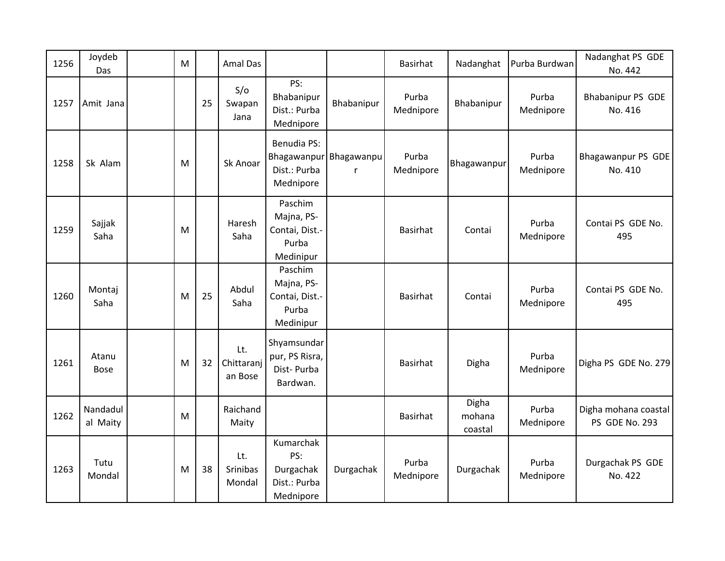| 1256 | Joydeb<br>Das        | M |    | <b>Amal Das</b>                  |                                                                |                 | Basirhat           | Nadanghat                  | Purba Burdwan      | Nadanghat PS GDE<br>No. 442            |
|------|----------------------|---|----|----------------------------------|----------------------------------------------------------------|-----------------|--------------------|----------------------------|--------------------|----------------------------------------|
| 1257 | Amit Jana            |   | 25 | S/O<br>Swapan<br>Jana            | PS:<br>Bhabanipur<br>Dist.: Purba<br>Mednipore                 | Bhabanipur      | Purba<br>Mednipore | Bhabanipur                 | Purba<br>Mednipore | Bhabanipur PS GDE<br>No. 416           |
| 1258 | Sk Alam              | M |    | Sk Anoar                         | <b>Benudia PS:</b><br>Bhagawanpur<br>Dist.: Purba<br>Mednipore | Bhagawanpu<br>r | Purba<br>Mednipore | Bhagawanpur                | Purba<br>Mednipore | Bhagawanpur PS GDE<br>No. 410          |
| 1259 | Sajjak<br>Saha       | M |    | Haresh<br>Saha                   | Paschim<br>Majna, PS-<br>Contai, Dist.-<br>Purba<br>Medinipur  |                 | Basirhat           | Contai                     | Purba<br>Mednipore | Contai PS GDE No.<br>495               |
| 1260 | Montaj<br>Saha       | M | 25 | Abdul<br>Saha                    | Paschim<br>Majna, PS-<br>Contai, Dist.-<br>Purba<br>Medinipur  |                 | Basirhat           | Contai                     | Purba<br>Mednipore | Contai PS GDE No.<br>495               |
| 1261 | Atanu<br><b>Bose</b> | M | 32 | Lt.<br>Chittaranj<br>an Bose     | Shyamsundar<br>pur, PS Risra,<br>Dist-Purba<br>Bardwan.        |                 | Basirhat           | Digha                      | Purba<br>Mednipore | Digha PS GDE No. 279                   |
| 1262 | Nandadul<br>al Maity | M |    | Raichand<br>Maity                |                                                                |                 | <b>Basirhat</b>    | Digha<br>mohana<br>coastal | Purba<br>Mednipore | Digha mohana coastal<br>PS GDE No. 293 |
| 1263 | Tutu<br>Mondal       | M | 38 | Lt.<br><b>Srinibas</b><br>Mondal | Kumarchak<br>PS:<br>Durgachak<br>Dist.: Purba<br>Mednipore     | Durgachak       | Purba<br>Mednipore | Durgachak                  | Purba<br>Mednipore | Durgachak PS GDE<br>No. 422            |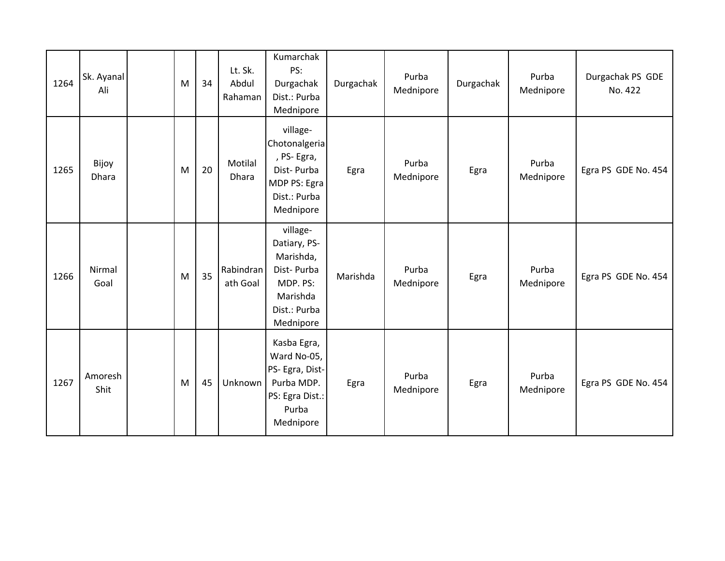| 1264 | Sk. Ayanal<br>Ali | M | 34 | Lt. Sk.<br>Abdul<br>Rahaman | Kumarchak<br>PS:<br>Durgachak<br>Dist.: Purba<br>Mednipore                                               | Durgachak | Purba<br>Mednipore | Durgachak | Purba<br>Mednipore | Durgachak PS GDE<br>No. 422 |
|------|-------------------|---|----|-----------------------------|----------------------------------------------------------------------------------------------------------|-----------|--------------------|-----------|--------------------|-----------------------------|
| 1265 | Bijoy<br>Dhara    | M | 20 | Motilal<br>Dhara            | village-<br>Chotonalgeria<br>, PS-Egra,<br>Dist-Purba<br>MDP PS: Egra<br>Dist.: Purba<br>Mednipore       | Egra      | Purba<br>Mednipore | Egra      | Purba<br>Mednipore | Egra PS GDE No. 454         |
| 1266 | Nirmal<br>Goal    | M | 35 | Rabindran<br>ath Goal       | village-<br>Datiary, PS-<br>Marishda,<br>Dist-Purba<br>MDP. PS:<br>Marishda<br>Dist.: Purba<br>Mednipore | Marishda  | Purba<br>Mednipore | Egra      | Purba<br>Mednipore | Egra PS GDE No. 454         |
| 1267 | Amoresh<br>Shit   | M | 45 | Unknown                     | Kasba Egra,<br>Ward No-05,<br>PS- Egra, Dist-<br>Purba MDP.<br>PS: Egra Dist.:<br>Purba<br>Mednipore     | Egra      | Purba<br>Mednipore | Egra      | Purba<br>Mednipore | Egra PS GDE No. 454         |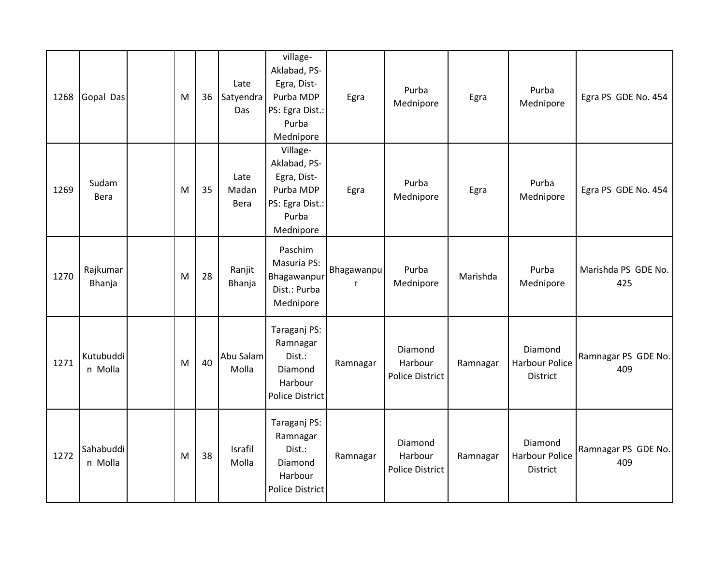| 1268 | Gopal Das            | M | 36 | Late<br>Satyendra<br>Das | village-<br>Aklabad, PS-<br>Egra, Dist-<br>Purba MDP<br>PS: Egra Dist.:<br>Purba<br>Mednipore | Egra       | Purba<br>Mednipore                    | Egra     | Purba<br>Mednipore                           | Egra PS GDE No. 454        |
|------|----------------------|---|----|--------------------------|-----------------------------------------------------------------------------------------------|------------|---------------------------------------|----------|----------------------------------------------|----------------------------|
| 1269 | Sudam<br>Bera        | M | 35 | Late<br>Madan<br>Bera    | Village-<br>Aklabad, PS-<br>Egra, Dist-<br>Purba MDP<br>PS: Egra Dist.:<br>Purba<br>Mednipore | Egra       | Purba<br>Mednipore                    | Egra     | Purba<br>Mednipore                           | Egra PS GDE No. 454        |
| 1270 | Rajkumar<br>Bhanja   | M | 28 | Ranjit<br>Bhanja         | Paschim<br>Masuria PS:<br>Bhagawanpur<br>Dist.: Purba<br>Mednipore                            | Bhagawanpu | Purba<br>Mednipore                    | Marishda | Purba<br>Mednipore                           | Marishda PS GDE No.<br>425 |
| 1271 | Kutubuddi<br>n Molla | M | 40 | Abu Salam<br>Molla       | Taraganj PS:<br>Ramnagar<br>Dist.:<br>Diamond<br>Harbour<br><b>Police District</b>            | Ramnagar   | Diamond<br>Harbour<br>Police District | Ramnagar | Diamond<br>Harbour Police<br>District        | Ramnagar PS GDE No.<br>409 |
| 1272 | Sahabuddi<br>n Molla | M | 38 | Israfil<br>Molla         | Taraganj PS:<br>Ramnagar<br>Dist.:<br>Diamond<br>Harbour<br><b>Police District</b>            | Ramnagar   | Diamond<br>Harbour<br>Police District | Ramnagar | Diamond<br><b>Harbour Police</b><br>District | Ramnagar PS GDE No.<br>409 |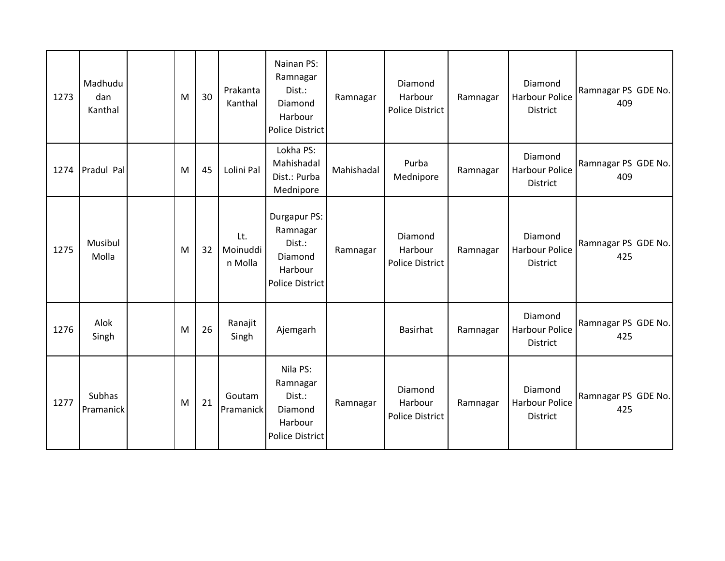| 1273 | Madhudu<br>dan<br>Kanthal | M | 30 | Prakanta<br>Kanthal        | Nainan PS:<br>Ramnagar<br>Dist.:<br>Diamond<br>Harbour<br><b>Police District</b>   | Ramnagar   | Diamond<br>Harbour<br>Police District | Ramnagar | Diamond<br><b>Harbour Police</b><br><b>District</b> | Ramnagar PS GDE No.<br>409 |
|------|---------------------------|---|----|----------------------------|------------------------------------------------------------------------------------|------------|---------------------------------------|----------|-----------------------------------------------------|----------------------------|
| 1274 | Pradul Pal                | M | 45 | Lolini Pal                 | Lokha PS:<br>Mahishadal<br>Dist.: Purba<br>Mednipore                               | Mahishadal | Purba<br>Mednipore                    | Ramnagar | Diamond<br><b>Harbour Police</b><br><b>District</b> | Ramnagar PS GDE No.<br>409 |
| 1275 | Musibul<br>Molla          | M | 32 | Lt.<br>Moinuddi<br>n Molla | Durgapur PS:<br>Ramnagar<br>Dist.:<br>Diamond<br>Harbour<br><b>Police District</b> | Ramnagar   | Diamond<br>Harbour<br>Police District | Ramnagar | Diamond<br><b>Harbour Police</b><br><b>District</b> | Ramnagar PS GDE No.<br>425 |
| 1276 | Alok<br>Singh             | M | 26 | Ranajit<br>Singh           | Ajemgarh                                                                           |            | Basirhat                              | Ramnagar | Diamond<br><b>Harbour Police</b><br><b>District</b> | Ramnagar PS GDE No.<br>425 |
| 1277 | Subhas<br>Pramanick       | M | 21 | Goutam<br>Pramanick        | Nila PS:<br>Ramnagar<br>Dist.:<br>Diamond<br>Harbour<br><b>Police District</b>     | Ramnagar   | Diamond<br>Harbour<br>Police District | Ramnagar | Diamond<br><b>Harbour Police</b><br><b>District</b> | Ramnagar PS GDE No.<br>425 |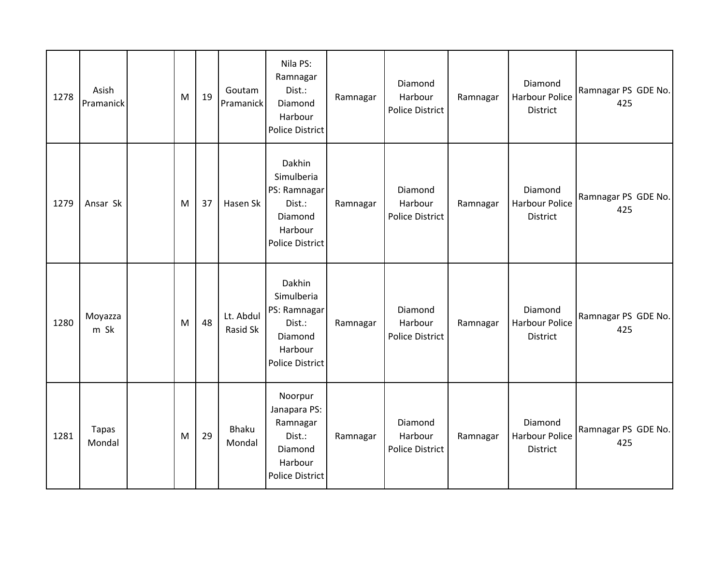| 1278 | Asish<br>Pramanick | M | 19 | Goutam<br>Pramanick    | Nila PS:<br>Ramnagar<br>Dist.:<br>Diamond<br>Harbour<br><b>Police District</b>                 | Ramnagar | Diamond<br>Harbour<br>Police District        | Ramnagar | Diamond<br><b>Harbour Police</b><br>District | Ramnagar PS GDE No.<br>425 |
|------|--------------------|---|----|------------------------|------------------------------------------------------------------------------------------------|----------|----------------------------------------------|----------|----------------------------------------------|----------------------------|
| 1279 | Ansar Sk           | M | 37 | Hasen Sk               | Dakhin<br>Simulberia<br>PS: Ramnagar<br>Dist.:<br>Diamond<br>Harbour<br><b>Police District</b> | Ramnagar | Diamond<br>Harbour<br>Police District        | Ramnagar | Diamond<br>Harbour Police<br>District        | Ramnagar PS GDE No.<br>425 |
| 1280 | Moyazza<br>m Sk    | M | 48 | Lt. Abdul<br>Rasid Sk  | Dakhin<br>Simulberia<br>PS: Ramnagar<br>Dist.:<br>Diamond<br>Harbour<br><b>Police District</b> | Ramnagar | Diamond<br>Harbour<br>Police District        | Ramnagar | Diamond<br><b>Harbour Police</b><br>District | Ramnagar PS GDE No.<br>425 |
| 1281 | Tapas<br>Mondal    | M | 29 | <b>Bhaku</b><br>Mondal | Noorpur<br>Janapara PS:<br>Ramnagar<br>Dist.:<br>Diamond<br>Harbour<br><b>Police District</b>  | Ramnagar | Diamond<br>Harbour<br><b>Police District</b> | Ramnagar | Diamond<br><b>Harbour Police</b><br>District | Ramnagar PS GDE No.<br>425 |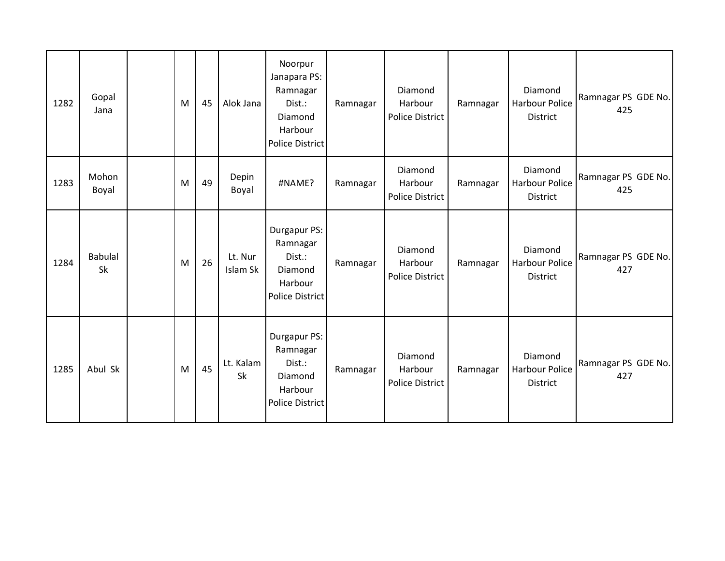| 1282 | Gopal<br>Jana        | M | 45 | Alok Jana           | Noorpur<br>Janapara PS:<br>Ramnagar<br>Dist.:<br>Diamond<br>Harbour<br>Police District | Ramnagar | Diamond<br>Harbour<br>Police District | Ramnagar | Diamond<br><b>Harbour Police</b><br>District | Ramnagar PS GDE No.<br>425 |
|------|----------------------|---|----|---------------------|----------------------------------------------------------------------------------------|----------|---------------------------------------|----------|----------------------------------------------|----------------------------|
| 1283 | Mohon<br>Boyal       | M | 49 | Depin<br>Boyal      | #NAME?                                                                                 | Ramnagar | Diamond<br>Harbour<br>Police District | Ramnagar | Diamond<br>Harbour Police<br>District        | Ramnagar PS GDE No.<br>425 |
| 1284 | <b>Babulal</b><br>Sk | M | 26 | Lt. Nur<br>Islam Sk | Durgapur PS:<br>Ramnagar<br>Dist.:<br>Diamond<br>Harbour<br><b>Police District</b>     | Ramnagar | Diamond<br>Harbour<br>Police District | Ramnagar | Diamond<br>Harbour Police<br>District        | Ramnagar PS GDE No.<br>427 |
| 1285 | Abul Sk              | M | 45 | Lt. Kalam<br>Sk     | Durgapur PS:<br>Ramnagar<br>Dist.:<br>Diamond<br>Harbour<br><b>Police District</b>     | Ramnagar | Diamond<br>Harbour<br>Police District | Ramnagar | Diamond<br>Harbour Police<br><b>District</b> | Ramnagar PS GDE No.<br>427 |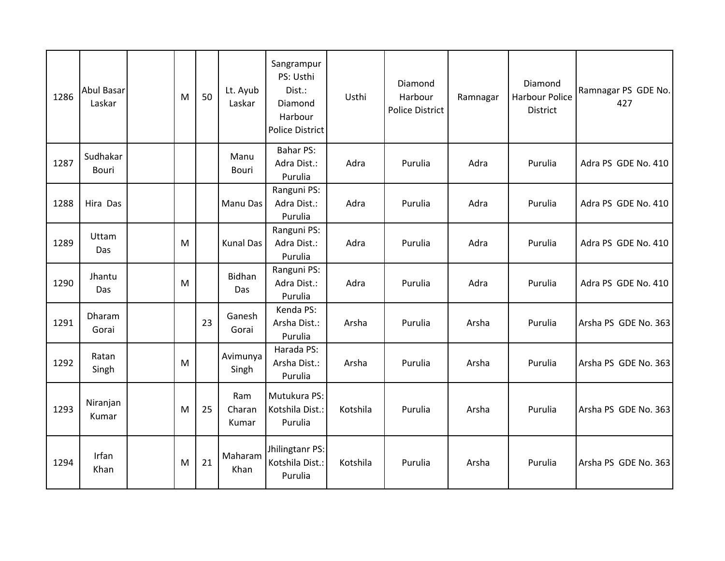| 1286 | Abul Basar<br>Laskar | M | 50 | Lt. Ayub<br>Laskar     | Sangrampur<br>PS: Usthi<br>Dist.:<br>Diamond<br>Harbour<br><b>Police District</b> | Usthi    | Diamond<br>Harbour<br>Police District | Ramnagar | Diamond<br><b>Harbour Police</b><br>District | Ramnagar PS GDE No.<br>427 |
|------|----------------------|---|----|------------------------|-----------------------------------------------------------------------------------|----------|---------------------------------------|----------|----------------------------------------------|----------------------------|
| 1287 | Sudhakar<br>Bouri    |   |    | Manu<br>Bouri          | <b>Bahar PS:</b><br>Adra Dist.:<br>Purulia                                        | Adra     | Purulia                               | Adra     | Purulia                                      | Adra PS GDE No. 410        |
| 1288 | Hira Das             |   |    | Manu Das               | Ranguni PS:<br>Adra Dist.:<br>Purulia                                             | Adra     | Purulia                               | Adra     | Purulia                                      | Adra PS GDE No. 410        |
| 1289 | Uttam<br>Das         | M |    | <b>Kunal Das</b>       | Ranguni PS:<br>Adra Dist.:<br>Purulia                                             | Adra     | Purulia                               | Adra     | Purulia                                      | Adra PS GDE No. 410        |
| 1290 | Jhantu<br>Das        | M |    | Bidhan<br>Das          | Ranguni PS:<br>Adra Dist.:<br>Purulia                                             | Adra     | Purulia                               | Adra     | Purulia                                      | Adra PS GDE No. 410        |
| 1291 | Dharam<br>Gorai      |   | 23 | Ganesh<br>Gorai        | Kenda PS:<br>Arsha Dist.:<br>Purulia                                              | Arsha    | Purulia                               | Arsha    | Purulia                                      | Arsha PS GDE No. 363       |
| 1292 | Ratan<br>Singh       | M |    | Avimunya<br>Singh      | Harada PS:<br>Arsha Dist.:<br>Purulia                                             | Arsha    | Purulia                               | Arsha    | Purulia                                      | Arsha PS GDE No. 363       |
| 1293 | Niranjan<br>Kumar    | M | 25 | Ram<br>Charan<br>Kumar | Mutukura PS:<br>Kotshila Dist.:<br>Purulia                                        | Kotshila | Purulia                               | Arsha    | Purulia                                      | Arsha PS GDE No. 363       |
| 1294 | Irfan<br>Khan        | M | 21 | Maharam<br>Khan        | Jhilingtanr PS:<br>Kotshila Dist.:<br>Purulia                                     | Kotshila | Purulia                               | Arsha    | Purulia                                      | Arsha PS GDE No. 363       |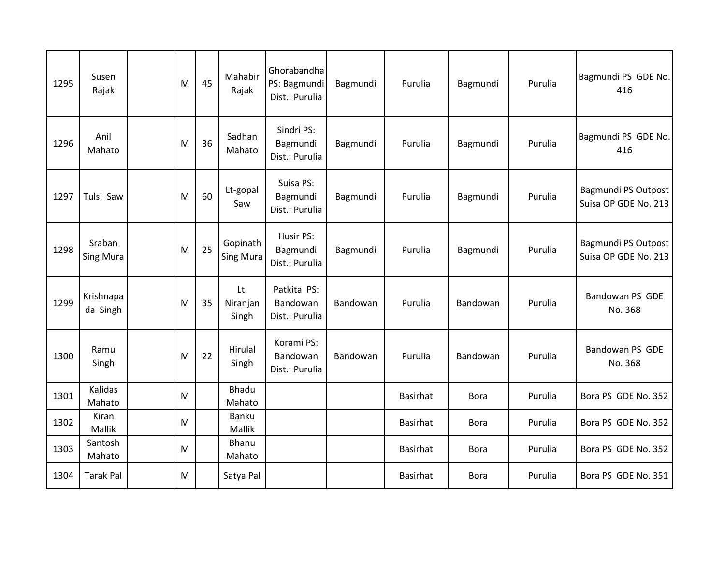| 1295 | Susen<br>Rajak             | M | 45 | Mahabir<br>Rajak             | Ghorabandha<br>PS: Bagmundi<br>Dist.: Purulia | Bagmundi | Purulia         | Bagmundi    | Purulia | Bagmundi PS GDE No.<br>416                  |
|------|----------------------------|---|----|------------------------------|-----------------------------------------------|----------|-----------------|-------------|---------|---------------------------------------------|
| 1296 | Anil<br>Mahato             | M | 36 | Sadhan<br>Mahato             | Sindri PS:<br>Bagmundi<br>Dist.: Purulia      | Bagmundi | Purulia         | Bagmundi    | Purulia | Bagmundi PS GDE No.<br>416                  |
| 1297 | Tulsi Saw                  | M | 60 | Lt-gopal<br>Saw              | Suisa PS:<br>Bagmundi<br>Dist.: Purulia       | Bagmundi | Purulia         | Bagmundi    | Purulia | Bagmundi PS Outpost<br>Suisa OP GDE No. 213 |
| 1298 | Sraban<br><b>Sing Mura</b> | M | 25 | Gopinath<br><b>Sing Mura</b> | Husir PS:<br>Bagmundi<br>Dist.: Purulia       | Bagmundi | Purulia         | Bagmundi    | Purulia | Bagmundi PS Outpost<br>Suisa OP GDE No. 213 |
| 1299 | Krishnapa<br>da Singh      | M | 35 | Lt.<br>Niranjan<br>Singh     | Patkita PS:<br>Bandowan<br>Dist.: Purulia     | Bandowan | Purulia         | Bandowan    | Purulia | Bandowan PS GDE<br>No. 368                  |
| 1300 | Ramu<br>Singh              | M | 22 | Hirulal<br>Singh             | Korami PS:<br>Bandowan<br>Dist.: Purulia      | Bandowan | Purulia         | Bandowan    | Purulia | Bandowan PS GDE<br>No. 368                  |
| 1301 | Kalidas<br>Mahato          | M |    | Bhadu<br>Mahato              |                                               |          | Basirhat        | <b>Bora</b> | Purulia | Bora PS GDE No. 352                         |
| 1302 | Kiran<br>Mallik            | M |    | Banku<br>Mallik              |                                               |          | Basirhat        | <b>Bora</b> | Purulia | Bora PS GDE No. 352                         |
| 1303 | Santosh<br>Mahato          | M |    | Bhanu<br>Mahato              |                                               |          | Basirhat        | <b>Bora</b> | Purulia | Bora PS GDE No. 352                         |
| 1304 | <b>Tarak Pal</b>           | M |    | Satya Pal                    |                                               |          | <b>Basirhat</b> | <b>Bora</b> | Purulia | Bora PS GDE No. 351                         |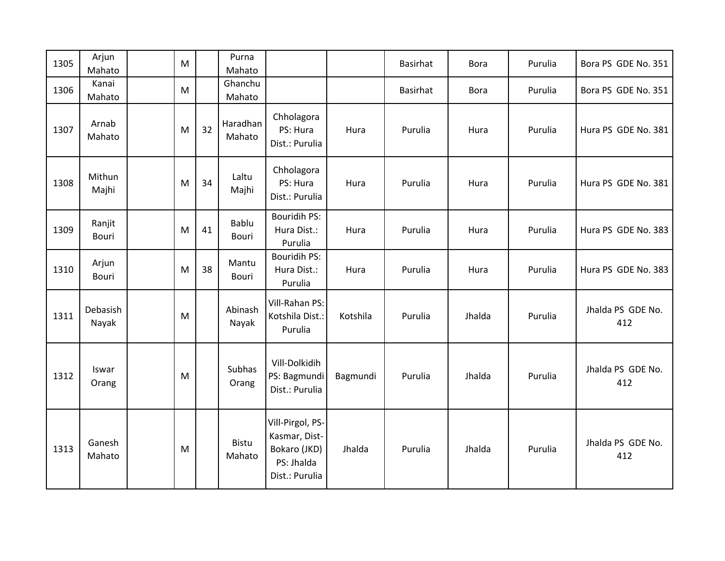| 1305 | Arjun<br>Mahato   | M |    | Purna<br>Mahato    |                                                                                   |          | Basirhat | <b>Bora</b> | Purulia | Bora PS GDE No. 351      |
|------|-------------------|---|----|--------------------|-----------------------------------------------------------------------------------|----------|----------|-------------|---------|--------------------------|
| 1306 | Kanai<br>Mahato   | M |    | Ghanchu<br>Mahato  |                                                                                   |          | Basirhat | <b>Bora</b> | Purulia | Bora PS GDE No. 351      |
| 1307 | Arnab<br>Mahato   | M | 32 | Haradhan<br>Mahato | Chholagora<br>PS: Hura<br>Dist.: Purulia                                          | Hura     | Purulia  | Hura        | Purulia | Hura PS GDE No. 381      |
| 1308 | Mithun<br>Majhi   | M | 34 | Laltu<br>Majhi     | Chholagora<br>PS: Hura<br>Dist.: Purulia                                          | Hura     | Purulia  | Hura        | Purulia | Hura PS GDE No. 381      |
| 1309 | Ranjit<br>Bouri   | M | 41 | Bablu<br>Bouri     | <b>Bouridih PS:</b><br>Hura Dist.:<br>Purulia                                     | Hura     | Purulia  | Hura        | Purulia | Hura PS GDE No. 383      |
| 1310 | Arjun<br>Bouri    | M | 38 | Mantu<br>Bouri     | <b>Bouridih PS:</b><br>Hura Dist.:<br>Purulia                                     | Hura     | Purulia  | Hura        | Purulia | Hura PS GDE No. 383      |
| 1311 | Debasish<br>Nayak | M |    | Abinash<br>Nayak   | Vill-Rahan PS:<br>Kotshila Dist.:<br>Purulia                                      | Kotshila | Purulia  | Jhalda      | Purulia | Jhalda PS GDE No.<br>412 |
| 1312 | Iswar<br>Orang    | M |    | Subhas<br>Orang    | Vill-Dolkidih<br>PS: Bagmundi<br>Dist.: Purulia                                   | Bagmundi | Purulia  | Jhalda      | Purulia | Jhalda PS GDE No.<br>412 |
| 1313 | Ganesh<br>Mahato  | M |    | Bistu<br>Mahato    | Vill-Pirgol, PS-<br>Kasmar, Dist-<br>Bokaro (JKD)<br>PS: Jhalda<br>Dist.: Purulia | Jhalda   | Purulia  | Jhalda      | Purulia | Jhalda PS GDE No.<br>412 |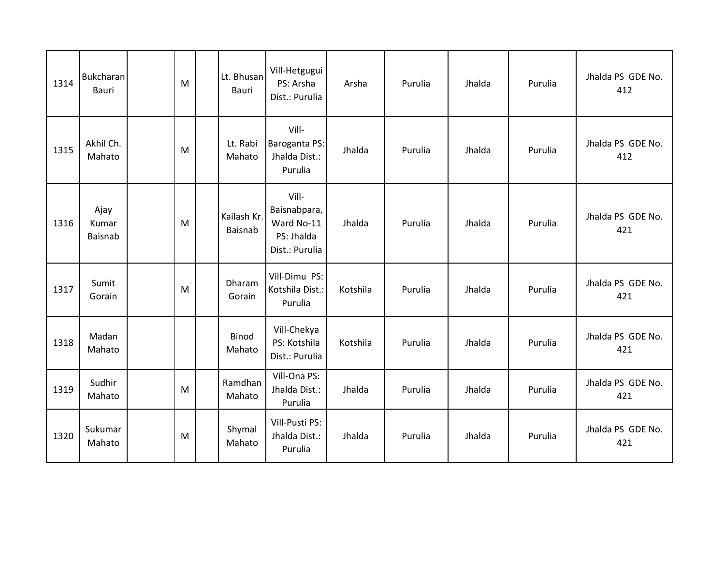| 1314 | <b>Bukcharan</b><br><b>Bauri</b> | M | Lt. Bhusan<br><b>Bauri</b> | Vill-Hetgugui<br>PS: Arsha<br>Dist.: Purulia                        | Arsha    | Purulia | Jhalda | Purulia | Jhalda PS GDE No.<br>412 |
|------|----------------------------------|---|----------------------------|---------------------------------------------------------------------|----------|---------|--------|---------|--------------------------|
| 1315 | Akhil Ch.<br>Mahato              | M | Lt. Rabi<br>Mahato         | Vill-<br>Baroganta PS:<br>Jhalda Dist.:<br>Purulia                  | Jhalda   | Purulia | Jhalda | Purulia | Jhalda PS GDE No.<br>412 |
| 1316 | Ajay<br>Kumar<br><b>Baisnab</b>  | M | Kailash Kr.<br>Baisnab     | Vill-<br>Baisnabpara,<br>Ward No-11<br>PS: Jhalda<br>Dist.: Purulia | Jhalda   | Purulia | Jhalda | Purulia | Jhalda PS GDE No.<br>421 |
| 1317 | Sumit<br>Gorain                  | M | Dharam<br>Gorain           | Vill-Dimu PS:<br>Kotshila Dist.:<br>Purulia                         | Kotshila | Purulia | Jhalda | Purulia | Jhalda PS GDE No.<br>421 |
| 1318 | Madan<br>Mahato                  |   | Binod<br>Mahato            | Vill-Chekya<br>PS: Kotshila<br>Dist.: Purulia                       | Kotshila | Purulia | Jhalda | Purulia | Jhalda PS GDE No.<br>421 |
| 1319 | Sudhir<br>Mahato                 | M | Ramdhan<br>Mahato          | Vill-Ona PS:<br>Jhalda Dist.:<br>Purulia                            | Jhalda   | Purulia | Jhalda | Purulia | Jhalda PS GDE No.<br>421 |
| 1320 | Sukumar<br>Mahato                | M | Shymal<br>Mahato           | Vill-Pusti PS:<br>Jhalda Dist.:<br>Purulia                          | Jhalda   | Purulia | Jhalda | Purulia | Jhalda PS GDE No.<br>421 |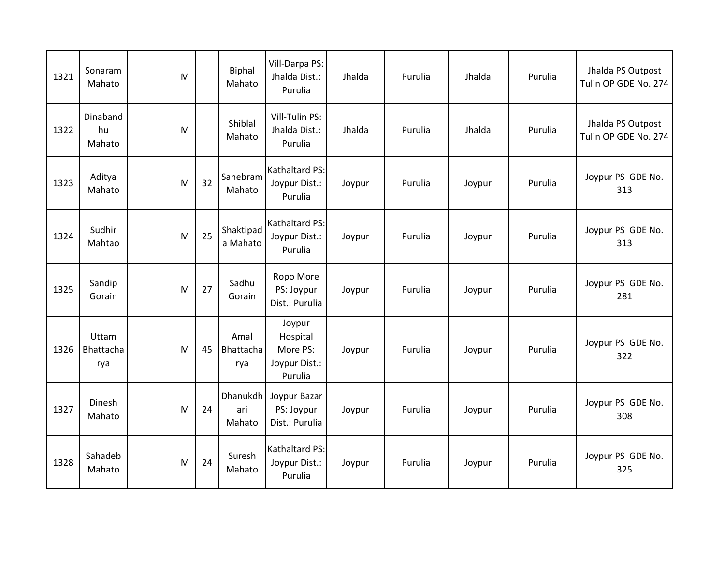| 1321 | Sonaram<br>Mahato         | M |    | Biphal<br>Mahato          | Vill-Darpa PS:<br>Jhalda Dist.:<br>Purulia                 | Jhalda | Purulia | Jhalda | Purulia | Jhalda PS Outpost<br>Tulin OP GDE No. 274 |
|------|---------------------------|---|----|---------------------------|------------------------------------------------------------|--------|---------|--------|---------|-------------------------------------------|
| 1322 | Dinaband<br>hu<br>Mahato  | M |    | Shiblal<br>Mahato         | Vill-Tulin PS:<br>Jhalda Dist.:<br>Purulia                 | Jhalda | Purulia | Jhalda | Purulia | Jhalda PS Outpost<br>Tulin OP GDE No. 274 |
| 1323 | Aditya<br>Mahato          | M | 32 | Sahebram<br>Mahato        | <b>Kathaltard PS:</b><br>Joypur Dist.:<br>Purulia          | Joypur | Purulia | Joypur | Purulia | Joypur PS GDE No.<br>313                  |
| 1324 | Sudhir<br>Mahtao          | M | 25 | Shaktipad<br>a Mahato     | <b>Kathaltard PS:</b><br>Joypur Dist.:<br>Purulia          | Joypur | Purulia | Joypur | Purulia | Joypur PS GDE No.<br>313                  |
| 1325 | Sandip<br>Gorain          | M | 27 | Sadhu<br>Gorain           | Ropo More<br>PS: Joypur<br>Dist.: Purulia                  | Joypur | Purulia | Joypur | Purulia | Joypur PS GDE No.<br>281                  |
| 1326 | Uttam<br>Bhattacha<br>rya | M | 45 | Amal<br>Bhattacha<br>rya  | Joypur<br>Hospital<br>More PS:<br>Joypur Dist.:<br>Purulia | Joypur | Purulia | Joypur | Purulia | Joypur PS GDE No.<br>322                  |
| 1327 | <b>Dinesh</b><br>Mahato   | M | 24 | Dhanukdh<br>ari<br>Mahato | Joypur Bazar<br>PS: Joypur<br>Dist.: Purulia               | Joypur | Purulia | Joypur | Purulia | Joypur PS GDE No.<br>308                  |
| 1328 | Sahadeb<br>Mahato         | M | 24 | Suresh<br>Mahato          | Kathaltard PS:<br>Joypur Dist.:<br>Purulia                 | Joypur | Purulia | Joypur | Purulia | Joypur PS GDE No.<br>325                  |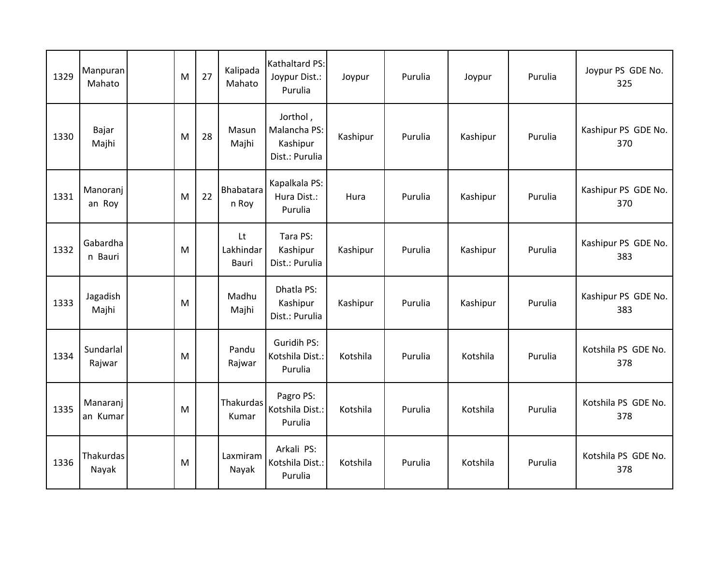| 1329 | Manpuran<br>Mahato   | M | 27 | Kalipada<br>Mahato       | Kathaltard PS:<br>Joypur Dist.:<br>Purulia             | Joypur   | Purulia | Joypur   | Purulia | Joypur PS GDE No.<br>325   |
|------|----------------------|---|----|--------------------------|--------------------------------------------------------|----------|---------|----------|---------|----------------------------|
| 1330 | Bajar<br>Majhi       | M | 28 | Masun<br>Majhi           | Jorthol,<br>Malancha PS:<br>Kashipur<br>Dist.: Purulia | Kashipur | Purulia | Kashipur | Purulia | Kashipur PS GDE No.<br>370 |
| 1331 | Manoranj<br>an Roy   | M | 22 | Bhabatara<br>n Roy       | Kapalkala PS:<br>Hura Dist.:<br>Purulia                | Hura     | Purulia | Kashipur | Purulia | Kashipur PS GDE No.<br>370 |
| 1332 | Gabardha<br>n Bauri  | M |    | Lt<br>Lakhindar<br>Bauri | Tara PS:<br>Kashipur<br>Dist.: Purulia                 | Kashipur | Purulia | Kashipur | Purulia | Kashipur PS GDE No.<br>383 |
| 1333 | Jagadish<br>Majhi    | M |    | Madhu<br>Majhi           | Dhatla PS:<br>Kashipur<br>Dist.: Purulia               | Kashipur | Purulia | Kashipur | Purulia | Kashipur PS GDE No.<br>383 |
| 1334 | Sundarlal<br>Rajwar  | M |    | Pandu<br>Rajwar          | Guridih PS:<br>Kotshila Dist.:<br>Purulia              | Kotshila | Purulia | Kotshila | Purulia | Kotshila PS GDE No.<br>378 |
| 1335 | Manaranj<br>an Kumar | M |    | Thakurdas<br>Kumar       | Pagro PS:<br>Kotshila Dist.:<br>Purulia                | Kotshila | Purulia | Kotshila | Purulia | Kotshila PS GDE No.<br>378 |
| 1336 | Thakurdas<br>Nayak   | M |    | Laxmiram<br>Nayak        | Arkali PS:<br>Kotshila Dist.:<br>Purulia               | Kotshila | Purulia | Kotshila | Purulia | Kotshila PS GDE No.<br>378 |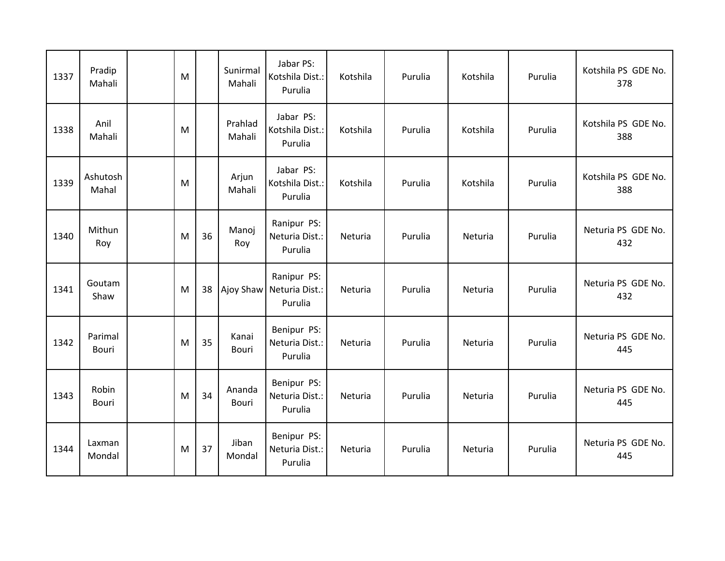| 1337 | Pradip<br>Mahali        | M |    | Sunirmal<br>Mahali | Jabar PS:<br>Kotshila Dist.:<br>Purulia  | Kotshila | Purulia | Kotshila | Purulia | Kotshila PS GDE No.<br>378 |
|------|-------------------------|---|----|--------------------|------------------------------------------|----------|---------|----------|---------|----------------------------|
| 1338 | Anil<br>Mahali          | M |    | Prahlad<br>Mahali  | Jabar PS:<br>Kotshila Dist.:<br>Purulia  | Kotshila | Purulia | Kotshila | Purulia | Kotshila PS GDE No.<br>388 |
| 1339 | Ashutosh<br>Mahal       | M |    | Arjun<br>Mahali    | Jabar PS:<br>Kotshila Dist.:<br>Purulia  | Kotshila | Purulia | Kotshila | Purulia | Kotshila PS GDE No.<br>388 |
| 1340 | Mithun<br>Roy           | M | 36 | Manoj<br>Roy       | Ranipur PS:<br>Neturia Dist.:<br>Purulia | Neturia  | Purulia | Neturia  | Purulia | Neturia PS GDE No.<br>432  |
| 1341 | Goutam<br>Shaw          | M | 38 | Ajoy Shaw          | Ranipur PS:<br>Neturia Dist.:<br>Purulia | Neturia  | Purulia | Neturia  | Purulia | Neturia PS GDE No.<br>432  |
| 1342 | Parimal<br><b>Bouri</b> | M | 35 | Kanai<br>Bouri     | Benipur PS:<br>Neturia Dist.:<br>Purulia | Neturia  | Purulia | Neturia  | Purulia | Neturia PS GDE No.<br>445  |
| 1343 | Robin<br>Bouri          | M | 34 | Ananda<br>Bouri    | Benipur PS:<br>Neturia Dist.:<br>Purulia | Neturia  | Purulia | Neturia  | Purulia | Neturia PS GDE No.<br>445  |
| 1344 | Laxman<br>Mondal        | M | 37 | Jiban<br>Mondal    | Benipur PS:<br>Neturia Dist.:<br>Purulia | Neturia  | Purulia | Neturia  | Purulia | Neturia PS GDE No.<br>445  |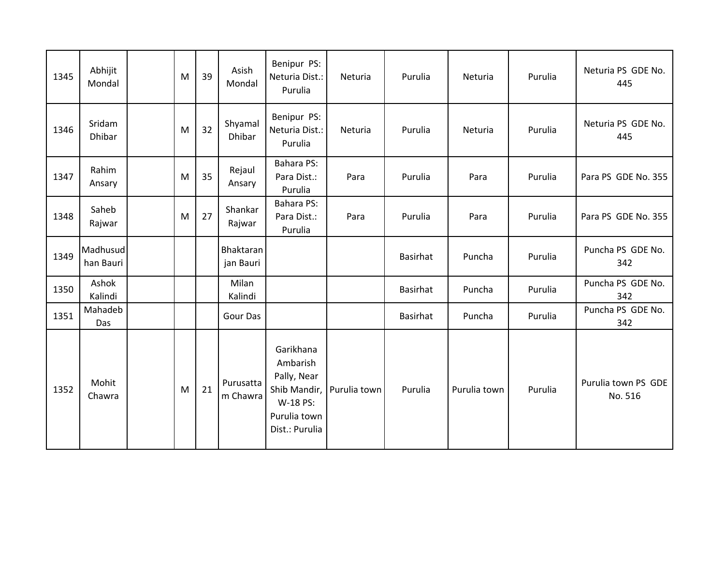| 1345 | Abhijit<br>Mondal     | M | 39 | Asish<br>Mondal        | Benipur PS:<br>Neturia Dist.:<br>Purulia                                                           | Neturia      | Purulia  | Neturia      | Purulia | Neturia PS GDE No.<br>445      |
|------|-----------------------|---|----|------------------------|----------------------------------------------------------------------------------------------------|--------------|----------|--------------|---------|--------------------------------|
| 1346 | Sridam<br>Dhibar      | M | 32 | Shyamal<br>Dhibar      | Benipur PS:<br>Neturia Dist.:<br>Purulia                                                           | Neturia      | Purulia  | Neturia      | Purulia | Neturia PS GDE No.<br>445      |
| 1347 | Rahim<br>Ansary       | M | 35 | Rejaul<br>Ansary       | <b>Bahara PS:</b><br>Para Dist.:<br>Purulia                                                        | Para         | Purulia  | Para         | Purulia | Para PS GDE No. 355            |
| 1348 | Saheb<br>Rajwar       | M | 27 | Shankar<br>Rajwar      | <b>Bahara PS:</b><br>Para Dist.:<br>Purulia                                                        | Para         | Purulia  | Para         | Purulia | Para PS GDE No. 355            |
| 1349 | Madhusud<br>han Bauri |   |    | Bhaktaran<br>jan Bauri |                                                                                                    |              | Basirhat | Puncha       | Purulia | Puncha PS GDE No.<br>342       |
| 1350 | Ashok<br>Kalindi      |   |    | Milan<br>Kalindi       |                                                                                                    |              | Basirhat | Puncha       | Purulia | Puncha PS GDE No.<br>342       |
| 1351 | Mahadeb<br>Das        |   |    | Gour Das               |                                                                                                    |              | Basirhat | Puncha       | Purulia | Puncha PS GDE No.<br>342       |
| 1352 | Mohit<br>Chawra       | M | 21 | Purusatta<br>m Chawra  | Garikhana<br>Ambarish<br>Pally, Near<br>Shib Mandir,<br>W-18 PS:<br>Purulia town<br>Dist.: Purulia | Purulia town | Purulia  | Purulia town | Purulia | Purulia town PS GDE<br>No. 516 |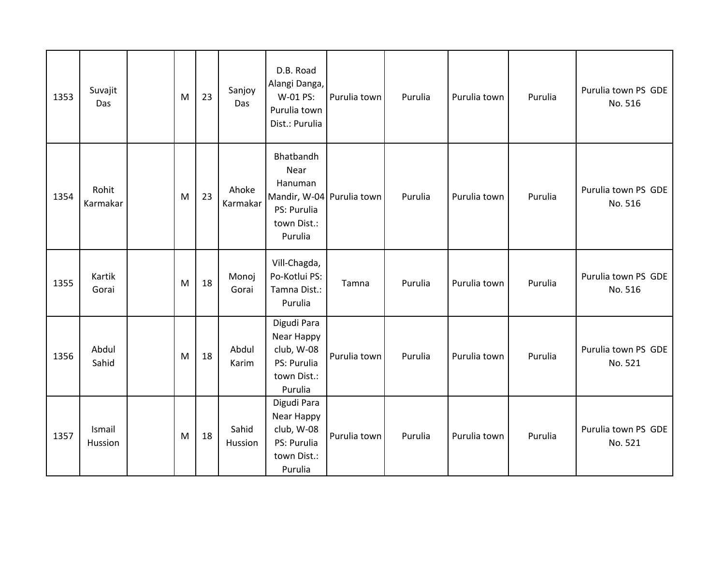| 1353 | Suvajit<br>Das    | M | 23 | Sanjoy<br>Das     | D.B. Road<br>Alangi Danga,<br>W-01 PS:<br>Purulia town<br>Dist.: Purulia                           | Purulia town | Purulia | Purulia town | Purulia | Purulia town PS GDE<br>No. 516 |
|------|-------------------|---|----|-------------------|----------------------------------------------------------------------------------------------------|--------------|---------|--------------|---------|--------------------------------|
| 1354 | Rohit<br>Karmakar | M | 23 | Ahoke<br>Karmakar | Bhatbandh<br>Near<br>Hanuman<br>Mandir, W-04 Purulia town<br>PS: Purulia<br>town Dist.:<br>Purulia |              | Purulia | Purulia town | Purulia | Purulia town PS GDE<br>No. 516 |
| 1355 | Kartik<br>Gorai   | M | 18 | Monoj<br>Gorai    | Vill-Chagda,<br>Po-Kotlui PS:<br>Tamna Dist.:<br>Purulia                                           | Tamna        | Purulia | Purulia town | Purulia | Purulia town PS GDE<br>No. 516 |
| 1356 | Abdul<br>Sahid    | M | 18 | Abdul<br>Karim    | Digudi Para<br>Near Happy<br>club, W-08<br>PS: Purulia<br>town Dist.:<br>Purulia                   | Purulia town | Purulia | Purulia town | Purulia | Purulia town PS GDE<br>No. 521 |
| 1357 | Ismail<br>Hussion | M | 18 | Sahid<br>Hussion  | Digudi Para<br>Near Happy<br>club, W-08<br>PS: Purulia<br>town Dist.:<br>Purulia                   | Purulia town | Purulia | Purulia town | Purulia | Purulia town PS GDE<br>No. 521 |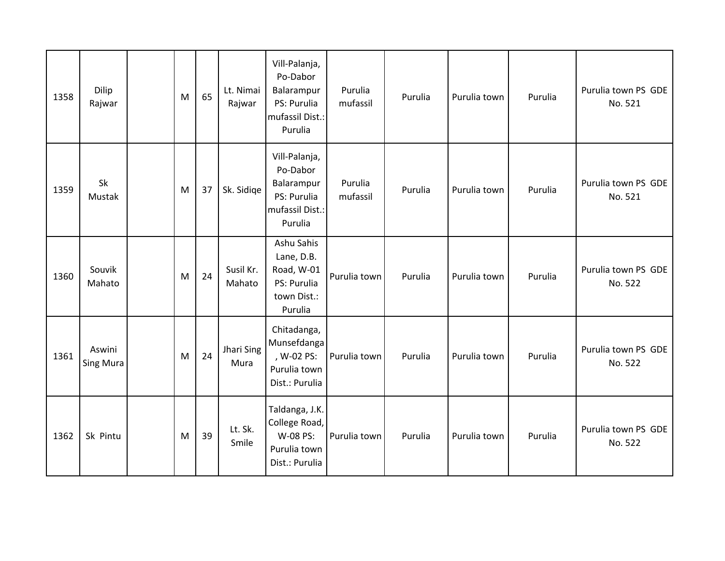| 1358 | Dilip<br>Rajwar     | M | 65 | Lt. Nimai<br>Rajwar | Vill-Palanja,<br>Po-Dabor<br>Balarampur<br>PS: Purulia<br>mufassil Dist.:<br>Purulia | Purulia<br>mufassil | Purulia | Purulia town | Purulia | Purulia town PS GDE<br>No. 521 |
|------|---------------------|---|----|---------------------|--------------------------------------------------------------------------------------|---------------------|---------|--------------|---------|--------------------------------|
| 1359 | Sk<br>Mustak        | M | 37 | Sk. Sidige          | Vill-Palanja,<br>Po-Dabor<br>Balarampur<br>PS: Purulia<br>mufassil Dist.:<br>Purulia | Purulia<br>mufassil | Purulia | Purulia town | Purulia | Purulia town PS GDE<br>No. 521 |
| 1360 | Souvik<br>Mahato    | M | 24 | Susil Kr.<br>Mahato | Ashu Sahis<br>Lane, D.B.<br>Road, W-01<br>PS: Purulia<br>town Dist.:<br>Purulia      | Purulia town        | Purulia | Purulia town | Purulia | Purulia town PS GDE<br>No. 522 |
| 1361 | Aswini<br>Sing Mura | M | 24 | Jhari Sing<br>Mura  | Chitadanga,<br>Munsefdanga<br>, W-02 PS:<br>Purulia town<br>Dist.: Purulia           | Purulia town        | Purulia | Purulia town | Purulia | Purulia town PS GDE<br>No. 522 |
| 1362 | Sk Pintu            | M | 39 | Lt. Sk.<br>Smile    | Taldanga, J.K.<br>College Road,<br>W-08 PS:<br>Purulia town<br>Dist.: Purulia        | Purulia town        | Purulia | Purulia town | Purulia | Purulia town PS GDE<br>No. 522 |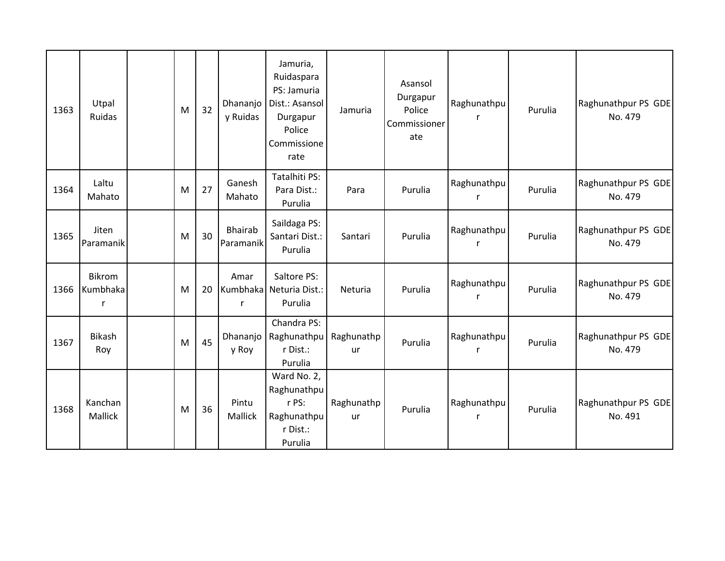| 1363 | Utpal<br>Ruidas         | M | 32 | Dhananjo<br>y Ruidas | Jamuria,<br>Ruidaspara<br>PS: Jamuria<br>Dist.: Asansol<br>Durgapur<br>Police<br>Commissione<br>rate | Jamuria                 | Asansol<br>Durgapur<br>Police<br>Commissioner<br>ate | Raghunathpu      | Purulia | Raghunathpur PS GDE<br>No. 479 |
|------|-------------------------|---|----|----------------------|------------------------------------------------------------------------------------------------------|-------------------------|------------------------------------------------------|------------------|---------|--------------------------------|
| 1364 | Laltu<br>Mahato         | M | 27 | Ganesh<br>Mahato     | Tatalhiti PS:<br>Para Dist.:<br>Purulia                                                              | Para                    | Purulia                                              | Raghunathpu<br>r | Purulia | Raghunathpur PS GDE<br>No. 479 |
| 1365 | Jiten<br>Paramanik      | M | 30 | Bhairab<br>Paramanik | Saildaga PS:<br>Santari Dist.:<br>Purulia                                                            | Santari                 | Purulia                                              | Raghunathpu      | Purulia | Raghunathpur PS GDE<br>No. 479 |
| 1366 | Bikrom<br>Kumbhaka<br>r | M | 20 | Amar<br>$\mathsf{r}$ | Saltore PS:<br>Kumbhaka Neturia Dist.:<br>Purulia                                                    | Neturia                 | Purulia                                              | Raghunathpu<br>r | Purulia | Raghunathpur PS GDE<br>No. 479 |
| 1367 | <b>Bikash</b><br>Roy    | M | 45 | Dhananjo<br>y Roy    | Chandra PS:<br>Raghunathpu<br>r Dist.:<br>Purulia                                                    | Raghunathp<br>ur        | Purulia                                              | Raghunathpu<br>r | Purulia | Raghunathpur PS GDE<br>No. 479 |
| 1368 | Kanchan<br>Mallick      | M | 36 | Pintu<br>Mallick     | Ward No. 2,<br>Raghunathpu<br>r PS:<br>Raghunathpu<br>r Dist.:<br>Purulia                            | Raghunathp<br><b>ur</b> | Purulia                                              | Raghunathpu<br>r | Purulia | Raghunathpur PS GDE<br>No. 491 |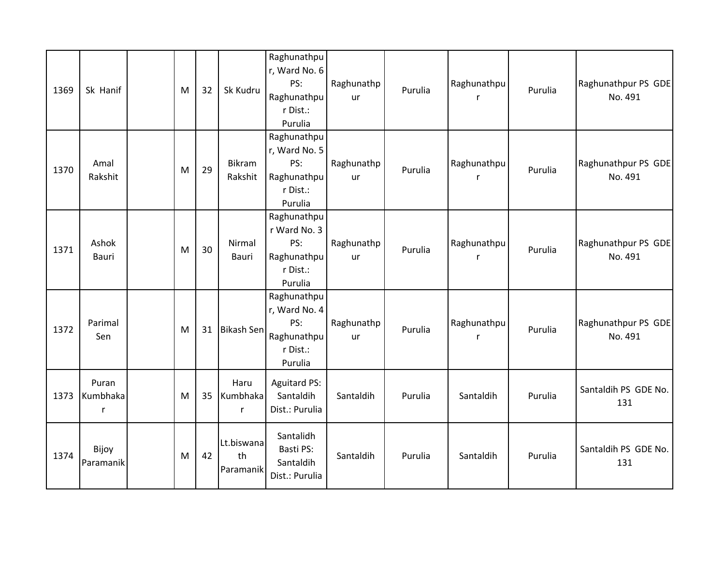| 1369 | Sk Hanif               | M | 32 | Sk Kudru                         | Raghunathpu<br>r, Ward No. 6<br>PS:<br>Raghunathpu<br>r Dist.:<br>Purulia | Raghunathp<br>ur | Purulia | Raghunathpu<br>r            | Purulia | Raghunathpur PS GDE<br>No. 491 |
|------|------------------------|---|----|----------------------------------|---------------------------------------------------------------------------|------------------|---------|-----------------------------|---------|--------------------------------|
| 1370 | Amal<br>Rakshit        | M | 29 | <b>Bikram</b><br>Rakshit         | Raghunathpu<br>r, Ward No. 5<br>PS:<br>Raghunathpu<br>r Dist.:<br>Purulia | Raghunathp<br>ur | Purulia | Raghunathpu<br>r            | Purulia | Raghunathpur PS GDE<br>No. 491 |
| 1371 | Ashok<br>Bauri         | M | 30 | Nirmal<br>Bauri                  | Raghunathpu<br>r Ward No. 3<br>PS:<br>Raghunathpu<br>r Dist.:<br>Purulia  | Raghunathp<br>ur | Purulia | Raghunathpu<br>$\mathsf{r}$ | Purulia | Raghunathpur PS GDE<br>No. 491 |
| 1372 | Parimal<br>Sen         | M | 31 | Bikash Sen                       | Raghunathpu<br>r, Ward No. 4<br>PS:<br>Raghunathpu<br>r Dist.:<br>Purulia | Raghunathp<br>ur | Purulia | Raghunathpu<br>r            | Purulia | Raghunathpur PS GDE<br>No. 491 |
| 1373 | Puran<br>Kumbhaka<br>r | M | 35 | Haru<br>Kumbhaka<br>$\mathsf{r}$ | <b>Aguitard PS:</b><br>Santaldih<br>Dist.: Purulia                        | Santaldih        | Purulia | Santaldih                   | Purulia | Santaldih PS GDE No.<br>131    |
| 1374 | Bijoy<br>Paramanik     | M | 42 | Lt.biswana<br>th<br>Paramanik    | Santalidh<br>Basti PS:<br>Santaldih<br>Dist.: Purulia                     | Santaldih        | Purulia | Santaldih                   | Purulia | Santaldih PS GDE No.<br>131    |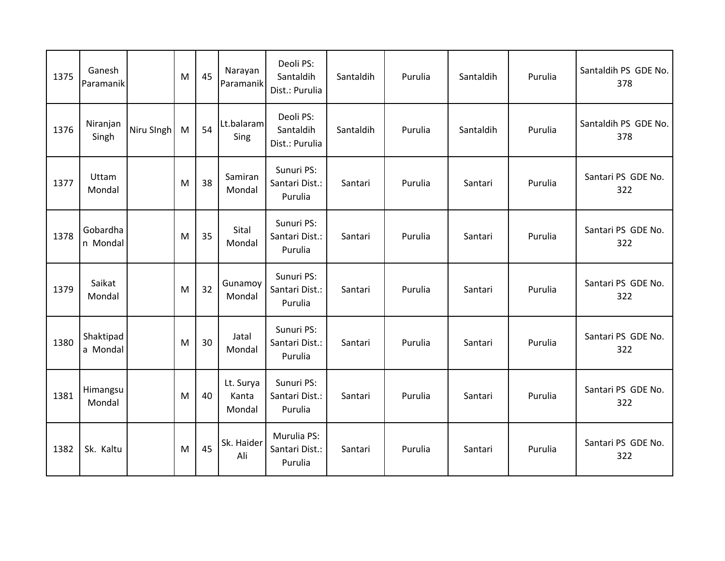| 1375 | Ganesh<br>Paramanik   |            | M | 45 | Narayan<br>Paramanik         | Deoli PS:<br>Santaldih<br>Dist.: Purulia | Santaldih | Purulia | Santaldih | Purulia | Santaldih PS GDE No.<br>378 |
|------|-----------------------|------------|---|----|------------------------------|------------------------------------------|-----------|---------|-----------|---------|-----------------------------|
| 1376 | Niranjan<br>Singh     | Niru SIngh | M | 54 | Lt.balaram<br>Sing           | Deoli PS:<br>Santaldih<br>Dist.: Purulia | Santaldih | Purulia | Santaldih | Purulia | Santaldih PS GDE No.<br>378 |
| 1377 | Uttam<br>Mondal       |            | M | 38 | Samiran<br>Mondal            | Sunuri PS:<br>Santari Dist.:<br>Purulia  | Santari   | Purulia | Santari   | Purulia | Santari PS GDE No.<br>322   |
| 1378 | Gobardha<br>n Mondal  |            | M | 35 | Sital<br>Mondal              | Sunuri PS:<br>Santari Dist.:<br>Purulia  | Santari   | Purulia | Santari   | Purulia | Santari PS GDE No.<br>322   |
| 1379 | Saikat<br>Mondal      |            | M | 32 | Gunamoy<br>Mondal            | Sunuri PS:<br>Santari Dist.:<br>Purulia  | Santari   | Purulia | Santari   | Purulia | Santari PS GDE No.<br>322   |
| 1380 | Shaktipad<br>a Mondal |            | M | 30 | Jatal<br>Mondal              | Sunuri PS:<br>Santari Dist.:<br>Purulia  | Santari   | Purulia | Santari   | Purulia | Santari PS GDE No.<br>322   |
| 1381 | Himangsu<br>Mondal    |            | M | 40 | Lt. Surya<br>Kanta<br>Mondal | Sunuri PS:<br>Santari Dist.:<br>Purulia  | Santari   | Purulia | Santari   | Purulia | Santari PS GDE No.<br>322   |
| 1382 | Sk. Kaltu             |            | M | 45 | Sk. Haider<br>Ali            | Murulia PS:<br>Santari Dist.:<br>Purulia | Santari   | Purulia | Santari   | Purulia | Santari PS GDE No.<br>322   |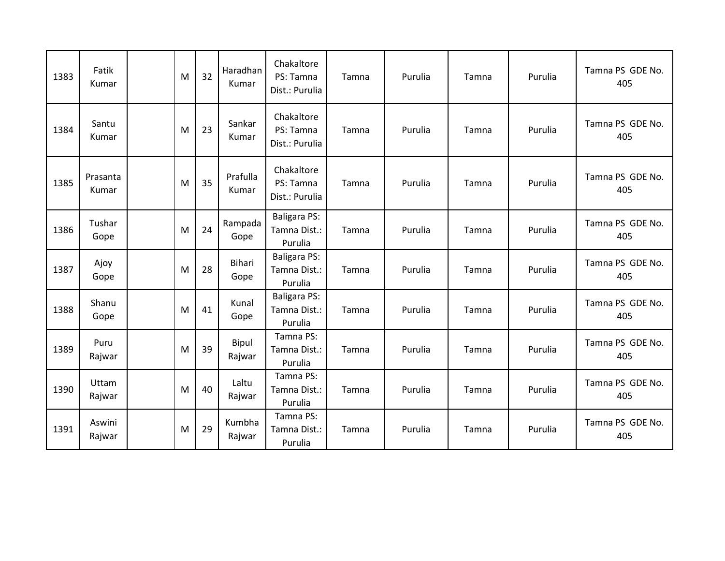| 1383 | Fatik<br>Kumar    | M | 32 | Haradhan<br>Kumar     | Chakaltore<br>PS: Tamna<br>Dist.: Purulia      | Tamna | Purulia | Tamna | Purulia | Tamna PS GDE No.<br>405 |
|------|-------------------|---|----|-----------------------|------------------------------------------------|-------|---------|-------|---------|-------------------------|
| 1384 | Santu<br>Kumar    | M | 23 | Sankar<br>Kumar       | Chakaltore<br>PS: Tamna<br>Dist.: Purulia      | Tamna | Purulia | Tamna | Purulia | Tamna PS GDE No.<br>405 |
| 1385 | Prasanta<br>Kumar | M | 35 | Prafulla<br>Kumar     | Chakaltore<br>PS: Tamna<br>Dist.: Purulia      | Tamna | Purulia | Tamna | Purulia | Tamna PS GDE No.<br>405 |
| 1386 | Tushar<br>Gope    | M | 24 | Rampada<br>Gope       | <b>Baligara PS:</b><br>Tamna Dist.:<br>Purulia | Tamna | Purulia | Tamna | Purulia | Tamna PS GDE No.<br>405 |
| 1387 | Ajoy<br>Gope      | M | 28 | <b>Bihari</b><br>Gope | <b>Baligara PS:</b><br>Tamna Dist.:<br>Purulia | Tamna | Purulia | Tamna | Purulia | Tamna PS GDE No.<br>405 |
| 1388 | Shanu<br>Gope     | M | 41 | Kunal<br>Gope         | <b>Baligara PS:</b><br>Tamna Dist.:<br>Purulia | Tamna | Purulia | Tamna | Purulia | Tamna PS GDE No.<br>405 |
| 1389 | Puru<br>Rajwar    | M | 39 | Bipul<br>Rajwar       | Tamna PS:<br>Tamna Dist.:<br>Purulia           | Tamna | Purulia | Tamna | Purulia | Tamna PS GDE No.<br>405 |
| 1390 | Uttam<br>Rajwar   | M | 40 | Laltu<br>Rajwar       | Tamna PS:<br>Tamna Dist.:<br>Purulia           | Tamna | Purulia | Tamna | Purulia | Tamna PS GDE No.<br>405 |
| 1391 | Aswini<br>Rajwar  | M | 29 | Kumbha<br>Rajwar      | Tamna PS:<br>Tamna Dist.:<br>Purulia           | Tamna | Purulia | Tamna | Purulia | Tamna PS GDE No.<br>405 |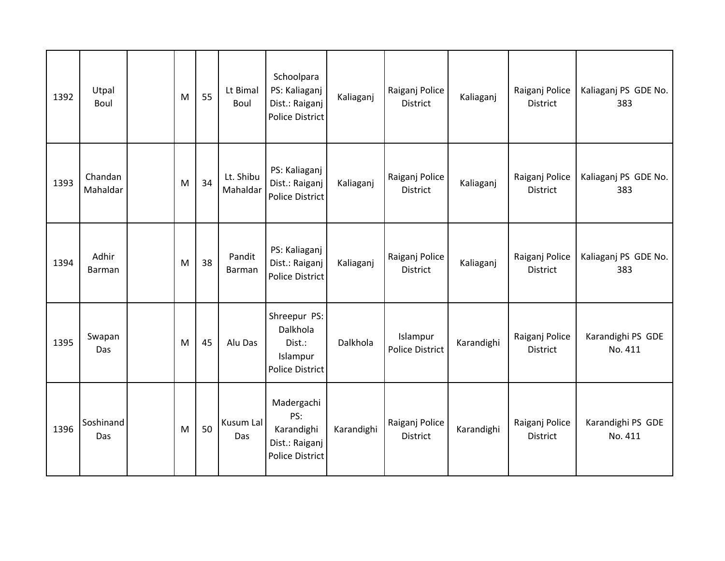| 1392 | Utpal<br>Boul          | M | 55 | Lt Bimal<br>Boul      | Schoolpara<br>PS: Kaliaganj<br>Dist.: Raiganj<br><b>Police District</b>     | Kaliaganj  | Raiganj Police<br><b>District</b> | Kaliaganj  | Raiganj Police<br><b>District</b> | Kaliaganj PS GDE No.<br>383  |
|------|------------------------|---|----|-----------------------|-----------------------------------------------------------------------------|------------|-----------------------------------|------------|-----------------------------------|------------------------------|
| 1393 | Chandan<br>Mahaldar    | M | 34 | Lt. Shibu<br>Mahaldar | PS: Kaliaganj<br>Dist.: Raiganj<br><b>Police District</b>                   | Kaliaganj  | Raiganj Police<br><b>District</b> | Kaliaganj  | Raiganj Police<br><b>District</b> | Kaliaganj PS GDE No.<br>383  |
| 1394 | Adhir<br><b>Barman</b> | M | 38 | Pandit<br>Barman      | PS: Kaliaganj<br>Dist.: Raiganj<br><b>Police District</b>                   | Kaliaganj  | Raiganj Police<br><b>District</b> | Kaliaganj  | Raiganj Police<br><b>District</b> | Kaliaganj PS GDE No.<br>383  |
| 1395 | Swapan<br>Das          | M | 45 | Alu Das               | Shreepur PS:<br>Dalkhola<br>Dist.:<br>Islampur<br><b>Police District</b>    | Dalkhola   | Islampur<br>Police District       | Karandighi | Raiganj Police<br><b>District</b> | Karandighi PS GDE<br>No. 411 |
| 1396 | Soshinand<br>Das       | M | 50 | Kusum Lal<br>Das      | Madergachi<br>PS:<br>Karandighi<br>Dist.: Raiganj<br><b>Police District</b> | Karandighi | Raiganj Police<br><b>District</b> | Karandighi | Raiganj Police<br><b>District</b> | Karandighi PS GDE<br>No. 411 |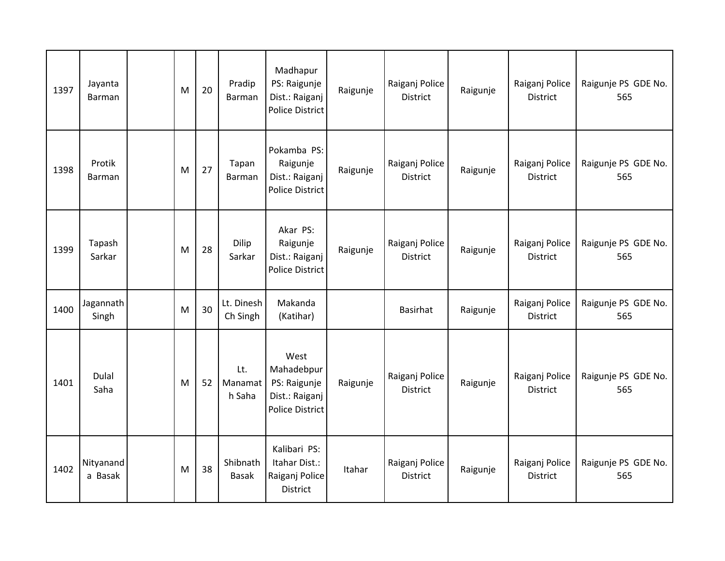| 1397 | Jayanta<br>Barman    | M | 20 | Pradip<br>Barman         | Madhapur<br>PS: Raigunje<br>Dist.: Raiganj<br><b>Police District</b>           | Raigunje | Raiganj Police<br><b>District</b> | Raigunje | Raiganj Police<br>District        | Raigunje PS GDE No.<br>565 |
|------|----------------------|---|----|--------------------------|--------------------------------------------------------------------------------|----------|-----------------------------------|----------|-----------------------------------|----------------------------|
| 1398 | Protik<br>Barman     | M | 27 | Tapan<br>Barman          | Pokamba PS:<br>Raigunje<br>Dist.: Raiganj<br><b>Police District</b>            | Raigunje | Raiganj Police<br><b>District</b> | Raigunje | Raiganj Police<br><b>District</b> | Raigunje PS GDE No.<br>565 |
| 1399 | Tapash<br>Sarkar     | M | 28 | Dilip<br>Sarkar          | Akar PS:<br>Raigunje<br>Dist.: Raiganj<br><b>Police District</b>               | Raigunje | Raiganj Police<br>District        | Raigunje | Raiganj Police<br>District        | Raigunje PS GDE No.<br>565 |
| 1400 | Jagannath<br>Singh   | M | 30 | Lt. Dinesh<br>Ch Singh   | Makanda<br>(Katihar)                                                           |          | Basirhat                          | Raigunje | Raiganj Police<br>District        | Raigunje PS GDE No.<br>565 |
| 1401 | Dulal<br>Saha        | M | 52 | Lt.<br>Manamat<br>h Saha | West<br>Mahadebpur<br>PS: Raigunje<br>Dist.: Raiganj<br><b>Police District</b> | Raigunje | Raiganj Police<br><b>District</b> | Raigunje | Raiganj Police<br>District        | Raigunje PS GDE No.<br>565 |
| 1402 | Nityanand<br>a Basak | M | 38 | Shibnath<br><b>Basak</b> | Kalibari PS:<br>Itahar Dist.:<br>Raiganj Police<br>District                    | Itahar   | Raiganj Police<br>District        | Raigunje | Raiganj Police<br>District        | Raigunje PS GDE No.<br>565 |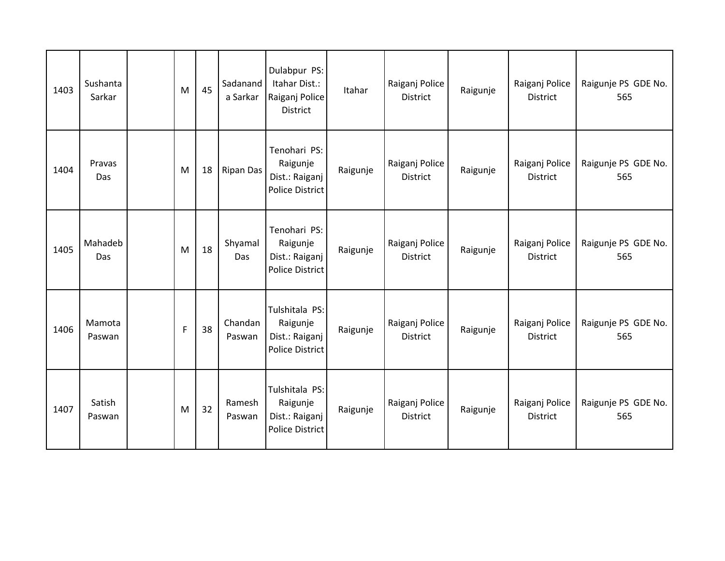| 1403 | Sushanta<br>Sarkar | M           | 45 | Sadanand<br>a Sarkar | Dulabpur PS:<br>Itahar Dist.:<br>Raiganj Police<br><b>District</b>     | Itahar   | Raiganj Police<br><b>District</b> | Raigunje | Raiganj Police<br><b>District</b> | Raigunje PS GDE No.<br>565 |
|------|--------------------|-------------|----|----------------------|------------------------------------------------------------------------|----------|-----------------------------------|----------|-----------------------------------|----------------------------|
| 1404 | Pravas<br>Das      | M           | 18 | <b>Ripan Das</b>     | Tenohari PS:<br>Raigunje<br>Dist.: Raiganj<br><b>Police District</b>   | Raigunje | Raiganj Police<br><b>District</b> | Raigunje | Raiganj Police<br><b>District</b> | Raigunje PS GDE No.<br>565 |
| 1405 | Mahadeb<br>Das     | M           | 18 | Shyamal<br>Das       | Tenohari PS:<br>Raigunje<br>Dist.: Raiganj<br><b>Police District</b>   | Raigunje | Raiganj Police<br><b>District</b> | Raigunje | Raiganj Police<br><b>District</b> | Raigunje PS GDE No.<br>565 |
| 1406 | Mamota<br>Paswan   | $\mathsf F$ | 38 | Chandan<br>Paswan    | Tulshitala PS:<br>Raigunje<br>Dist.: Raiganj<br><b>Police District</b> | Raigunje | Raiganj Police<br><b>District</b> | Raigunje | Raiganj Police<br><b>District</b> | Raigunje PS GDE No.<br>565 |
| 1407 | Satish<br>Paswan   | M           | 32 | Ramesh<br>Paswan     | Tulshitala PS:<br>Raigunje<br>Dist.: Raiganj<br>Police District        | Raigunje | Raiganj Police<br>District        | Raigunje | Raiganj Police<br>District        | Raigunje PS GDE No.<br>565 |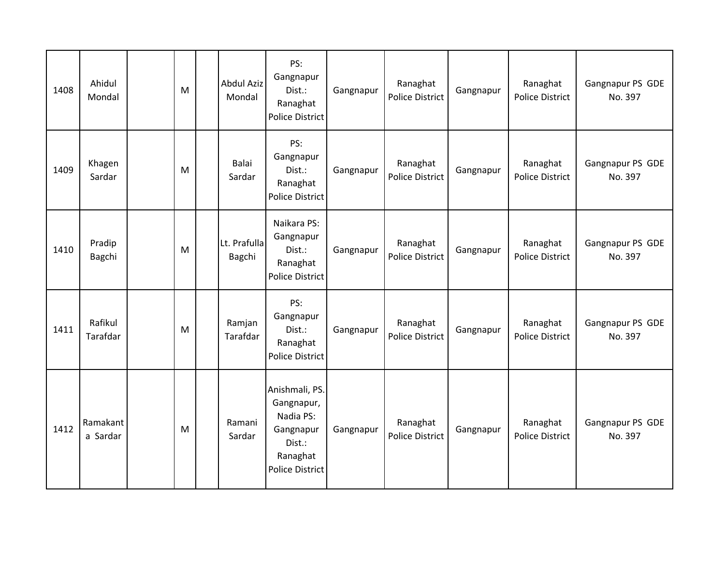| 1408 | Ahidul<br>Mondal     | M | <b>Abdul Aziz</b><br>Mondal | PS:<br>Gangnapur<br>Dist.:<br>Ranaghat<br><b>Police District</b>                                       | Gangnapur | Ranaghat<br><b>Police District</b> | Gangnapur | Ranaghat<br><b>Police District</b> | Gangnapur PS GDE<br>No. 397 |
|------|----------------------|---|-----------------------------|--------------------------------------------------------------------------------------------------------|-----------|------------------------------------|-----------|------------------------------------|-----------------------------|
| 1409 | Khagen<br>Sardar     | M | Balai<br>Sardar             | PS:<br>Gangnapur<br>Dist.:<br>Ranaghat<br>Police District                                              | Gangnapur | Ranaghat<br>Police District        | Gangnapur | Ranaghat<br><b>Police District</b> | Gangnapur PS GDE<br>No. 397 |
| 1410 | Pradip<br>Bagchi     | M | Lt. Prafulla<br>Bagchi      | Naikara PS:<br>Gangnapur<br>Dist.:<br>Ranaghat<br>Police District                                      | Gangnapur | Ranaghat<br>Police District        | Gangnapur | Ranaghat<br><b>Police District</b> | Gangnapur PS GDE<br>No. 397 |
| 1411 | Rafikul<br>Tarafdar  | M | Ramjan<br>Tarafdar          | PS:<br>Gangnapur<br>Dist.:<br>Ranaghat<br>Police District                                              | Gangnapur | Ranaghat<br>Police District        | Gangnapur | Ranaghat<br><b>Police District</b> | Gangnapur PS GDE<br>No. 397 |
| 1412 | Ramakant<br>a Sardar | M | Ramani<br>Sardar            | Anishmali, PS.<br>Gangnapur,<br>Nadia PS:<br>Gangnapur<br>Dist.:<br>Ranaghat<br><b>Police District</b> | Gangnapur | Ranaghat<br><b>Police District</b> | Gangnapur | Ranaghat<br><b>Police District</b> | Gangnapur PS GDE<br>No. 397 |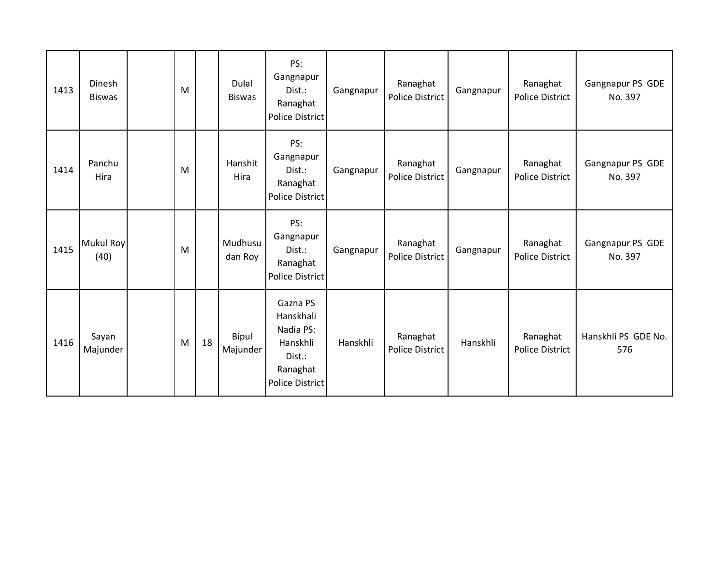| 1413 | Dinesh<br><b>Biswas</b>  | M |    | Dulal<br><b>Biswas</b> | PS:<br>Gangnapur<br>Dist.:<br>Ranaghat<br><b>Police District</b>                               | Gangnapur | Ranaghat<br><b>Police District</b> | Gangnapur | Ranaghat<br>Police District        | Gangnapur PS GDE<br>No. 397 |
|------|--------------------------|---|----|------------------------|------------------------------------------------------------------------------------------------|-----------|------------------------------------|-----------|------------------------------------|-----------------------------|
| 1414 | Panchu<br>Hira           | M |    | Hanshit<br>Hira        | PS:<br>Gangnapur<br>Dist.:<br>Ranaghat<br><b>Police District</b>                               | Gangnapur | Ranaghat<br><b>Police District</b> | Gangnapur | Ranaghat<br><b>Police District</b> | Gangnapur PS GDE<br>No. 397 |
| 1415 | <b>Mukul Roy</b><br>(40) | M |    | Mudhusu<br>dan Roy     | PS:<br>Gangnapur<br>Dist.:<br>Ranaghat<br><b>Police District</b>                               | Gangnapur | Ranaghat<br><b>Police District</b> | Gangnapur | Ranaghat<br><b>Police District</b> | Gangnapur PS GDE<br>No. 397 |
| 1416 | Sayan<br>Majunder        | M | 18 | Bipul<br>Majunder      | Gazna PS<br>Hanskhali<br>Nadia PS:<br>Hanskhli<br>Dist.:<br>Ranaghat<br><b>Police District</b> | Hanskhli  | Ranaghat<br><b>Police District</b> | Hanskhli  | Ranaghat<br>Police District        | Hanskhli PS GDE No.<br>576  |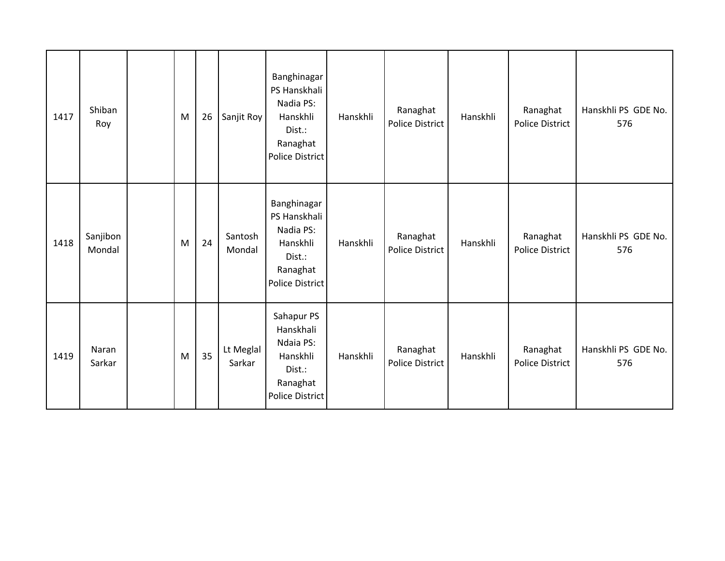| 1417 | Shiban<br>Roy      | M | 26 | Sanjit Roy          | Banghinagar<br>PS Hanskhali<br>Nadia PS:<br>Hanskhli<br>Dist.:<br>Ranaghat<br><b>Police District</b> | Hanskhli | Ranaghat<br>Police District | Hanskhli | Ranaghat<br><b>Police District</b> | Hanskhli PS GDE No.<br>576 |
|------|--------------------|---|----|---------------------|------------------------------------------------------------------------------------------------------|----------|-----------------------------|----------|------------------------------------|----------------------------|
| 1418 | Sanjibon<br>Mondal | M | 24 | Santosh<br>Mondal   | Banghinagar<br>PS Hanskhali<br>Nadia PS:<br>Hanskhli<br>Dist.:<br>Ranaghat<br><b>Police District</b> | Hanskhli | Ranaghat<br>Police District | Hanskhli | Ranaghat<br>Police District        | Hanskhli PS GDE No.<br>576 |
| 1419 | Naran<br>Sarkar    | M | 35 | Lt Meglal<br>Sarkar | Sahapur PS<br>Hanskhali<br>Ndaia PS:<br>Hanskhli<br>Dist.:<br>Ranaghat<br><b>Police District</b>     | Hanskhli | Ranaghat<br>Police District | Hanskhli | Ranaghat<br>Police District        | Hanskhli PS GDE No.<br>576 |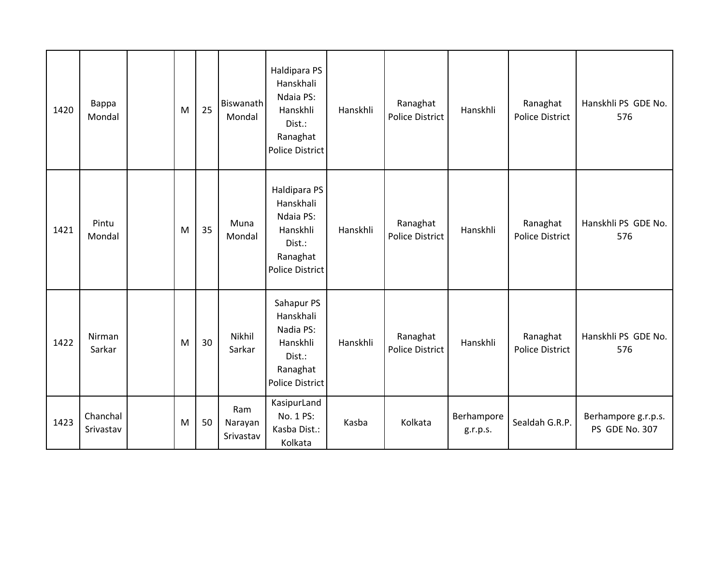| 1420 | Bappa<br>Mondal       | M | 25 | Biswanath<br>Mondal         | Haldipara PS<br>Hanskhali<br>Ndaia PS:<br>Hanskhli<br>Dist.:<br>Ranaghat<br><b>Police District</b> | Hanskhli | Ranaghat<br>Police District | Hanskhli               | Ranaghat<br>Police District | Hanskhli PS GDE No.<br>576            |
|------|-----------------------|---|----|-----------------------------|----------------------------------------------------------------------------------------------------|----------|-----------------------------|------------------------|-----------------------------|---------------------------------------|
| 1421 | Pintu<br>Mondal       | M | 35 | Muna<br>Mondal              | Haldipara PS<br>Hanskhali<br>Ndaia PS:<br>Hanskhli<br>Dist.:<br>Ranaghat<br><b>Police District</b> | Hanskhli | Ranaghat<br>Police District | Hanskhli               | Ranaghat<br>Police District | Hanskhli PS GDE No.<br>576            |
| 1422 | Nirman<br>Sarkar      | M | 30 | Nikhil<br>Sarkar            | Sahapur PS<br>Hanskhali<br>Nadia PS:<br>Hanskhli<br>Dist.:<br>Ranaghat<br><b>Police District</b>   | Hanskhli | Ranaghat<br>Police District | Hanskhli               | Ranaghat<br>Police District | Hanskhli PS GDE No.<br>576            |
| 1423 | Chanchal<br>Srivastav | M | 50 | Ram<br>Narayan<br>Srivastav | KasipurLand<br>No. 1 PS:<br>Kasba Dist.:<br>Kolkata                                                | Kasba    | Kolkata                     | Berhampore<br>g.r.p.s. | Sealdah G.R.P.              | Berhampore g.r.p.s.<br>PS GDE No. 307 |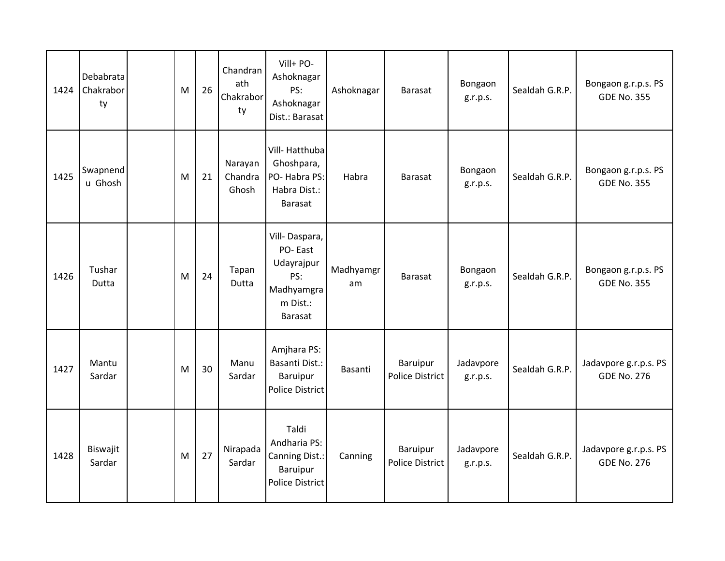| 1424 | Debabrata<br>Chakrabor<br>ty | M | 26 | Chandran<br>ath<br>Chakrabor<br>ty | Vill+ PO-<br>Ashoknagar<br>PS:<br>Ashoknagar<br>Dist.: Barasat                            | Ashoknagar      | <b>Barasat</b>              | Bongaon<br>g.r.p.s.   | Sealdah G.R.P. | Bongaon g.r.p.s. PS<br><b>GDE No. 355</b>   |
|------|------------------------------|---|----|------------------------------------|-------------------------------------------------------------------------------------------|-----------------|-----------------------------|-----------------------|----------------|---------------------------------------------|
| 1425 | Swapnend<br>u Ghosh          | M | 21 | Narayan<br>Chandra<br>Ghosh        | Vill-Hatthuba<br>Ghoshpara,<br>PO-Habra PS:<br>Habra Dist.:<br><b>Barasat</b>             | Habra           | <b>Barasat</b>              | Bongaon<br>g.r.p.s.   | Sealdah G.R.P. | Bongaon g.r.p.s. PS<br><b>GDE No. 355</b>   |
| 1426 | Tushar<br>Dutta              | M | 24 | Tapan<br>Dutta                     | Vill-Daspara,<br>PO-East<br>Udayrajpur<br>PS:<br>Madhyamgra<br>m Dist.:<br><b>Barasat</b> | Madhyamgr<br>am | <b>Barasat</b>              | Bongaon<br>g.r.p.s.   | Sealdah G.R.P. | Bongaon g.r.p.s. PS<br><b>GDE No. 355</b>   |
| 1427 | Mantu<br>Sardar              | M | 30 | Manu<br>Sardar                     | Amjhara PS:<br>Basanti Dist.:<br>Baruipur<br>Police District                              | Basanti         | Baruipur<br>Police District | Jadavpore<br>g.r.p.s. | Sealdah G.R.P. | Jadavpore g.r.p.s. PS<br><b>GDE No. 276</b> |
| 1428 | Biswajit<br>Sardar           | M | 27 | Nirapada<br>Sardar                 | Taldi<br>Andharia PS:<br>Canning Dist.:<br>Baruipur<br><b>Police District</b>             | Canning         | Baruipur<br>Police District | Jadavpore<br>g.r.p.s. | Sealdah G.R.P. | Jadavpore g.r.p.s. PS<br><b>GDE No. 276</b> |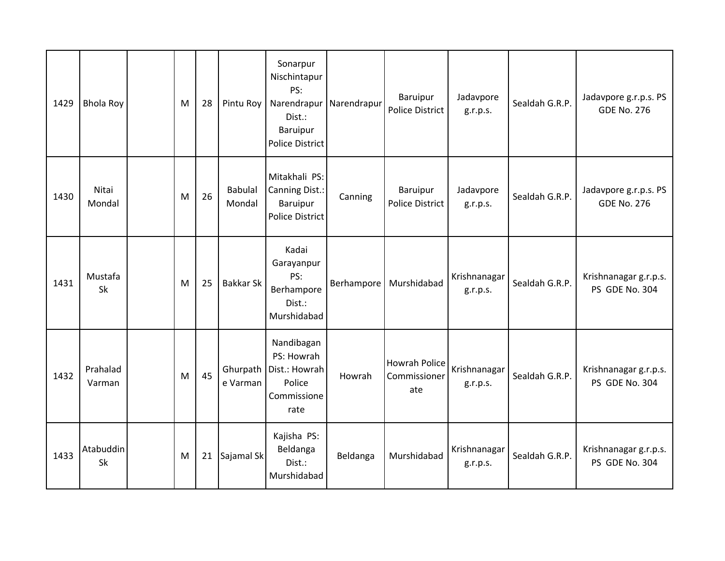| 1429 | <b>Bhola Roy</b>     | M | 28 | Pintu Roy                | Sonarpur<br>Nischintapur<br>PS:<br>Narendrapur<br>Dist.:<br>Baruipur<br><b>Police District</b> | Narendrapur | Baruipur<br>Police District          | Jadavpore<br>g.r.p.s.    | Sealdah G.R.P. | Jadavpore g.r.p.s. PS<br><b>GDE No. 276</b> |
|------|----------------------|---|----|--------------------------|------------------------------------------------------------------------------------------------|-------------|--------------------------------------|--------------------------|----------------|---------------------------------------------|
| 1430 | Nitai<br>Mondal      | M | 26 | <b>Babulal</b><br>Mondal | Mitakhali PS:<br>Canning Dist.:<br>Baruipur<br><b>Police District</b>                          | Canning     | Baruipur<br>Police District          | Jadavpore<br>g.r.p.s.    | Sealdah G.R.P. | Jadavpore g.r.p.s. PS<br><b>GDE No. 276</b> |
| 1431 | Mustafa<br><b>Sk</b> | M | 25 | <b>Bakkar Sk</b>         | Kadai<br>Garayanpur<br>PS:<br>Berhampore<br>Dist.:<br>Murshidabad                              | Berhampore  | Murshidabad                          | Krishnanagar<br>g.r.p.s. | Sealdah G.R.P. | Krishnanagar g.r.p.s.<br>PS GDE No. 304     |
| 1432 | Prahalad<br>Varman   | M | 45 | Ghurpath<br>e Varman     | Nandibagan<br>PS: Howrah<br>Dist.: Howrah<br>Police<br>Commissione<br>rate                     | Howrah      | Howrah Police<br>Commissioner<br>ate | Krishnanagar<br>g.r.p.s. | Sealdah G.R.P. | Krishnanagar g.r.p.s.<br>PS GDE No. 304     |
| 1433 | Atabuddin<br>Sk      | M | 21 | Sajamal Sk               | Kajisha PS:<br>Beldanga<br>Dist.:<br>Murshidabad                                               | Beldanga    | Murshidabad                          | Krishnanagar<br>g.r.p.s. | Sealdah G.R.P. | Krishnanagar g.r.p.s.<br>PS GDE No. 304     |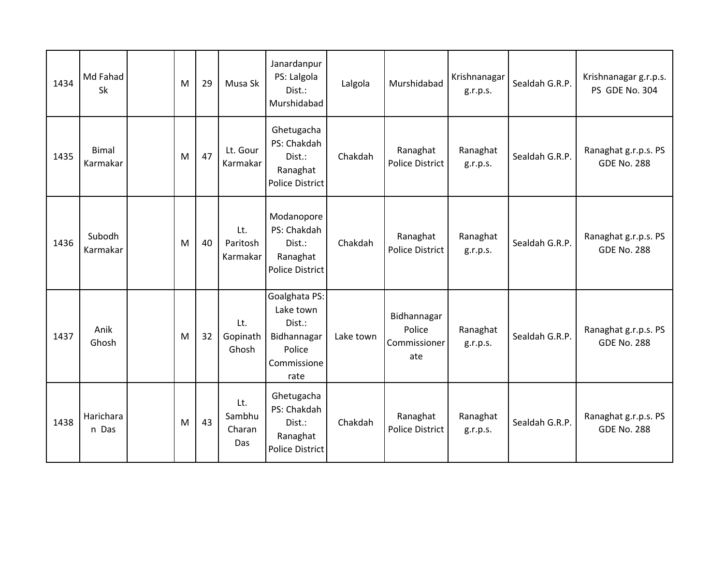| 1434 | Md Fahad<br>Sk           | M | 29 | Musa Sk                        | Janardanpur<br>PS: Lalgola<br>Dist.:<br>Murshidabad                                  | Lalgola   | Murshidabad                                  | Krishnanagar<br>g.r.p.s. | Sealdah G.R.P. | Krishnanagar g.r.p.s.<br>PS GDE No. 304    |
|------|--------------------------|---|----|--------------------------------|--------------------------------------------------------------------------------------|-----------|----------------------------------------------|--------------------------|----------------|--------------------------------------------|
| 1435 | <b>Bimal</b><br>Karmakar | M | 47 | Lt. Gour<br>Karmakar           | Ghetugacha<br>PS: Chakdah<br>Dist.:<br>Ranaghat<br><b>Police District</b>            | Chakdah   | Ranaghat<br><b>Police District</b>           | Ranaghat<br>g.r.p.s.     | Sealdah G.R.P. | Ranaghat g.r.p.s. PS<br><b>GDE No. 288</b> |
| 1436 | Subodh<br>Karmakar       | M | 40 | Lt.<br>Paritosh<br>Karmakar    | Modanopore<br>PS: Chakdah<br>Dist.:<br>Ranaghat<br><b>Police District</b>            | Chakdah   | Ranaghat<br>Police District                  | Ranaghat<br>g.r.p.s.     | Sealdah G.R.P. | Ranaghat g.r.p.s. PS<br><b>GDE No. 288</b> |
| 1437 | Anik<br>Ghosh            | M | 32 | Lt.<br>Gopinath<br>Ghosh       | Goalghata PS:<br>Lake town<br>Dist.:<br>Bidhannagar<br>Police<br>Commissione<br>rate | Lake town | Bidhannagar<br>Police<br>Commissioner<br>ate | Ranaghat<br>g.r.p.s.     | Sealdah G.R.P. | Ranaghat g.r.p.s. PS<br><b>GDE No. 288</b> |
| 1438 | Harichara<br>n Das       | M | 43 | Lt.<br>Sambhu<br>Charan<br>Das | Ghetugacha<br>PS: Chakdah<br>Dist.:<br>Ranaghat<br><b>Police District</b>            | Chakdah   | Ranaghat<br>Police District                  | Ranaghat<br>g.r.p.s.     | Sealdah G.R.P. | Ranaghat g.r.p.s. PS<br><b>GDE No. 288</b> |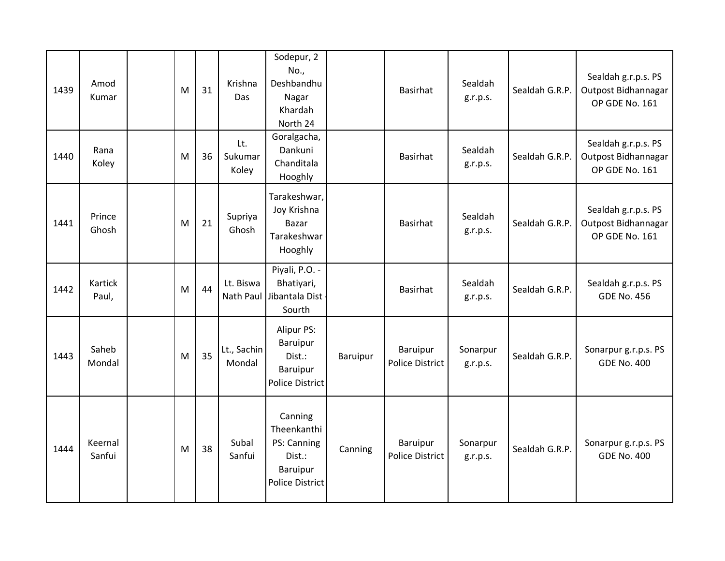| 1439 | Amod<br>Kumar     | M | 31 | Krishna<br>Das          | Sodepur, 2<br>No.,<br>Deshbandhu<br>Nagar<br>Khardah<br>North 24                      |          | <b>Basirhat</b>                    | Sealdah<br>g.r.p.s.  | Sealdah G.R.P. | Sealdah g.r.p.s. PS<br>Outpost Bidhannagar<br>OP GDE No. 161 |
|------|-------------------|---|----|-------------------------|---------------------------------------------------------------------------------------|----------|------------------------------------|----------------------|----------------|--------------------------------------------------------------|
| 1440 | Rana<br>Koley     | M | 36 | Lt.<br>Sukumar<br>Koley | Goralgacha,<br>Dankuni<br>Chanditala<br>Hooghly                                       |          | <b>Basirhat</b>                    | Sealdah<br>g.r.p.s.  | Sealdah G.R.P. | Sealdah g.r.p.s. PS<br>Outpost Bidhannagar<br>OP GDE No. 161 |
| 1441 | Prince<br>Ghosh   | M | 21 | Supriya<br>Ghosh        | Tarakeshwar,<br>Joy Krishna<br><b>Bazar</b><br>Tarakeshwar<br>Hooghly                 |          | Basirhat                           | Sealdah<br>g.r.p.s.  | Sealdah G.R.P. | Sealdah g.r.p.s. PS<br>Outpost Bidhannagar<br>OP GDE No. 161 |
| 1442 | Kartick<br>Paul,  | M | 44 | Lt. Biswa<br>Nath Paul  | Piyali, P.O. -<br>Bhatiyari,<br>Jibantala Dist<br>Sourth                              |          | Basirhat                           | Sealdah<br>g.r.p.s.  | Sealdah G.R.P. | Sealdah g.r.p.s. PS<br><b>GDE No. 456</b>                    |
| 1443 | Saheb<br>Mondal   | M | 35 | Lt., Sachin<br>Mondal   | Alipur PS:<br><b>Baruipur</b><br>Dist.:<br><b>Baruipur</b><br>Police District         | Baruipur | Baruipur<br><b>Police District</b> | Sonarpur<br>g.r.p.s. | Sealdah G.R.P. | Sonarpur g.r.p.s. PS<br><b>GDE No. 400</b>                   |
| 1444 | Keernal<br>Sanfui | M | 38 | Subal<br>Sanfui         | Canning<br>Theenkanthi<br>PS: Canning<br>Dist.:<br>Baruipur<br><b>Police District</b> | Canning  | Baruipur<br><b>Police District</b> | Sonarpur<br>g.r.p.s. | Sealdah G.R.P. | Sonarpur g.r.p.s. PS<br><b>GDE No. 400</b>                   |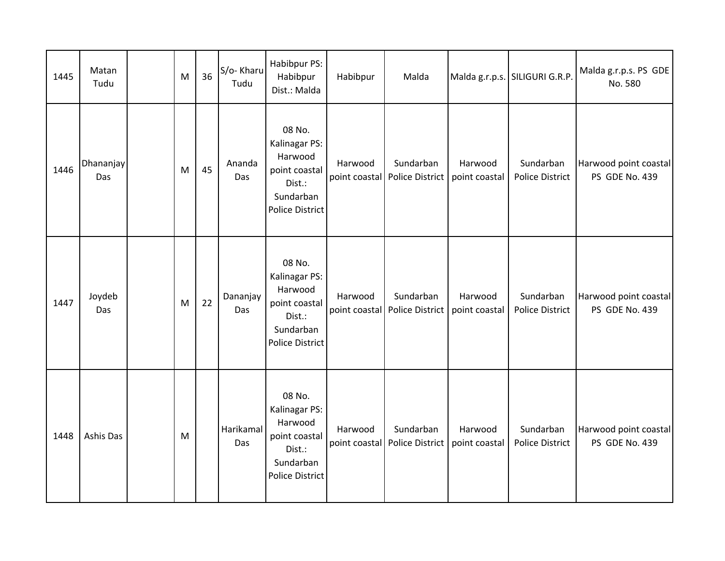| 1445 | Matan<br>Tudu    | M | 36 | S/o-Kharu<br>Tudu | Habibpur PS:<br>Habibpur<br>Dist.: Malda                                                             | Habibpur                 | Malda                        |                          | Malda g.r.p.s. SILIGURI G.R.P.      | Malda g.r.p.s. PS GDE<br>No. 580        |
|------|------------------|---|----|-------------------|------------------------------------------------------------------------------------------------------|--------------------------|------------------------------|--------------------------|-------------------------------------|-----------------------------------------|
| 1446 | Dhananjay<br>Das | M | 45 | Ananda<br>Das     | 08 No.<br>Kalinagar PS:<br>Harwood<br>point coastal<br>Dist.:<br>Sundarban<br><b>Police District</b> | Harwood<br>point coastal | Sundarban<br>Police District | Harwood<br>point coastal | Sundarban<br><b>Police District</b> | Harwood point coastal<br>PS GDE No. 439 |
| 1447 | Joydeb<br>Das    | M | 22 | Dananjay<br>Das   | 08 No.<br>Kalinagar PS:<br>Harwood<br>point coastal<br>Dist.:<br>Sundarban<br><b>Police District</b> | Harwood<br>point coastal | Sundarban<br>Police District | Harwood<br>point coastal | Sundarban<br><b>Police District</b> | Harwood point coastal<br>PS GDE No. 439 |
| 1448 | Ashis Das        | M |    | Harikamal<br>Das  | 08 No.<br>Kalinagar PS:<br>Harwood<br>point coastal<br>Dist.:<br>Sundarban<br><b>Police District</b> | Harwood<br>point coastal | Sundarban<br>Police District | Harwood<br>point coastal | Sundarban<br><b>Police District</b> | Harwood point coastal<br>PS GDE No. 439 |